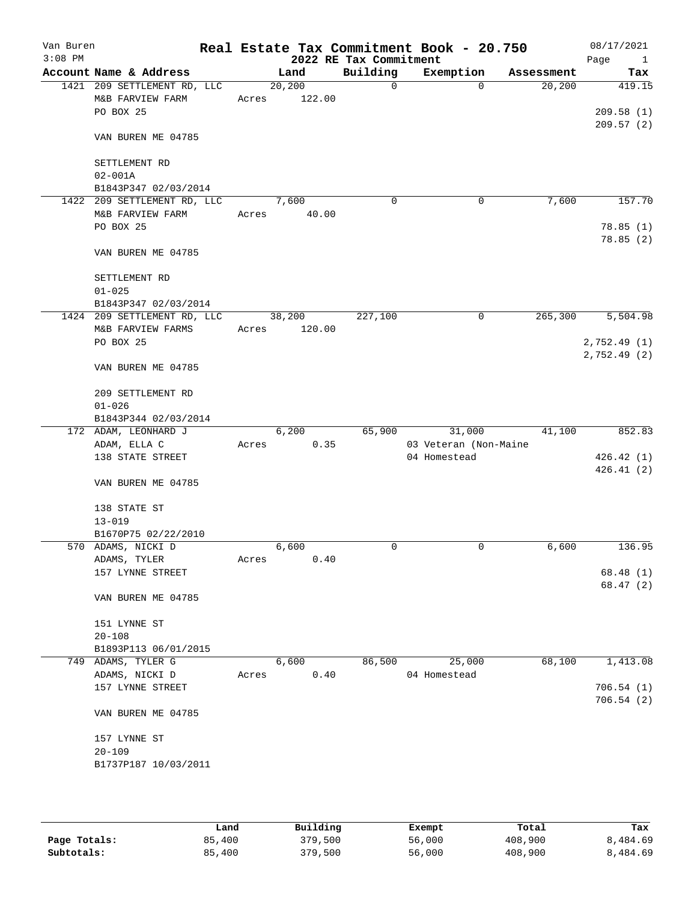| Van Buren<br>$3:08$ PM |                                    |       |         |        | 2022 RE Tax Commitment | Real Estate Tax Commitment Book - 20.750 |          |            | 08/17/2021<br>Page<br>$\mathbf{1}$ |
|------------------------|------------------------------------|-------|---------|--------|------------------------|------------------------------------------|----------|------------|------------------------------------|
|                        | Account Name & Address             |       | Land    |        | Building               | Exemption                                |          | Assessment | Tax                                |
|                        | 1421 209 SETTLEMENT RD, LLC        |       | 20, 200 |        | $\mathsf{O}$           |                                          | $\Omega$ | 20, 200    | 419.15                             |
|                        | M&B FARVIEW FARM                   | Acres |         | 122.00 |                        |                                          |          |            |                                    |
|                        | PO BOX 25                          |       |         |        |                        |                                          |          |            | 209.58(1)                          |
|                        | VAN BUREN ME 04785                 |       |         |        |                        |                                          |          |            | 209.57(2)                          |
|                        | SETTLEMENT RD                      |       |         |        |                        |                                          |          |            |                                    |
|                        | $02 - 001A$                        |       |         |        |                        |                                          |          |            |                                    |
|                        | B1843P347 02/03/2014               |       |         |        |                        |                                          |          |            |                                    |
|                        | 1422 209 SETTLEMENT RD, LLC        |       | 7,600   |        | 0                      |                                          | 0        | 7,600      | 157.70                             |
|                        | M&B FARVIEW FARM                   | Acres |         | 40.00  |                        |                                          |          |            |                                    |
|                        | PO BOX 25                          |       |         |        |                        |                                          |          |            | 78.85(1)                           |
|                        | VAN BUREN ME 04785                 |       |         |        |                        |                                          |          |            | 78.85(2)                           |
|                        | SETTLEMENT RD                      |       |         |        |                        |                                          |          |            |                                    |
|                        | $01 - 025$<br>B1843P347 02/03/2014 |       |         |        |                        |                                          |          |            |                                    |
|                        | 1424 209 SETTLEMENT RD, LLC        |       | 38,200  |        | 227,100                |                                          | 0        | 265,300    | 5,504.98                           |
|                        | M&B FARVIEW FARMS                  | Acres |         | 120.00 |                        |                                          |          |            |                                    |
|                        | PO BOX 25                          |       |         |        |                        |                                          |          |            | 2,752.49 (1)                       |
|                        | VAN BUREN ME 04785                 |       |         |        |                        |                                          |          |            | 2,752.49(2)                        |
|                        |                                    |       |         |        |                        |                                          |          |            |                                    |
|                        | 209 SETTLEMENT RD                  |       |         |        |                        |                                          |          |            |                                    |
|                        | $01 - 026$                         |       |         |        |                        |                                          |          |            |                                    |
|                        | B1843P344 02/03/2014               |       |         |        |                        |                                          |          |            |                                    |
|                        | 172 ADAM, LEONHARD J               |       | 6,200   |        | 65,900                 | 31,000                                   |          | 41,100     | 852.83                             |
|                        | ADAM, ELLA C<br>138 STATE STREET   | Acres |         | 0.35   |                        | 03 Veteran (Non-Maine<br>04 Homestead    |          |            | 426.42(1)                          |
|                        |                                    |       |         |        |                        |                                          |          |            | 426.41(2)                          |
|                        | VAN BUREN ME 04785                 |       |         |        |                        |                                          |          |            |                                    |
|                        | 138 STATE ST                       |       |         |        |                        |                                          |          |            |                                    |
|                        | $13 - 019$                         |       |         |        |                        |                                          |          |            |                                    |
|                        | B1670P75 02/22/2010                |       |         |        |                        |                                          |          |            |                                    |
|                        | 570 ADAMS, NICKI D                 |       | 6,600   |        | 0                      |                                          | 0        | 6,600      | 136.95                             |
|                        | ADAMS, TYLER                       | Acres |         | 0.40   |                        |                                          |          |            |                                    |
|                        | 157 LYNNE STREET                   |       |         |        |                        |                                          |          |            | 68.48(1)                           |
|                        | VAN BUREN ME 04785                 |       |         |        |                        |                                          |          |            | 68.47 (2)                          |
|                        | 151 LYNNE ST                       |       |         |        |                        |                                          |          |            |                                    |
|                        | $20 - 108$                         |       |         |        |                        |                                          |          |            |                                    |
|                        | B1893P113 06/01/2015               |       |         |        |                        |                                          |          |            |                                    |
|                        | 749 ADAMS, TYLER G                 |       | 6,600   |        | 86,500                 | 25,000                                   |          | 68,100     | 1,413.08                           |
|                        | ADAMS, NICKI D                     | Acres |         | 0.40   |                        | 04 Homestead                             |          |            |                                    |
|                        | 157 LYNNE STREET                   |       |         |        |                        |                                          |          |            | 706.54(1)                          |
|                        | VAN BUREN ME 04785                 |       |         |        |                        |                                          |          |            | 706.54(2)                          |
|                        |                                    |       |         |        |                        |                                          |          |            |                                    |
|                        | 157 LYNNE ST                       |       |         |        |                        |                                          |          |            |                                    |
|                        | $20 - 109$                         |       |         |        |                        |                                          |          |            |                                    |
|                        | B1737P187 10/03/2011               |       |         |        |                        |                                          |          |            |                                    |
|                        |                                    |       |         |        |                        |                                          |          |            |                                    |

|              | Land   | Building | Exempt | Total   | Tax      |
|--------------|--------|----------|--------|---------|----------|
| Page Totals: | 85,400 | 379,500  | 56,000 | 408,900 | 8,484.69 |
| Subtotals:   | 85,400 | 379,500  | 56,000 | 408,900 | 8,484.69 |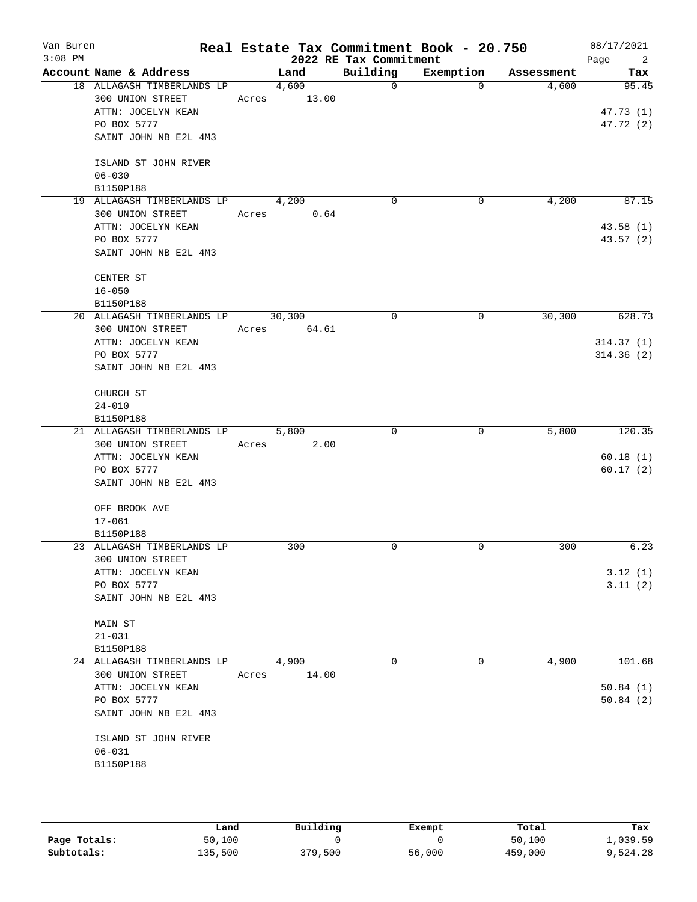| Van Buren<br>$3:08$ PM |                            |       |             | 2022 RE Tax Commitment | Real Estate Tax Commitment Book - 20.750 |            | 08/17/2021<br>Page<br>$\overline{\phantom{a}}^2$ |
|------------------------|----------------------------|-------|-------------|------------------------|------------------------------------------|------------|--------------------------------------------------|
|                        | Account Name & Address     |       | Land        | Building               | Exemption                                | Assessment | Tax                                              |
|                        | 18 ALLAGASH TIMBERLANDS LP |       | 4,600       | $\mathbf 0$            | $\Omega$                                 | 4,600      | 95.45                                            |
|                        | 300 UNION STREET           | Acres | 13.00       |                        |                                          |            |                                                  |
|                        | ATTN: JOCELYN KEAN         |       |             |                        |                                          |            | 47.73 (1)                                        |
|                        | PO BOX 5777                |       |             |                        |                                          |            | 47.72 (2)                                        |
|                        | SAINT JOHN NB E2L 4M3      |       |             |                        |                                          |            |                                                  |
|                        |                            |       |             |                        |                                          |            |                                                  |
|                        | ISLAND ST JOHN RIVER       |       |             |                        |                                          |            |                                                  |
|                        | $06 - 030$                 |       |             |                        |                                          |            |                                                  |
|                        | B1150P188                  |       |             |                        |                                          |            |                                                  |
|                        | 19 ALLAGASH TIMBERLANDS LP |       | 4,200       | $\mathbf 0$            | 0                                        | 4,200      | 87.15                                            |
|                        | 300 UNION STREET           | Acres | 0.64        |                        |                                          |            |                                                  |
|                        | ATTN: JOCELYN KEAN         |       |             |                        |                                          |            | 43.58(1)                                         |
|                        | PO BOX 5777                |       |             |                        |                                          |            | 43.57 (2)                                        |
|                        | SAINT JOHN NB E2L 4M3      |       |             |                        |                                          |            |                                                  |
|                        |                            |       |             |                        |                                          |            |                                                  |
|                        | CENTER ST                  |       |             |                        |                                          |            |                                                  |
|                        | $16 - 050$                 |       |             |                        |                                          |            |                                                  |
|                        | B1150P188                  |       |             |                        |                                          |            |                                                  |
|                        | 20 ALLAGASH TIMBERLANDS LP |       | 30,300      | 0                      | $\mathbf 0$                              | 30,300     | 628.73                                           |
|                        | 300 UNION STREET           |       | Acres 64.61 |                        |                                          |            |                                                  |
|                        | ATTN: JOCELYN KEAN         |       |             |                        |                                          |            | 314.37(1)                                        |
|                        | PO BOX 5777                |       |             |                        |                                          |            | 314.36(2)                                        |
|                        | SAINT JOHN NB E2L 4M3      |       |             |                        |                                          |            |                                                  |
|                        | CHURCH ST                  |       |             |                        |                                          |            |                                                  |
|                        | $24 - 010$                 |       |             |                        |                                          |            |                                                  |
|                        | B1150P188                  |       |             |                        |                                          |            |                                                  |
|                        | 21 ALLAGASH TIMBERLANDS LP |       | 5,800       | 0                      | 0                                        | 5,800      | 120.35                                           |
|                        | 300 UNION STREET           | Acres | 2.00        |                        |                                          |            |                                                  |
|                        | ATTN: JOCELYN KEAN         |       |             |                        |                                          |            | 60.18(1)                                         |
|                        | PO BOX 5777                |       |             |                        |                                          |            | 60.17(2)                                         |
|                        | SAINT JOHN NB E2L 4M3      |       |             |                        |                                          |            |                                                  |
|                        | OFF BROOK AVE              |       |             |                        |                                          |            |                                                  |
|                        | $17 - 061$                 |       |             |                        |                                          |            |                                                  |
|                        | B1150P188                  |       |             |                        |                                          |            |                                                  |
|                        | 23 ALLAGASH TIMBERLANDS LP |       | 300         | 0                      | $\mathbf 0$                              | 300        | 6.23                                             |
|                        | 300 UNION STREET           |       |             |                        |                                          |            |                                                  |
|                        | ATTN: JOCELYN KEAN         |       |             |                        |                                          |            | 3.12(1)                                          |
|                        | PO BOX 5777                |       |             |                        |                                          |            | 3.11(2)                                          |
|                        | SAINT JOHN NB E2L 4M3      |       |             |                        |                                          |            |                                                  |
|                        |                            |       |             |                        |                                          |            |                                                  |
|                        | <b>MAIN ST</b>             |       |             |                        |                                          |            |                                                  |
|                        | $21 - 031$                 |       |             |                        |                                          |            |                                                  |
|                        | B1150P188                  |       |             | 0                      | 0                                        |            |                                                  |
|                        | 24 ALLAGASH TIMBERLANDS LP |       | 4,900       |                        |                                          | 4,900      | 101.68                                           |
|                        | 300 UNION STREET           | Acres | 14.00       |                        |                                          |            |                                                  |
|                        | ATTN: JOCELYN KEAN         |       |             |                        |                                          |            | 50.84(1)                                         |
|                        | PO BOX 5777                |       |             |                        |                                          |            | 50.84(2)                                         |
|                        | SAINT JOHN NB E2L 4M3      |       |             |                        |                                          |            |                                                  |
|                        | ISLAND ST JOHN RIVER       |       |             |                        |                                          |            |                                                  |
|                        | $06 - 031$                 |       |             |                        |                                          |            |                                                  |
|                        | B1150P188                  |       |             |                        |                                          |            |                                                  |
|                        |                            |       |             |                        |                                          |            |                                                  |
|                        |                            |       |             |                        |                                          |            |                                                  |
|                        |                            |       |             |                        |                                          |            |                                                  |

|              | Land    | Building | Exempt | Total   | Tax      |
|--------------|---------|----------|--------|---------|----------|
| Page Totals: | 50,100  |          |        | 50,100  | 1,039.59 |
| Subtotals:   | 135,500 | 379,500  | 56,000 | 459,000 | 9,524.28 |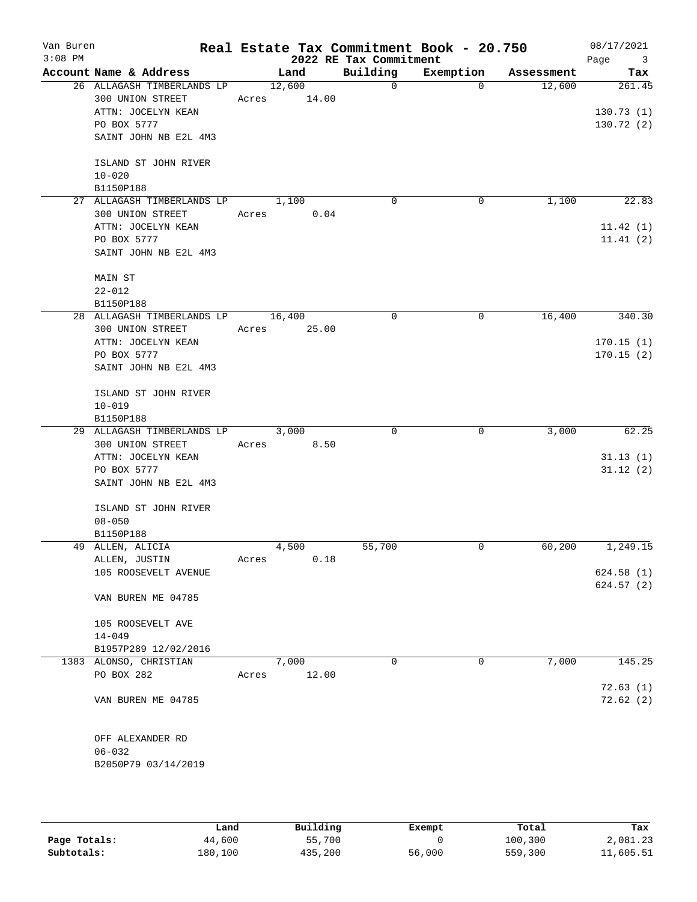| Van Buren<br>$3:08$ PM |                                    |       |        | 2022 RE Tax Commitment | Real Estate Tax Commitment Book - 20.750 |            | 08/17/2021<br>Page<br>$\overline{\mathbf{3}}$ |
|------------------------|------------------------------------|-------|--------|------------------------|------------------------------------------|------------|-----------------------------------------------|
|                        | Account Name & Address             |       | Land   | Building               | Exemption                                | Assessment | Tax                                           |
|                        | 26 ALLAGASH TIMBERLANDS LP         |       | 12,600 | $\mathbf 0$            | $\Omega$                                 | 12,600     | 261.45                                        |
|                        | 300 UNION STREET                   | Acres | 14.00  |                        |                                          |            |                                               |
|                        | ATTN: JOCELYN KEAN                 |       |        |                        |                                          |            | 130.73(1)                                     |
|                        | PO BOX 5777                        |       |        |                        |                                          |            | 130.72(2)                                     |
|                        | SAINT JOHN NB E2L 4M3              |       |        |                        |                                          |            |                                               |
|                        |                                    |       |        |                        |                                          |            |                                               |
|                        | ISLAND ST JOHN RIVER<br>$10 - 020$ |       |        |                        |                                          |            |                                               |
|                        | B1150P188                          |       |        |                        |                                          |            |                                               |
|                        | 27 ALLAGASH TIMBERLANDS LP         |       | 1,100  | 0                      | 0                                        | 1,100      | 22.83                                         |
|                        | 300 UNION STREET                   | Acres | 0.04   |                        |                                          |            |                                               |
|                        | ATTN: JOCELYN KEAN                 |       |        |                        |                                          |            | 11.42(1)                                      |
|                        | PO BOX 5777                        |       |        |                        |                                          |            | 11.41(2)                                      |
|                        | SAINT JOHN NB E2L 4M3              |       |        |                        |                                          |            |                                               |
|                        |                                    |       |        |                        |                                          |            |                                               |
|                        | MAIN ST                            |       |        |                        |                                          |            |                                               |
|                        | $22 - 012$<br>B1150P188            |       |        |                        |                                          |            |                                               |
|                        | 28 ALLAGASH TIMBERLANDS LP         |       | 16,400 | 0                      | 0                                        | 16,400     | 340.30                                        |
|                        | 300 UNION STREET                   | Acres | 25.00  |                        |                                          |            |                                               |
|                        | ATTN: JOCELYN KEAN                 |       |        |                        |                                          |            | 170.15(1)                                     |
|                        | PO BOX 5777                        |       |        |                        |                                          |            | 170.15(2)                                     |
|                        | SAINT JOHN NB E2L 4M3              |       |        |                        |                                          |            |                                               |
|                        | ISLAND ST JOHN RIVER               |       |        |                        |                                          |            |                                               |
|                        | $10 - 019$                         |       |        |                        |                                          |            |                                               |
|                        | B1150P188                          |       |        |                        |                                          |            |                                               |
|                        | 29 ALLAGASH TIMBERLANDS LP         |       | 3,000  | 0                      | 0                                        | 3,000      | 62.25                                         |
|                        | 300 UNION STREET                   | Acres | 8.50   |                        |                                          |            |                                               |
|                        | ATTN: JOCELYN KEAN                 |       |        |                        |                                          |            | 31.13(1)                                      |
|                        | PO BOX 5777                        |       |        |                        |                                          |            | 31.12(2)                                      |
|                        | SAINT JOHN NB E2L 4M3              |       |        |                        |                                          |            |                                               |
|                        | ISLAND ST JOHN RIVER               |       |        |                        |                                          |            |                                               |
|                        | $08 - 050$                         |       |        |                        |                                          |            |                                               |
|                        | B1150P188                          |       |        |                        |                                          |            |                                               |
|                        | 49 ALLEN, ALICIA                   |       | 4,500  | 55,700                 | 0                                        | 60,200     | 1,249.15                                      |
|                        | ALLEN, JUSTIN                      | Acres | 0.18   |                        |                                          |            |                                               |
|                        | 105 ROOSEVELT AVENUE               |       |        |                        |                                          |            | 624.58(1)<br>624.57(2)                        |
|                        | VAN BUREN ME 04785                 |       |        |                        |                                          |            |                                               |
|                        | 105 ROOSEVELT AVE                  |       |        |                        |                                          |            |                                               |
|                        | $14 - 049$                         |       |        |                        |                                          |            |                                               |
|                        | B1957P289 12/02/2016               |       |        |                        |                                          |            |                                               |
|                        | 1383 ALONSO, CHRISTIAN             |       | 7,000  | $\Omega$               | $\mathbf 0$                              | 7,000      | 145.25                                        |
|                        | PO BOX 282                         | Acres | 12.00  |                        |                                          |            |                                               |
|                        |                                    |       |        |                        |                                          |            | 72.63(1)                                      |
|                        | VAN BUREN ME 04785                 |       |        |                        |                                          |            | 72.62(2)                                      |
|                        |                                    |       |        |                        |                                          |            |                                               |
|                        | OFF ALEXANDER RD<br>$06 - 032$     |       |        |                        |                                          |            |                                               |
|                        | B2050P79 03/14/2019                |       |        |                        |                                          |            |                                               |
|                        |                                    |       |        |                        |                                          |            |                                               |
|                        |                                    |       |        |                        |                                          |            |                                               |

|              | Land    | Building | Exempt | Total   | Tax       |
|--------------|---------|----------|--------|---------|-----------|
| Page Totals: | 44,600  | 55,700   |        | 100,300 | 2,081.23  |
| Subtotals:   | 180,100 | 435,200  | 56,000 | 559,300 | 11,605.51 |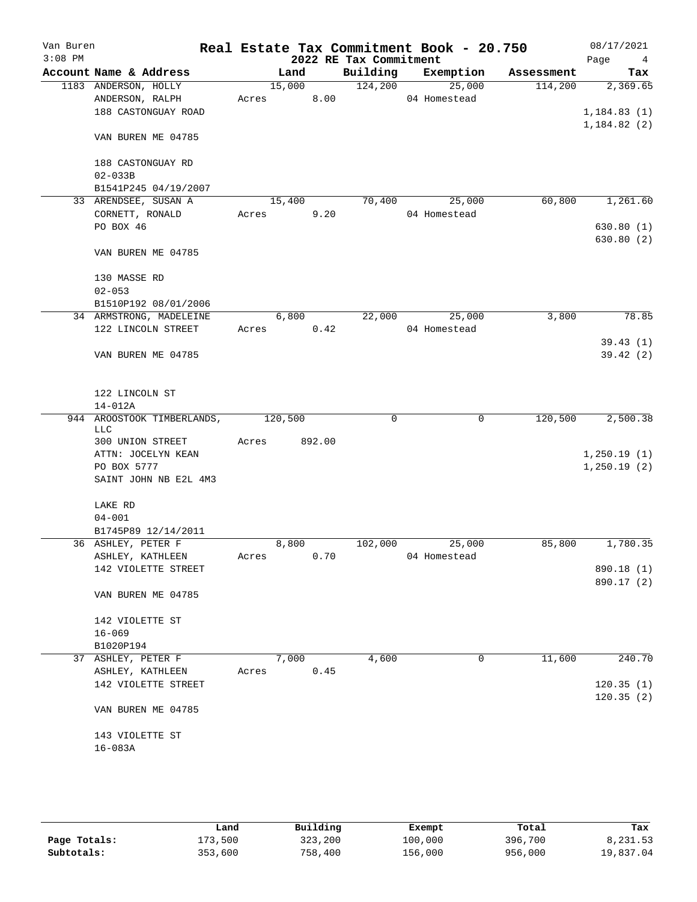| Van Buren<br>$3:08$ PM |                                               |         |               | 2022 RE Tax Commitment | Real Estate Tax Commitment Book - 20.750 |            | 08/17/2021<br>Page<br>$\overline{4}$ |
|------------------------|-----------------------------------------------|---------|---------------|------------------------|------------------------------------------|------------|--------------------------------------|
|                        | Account Name & Address                        |         | Land          | Building               | Exemption                                | Assessment | Tax                                  |
|                        | 1183 ANDERSON, HOLLY                          | 15,000  | 8.00          | 124,200                | 25,000                                   | 114,200    | 2,369.65                             |
|                        | ANDERSON, RALPH<br>188 CASTONGUAY ROAD        | Acres   |               |                        | 04 Homestead                             |            | 1, 184.83(1)                         |
|                        |                                               |         |               |                        |                                          |            | 1,184.82(2)                          |
|                        | VAN BUREN ME 04785                            |         |               |                        |                                          |            |                                      |
|                        | 188 CASTONGUAY RD                             |         |               |                        |                                          |            |                                      |
|                        | $02 - 033B$                                   |         |               |                        |                                          |            |                                      |
|                        | B1541P245 04/19/2007                          |         |               |                        |                                          |            |                                      |
|                        | 33 ARENDSEE, SUSAN A                          | 15,400  |               | 70,400                 | 25,000                                   | 60,800     | 1,261.60                             |
|                        | CORNETT, RONALD                               | Acres   | 9.20          |                        | 04 Homestead                             |            |                                      |
|                        | PO BOX 46                                     |         |               |                        |                                          |            | 630.80(1)<br>630.80 (2)              |
|                        | VAN BUREN ME 04785                            |         |               |                        |                                          |            |                                      |
|                        | 130 MASSE RD                                  |         |               |                        |                                          |            |                                      |
|                        | $02 - 053$                                    |         |               |                        |                                          |            |                                      |
|                        | B1510P192 08/01/2006                          |         |               |                        |                                          |            | 78.85                                |
|                        | 34 ARMSTRONG, MADELEINE<br>122 LINCOLN STREET | Acres   | 6,800<br>0.42 | 22,000                 | 25,000<br>04 Homestead                   | 3,800      |                                      |
|                        |                                               |         |               |                        |                                          |            | 39.43(1)                             |
|                        | VAN BUREN ME 04785                            |         |               |                        |                                          |            | 39.42(2)                             |
|                        | 122 LINCOLN ST                                |         |               |                        |                                          |            |                                      |
|                        | $14 - 012A$                                   |         |               |                        |                                          |            |                                      |
|                        | 944 AROOSTOOK TIMBERLANDS,<br>LLC             | 120,500 |               | 0                      | 0                                        | 120,500    | 2,500.38                             |
|                        | 300 UNION STREET                              | Acres   | 892.00        |                        |                                          |            |                                      |
|                        | ATTN: JOCELYN KEAN                            |         |               |                        |                                          |            | 1,250.19(1)                          |
|                        | PO BOX 5777                                   |         |               |                        |                                          |            | 1, 250.19(2)                         |
|                        | SAINT JOHN NB E2L 4M3                         |         |               |                        |                                          |            |                                      |
|                        | LAKE RD                                       |         |               |                        |                                          |            |                                      |
|                        | $04 - 001$                                    |         |               |                        |                                          |            |                                      |
|                        | B1745P89 12/14/2011                           |         |               |                        |                                          |            |                                      |
|                        | 36 ASHLEY, PETER F<br>ASHLEY, KATHLEEN        | 8,800   | 0.70          | 102,000                | 25,000                                   | 85,800     | 1,780.35                             |
|                        | 142 VIOLETTE STREET                           | Acres   |               |                        | 04 Homestead                             |            | 890.18 (1)                           |
|                        |                                               |         |               |                        |                                          |            | 890.17 (2)                           |
|                        | VAN BUREN ME 04785                            |         |               |                        |                                          |            |                                      |
|                        | 142 VIOLETTE ST                               |         |               |                        |                                          |            |                                      |
|                        | $16 - 069$                                    |         |               |                        |                                          |            |                                      |
|                        | B1020P194                                     |         |               |                        |                                          |            |                                      |
|                        | 37 ASHLEY, PETER F                            | 7,000   |               | 4,600                  | 0                                        | 11,600     | 240.70                               |
|                        | ASHLEY, KATHLEEN<br>142 VIOLETTE STREET       | Acres   | 0.45          |                        |                                          |            | 120.35(1)                            |
|                        |                                               |         |               |                        |                                          |            | 120.35(2)                            |
|                        | VAN BUREN ME 04785                            |         |               |                        |                                          |            |                                      |
|                        | 143 VIOLETTE ST                               |         |               |                        |                                          |            |                                      |
|                        | $16 - 083A$                                   |         |               |                        |                                          |            |                                      |
|                        |                                               |         |               |                        |                                          |            |                                      |

|              | Land    | Building | Exempt  | Total   | Tax       |
|--------------|---------|----------|---------|---------|-----------|
| Page Totals: | 173,500 | 323,200  | 100,000 | 396,700 | 8,231.53  |
| Subtotals:   | 353,600 | 758,400  | 156,000 | 956,000 | 19,837.04 |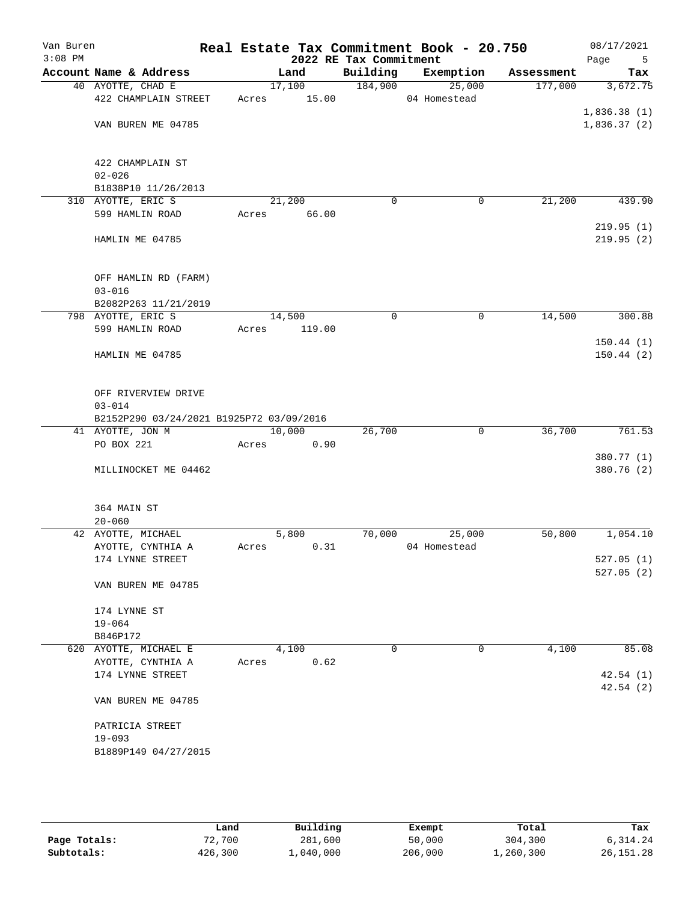| Van Buren<br>$3:08$ PM |                                          |       |                  | 2022 RE Tax Commitment | Real Estate Tax Commitment Book - 20.750 |            | 08/17/2021<br>Page<br>$5^{\circ}$ |
|------------------------|------------------------------------------|-------|------------------|------------------------|------------------------------------------|------------|-----------------------------------|
|                        | Account Name & Address                   |       | Land             | Building               | Exemption                                | Assessment | Tax                               |
|                        | 40 AYOTTE, CHAD E                        |       | 17,100           | 184,900                | 25,000                                   | 177,000    | 3,672.75                          |
|                        | 422 CHAMPLAIN STREET                     | Acres | 15.00            |                        | 04 Homestead                             |            |                                   |
|                        |                                          |       |                  |                        |                                          |            | 1,836.38(1)                       |
|                        | VAN BUREN ME 04785                       |       |                  |                        |                                          |            | 1,836.37(2)                       |
|                        | 422 CHAMPLAIN ST                         |       |                  |                        |                                          |            |                                   |
|                        | $02 - 026$                               |       |                  |                        |                                          |            |                                   |
|                        | B1838P10 11/26/2013                      |       |                  |                        |                                          |            |                                   |
|                        | 310 AYOTTE, ERIC S                       |       | 21,200           | 0                      | 0                                        | 21,200     | 439.90                            |
|                        | 599 HAMLIN ROAD                          | Acres | 66.00            |                        |                                          |            |                                   |
|                        | HAMLIN ME 04785                          |       |                  |                        |                                          |            | 219.95(1)<br>219.95(2)            |
|                        | OFF HAMLIN RD (FARM)                     |       |                  |                        |                                          |            |                                   |
|                        | $03 - 016$                               |       |                  |                        |                                          |            |                                   |
|                        | B2082P263 11/21/2019                     |       |                  |                        |                                          |            |                                   |
|                        | 798 AYOTTE, ERIC S<br>599 HAMLIN ROAD    | Acres | 14,500<br>119.00 | $\mathbf 0$            | 0                                        | 14,500     | 300.88                            |
|                        |                                          |       |                  |                        |                                          |            | 150.44(1)                         |
|                        | HAMLIN ME 04785                          |       |                  |                        |                                          |            | 150.44(2)                         |
|                        | OFF RIVERVIEW DRIVE<br>$03 - 014$        |       |                  |                        |                                          |            |                                   |
|                        | B2152P290 03/24/2021 B1925P72 03/09/2016 |       |                  |                        |                                          |            |                                   |
|                        | 41 AYOTTE, JON M                         |       | 10,000           | 26,700                 | $\mathsf{O}$                             | 36,700     | 761.53                            |
|                        | PO BOX 221                               | Acres | 0.90             |                        |                                          |            | 380.77 (1)                        |
|                        | MILLINOCKET ME 04462                     |       |                  |                        |                                          |            | 380.76 (2)                        |
|                        | 364 MAIN ST                              |       |                  |                        |                                          |            |                                   |
|                        | $20 - 060$                               |       |                  |                        |                                          |            |                                   |
|                        | 42 AYOTTE, MICHAEL                       |       | 5,800            | 70,000                 | 25,000                                   | 50,800     | 1,054.10                          |
|                        | AYOTTE, CYNTHIA A<br>174 LYNNE STREET    | Acres | 0.31             |                        | 04 Homestead                             |            | 527.05(1)                         |
|                        |                                          |       |                  |                        |                                          |            | 527.05(2)                         |
|                        | VAN BUREN ME 04785                       |       |                  |                        |                                          |            |                                   |
|                        | 174 LYNNE ST                             |       |                  |                        |                                          |            |                                   |
|                        | $19 - 064$                               |       |                  |                        |                                          |            |                                   |
|                        | B846P172                                 |       |                  |                        |                                          |            |                                   |
|                        | 620 AYOTTE, MICHAEL E                    |       | 4,100            | 0                      | 0                                        | 4,100      | 85.08                             |
|                        | AYOTTE, CYNTHIA A                        | Acres | 0.62             |                        |                                          |            |                                   |
|                        | 174 LYNNE STREET                         |       |                  |                        |                                          |            | 42.54(1)<br>42.54(2)              |
|                        | VAN BUREN ME 04785                       |       |                  |                        |                                          |            |                                   |
|                        | PATRICIA STREET<br>$19 - 093$            |       |                  |                        |                                          |            |                                   |
|                        | B1889P149 04/27/2015                     |       |                  |                        |                                          |            |                                   |
|                        |                                          |       |                  |                        |                                          |            |                                   |

|              | Land    | Building  | Exempt  | Total     | Tax         |
|--------------|---------|-----------|---------|-----------|-------------|
| Page Totals: | 72,700  | 281,600   | 50,000  | 304,300   | 6,314.24    |
| Subtotals:   | 426,300 | 1,040,000 | 206,000 | 1,260,300 | 26, 151. 28 |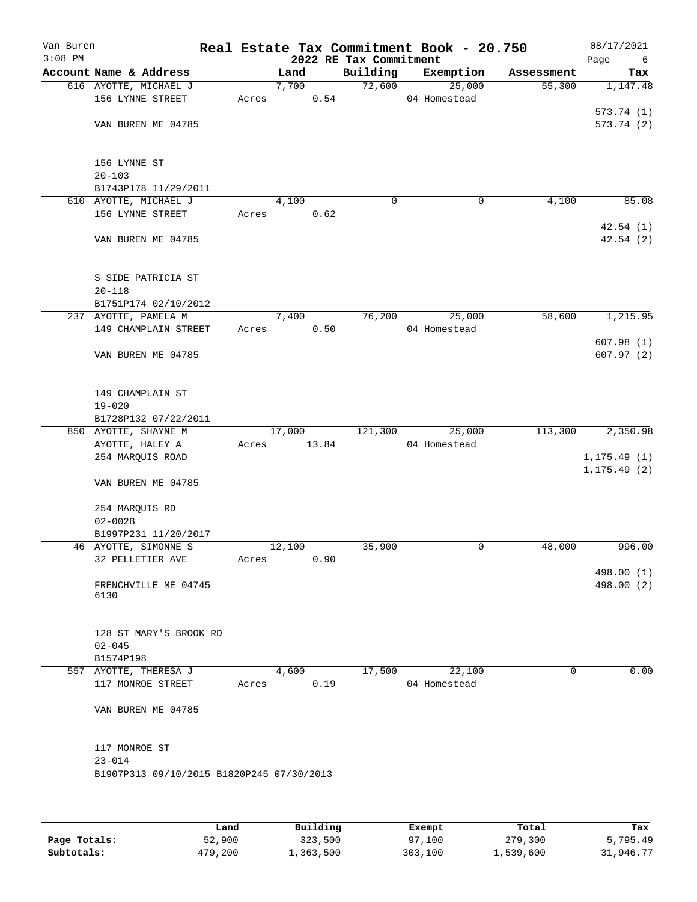| Van Buren<br>$3:08$ PM |                                           |       |        |       | 2022 RE Tax Commitment | Real Estate Tax Commitment Book - 20.750 |            | 08/17/2021<br>Page<br>6 |
|------------------------|-------------------------------------------|-------|--------|-------|------------------------|------------------------------------------|------------|-------------------------|
|                        | Account Name & Address                    |       | Land   |       | Building               | Exemption                                | Assessment | Tax                     |
|                        | 616 AYOTTE, MICHAEL J                     |       | 7,700  |       | 72,600                 | 25,000                                   | 55,300     | 1,147.48                |
|                        | 156 LYNNE STREET                          | Acres |        | 0.54  |                        | 04 Homestead                             |            |                         |
|                        |                                           |       |        |       |                        |                                          |            | 573.74 (1)              |
|                        | VAN BUREN ME 04785                        |       |        |       |                        |                                          |            | 573.74 (2)              |
|                        |                                           |       |        |       |                        |                                          |            |                         |
|                        | 156 LYNNE ST                              |       |        |       |                        |                                          |            |                         |
|                        | $20 - 103$                                |       |        |       |                        |                                          |            |                         |
|                        | B1743P178 11/29/2011                      |       |        |       |                        |                                          |            |                         |
|                        | 610 AYOTTE, MICHAEL J                     |       | 4,100  |       | 0                      | 0                                        | 4,100      | 85.08                   |
|                        | 156 LYNNE STREET                          | Acres |        | 0.62  |                        |                                          |            |                         |
|                        |                                           |       |        |       |                        |                                          |            | 42.54(1)                |
|                        | VAN BUREN ME 04785                        |       |        |       |                        |                                          |            | 42.54 (2)               |
|                        | S SIDE PATRICIA ST                        |       |        |       |                        |                                          |            |                         |
|                        | $20 - 118$                                |       |        |       |                        |                                          |            |                         |
|                        | B1751P174 02/10/2012                      |       |        |       |                        |                                          |            |                         |
|                        | 237 AYOTTE, PAMELA M                      |       | 7,400  |       | 76,200                 | 25,000                                   | 58,600     | 1,215.95                |
|                        |                                           | Acres |        |       |                        | 04 Homestead                             |            |                         |
|                        | 149 CHAMPLAIN STREET                      |       |        | 0.50  |                        |                                          |            |                         |
|                        |                                           |       |        |       |                        |                                          |            | 607.98(1)               |
|                        | VAN BUREN ME 04785                        |       |        |       |                        |                                          |            | 607.97(2)               |
|                        | 149 CHAMPLAIN ST                          |       |        |       |                        |                                          |            |                         |
|                        | $19 - 020$                                |       |        |       |                        |                                          |            |                         |
|                        | B1728P132 07/22/2011                      |       |        |       |                        |                                          |            |                         |
|                        | 850 AYOTTE, SHAYNE M                      |       | 17,000 |       | 121,300                | 25,000                                   | 113,300    | 2,350.98                |
|                        | AYOTTE, HALEY A                           | Acres |        | 13.84 |                        | 04 Homestead                             |            |                         |
|                        | 254 MARQUIS ROAD                          |       |        |       |                        |                                          |            | 1, 175.49(1)            |
|                        |                                           |       |        |       |                        |                                          |            | 1, 175.49(2)            |
|                        | VAN BUREN ME 04785                        |       |        |       |                        |                                          |            |                         |
|                        | 254 MARQUIS RD                            |       |        |       |                        |                                          |            |                         |
|                        | $02 - 002B$                               |       |        |       |                        |                                          |            |                         |
|                        | B1997P231 11/20/2017                      |       |        |       |                        |                                          |            |                         |
|                        | 46 AYOTTE, SIMONNE S                      |       | 12,100 |       | 35,900                 | 0                                        | 48,000     | 996.00                  |
|                        | 32 PELLETIER AVE                          | Acres |        | 0.90  |                        |                                          |            |                         |
|                        |                                           |       |        |       |                        |                                          |            | 498.00 (1)              |
|                        |                                           |       |        |       |                        |                                          |            | 498.00 (2)              |
|                        | FRENCHVILLE ME 04745<br>6130              |       |        |       |                        |                                          |            |                         |
|                        |                                           |       |        |       |                        |                                          |            |                         |
|                        | 128 ST MARY'S BROOK RD                    |       |        |       |                        |                                          |            |                         |
|                        | $02 - 045$                                |       |        |       |                        |                                          |            |                         |
|                        | B1574P198                                 |       |        |       |                        |                                          |            |                         |
|                        | 557 AYOTTE, THERESA J                     |       | 4,600  |       | 17,500                 | 22,100                                   | 0          | 0.00                    |
|                        | 117 MONROE STREET                         | Acres |        | 0.19  |                        | 04 Homestead                             |            |                         |
|                        | VAN BUREN ME 04785                        |       |        |       |                        |                                          |            |                         |
|                        |                                           |       |        |       |                        |                                          |            |                         |
|                        | 117 MONROE ST                             |       |        |       |                        |                                          |            |                         |
|                        | $23 - 014$                                |       |        |       |                        |                                          |            |                         |
|                        | B1907P313 09/10/2015 B1820P245 07/30/2013 |       |        |       |                        |                                          |            |                         |
|                        |                                           |       |        |       |                        |                                          |            |                         |
|                        |                                           |       |        |       |                        |                                          |            |                         |
|                        |                                           |       |        |       |                        |                                          |            |                         |

|              | Land    | Building  | Exempt  | Total     | Tax       |
|--------------|---------|-----------|---------|-----------|-----------|
| Page Totals: | 52,900  | 323,500   | 97,100  | 279,300   | 5,795.49  |
| Subtotals:   | 479,200 | 1,363,500 | 303,100 | 1,539,600 | 31,946.77 |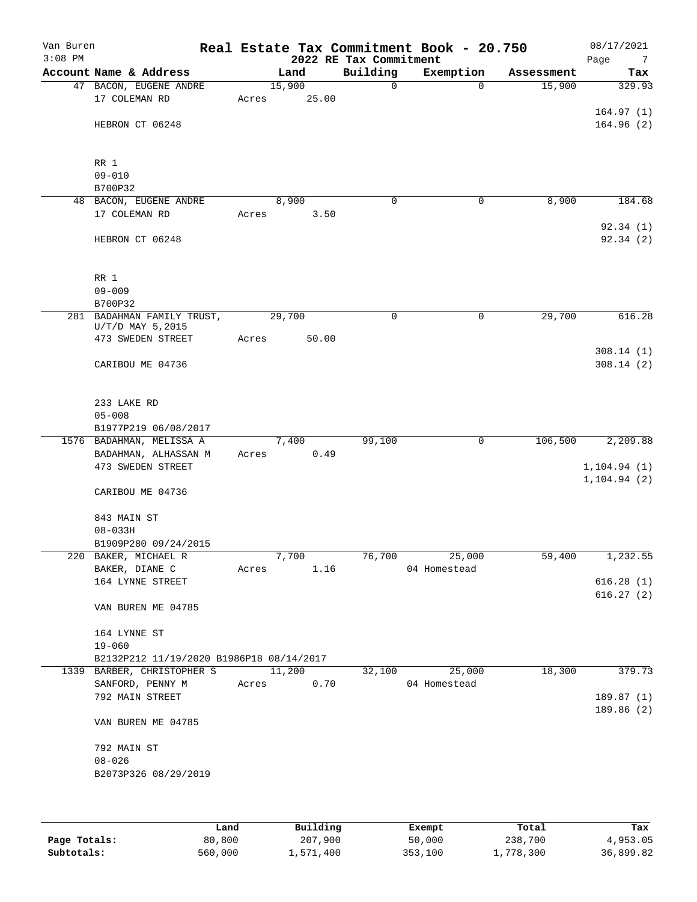| Van Buren<br>$3:08$ PM |                                                  |       |        | 2022 RE Tax Commitment | Real Estate Tax Commitment Book - 20.750 |            | 08/17/2021<br>Page<br>$\overline{7}$ |
|------------------------|--------------------------------------------------|-------|--------|------------------------|------------------------------------------|------------|--------------------------------------|
|                        | Account Name & Address                           |       | Land   | Building               | Exemption                                | Assessment | Tax                                  |
|                        | 47 BACON, EUGENE ANDRE                           |       | 15,900 | $\mathbf 0$            | $\Omega$                                 | 15,900     | 329.93                               |
|                        | 17 COLEMAN RD                                    | Acres | 25.00  |                        |                                          |            |                                      |
|                        |                                                  |       |        |                        |                                          |            | 164.97(1)                            |
|                        | HEBRON CT 06248                                  |       |        |                        |                                          |            | 164.96(2)                            |
|                        | RR 1                                             |       |        |                        |                                          |            |                                      |
|                        | $09 - 010$                                       |       |        |                        |                                          |            |                                      |
|                        | B700P32                                          |       |        |                        |                                          |            |                                      |
|                        | 48 BACON, EUGENE ANDRE                           |       | 8,900  | $\mathbf 0$            | 0                                        | 8,900      | 184.68                               |
|                        | 17 COLEMAN RD                                    | Acres | 3.50   |                        |                                          |            |                                      |
|                        | HEBRON CT 06248                                  |       |        |                        |                                          |            | 92.34(1)<br>92.34 (2)                |
|                        | RR 1                                             |       |        |                        |                                          |            |                                      |
|                        | $09 - 009$                                       |       |        |                        |                                          |            |                                      |
|                        | B700P32                                          |       |        |                        |                                          |            |                                      |
|                        | 281 BADAHMAN FAMILY TRUST,<br>$U/T/D$ MAY 5,2015 |       | 29,700 | 0                      | 0                                        | 29,700     | 616.28                               |
|                        | 473 SWEDEN STREET                                | Acres | 50.00  |                        |                                          |            |                                      |
|                        | CARIBOU ME 04736                                 |       |        |                        |                                          |            | 308.14(1)<br>308.14(2)               |
|                        |                                                  |       |        |                        |                                          |            |                                      |
|                        | 233 LAKE RD                                      |       |        |                        |                                          |            |                                      |
|                        | $05 - 008$                                       |       |        |                        |                                          |            |                                      |
|                        | B1977P219 06/08/2017<br>1576 BADAHMAN, MELISSA A |       | 7,400  | 99,100                 | 0                                        | 106,500    | 2,209.88                             |
|                        | BADAHMAN, ALHASSAN M                             | Acres | 0.49   |                        |                                          |            |                                      |
|                        | 473 SWEDEN STREET                                |       |        |                        |                                          |            | 1, 104.94(1)                         |
|                        |                                                  |       |        |                        |                                          |            | 1, 104.94(2)                         |
|                        | CARIBOU ME 04736                                 |       |        |                        |                                          |            |                                      |
|                        | 843 MAIN ST                                      |       |        |                        |                                          |            |                                      |
|                        | $08 - 033H$                                      |       |        |                        |                                          |            |                                      |
|                        | B1909P280 09/24/2015                             |       |        |                        |                                          |            |                                      |
|                        | 220 BAKER, MICHAEL R                             |       | 7,700  | 76,700                 | 25,000                                   | 59,400     | 1,232.55                             |
|                        | BAKER, DIANE C                                   | Acres | 1.16   |                        | 04 Homestead                             |            |                                      |
|                        | 164 LYNNE STREET                                 |       |        |                        |                                          |            | 616.28(1)                            |
|                        | VAN BUREN ME 04785                               |       |        |                        |                                          |            | 616.27(2)                            |
|                        | 164 LYNNE ST                                     |       |        |                        |                                          |            |                                      |
|                        | $19 - 060$                                       |       |        |                        |                                          |            |                                      |
|                        | B2132P212 11/19/2020 B1986P18 08/14/2017         |       |        |                        |                                          |            |                                      |
|                        | 1339 BARBER, CHRISTOPHER S                       |       | 11,200 |                        | 25,000<br>32,100                         | 18,300     | 379.73                               |
|                        | SANFORD, PENNY M                                 | Acres | 0.70   |                        | 04 Homestead                             |            |                                      |
|                        | 792 MAIN STREET                                  |       |        |                        |                                          |            | 189.87 (1)                           |
|                        | VAN BUREN ME 04785                               |       |        |                        |                                          |            | 189.86 (2)                           |
|                        |                                                  |       |        |                        |                                          |            |                                      |
|                        | 792 MAIN ST<br>$08 - 026$                        |       |        |                        |                                          |            |                                      |
|                        | B2073P326 08/29/2019                             |       |        |                        |                                          |            |                                      |
|                        |                                                  |       |        |                        |                                          |            |                                      |
|                        |                                                  |       |        |                        |                                          |            |                                      |
|                        |                                                  |       |        |                        |                                          |            |                                      |

|              | Land    | Building  | Exempt  | Total     | Tax       |
|--------------|---------|-----------|---------|-----------|-----------|
| Page Totals: | 80,800  | 207,900   | 50,000  | 238,700   | 4,953.05  |
| Subtotals:   | 560,000 | 1,571,400 | 353,100 | 1,778,300 | 36,899.82 |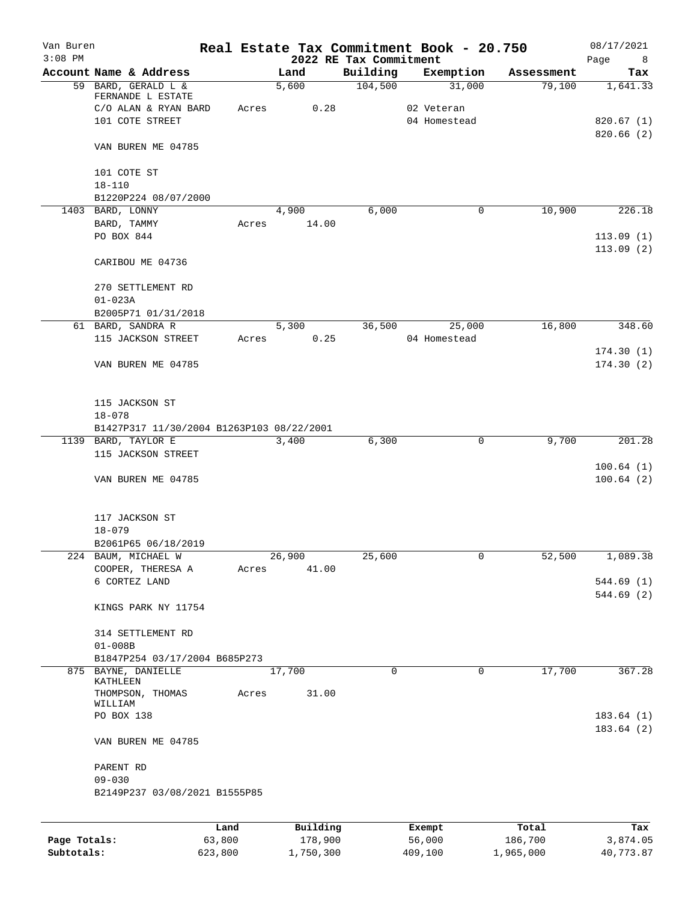| Van Buren<br>$3:08$ PM |                                                                    |        |                 | 2022 RE Tax Commitment | Real Estate Tax Commitment Book - 20.750 |            | 08/17/2021<br>Page<br>8  |
|------------------------|--------------------------------------------------------------------|--------|-----------------|------------------------|------------------------------------------|------------|--------------------------|
|                        | Account Name & Address                                             |        | Land            | Building               | Exemption                                | Assessment | Tax                      |
|                        | 59 BARD, GERALD L &<br>FERNANDE L ESTATE<br>$C/O$ ALAN & RYAN BARD | Acres  | 5,600<br>0.28   | 104,500                | 31,000<br>02 Veteran                     | 79,100     | 1,641.33                 |
|                        | 101 COTE STREET<br>VAN BUREN ME 04785                              |        |                 |                        | 04 Homestead                             |            | 820.67(1)<br>820.66 (2)  |
|                        | 101 COTE ST                                                        |        |                 |                        |                                          |            |                          |
|                        | $18 - 110$                                                         |        |                 |                        |                                          |            |                          |
|                        | B1220P224 08/07/2000<br>1403 BARD, LONNY                           |        | 4,900           | 6,000                  | 0                                        | 10,900     | 226.18                   |
|                        | BARD, TAMMY                                                        | Acres  | 14.00           |                        |                                          |            |                          |
|                        | PO BOX 844                                                         |        |                 |                        |                                          |            | 113.09(1)<br>113.09(2)   |
|                        | CARIBOU ME 04736                                                   |        |                 |                        |                                          |            |                          |
|                        | 270 SETTLEMENT RD<br>$01 - 023A$                                   |        |                 |                        |                                          |            |                          |
|                        | B2005P71 01/31/2018<br>61 BARD, SANDRA R                           |        | 5,300           | 36,500                 | 25,000                                   | 16,800     | 348.60                   |
|                        | 115 JACKSON STREET                                                 | Acres  | 0.25            |                        | 04 Homestead                             |            |                          |
|                        | VAN BUREN ME 04785                                                 |        |                 |                        |                                          |            | 174.30(1)<br>174.30(2)   |
|                        | 115 JACKSON ST<br>$18 - 078$                                       |        |                 |                        |                                          |            |                          |
|                        | B1427P317 11/30/2004 B1263P103 08/22/2001<br>1139 BARD, TAYLOR E   |        | 3,400           | 6,300                  | 0                                        | 9,700      | 201.28                   |
|                        | 115 JACKSON STREET                                                 |        |                 |                        |                                          |            | 100.64(1)                |
|                        | VAN BUREN ME 04785                                                 |        |                 |                        |                                          |            | 100.64(2)                |
|                        | 117 JACKSON ST<br>$18 - 079$                                       |        |                 |                        |                                          |            |                          |
|                        | B2061P65 06/18/2019                                                |        |                 |                        |                                          |            |                          |
|                        | 224 BAUM, MICHAEL W<br>COOPER, THERESA A                           | Acres  | 26,900<br>41.00 | 25,600                 | 0                                        | 52,500     | 1,089.38                 |
|                        | 6 CORTEZ LAND                                                      |        |                 |                        |                                          |            | 544.69 (1)<br>544.69 (2) |
|                        | KINGS PARK NY 11754                                                |        |                 |                        |                                          |            |                          |
|                        | 314 SETTLEMENT RD<br>$01 - 008B$                                   |        |                 |                        |                                          |            |                          |
|                        | B1847P254 03/17/2004 B685P273                                      |        |                 |                        |                                          |            |                          |
| 875                    | BAYNE, DANIELLE<br>KATHLEEN                                        |        | 17,700          | $\Omega$               | 0                                        | 17,700     | 367.28                   |
|                        | THOMPSON, THOMAS<br>WILLIAM                                        | Acres  | 31.00           |                        |                                          |            |                          |
|                        | PO BOX 138                                                         |        |                 |                        |                                          |            | 183.64(1)<br>183.64(2)   |
|                        | VAN BUREN ME 04785                                                 |        |                 |                        |                                          |            |                          |
|                        | PARENT RD<br>$09 - 030$                                            |        |                 |                        |                                          |            |                          |
|                        | B2149P237 03/08/2021 B1555P85                                      |        |                 |                        |                                          |            |                          |
|                        |                                                                    | Land   | Building        |                        | Exempt                                   | Total      | Tax                      |
| Page Totals:           |                                                                    | 63,800 | 178,900         |                        | 56,000                                   | 186,700    | 3,874.05                 |

**Subtotals:** 623,800 1,750,300 409,100 1,965,000 40,773.87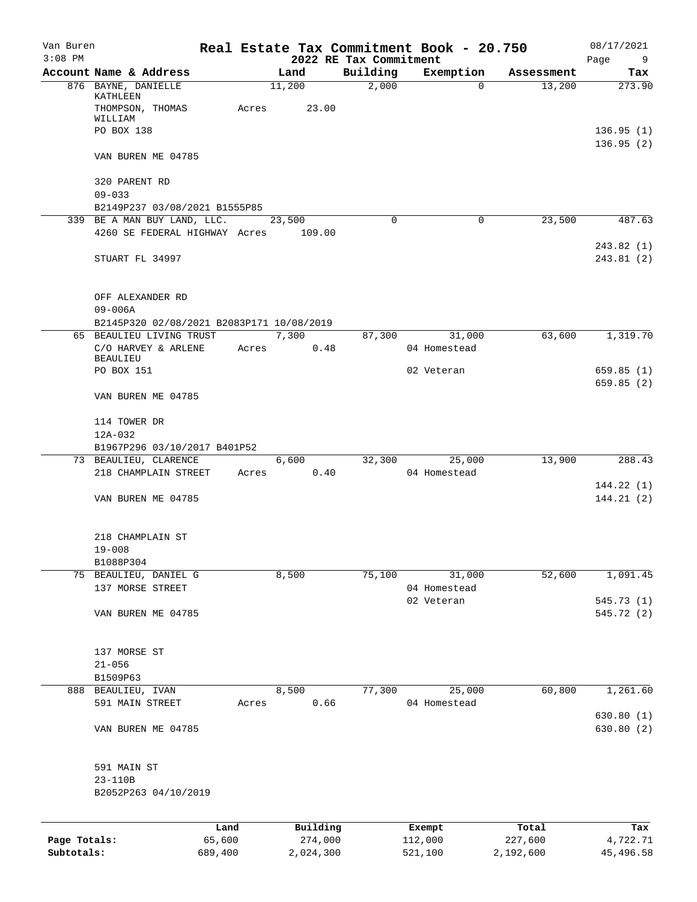| Van Buren<br>$3:08$ PM |                                                                    |        |                  |                                    | Real Estate Tax Commitment Book - 20.750 |            | 08/17/2021              |
|------------------------|--------------------------------------------------------------------|--------|------------------|------------------------------------|------------------------------------------|------------|-------------------------|
|                        | Account Name & Address                                             |        | Land             | 2022 RE Tax Commitment<br>Building | Exemption                                | Assessment | Page<br>9<br>Tax        |
|                        | 876 BAYNE, DANIELLE<br>KATHLEEN                                    |        | 11,200           | 2,000                              | $\Omega$                                 | 13,200     | 273.90                  |
|                        | THOMPSON, THOMAS<br>WILLIAM                                        | Acres  | 23.00            |                                    |                                          |            |                         |
|                        | PO BOX 138                                                         |        |                  |                                    |                                          |            | 136.95(1)<br>136.95(2)  |
|                        | VAN BUREN ME 04785                                                 |        |                  |                                    |                                          |            |                         |
|                        | 320 PARENT RD<br>$09 - 033$                                        |        |                  |                                    |                                          |            |                         |
|                        | B2149P237 03/08/2021 B1555P85                                      |        |                  |                                    |                                          |            |                         |
|                        | 339 BE A MAN BUY LAND, LLC.<br>4260 SE FEDERAL HIGHWAY Acres       |        | 23,500<br>109.00 | 0                                  | $\mathbf 0$                              | 23,500     | 487.63                  |
|                        | STUART FL 34997                                                    |        |                  |                                    |                                          |            | 243.82 (1)<br>243.81(2) |
|                        | OFF ALEXANDER RD<br>$09 - 006A$                                    |        |                  |                                    |                                          |            |                         |
|                        | B2145P320 02/08/2021 B2083P171 10/08/2019                          |        |                  |                                    |                                          |            |                         |
|                        | 65 BEAULIEU LIVING TRUST<br>C/O HARVEY & ARLENE<br><b>BEAULIEU</b> | Acres  | 7,300<br>0.48    | 87,300                             | 31,000<br>04 Homestead                   | 63,600     | 1,319.70                |
|                        | PO BOX 151                                                         |        |                  |                                    | 02 Veteran                               |            | 659.85(1)<br>659.85(2)  |
|                        | VAN BUREN ME 04785                                                 |        |                  |                                    |                                          |            |                         |
|                        | 114 TOWER DR<br>12A-032                                            |        |                  |                                    |                                          |            |                         |
|                        | B1967P296 03/10/2017 B401P52                                       |        |                  |                                    |                                          |            |                         |
|                        | 73 BEAULIEU, CLARENCE<br>218 CHAMPLAIN STREET                      | Acres  | 6,600<br>0.40    | 32,300                             | 25,000<br>04 Homestead                   | 13,900     | 288.43<br>144.22(1)     |
|                        | VAN BUREN ME 04785                                                 |        |                  |                                    |                                          |            | 144.21(2)               |
|                        | 218 CHAMPLAIN ST                                                   |        |                  |                                    |                                          |            |                         |
|                        | $19 - 008$<br>B1088P304                                            |        |                  |                                    |                                          |            |                         |
|                        | 75 BEAULIEU, DANIEL G                                              |        | 8,500            | 75,100                             | 31,000                                   | 52,600     | 1,091.45                |
|                        | 137 MORSE STREET                                                   |        |                  |                                    | 04 Homestead                             |            |                         |
|                        |                                                                    |        |                  |                                    | 02 Veteran                               |            | 545.73(1)               |
|                        | VAN BUREN ME 04785                                                 |        |                  |                                    |                                          |            | 545.72 (2)              |
|                        | 137 MORSE ST                                                       |        |                  |                                    |                                          |            |                         |
|                        | $21 - 056$<br>B1509P63                                             |        |                  |                                    |                                          |            |                         |
|                        | 888 BEAULIEU, IVAN                                                 |        | 8,500            | 77,300                             | 25,000                                   | 60,800     | 1,261.60                |
|                        | 591 MAIN STREET                                                    | Acres  | 0.66             |                                    | 04 Homestead                             |            | 630.80 (1)              |
|                        | VAN BUREN ME 04785                                                 |        |                  |                                    |                                          |            | 630.80(2)               |
|                        | 591 MAIN ST                                                        |        |                  |                                    |                                          |            |                         |
|                        | 23-110B<br>B2052P263 04/10/2019                                    |        |                  |                                    |                                          |            |                         |
|                        |                                                                    | Land   | Building         |                                    | Exempt                                   | Total      | Tax                     |
| Page Totals:           |                                                                    | 65,600 | 274,000          |                                    | 112,000                                  | 227,600    | 4,722.71                |

**Subtotals:** 689,400 2,024,300 521,100 2,192,600 45,496.58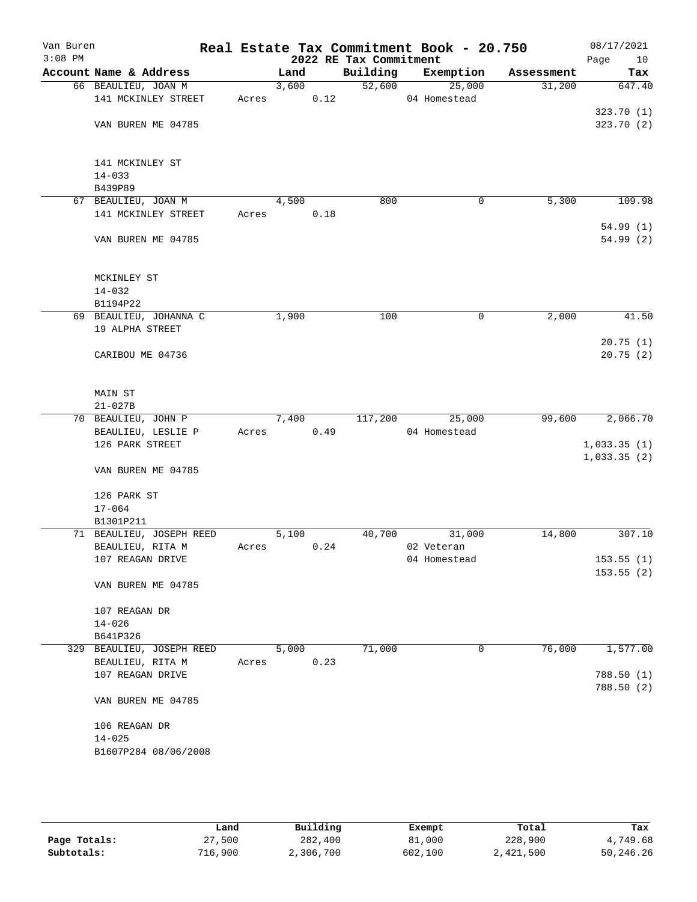| Van Buren<br>$3:08$ PM |                           |       |       |      | 2022 RE Tax Commitment | Real Estate Tax Commitment Book - 20.750 |            | 08/17/2021<br>Page<br>10 |
|------------------------|---------------------------|-------|-------|------|------------------------|------------------------------------------|------------|--------------------------|
|                        | Account Name & Address    |       | Land  |      | Building               | Exemption                                | Assessment | Tax                      |
|                        | 66 BEAULIEU, JOAN M       |       | 3,600 |      | 52,600                 | 25,000                                   | 31,200     | 647.40                   |
|                        | 141 MCKINLEY STREET       | Acres |       | 0.12 |                        | 04 Homestead                             |            |                          |
|                        |                           |       |       |      |                        |                                          |            | 323.70 (1)               |
|                        | VAN BUREN ME 04785        |       |       |      |                        |                                          |            | 323.70(2)                |
|                        | 141 MCKINLEY ST           |       |       |      |                        |                                          |            |                          |
|                        | $14 - 033$                |       |       |      |                        |                                          |            |                          |
|                        | B439P89                   |       |       |      |                        |                                          |            |                          |
|                        | 67 BEAULIEU, JOAN M       |       | 4,500 |      | 800                    | 0                                        | 5,300      | 109.98                   |
|                        | 141 MCKINLEY STREET       | Acres |       | 0.18 |                        |                                          |            |                          |
|                        |                           |       |       |      |                        |                                          |            | 54.99(1)                 |
|                        | VAN BUREN ME 04785        |       |       |      |                        |                                          |            | 54.99 (2)                |
|                        | MCKINLEY ST               |       |       |      |                        |                                          |            |                          |
|                        | $14 - 032$                |       |       |      |                        |                                          |            |                          |
|                        | B1194P22                  |       |       |      |                        |                                          |            |                          |
|                        | 69 BEAULIEU, JOHANNA C    |       | 1,900 |      | 100                    | 0                                        | 2,000      | 41.50                    |
|                        | 19 ALPHA STREET           |       |       |      |                        |                                          |            |                          |
|                        |                           |       |       |      |                        |                                          |            | 20.75(1)                 |
|                        | CARIBOU ME 04736          |       |       |      |                        |                                          |            | 20.75(2)                 |
|                        | MAIN ST                   |       |       |      |                        |                                          |            |                          |
|                        | $21 - 027B$               |       |       |      |                        |                                          |            |                          |
|                        | 70 BEAULIEU, JOHN P       |       | 7,400 |      | 117,200                | 25,000                                   | 99,600     | 2,066.70                 |
|                        | BEAULIEU, LESLIE P        | Acres |       | 0.49 |                        | 04 Homestead                             |            |                          |
|                        | 126 PARK STREET           |       |       |      |                        |                                          |            | 1,033.35(1)              |
|                        |                           |       |       |      |                        |                                          |            | 1,033.35(2)              |
|                        | VAN BUREN ME 04785        |       |       |      |                        |                                          |            |                          |
|                        | 126 PARK ST               |       |       |      |                        |                                          |            |                          |
|                        | $17 - 064$                |       |       |      |                        |                                          |            |                          |
|                        | B1301P211                 |       |       |      |                        |                                          |            |                          |
|                        | 71 BEAULIEU, JOSEPH REED  |       | 5,100 |      | 40,700                 | 31,000                                   | 14,800     | 307.10                   |
|                        | BEAULIEU, RITA M          | Acres |       | 0.24 |                        | 02 Veteran                               |            |                          |
|                        | 107 REAGAN DRIVE          |       |       |      |                        | 04 Homestead                             |            | 153.55(1)                |
|                        | VAN BUREN ME 04785        |       |       |      |                        |                                          |            | 153.55(2)                |
|                        | 107 REAGAN DR             |       |       |      |                        |                                          |            |                          |
|                        | $14 - 026$                |       |       |      |                        |                                          |            |                          |
|                        | B641P326                  |       |       |      |                        |                                          |            |                          |
|                        | 329 BEAULIEU, JOSEPH REED |       | 5,000 |      | 71,000                 | 0                                        | 76,000     | 1,577.00                 |
|                        | BEAULIEU, RITA M          | Acres |       | 0.23 |                        |                                          |            |                          |
|                        | 107 REAGAN DRIVE          |       |       |      |                        |                                          |            | 788.50(1)                |
|                        | VAN BUREN ME 04785        |       |       |      |                        |                                          |            | 788.50 (2)               |
|                        |                           |       |       |      |                        |                                          |            |                          |
|                        | 106 REAGAN DR             |       |       |      |                        |                                          |            |                          |
|                        | $14 - 025$                |       |       |      |                        |                                          |            |                          |
|                        | B1607P284 08/06/2008      |       |       |      |                        |                                          |            |                          |
|                        |                           |       |       |      |                        |                                          |            |                          |

|              | Land    | Building  | Exempt  | Total     | Tax       |
|--------------|---------|-----------|---------|-----------|-----------|
| Page Totals: | 27,500  | 282,400   | 81,000  | 228,900   | 4,749.68  |
| Subtotals:   | 716,900 | 2,306,700 | 602,100 | 2,421,500 | 50,246.26 |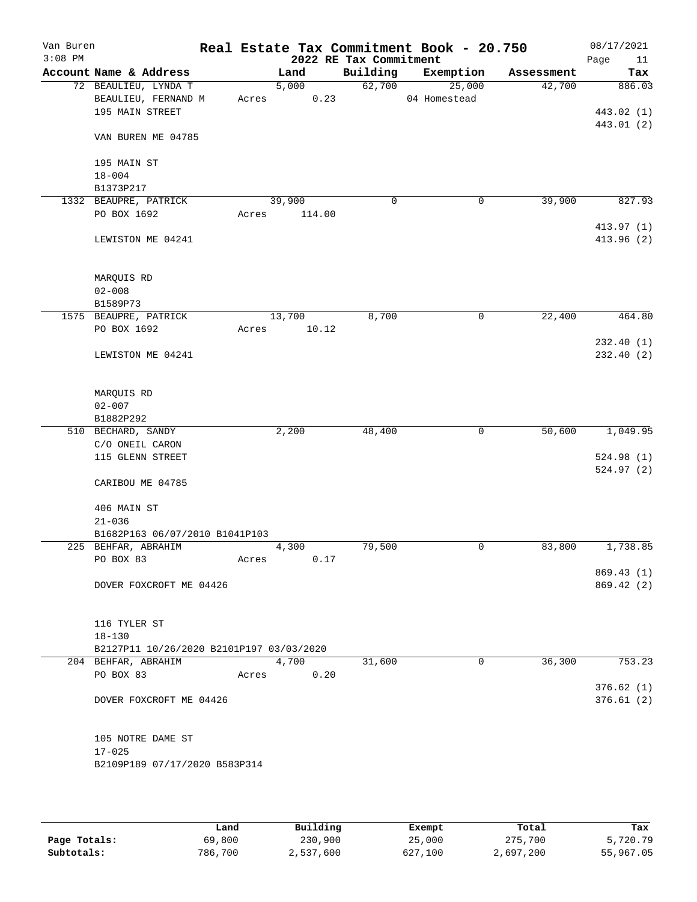| Van Buren<br>$3:08$ PM |                                          |       |        | 2022 RE Tax Commitment | Real Estate Tax Commitment Book - 20.750 |            | 08/17/2021<br>Page<br>11 |
|------------------------|------------------------------------------|-------|--------|------------------------|------------------------------------------|------------|--------------------------|
|                        | Account Name & Address                   |       | Land   | Building               | Exemption                                | Assessment | Tax                      |
|                        | 72 BEAULIEU, LYNDA T                     |       | 5,000  | 62,700                 | 25,000                                   | 42,700     | 886.03                   |
|                        | BEAULIEU, FERNAND M                      | Acres | 0.23   |                        | 04 Homestead                             |            |                          |
|                        | 195 MAIN STREET                          |       |        |                        |                                          |            | 443.02 (1)               |
|                        |                                          |       |        |                        |                                          |            | 443.01 (2)               |
|                        | VAN BUREN ME 04785                       |       |        |                        |                                          |            |                          |
|                        |                                          |       |        |                        |                                          |            |                          |
|                        | 195 MAIN ST                              |       |        |                        |                                          |            |                          |
|                        | $18 - 004$                               |       |        |                        |                                          |            |                          |
|                        | B1373P217                                |       |        |                        |                                          |            |                          |
|                        | 1332 BEAUPRE, PATRICK                    |       | 39,900 | $\mathbf 0$            | 0                                        | 39,900     | 827.93                   |
|                        | PO BOX 1692                              | Acres | 114.00 |                        |                                          |            |                          |
|                        |                                          |       |        |                        |                                          |            | 413.97 (1)               |
|                        | LEWISTON ME 04241                        |       |        |                        |                                          |            | 413.96 (2)               |
|                        |                                          |       |        |                        |                                          |            |                          |
|                        |                                          |       |        |                        |                                          |            |                          |
|                        | MARQUIS RD<br>$02 - 008$                 |       |        |                        |                                          |            |                          |
|                        | B1589P73                                 |       |        |                        |                                          |            |                          |
|                        | 1575 BEAUPRE, PATRICK                    |       | 13,700 | 8,700                  | $\mathbf 0$                              | 22,400     | 464.80                   |
|                        | PO BOX 1692                              | Acres | 10.12  |                        |                                          |            |                          |
|                        |                                          |       |        |                        |                                          |            | 232.40(1)                |
|                        | LEWISTON ME 04241                        |       |        |                        |                                          |            | 232.40(2)                |
|                        |                                          |       |        |                        |                                          |            |                          |
|                        |                                          |       |        |                        |                                          |            |                          |
|                        | MARQUIS RD                               |       |        |                        |                                          |            |                          |
|                        | $02 - 007$                               |       |        |                        |                                          |            |                          |
|                        | B1882P292                                |       |        |                        |                                          |            |                          |
|                        | 510 BECHARD, SANDY                       |       | 2,200  | 48,400                 | 0                                        | 50,600     | 1,049.95                 |
|                        | C/O ONEIL CARON                          |       |        |                        |                                          |            |                          |
|                        | 115 GLENN STREET                         |       |        |                        |                                          |            | 524.98(1)                |
|                        |                                          |       |        |                        |                                          |            | 524.97(2)                |
|                        | CARIBOU ME 04785                         |       |        |                        |                                          |            |                          |
|                        | 406 MAIN ST                              |       |        |                        |                                          |            |                          |
|                        | $21 - 036$                               |       |        |                        |                                          |            |                          |
|                        | B1682P163 06/07/2010 B1041P103           |       |        |                        |                                          |            |                          |
|                        | 225 BEHFAR, ABRAHIM                      |       | 4,300  | 79,500                 | $\mathbf 0$                              | 83,800     | 1,738.85                 |
|                        | PO BOX 83                                | Acres | 0.17   |                        |                                          |            |                          |
|                        |                                          |       |        |                        |                                          |            | 869.43(1)                |
|                        | DOVER FOXCROFT ME 04426                  |       |        |                        |                                          |            | 869.42 (2)               |
|                        |                                          |       |        |                        |                                          |            |                          |
|                        |                                          |       |        |                        |                                          |            |                          |
|                        | 116 TYLER ST                             |       |        |                        |                                          |            |                          |
|                        | $18 - 130$                               |       |        |                        |                                          |            |                          |
|                        | B2127P11 10/26/2020 B2101P197 03/03/2020 |       |        |                        |                                          |            |                          |
|                        | 204 BEHFAR, ABRAHIM                      |       | 4,700  | 31,600                 | 0                                        | 36,300     | 753.23                   |
|                        | PO BOX 83                                | Acres | 0.20   |                        |                                          |            |                          |
|                        |                                          |       |        |                        |                                          |            | 376.62(1)                |
|                        | DOVER FOXCROFT ME 04426                  |       |        |                        |                                          |            | 376.61(2)                |
|                        |                                          |       |        |                        |                                          |            |                          |
|                        | 105 NOTRE DAME ST                        |       |        |                        |                                          |            |                          |
|                        | $17 - 025$                               |       |        |                        |                                          |            |                          |
|                        | B2109P189 07/17/2020 B583P314            |       |        |                        |                                          |            |                          |
|                        |                                          |       |        |                        |                                          |            |                          |
|                        |                                          |       |        |                        |                                          |            |                          |

|              | Land    | Building  | Exempt  | Total     | Tax       |
|--------------|---------|-----------|---------|-----------|-----------|
| Page Totals: | 69,800  | 230,900   | 25,000  | 275,700   | 5,720.79  |
| Subtotals:   | 786,700 | 2,537,600 | 627,100 | 2,697,200 | 55,967.05 |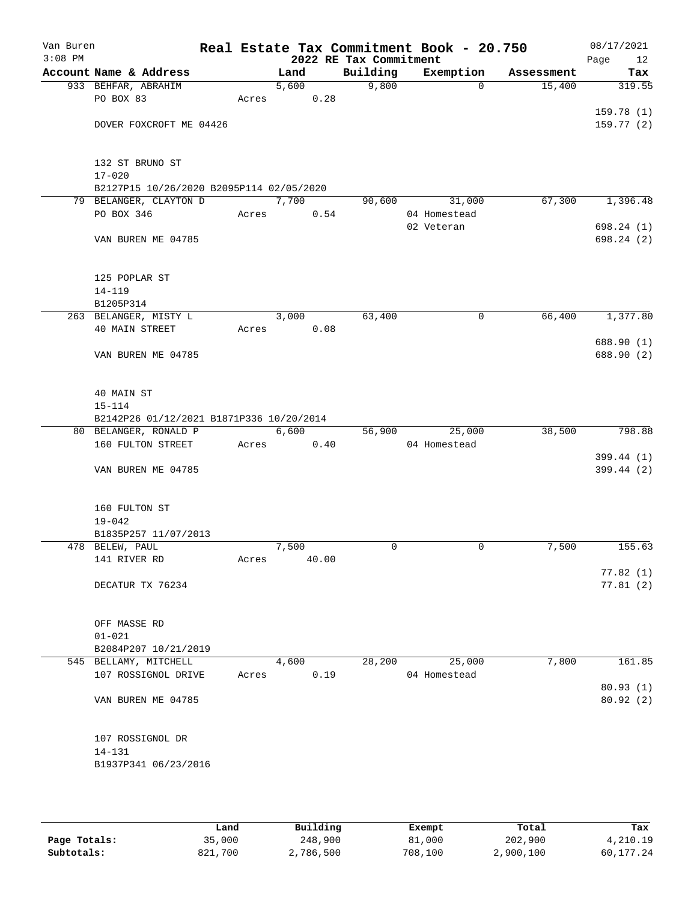| Van Buren<br>$3:08$ PM |                                          |       |       |       | 2022 RE Tax Commitment | Real Estate Tax Commitment Book - 20.750 |            | 08/17/2021<br>Page<br>12 |
|------------------------|------------------------------------------|-------|-------|-------|------------------------|------------------------------------------|------------|--------------------------|
|                        | Account Name & Address                   |       | Land  |       | Building               | Exemption                                | Assessment | Tax                      |
|                        | 933 BEHFAR, ABRAHIM                      |       | 5,600 |       | 9,800                  | $\Omega$                                 | 15,400     | 319.55                   |
|                        | PO BOX 83                                | Acres |       | 0.28  |                        |                                          |            |                          |
|                        |                                          |       |       |       |                        |                                          |            | 159.78(1)                |
|                        | DOVER FOXCROFT ME 04426                  |       |       |       |                        |                                          |            | 159.77 (2)               |
|                        |                                          |       |       |       |                        |                                          |            |                          |
|                        |                                          |       |       |       |                        |                                          |            |                          |
|                        | 132 ST BRUNO ST                          |       |       |       |                        |                                          |            |                          |
|                        | $17 - 020$                               |       |       |       |                        |                                          |            |                          |
|                        | B2127P15 10/26/2020 B2095P114 02/05/2020 |       |       |       |                        |                                          |            |                          |
|                        | 79 BELANGER, CLAYTON D                   |       | 7,700 |       | 90,600                 | 31,000                                   | 67,300     | 1,396.48                 |
|                        | PO BOX 346                               | Acres |       | 0.54  |                        | 04 Homestead                             |            |                          |
|                        |                                          |       |       |       |                        | 02 Veteran                               |            | 698.24(1)                |
|                        | VAN BUREN ME 04785                       |       |       |       |                        |                                          |            | 698.24(2)                |
|                        |                                          |       |       |       |                        |                                          |            |                          |
|                        | 125 POPLAR ST                            |       |       |       |                        |                                          |            |                          |
|                        | $14 - 119$                               |       |       |       |                        |                                          |            |                          |
|                        | B1205P314                                |       |       |       |                        |                                          |            |                          |
|                        | 263 BELANGER, MISTY L                    |       | 3,000 |       | 63,400                 | 0                                        | 66,400     | 1,377.80                 |
|                        | 40 MAIN STREET                           | Acres |       | 0.08  |                        |                                          |            |                          |
|                        |                                          |       |       |       |                        |                                          |            | 688.90 (1)               |
|                        | VAN BUREN ME 04785                       |       |       |       |                        |                                          |            | 688.90 (2)               |
|                        |                                          |       |       |       |                        |                                          |            |                          |
|                        |                                          |       |       |       |                        |                                          |            |                          |
|                        | 40 MAIN ST                               |       |       |       |                        |                                          |            |                          |
|                        | $15 - 114$                               |       |       |       |                        |                                          |            |                          |
|                        | B2142P26 01/12/2021 B1871P336 10/20/2014 |       |       |       |                        |                                          |            |                          |
|                        | 80 BELANGER, RONALD P                    |       | 6,600 |       | 56,900                 | 25,000                                   | 38,500     | 798.88                   |
|                        | 160 FULTON STREET                        | Acres |       | 0.40  |                        | 04 Homestead                             |            |                          |
|                        |                                          |       |       |       |                        |                                          |            | 399.44 (1)               |
|                        | VAN BUREN ME 04785                       |       |       |       |                        |                                          |            | 399.44 (2)               |
|                        |                                          |       |       |       |                        |                                          |            |                          |
|                        | 160 FULTON ST                            |       |       |       |                        |                                          |            |                          |
|                        | $19 - 042$                               |       |       |       |                        |                                          |            |                          |
|                        | B1835P257 11/07/2013                     |       |       |       |                        |                                          |            |                          |
|                        | 478 BELEW, PAUL                          |       | 7,500 |       | 0                      | 0                                        | 7,500      | 155.63                   |
|                        | 141 RIVER RD                             | Acres |       | 40.00 |                        |                                          |            |                          |
|                        |                                          |       |       |       |                        |                                          |            | 77.82(1)                 |
|                        | DECATUR TX 76234                         |       |       |       |                        |                                          |            | 77.81(2)                 |
|                        |                                          |       |       |       |                        |                                          |            |                          |
|                        |                                          |       |       |       |                        |                                          |            |                          |
|                        | OFF MASSE RD                             |       |       |       |                        |                                          |            |                          |
|                        | $01 - 021$                               |       |       |       |                        |                                          |            |                          |
|                        | B2084P207 10/21/2019                     |       |       |       |                        |                                          |            |                          |
|                        | 545 BELLAMY, MITCHELL                    |       | 4,600 |       | 28,200                 | 25,000                                   | 7,800      | 161.85                   |
|                        | 107 ROSSIGNOL DRIVE                      | Acres |       | 0.19  |                        | 04 Homestead                             |            |                          |
|                        |                                          |       |       |       |                        |                                          |            | 80.93(1)                 |
|                        | VAN BUREN ME 04785                       |       |       |       |                        |                                          |            | 80.92 (2)                |
|                        |                                          |       |       |       |                        |                                          |            |                          |
|                        |                                          |       |       |       |                        |                                          |            |                          |
|                        | 107 ROSSIGNOL DR<br>$14 - 131$           |       |       |       |                        |                                          |            |                          |
|                        | B1937P341 06/23/2016                     |       |       |       |                        |                                          |            |                          |
|                        |                                          |       |       |       |                        |                                          |            |                          |
|                        |                                          |       |       |       |                        |                                          |            |                          |

|              | Land    | Building  | Exempt  | Total     | Tax       |
|--------------|---------|-----------|---------|-----------|-----------|
| Page Totals: | 35,000  | 248,900   | 81,000  | 202,900   | 4,210.19  |
| Subtotals:   | 821,700 | 2,786,500 | 708,100 | 2,900,100 | 60,177.24 |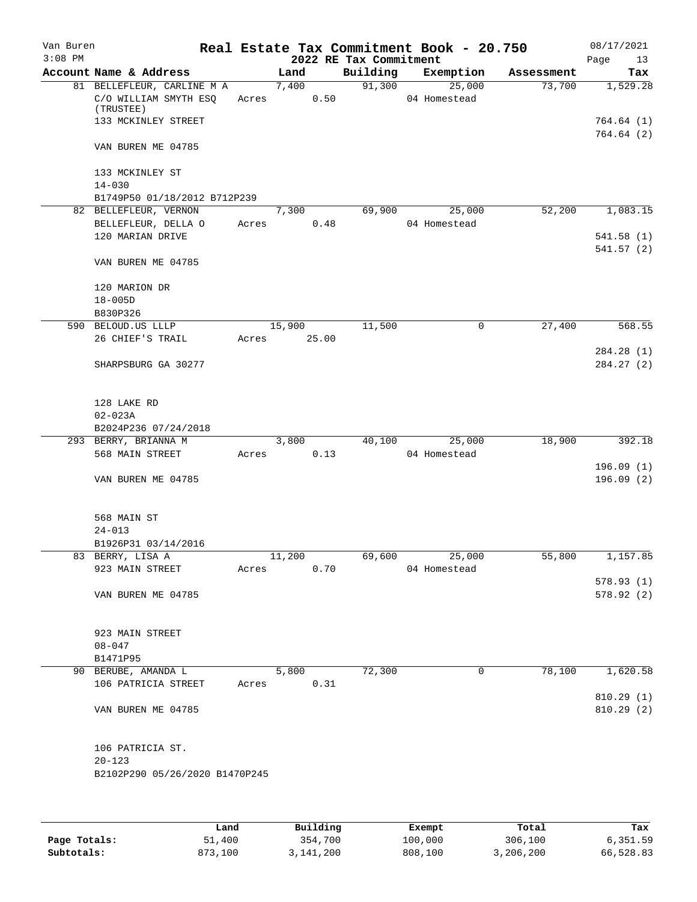| Van Buren<br>$3:08$ PM |                                                                                         |       |        |       | Real Estate Tax Commitment Book - 20.750<br>2022 RE Tax Commitment |                        |            | 08/17/2021<br>Page<br>13 |
|------------------------|-----------------------------------------------------------------------------------------|-------|--------|-------|--------------------------------------------------------------------|------------------------|------------|--------------------------|
|                        | Account Name & Address                                                                  |       | Land   |       | Building                                                           | Exemption              | Assessment | Tax                      |
|                        | 81 BELLEFLEUR, CARLINE M A<br>C/O WILLIAM SMYTH ESQ<br>(TRUSTEE)<br>133 MCKINLEY STREET | Acres | 7,400  | 0.50  | 91,300                                                             | 25,000<br>04 Homestead | 73,700     | 1,529.28<br>764.64 (1)   |
|                        | VAN BUREN ME 04785                                                                      |       |        |       |                                                                    |                        |            | 764.64 (2)               |
|                        | 133 MCKINLEY ST<br>$14 - 030$                                                           |       |        |       |                                                                    |                        |            |                          |
|                        | B1749P50 01/18/2012 B712P239                                                            |       |        |       |                                                                    |                        |            |                          |
|                        | 82 BELLEFLEUR, VERNON                                                                   |       | 7,300  |       | 69,900                                                             | 25,000                 | 52,200     | 1,083.15                 |
|                        | BELLEFLEUR, DELLA O<br>120 MARIAN DRIVE                                                 | Acres |        | 0.48  |                                                                    | 04 Homestead           |            | 541.58(1)<br>541.57(2)   |
|                        | VAN BUREN ME 04785                                                                      |       |        |       |                                                                    |                        |            |                          |
|                        | 120 MARION DR<br>$18 - 005D$                                                            |       |        |       |                                                                    |                        |            |                          |
|                        | B830P326                                                                                |       |        |       |                                                                    |                        |            |                          |
|                        | 590 BELOUD.US LLLP                                                                      |       | 15,900 |       | 11,500                                                             | 0                      | 27,400     | 568.55                   |
|                        | 26 CHIEF'S TRAIL                                                                        | Acres |        | 25.00 |                                                                    |                        |            |                          |
|                        | SHARPSBURG GA 30277                                                                     |       |        |       |                                                                    |                        |            | 284.28 (1)<br>284.27(2)  |
|                        | 128 LAKE RD<br>$02 - 023A$                                                              |       |        |       |                                                                    |                        |            |                          |
|                        | B2024P236 07/24/2018                                                                    |       |        |       |                                                                    |                        |            |                          |
|                        | 293 BERRY, BRIANNA M                                                                    |       | 3,800  |       | 40,100                                                             | 25,000                 | 18,900     | 392.18                   |
|                        | 568 MAIN STREET                                                                         | Acres |        | 0.13  |                                                                    | 04 Homestead           |            |                          |
|                        | VAN BUREN ME 04785                                                                      |       |        |       |                                                                    |                        |            | 196.09(1)<br>196.09(2)   |
|                        | 568 MAIN ST<br>$24 - 013$                                                               |       |        |       |                                                                    |                        |            |                          |
|                        | B1926P31 03/14/2016                                                                     |       |        |       |                                                                    |                        |            |                          |
|                        | 83 BERRY, LISA A<br>923 MAIN STREET                                                     | Acres | 11,200 | 0.70  | 69,600                                                             | 25,000<br>04 Homestead | 55,800     | 1,157.85                 |
|                        | VAN BUREN ME 04785                                                                      |       |        |       |                                                                    |                        |            | 578.93(1)<br>578.92(2)   |
|                        | 923 MAIN STREET<br>$08 - 047$<br>B1471P95                                               |       |        |       |                                                                    |                        |            |                          |
|                        | 90 BERUBE, AMANDA L                                                                     |       | 5,800  |       | 72,300                                                             | 0                      | 78,100     | 1,620.58                 |
|                        | 106 PATRICIA STREET                                                                     | Acres |        | 0.31  |                                                                    |                        |            | 810.29 (1)               |
|                        | VAN BUREN ME 04785                                                                      |       |        |       |                                                                    |                        |            | 810.29(2)                |
|                        | 106 PATRICIA ST.<br>$20 - 123$                                                          |       |        |       |                                                                    |                        |            |                          |
|                        | B2102P290 05/26/2020 B1470P245                                                          |       |        |       |                                                                    |                        |            |                          |

|              | Land    | Building  | Exempt  | Total     | Tax       |
|--------------|---------|-----------|---------|-----------|-----------|
| Page Totals: | 51,400  | 354,700   | 100,000 | 306,100   | 6.351.59  |
| Subtotals:   | 873,100 | 3,141,200 | 808,100 | 3,206,200 | 66,528.83 |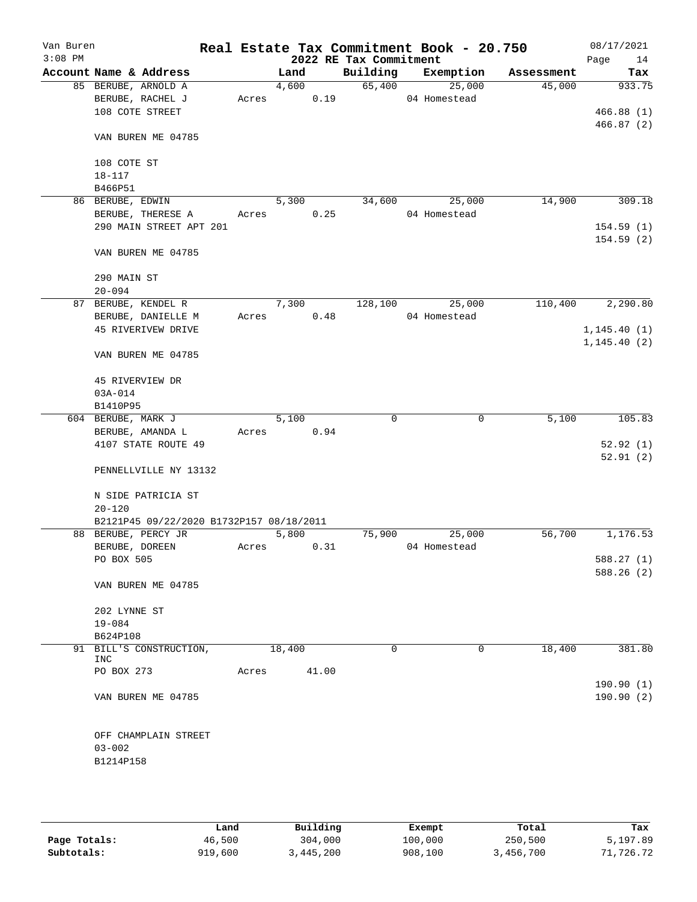| Van Buren<br>$3:08$ PM |                    |                                          |       |        |       | 2022 RE Tax Commitment | Real Estate Tax Commitment Book - 20.750 |            | 08/17/2021<br>Page<br>14 |
|------------------------|--------------------|------------------------------------------|-------|--------|-------|------------------------|------------------------------------------|------------|--------------------------|
|                        |                    | Account Name & Address                   |       | Land   |       | Building               | Exemption                                | Assessment | Tax                      |
|                        |                    | 85 BERUBE, ARNOLD A                      |       | 4,600  |       | 65,400                 | 25,000                                   | 45,000     | 933.75                   |
|                        |                    | BERUBE, RACHEL J                         | Acres |        | 0.19  |                        | 04 Homestead                             |            |                          |
|                        | 108 COTE STREET    |                                          |       |        |       |                        |                                          |            | 466.88(1)                |
|                        |                    |                                          |       |        |       |                        |                                          |            | 466.87(2)                |
|                        |                    | VAN BUREN ME 04785                       |       |        |       |                        |                                          |            |                          |
|                        | 108 COTE ST        |                                          |       |        |       |                        |                                          |            |                          |
|                        | $18 - 117$         |                                          |       |        |       |                        |                                          |            |                          |
|                        | B466P51            |                                          |       |        |       |                        |                                          |            |                          |
|                        | 86 BERUBE, EDWIN   |                                          |       | 5,300  |       | 34,600                 | 25,000                                   | 14,900     | 309.18                   |
|                        |                    | BERUBE, THERESE A                        | Acres |        | 0.25  |                        | 04 Homestead                             |            |                          |
|                        |                    | 290 MAIN STREET APT 201                  |       |        |       |                        |                                          |            | 154.59(1)                |
|                        |                    |                                          |       |        |       |                        |                                          |            | 154.59(2)                |
|                        |                    | VAN BUREN ME 04785                       |       |        |       |                        |                                          |            |                          |
|                        | 290 MAIN ST        |                                          |       |        |       |                        |                                          |            |                          |
|                        | $20 - 094$         |                                          |       |        |       |                        |                                          |            |                          |
|                        |                    | 87 BERUBE, KENDEL R                      |       | 7,300  |       | 128,100                | 25,000                                   | 110,400    | 2,290.80                 |
|                        |                    | BERUBE, DANIELLE M                       | Acres |        | 0.48  |                        | 04 Homestead                             |            |                          |
|                        |                    | 45 RIVERIVEW DRIVE                       |       |        |       |                        |                                          |            | 1, 145.40(1)             |
|                        |                    |                                          |       |        |       |                        |                                          |            | 1, 145.40(2)             |
|                        |                    | VAN BUREN ME 04785                       |       |        |       |                        |                                          |            |                          |
|                        | 45 RIVERVIEW DR    |                                          |       |        |       |                        |                                          |            |                          |
|                        | $03A - 014$        |                                          |       |        |       |                        |                                          |            |                          |
|                        | B1410P95           |                                          |       |        |       |                        |                                          |            |                          |
|                        | 604 BERUBE, MARK J |                                          |       | 5,100  |       | 0                      | 0                                        | 5,100      | 105.83                   |
|                        |                    | BERUBE, AMANDA L                         | Acres |        | 0.94  |                        |                                          |            |                          |
|                        |                    | 4107 STATE ROUTE 49                      |       |        |       |                        |                                          |            | 52.92(1)                 |
|                        |                    |                                          |       |        |       |                        |                                          |            | 52.91(2)                 |
|                        |                    | PENNELLVILLE NY 13132                    |       |        |       |                        |                                          |            |                          |
|                        |                    | N SIDE PATRICIA ST                       |       |        |       |                        |                                          |            |                          |
|                        | $20 - 120$         |                                          |       |        |       |                        |                                          |            |                          |
|                        |                    | B2121P45 09/22/2020 B1732P157 08/18/2011 |       |        |       |                        |                                          |            |                          |
|                        |                    | 88 BERUBE, PERCY JR                      |       | 5,800  |       | 75,900                 | 25,000                                   | 56,700     | 1,176.53                 |
|                        | BERUBE, DOREEN     |                                          | Acres |        | 0.31  |                        | 04 Homestead                             |            |                          |
|                        |                    |                                          |       |        |       |                        |                                          |            |                          |
|                        | PO BOX 505         |                                          |       |        |       |                        |                                          |            | 588.27(1)<br>588.26(2)   |
|                        |                    | VAN BUREN ME 04785                       |       |        |       |                        |                                          |            |                          |
|                        |                    |                                          |       |        |       |                        |                                          |            |                          |
|                        | 202 LYNNE ST       |                                          |       |        |       |                        |                                          |            |                          |
|                        | $19 - 084$         |                                          |       |        |       |                        |                                          |            |                          |
|                        | B624P108           |                                          |       |        |       |                        |                                          |            |                          |
|                        |                    | 91 BILL'S CONSTRUCTION,                  |       | 18,400 |       | $\mathbf 0$            | $\mathbf 0$                              | 18,400     | 381.80                   |
|                        | INC                |                                          |       |        |       |                        |                                          |            |                          |
|                        | PO BOX 273         |                                          | Acres |        | 41.00 |                        |                                          |            |                          |
|                        |                    | VAN BUREN ME 04785                       |       |        |       |                        |                                          |            | 190.90(1)<br>190.90(2)   |
|                        |                    |                                          |       |        |       |                        |                                          |            |                          |
|                        |                    | OFF CHAMPLAIN STREET                     |       |        |       |                        |                                          |            |                          |
|                        | $03 - 002$         |                                          |       |        |       |                        |                                          |            |                          |
|                        | B1214P158          |                                          |       |        |       |                        |                                          |            |                          |
|                        |                    |                                          |       |        |       |                        |                                          |            |                          |
|                        |                    |                                          |       |        |       |                        |                                          |            |                          |
|                        |                    |                                          |       |        |       |                        |                                          |            |                          |

|              | Land    | Building  | Exempt  | Total     | Tax       |
|--------------|---------|-----------|---------|-----------|-----------|
| Page Totals: | 46,500  | 304,000   | 100,000 | 250,500   | 5,197.89  |
| Subtotals:   | 919,600 | 3,445,200 | 908,100 | 3,456,700 | 71,726.72 |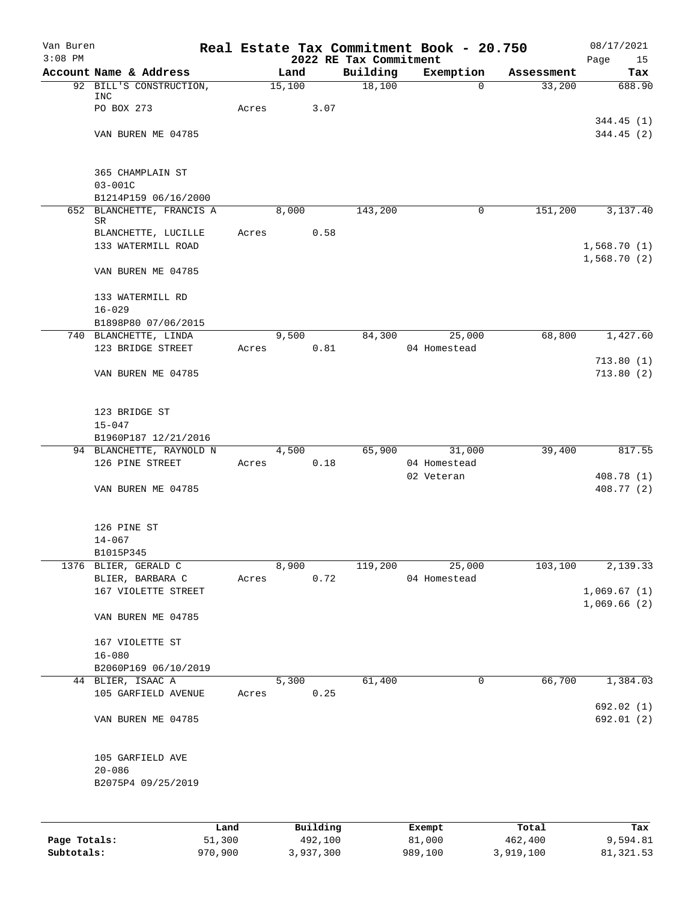| Van Buren    |                                 |       |        |          |                                    | Real Estate Tax Commitment Book - 20.750 |            | 08/17/2021                 |
|--------------|---------------------------------|-------|--------|----------|------------------------------------|------------------------------------------|------------|----------------------------|
| $3:08$ PM    | Account Name & Address          |       | Land   |          | 2022 RE Tax Commitment<br>Building | Exemption                                | Assessment | Page<br>15<br>Tax          |
|              | 92 BILL'S CONSTRUCTION,         |       | 15,100 |          | 18,100                             | $\mathbf 0$                              | 33,200     | 688.90                     |
|              | <b>INC</b><br>PO BOX 273        | Acres |        | 3.07     |                                    |                                          |            |                            |
|              |                                 |       |        |          |                                    |                                          |            | 344.45(1)                  |
|              | VAN BUREN ME 04785              |       |        |          |                                    |                                          |            | 344.45(2)                  |
|              | 365 CHAMPLAIN ST                |       |        |          |                                    |                                          |            |                            |
|              | $03 - 001C$                     |       |        |          |                                    |                                          |            |                            |
|              | B1214P159 06/16/2000            |       |        |          |                                    |                                          |            |                            |
|              | 652 BLANCHETTE, FRANCIS A<br>SR |       | 8,000  |          | 143,200                            | 0                                        | 151,200    | 3,137.40                   |
|              | BLANCHETTE, LUCILLE             | Acres |        | 0.58     |                                    |                                          |            |                            |
|              | 133 WATERMILL ROAD              |       |        |          |                                    |                                          |            | 1,568.70(1)                |
|              | VAN BUREN ME 04785              |       |        |          |                                    |                                          |            | 1,568.70(2)                |
|              | 133 WATERMILL RD                |       |        |          |                                    |                                          |            |                            |
|              | $16 - 029$                      |       |        |          |                                    |                                          |            |                            |
|              | B1898P80 07/06/2015             |       |        |          |                                    |                                          |            |                            |
|              | 740 BLANCHETTE, LINDA           |       | 9,500  |          | 84,300                             | 25,000                                   | 68,800     | 1,427.60                   |
|              | 123 BRIDGE STREET               | Acres |        | 0.81     |                                    | 04 Homestead                             |            |                            |
|              |                                 |       |        |          |                                    |                                          |            | 713.80(1)<br>713.80(2)     |
|              | VAN BUREN ME 04785              |       |        |          |                                    |                                          |            |                            |
|              | 123 BRIDGE ST                   |       |        |          |                                    |                                          |            |                            |
|              | $15 - 047$                      |       |        |          |                                    |                                          |            |                            |
|              | B1960P187 12/21/2016            |       |        |          |                                    |                                          |            |                            |
|              | 94 BLANCHETTE, RAYNOLD N        |       | 4,500  |          | 65,900                             | 31,000                                   | 39,400     | 817.55                     |
|              | 126 PINE STREET                 | Acres |        | 0.18     |                                    | 04 Homestead<br>02 Veteran               |            | 408.78 (1)                 |
|              | VAN BUREN ME 04785              |       |        |          |                                    |                                          |            | 408.77 (2)                 |
|              | 126 PINE ST                     |       |        |          |                                    |                                          |            |                            |
|              | $14 - 067$                      |       |        |          |                                    |                                          |            |                            |
|              | B1015P345                       |       |        |          |                                    |                                          |            |                            |
|              | 1376 BLIER, GERALD C            |       | 8,900  |          | 119,200                            | 25,000                                   | 103, 100   | 2,139.33                   |
|              | BLIER, BARBARA C                | Acres |        | 0.72     |                                    | 04 Homestead                             |            |                            |
|              | 167 VIOLETTE STREET             |       |        |          |                                    |                                          |            | 1,069.67(1)<br>1,069.66(2) |
|              | VAN BUREN ME 04785              |       |        |          |                                    |                                          |            |                            |
|              | 167 VIOLETTE ST                 |       |        |          |                                    |                                          |            |                            |
|              | $16 - 080$                      |       |        |          |                                    |                                          |            |                            |
|              | B2060P169 06/10/2019            |       |        |          |                                    |                                          |            |                            |
|              | 44 BLIER, ISAAC A               |       | 5,300  |          | 61,400                             | $\mathsf{O}$                             | 66,700     | 1,384.03                   |
|              | 105 GARFIELD AVENUE             | Acres |        | 0.25     |                                    |                                          |            | 692.02 (1)                 |
|              | VAN BUREN ME 04785              |       |        |          |                                    |                                          |            | 692.01 (2)                 |
|              | 105 GARFIELD AVE                |       |        |          |                                    |                                          |            |                            |
|              | $20 - 086$                      |       |        |          |                                    |                                          |            |                            |
|              | B2075P4 09/25/2019              |       |        |          |                                    |                                          |            |                            |
|              |                                 |       |        |          |                                    |                                          |            |                            |
|              | Land                            |       |        | Building |                                    | Exempt                                   | Total      | Tax                        |
| Page Totals: | 51,300                          |       |        | 492,100  |                                    | 81,000                                   | 462,400    | 9,594.81                   |

**Subtotals:** 970,900 3,937,300 989,100 3,919,100 81,321.53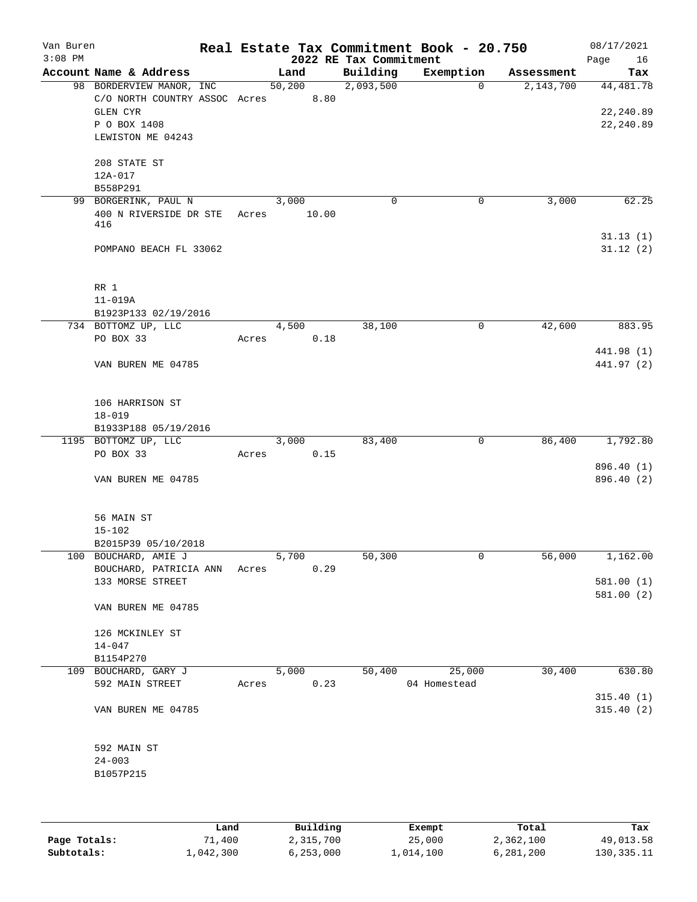| Van Buren<br>$3:08$ PM |                               |       |        |       | 2022 RE Tax Commitment | Real Estate Tax Commitment Book - 20.750 |            | 08/17/2021<br>Page<br>16 |
|------------------------|-------------------------------|-------|--------|-------|------------------------|------------------------------------------|------------|--------------------------|
|                        | Account Name & Address        |       | Land   |       | Building               | Exemption                                | Assessment | Tax                      |
|                        | 98 BORDERVIEW MANOR, INC      |       | 50,200 |       | 2,093,500              | $\mathbf 0$                              | 2,143,700  | 44, 481. 78              |
|                        | C/O NORTH COUNTRY ASSOC Acres |       |        | 8.80  |                        |                                          |            |                          |
|                        | GLEN CYR                      |       |        |       |                        |                                          |            | 22, 240.89               |
|                        | P O BOX 1408                  |       |        |       |                        |                                          |            | 22, 240.89               |
|                        | LEWISTON ME 04243             |       |        |       |                        |                                          |            |                          |
|                        | 208 STATE ST                  |       |        |       |                        |                                          |            |                          |
|                        | 12A-017                       |       |        |       |                        |                                          |            |                          |
|                        | B558P291                      |       |        |       |                        |                                          |            |                          |
|                        | 99 BORGERINK, PAUL N          |       | 3,000  |       | $\mathbf 0$            | 0                                        | 3,000      | 62.25                    |
|                        | 400 N RIVERSIDE DR STE        | Acres |        | 10.00 |                        |                                          |            |                          |
|                        | 416                           |       |        |       |                        |                                          |            |                          |
|                        |                               |       |        |       |                        |                                          |            | 31.13(1)                 |
|                        | POMPANO BEACH FL 33062        |       |        |       |                        |                                          |            | 31.12(2)                 |
|                        | RR 1                          |       |        |       |                        |                                          |            |                          |
|                        | 11-019A                       |       |        |       |                        |                                          |            |                          |
|                        | B1923P133 02/19/2016          |       |        |       |                        |                                          |            |                          |
|                        | 734 BOTTOMZ UP, LLC           |       | 4,500  |       | 38,100                 | 0                                        | 42,600     | 883.95                   |
|                        | PO BOX 33                     | Acres |        | 0.18  |                        |                                          |            |                          |
|                        |                               |       |        |       |                        |                                          |            | 441.98 (1)               |
|                        | VAN BUREN ME 04785            |       |        |       |                        |                                          |            | 441.97 (2)               |
|                        |                               |       |        |       |                        |                                          |            |                          |
|                        | 106 HARRISON ST               |       |        |       |                        |                                          |            |                          |
|                        | $18 - 019$                    |       |        |       |                        |                                          |            |                          |
|                        | B1933P188 05/19/2016          |       |        |       |                        |                                          |            |                          |
|                        | 1195 BOTTOMZ UP, LLC          |       | 3,000  |       | 83,400                 | 0                                        | 86,400     | 1,792.80                 |
|                        | PO BOX 33                     | Acres |        | 0.15  |                        |                                          |            |                          |
|                        |                               |       |        |       |                        |                                          |            | 896.40 (1)               |
|                        | VAN BUREN ME 04785            |       |        |       |                        |                                          |            | 896.40 (2)               |
|                        | 56 MAIN ST                    |       |        |       |                        |                                          |            |                          |
|                        | $15 - 102$                    |       |        |       |                        |                                          |            |                          |
|                        | B2015P39 05/10/2018           |       |        |       |                        |                                          |            |                          |
|                        | 100 BOUCHARD, AMIE J          |       | 5,700  |       | 50,300                 | 0                                        | 56,000     | 1,162.00                 |
|                        | BOUCHARD, PATRICIA ANN        | Acres |        | 0.29  |                        |                                          |            |                          |
|                        | 133 MORSE STREET              |       |        |       |                        |                                          |            | 581.00(1)                |
|                        |                               |       |        |       |                        |                                          |            | 581.00(2)                |
|                        | VAN BUREN ME 04785            |       |        |       |                        |                                          |            |                          |
|                        | 126 MCKINLEY ST               |       |        |       |                        |                                          |            |                          |
|                        | $14 - 047$                    |       |        |       |                        |                                          |            |                          |
|                        | B1154P270                     |       |        |       |                        |                                          |            |                          |
|                        | 109 BOUCHARD, GARY J          |       | 5,000  |       | 50,400                 | 25,000                                   | 30,400     | 630.80                   |
|                        | 592 MAIN STREET               | Acres |        | 0.23  |                        | 04 Homestead                             |            |                          |
|                        |                               |       |        |       |                        |                                          |            | 315.40(1)                |
|                        | VAN BUREN ME 04785            |       |        |       |                        |                                          |            | 315.40(2)                |
|                        |                               |       |        |       |                        |                                          |            |                          |
|                        | 592 MAIN ST<br>$24 - 003$     |       |        |       |                        |                                          |            |                          |
|                        | B1057P215                     |       |        |       |                        |                                          |            |                          |
|                        |                               |       |        |       |                        |                                          |            |                          |
|                        |                               |       |        |       |                        |                                          |            |                          |
|                        |                               |       |        |       |                        |                                          |            |                          |

|              | Land      | Building    | Exempt    | Total     | Tax        |
|--------------|-----------|-------------|-----------|-----------|------------|
| Page Totals: | 71,400    | 2,315,700   | 25,000    | 2,362,100 | 49,013.58  |
| Subtotals:   | 1,042,300 | 6, 253, 000 | 1,014,100 | 6,281,200 | 130,335.11 |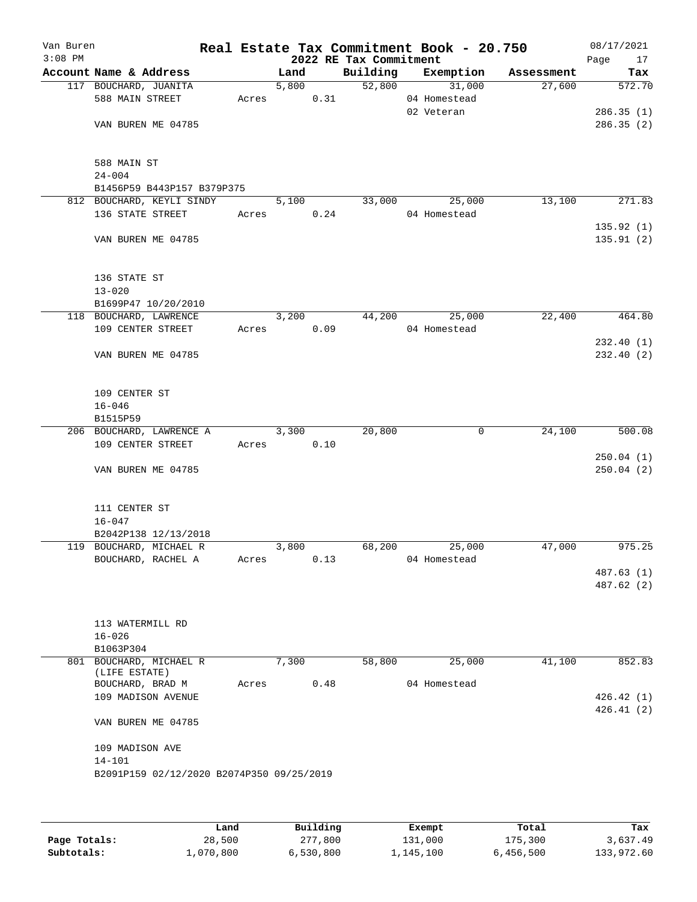| Van Buren<br>$3:08$ PM |                                           |       |       |      | 2022 RE Tax Commitment | Real Estate Tax Commitment Book - 20.750 |            | 08/17/2021<br>Page<br>17 |
|------------------------|-------------------------------------------|-------|-------|------|------------------------|------------------------------------------|------------|--------------------------|
|                        | Account Name & Address                    |       | Land  |      | Building               | Exemption                                | Assessment | Tax                      |
|                        | 117 BOUCHARD, JUANITA                     |       | 5,800 |      |                        | 52,800<br>31,000                         | 27,600     | 572.70                   |
|                        | 588 MAIN STREET                           | Acres |       | 0.31 |                        | 04 Homestead                             |            |                          |
|                        |                                           |       |       |      |                        | 02 Veteran                               |            | 286.35(1)                |
|                        | VAN BUREN ME 04785                        |       |       |      |                        |                                          |            | 286.35(2)                |
|                        |                                           |       |       |      |                        |                                          |            |                          |
|                        |                                           |       |       |      |                        |                                          |            |                          |
|                        | 588 MAIN ST                               |       |       |      |                        |                                          |            |                          |
|                        | $24 - 004$                                |       |       |      |                        |                                          |            |                          |
|                        | B1456P59 B443P157 B379P375                |       |       |      |                        |                                          |            |                          |
|                        | 812 BOUCHARD, KEYLI SINDY                 |       | 5,100 |      | 33,000                 | 25,000                                   | 13,100     | 271.83                   |
|                        | 136 STATE STREET                          | Acres |       | 0.24 |                        | 04 Homestead                             |            |                          |
|                        |                                           |       |       |      |                        |                                          |            | 135.92(1)                |
|                        | VAN BUREN ME 04785                        |       |       |      |                        |                                          |            | 135.91(2)                |
|                        |                                           |       |       |      |                        |                                          |            |                          |
|                        |                                           |       |       |      |                        |                                          |            |                          |
|                        | 136 STATE ST                              |       |       |      |                        |                                          |            |                          |
|                        | $13 - 020$                                |       |       |      |                        |                                          |            |                          |
|                        | B1699P47 10/20/2010                       |       |       |      |                        |                                          |            |                          |
|                        | 118 BOUCHARD, LAWRENCE                    |       | 3,200 |      | 44,200                 | 25,000                                   | 22,400     | 464.80                   |
|                        | 109 CENTER STREET                         | Acres |       | 0.09 |                        | 04 Homestead                             |            |                          |
|                        |                                           |       |       |      |                        |                                          |            | 232.40(1)<br>232.40(2)   |
|                        | VAN BUREN ME 04785                        |       |       |      |                        |                                          |            |                          |
|                        |                                           |       |       |      |                        |                                          |            |                          |
|                        | 109 CENTER ST                             |       |       |      |                        |                                          |            |                          |
|                        | $16 - 046$                                |       |       |      |                        |                                          |            |                          |
|                        | B1515P59                                  |       |       |      |                        |                                          |            |                          |
|                        | 206 BOUCHARD, LAWRENCE A                  |       | 3,300 |      | 20,800                 | 0                                        | 24,100     | 500.08                   |
|                        | 109 CENTER STREET                         | Acres |       | 0.10 |                        |                                          |            |                          |
|                        |                                           |       |       |      |                        |                                          |            | 250.04(1)                |
|                        | VAN BUREN ME 04785                        |       |       |      |                        |                                          |            | 250.04(2)                |
|                        |                                           |       |       |      |                        |                                          |            |                          |
|                        |                                           |       |       |      |                        |                                          |            |                          |
|                        | 111 CENTER ST                             |       |       |      |                        |                                          |            |                          |
|                        | $16 - 047$                                |       |       |      |                        |                                          |            |                          |
|                        | B2042P138 12/13/2018                      |       |       |      |                        |                                          |            |                          |
|                        | 119 BOUCHARD, MICHAEL R                   |       | 3,800 |      | 68,200                 | 25,000                                   | 47,000     | 975.25                   |
|                        | BOUCHARD, RACHEL A                        | Acres |       | 0.13 |                        | 04 Homestead                             |            |                          |
|                        |                                           |       |       |      |                        |                                          |            | 487.63(1)                |
|                        |                                           |       |       |      |                        |                                          |            | 487.62 (2)               |
|                        |                                           |       |       |      |                        |                                          |            |                          |
|                        |                                           |       |       |      |                        |                                          |            |                          |
|                        | 113 WATERMILL RD                          |       |       |      |                        |                                          |            |                          |
|                        | $16 - 026$                                |       |       |      |                        |                                          |            |                          |
|                        | B1063P304                                 |       |       |      |                        |                                          |            |                          |
|                        | 801 BOUCHARD, MICHAEL R                   |       | 7,300 |      | 58,800                 | 25,000                                   | 41,100     | 852.83                   |
|                        | (LIFE ESTATE)                             |       |       |      |                        |                                          |            |                          |
|                        | BOUCHARD, BRAD M                          | Acres |       | 0.48 |                        | 04 Homestead                             |            |                          |
|                        | 109 MADISON AVENUE                        |       |       |      |                        |                                          |            | 426.42(1)<br>426.41(2)   |
|                        |                                           |       |       |      |                        |                                          |            |                          |
|                        | VAN BUREN ME 04785                        |       |       |      |                        |                                          |            |                          |
|                        | 109 MADISON AVE                           |       |       |      |                        |                                          |            |                          |
|                        | $14 - 101$                                |       |       |      |                        |                                          |            |                          |
|                        | B2091P159 02/12/2020 B2074P350 09/25/2019 |       |       |      |                        |                                          |            |                          |
|                        |                                           |       |       |      |                        |                                          |            |                          |
|                        |                                           |       |       |      |                        |                                          |            |                          |
|                        |                                           |       |       |      |                        |                                          |            |                          |

|              | Land      | Building  | Exempt    | Total     | Tax        |
|--------------|-----------|-----------|-----------|-----------|------------|
| Page Totals: | 28,500    | 277,800   | 131,000   | 175,300   | 3,637.49   |
| Subtotals:   | 1,070,800 | 6,530,800 | 1,145,100 | 6,456,500 | 133,972.60 |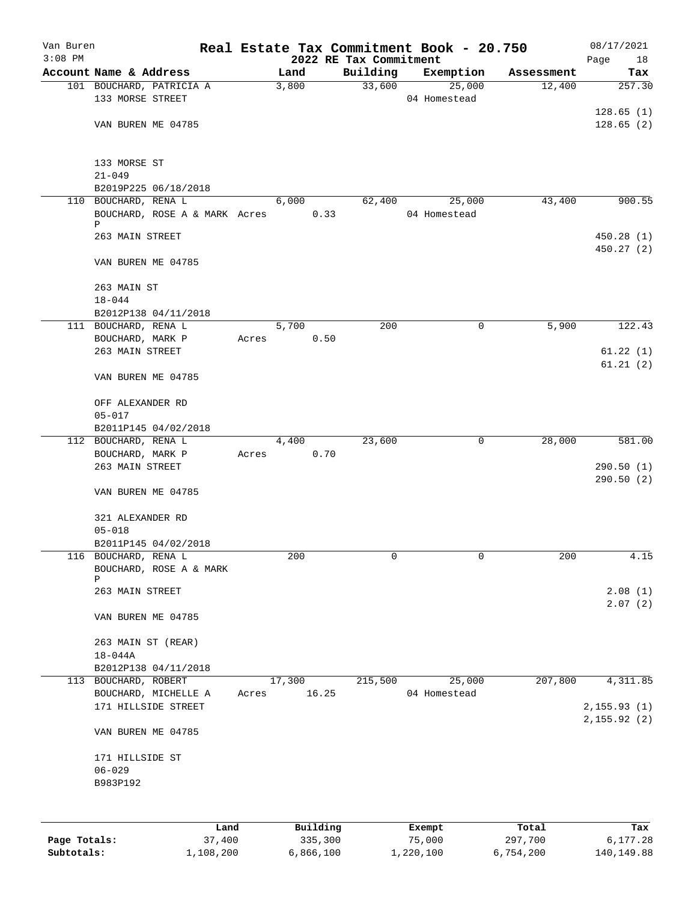| Van Buren    |                                              |       |          |                                    | Real Estate Tax Commitment Book - 20.750 |            | 08/17/2021        |
|--------------|----------------------------------------------|-------|----------|------------------------------------|------------------------------------------|------------|-------------------|
| $3:08$ PM    | Account Name & Address                       |       | Land     | 2022 RE Tax Commitment<br>Building | Exemption                                | Assessment | Page<br>18<br>Tax |
|              | 101 BOUCHARD, PATRICIA A                     |       | 3,800    | 33,600                             | 25,000                                   | 12,400     | 257.30            |
|              | 133 MORSE STREET                             |       |          |                                    | 04 Homestead                             |            |                   |
|              |                                              |       |          |                                    |                                          |            | 128.65(1)         |
|              | VAN BUREN ME 04785                           |       |          |                                    |                                          |            | 128.65(2)         |
|              |                                              |       |          |                                    |                                          |            |                   |
|              |                                              |       |          |                                    |                                          |            |                   |
|              | 133 MORSE ST                                 |       |          |                                    |                                          |            |                   |
|              | $21 - 049$                                   |       |          |                                    |                                          |            |                   |
|              | B2019P225 06/18/2018<br>110 BOUCHARD, RENA L |       | 6,000    | 62,400                             | 25,000                                   | 43,400     | 900.55            |
|              | BOUCHARD, ROSE A & MARK Acres                |       | 0.33     |                                    | 04 Homestead                             |            |                   |
|              | Ρ                                            |       |          |                                    |                                          |            |                   |
|              | 263 MAIN STREET                              |       |          |                                    |                                          |            | 450.28(1)         |
|              |                                              |       |          |                                    |                                          |            | 450.27(2)         |
|              | VAN BUREN ME 04785                           |       |          |                                    |                                          |            |                   |
|              | 263 MAIN ST                                  |       |          |                                    |                                          |            |                   |
|              | $18 - 044$                                   |       |          |                                    |                                          |            |                   |
|              | B2012P138 04/11/2018                         |       |          |                                    |                                          |            |                   |
|              | 111 BOUCHARD, RENA L                         |       | 5,700    | 200                                | 0                                        | 5,900      | 122.43            |
|              | BOUCHARD, MARK P                             | Acres | 0.50     |                                    |                                          |            |                   |
|              | 263 MAIN STREET                              |       |          |                                    |                                          |            | 61.22(1)          |
|              |                                              |       |          |                                    |                                          |            | 61.21(2)          |
|              | VAN BUREN ME 04785                           |       |          |                                    |                                          |            |                   |
|              |                                              |       |          |                                    |                                          |            |                   |
|              | OFF ALEXANDER RD                             |       |          |                                    |                                          |            |                   |
|              | $05 - 017$                                   |       |          |                                    |                                          |            |                   |
|              | B2011P145 04/02/2018<br>112 BOUCHARD, RENA L |       | 4,400    | 23,600                             | 0                                        | 28,000     | 581.00            |
|              | BOUCHARD, MARK P                             | Acres | 0.70     |                                    |                                          |            |                   |
|              | 263 MAIN STREET                              |       |          |                                    |                                          |            | 290.50(1)         |
|              |                                              |       |          |                                    |                                          |            | 290.50(2)         |
|              | VAN BUREN ME 04785                           |       |          |                                    |                                          |            |                   |
|              |                                              |       |          |                                    |                                          |            |                   |
|              | 321 ALEXANDER RD                             |       |          |                                    |                                          |            |                   |
|              | $05 - 018$                                   |       |          |                                    |                                          |            |                   |
|              | B2011P145 04/02/2018<br>116 BOUCHARD, RENA L |       | 200      | 0                                  | 0                                        | 200        | 4.15              |
|              | BOUCHARD, ROSE A & MARK                      |       |          |                                    |                                          |            |                   |
|              | Ρ                                            |       |          |                                    |                                          |            |                   |
|              | 263 MAIN STREET                              |       |          |                                    |                                          |            | 2.08(1)           |
|              |                                              |       |          |                                    |                                          |            | 2.07(2)           |
|              | VAN BUREN ME 04785                           |       |          |                                    |                                          |            |                   |
|              | 263 MAIN ST (REAR)                           |       |          |                                    |                                          |            |                   |
|              | $18 - 044A$                                  |       |          |                                    |                                          |            |                   |
|              | B2012P138 04/11/2018                         |       |          |                                    |                                          |            |                   |
|              | 113 BOUCHARD, ROBERT                         |       | 17,300   | 215,500                            | 25,000                                   | 207,800    | 4,311.85          |
|              | BOUCHARD, MICHELLE A                         | Acres | 16.25    |                                    | 04 Homestead                             |            |                   |
|              | 171 HILLSIDE STREET                          |       |          |                                    |                                          |            | 2, 155.93(1)      |
|              |                                              |       |          |                                    |                                          |            | 2, 155.92(2)      |
|              | VAN BUREN ME 04785                           |       |          |                                    |                                          |            |                   |
|              |                                              |       |          |                                    |                                          |            |                   |
|              | 171 HILLSIDE ST                              |       |          |                                    |                                          |            |                   |
|              | $06 - 029$<br>B983P192                       |       |          |                                    |                                          |            |                   |
|              |                                              |       |          |                                    |                                          |            |                   |
|              |                                              |       |          |                                    |                                          |            |                   |
|              | Land                                         |       | Building |                                    | Exempt                                   | Total      | Tax               |
| Page Totals: | 37,400                                       |       | 335,300  |                                    | 75,000                                   | 297,700    | 6,177.28          |

**Subtotals:** 1,108,200 6,866,100 1,220,100 6,754,200 140,149.88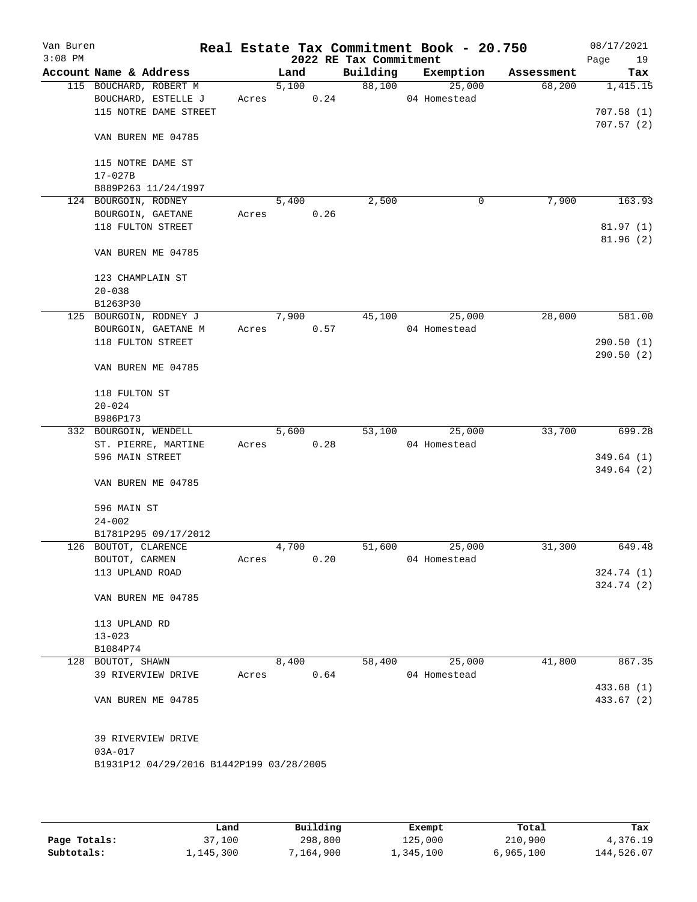| Van Buren<br>$3:08$ PM |                                          |       |       | 2022 RE Tax Commitment | Real Estate Tax Commitment Book - 20.750 |            | 08/17/2021<br>19<br>Page |
|------------------------|------------------------------------------|-------|-------|------------------------|------------------------------------------|------------|--------------------------|
|                        | Account Name & Address                   |       | Land  | Building               | Exemption                                | Assessment | Tax                      |
|                        | 115 BOUCHARD, ROBERT M                   |       | 5,100 | 88,100                 | 25,000                                   | 68,200     | 1,415.15                 |
|                        | BOUCHARD, ESTELLE J                      | Acres | 0.24  |                        | 04 Homestead                             |            |                          |
|                        | 115 NOTRE DAME STREET                    |       |       |                        |                                          |            | 707.58(1)                |
|                        | VAN BUREN ME 04785                       |       |       |                        |                                          |            | 707.57(2)                |
|                        | 115 NOTRE DAME ST<br>$17 - 027B$         |       |       |                        |                                          |            |                          |
|                        | B889P263 11/24/1997                      |       |       |                        |                                          |            |                          |
|                        | 124 BOURGOIN, RODNEY                     |       | 5,400 | 2,500                  | $\mathbf 0$                              | 7,900      | 163.93                   |
|                        | BOURGOIN, GAETANE                        | Acres | 0.26  |                        |                                          |            |                          |
|                        | 118 FULTON STREET                        |       |       |                        |                                          |            | 81.97(1)                 |
|                        | VAN BUREN ME 04785                       |       |       |                        |                                          |            | 81.96(2)                 |
|                        | 123 CHAMPLAIN ST                         |       |       |                        |                                          |            |                          |
|                        | $20 - 038$                               |       |       |                        |                                          |            |                          |
|                        | B1263P30<br>125 BOURGOIN, RODNEY J       |       | 7,900 |                        | 25,000                                   | 28,000     | 581.00                   |
|                        | BOURGOIN, GAETANE M                      | Acres | 0.57  | 45,100                 | 04 Homestead                             |            |                          |
|                        | 118 FULTON STREET                        |       |       |                        |                                          |            | 290.50(1)                |
|                        |                                          |       |       |                        |                                          |            | 290.50(2)                |
|                        | VAN BUREN ME 04785                       |       |       |                        |                                          |            |                          |
|                        | 118 FULTON ST                            |       |       |                        |                                          |            |                          |
|                        | $20 - 024$                               |       |       |                        |                                          |            |                          |
|                        | B986P173                                 |       |       |                        |                                          |            |                          |
|                        | 332 BOURGOIN, WENDELL                    |       | 5,600 | 53,100                 | 25,000                                   | 33,700     | 699.28                   |
|                        | ST. PIERRE, MARTINE                      | Acres | 0.28  |                        | 04 Homestead                             |            |                          |
|                        | 596 MAIN STREET                          |       |       |                        |                                          |            | 349.64(1)                |
|                        | VAN BUREN ME 04785                       |       |       |                        |                                          |            | 349.64(2)                |
|                        | 596 MAIN ST<br>$24 - 002$                |       |       |                        |                                          |            |                          |
|                        | B1781P295 09/17/2012                     |       |       |                        |                                          |            |                          |
|                        | 126 BOUTOT, CLARENCE                     |       | 4,700 | 51,600                 | 25,000                                   | 31,300     | 649.48                   |
|                        | BOUTOT, CARMEN                           | Acres | 0.20  |                        | 04 Homestead                             |            |                          |
|                        | 113 UPLAND ROAD                          |       |       |                        |                                          |            | 324.74 (1)               |
|                        |                                          |       |       |                        |                                          |            | 324.74 (2)               |
|                        | VAN BUREN ME 04785                       |       |       |                        |                                          |            |                          |
|                        | 113 UPLAND RD<br>$13 - 023$              |       |       |                        |                                          |            |                          |
|                        | B1084P74                                 |       |       |                        |                                          |            |                          |
|                        | 128 BOUTOT, SHAWN                        |       | 8,400 | 58,400                 | 25,000                                   | 41,800     | 867.35                   |
|                        | 39 RIVERVIEW DRIVE                       | Acres | 0.64  |                        | 04 Homestead                             |            |                          |
|                        | VAN BUREN ME 04785                       |       |       |                        |                                          |            | 433.68 (1)<br>433.67 (2) |
|                        | 39 RIVERVIEW DRIVE                       |       |       |                        |                                          |            |                          |
|                        | 03A-017                                  |       |       |                        |                                          |            |                          |
|                        | B1931P12 04/29/2016 B1442P199 03/28/2005 |       |       |                        |                                          |            |                          |
|                        |                                          |       |       |                        |                                          |            |                          |
|                        |                                          |       |       |                        |                                          |            |                          |

|              | Land      | Building  | Exempt    | Total     | Tax        |
|--------------|-----------|-----------|-----------|-----------|------------|
| Page Totals: | 37,100    | 298,800   | 125,000   | 210,900   | 4,376.19   |
| Subtotals:   | ⊥,145,300 | 7,164,900 | ⊥,345,100 | 6,965,100 | 144,526.07 |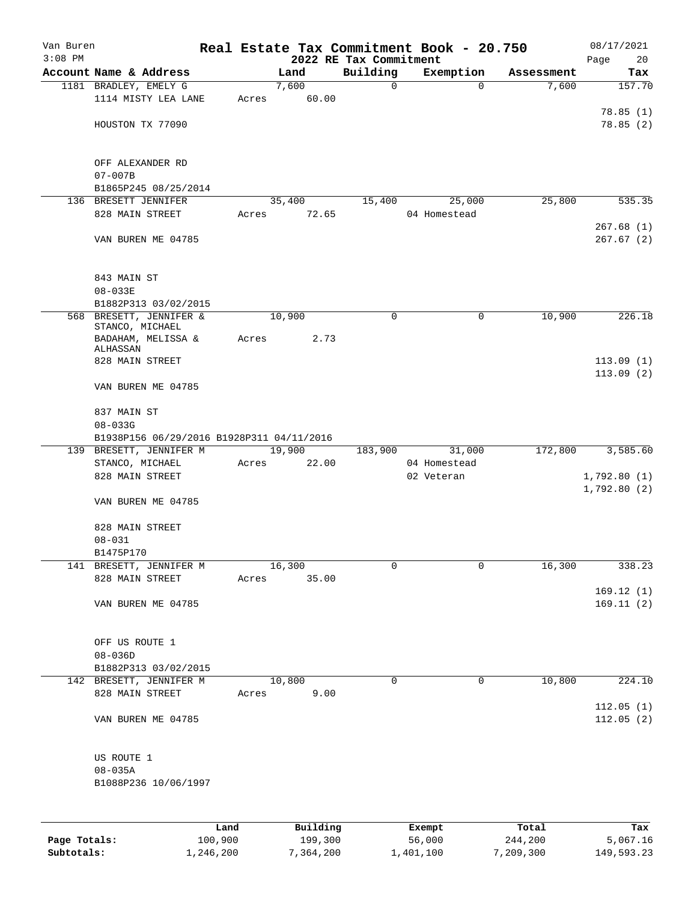| Van Buren<br>$3:08$ PM |                                            |       |               |                                    | Real Estate Tax Commitment Book - 20.750 |            | 08/17/2021        |
|------------------------|--------------------------------------------|-------|---------------|------------------------------------|------------------------------------------|------------|-------------------|
|                        | Account Name & Address                     |       | Land          | 2022 RE Tax Commitment<br>Building | Exemption                                | Assessment | Page<br>20<br>Tax |
|                        | 1181 BRADLEY, EMELY G                      |       | 7,600         | 0                                  | 0                                        | 7,600      | 157.70            |
|                        | 1114 MISTY LEA LANE                        | Acres | 60.00         |                                    |                                          |            |                   |
|                        |                                            |       |               |                                    |                                          |            | 78.85(1)          |
|                        | HOUSTON TX 77090                           |       |               |                                    |                                          |            |                   |
|                        |                                            |       |               |                                    |                                          |            | 78.85(2)          |
|                        | OFF ALEXANDER RD                           |       |               |                                    |                                          |            |                   |
|                        | $07 - 007B$                                |       |               |                                    |                                          |            |                   |
|                        | B1865P245 08/25/2014                       |       |               |                                    |                                          |            |                   |
|                        | 136 BRESETT JENNIFER                       |       | 35,400        | 15,400                             | 25,000                                   | 25,800     | 535.35            |
|                        | 828 MAIN STREET                            | Acres | 72.65         |                                    | 04 Homestead                             |            |                   |
|                        |                                            |       |               |                                    |                                          |            | 267.68(1)         |
|                        | VAN BUREN ME 04785                         |       |               |                                    |                                          |            | 267.67(2)         |
|                        | 843 MAIN ST                                |       |               |                                    |                                          |            |                   |
|                        |                                            |       |               |                                    |                                          |            |                   |
|                        | $08 - 033E$                                |       |               |                                    |                                          |            |                   |
|                        | B1882P313 03/02/2015                       |       |               |                                    |                                          |            |                   |
|                        | 568 BRESETT, JENNIFER &<br>STANCO, MICHAEL |       | 10,900        | 0                                  | 0                                        | 10,900     | 226.18            |
|                        | BADAHAM, MELISSA &<br>ALHASSAN             | Acres | 2.73          |                                    |                                          |            |                   |
|                        | 828 MAIN STREET                            |       |               |                                    |                                          |            | 113.09(1)         |
|                        |                                            |       |               |                                    |                                          |            | 113.09(2)         |
|                        | VAN BUREN ME 04785                         |       |               |                                    |                                          |            |                   |
|                        | 837 MAIN ST                                |       |               |                                    |                                          |            |                   |
|                        | $08 - 033G$                                |       |               |                                    |                                          |            |                   |
|                        | B1938P156 06/29/2016 B1928P311 04/11/2016  |       |               |                                    |                                          |            |                   |
|                        | 139 BRESETT, JENNIFER M                    |       | 19,900        | 183,900                            | 31,000                                   | 172,800    | 3,585.60          |
|                        | STANCO, MICHAEL                            | Acres | 22.00         |                                    | 04 Homestead                             |            |                   |
|                        | 828 MAIN STREET                            |       |               |                                    | 02 Veteran                               |            | 1,792.80(1)       |
|                        |                                            |       |               |                                    |                                          |            | 1,792.80(2)       |
|                        | VAN BUREN ME 04785                         |       |               |                                    |                                          |            |                   |
|                        | 828 MAIN STREET                            |       |               |                                    |                                          |            |                   |
|                        | $08 - 031$                                 |       |               |                                    |                                          |            |                   |
|                        | B1475P170                                  |       |               |                                    |                                          |            |                   |
|                        | 141 BRESETT, JENNIFER M                    |       | 16,300        | $\mathbf 0$                        | $\mathbf 0$                              | 16,300     | 338.23            |
|                        | 828 MAIN STREET                            | Acres | 35.00         |                                    |                                          |            |                   |
|                        |                                            |       |               |                                    |                                          |            | 169.12(1)         |
|                        | VAN BUREN ME 04785                         |       |               |                                    |                                          |            | 169.11(2)         |
|                        |                                            |       |               |                                    |                                          |            |                   |
|                        | OFF US ROUTE 1                             |       |               |                                    |                                          |            |                   |
|                        | $08 - 036D$                                |       |               |                                    |                                          |            |                   |
|                        | B1882P313 03/02/2015                       |       |               |                                    |                                          |            |                   |
|                        | 142 BRESETT, JENNIFER M                    |       | 10,800        | 0                                  | 0                                        | 10,800     | 224.10            |
|                        | 828 MAIN STREET                            |       | 9.00<br>Acres |                                    |                                          |            |                   |
|                        |                                            |       |               |                                    |                                          |            | 112.05(1)         |
|                        | VAN BUREN ME 04785                         |       |               |                                    |                                          |            | 112.05(2)         |
|                        | US ROUTE 1                                 |       |               |                                    |                                          |            |                   |
|                        | $08 - 035A$                                |       |               |                                    |                                          |            |                   |
|                        | B1088P236 10/06/1997                       |       |               |                                    |                                          |            |                   |
|                        |                                            |       |               |                                    |                                          |            |                   |
|                        |                                            | Land  | Building      |                                    | Exempt                                   | Total      | Tax               |

|              | --------  | ____________ | ______    | --------  | --------   |
|--------------|-----------|--------------|-----------|-----------|------------|
| Page Totals: | 100,900   | 199,300      | 56,000    | 244,200   | 5,067.16   |
| Subtotals:   | 1,246,200 | 7,364,200    | 1,401,100 | 7,209,300 | 149,593.23 |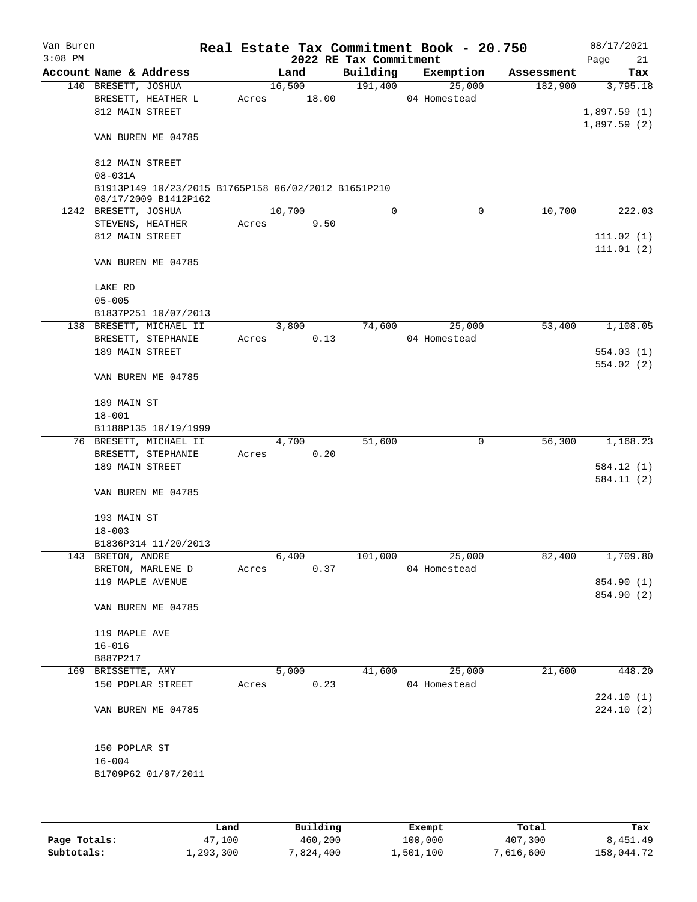| Van Buren<br>$3:08$ PM |                                                                             |       |        |      | 2022 RE Tax Commitment | Real Estate Tax Commitment Book - 20.750 |                       | 08/17/2021<br>Page<br>21 |
|------------------------|-----------------------------------------------------------------------------|-------|--------|------|------------------------|------------------------------------------|-----------------------|--------------------------|
|                        | Account Name & Address                                                      |       | Land   |      | Building               | Exemption                                | Assessment            | Tax                      |
|                        | 140 BRESETT, JOSHUA                                                         |       | 16,500 |      | 191,400                | 25,000                                   | 182,900               | 3,795.18                 |
|                        | BRESETT, HEATHER L                                                          | Acres | 18.00  |      |                        | 04 Homestead                             |                       |                          |
|                        | 812 MAIN STREET                                                             |       |        |      |                        |                                          |                       | 1,897.59(1)              |
|                        |                                                                             |       |        |      |                        |                                          |                       | 1,897.59(2)              |
|                        | VAN BUREN ME 04785                                                          |       |        |      |                        |                                          |                       |                          |
|                        | 812 MAIN STREET                                                             |       |        |      |                        |                                          |                       |                          |
|                        | $08 - 031A$                                                                 |       |        |      |                        |                                          |                       |                          |
|                        | B1913P149 10/23/2015 B1765P158 06/02/2012 B1651P210<br>08/17/2009 B1412P162 |       |        |      |                        |                                          |                       |                          |
|                        | 1242 BRESETT, JOSHUA                                                        |       | 10,700 |      | $\mathbf 0$            |                                          | $\mathbf 0$<br>10,700 | 222.03                   |
|                        | STEVENS, HEATHER                                                            | Acres |        | 9.50 |                        |                                          |                       |                          |
|                        | 812 MAIN STREET                                                             |       |        |      |                        |                                          |                       | 111.02(1)                |
|                        |                                                                             |       |        |      |                        |                                          |                       | 111.01(2)                |
|                        | VAN BUREN ME 04785                                                          |       |        |      |                        |                                          |                       |                          |
|                        | LAKE RD                                                                     |       |        |      |                        |                                          |                       |                          |
|                        | $05 - 005$                                                                  |       |        |      |                        |                                          |                       |                          |
|                        | B1837P251 10/07/2013                                                        |       |        |      |                        |                                          |                       |                          |
|                        | 138 BRESETT, MICHAEL II                                                     |       | 3,800  |      | 74,600                 | 25,000                                   | 53,400                | 1,108.05                 |
|                        | BRESETT, STEPHANIE                                                          | Acres |        | 0.13 |                        | 04 Homestead                             |                       |                          |
|                        | 189 MAIN STREET                                                             |       |        |      |                        |                                          |                       | 554.03(1)                |
|                        | VAN BUREN ME 04785                                                          |       |        |      |                        |                                          |                       | 554.02(2)                |
|                        |                                                                             |       |        |      |                        |                                          |                       |                          |
|                        | 189 MAIN ST                                                                 |       |        |      |                        |                                          |                       |                          |
|                        | $18 - 001$                                                                  |       |        |      |                        |                                          |                       |                          |
|                        | B1188P135 10/19/1999                                                        |       |        |      |                        |                                          |                       |                          |
|                        | 76 BRESETT, MICHAEL II                                                      |       | 4,700  |      | 51,600                 |                                          | 0<br>56,300           | 1,168.23                 |
|                        | BRESETT, STEPHANIE                                                          | Acres |        | 0.20 |                        |                                          |                       |                          |
|                        | 189 MAIN STREET                                                             |       |        |      |                        |                                          |                       | 584.12 (1)               |
|                        |                                                                             |       |        |      |                        |                                          |                       | 584.11 (2)               |
|                        | VAN BUREN ME 04785                                                          |       |        |      |                        |                                          |                       |                          |
|                        | 193 MAIN ST                                                                 |       |        |      |                        |                                          |                       |                          |
|                        | $18 - 003$                                                                  |       |        |      |                        |                                          |                       |                          |
|                        | B1836P314 11/20/2013                                                        |       |        |      |                        |                                          |                       |                          |
|                        | 143 BRETON, ANDRE                                                           |       | 6,400  |      | 101,000                | 25,000                                   | 82,400                | 1,709.80                 |
|                        | BRETON, MARLENE D                                                           | Acres |        | 0.37 |                        | 04 Homestead                             |                       |                          |
|                        | 119 MAPLE AVENUE                                                            |       |        |      |                        |                                          |                       | 854.90 (1)               |
|                        |                                                                             |       |        |      |                        |                                          |                       | 854.90 (2)               |
|                        | VAN BUREN ME 04785                                                          |       |        |      |                        |                                          |                       |                          |
|                        | 119 MAPLE AVE                                                               |       |        |      |                        |                                          |                       |                          |
|                        | $16 - 016$                                                                  |       |        |      |                        |                                          |                       |                          |
|                        | B887P217                                                                    |       |        |      |                        |                                          |                       |                          |
|                        | 169 BRISSETTE, AMY                                                          |       | 5,000  |      | 41,600                 | 25,000                                   | 21,600                | 448.20                   |
|                        | 150 POPLAR STREET                                                           | Acres |        | 0.23 |                        | 04 Homestead                             |                       |                          |
|                        |                                                                             |       |        |      |                        |                                          |                       | 224.10(1)                |
|                        | VAN BUREN ME 04785                                                          |       |        |      |                        |                                          |                       | 224.10(2)                |
|                        | 150 POPLAR ST                                                               |       |        |      |                        |                                          |                       |                          |
|                        | $16 - 004$                                                                  |       |        |      |                        |                                          |                       |                          |
|                        | B1709P62 01/07/2011                                                         |       |        |      |                        |                                          |                       |                          |
|                        |                                                                             |       |        |      |                        |                                          |                       |                          |
|                        |                                                                             |       |        |      |                        |                                          |                       |                          |
|                        |                                                                             |       |        |      |                        |                                          |                       |                          |

|              | Land      | Building  | Exempt    | Total     | Tax        |
|--------------|-----------|-----------|-----------|-----------|------------|
| Page Totals: | 47,100    | 460,200   | 100,000   | 407,300   | 8,451.49   |
| Subtotals:   | 1,293,300 | 7,824,400 | 1,501,100 | 7,616,600 | 158,044.72 |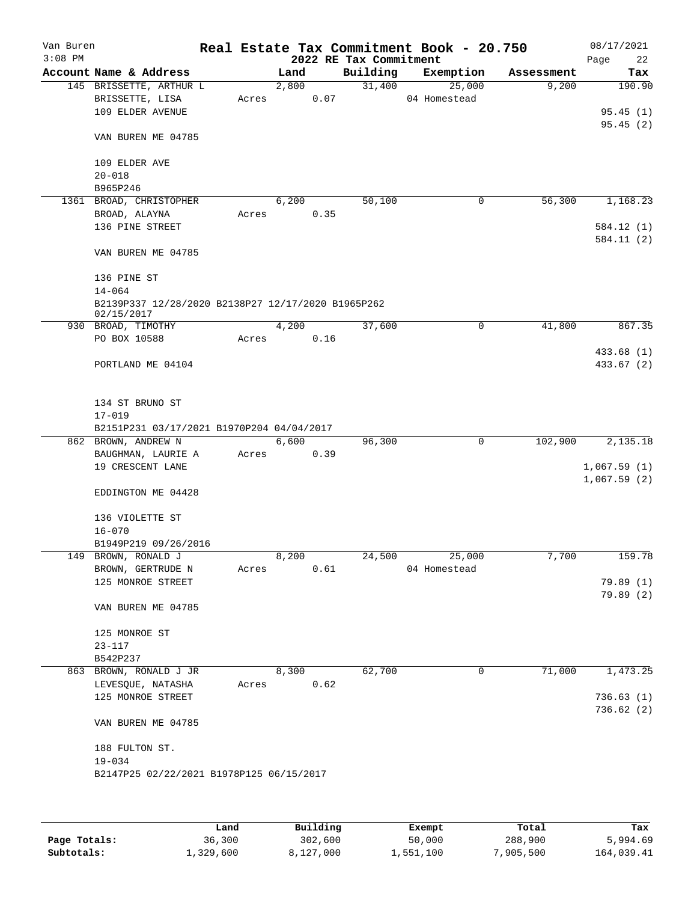| Van Buren<br>$3:08$ PM |                                                                  |       |       |      | 2022 RE Tax Commitment | Real Estate Tax Commitment Book - 20.750 |            | 08/17/2021<br>22<br>Page |
|------------------------|------------------------------------------------------------------|-------|-------|------|------------------------|------------------------------------------|------------|--------------------------|
|                        | Account Name & Address                                           |       | Land  |      | Building               | Exemption                                | Assessment | Tax                      |
|                        | 145 BRISSETTE, ARTHUR L                                          |       | 2,800 |      | 31,400                 | 25,000                                   | 9,200      | 190.90                   |
|                        | BRISSETTE, LISA                                                  | Acres |       | 0.07 |                        | 04 Homestead                             |            |                          |
|                        | 109 ELDER AVENUE                                                 |       |       |      |                        |                                          |            | 95.45(1)                 |
|                        | VAN BUREN ME 04785                                               |       |       |      |                        |                                          |            | 95.45(2)                 |
|                        | 109 ELDER AVE                                                    |       |       |      |                        |                                          |            |                          |
|                        | $20 - 018$<br>B965P246                                           |       |       |      |                        |                                          |            |                          |
|                        | 1361 BROAD, CHRISTOPHER                                          |       | 6,200 |      | 50,100                 | 0                                        | 56,300     | 1,168.23                 |
|                        | BROAD, ALAYNA                                                    | Acres |       | 0.35 |                        |                                          |            |                          |
|                        | 136 PINE STREET                                                  |       |       |      |                        |                                          |            | 584.12(1)                |
|                        | VAN BUREN ME 04785                                               |       |       |      |                        |                                          |            | 584.11(2)                |
|                        |                                                                  |       |       |      |                        |                                          |            |                          |
|                        | 136 PINE ST                                                      |       |       |      |                        |                                          |            |                          |
|                        | $14 - 064$<br>B2139P337 12/28/2020 B2138P27 12/17/2020 B1965P262 |       |       |      |                        |                                          |            |                          |
|                        | 02/15/2017                                                       |       |       |      |                        |                                          |            |                          |
|                        | 930 BROAD, TIMOTHY                                               |       | 4,200 |      | 37,600                 | 0                                        | 41,800     | 867.35                   |
|                        | PO BOX 10588                                                     | Acres |       | 0.16 |                        |                                          |            |                          |
|                        |                                                                  |       |       |      |                        |                                          |            | 433.68 (1)               |
|                        | PORTLAND ME 04104                                                |       |       |      |                        |                                          |            | 433.67 (2)               |
|                        | 134 ST BRUNO ST                                                  |       |       |      |                        |                                          |            |                          |
|                        | $17 - 019$                                                       |       |       |      |                        |                                          |            |                          |
|                        | B2151P231 03/17/2021 B1970P204 04/04/2017                        |       |       |      |                        |                                          |            |                          |
|                        | 862 BROWN, ANDREW N<br>BAUGHMAN, LAURIE A                        | Acres | 6,600 | 0.39 | 96,300                 | $\mathbf 0$                              | 102,900    | 2,135.18                 |
|                        | 19 CRESCENT LANE                                                 |       |       |      |                        |                                          |            | 1,067.59(1)              |
|                        |                                                                  |       |       |      |                        |                                          |            | 1,067.59(2)              |
|                        | EDDINGTON ME 04428                                               |       |       |      |                        |                                          |            |                          |
|                        | 136 VIOLETTE ST                                                  |       |       |      |                        |                                          |            |                          |
|                        | $16 - 070$                                                       |       |       |      |                        |                                          |            |                          |
|                        | B1949P219 09/26/2016                                             |       |       |      |                        |                                          |            |                          |
|                        | 149 BROWN, RONALD J                                              |       | 8,200 |      | 24,500                 | 25,000                                   | 7,700      | 159.78                   |
|                        | BROWN, GERTRUDE N<br>125 MONROE STREET                           | Acres |       | 0.61 |                        | 04 Homestead                             |            | 79.89(1)                 |
|                        |                                                                  |       |       |      |                        |                                          |            | 79.89 (2)                |
|                        | VAN BUREN ME 04785                                               |       |       |      |                        |                                          |            |                          |
|                        | 125 MONROE ST                                                    |       |       |      |                        |                                          |            |                          |
|                        | $23 - 117$                                                       |       |       |      |                        |                                          |            |                          |
|                        | B542P237                                                         |       |       |      |                        |                                          |            |                          |
|                        | 863 BROWN, RONALD J JR                                           |       | 8,300 |      | 62,700                 | 0                                        | 71,000     | 1,473.25                 |
|                        | LEVESQUE, NATASHA                                                | Acres |       | 0.62 |                        |                                          |            |                          |
|                        | 125 MONROE STREET                                                |       |       |      |                        |                                          |            | 736.63(1)<br>736.62(2)   |
|                        | VAN BUREN ME 04785                                               |       |       |      |                        |                                          |            |                          |
|                        | 188 FULTON ST.                                                   |       |       |      |                        |                                          |            |                          |
|                        | $19 - 034$                                                       |       |       |      |                        |                                          |            |                          |
|                        | B2147P25 02/22/2021 B1978P125 06/15/2017                         |       |       |      |                        |                                          |            |                          |
|                        |                                                                  |       |       |      |                        |                                          |            |                          |
|                        |                                                                  |       |       |      |                        |                                          |            |                          |
|                        |                                                                  |       |       |      |                        |                                          |            |                          |

|              | Land      | Building  | Exempt    | Total     | Tax        |
|--------------|-----------|-----------|-----------|-----------|------------|
| Page Totals: | 36,300    | 302,600   | 50,000    | 288,900   | 5,994.69   |
| Subtotals:   | 1,329,600 | 8,127,000 | 1,551,100 | 7,905,500 | 164,039.41 |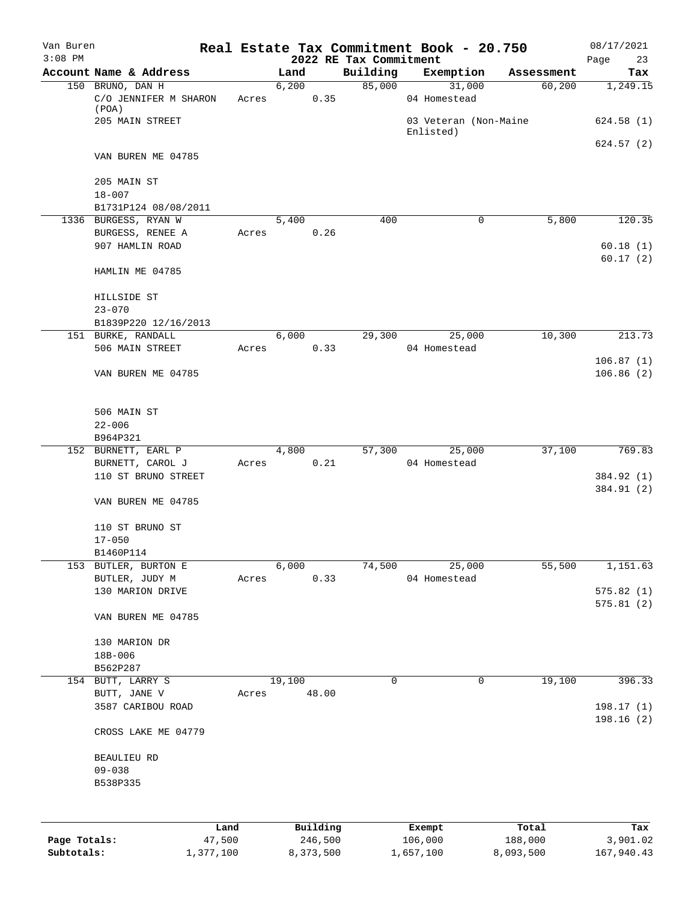| Van Buren    |                                              |       |                                |          | Real Estate Tax Commitment Book - 20.750 |                  | 08/17/2021              |
|--------------|----------------------------------------------|-------|--------------------------------|----------|------------------------------------------|------------------|-------------------------|
| $3:08$ PM    | Account Name & Address                       |       | 2022 RE Tax Commitment<br>Land | Building | Exemption                                | Assessment       | Page<br>23<br>Tax       |
|              | 150 BRUNO, DAN H                             |       | 6,200                          | 85,000   | 31,000                                   | 60,200           | 1,249.15                |
|              | C/O JENNIFER M SHARON<br>(POA)               | Acres | 0.35                           |          | 04 Homestead                             |                  |                         |
|              | 205 MAIN STREET                              |       |                                |          | 03 Veteran (Non-Maine<br>Enlisted)       |                  | 624.58(1)               |
|              |                                              |       |                                |          |                                          |                  | 624.57(2)               |
|              | VAN BUREN ME 04785                           |       |                                |          |                                          |                  |                         |
|              | 205 MAIN ST                                  |       |                                |          |                                          |                  |                         |
|              | $18 - 007$                                   |       |                                |          |                                          |                  |                         |
|              | B1731P124 08/08/2011<br>1336 BURGESS, RYAN W |       | 5,400                          | 400      | 0                                        | 5,800            | 120.35                  |
|              | BURGESS, RENEE A                             | Acres | 0.26                           |          |                                          |                  |                         |
|              | 907 HAMLIN ROAD                              |       |                                |          |                                          |                  | 60.18(1)<br>60.17(2)    |
|              | HAMLIN ME 04785                              |       |                                |          |                                          |                  |                         |
|              | HILLSIDE ST                                  |       |                                |          |                                          |                  |                         |
|              | $23 - 070$                                   |       |                                |          |                                          |                  |                         |
|              | B1839P220 12/16/2013<br>151 BURKE, RANDALL   |       | 6,000                          | 29,300   | 25,000                                   | 10,300           | 213.73                  |
|              | 506 MAIN STREET                              | Acres | 0.33                           |          | 04 Homestead                             |                  |                         |
|              |                                              |       |                                |          |                                          |                  | 106.87(1)               |
|              | VAN BUREN ME 04785                           |       |                                |          |                                          |                  | 106.86(2)               |
|              | 506 MAIN ST                                  |       |                                |          |                                          |                  |                         |
|              | $22 - 006$                                   |       |                                |          |                                          |                  |                         |
|              | B964P321                                     |       |                                |          |                                          |                  |                         |
|              | 152 BURNETT, EARL P<br>BURNETT, CAROL J      | Acres | 4,800<br>0.21                  | 57,300   | 25,000<br>04 Homestead                   | 37,100           | 769.83                  |
|              | 110 ST BRUNO STREET                          |       |                                |          |                                          |                  | 384.92 (1)              |
|              |                                              |       |                                |          |                                          |                  | 384.91 (2)              |
|              | VAN BUREN ME 04785                           |       |                                |          |                                          |                  |                         |
|              | 110 ST BRUNO ST                              |       |                                |          |                                          |                  |                         |
|              | $17 - 050$                                   |       |                                |          |                                          |                  |                         |
|              | B1460P114                                    |       |                                |          |                                          |                  |                         |
| 153          | BUTLER, BURTON E                             |       | 6,000                          | 74,500   | 25,000                                   | 55,500           | 1,151.63                |
|              | BUTLER, JUDY M                               | Acres | 0.33                           |          | 04 Homestead                             |                  |                         |
|              | 130 MARION DRIVE                             |       |                                |          |                                          |                  | 575.82 (1)<br>575.81(2) |
|              | VAN BUREN ME 04785                           |       |                                |          |                                          |                  |                         |
|              | 130 MARION DR                                |       |                                |          |                                          |                  |                         |
|              | 18B-006                                      |       |                                |          |                                          |                  |                         |
|              | B562P287                                     |       |                                |          |                                          |                  |                         |
|              | 154 BUTT, LARRY S                            |       | 19,100                         | 0        | $\mathsf{O}$                             | 19,100           | 396.33                  |
|              | BUTT, JANE V<br>3587 CARIBOU ROAD            | Acres | 48.00                          |          |                                          |                  | 198.17(1)               |
|              |                                              |       |                                |          |                                          |                  | 198.16 (2)              |
|              | CROSS LAKE ME 04779                          |       |                                |          |                                          |                  |                         |
|              | BEAULIEU RD                                  |       |                                |          |                                          |                  |                         |
|              | $09 - 038$                                   |       |                                |          |                                          |                  |                         |
|              | B538P335                                     |       |                                |          |                                          |                  |                         |
|              |                                              |       |                                |          |                                          |                  |                         |
| Page Totals: | 47,500                                       | Land  | Building<br>246,500            |          | Exempt<br>106,000                        | Total<br>188,000 | Tax<br>3,901.02         |
| Subtotals:   | 1,377,100                                    |       | 8,373,500                      |          | 1,657,100                                | 8,093,500        | 167,940.43              |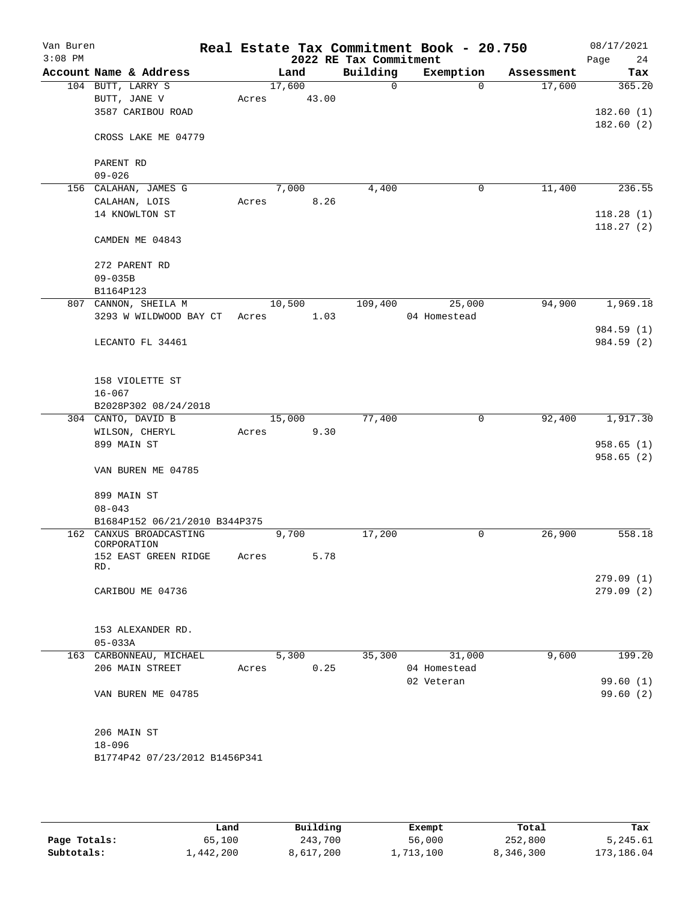| Van Buren<br>$3:08$ PM |                                                          |       |        | 2022 RE Tax Commitment | Real Estate Tax Commitment Book - 20.750 |            | 08/17/2021<br>Page<br>24 |
|------------------------|----------------------------------------------------------|-------|--------|------------------------|------------------------------------------|------------|--------------------------|
|                        | Account Name & Address                                   |       | Land   | Building               | Exemption                                | Assessment | Tax                      |
|                        | 104 BUTT, LARRY S                                        |       | 17,600 | $\mathbf 0$            | $\Omega$                                 | 17,600     | 365.20                   |
|                        | BUTT, JANE V                                             | Acres | 43.00  |                        |                                          |            |                          |
|                        | 3587 CARIBOU ROAD                                        |       |        |                        |                                          |            | 182.60(1)                |
|                        |                                                          |       |        |                        |                                          |            | 182.60(2)                |
|                        | CROSS LAKE ME 04779                                      |       |        |                        |                                          |            |                          |
|                        | PARENT RD                                                |       |        |                        |                                          |            |                          |
|                        | $09 - 026$                                               |       |        |                        |                                          |            |                          |
|                        | 156 CALAHAN, JAMES G                                     |       | 7,000  | 4,400                  | 0                                        | 11,400     | 236.55                   |
|                        | CALAHAN, LOIS                                            | Acres | 8.26   |                        |                                          |            |                          |
|                        | 14 KNOWLTON ST                                           |       |        |                        |                                          |            | 118.28(1)                |
|                        |                                                          |       |        |                        |                                          |            | 118.27(2)                |
|                        | CAMDEN ME 04843                                          |       |        |                        |                                          |            |                          |
|                        |                                                          |       |        |                        |                                          |            |                          |
|                        | 272 PARENT RD                                            |       |        |                        |                                          |            |                          |
|                        | $09 - 035B$                                              |       |        |                        |                                          |            |                          |
|                        | B1164P123                                                |       |        |                        |                                          |            |                          |
|                        | 807 CANNON, SHEILA M                                     |       | 10,500 | 109,400                | 25,000                                   | 94,900     | 1,969.18                 |
|                        | 3293 W WILDWOOD BAY CT                                   | Acres | 1.03   |                        | 04 Homestead                             |            |                          |
|                        |                                                          |       |        |                        |                                          |            | 984.59 (1)               |
|                        | LECANTO FL 34461                                         |       |        |                        |                                          |            | 984.59 (2)               |
|                        | 158 VIOLETTE ST                                          |       |        |                        |                                          |            |                          |
|                        | $16 - 067$                                               |       |        |                        |                                          |            |                          |
|                        | B2028P302 08/24/2018                                     |       |        |                        |                                          |            |                          |
|                        | 304 CANTO, DAVID B                                       |       | 15,000 | 77,400                 | 0                                        | 92,400     | 1,917.30                 |
|                        | WILSON, CHERYL                                           | Acres | 9.30   |                        |                                          |            |                          |
|                        | 899 MAIN ST                                              |       |        |                        |                                          |            |                          |
|                        |                                                          |       |        |                        |                                          |            | 958.65 (1)<br>958.65(2)  |
|                        | VAN BUREN ME 04785                                       |       |        |                        |                                          |            |                          |
|                        | 899 MAIN ST                                              |       |        |                        |                                          |            |                          |
|                        | $08 - 043$                                               |       |        |                        |                                          |            |                          |
|                        |                                                          |       |        |                        |                                          |            |                          |
|                        | B1684P152 06/21/2010 B344P375<br>162 CANXUS BROADCASTING |       | 9,700  | 17,200                 | 0                                        | 26,900     | 558.18                   |
|                        | CORPORATION                                              |       |        |                        |                                          |            |                          |
|                        | 152 EAST GREEN RIDGE                                     | Acres | 5.78   |                        |                                          |            |                          |
|                        | RD.                                                      |       |        |                        |                                          |            |                          |
|                        |                                                          |       |        |                        |                                          |            | 279.09(1)                |
|                        | CARIBOU ME 04736                                         |       |        |                        |                                          |            | 279.09(2)                |
|                        |                                                          |       |        |                        |                                          |            |                          |
|                        | 153 ALEXANDER RD.                                        |       |        |                        |                                          |            |                          |
|                        | $05 - 033A$                                              |       |        |                        |                                          |            |                          |
|                        | 163 CARBONNEAU, MICHAEL                                  |       | 5,300  | 35,300                 | 31,000                                   | 9,600      | 199.20                   |
|                        | 206 MAIN STREET                                          | Acres | 0.25   |                        | 04 Homestead                             |            |                          |
|                        |                                                          |       |        |                        | 02 Veteran                               |            | 99.60(1)                 |
|                        | VAN BUREN ME 04785                                       |       |        |                        |                                          |            | 99.60(2)                 |
|                        |                                                          |       |        |                        |                                          |            |                          |
|                        | 206 MAIN ST                                              |       |        |                        |                                          |            |                          |
|                        | $18 - 096$                                               |       |        |                        |                                          |            |                          |
|                        | B1774P42 07/23/2012 B1456P341                            |       |        |                        |                                          |            |                          |
|                        |                                                          |       |        |                        |                                          |            |                          |
|                        |                                                          |       |        |                        |                                          |            |                          |

|              | Land      | Building  | Exempt    | Total     | Tax        |
|--------------|-----------|-----------|-----------|-----------|------------|
| Page Totals: | 65,100    | 243,700   | 56,000    | 252,800   | 5,245.61   |
| Subtotals:   | ⊥,442,200 | 8,617,200 | 1,713,100 | 8,346,300 | 173,186.04 |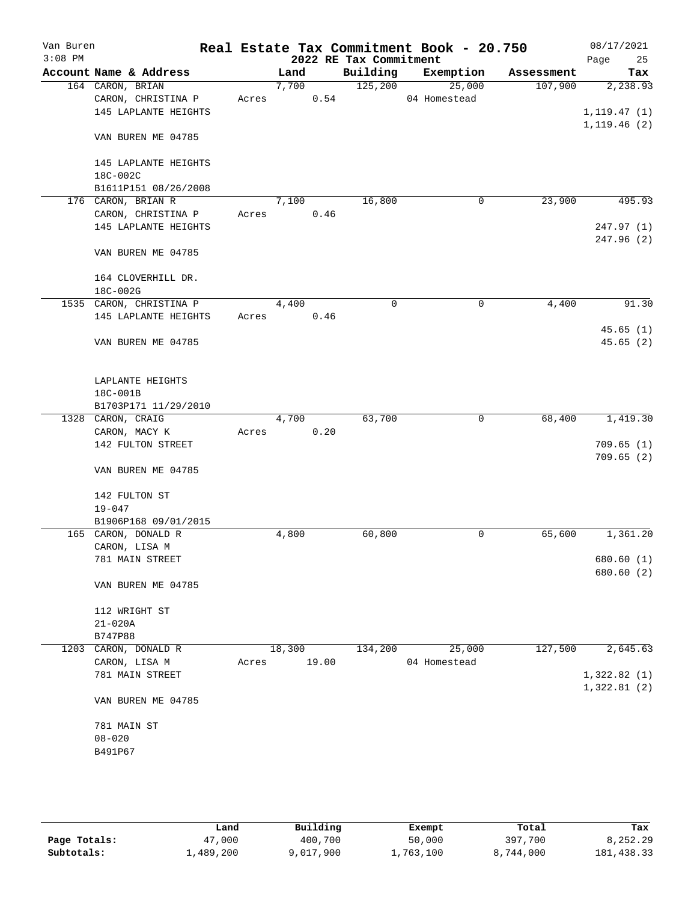| Van Buren<br>$3:08$ PM |                         |       |        |       | 2022 RE Tax Commitment | Real Estate Tax Commitment Book - 20.750 |            | 08/17/2021<br>Page<br>25 |
|------------------------|-------------------------|-------|--------|-------|------------------------|------------------------------------------|------------|--------------------------|
|                        | Account Name & Address  |       | Land   |       | Building               | Exemption                                | Assessment | Tax                      |
|                        | 164 CARON, BRIAN        |       | 7,700  |       | 125, 200               | 25,000                                   | 107,900    | 2,238.93                 |
|                        | CARON, CHRISTINA P      | Acres |        | 0.54  |                        | 04 Homestead                             |            |                          |
|                        | 145 LAPLANTE HEIGHTS    |       |        |       |                        |                                          |            | 1, 119.47(1)             |
|                        |                         |       |        |       |                        |                                          |            | 1, 119.46(2)             |
|                        | VAN BUREN ME 04785      |       |        |       |                        |                                          |            |                          |
|                        | 145 LAPLANTE HEIGHTS    |       |        |       |                        |                                          |            |                          |
|                        | 18C-002C                |       |        |       |                        |                                          |            |                          |
|                        | B1611P151 08/26/2008    |       |        |       |                        |                                          |            |                          |
|                        | 176 CARON, BRIAN R      |       | 7,100  |       | 16,800                 | 0                                        | 23,900     | 495.93                   |
|                        | CARON, CHRISTINA P      | Acres |        | 0.46  |                        |                                          |            |                          |
|                        | 145 LAPLANTE HEIGHTS    |       |        |       |                        |                                          |            | 247.97 (1)               |
|                        | VAN BUREN ME 04785      |       |        |       |                        |                                          |            | 247.96 (2)               |
|                        | 164 CLOVERHILL DR.      |       |        |       |                        |                                          |            |                          |
|                        | 18C-002G                |       |        |       |                        |                                          |            |                          |
|                        |                         |       | 4,400  |       | 0                      | 0                                        | 4,400      | 91.30                    |
|                        | 1535 CARON, CHRISTINA P |       |        |       |                        |                                          |            |                          |
|                        | 145 LAPLANTE HEIGHTS    | Acres |        | 0.46  |                        |                                          |            |                          |
|                        |                         |       |        |       |                        |                                          |            | 45.65(1)                 |
|                        | VAN BUREN ME 04785      |       |        |       |                        |                                          |            | 45.65(2)                 |
|                        | LAPLANTE HEIGHTS        |       |        |       |                        |                                          |            |                          |
|                        | 18C-001B                |       |        |       |                        |                                          |            |                          |
|                        | B1703P171 11/29/2010    |       |        |       |                        |                                          |            |                          |
|                        | 1328 CARON, CRAIG       |       | 4,700  |       | 63,700                 | $\mathbf 0$                              | 68,400     | 1,419.30                 |
|                        | CARON, MACY K           | Acres |        | 0.20  |                        |                                          |            |                          |
|                        | 142 FULTON STREET       |       |        |       |                        |                                          |            | 709.65(1)                |
|                        |                         |       |        |       |                        |                                          |            | 709.65(2)                |
|                        | VAN BUREN ME 04785      |       |        |       |                        |                                          |            |                          |
|                        | 142 FULTON ST           |       |        |       |                        |                                          |            |                          |
|                        | $19 - 047$              |       |        |       |                        |                                          |            |                          |
|                        | B1906P168 09/01/2015    |       |        |       |                        |                                          |            |                          |
|                        | 165 CARON, DONALD R     |       | 4,800  |       | 60,800                 | 0                                        | 65,600     | 1,361.20                 |
|                        | CARON, LISA M           |       |        |       |                        |                                          |            |                          |
|                        | 781 MAIN STREET         |       |        |       |                        |                                          |            | 680.60 (1)               |
|                        |                         |       |        |       |                        |                                          |            | 680.60 (2)               |
|                        | VAN BUREN ME 04785      |       |        |       |                        |                                          |            |                          |
|                        | 112 WRIGHT ST           |       |        |       |                        |                                          |            |                          |
|                        | $21 - 020A$             |       |        |       |                        |                                          |            |                          |
|                        | B747P88                 |       |        |       |                        |                                          |            |                          |
|                        | 1203 CARON, DONALD R    |       | 18,300 |       | 134,200                | 25,000                                   | 127,500    | 2,645.63                 |
|                        | CARON, LISA M           | Acres |        | 19.00 |                        | 04 Homestead                             |            |                          |
|                        | 781 MAIN STREET         |       |        |       |                        |                                          |            | 1,322.82(1)              |
|                        |                         |       |        |       |                        |                                          |            | 1,322.81(2)              |
|                        | VAN BUREN ME 04785      |       |        |       |                        |                                          |            |                          |
|                        | 781 MAIN ST             |       |        |       |                        |                                          |            |                          |
|                        | $08 - 020$              |       |        |       |                        |                                          |            |                          |
|                        | B491P67                 |       |        |       |                        |                                          |            |                          |
|                        |                         |       |        |       |                        |                                          |            |                          |
|                        |                         |       |        |       |                        |                                          |            |                          |
|                        |                         |       |        |       |                        |                                          |            |                          |

|              | Land      | Building  | Exempt    | Total     | Tax         |
|--------------|-----------|-----------|-----------|-----------|-------------|
| Page Totals: | 47,000    | 400,700   | 50,000    | 397,700   | 8,252.29    |
| Subtotals:   | 1,489,200 | 9,017,900 | 1,763,100 | 8,744,000 | 181, 438.33 |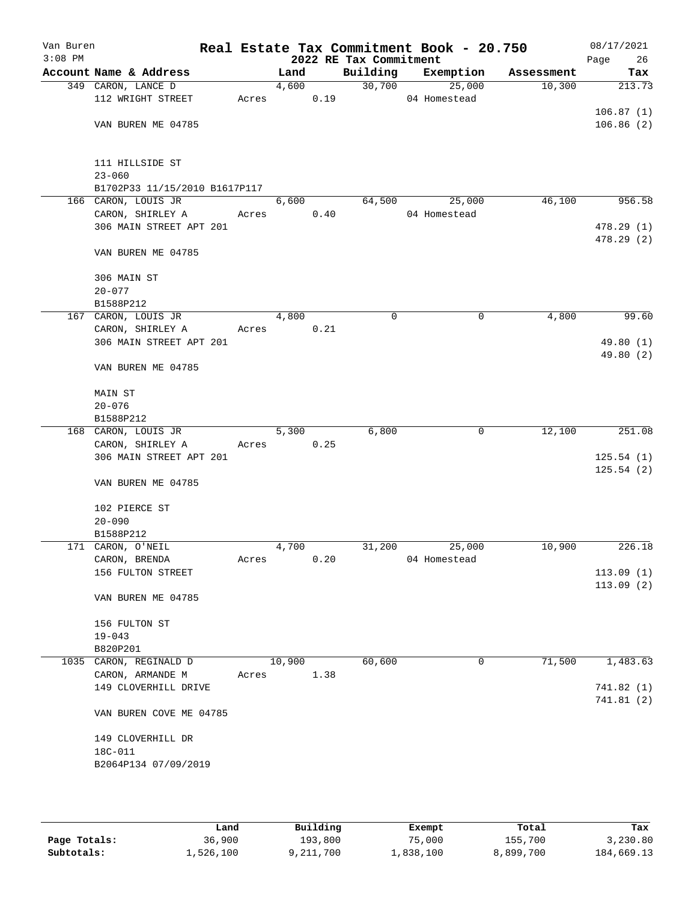| Van Buren<br>$3:08$ PM |                               |            |        |      | 2022 RE Tax Commitment | Real Estate Tax Commitment Book - 20.750 |            | 08/17/2021<br>Page<br>26 |
|------------------------|-------------------------------|------------|--------|------|------------------------|------------------------------------------|------------|--------------------------|
|                        | Account Name & Address        |            | Land   |      |                        | Building Exemption                       | Assessment | Tax                      |
|                        | 349 CARON, LANCE D            |            | 4,600  |      | 30,700                 | 25,000                                   | 10,300     | 213.73                   |
|                        | 112 WRIGHT STREET             |            |        |      | Acres 0.19             | 04 Homestead                             |            |                          |
|                        |                               |            |        |      |                        |                                          |            | 106.87(1)                |
|                        | VAN BUREN ME 04785            |            |        |      |                        |                                          |            | 106.86(2)                |
|                        |                               |            |        |      |                        |                                          |            |                          |
|                        |                               |            |        |      |                        |                                          |            |                          |
|                        | 111 HILLSIDE ST               |            |        |      |                        |                                          |            |                          |
|                        | $23 - 060$                    |            |        |      |                        |                                          |            |                          |
|                        | B1702P33 11/15/2010 B1617P117 |            |        |      |                        |                                          |            |                          |
|                        | 166 CARON, LOUIS JR           |            | 6,600  |      | 64,500                 | 25,000                                   | 46,100     | 956.58                   |
|                        | CARON, SHIRLEY A              | Acres 0.40 |        |      |                        | 04 Homestead                             |            |                          |
|                        | 306 MAIN STREET APT 201       |            |        |      |                        |                                          |            | 478.29(1)                |
|                        |                               |            |        |      |                        |                                          |            | 478.29 (2)               |
|                        | VAN BUREN ME 04785            |            |        |      |                        |                                          |            |                          |
|                        |                               |            |        |      |                        |                                          |            |                          |
|                        | 306 MAIN ST                   |            |        |      |                        |                                          |            |                          |
|                        | $20 - 077$                    |            |        |      |                        |                                          |            |                          |
|                        | B1588P212                     |            |        |      |                        |                                          |            |                          |
|                        | 167 CARON, LOUIS JR           |            | 4,800  |      | $\mathbf 0$            | 0                                        | 4,800      | 99.60                    |
|                        | CARON, SHIRLEY A              | Acres 0.21 |        |      |                        |                                          |            |                          |
|                        | 306 MAIN STREET APT 201       |            |        |      |                        |                                          |            | 49.80(1)                 |
|                        |                               |            |        |      |                        |                                          |            | 49.80 (2)                |
|                        | VAN BUREN ME 04785            |            |        |      |                        |                                          |            |                          |
|                        |                               |            |        |      |                        |                                          |            |                          |
|                        | MAIN ST                       |            |        |      |                        |                                          |            |                          |
|                        | $20 - 076$                    |            |        |      |                        |                                          |            |                          |
|                        | B1588P212                     |            |        |      |                        |                                          |            |                          |
|                        | 168 CARON, LOUIS JR           |            | 5,300  |      | 6,800                  | $\mathbf 0$                              | 12,100     | 251.08                   |
|                        | CARON, SHIRLEY A              | Acres 0.25 |        |      |                        |                                          |            |                          |
|                        | 306 MAIN STREET APT 201       |            |        |      |                        |                                          |            | 125.54(1)                |
|                        |                               |            |        |      |                        |                                          |            | 125.54(2)                |
|                        | VAN BUREN ME 04785            |            |        |      |                        |                                          |            |                          |
|                        |                               |            |        |      |                        |                                          |            |                          |
|                        | 102 PIERCE ST                 |            |        |      |                        |                                          |            |                          |
|                        | $20 - 090$                    |            |        |      |                        |                                          |            |                          |
|                        | B1588P212                     |            |        |      |                        |                                          |            |                          |
|                        | 171 CARON, O'NEIL             |            | 4,700  |      | 31,200                 | 25,000                                   | 10,900     | 226.18                   |
|                        | CARON, BRENDA                 | Acres      |        | 0.20 |                        | 04 Homestead                             |            |                          |
|                        | 156 FULTON STREET             |            |        |      |                        |                                          |            | 113.09(1)                |
|                        |                               |            |        |      |                        |                                          |            | 113.09(2)                |
|                        | VAN BUREN ME 04785            |            |        |      |                        |                                          |            |                          |
|                        |                               |            |        |      |                        |                                          |            |                          |
|                        | 156 FULTON ST                 |            |        |      |                        |                                          |            |                          |
|                        | $19 - 043$                    |            |        |      |                        |                                          |            |                          |
|                        | B820P201                      |            |        |      |                        |                                          |            |                          |
| 1035                   | CARON, REGINALD D             |            | 10,900 |      | 60,600                 | 0                                        | 71,500     | 1,483.63                 |
|                        | CARON, ARMANDE M              | Acres      |        | 1.38 |                        |                                          |            |                          |
|                        | 149 CLOVERHILL DRIVE          |            |        |      |                        |                                          |            | 741.82(1)                |
|                        |                               |            |        |      |                        |                                          |            | 741.81(2)                |
|                        | VAN BUREN COVE ME 04785       |            |        |      |                        |                                          |            |                          |
|                        |                               |            |        |      |                        |                                          |            |                          |
|                        | 149 CLOVERHILL DR             |            |        |      |                        |                                          |            |                          |
|                        | 18C-011                       |            |        |      |                        |                                          |            |                          |
|                        | B2064P134 07/09/2019          |            |        |      |                        |                                          |            |                          |
|                        |                               |            |        |      |                        |                                          |            |                          |
|                        |                               |            |        |      |                        |                                          |            |                          |

|              | Land      | Building   | Exempt    | Total     | Tax        |
|--------------|-----------|------------|-----------|-----------|------------|
| Page Totals: | 36,900    | 193,800    | 75,000    | 155,700   | 3,230.80   |
| Subtotals:   | 1,526,100 | , 211, 700 | 1,838,100 | 8,899,700 | 184,669.13 |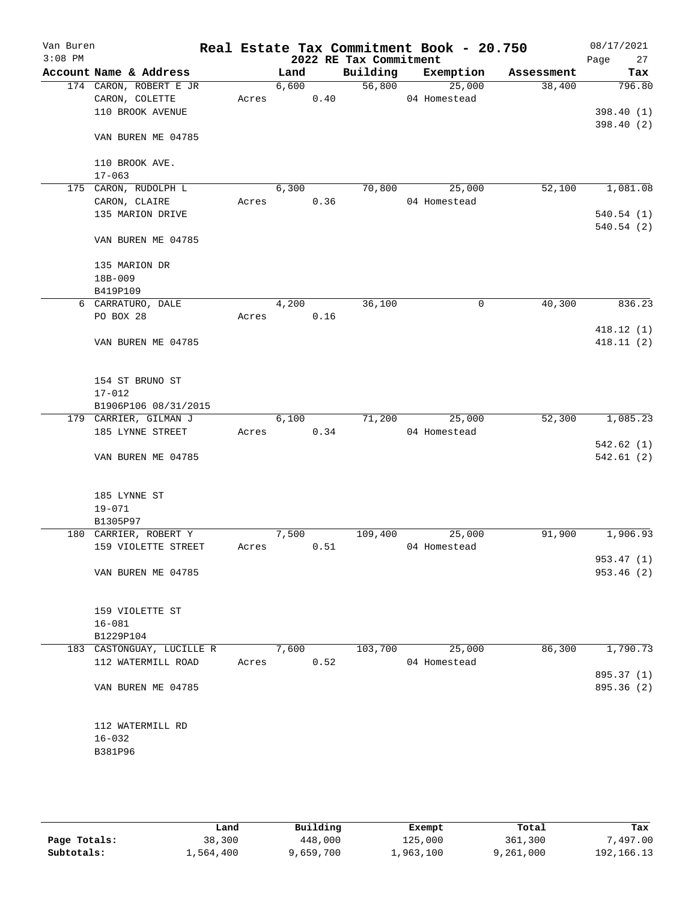| Van Buren<br>$3:08$ PM |                           |       |       |      | 2022 RE Tax Commitment | Real Estate Tax Commitment Book - 20.750 |            | 08/17/2021<br>Page<br>27 |
|------------------------|---------------------------|-------|-------|------|------------------------|------------------------------------------|------------|--------------------------|
|                        | Account Name & Address    |       | Land  |      | Building               | Exemption                                | Assessment | Tax                      |
|                        | 174 CARON, ROBERT E JR    |       | 6,600 |      | 56,800                 | 25,000                                   | 38,400     | 796.80                   |
|                        | CARON, COLETTE            | Acres |       | 0.40 |                        | 04 Homestead                             |            |                          |
|                        | 110 BROOK AVENUE          |       |       |      |                        |                                          |            | 398.40(1)                |
|                        |                           |       |       |      |                        |                                          |            | 398.40(2)                |
|                        | VAN BUREN ME 04785        |       |       |      |                        |                                          |            |                          |
|                        | 110 BROOK AVE.            |       |       |      |                        |                                          |            |                          |
|                        | $17 - 063$                |       |       |      |                        |                                          |            |                          |
|                        | 175 CARON, RUDOLPH L      |       | 6,300 |      | 70,800                 | 25,000                                   | 52,100     | 1,081.08                 |
|                        | CARON, CLAIRE             | Acres |       | 0.36 |                        | 04 Homestead                             |            |                          |
|                        | 135 MARION DRIVE          |       |       |      |                        |                                          |            | 540.54(1)                |
|                        |                           |       |       |      |                        |                                          |            | 540.54(2)                |
|                        | VAN BUREN ME 04785        |       |       |      |                        |                                          |            |                          |
|                        | 135 MARION DR             |       |       |      |                        |                                          |            |                          |
|                        | 18B-009                   |       |       |      |                        |                                          |            |                          |
|                        | B419P109                  |       |       |      |                        |                                          |            |                          |
|                        | 6 CARRATURO, DALE         |       | 4,200 |      | 36,100                 | 0                                        | 40,300     | 836.23                   |
|                        | PO BOX 28                 |       |       | 0.16 |                        |                                          |            |                          |
|                        |                           | Acres |       |      |                        |                                          |            |                          |
|                        |                           |       |       |      |                        |                                          |            | 418.12 (1)<br>418.11(2)  |
|                        | VAN BUREN ME 04785        |       |       |      |                        |                                          |            |                          |
|                        | 154 ST BRUNO ST           |       |       |      |                        |                                          |            |                          |
|                        | $17 - 012$                |       |       |      |                        |                                          |            |                          |
|                        | B1906P106 08/31/2015      |       |       |      |                        |                                          |            |                          |
|                        | 179 CARRIER, GILMAN J     |       | 6,100 |      | 71,200                 | 25,000                                   | 52,300     | 1,085.23                 |
|                        | 185 LYNNE STREET          | Acres |       | 0.34 |                        | 04 Homestead                             |            |                          |
|                        |                           |       |       |      |                        |                                          |            | 542.62(1)                |
|                        | VAN BUREN ME 04785        |       |       |      |                        |                                          |            | 542.61(2)                |
|                        | 185 LYNNE ST              |       |       |      |                        |                                          |            |                          |
|                        | $19 - 071$                |       |       |      |                        |                                          |            |                          |
|                        | B1305P97                  |       |       |      |                        |                                          |            |                          |
|                        | 180 CARRIER, ROBERT Y     |       | 7,500 |      | 109,400                | 25,000                                   | 91,900     | 1,906.93                 |
|                        | 159 VIOLETTE STREET       | Acres |       | 0.51 |                        | 04 Homestead                             |            |                          |
|                        |                           |       |       |      |                        |                                          |            | 953.47 (1)               |
|                        | VAN BUREN ME 04785        |       |       |      |                        |                                          |            | 953.46 (2)               |
|                        | 159 VIOLETTE ST           |       |       |      |                        |                                          |            |                          |
|                        | $16 - 081$                |       |       |      |                        |                                          |            |                          |
|                        | B1229P104                 |       |       |      |                        |                                          |            |                          |
|                        | 183 CASTONGUAY, LUCILLE R |       | 7,600 |      | 103,700                | 25,000                                   | 86,300     | 1,790.73                 |
|                        | 112 WATERMILL ROAD        | Acres |       | 0.52 |                        | 04 Homestead                             |            | 895.37 (1)               |
|                        | VAN BUREN ME 04785        |       |       |      |                        |                                          |            | 895.36 (2)               |
|                        | 112 WATERMILL RD          |       |       |      |                        |                                          |            |                          |
|                        | $16 - 032$                |       |       |      |                        |                                          |            |                          |
|                        | B381P96                   |       |       |      |                        |                                          |            |                          |
|                        |                           |       |       |      |                        |                                          |            |                          |
|                        |                           |       |       |      |                        |                                          |            |                          |
|                        |                           |       |       |      |                        |                                          |            |                          |

|              | Land      | Building  | Exempt    | Total     | Tax          |
|--------------|-----------|-----------|-----------|-----------|--------------|
| Page Totals: | 38,300    | 448,000   | 125,000   | 361,300   | 7,497.00     |
| Subtotals:   | 1,564,400 | 9,659,700 | 1,963,100 | 9,261,000 | 192, 166, 13 |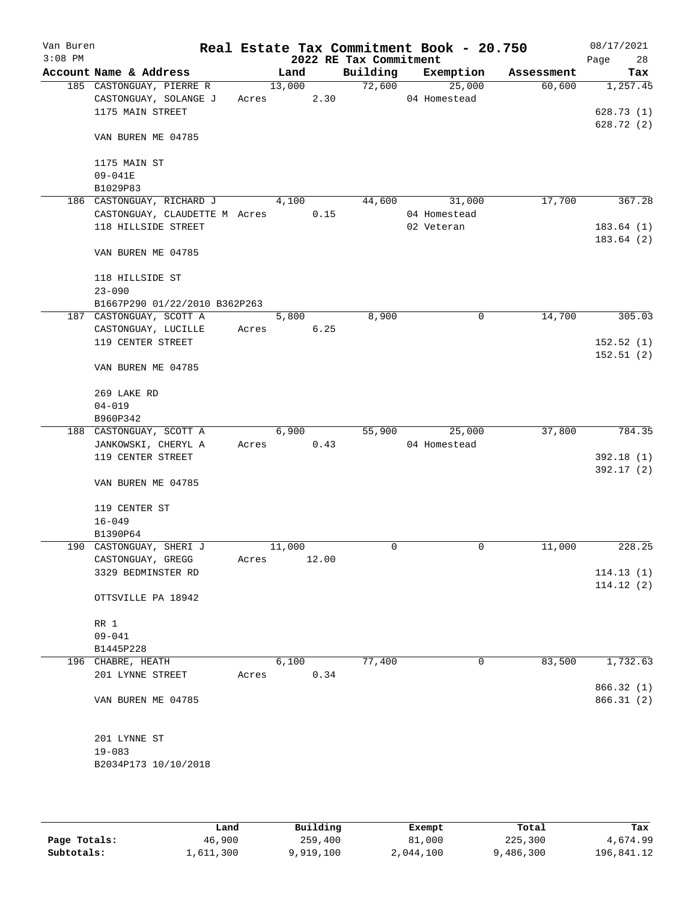| Van Buren<br>$3:08$ PM |                               |       |            |       | 2022 RE Tax Commitment | Real Estate Tax Commitment Book - 20.750 |            | 08/17/2021<br>28<br>Page |
|------------------------|-------------------------------|-------|------------|-------|------------------------|------------------------------------------|------------|--------------------------|
|                        | Account Name & Address        |       | Land       |       | Building               | Exemption                                | Assessment | Tax                      |
|                        | 185 CASTONGUAY, PIERRE R      |       | 13,000     |       | 72,600                 | 25,000                                   | 60,600     | 1,257.45                 |
|                        | CASTONGUAY, SOLANGE J         |       | Acres 2.30 |       |                        | 04 Homestead                             |            |                          |
|                        | 1175 MAIN STREET              |       |            |       |                        |                                          |            | 628.73(1)                |
|                        | VAN BUREN ME 04785            |       |            |       |                        |                                          |            | 628.72 (2)               |
|                        | 1175 MAIN ST                  |       |            |       |                        |                                          |            |                          |
|                        | 09-041E                       |       |            |       |                        |                                          |            |                          |
|                        | B1029P83                      |       |            |       |                        |                                          |            |                          |
|                        | 186 CASTONGUAY, RICHARD J     |       | 4,100      |       | 44,600                 | 31,000                                   | 17,700     | 367.28                   |
|                        | CASTONGUAY, CLAUDETTE M Acres |       |            | 0.15  |                        | 04 Homestead                             |            |                          |
|                        | 118 HILLSIDE STREET           |       |            |       |                        | 02 Veteran                               |            | 183.64(1)                |
|                        | VAN BUREN ME 04785            |       |            |       |                        |                                          |            | 183.64 (2)               |
|                        | 118 HILLSIDE ST<br>$23 - 090$ |       |            |       |                        |                                          |            |                          |
|                        | B1667P290 01/22/2010 B362P263 |       |            |       |                        |                                          |            |                          |
|                        | 187 CASTONGUAY, SCOTT A       |       | 5,800      |       | 8,900                  | 0                                        | 14,700     | 305.03                   |
|                        | CASTONGUAY, LUCILLE           |       | Acres 6.25 |       |                        |                                          |            |                          |
|                        | 119 CENTER STREET             |       |            |       |                        |                                          |            | 152.52(1)                |
|                        | VAN BUREN ME 04785            |       |            |       |                        |                                          |            | 152.51(2)                |
|                        | 269 LAKE RD                   |       |            |       |                        |                                          |            |                          |
|                        | $04 - 019$                    |       |            |       |                        |                                          |            |                          |
|                        | B960P342                      |       |            |       |                        |                                          |            |                          |
|                        | 188 CASTONGUAY, SCOTT A       |       | 6,900      |       | 55,900                 | 25,000                                   | 37,800     | 784.35                   |
|                        | JANKOWSKI, CHERYL A           | Acres |            | 0.43  |                        | 04 Homestead                             |            |                          |
|                        | 119 CENTER STREET             |       |            |       |                        |                                          |            | 392.18(1)                |
|                        | VAN BUREN ME 04785            |       |            |       |                        |                                          |            | 392.17(2)                |
|                        | 119 CENTER ST                 |       |            |       |                        |                                          |            |                          |
|                        | $16 - 049$                    |       |            |       |                        |                                          |            |                          |
|                        | B1390P64                      |       |            |       |                        |                                          |            |                          |
|                        | 190 CASTONGUAY, SHERI J       |       | 11,000     |       | 0                      | 0                                        | 11,000     | 228.25                   |
|                        | CASTONGUAY, GREGG             | Acres |            | 12.00 |                        |                                          |            |                          |
|                        | 3329 BEDMINSTER RD            |       |            |       |                        |                                          |            | 114.13(1)                |
|                        | OTTSVILLE PA 18942            |       |            |       |                        |                                          |            | 114.12(2)                |
|                        | RR 1                          |       |            |       |                        |                                          |            |                          |
|                        | $09 - 041$                    |       |            |       |                        |                                          |            |                          |
|                        | B1445P228                     |       |            |       |                        |                                          |            |                          |
|                        | 196 CHABRE, HEATH             |       | 6,100      |       | 77,400                 | 0                                        | 83,500     | 1,732.63                 |
|                        | 201 LYNNE STREET              | Acres |            | 0.34  |                        |                                          |            |                          |
|                        |                               |       |            |       |                        |                                          |            | 866.32 (1)               |
|                        | VAN BUREN ME 04785            |       |            |       |                        |                                          |            | 866.31 (2)               |
|                        | 201 LYNNE ST                  |       |            |       |                        |                                          |            |                          |
|                        | $19 - 083$                    |       |            |       |                        |                                          |            |                          |
|                        | B2034P173 10/10/2018          |       |            |       |                        |                                          |            |                          |
|                        |                               |       |            |       |                        |                                          |            |                          |

|              | Land      | Building  | Exempt    | Total     | Tax        |
|--------------|-----------|-----------|-----------|-----------|------------|
| Page Totals: | 46,900    | 259,400   | 81,000    | 225,300   | 4,674.99   |
| Subtotals:   | ⊥,611,300 | 9,919,100 | 2,044,100 | 9,486,300 | 196,841.12 |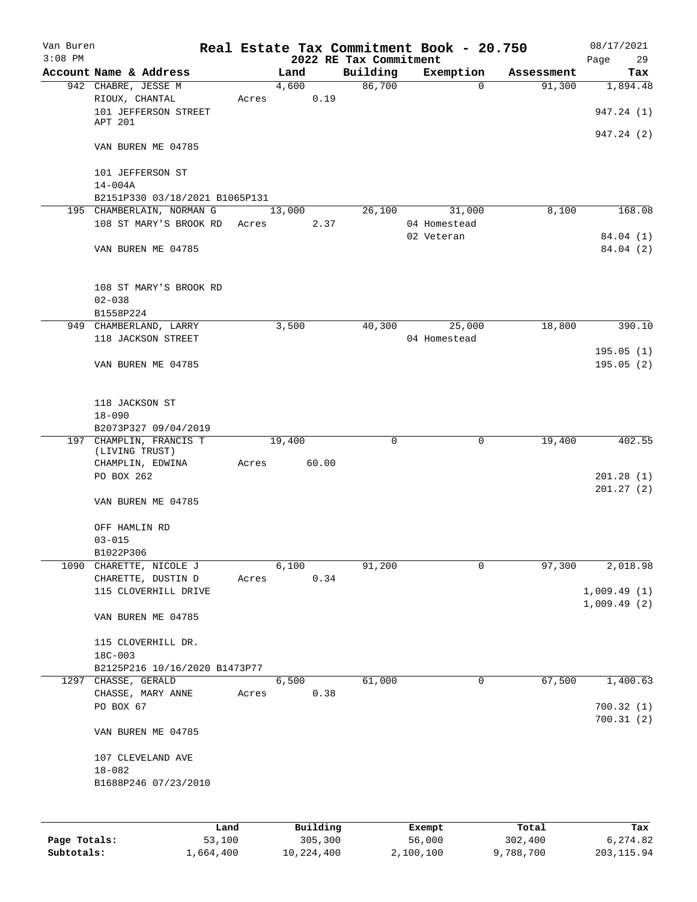| Van Buren    |                                           |       |        |          |                                    |        | Real Estate Tax Commitment Book - 20.750 |                      | 08/17/2021             |
|--------------|-------------------------------------------|-------|--------|----------|------------------------------------|--------|------------------------------------------|----------------------|------------------------|
| $3:08$ PM    | Account Name & Address                    |       | Land   |          | 2022 RE Tax Commitment<br>Building |        |                                          |                      | Page<br>29<br>Tax      |
|              | 942 CHABRE, JESSE M                       |       | 4,600  |          | 86,700                             |        | Exemption<br>$\Omega$                    | Assessment<br>91,300 | 1,894.48               |
|              | RIOUX, CHANTAL                            | Acres |        | 0.19     |                                    |        |                                          |                      |                        |
|              | 101 JEFFERSON STREET                      |       |        |          |                                    |        |                                          |                      | 947.24 (1)             |
|              | APT 201                                   |       |        |          |                                    |        |                                          |                      |                        |
|              | VAN BUREN ME 04785                        |       |        |          |                                    |        |                                          |                      | 947.24 (2)             |
|              | 101 JEFFERSON ST                          |       |        |          |                                    |        |                                          |                      |                        |
|              | $14 - 004A$                               |       |        |          |                                    |        |                                          |                      |                        |
|              | B2151P330 03/18/2021 B1065P131            |       |        |          |                                    |        |                                          |                      |                        |
|              | 195 CHAMBERLAIN, NORMAN G                 |       | 13,000 |          | 26,100                             |        | 31,000                                   | 8,100                | 168.08                 |
|              | 108 ST MARY'S BROOK RD                    | Acres |        | 2.37     |                                    |        | 04 Homestead                             |                      |                        |
|              |                                           |       |        |          |                                    |        | 02 Veteran                               |                      | 84.04 (1)              |
|              | VAN BUREN ME 04785                        |       |        |          |                                    |        |                                          |                      | 84.04 (2)              |
|              | 108 ST MARY'S BROOK RD                    |       |        |          |                                    |        |                                          |                      |                        |
|              | $02 - 038$                                |       |        |          |                                    |        |                                          |                      |                        |
|              | B1558P224                                 |       |        |          |                                    |        |                                          |                      |                        |
|              | 949 CHAMBERLAND, LARRY                    |       | 3,500  |          | 40,300                             |        | 25,000                                   | 18,800               | 390.10                 |
|              | 118 JACKSON STREET                        |       |        |          |                                    |        | 04 Homestead                             |                      |                        |
|              | VAN BUREN ME 04785                        |       |        |          |                                    |        |                                          |                      | 195.05(1)<br>195.05(2) |
|              |                                           |       |        |          |                                    |        |                                          |                      |                        |
|              | 118 JACKSON ST                            |       |        |          |                                    |        |                                          |                      |                        |
|              | $18 - 090$                                |       |        |          |                                    |        |                                          |                      |                        |
|              | B2073P327 09/04/2019                      |       |        |          |                                    |        |                                          |                      |                        |
|              | 197 CHAMPLIN, FRANCIS T<br>(LIVING TRUST) |       | 19,400 |          | 0                                  |        | $\mathbf 0$                              | 19,400               | 402.55                 |
|              | CHAMPLIN, EDWINA                          | Acres |        | 60.00    |                                    |        |                                          |                      |                        |
|              | PO BOX 262                                |       |        |          |                                    |        |                                          |                      | 201.28(1)              |
|              | VAN BUREN ME 04785                        |       |        |          |                                    |        |                                          |                      | 201.27(2)              |
|              | OFF HAMLIN RD                             |       |        |          |                                    |        |                                          |                      |                        |
|              | $03 - 015$                                |       |        |          |                                    |        |                                          |                      |                        |
|              | B1022P306                                 |       |        |          |                                    |        |                                          |                      |                        |
| 1090         | CHARETTE, NICOLE J                        |       | 6,100  |          | 91,200                             |        | 0                                        | 97,300               | 2,018.98               |
|              | CHARETTE, DUSTIN D                        | Acres |        | 0.34     |                                    |        |                                          |                      |                        |
|              | 115 CLOVERHILL DRIVE                      |       |        |          |                                    |        |                                          |                      | 1,009.49(1)            |
|              | VAN BUREN ME 04785                        |       |        |          |                                    |        |                                          |                      | 1,009.49(2)            |
|              | 115 CLOVERHILL DR.                        |       |        |          |                                    |        |                                          |                      |                        |
|              | $18C - 003$                               |       |        |          |                                    |        |                                          |                      |                        |
|              | B2125P216 10/16/2020 B1473P77             |       |        |          |                                    |        |                                          |                      |                        |
|              | 1297 CHASSE, GERALD                       |       | 6,500  |          | 61,000                             |        | 0                                        | 67,500               | 1,400.63               |
|              | CHASSE, MARY ANNE                         | Acres |        | 0.38     |                                    |        |                                          |                      |                        |
|              | PO BOX 67                                 |       |        |          |                                    |        |                                          |                      | 700.32(1)              |
|              |                                           |       |        |          |                                    |        |                                          |                      | 700.31(2)              |
|              | VAN BUREN ME 04785                        |       |        |          |                                    |        |                                          |                      |                        |
|              | 107 CLEVELAND AVE                         |       |        |          |                                    |        |                                          |                      |                        |
|              | $18 - 082$                                |       |        |          |                                    |        |                                          |                      |                        |
|              | B1688P246 07/23/2010                      |       |        |          |                                    |        |                                          |                      |                        |
|              |                                           |       |        |          |                                    |        |                                          |                      |                        |
|              | Land                                      |       |        | Building |                                    | Exempt |                                          | Total                | Tax                    |
| Page Totals: | 53,100                                    |       |        | 305,300  |                                    | 56,000 |                                          | 302,400              | 6,274.82               |

**Subtotals:** 1,664,400 10,224,400 2,100,100 9,788,700 203,115.94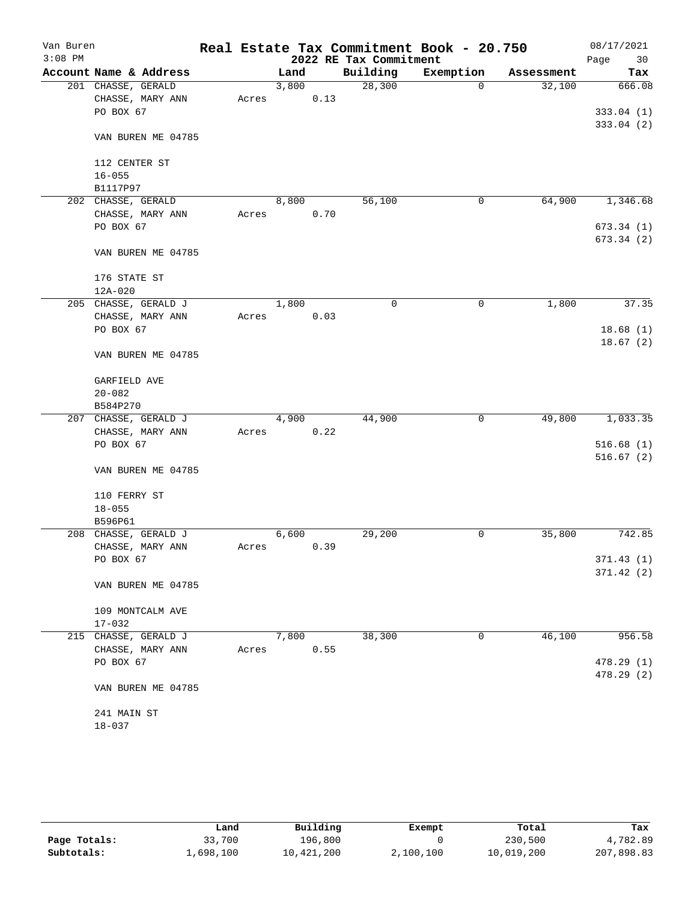| Van Buren<br>$3:08$ PM |                        |       |       |      | 2022 RE Tax Commitment | Real Estate Tax Commitment Book - 20.750 |            | 08/17/2021<br>Page<br>30 |
|------------------------|------------------------|-------|-------|------|------------------------|------------------------------------------|------------|--------------------------|
|                        | Account Name & Address |       | Land  |      | Building               | Exemption                                | Assessment | Tax                      |
|                        | 201 CHASSE, GERALD     |       | 3,800 |      | 28,300                 | $\mathbf 0$                              | 32,100     | 666.08                   |
|                        | CHASSE, MARY ANN       | Acres |       | 0.13 |                        |                                          |            |                          |
|                        | PO BOX 67              |       |       |      |                        |                                          |            | 333.04(1)                |
|                        |                        |       |       |      |                        |                                          |            | 333.04(2)                |
|                        | VAN BUREN ME 04785     |       |       |      |                        |                                          |            |                          |
|                        | 112 CENTER ST          |       |       |      |                        |                                          |            |                          |
|                        | $16 - 055$             |       |       |      |                        |                                          |            |                          |
|                        | B1117P97               |       |       |      |                        |                                          |            |                          |
|                        | 202 CHASSE, GERALD     |       | 8,800 |      | 56,100                 | 0                                        | 64,900     | 1,346.68                 |
|                        | CHASSE, MARY ANN       | Acres |       | 0.70 |                        |                                          |            |                          |
|                        | PO BOX 67              |       |       |      |                        |                                          |            | 673.34(1)                |
|                        |                        |       |       |      |                        |                                          |            | 673.34 (2)               |
|                        | VAN BUREN ME 04785     |       |       |      |                        |                                          |            |                          |
|                        | 176 STATE ST           |       |       |      |                        |                                          |            |                          |
|                        | 12A-020                |       |       |      |                        |                                          |            |                          |
|                        | 205 CHASSE, GERALD J   |       | 1,800 |      | 0                      | 0                                        | 1,800      | 37.35                    |
|                        | CHASSE, MARY ANN       | Acres |       | 0.03 |                        |                                          |            |                          |
|                        | PO BOX 67              |       |       |      |                        |                                          |            | 18.68(1)                 |
|                        |                        |       |       |      |                        |                                          |            | 18.67(2)                 |
|                        | VAN BUREN ME 04785     |       |       |      |                        |                                          |            |                          |
|                        | GARFIELD AVE           |       |       |      |                        |                                          |            |                          |
|                        | $20 - 082$             |       |       |      |                        |                                          |            |                          |
|                        | B584P270               |       |       |      |                        |                                          |            |                          |
|                        | 207 CHASSE, GERALD J   |       | 4,900 |      | 44,900                 | 0                                        | 49,800     | 1,033.35                 |
|                        | CHASSE, MARY ANN       | Acres |       | 0.22 |                        |                                          |            |                          |
|                        | PO BOX 67              |       |       |      |                        |                                          |            | 516.68(1)                |
|                        |                        |       |       |      |                        |                                          |            | 516.67(2)                |
|                        | VAN BUREN ME 04785     |       |       |      |                        |                                          |            |                          |
|                        | 110 FERRY ST           |       |       |      |                        |                                          |            |                          |
|                        | $18 - 055$             |       |       |      |                        |                                          |            |                          |
|                        | B596P61                |       |       |      |                        |                                          |            |                          |
|                        | 208 CHASSE, GERALD J   |       | 6,600 |      | 29,200                 | 0                                        | 35,800     | 742.85                   |
|                        | CHASSE, MARY ANN       | Acres |       | 0.39 |                        |                                          |            |                          |
|                        | PO BOX 67              |       |       |      |                        |                                          |            | 371.43(1)                |
|                        |                        |       |       |      |                        |                                          |            | 371.42(2)                |
|                        | VAN BUREN ME 04785     |       |       |      |                        |                                          |            |                          |
|                        | 109 MONTCALM AVE       |       |       |      |                        |                                          |            |                          |
|                        | $17 - 032$             |       |       |      |                        |                                          |            |                          |
|                        | 215 CHASSE, GERALD J   |       | 7,800 |      | 38,300                 | 0                                        | 46,100     | 956.58                   |
|                        | CHASSE, MARY ANN       | Acres |       | 0.55 |                        |                                          |            |                          |
|                        | PO BOX 67              |       |       |      |                        |                                          |            | 478.29 (1)               |
|                        |                        |       |       |      |                        |                                          |            | 478.29 (2)               |
|                        | VAN BUREN ME 04785     |       |       |      |                        |                                          |            |                          |
|                        | 241 MAIN ST            |       |       |      |                        |                                          |            |                          |
|                        | $18 - 037$             |       |       |      |                        |                                          |            |                          |
|                        |                        |       |       |      |                        |                                          |            |                          |

|              | Land      | Building   | Exempt    | Total      | Tax        |
|--------------|-----------|------------|-----------|------------|------------|
| Page Totals: | 33,700    | 196,800    |           | 230,500    | 4,782.89   |
| Subtotals:   | 1,698,100 | 10,421,200 | 2,100,100 | 10,019,200 | 207,898.83 |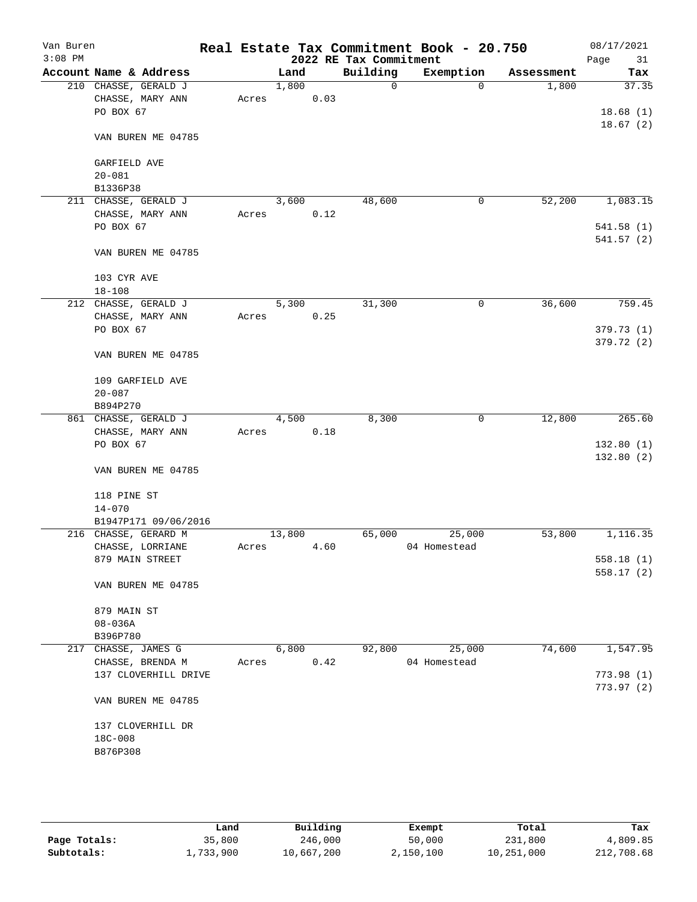| Van Buren<br>$3:08$ PM |                        |       |        |      | 2022 RE Tax Commitment | Real Estate Tax Commitment Book - 20.750 |            | 08/17/2021<br>31<br>Page |
|------------------------|------------------------|-------|--------|------|------------------------|------------------------------------------|------------|--------------------------|
|                        | Account Name & Address |       | Land   |      | Building               | Exemption                                | Assessment | Tax                      |
|                        | 210 CHASSE, GERALD J   |       | 1,800  |      | $\mathbf 0$            | $\Omega$                                 | 1,800      | 37.35                    |
|                        | CHASSE, MARY ANN       | Acres |        | 0.03 |                        |                                          |            |                          |
|                        | PO BOX 67              |       |        |      |                        |                                          |            | 18.68(1)                 |
|                        |                        |       |        |      |                        |                                          |            | 18.67(2)                 |
|                        | VAN BUREN ME 04785     |       |        |      |                        |                                          |            |                          |
|                        |                        |       |        |      |                        |                                          |            |                          |
|                        | GARFIELD AVE           |       |        |      |                        |                                          |            |                          |
|                        | $20 - 081$             |       |        |      |                        |                                          |            |                          |
|                        | B1336P38               |       |        |      |                        |                                          |            |                          |
|                        | 211 CHASSE, GERALD J   |       | 3,600  |      | 48,600                 | 0                                        | 52,200     | 1,083.15                 |
|                        | CHASSE, MARY ANN       | Acres |        | 0.12 |                        |                                          |            |                          |
|                        | PO BOX 67              |       |        |      |                        |                                          |            | 541.58(1)                |
|                        |                        |       |        |      |                        |                                          |            | 541.57(2)                |
|                        | VAN BUREN ME 04785     |       |        |      |                        |                                          |            |                          |
|                        | 103 CYR AVE            |       |        |      |                        |                                          |            |                          |
|                        | $18 - 108$             |       |        |      |                        |                                          |            |                          |
|                        | 212 CHASSE, GERALD J   |       | 5,300  |      | 31,300                 | 0                                        | 36,600     | 759.45                   |
|                        | CHASSE, MARY ANN       | Acres |        | 0.25 |                        |                                          |            |                          |
|                        | PO BOX 67              |       |        |      |                        |                                          |            | 379.73(1)                |
|                        |                        |       |        |      |                        |                                          |            | 379.72 (2)               |
|                        | VAN BUREN ME 04785     |       |        |      |                        |                                          |            |                          |
|                        |                        |       |        |      |                        |                                          |            |                          |
|                        | 109 GARFIELD AVE       |       |        |      |                        |                                          |            |                          |
|                        | $20 - 087$             |       |        |      |                        |                                          |            |                          |
|                        | B894P270               |       |        |      |                        |                                          |            |                          |
|                        | 861 CHASSE, GERALD J   |       | 4,500  |      | 8,300                  | 0                                        | 12,800     | 265.60                   |
|                        | CHASSE, MARY ANN       | Acres |        | 0.18 |                        |                                          |            |                          |
|                        | PO BOX 67              |       |        |      |                        |                                          |            | 132.80(1)                |
|                        |                        |       |        |      |                        |                                          |            | 132.80(2)                |
|                        | VAN BUREN ME 04785     |       |        |      |                        |                                          |            |                          |
|                        |                        |       |        |      |                        |                                          |            |                          |
|                        | 118 PINE ST            |       |        |      |                        |                                          |            |                          |
|                        | $14 - 070$             |       |        |      |                        |                                          |            |                          |
|                        | B1947P171 09/06/2016   |       |        |      |                        |                                          |            |                          |
|                        | 216 CHASSE, GERARD M   |       | 13,800 |      | 65,000                 | 25,000                                   | 53,800     | 1,116.35                 |
|                        | CHASSE, LORRIANE       | Acres |        | 4.60 |                        | 04 Homestead                             |            |                          |
|                        | 879 MAIN STREET        |       |        |      |                        |                                          |            | 558.18 (1)               |
|                        |                        |       |        |      |                        |                                          |            | 558.17(2)                |
|                        | VAN BUREN ME 04785     |       |        |      |                        |                                          |            |                          |
|                        | 879 MAIN ST            |       |        |      |                        |                                          |            |                          |
|                        | $08 - 036A$            |       |        |      |                        |                                          |            |                          |
|                        | B396P780               |       |        |      |                        |                                          |            |                          |
|                        | 217 CHASSE, JAMES G    |       | 6,800  |      | 92,800                 | 25,000                                   | 74,600     | 1,547.95                 |
|                        | CHASSE, BRENDA M       | Acres |        | 0.42 |                        | 04 Homestead                             |            |                          |
|                        | 137 CLOVERHILL DRIVE   |       |        |      |                        |                                          |            | 773.98(1)                |
|                        |                        |       |        |      |                        |                                          |            | 773.97(2)                |
|                        | VAN BUREN ME 04785     |       |        |      |                        |                                          |            |                          |
|                        |                        |       |        |      |                        |                                          |            |                          |
|                        | 137 CLOVERHILL DR      |       |        |      |                        |                                          |            |                          |
|                        | 18C-008                |       |        |      |                        |                                          |            |                          |
|                        | B876P308               |       |        |      |                        |                                          |            |                          |
|                        |                        |       |        |      |                        |                                          |            |                          |
|                        |                        |       |        |      |                        |                                          |            |                          |
|                        |                        |       |        |      |                        |                                          |            |                          |

|              | Land      | Building   | Exempt    | Total      | Tax        |
|--------------|-----------|------------|-----------|------------|------------|
| Page Totals: | 35,800    | 246,000    | 50,000    | 231,800    | 4,809.85   |
| Subtotals:   | 1,733,900 | 10,667,200 | 2,150,100 | 10,251,000 | 212,708.68 |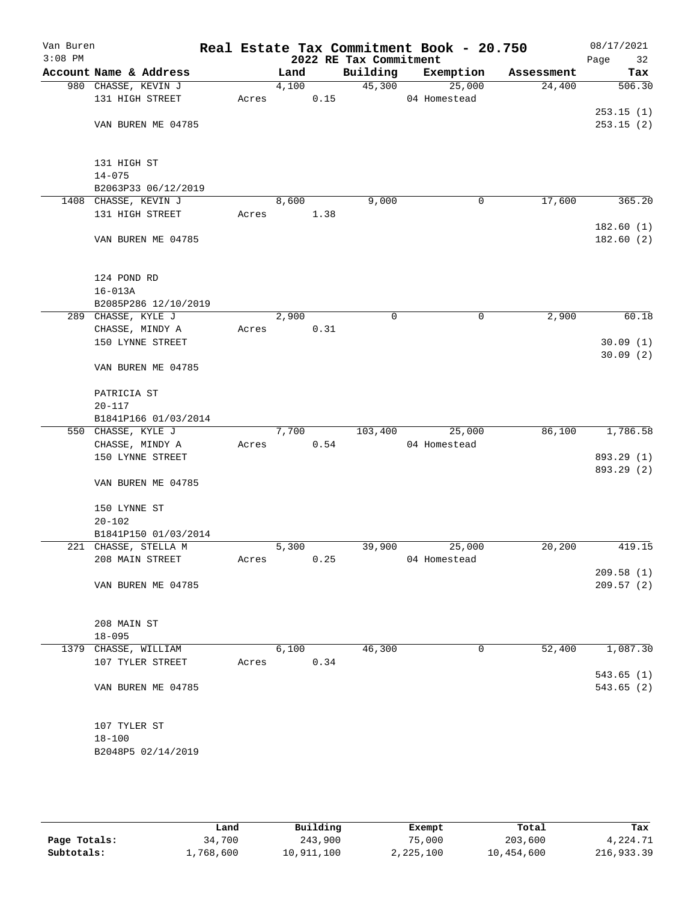| Van Buren |                        |       |       |      |                        | Real Estate Tax Commitment Book - 20.750 |            | 08/17/2021             |
|-----------|------------------------|-------|-------|------|------------------------|------------------------------------------|------------|------------------------|
| $3:08$ PM |                        |       |       |      | 2022 RE Tax Commitment |                                          |            | Page<br>32             |
|           | Account Name & Address |       | Land  |      | Building               | Exemption                                | Assessment | Tax                    |
|           | 980 CHASSE, KEVIN J    |       | 4,100 |      | 45,300                 | 25,000                                   | 24,400     | 506.30                 |
|           | 131 HIGH STREET        | Acres |       | 0.15 |                        | 04 Homestead                             |            |                        |
|           | VAN BUREN ME 04785     |       |       |      |                        |                                          |            | 253.15(1)<br>253.15(2) |
|           |                        |       |       |      |                        |                                          |            |                        |
|           |                        |       |       |      |                        |                                          |            |                        |
|           | 131 HIGH ST            |       |       |      |                        |                                          |            |                        |
|           | $14 - 075$             |       |       |      |                        |                                          |            |                        |
|           | B2063P33 06/12/2019    |       |       |      |                        |                                          |            |                        |
|           | 1408 CHASSE, KEVIN J   |       | 8,600 |      | 9,000                  | 0                                        | 17,600     | 365.20                 |
|           | 131 HIGH STREET        | Acres |       | 1.38 |                        |                                          |            |                        |
|           |                        |       |       |      |                        |                                          |            | 182.60(1)              |
|           | VAN BUREN ME 04785     |       |       |      |                        |                                          |            | 182.60(2)              |
|           | 124 POND RD            |       |       |      |                        |                                          |            |                        |
|           | $16 - 013A$            |       |       |      |                        |                                          |            |                        |
|           | B2085P286 12/10/2019   |       |       |      |                        |                                          |            |                        |
|           | 289 CHASSE, KYLE J     |       | 2,900 |      | $\mathbf 0$            | 0                                        | 2,900      | 60.18                  |
|           | CHASSE, MINDY A        | Acres |       | 0.31 |                        |                                          |            |                        |
|           | 150 LYNNE STREET       |       |       |      |                        |                                          |            | 30.09(1)               |
|           |                        |       |       |      |                        |                                          |            | 30.09(2)               |
|           | VAN BUREN ME 04785     |       |       |      |                        |                                          |            |                        |
|           | PATRICIA ST            |       |       |      |                        |                                          |            |                        |
|           | $20 - 117$             |       |       |      |                        |                                          |            |                        |
|           | B1841P166 01/03/2014   |       |       |      |                        |                                          |            |                        |
|           | 550 CHASSE, KYLE J     |       | 7,700 |      | 103,400                | 25,000                                   | 86,100     | 1,786.58               |
|           | CHASSE, MINDY A        | Acres |       | 0.54 |                        | 04 Homestead                             |            |                        |
|           | 150 LYNNE STREET       |       |       |      |                        |                                          |            | 893.29 (1)             |
|           |                        |       |       |      |                        |                                          |            | 893.29 (2)             |
|           | VAN BUREN ME 04785     |       |       |      |                        |                                          |            |                        |
|           | 150 LYNNE ST           |       |       |      |                        |                                          |            |                        |
|           | $20 - 102$             |       |       |      |                        |                                          |            |                        |
|           | B1841P150 01/03/2014   |       |       |      |                        |                                          |            |                        |
|           | 221 CHASSE, STELLA M   |       | 5,300 |      | 39,900                 | 25,000                                   | 20,200     | 419.15                 |
|           | 208 MAIN STREET        | Acres |       | 0.25 |                        | 04 Homestead                             |            |                        |
|           |                        |       |       |      |                        |                                          |            | 209.58(1)              |
|           | VAN BUREN ME 04785     |       |       |      |                        |                                          |            | 209.57(2)              |
|           |                        |       |       |      |                        |                                          |            |                        |
|           | 208 MAIN ST            |       |       |      |                        |                                          |            |                        |
|           | $18 - 095$             |       |       |      |                        |                                          |            |                        |
|           | 1379 CHASSE, WILLIAM   |       | 6,100 |      | 46,300                 | 0                                        | 52,400     | 1,087.30               |
|           | 107 TYLER STREET       | Acres |       | 0.34 |                        |                                          |            |                        |
|           |                        |       |       |      |                        |                                          |            | 543.65(1)              |
|           | VAN BUREN ME 04785     |       |       |      |                        |                                          |            | 543.65(2)              |
|           | 107 TYLER ST           |       |       |      |                        |                                          |            |                        |
|           | $18 - 100$             |       |       |      |                        |                                          |            |                        |
|           | B2048P5 02/14/2019     |       |       |      |                        |                                          |            |                        |
|           |                        |       |       |      |                        |                                          |            |                        |

|              | Land      | Building   | Exempt    | Total      | Tax        |
|--------------|-----------|------------|-----------|------------|------------|
| Page Totals: | 34,700    | 243,900    | 75,000    | 203,600    | 4,224.71   |
| Subtotals:   | ⊥,768,600 | 10,911,100 | 2,225,100 | 10,454,600 | 216,933.39 |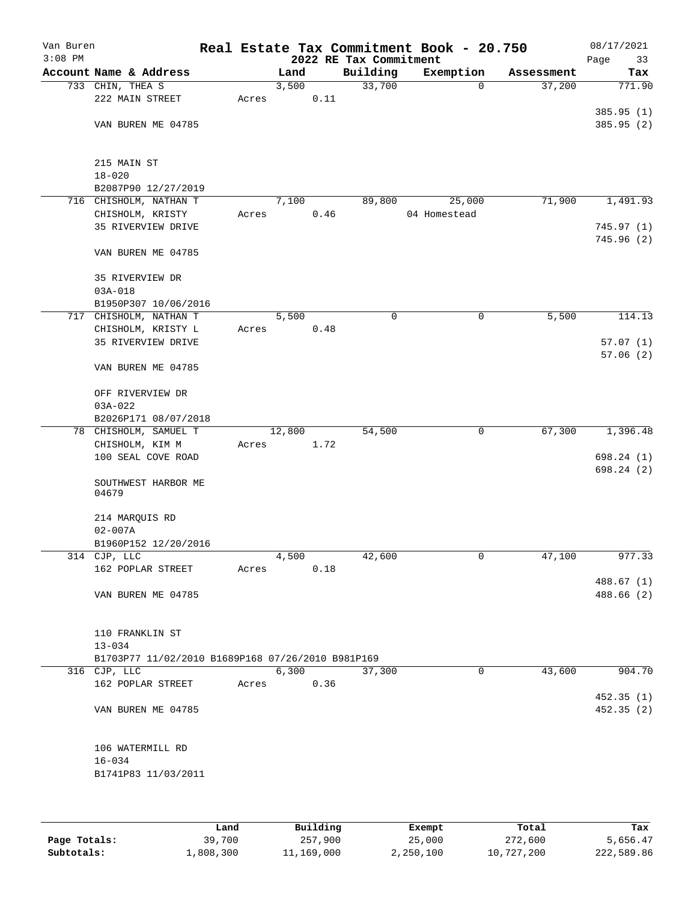| Van Buren<br>$3:08$ PM |                                                   |       |        |       | 2022 RE Tax Commitment | Real Estate Tax Commitment Book - 20.750 |            | 08/17/2021<br>Page<br>33 |
|------------------------|---------------------------------------------------|-------|--------|-------|------------------------|------------------------------------------|------------|--------------------------|
|                        | Account Name & Address                            |       | Land   |       | Building               | Exemption                                | Assessment | Tax                      |
|                        | 733 CHIN, THEA S                                  |       | 3,500  |       | 33,700                 | $\mathbf 0$                              | 37,200     | 771.90                   |
|                        | 222 MAIN STREET                                   | Acres |        | 0.11  |                        |                                          |            |                          |
|                        |                                                   |       |        |       |                        |                                          |            | 385.95(1)                |
|                        | VAN BUREN ME 04785                                |       |        |       |                        |                                          |            | 385.95(2)                |
|                        |                                                   |       |        |       |                        |                                          |            |                          |
|                        |                                                   |       |        |       |                        |                                          |            |                          |
|                        | 215 MAIN ST                                       |       |        |       |                        |                                          |            |                          |
|                        | $18 - 020$                                        |       |        |       |                        |                                          |            |                          |
|                        | B2087P90 12/27/2019                               |       |        |       |                        |                                          |            |                          |
|                        | 716 CHISHOLM, NATHAN T                            |       | 7,100  |       | 89,800                 | 25,000                                   | 71,900     | 1,491.93                 |
|                        | CHISHOLM, KRISTY                                  | Acres |        | 0.46  |                        | 04 Homestead                             |            |                          |
|                        | 35 RIVERVIEW DRIVE                                |       |        |       |                        |                                          |            | 745.97(1)<br>745.96(2)   |
|                        | VAN BUREN ME 04785                                |       |        |       |                        |                                          |            |                          |
|                        |                                                   |       |        |       |                        |                                          |            |                          |
|                        | 35 RIVERVIEW DR                                   |       |        |       |                        |                                          |            |                          |
|                        | $03A - 018$                                       |       |        |       |                        |                                          |            |                          |
|                        | B1950P307 10/06/2016                              |       |        |       |                        |                                          |            |                          |
|                        | 717 CHISHOLM, NATHAN T                            |       | 5,500  |       | 0                      | 0                                        | 5,500      | 114.13                   |
|                        | CHISHOLM, KRISTY L                                | Acres |        | 0.48  |                        |                                          |            |                          |
|                        | 35 RIVERVIEW DRIVE                                |       |        |       |                        |                                          |            | 57.07(1)                 |
|                        |                                                   |       |        |       |                        |                                          |            | 57.06(2)                 |
|                        | VAN BUREN ME 04785                                |       |        |       |                        |                                          |            |                          |
|                        |                                                   |       |        |       |                        |                                          |            |                          |
|                        | OFF RIVERVIEW DR                                  |       |        |       |                        |                                          |            |                          |
|                        | $03A - 022$                                       |       |        |       |                        |                                          |            |                          |
|                        | B2026P171 08/07/2018                              |       |        |       |                        |                                          |            |                          |
|                        | 78 CHISHOLM, SAMUEL T                             |       | 12,800 |       | 54,500                 | $\mathbf 0$                              | 67,300     | 1,396.48                 |
|                        | CHISHOLM, KIM M                                   | Acres |        | 1.72  |                        |                                          |            |                          |
|                        | 100 SEAL COVE ROAD                                |       |        |       |                        |                                          |            | 698.24(1)                |
|                        |                                                   |       |        |       |                        |                                          |            | 698.24(2)                |
|                        | SOUTHWEST HARBOR ME                               |       |        |       |                        |                                          |            |                          |
|                        | 04679                                             |       |        |       |                        |                                          |            |                          |
|                        | 214 MARQUIS RD                                    |       |        |       |                        |                                          |            |                          |
|                        | $02 - 007A$                                       |       |        |       |                        |                                          |            |                          |
|                        | B1960P152 12/20/2016                              |       |        |       |                        |                                          |            |                          |
|                        | 314 CJP, LLC                                      |       | 4,500  |       | 42,600                 | $\overline{0}$                           | 47,100     | 977.33                   |
|                        | 162 POPLAR STREET                                 | Acres |        | 0.18  |                        |                                          |            |                          |
|                        |                                                   |       |        |       |                        |                                          |            | 488.67 (1)               |
|                        | VAN BUREN ME 04785                                |       |        |       |                        |                                          |            | 488.66 (2)               |
|                        |                                                   |       |        |       |                        |                                          |            |                          |
|                        |                                                   |       |        |       |                        |                                          |            |                          |
|                        | 110 FRANKLIN ST                                   |       |        |       |                        |                                          |            |                          |
|                        | $13 - 034$                                        |       |        |       |                        |                                          |            |                          |
|                        | B1703P77 11/02/2010 B1689P168 07/26/2010 B981P169 |       |        |       |                        |                                          |            |                          |
|                        | 316 CJP, LLC                                      |       |        | 6,300 | 37,300                 | $\mathbf 0$                              | 43,600     | 904.70                   |
|                        | 162 POPLAR STREET                                 | Acres |        | 0.36  |                        |                                          |            |                          |
|                        |                                                   |       |        |       |                        |                                          |            | 452.35(1)                |
|                        | VAN BUREN ME 04785                                |       |        |       |                        |                                          |            | 452.35 (2)               |
|                        |                                                   |       |        |       |                        |                                          |            |                          |
|                        | 106 WATERMILL RD                                  |       |        |       |                        |                                          |            |                          |
|                        | $16 - 034$                                        |       |        |       |                        |                                          |            |                          |
|                        | B1741P83 11/03/2011                               |       |        |       |                        |                                          |            |                          |
|                        |                                                   |       |        |       |                        |                                          |            |                          |
|                        |                                                   |       |        |       |                        |                                          |            |                          |
|                        |                                                   |       |        |       |                        |                                          |            |                          |

|              | Land      | Building   | Exempt    | Total      | Tax        |
|--------------|-----------|------------|-----------|------------|------------|
| Page Totals: | 39,700    | 257,900    | 25,000    | 272,600    | 5,656.47   |
| Subtotals:   | 1,808,300 | 11,169,000 | 2,250,100 | 10,727,200 | 222,589.86 |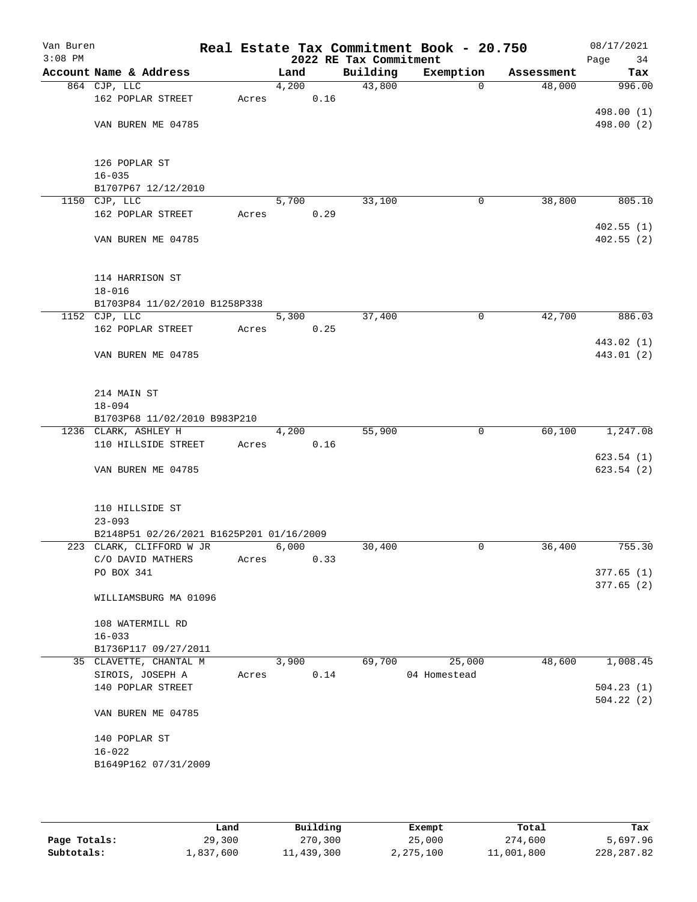| Van Buren<br>$3:08$ PM |                                          |       |                    |      | 2022 RE Tax Commitment | Real Estate Tax Commitment Book - 20.750 |            | 08/17/2021<br>Page<br>34 |
|------------------------|------------------------------------------|-------|--------------------|------|------------------------|------------------------------------------|------------|--------------------------|
|                        | Account Name & Address                   |       | Land               |      | Building               | Exemption                                | Assessment | Tax                      |
|                        | 864 CJP, LLC                             |       | 4,200              |      | 43,800                 | $\mathbf 0$                              | 48,000     | 996.00                   |
|                        | 162 POPLAR STREET                        | Acres |                    | 0.16 |                        |                                          |            |                          |
|                        |                                          |       |                    |      |                        |                                          |            | 498.00 (1)               |
|                        | VAN BUREN ME 04785                       |       |                    |      |                        |                                          |            | 498.00 (2)               |
|                        |                                          |       |                    |      |                        |                                          |            |                          |
|                        |                                          |       |                    |      |                        |                                          |            |                          |
|                        | 126 POPLAR ST                            |       |                    |      |                        |                                          |            |                          |
|                        | $16 - 035$                               |       |                    |      |                        |                                          |            |                          |
|                        | B1707P67 12/12/2010                      |       |                    |      |                        |                                          |            |                          |
|                        | 1150 CJP, LLC                            |       | 5,700              |      | 33,100                 | 0                                        | 38,800     | 805.10                   |
|                        | 162 POPLAR STREET                        | Acres |                    | 0.29 |                        |                                          |            |                          |
|                        |                                          |       |                    |      |                        |                                          |            | 402.55(1)                |
|                        | VAN BUREN ME 04785                       |       |                    |      |                        |                                          |            | 402.55(2)                |
|                        |                                          |       |                    |      |                        |                                          |            |                          |
|                        |                                          |       |                    |      |                        |                                          |            |                          |
|                        | 114 HARRISON ST<br>$18 - 016$            |       |                    |      |                        |                                          |            |                          |
|                        | B1703P84 11/02/2010 B1258P338            |       |                    |      |                        |                                          |            |                          |
|                        | 1152 CJP, LLC                            |       | 5,300              |      | 37,400                 | 0                                        | 42,700     | 886.03                   |
|                        | 162 POPLAR STREET                        | Acres |                    | 0.25 |                        |                                          |            |                          |
|                        |                                          |       |                    |      |                        |                                          |            | 443.02 (1)               |
|                        | VAN BUREN ME 04785                       |       |                    |      |                        |                                          |            | 443.01 (2)               |
|                        |                                          |       |                    |      |                        |                                          |            |                          |
|                        |                                          |       |                    |      |                        |                                          |            |                          |
|                        | 214 MAIN ST                              |       |                    |      |                        |                                          |            |                          |
|                        | $18 - 094$                               |       |                    |      |                        |                                          |            |                          |
|                        | B1703P68 11/02/2010 B983P210             |       |                    |      |                        |                                          |            |                          |
|                        | 1236 CLARK, ASHLEY H                     |       | $\overline{4,200}$ |      | 55,900                 | 0                                        | 60,100     | 1,247.08                 |
|                        | 110 HILLSIDE STREET                      | Acres |                    | 0.16 |                        |                                          |            |                          |
|                        |                                          |       |                    |      |                        |                                          |            | 623.54(1)                |
|                        | VAN BUREN ME 04785                       |       |                    |      |                        |                                          |            | 623.54 (2)               |
|                        |                                          |       |                    |      |                        |                                          |            |                          |
|                        |                                          |       |                    |      |                        |                                          |            |                          |
|                        | 110 HILLSIDE ST                          |       |                    |      |                        |                                          |            |                          |
|                        | $23 - 093$                               |       |                    |      |                        |                                          |            |                          |
|                        | B2148P51 02/26/2021 B1625P201 01/16/2009 |       |                    |      |                        |                                          |            |                          |
|                        | 223 CLARK, CLIFFORD W JR                 |       | 6,000              |      | 30,400                 | 0                                        | 36,400     | 755.30                   |
|                        | C/O DAVID MATHERS                        | Acres |                    | 0.33 |                        |                                          |            |                          |
|                        | PO BOX 341                               |       |                    |      |                        |                                          |            | 377.65(1)                |
|                        | WILLIAMSBURG MA 01096                    |       |                    |      |                        |                                          |            | 377.65(2)                |
|                        |                                          |       |                    |      |                        |                                          |            |                          |
|                        | 108 WATERMILL RD                         |       |                    |      |                        |                                          |            |                          |
|                        | $16 - 033$                               |       |                    |      |                        |                                          |            |                          |
|                        | B1736P117 09/27/2011                     |       |                    |      |                        |                                          |            |                          |
|                        | 35 CLAVETTE, CHANTAL M                   |       | 3,900              |      | 69,700                 | 25,000                                   | 48,600     | 1,008.45                 |
|                        | SIROIS, JOSEPH A                         | Acres |                    | 0.14 |                        | 04 Homestead                             |            |                          |
|                        | 140 POPLAR STREET                        |       |                    |      |                        |                                          |            | 504.23(1)                |
|                        |                                          |       |                    |      |                        |                                          |            | 504.22(2)                |
|                        | VAN BUREN ME 04785                       |       |                    |      |                        |                                          |            |                          |
|                        |                                          |       |                    |      |                        |                                          |            |                          |
|                        | 140 POPLAR ST                            |       |                    |      |                        |                                          |            |                          |
|                        | $16 - 022$                               |       |                    |      |                        |                                          |            |                          |
|                        | B1649P162 07/31/2009                     |       |                    |      |                        |                                          |            |                          |
|                        |                                          |       |                    |      |                        |                                          |            |                          |
|                        |                                          |       |                    |      |                        |                                          |            |                          |

|              | Land      | Building   | Exempt    | Total      | Tax        |
|--------------|-----------|------------|-----------|------------|------------|
| Page Totals: | 29,300    | 270,300    | 25,000    | 274,600    | 5,697.96   |
| Subtotals:   | 1,837,600 | 11,439,300 | 2,275,100 | 11,001,800 | 228,287.82 |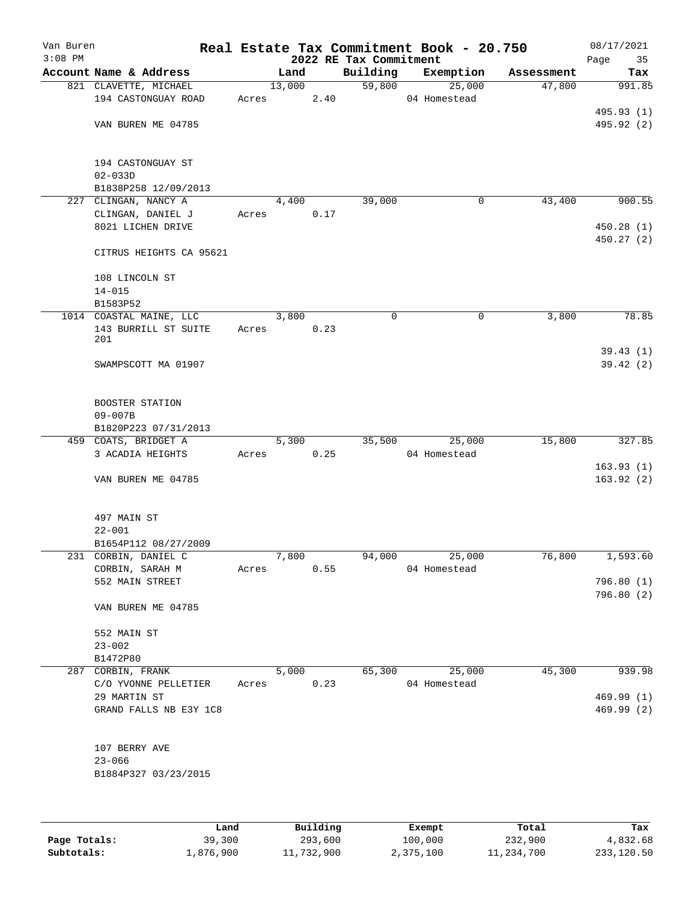| Van Buren<br>$3:08$ PM |                                         |       |        |      | 2022 RE Tax Commitment | Real Estate Tax Commitment Book - 20.750 |            | 08/17/2021<br>Page<br>35 |
|------------------------|-----------------------------------------|-------|--------|------|------------------------|------------------------------------------|------------|--------------------------|
|                        | Account Name & Address                  |       | Land   |      | Building               | Exemption                                | Assessment | Tax                      |
|                        | 821 CLAVETTE, MICHAEL                   |       | 13,000 |      | 59,800                 | 25,000                                   | 47,800     | 991.85                   |
|                        | 194 CASTONGUAY ROAD                     | Acres |        | 2.40 |                        | 04 Homestead                             |            | 495.93 (1)               |
|                        | VAN BUREN ME 04785                      |       |        |      |                        |                                          |            | 495.92 (2)               |
|                        | 194 CASTONGUAY ST<br>$02 - 033D$        |       |        |      |                        |                                          |            |                          |
|                        | B1838P258 12/09/2013                    |       |        |      |                        |                                          |            |                          |
|                        | 227 CLINGAN, NANCY A                    |       | 4,400  |      | 39,000                 | 0                                        | 43,400     | 900.55                   |
|                        | CLINGAN, DANIEL J                       | Acres |        | 0.17 |                        |                                          |            |                          |
|                        | 8021 LICHEN DRIVE                       |       |        |      |                        |                                          |            | 450.28 (1)<br>450.27 (2) |
|                        | CITRUS HEIGHTS CA 95621                 |       |        |      |                        |                                          |            |                          |
|                        | 108 LINCOLN ST                          |       |        |      |                        |                                          |            |                          |
|                        | $14 - 015$                              |       |        |      |                        |                                          |            |                          |
|                        | B1583P52                                |       |        |      |                        |                                          |            |                          |
|                        | 1014 COASTAL MAINE, LLC                 |       | 3,800  |      | $\mathbf 0$            | 0                                        | 3,800      | 78.85                    |
|                        | 143 BURRILL ST SUITE                    | Acres |        | 0.23 |                        |                                          |            |                          |
|                        | 201                                     |       |        |      |                        |                                          |            | 39.43(1)                 |
|                        | SWAMPSCOTT MA 01907                     |       |        |      |                        |                                          |            | 39.42(2)                 |
|                        | BOOSTER STATION                         |       |        |      |                        |                                          |            |                          |
|                        | $09 - 007B$                             |       |        |      |                        |                                          |            |                          |
|                        | B1820P223 07/31/2013                    |       |        |      |                        |                                          |            |                          |
|                        | 459 COATS, BRIDGET A                    |       | 5,300  |      | 35,500                 | 25,000                                   | 15,800     | 327.85                   |
|                        | 3 ACADIA HEIGHTS                        | Acres |        | 0.25 |                        | 04 Homestead                             |            |                          |
|                        |                                         |       |        |      |                        |                                          |            | 163.93(1)                |
|                        | VAN BUREN ME 04785                      |       |        |      |                        |                                          |            | 163.92(2)                |
|                        | 497 MAIN ST                             |       |        |      |                        |                                          |            |                          |
|                        | $22 - 001$                              |       |        |      |                        |                                          |            |                          |
|                        | B1654P112 08/27/2009                    |       |        |      |                        |                                          |            |                          |
|                        | 231 CORBIN, DANIEL C<br>CORBIN, SARAH M | Acres | 7,800  | 0.55 | 94,000                 | 25,000<br>04 Homestead                   | 76,800     | 1,593.60                 |
|                        | 552 MAIN STREET                         |       |        |      |                        |                                          |            | 796.80 (1)               |
|                        |                                         |       |        |      |                        |                                          |            | 796.80 (2)               |
|                        | VAN BUREN ME 04785                      |       |        |      |                        |                                          |            |                          |
|                        | 552 MAIN ST                             |       |        |      |                        |                                          |            |                          |
|                        | $23 - 002$                              |       |        |      |                        |                                          |            |                          |
|                        | B1472P80                                |       |        |      |                        |                                          |            |                          |
|                        | 287 CORBIN, FRANK                       |       | 5,000  |      | 65,300                 | 25,000                                   | 45,300     | 939.98                   |
|                        | C/O YVONNE PELLETIER                    |       | Acres  | 0.23 |                        | 04 Homestead                             |            |                          |
|                        | 29 MARTIN ST                            |       |        |      |                        |                                          |            | 469.99(1)                |
|                        | GRAND FALLS NB E3Y 1C8                  |       |        |      |                        |                                          |            | 469.99 (2)               |
|                        | 107 BERRY AVE                           |       |        |      |                        |                                          |            |                          |
|                        | $23 - 066$                              |       |        |      |                        |                                          |            |                          |
|                        | B1884P327 03/23/2015                    |       |        |      |                        |                                          |            |                          |
|                        |                                         |       |        |      |                        |                                          |            |                          |
|                        |                                         |       |        |      |                        |                                          |            |                          |
|                        |                                         |       |        |      |                        |                                          |            |                          |

|              | Land      | Building   | Exempt    | Total      | Tax        |
|--------------|-----------|------------|-----------|------------|------------|
| Page Totals: | 39,300    | 293,600    | 100,000   | 232,900    | 4,832.68   |
| Subtotals:   | 1,876,900 | 11,732,900 | 2,375,100 | 11,234,700 | 233,120.50 |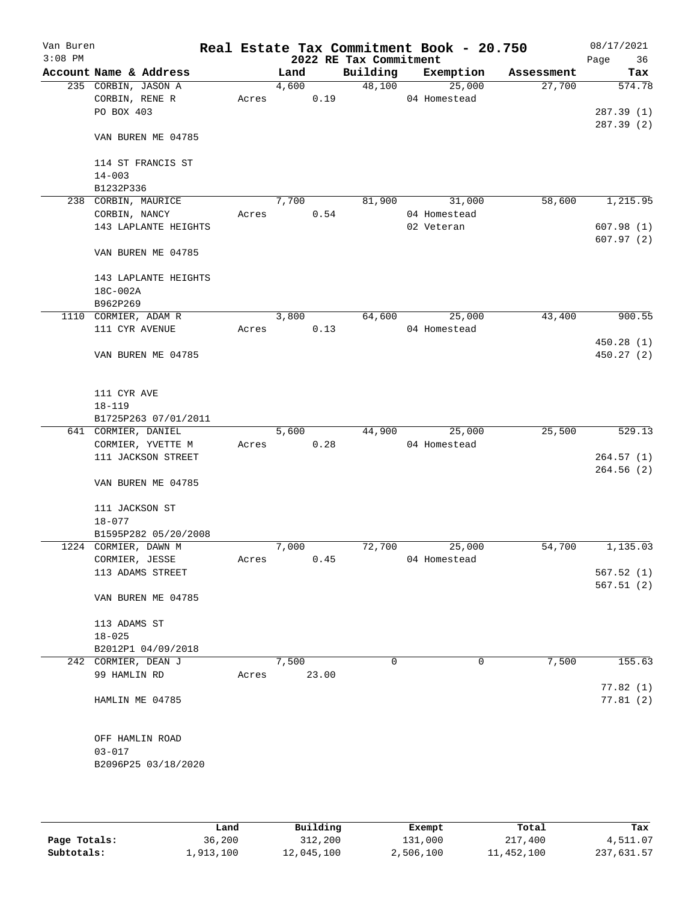| Van Buren<br>$3:08$ PM |                                 |       |       |       |                                    | Real Estate Tax Commitment Book - 20.750 |            | 08/17/2021        |
|------------------------|---------------------------------|-------|-------|-------|------------------------------------|------------------------------------------|------------|-------------------|
|                        | Account Name & Address          |       | Land  |       | 2022 RE Tax Commitment<br>Building | Exemption                                | Assessment | Page<br>36<br>Tax |
|                        | 235 CORBIN, JASON A             |       | 4,600 |       | 48,100                             | 25,000                                   | 27,700     | 574.78            |
|                        | CORBIN, RENE R                  | Acres |       | 0.19  |                                    | 04 Homestead                             |            |                   |
|                        | PO BOX 403                      |       |       |       |                                    |                                          |            | 287.39(1)         |
|                        |                                 |       |       |       |                                    |                                          |            | 287.39 (2)        |
|                        | VAN BUREN ME 04785              |       |       |       |                                    |                                          |            |                   |
|                        |                                 |       |       |       |                                    |                                          |            |                   |
|                        | 114 ST FRANCIS ST<br>$14 - 003$ |       |       |       |                                    |                                          |            |                   |
|                        | B1232P336                       |       |       |       |                                    |                                          |            |                   |
|                        | 238 CORBIN, MAURICE             |       | 7,700 |       | 81,900                             | 31,000                                   | 58,600     | 1,215.95          |
|                        | CORBIN, NANCY                   | Acres |       | 0.54  |                                    | 04 Homestead                             |            |                   |
|                        | 143 LAPLANTE HEIGHTS            |       |       |       |                                    | 02 Veteran                               |            | 607.98(1)         |
|                        |                                 |       |       |       |                                    |                                          |            | 607.97(2)         |
|                        | VAN BUREN ME 04785              |       |       |       |                                    |                                          |            |                   |
|                        | 143 LAPLANTE HEIGHTS            |       |       |       |                                    |                                          |            |                   |
|                        | 18C-002A                        |       |       |       |                                    |                                          |            |                   |
|                        | B962P269                        |       |       |       |                                    |                                          |            |                   |
|                        | 1110 CORMIER, ADAM R            |       | 3,800 |       | 64,600                             | 25,000                                   | 43,400     | 900.55            |
|                        | 111 CYR AVENUE                  | Acres |       | 0.13  |                                    | 04 Homestead                             |            |                   |
|                        |                                 |       |       |       |                                    |                                          |            | 450.28 (1)        |
|                        | VAN BUREN ME 04785              |       |       |       |                                    |                                          |            | 450.27 (2)        |
|                        |                                 |       |       |       |                                    |                                          |            |                   |
|                        | 111 CYR AVE                     |       |       |       |                                    |                                          |            |                   |
|                        | $18 - 119$                      |       |       |       |                                    |                                          |            |                   |
|                        | B1725P263 07/01/2011            |       |       |       |                                    |                                          |            |                   |
|                        | 641 CORMIER, DANIEL             |       | 5,600 |       | 44,900                             | 25,000                                   | 25,500     | 529.13            |
|                        | CORMIER, YVETTE M               | Acres |       | 0.28  |                                    | 04 Homestead                             |            |                   |
|                        | 111 JACKSON STREET              |       |       |       |                                    |                                          |            | 264.57(1)         |
|                        |                                 |       |       |       |                                    |                                          |            | 264.56(2)         |
|                        | VAN BUREN ME 04785              |       |       |       |                                    |                                          |            |                   |
|                        | 111 JACKSON ST                  |       |       |       |                                    |                                          |            |                   |
|                        | $18 - 077$                      |       |       |       |                                    |                                          |            |                   |
|                        | B1595P282 05/20/2008            |       |       |       |                                    |                                          |            |                   |
|                        | 1224 CORMIER, DAWN M            |       | 7,000 |       | 72,700                             | 25,000                                   | 54,700     | 1,135.03          |
|                        | CORMIER, JESSE                  | Acres |       | 0.45  |                                    | 04 Homestead                             |            |                   |
|                        | 113 ADAMS STREET                |       |       |       |                                    |                                          |            | 567.52(1)         |
|                        | VAN BUREN ME 04785              |       |       |       |                                    |                                          |            | 567.51(2)         |
|                        | 113 ADAMS ST                    |       |       |       |                                    |                                          |            |                   |
|                        | $18 - 025$                      |       |       |       |                                    |                                          |            |                   |
|                        | B2012P1 04/09/2018              |       |       |       |                                    |                                          |            |                   |
|                        | 242 CORMIER, DEAN J             |       | 7,500 |       | 0                                  | $\mathbf 0$                              | 7,500      | 155.63            |
|                        | 99 HAMLIN RD                    | Acres |       | 23.00 |                                    |                                          |            |                   |
|                        |                                 |       |       |       |                                    |                                          |            | 77.82(1)          |
|                        | HAMLIN ME 04785                 |       |       |       |                                    |                                          |            | 77.81(2)          |
|                        |                                 |       |       |       |                                    |                                          |            |                   |
|                        | OFF HAMLIN ROAD                 |       |       |       |                                    |                                          |            |                   |
|                        | $03 - 017$                      |       |       |       |                                    |                                          |            |                   |
|                        | B2096P25 03/18/2020             |       |       |       |                                    |                                          |            |                   |
|                        |                                 |       |       |       |                                    |                                          |            |                   |
|                        |                                 |       |       |       |                                    |                                          |            |                   |

|              | Land      | Building   | Exempt    | Total      | Tax        |
|--------------|-----------|------------|-----------|------------|------------|
| Page Totals: | 36,200    | 312,200    | 131,000   | 217,400    | 4,511.07   |
| Subtotals:   | 1,913,100 | 12,045,100 | 2,506,100 | 11,452,100 | 237,631.57 |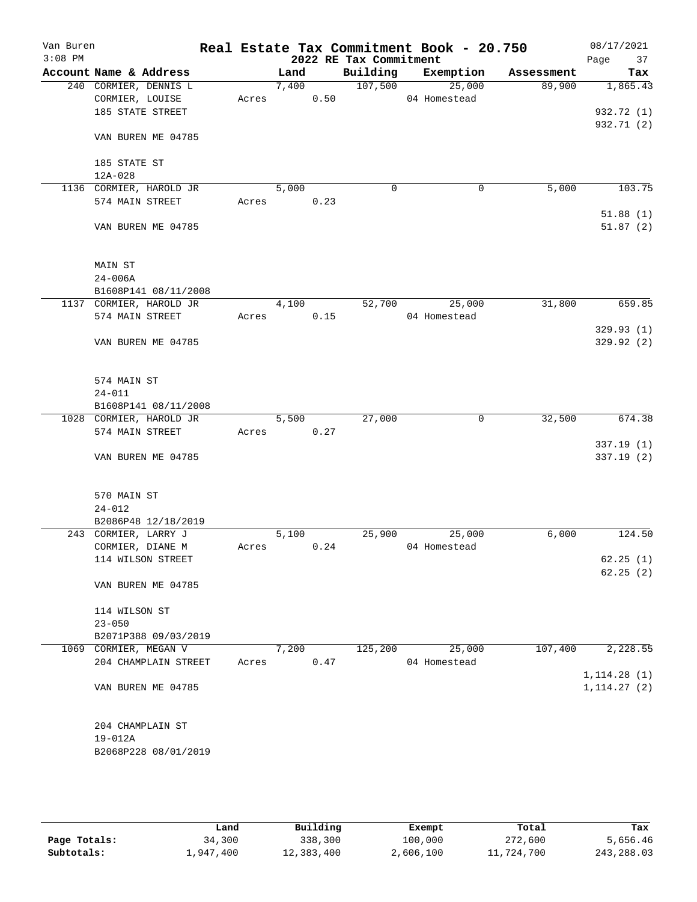| Van Buren<br>$3:08$ PM |                         |       |       |      | 2022 RE Tax Commitment | Real Estate Tax Commitment Book - 20.750 |            | 08/17/2021<br>37<br>Page |
|------------------------|-------------------------|-------|-------|------|------------------------|------------------------------------------|------------|--------------------------|
|                        | Account Name & Address  |       | Land  |      | Building               | Exemption                                | Assessment | Tax                      |
|                        | 240 CORMIER, DENNIS L   |       | 7,400 |      | 107,500                | 25,000                                   | 89,900     | 1,865.43                 |
|                        | CORMIER, LOUISE         | Acres |       | 0.50 |                        | 04 Homestead                             |            |                          |
|                        | 185 STATE STREET        |       |       |      |                        |                                          |            | 932.72 (1)               |
|                        |                         |       |       |      |                        |                                          |            | 932.71 (2)               |
|                        | VAN BUREN ME 04785      |       |       |      |                        |                                          |            |                          |
|                        |                         |       |       |      |                        |                                          |            |                          |
|                        | 185 STATE ST            |       |       |      |                        |                                          |            |                          |
|                        | $12A - 028$             |       |       |      |                        |                                          |            |                          |
|                        | 1136 CORMIER, HAROLD JR |       | 5,000 |      | $\mathbf 0$            | $\mathbf 0$                              | 5,000      | 103.75                   |
|                        | 574 MAIN STREET         | Acres |       | 0.23 |                        |                                          |            |                          |
|                        |                         |       |       |      |                        |                                          |            | 51.88(1)                 |
|                        | VAN BUREN ME 04785      |       |       |      |                        |                                          |            | 51.87(2)                 |
|                        |                         |       |       |      |                        |                                          |            |                          |
|                        |                         |       |       |      |                        |                                          |            |                          |
|                        | MAIN ST                 |       |       |      |                        |                                          |            |                          |
|                        | $24 - 006A$             |       |       |      |                        |                                          |            |                          |
|                        | B1608P141 08/11/2008    |       |       |      |                        |                                          |            |                          |
|                        | 1137 CORMIER, HAROLD JR |       | 4,100 |      | 52,700                 | 25,000                                   | 31,800     | 659.85                   |
|                        | 574 MAIN STREET         | Acres |       | 0.15 |                        | 04 Homestead                             |            |                          |
|                        |                         |       |       |      |                        |                                          |            | 329.93(1)                |
|                        | VAN BUREN ME 04785      |       |       |      |                        |                                          |            | 329.92(2)                |
|                        |                         |       |       |      |                        |                                          |            |                          |
|                        |                         |       |       |      |                        |                                          |            |                          |
|                        | 574 MAIN ST             |       |       |      |                        |                                          |            |                          |
|                        | $24 - 011$              |       |       |      |                        |                                          |            |                          |
|                        | B1608P141 08/11/2008    |       |       |      |                        |                                          |            |                          |
|                        | 1028 CORMIER, HAROLD JR |       | 5,500 |      | 27,000                 | 0                                        | 32,500     | 674.38                   |
|                        | 574 MAIN STREET         | Acres |       | 0.27 |                        |                                          |            |                          |
|                        |                         |       |       |      |                        |                                          |            | 337.19(1)                |
|                        | VAN BUREN ME 04785      |       |       |      |                        |                                          |            | 337.19(2)                |
|                        |                         |       |       |      |                        |                                          |            |                          |
|                        |                         |       |       |      |                        |                                          |            |                          |
|                        | 570 MAIN ST             |       |       |      |                        |                                          |            |                          |
|                        | $24 - 012$              |       |       |      |                        |                                          |            |                          |
|                        | B2086P48 12/18/2019     |       |       |      |                        |                                          |            |                          |
|                        | 243 CORMIER, LARRY J    |       | 5,100 |      | 25,900                 | 25,000                                   | 6,000      | 124.50                   |
|                        | CORMIER, DIANE M        | Acres |       | 0.24 |                        | 04 Homestead                             |            |                          |
|                        | 114 WILSON STREET       |       |       |      |                        |                                          |            | 62.25(1)                 |
|                        |                         |       |       |      |                        |                                          |            | 62.25(2)                 |
|                        | VAN BUREN ME 04785      |       |       |      |                        |                                          |            |                          |
|                        |                         |       |       |      |                        |                                          |            |                          |
|                        | 114 WILSON ST           |       |       |      |                        |                                          |            |                          |
|                        | $23 - 050$              |       |       |      |                        |                                          |            |                          |
|                        | B2071P388 09/03/2019    |       |       |      |                        |                                          |            |                          |
|                        | 1069 CORMIER, MEGAN V   |       | 7,200 |      | 125,200                | 25,000                                   | 107,400    | 2,228.55                 |
|                        | 204 CHAMPLAIN STREET    | Acres |       | 0.47 |                        | 04 Homestead                             |            |                          |
|                        |                         |       |       |      |                        |                                          |            | 1, 114.28(1)             |
|                        | VAN BUREN ME 04785      |       |       |      |                        |                                          |            | 1, 114.27(2)             |
|                        |                         |       |       |      |                        |                                          |            |                          |
|                        |                         |       |       |      |                        |                                          |            |                          |
|                        | 204 CHAMPLAIN ST        |       |       |      |                        |                                          |            |                          |
|                        | 19-012A                 |       |       |      |                        |                                          |            |                          |
|                        | B2068P228 08/01/2019    |       |       |      |                        |                                          |            |                          |
|                        |                         |       |       |      |                        |                                          |            |                          |
|                        |                         |       |       |      |                        |                                          |            |                          |

|              | Land      | Building   | Exempt    | Total      | Tax         |
|--------------|-----------|------------|-----------|------------|-------------|
| Page Totals: | 34,300    | 338,300    | 100,000   | 272,600    | 5,656.46    |
| Subtotals:   | 1,947,400 | 12,383,400 | 2,606,100 | 11,724,700 | 243, 288.03 |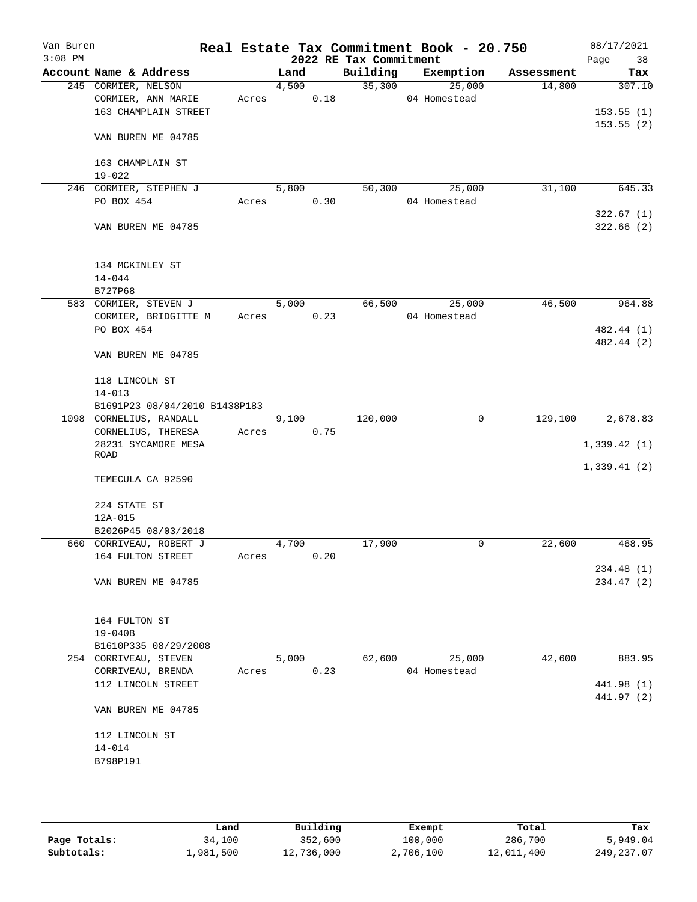| Van Buren<br>$3:08$ PM |                               |       |       |      | 2022 RE Tax Commitment | Real Estate Tax Commitment Book - 20.750 |            | 08/17/2021<br>Page<br>38 |
|------------------------|-------------------------------|-------|-------|------|------------------------|------------------------------------------|------------|--------------------------|
|                        | Account Name & Address        |       | Land  |      | Building               | Exemption                                | Assessment | Tax                      |
|                        | 245 CORMIER, NELSON           |       | 4,500 |      | 35,300                 | 25,000                                   | 14,800     | 307.10                   |
|                        | CORMIER, ANN MARIE            | Acres |       | 0.18 |                        | 04 Homestead                             |            |                          |
|                        | 163 CHAMPLAIN STREET          |       |       |      |                        |                                          |            | 153.55(1)                |
|                        |                               |       |       |      |                        |                                          |            | 153.55(2)                |
|                        | VAN BUREN ME 04785            |       |       |      |                        |                                          |            |                          |
|                        | 163 CHAMPLAIN ST              |       |       |      |                        |                                          |            |                          |
|                        | $19 - 022$                    |       |       |      |                        |                                          |            |                          |
|                        | 246 CORMIER, STEPHEN J        |       | 5,800 |      | 50,300                 | 25,000                                   | 31,100     | 645.33                   |
|                        | PO BOX 454                    | Acres |       | 0.30 |                        | 04 Homestead                             |            |                          |
|                        |                               |       |       |      |                        |                                          |            | 322.67(1)                |
|                        | VAN BUREN ME 04785            |       |       |      |                        |                                          |            | 322.66(2)                |
|                        | 134 MCKINLEY ST               |       |       |      |                        |                                          |            |                          |
|                        | $14 - 044$                    |       |       |      |                        |                                          |            |                          |
|                        | B727P68                       |       |       |      |                        |                                          |            |                          |
|                        | 583 CORMIER, STEVEN J         |       | 5,000 |      | 66,500                 | 25,000                                   | 46,500     | 964.88                   |
|                        | CORMIER, BRIDGITTE M          | Acres |       | 0.23 |                        | 04 Homestead                             |            |                          |
|                        | PO BOX 454                    |       |       |      |                        |                                          |            | 482.44 (1)               |
|                        | VAN BUREN ME 04785            |       |       |      |                        |                                          |            | 482.44 (2)               |
|                        | 118 LINCOLN ST                |       |       |      |                        |                                          |            |                          |
|                        | $14 - 013$                    |       |       |      |                        |                                          |            |                          |
|                        | B1691P23 08/04/2010 B1438P183 |       |       |      |                        |                                          |            |                          |
|                        | 1098 CORNELIUS, RANDALL       |       | 9,100 |      | 120,000                | 0                                        | 129,100    | 2,678.83                 |
|                        | CORNELIUS, THERESA            | Acres |       | 0.75 |                        |                                          |            |                          |
|                        | 28231 SYCAMORE MESA           |       |       |      |                        |                                          |            | 1,339.42(1)              |
|                        | ROAD                          |       |       |      |                        |                                          |            |                          |
|                        | TEMECULA CA 92590             |       |       |      |                        |                                          |            | 1,339.41(2)              |
|                        | 224 STATE ST                  |       |       |      |                        |                                          |            |                          |
|                        | 12A-015                       |       |       |      |                        |                                          |            |                          |
|                        | B2026P45 08/03/2018           |       |       |      |                        |                                          |            |                          |
|                        | 660 CORRIVEAU, ROBERT J       |       | 4,700 |      | 17,900                 | 0                                        | 22,600     | 468.95                   |
|                        | 164 FULTON STREET             | Acres |       | 0.20 |                        |                                          |            |                          |
|                        |                               |       |       |      |                        |                                          |            | 234.48(1)                |
|                        | VAN BUREN ME 04785            |       |       |      |                        |                                          |            | 234.47 (2)               |
|                        | 164 FULTON ST                 |       |       |      |                        |                                          |            |                          |
|                        | $19 - 040B$                   |       |       |      |                        |                                          |            |                          |
|                        | B1610P335 08/29/2008          |       |       |      |                        |                                          |            |                          |
|                        | 254 CORRIVEAU, STEVEN         |       | 5,000 |      | 62,600                 | 25,000                                   | 42,600     | 883.95                   |
|                        | CORRIVEAU, BRENDA             | Acres |       | 0.23 |                        | 04 Homestead                             |            |                          |
|                        | 112 LINCOLN STREET            |       |       |      |                        |                                          |            | 441.98 (1)               |
|                        | VAN BUREN ME 04785            |       |       |      |                        |                                          |            | 441.97 (2)               |
|                        | 112 LINCOLN ST                |       |       |      |                        |                                          |            |                          |
|                        | $14 - 014$                    |       |       |      |                        |                                          |            |                          |
|                        | B798P191                      |       |       |      |                        |                                          |            |                          |
|                        |                               |       |       |      |                        |                                          |            |                          |
|                        |                               |       |       |      |                        |                                          |            |                          |
|                        |                               |       |       |      |                        |                                          |            |                          |

|              | Land      | Building   | Exempt    | Total      | Tax        |
|--------------|-----------|------------|-----------|------------|------------|
| Page Totals: | 34,100    | 352,600    | 100,000   | 286,700    | 5,949.04   |
| Subtotals:   | ⊥,981,500 | 12,736,000 | 2,706,100 | 12,011,400 | 249,237.07 |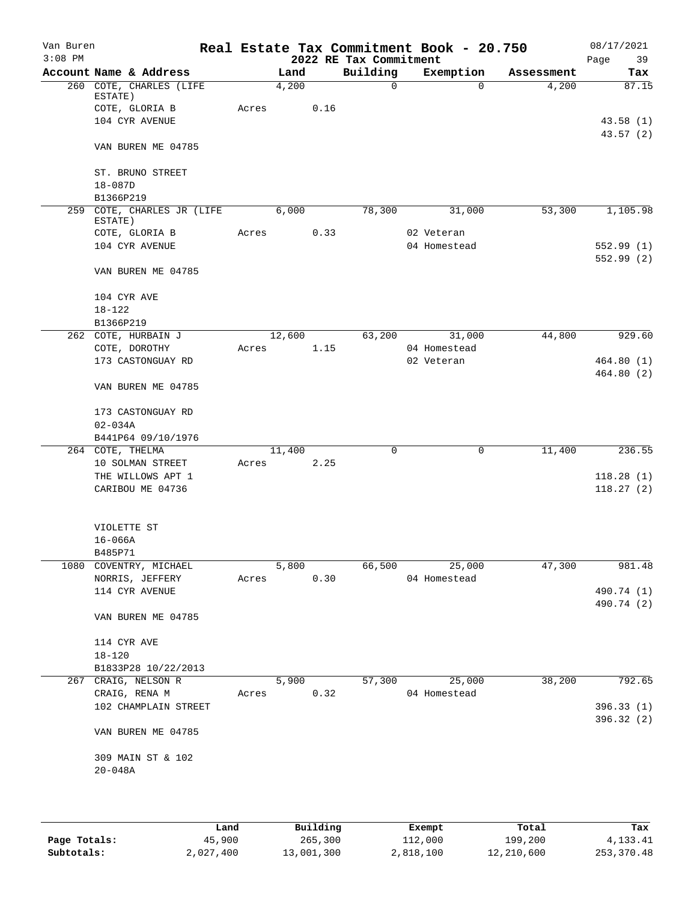| Van Buren<br>$3:08$ PM |                                                         |       |        |      | 2022 RE Tax Commitment | Real Estate Tax Commitment Book - 20.750 |            | 08/17/2021<br>Page<br>39 |
|------------------------|---------------------------------------------------------|-------|--------|------|------------------------|------------------------------------------|------------|--------------------------|
|                        | Account Name & Address                                  |       | Land   |      | Building               | Exemption                                | Assessment | Tax                      |
|                        | 260 COTE, CHARLES (LIFE<br>ESTATE)<br>COTE, GLORIA B    | Acres | 4,200  | 0.16 | $\mathsf{O}$           | $\Omega$                                 | 4,200      | 87.15                    |
|                        | 104 CYR AVENUE                                          |       |        |      |                        |                                          |            | 43.58(1)<br>43.57 (2)    |
|                        | VAN BUREN ME 04785                                      |       |        |      |                        |                                          |            |                          |
|                        | ST. BRUNO STREET<br>18-087D                             |       |        |      |                        |                                          |            |                          |
|                        | B1366P219                                               |       |        |      |                        |                                          |            |                          |
|                        | 259 COTE, CHARLES JR (LIFE<br>ESTATE)<br>COTE, GLORIA B | Acres | 6,000  | 0.33 | 78,300                 | 31,000<br>02 Veteran                     | 53,300     | 1,105.98                 |
|                        | 104 CYR AVENUE                                          |       |        |      |                        | 04 Homestead                             |            | 552.99(1)<br>552.99(2)   |
|                        | VAN BUREN ME 04785                                      |       |        |      |                        |                                          |            |                          |
|                        | 104 CYR AVE<br>$18 - 122$                               |       |        |      |                        |                                          |            |                          |
|                        | B1366P219                                               |       |        |      |                        |                                          |            |                          |
|                        | 262 COTE, HURBAIN J                                     |       | 12,600 |      | 63,200                 | 31,000                                   | 44,800     | 929.60                   |
|                        | COTE, DOROTHY<br>173 CASTONGUAY RD                      | Acres |        | 1.15 |                        | 04 Homestead<br>02 Veteran               |            | 464.80(1)                |
|                        | VAN BUREN ME 04785                                      |       |        |      |                        |                                          |            | 464.80(2)                |
|                        | 173 CASTONGUAY RD                                       |       |        |      |                        |                                          |            |                          |
|                        | $02 - 034A$                                             |       |        |      |                        |                                          |            |                          |
|                        | B441P64 09/10/1976                                      |       |        |      |                        |                                          |            |                          |
|                        | 264 COTE, THELMA                                        |       | 11,400 |      | $\mathbf 0$            | $\mathbf 0$                              | 11,400     | 236.55                   |
|                        | 10 SOLMAN STREET                                        | Acres |        | 2.25 |                        |                                          |            |                          |
|                        | THE WILLOWS APT 1<br>CARIBOU ME 04736                   |       |        |      |                        |                                          |            | 118.28(1)<br>118.27(2)   |
|                        | VIOLETTE ST<br>$16 - 066A$                              |       |        |      |                        |                                          |            |                          |
|                        | B485P71                                                 |       |        |      |                        |                                          |            |                          |
|                        | 1080 COVENTRY, MICHAEL                                  |       | 5,800  |      | 66,500                 | 25,000                                   | 47,300     | 981.48                   |
|                        | NORRIS, JEFFERY                                         | Acres |        | 0.30 |                        | 04 Homestead                             |            |                          |
|                        | 114 CYR AVENUE                                          |       |        |      |                        |                                          |            | 490.74 (1)<br>490.74 (2) |
|                        | VAN BUREN ME 04785                                      |       |        |      |                        |                                          |            |                          |
|                        | 114 CYR AVE                                             |       |        |      |                        |                                          |            |                          |
|                        | $18 - 120$                                              |       |        |      |                        |                                          |            |                          |
|                        | B1833P28 10/22/2013                                     |       |        |      |                        |                                          |            |                          |
|                        | 267 CRAIG, NELSON R                                     |       | 5,900  |      | 57,300                 | 25,000                                   | 38,200     | 792.65                   |
|                        | CRAIG, RENA M                                           | Acres |        | 0.32 |                        | 04 Homestead                             |            |                          |
|                        | 102 CHAMPLAIN STREET                                    |       |        |      |                        |                                          |            | 396.33(1)                |
|                        | VAN BUREN ME 04785                                      |       |        |      |                        |                                          |            | 396.32 (2)               |
|                        | 309 MAIN ST & 102<br>$20 - 048A$                        |       |        |      |                        |                                          |            |                          |
|                        |                                                         |       |        |      |                        |                                          |            |                          |

|              | Land      | Building   | Exempt    | Total      | Tax        |
|--------------|-----------|------------|-----------|------------|------------|
| Page Totals: | 45,900    | 265,300    | 112,000   | 199,200    | 4, 133, 41 |
| Subtotals:   | 2.027.400 | 13,001,300 | 2,818,100 | 12,210,600 | 253,370.48 |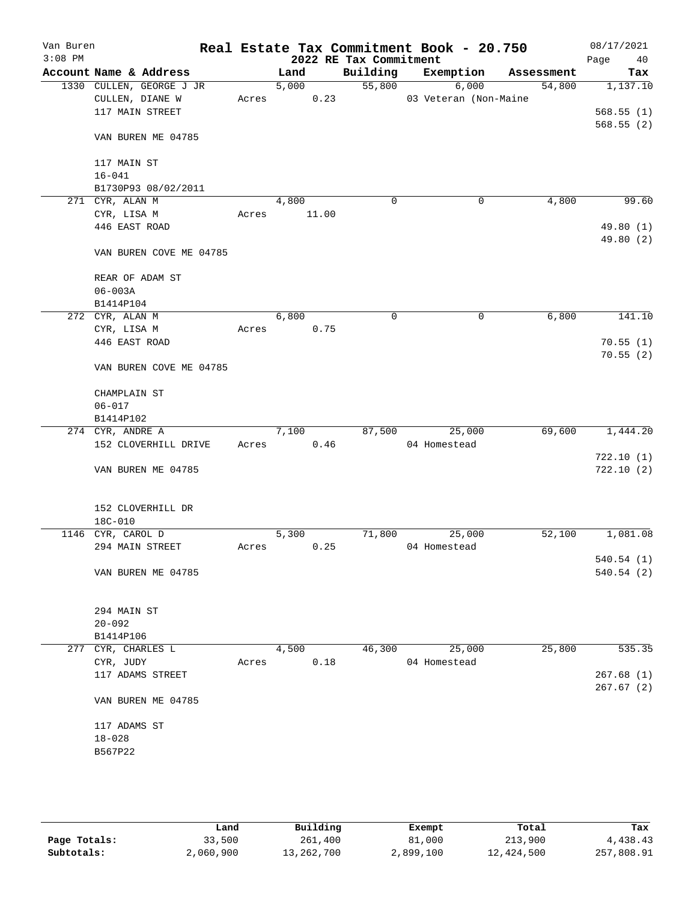| Van Buren<br>$3:08$ PM |                    |                          |       |       | 2022 RE Tax Commitment | Real Estate Tax Commitment Book - 20.750 |            | 08/17/2021<br>Page<br>40 |
|------------------------|--------------------|--------------------------|-------|-------|------------------------|------------------------------------------|------------|--------------------------|
|                        |                    | Account Name & Address   |       | Land  | Building               | Exemption                                | Assessment | Tax                      |
|                        |                    | 1330 CULLEN, GEORGE J JR |       | 5,000 | 55,800                 | 6,000                                    | 54,800     | 1,137.10                 |
|                        | CULLEN, DIANE W    |                          | Acres | 0.23  |                        | 03 Veteran (Non-Maine                    |            |                          |
|                        | 117 MAIN STREET    |                          |       |       |                        |                                          |            | 568.55(1)                |
|                        |                    |                          |       |       |                        |                                          |            | 568.55(2)                |
|                        |                    | VAN BUREN ME 04785       |       |       |                        |                                          |            |                          |
|                        | 117 MAIN ST        |                          |       |       |                        |                                          |            |                          |
|                        | $16 - 041$         |                          |       |       |                        |                                          |            |                          |
|                        |                    | B1730P93 08/02/2011      |       |       |                        |                                          |            |                          |
|                        | 271 CYR, ALAN M    |                          |       | 4,800 | $\mathbf 0$            | 0                                        | 4,800      | 99.60                    |
|                        | CYR, LISA M        |                          | Acres | 11.00 |                        |                                          |            |                          |
|                        | 446 EAST ROAD      |                          |       |       |                        |                                          |            | 49.80 (1)                |
|                        |                    |                          |       |       |                        |                                          |            | 49.80 (2)                |
|                        |                    | VAN BUREN COVE ME 04785  |       |       |                        |                                          |            |                          |
|                        | REAR OF ADAM ST    |                          |       |       |                        |                                          |            |                          |
|                        | $06 - 003A$        |                          |       |       |                        |                                          |            |                          |
|                        | B1414P104          |                          |       |       |                        |                                          |            |                          |
|                        | 272 CYR, ALAN M    |                          |       | 6,800 | 0                      | 0                                        | 6,800      | 141.10                   |
|                        |                    |                          | Acres | 0.75  |                        |                                          |            |                          |
|                        | CYR, LISA M        |                          |       |       |                        |                                          |            |                          |
|                        | 446 EAST ROAD      |                          |       |       |                        |                                          |            | 70.55(1)                 |
|                        |                    | VAN BUREN COVE ME 04785  |       |       |                        |                                          |            | 70.55(2)                 |
|                        | CHAMPLAIN ST       |                          |       |       |                        |                                          |            |                          |
|                        | $06 - 017$         |                          |       |       |                        |                                          |            |                          |
|                        |                    |                          |       |       |                        |                                          |            |                          |
|                        | B1414P102          |                          |       |       |                        |                                          |            |                          |
|                        | 274 CYR, ANDRE A   |                          |       | 7,100 | 87,500                 | 25,000                                   | 69,600     | 1,444.20                 |
|                        |                    | 152 CLOVERHILL DRIVE     | Acres | 0.46  |                        | 04 Homestead                             |            |                          |
|                        |                    |                          |       |       |                        |                                          |            | 722.10(1)                |
|                        |                    | VAN BUREN ME 04785       |       |       |                        |                                          |            | 722.10(2)                |
|                        |                    | 152 CLOVERHILL DR        |       |       |                        |                                          |            |                          |
|                        | 18C-010            |                          |       |       |                        |                                          |            |                          |
|                        | 1146 CYR, CAROL D  |                          |       | 5,300 | 71,800                 | 25,000                                   | 52,100     | 1,081.08                 |
|                        | 294 MAIN STREET    |                          | Acres | 0.25  |                        | 04 Homestead                             |            |                          |
|                        |                    |                          |       |       |                        |                                          |            | 540.54(1)                |
|                        |                    | VAN BUREN ME 04785       |       |       |                        |                                          |            | 540.54(2)                |
|                        | 294 MAIN ST        |                          |       |       |                        |                                          |            |                          |
|                        | $20 - 092$         |                          |       |       |                        |                                          |            |                          |
|                        | B1414P106          |                          |       |       |                        |                                          |            |                          |
|                        | 277 CYR, CHARLES L |                          |       | 4,500 | 46,300                 | 25,000                                   | 25,800     | 535.35                   |
|                        | CYR, JUDY          |                          | Acres | 0.18  |                        | 04 Homestead                             |            |                          |
|                        |                    |                          |       |       |                        |                                          |            |                          |
|                        |                    | 117 ADAMS STREET         |       |       |                        |                                          |            | 267.68(1)                |
|                        |                    | VAN BUREN ME 04785       |       |       |                        |                                          |            | 267.67(2)                |
|                        | 117 ADAMS ST       |                          |       |       |                        |                                          |            |                          |
|                        |                    |                          |       |       |                        |                                          |            |                          |
|                        | $18 - 028$         |                          |       |       |                        |                                          |            |                          |
|                        | B567P22            |                          |       |       |                        |                                          |            |                          |
|                        |                    |                          |       |       |                        |                                          |            |                          |
|                        |                    |                          |       |       |                        |                                          |            |                          |
|                        |                    |                          |       |       |                        |                                          |            |                          |

|              | Land      | Building   | Exempt    | Total      | Tax        |
|--------------|-----------|------------|-----------|------------|------------|
| Page Totals: | 33,500    | 261,400    | 81,000    | 213,900    | 4,438.43   |
| Subtotals:   | 2,060,900 | 13,262,700 | 2,899,100 | 12,424,500 | 257,808.91 |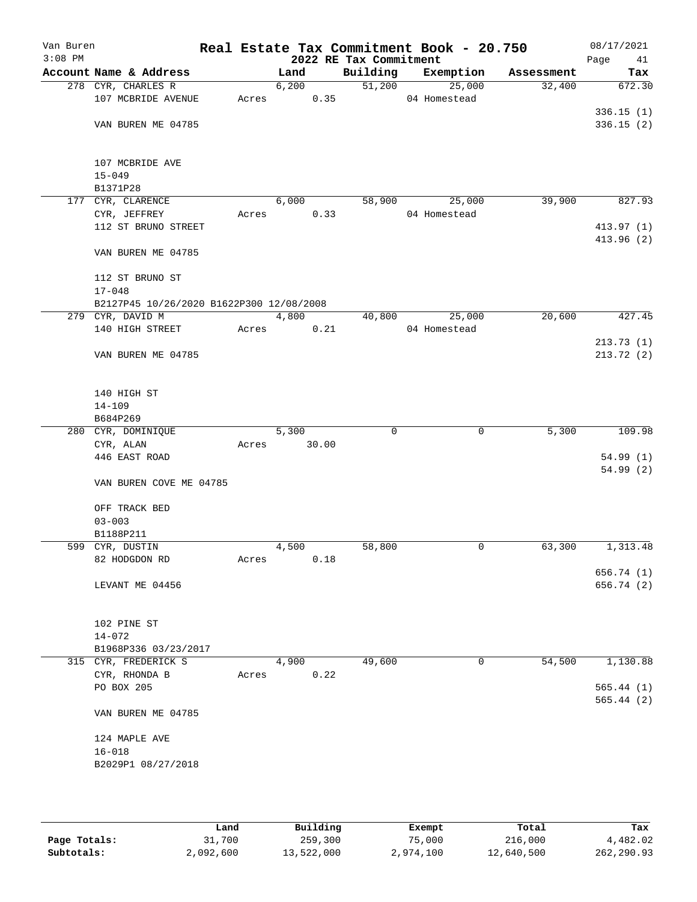| Van Buren<br>$3:08$ PM |                                          |       |       | 2022 RE Tax Commitment | Real Estate Tax Commitment Book - 20.750 |            | 08/17/2021<br>Page<br>41 |
|------------------------|------------------------------------------|-------|-------|------------------------|------------------------------------------|------------|--------------------------|
|                        | Account Name & Address                   |       | Land  | Building               | Exemption                                | Assessment | Tax                      |
|                        | 278 CYR, CHARLES R                       |       | 6,200 |                        | 51,200<br>25,000                         | 32,400     | 672.30                   |
|                        | 107 MCBRIDE AVENUE                       | Acres | 0.35  |                        | 04 Homestead                             |            |                          |
|                        |                                          |       |       |                        |                                          |            | 336.15(1)                |
|                        | VAN BUREN ME 04785                       |       |       |                        |                                          |            | 336.15(2)                |
|                        |                                          |       |       |                        |                                          |            |                          |
|                        |                                          |       |       |                        |                                          |            |                          |
|                        | 107 MCBRIDE AVE<br>$15 - 049$            |       |       |                        |                                          |            |                          |
|                        | B1371P28                                 |       |       |                        |                                          |            |                          |
|                        | 177 CYR, CLARENCE                        |       | 6,000 | 58,900                 | 25,000                                   | 39,900     | 827.93                   |
|                        | CYR, JEFFREY                             | Acres | 0.33  |                        | 04 Homestead                             |            |                          |
|                        | 112 ST BRUNO STREET                      |       |       |                        |                                          |            | 413.97 (1)               |
|                        |                                          |       |       |                        |                                          |            | 413.96 (2)               |
|                        | VAN BUREN ME 04785                       |       |       |                        |                                          |            |                          |
|                        | 112 ST BRUNO ST                          |       |       |                        |                                          |            |                          |
|                        | $17 - 048$                               |       |       |                        |                                          |            |                          |
|                        | B2127P45 10/26/2020 B1622P300 12/08/2008 |       |       |                        |                                          |            |                          |
|                        | 279 CYR, DAVID M                         |       | 4,800 | 40,800                 | 25,000                                   | 20,600     | 427.45                   |
|                        | 140 HIGH STREET                          | Acres | 0.21  |                        | 04 Homestead                             |            |                          |
|                        |                                          |       |       |                        |                                          |            | 213.73(1)                |
|                        | VAN BUREN ME 04785                       |       |       |                        |                                          |            | 213.72(2)                |
|                        | 140 HIGH ST                              |       |       |                        |                                          |            |                          |
|                        | $14 - 109$                               |       |       |                        |                                          |            |                          |
|                        | B684P269                                 |       |       |                        |                                          |            |                          |
|                        | 280 CYR, DOMINIQUE                       |       | 5,300 | 0                      | $\mathbf 0$                              | 5,300      | 109.98                   |
|                        | CYR, ALAN                                | Acres | 30.00 |                        |                                          |            |                          |
|                        | 446 EAST ROAD                            |       |       |                        |                                          |            | 54.99(1)                 |
|                        | VAN BUREN COVE ME 04785                  |       |       |                        |                                          |            | 54.99(2)                 |
|                        |                                          |       |       |                        |                                          |            |                          |
|                        | OFF TRACK BED                            |       |       |                        |                                          |            |                          |
|                        | $03 - 003$                               |       |       |                        |                                          |            |                          |
|                        | B1188P211<br>599 CYR, DUSTIN             |       | 4,500 | 58,800                 | 0                                        | 63,300     | 1,313.48                 |
|                        | 82 HODGDON RD                            | Acres | 0.18  |                        |                                          |            |                          |
|                        |                                          |       |       |                        |                                          |            | 656.74 (1)               |
|                        | LEVANT ME 04456                          |       |       |                        |                                          |            | 656.74 (2)               |
|                        |                                          |       |       |                        |                                          |            |                          |
|                        | 102 PINE ST                              |       |       |                        |                                          |            |                          |
|                        | 14-072<br>B1968P336 03/23/2017           |       |       |                        |                                          |            |                          |
|                        | 315 CYR, FREDERICK S                     |       | 4,900 | 49,600                 | 0                                        | 54,500     | 1,130.88                 |
|                        | CYR, RHONDA B                            | Acres | 0.22  |                        |                                          |            |                          |
|                        | PO BOX 205                               |       |       |                        |                                          |            | 565.44(1)                |
|                        |                                          |       |       |                        |                                          |            | 565.44(2)                |
|                        | VAN BUREN ME 04785                       |       |       |                        |                                          |            |                          |
|                        | 124 MAPLE AVE                            |       |       |                        |                                          |            |                          |
|                        | $16 - 018$                               |       |       |                        |                                          |            |                          |
|                        | B2029P1 08/27/2018                       |       |       |                        |                                          |            |                          |
|                        |                                          |       |       |                        |                                          |            |                          |
|                        |                                          |       |       |                        |                                          |            |                          |

|              | Land      | Building   | Exempt    | Total      | Tax        |
|--------------|-----------|------------|-----------|------------|------------|
| Page Totals: | 31,700    | 259,300    | 75,000    | 216,000    | 4,482.02   |
| Subtotals:   | 2,092,600 | 13,522,000 | 2,974,100 | 12,640,500 | 262,290.93 |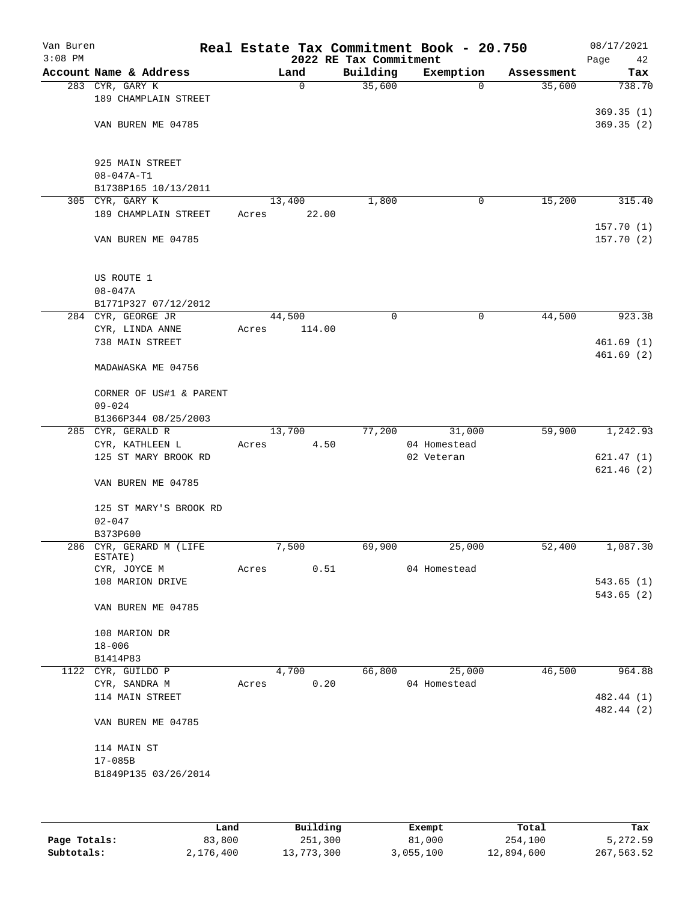| Van Buren<br>$3:08$ PM |                                     |       |        | 2022 RE Tax Commitment | Real Estate Tax Commitment Book - 20.750 |            | 08/17/2021<br>Page<br>42 |
|------------------------|-------------------------------------|-------|--------|------------------------|------------------------------------------|------------|--------------------------|
|                        | Account Name & Address              |       | Land   | Building               | Exemption                                | Assessment | Tax                      |
|                        | 283 CYR, GARY K                     |       | 0      | 35,600                 | 0                                        | 35,600     | 738.70                   |
|                        | 189 CHAMPLAIN STREET                |       |        |                        |                                          |            |                          |
|                        |                                     |       |        |                        |                                          |            | 369.35(1)                |
|                        | VAN BUREN ME 04785                  |       |        |                        |                                          |            | 369.35(2)                |
|                        |                                     |       |        |                        |                                          |            |                          |
|                        |                                     |       |        |                        |                                          |            |                          |
|                        | 925 MAIN STREET<br>$08 - 047A - T1$ |       |        |                        |                                          |            |                          |
|                        | B1738P165 10/13/2011                |       |        |                        |                                          |            |                          |
|                        | 305 CYR, GARY K                     |       | 13,400 | 1,800                  | 0                                        | 15,200     | 315.40                   |
|                        | 189 CHAMPLAIN STREET                | Acres | 22.00  |                        |                                          |            |                          |
|                        |                                     |       |        |                        |                                          |            | 157.70(1)                |
|                        | VAN BUREN ME 04785                  |       |        |                        |                                          |            | 157.70(2)                |
|                        |                                     |       |        |                        |                                          |            |                          |
|                        |                                     |       |        |                        |                                          |            |                          |
|                        | US ROUTE 1                          |       |        |                        |                                          |            |                          |
|                        | $08 - 047A$                         |       |        |                        |                                          |            |                          |
|                        | B1771P327 07/12/2012                |       |        |                        |                                          |            |                          |
|                        | 284 CYR, GEORGE JR                  |       | 44,500 | 0                      | 0                                        | 44,500     | 923.38                   |
|                        | CYR, LINDA ANNE                     | Acres | 114.00 |                        |                                          |            |                          |
|                        | 738 MAIN STREET                     |       |        |                        |                                          |            | 461.69(1)                |
|                        |                                     |       |        |                        |                                          |            | 461.69(2)                |
|                        | MADAWASKA ME 04756                  |       |        |                        |                                          |            |                          |
|                        | CORNER OF US#1 & PARENT             |       |        |                        |                                          |            |                          |
|                        | $09 - 024$                          |       |        |                        |                                          |            |                          |
|                        | B1366P344 08/25/2003                |       |        |                        |                                          |            |                          |
|                        | 285 CYR, GERALD R                   |       | 13,700 | 77,200                 | 31,000                                   | 59,900     | 1,242.93                 |
|                        | CYR, KATHLEEN L                     | Acres | 4.50   |                        | 04 Homestead                             |            |                          |
|                        | 125 ST MARY BROOK RD                |       |        |                        | 02 Veteran                               |            | 621.47(1)                |
|                        |                                     |       |        |                        |                                          |            | 621.46(2)                |
|                        | VAN BUREN ME 04785                  |       |        |                        |                                          |            |                          |
|                        |                                     |       |        |                        |                                          |            |                          |
|                        | 125 ST MARY'S BROOK RD              |       |        |                        |                                          |            |                          |
|                        | $02 - 047$                          |       |        |                        |                                          |            |                          |
|                        | B373P600                            |       |        |                        |                                          |            |                          |
|                        | 286 CYR, GERARD M (LIFE<br>ESTATE)  |       | 7,500  | 69,900                 | 25,000                                   | 52,400     | 1,087.30                 |
|                        | CYR, JOYCE M                        | Acres | 0.51   |                        | 04 Homestead                             |            |                          |
|                        | 108 MARION DRIVE                    |       |        |                        |                                          |            | 543.65(1)                |
|                        |                                     |       |        |                        |                                          |            | 543.65(2)                |
|                        | VAN BUREN ME 04785                  |       |        |                        |                                          |            |                          |
|                        |                                     |       |        |                        |                                          |            |                          |
|                        | 108 MARION DR                       |       |        |                        |                                          |            |                          |
|                        | $18 - 006$                          |       |        |                        |                                          |            |                          |
|                        | B1414P83                            |       |        |                        |                                          |            |                          |
|                        | 1122 CYR, GUILDO P                  |       | 4,700  | 66,800                 | 25,000                                   | 46,500     | 964.88                   |
|                        | CYR, SANDRA M                       | Acres | 0.20   |                        | 04 Homestead                             |            |                          |
|                        | 114 MAIN STREET                     |       |        |                        |                                          |            | 482.44 (1)               |
|                        |                                     |       |        |                        |                                          |            | 482.44 (2)               |
|                        | VAN BUREN ME 04785                  |       |        |                        |                                          |            |                          |
|                        | 114 MAIN ST                         |       |        |                        |                                          |            |                          |
|                        | 17-085B                             |       |        |                        |                                          |            |                          |
|                        | B1849P135 03/26/2014                |       |        |                        |                                          |            |                          |
|                        |                                     |       |        |                        |                                          |            |                          |
|                        |                                     |       |        |                        |                                          |            |                          |
|                        |                                     |       |        |                        |                                          |            |                          |

|              | Land      | Building   | Exempt    | Total      | Tax        |
|--------------|-----------|------------|-----------|------------|------------|
| Page Totals: | 83,800    | 251,300    | 81,000    | 254,100    | 5,272.59   |
| Subtotals:   | 2,176,400 | 13,773,300 | 3,055,100 | 12,894,600 | 267,563.52 |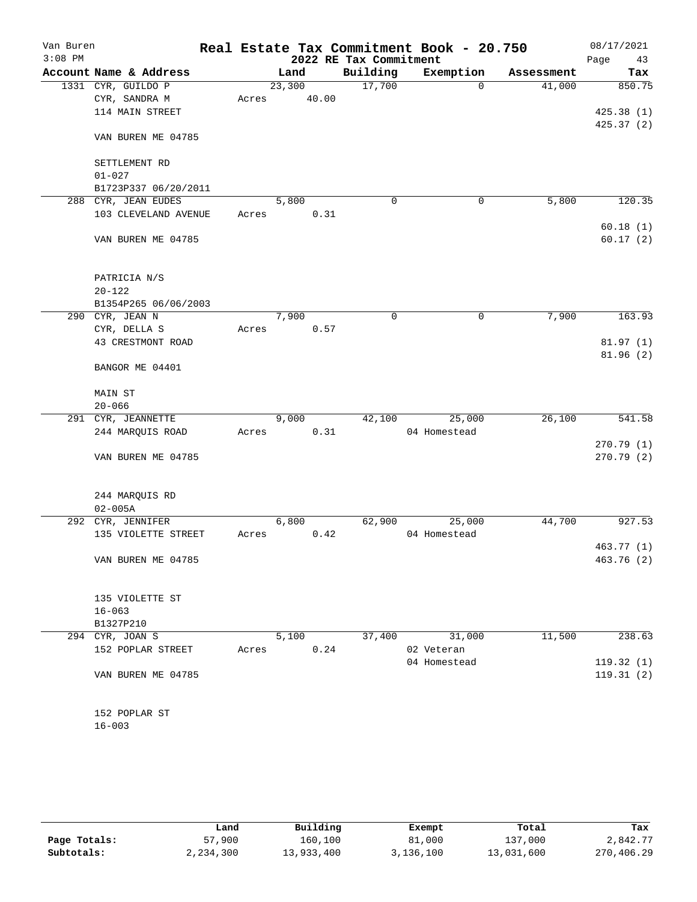| Van Buren<br>$3:08$ PM |                        |       |        | 2022 RE Tax Commitment | Real Estate Tax Commitment Book - 20.750 |            | 08/17/2021<br>Page<br>43 |
|------------------------|------------------------|-------|--------|------------------------|------------------------------------------|------------|--------------------------|
|                        | Account Name & Address |       | Land   | Building               | Exemption                                | Assessment | Tax                      |
|                        | 1331 CYR, GUILDO P     |       | 23,300 | 17,700                 | $\Omega$                                 | 41,000     | 850.75                   |
|                        | CYR, SANDRA M          | Acres | 40.00  |                        |                                          |            |                          |
|                        | 114 MAIN STREET        |       |        |                        |                                          |            | 425.38(1)                |
|                        |                        |       |        |                        |                                          |            | 425.37(2)                |
|                        | VAN BUREN ME 04785     |       |        |                        |                                          |            |                          |
|                        |                        |       |        |                        |                                          |            |                          |
|                        | SETTLEMENT RD          |       |        |                        |                                          |            |                          |
|                        | $01 - 027$             |       |        |                        |                                          |            |                          |
|                        | B1723P337 06/20/2011   |       |        |                        |                                          |            |                          |
| 288                    | CYR, JEAN EUDES        |       | 5,800  | 0                      | 0                                        | 5,800      | 120.35                   |
|                        | 103 CLEVELAND AVENUE   | Acres | 0.31   |                        |                                          |            |                          |
|                        |                        |       |        |                        |                                          |            | 60.18(1)                 |
|                        | VAN BUREN ME 04785     |       |        |                        |                                          |            | 60.17(2)                 |
|                        |                        |       |        |                        |                                          |            |                          |
|                        |                        |       |        |                        |                                          |            |                          |
|                        | PATRICIA N/S           |       |        |                        |                                          |            |                          |
|                        | $20 - 122$             |       |        |                        |                                          |            |                          |
|                        | B1354P265 06/06/2003   |       |        |                        |                                          |            |                          |
|                        | 290 CYR, JEAN N        |       | 7,900  | $\mathbf 0$            | 0                                        | 7,900      | 163.93                   |
|                        | CYR, DELLA S           | Acres | 0.57   |                        |                                          |            |                          |
|                        | 43 CRESTMONT ROAD      |       |        |                        |                                          |            | 81.97(1)                 |
|                        |                        |       |        |                        |                                          |            | 81.96(2)                 |
|                        | BANGOR ME 04401        |       |        |                        |                                          |            |                          |
|                        |                        |       |        |                        |                                          |            |                          |
|                        | MAIN ST                |       |        |                        |                                          |            |                          |
|                        | $20 - 066$             |       |        |                        |                                          |            |                          |
|                        | 291 CYR, JEANNETTE     |       | 9,000  | 42,100                 | 25,000                                   | 26,100     | 541.58                   |
|                        | 244 MARQUIS ROAD       | Acres | 0.31   |                        | 04 Homestead                             |            |                          |
|                        |                        |       |        |                        |                                          |            | 270.79(1)                |
|                        | VAN BUREN ME 04785     |       |        |                        |                                          |            | 270.79(2)                |
|                        |                        |       |        |                        |                                          |            |                          |
|                        |                        |       |        |                        |                                          |            |                          |
|                        | 244 MARQUIS RD         |       |        |                        |                                          |            |                          |
|                        | $02 - 005A$            |       |        |                        |                                          |            |                          |
|                        | 292 CYR, JENNIFER      |       | 6,800  | 62,900                 | 25,000                                   | 44,700     | 927.53                   |
|                        | 135 VIOLETTE STREET    | Acres | 0.42   |                        | 04 Homestead                             |            |                          |
|                        |                        |       |        |                        |                                          |            | 463.77 (1)               |
|                        | VAN BUREN ME 04785     |       |        |                        |                                          |            | 463.76 (2)               |
|                        |                        |       |        |                        |                                          |            |                          |
|                        |                        |       |        |                        |                                          |            |                          |
|                        | 135 VIOLETTE ST        |       |        |                        |                                          |            |                          |
|                        | $16 - 063$             |       |        |                        |                                          |            |                          |
|                        | B1327P210              |       |        |                        |                                          |            |                          |
|                        | 294 CYR, JOAN S        |       | 5,100  | 37,400                 | 31,000                                   | 11,500     | 238.63                   |
|                        | 152 POPLAR STREET      | Acres | 0.24   |                        | 02 Veteran                               |            |                          |
|                        |                        |       |        |                        | 04 Homestead                             |            | 119.32(1)                |
|                        | VAN BUREN ME 04785     |       |        |                        |                                          |            | 119.31(2)                |
|                        |                        |       |        |                        |                                          |            |                          |
|                        |                        |       |        |                        |                                          |            |                          |
|                        | 152 POPLAR ST          |       |        |                        |                                          |            |                          |
|                        | $16 - 003$             |       |        |                        |                                          |            |                          |
|                        |                        |       |        |                        |                                          |            |                          |

|              | Land      | Building   | Exempt    | Total      | Tax        |
|--------------|-----------|------------|-----------|------------|------------|
| Page Totals: | 57,900    | 160,100    | 81,000    | 137,000    | 2,842.77   |
| Subtotals:   | 2,234,300 | 13,933,400 | 3,136,100 | 13,031,600 | 270,406.29 |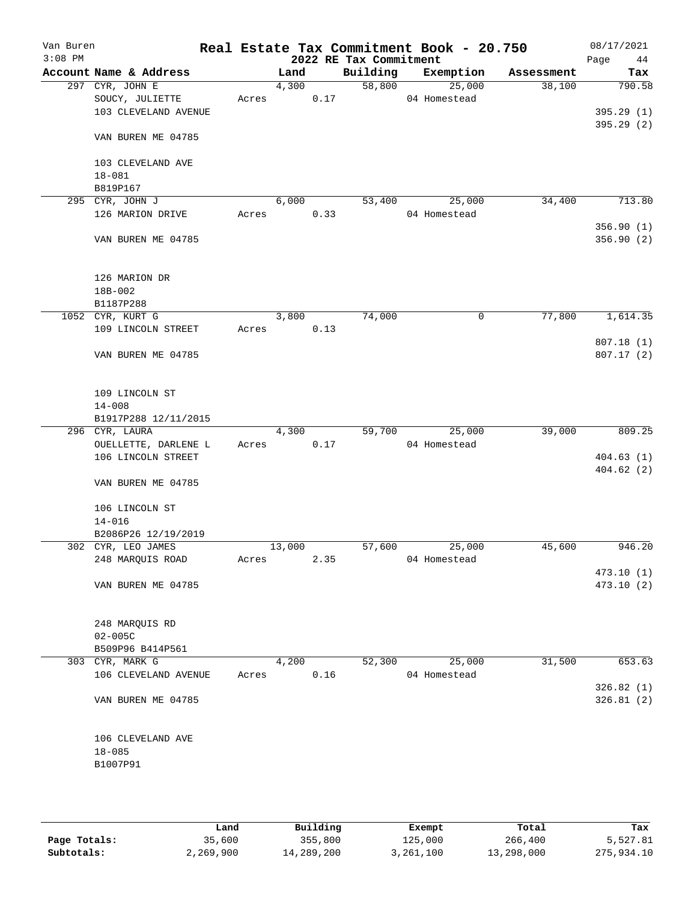| Van Buren<br>$3:08$ PM |                             |       |        |      | 2022 RE Tax Commitment | Real Estate Tax Commitment Book - 20.750 |            | 08/17/2021<br>Page<br>44 |
|------------------------|-----------------------------|-------|--------|------|------------------------|------------------------------------------|------------|--------------------------|
|                        | Account Name & Address      |       | Land   |      | Building               | Exemption                                | Assessment | Tax                      |
|                        | 297 CYR, JOHN E             |       | 4,300  |      | 58,800                 | 25,000                                   | 38,100     | 790.58                   |
|                        | SOUCY, JULIETTE             | Acres |        | 0.17 |                        | 04 Homestead                             |            |                          |
|                        | 103 CLEVELAND AVENUE        |       |        |      |                        |                                          |            | 395.29(1)                |
|                        | VAN BUREN ME 04785          |       |        |      |                        |                                          |            | 395.29(2)                |
|                        |                             |       |        |      |                        |                                          |            |                          |
|                        | 103 CLEVELAND AVE           |       |        |      |                        |                                          |            |                          |
|                        | $18 - 081$                  |       |        |      |                        |                                          |            |                          |
|                        | B819P167<br>295 CYR, JOHN J |       | 6,000  |      | 53,400                 | 25,000                                   | 34,400     | 713.80                   |
|                        | 126 MARION DRIVE            | Acres |        | 0.33 |                        | 04 Homestead                             |            |                          |
|                        |                             |       |        |      |                        |                                          |            | 356.90(1)                |
|                        | VAN BUREN ME 04785          |       |        |      |                        |                                          |            | 356.90(2)                |
|                        |                             |       |        |      |                        |                                          |            |                          |
|                        | 126 MARION DR               |       |        |      |                        |                                          |            |                          |
|                        | 18B-002                     |       |        |      |                        |                                          |            |                          |
|                        | B1187P288                   |       |        |      |                        |                                          |            |                          |
|                        | 1052 CYR, KURT G            |       | 3,800  |      | 74,000                 | 0                                        | 77,800     | 1,614.35                 |
|                        | 109 LINCOLN STREET          | Acres |        | 0.13 |                        |                                          |            |                          |
|                        |                             |       |        |      |                        |                                          |            | 807.18(1)                |
|                        | VAN BUREN ME 04785          |       |        |      |                        |                                          |            | 807.17 (2)               |
|                        |                             |       |        |      |                        |                                          |            |                          |
|                        | 109 LINCOLN ST              |       |        |      |                        |                                          |            |                          |
|                        | $14 - 008$                  |       |        |      |                        |                                          |            |                          |
|                        | B1917P288 12/11/2015        |       |        |      |                        |                                          |            |                          |
|                        | 296 CYR, LAURA              |       | 4,300  |      | 59,700                 | 25,000                                   | 39,000     | 809.25                   |
|                        | OUELLETTE, DARLENE L        | Acres |        | 0.17 |                        | 04 Homestead                             |            |                          |
|                        | 106 LINCOLN STREET          |       |        |      |                        |                                          |            | 404.63(1)                |
|                        |                             |       |        |      |                        |                                          |            | 404.62(2)                |
|                        | VAN BUREN ME 04785          |       |        |      |                        |                                          |            |                          |
|                        | 106 LINCOLN ST              |       |        |      |                        |                                          |            |                          |
|                        | $14 - 016$                  |       |        |      |                        |                                          |            |                          |
|                        | B2086P26 12/19/2019         |       |        |      |                        |                                          |            |                          |
|                        | 302 CYR, LEO JAMES          |       | 13,000 |      | 57,600                 | 25,000<br>04 Homestead                   | 45,600     | 946.20                   |
|                        | 248 MARQUIS ROAD            | Acres |        | 2.35 |                        |                                          |            | 473.10(1)                |
|                        | VAN BUREN ME 04785          |       |        |      |                        |                                          |            | 473.10(2)                |
|                        |                             |       |        |      |                        |                                          |            |                          |
|                        | 248 MARQUIS RD              |       |        |      |                        |                                          |            |                          |
|                        | $02 - 005C$                 |       |        |      |                        |                                          |            |                          |
|                        | B509P96 B414P561            |       |        |      |                        |                                          |            |                          |
|                        | 303 CYR, MARK G             |       | 4,200  |      | 52,300                 | 25,000                                   | 31,500     | 653.63                   |
|                        | 106 CLEVELAND AVENUE        | Acres |        | 0.16 |                        | 04 Homestead                             |            |                          |
|                        |                             |       |        |      |                        |                                          |            | 326.82(1)                |
|                        | VAN BUREN ME 04785          |       |        |      |                        |                                          |            | 326.81(2)                |
|                        |                             |       |        |      |                        |                                          |            |                          |
|                        | 106 CLEVELAND AVE           |       |        |      |                        |                                          |            |                          |
|                        | $18 - 085$                  |       |        |      |                        |                                          |            |                          |
|                        | B1007P91                    |       |        |      |                        |                                          |            |                          |
|                        |                             |       |        |      |                        |                                          |            |                          |
|                        |                             |       |        |      |                        |                                          |            |                          |

|              | Land      | Building   | Exempt    | Total      | Tax        |
|--------------|-----------|------------|-----------|------------|------------|
| Page Totals: | 35,600    | 355,800    | 125,000   | 266,400    | 5,527.81   |
| Subtotals:   | 2,269,900 | 14,289,200 | 3,261,100 | 13,298,000 | 275,934.10 |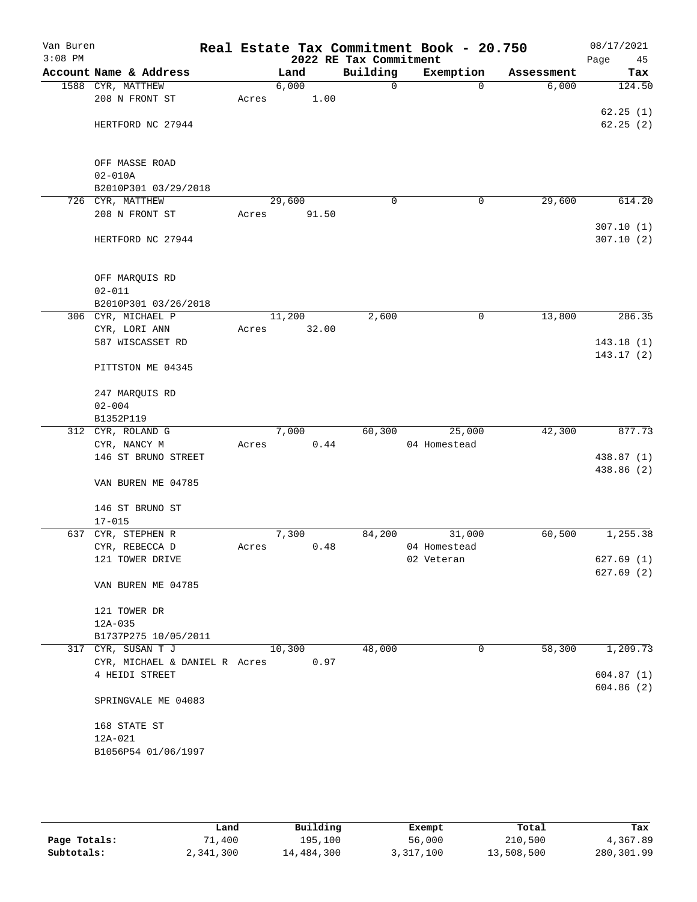| Van Buren<br>$3:08$ PM |                                                 |       |        | 2022 RE Tax Commitment | Real Estate Tax Commitment Book - 20.750 |            | 08/17/2021<br>Page<br>45 |
|------------------------|-------------------------------------------------|-------|--------|------------------------|------------------------------------------|------------|--------------------------|
|                        | Account Name & Address                          |       | Land   | Building               | Exemption                                | Assessment | Tax                      |
|                        | 1588 CYR, MATTHEW                               |       | 6,000  | $\mathsf{O}$           | $\Omega$                                 | 6,000      | 124.50                   |
|                        | 208 N FRONT ST                                  | Acres | 1.00   |                        |                                          |            |                          |
|                        |                                                 |       |        |                        |                                          |            | 62.25(1)                 |
|                        | HERTFORD NC 27944                               |       |        |                        |                                          |            | 62.25(2)                 |
|                        |                                                 |       |        |                        |                                          |            |                          |
|                        |                                                 |       |        |                        |                                          |            |                          |
|                        | OFF MASSE ROAD                                  |       |        |                        |                                          |            |                          |
|                        | $02 - 010A$                                     |       |        |                        |                                          |            |                          |
|                        | B2010P301 03/29/2018<br>726 CYR, MATTHEW        |       | 29,600 | 0                      | 0                                        | 29,600     | 614.20                   |
|                        | 208 N FRONT ST                                  | Acres | 91.50  |                        |                                          |            |                          |
|                        |                                                 |       |        |                        |                                          |            | 307.10(1)                |
|                        | HERTFORD NC 27944                               |       |        |                        |                                          |            | 307.10(2)                |
|                        |                                                 |       |        |                        |                                          |            |                          |
|                        |                                                 |       |        |                        |                                          |            |                          |
|                        | OFF MARQUIS RD                                  |       |        |                        |                                          |            |                          |
|                        | $02 - 011$                                      |       |        |                        |                                          |            |                          |
|                        | B2010P301 03/26/2018                            |       |        |                        |                                          |            |                          |
|                        | 306 CYR, MICHAEL P                              |       | 11,200 | 2,600                  | 0                                        | 13,800     | 286.35                   |
|                        | CYR, LORI ANN                                   | Acres | 32.00  |                        |                                          |            |                          |
|                        | 587 WISCASSET RD                                |       |        |                        |                                          |            | 143.18(1)                |
|                        | PITTSTON ME 04345                               |       |        |                        |                                          |            | 143.17(2)                |
|                        |                                                 |       |        |                        |                                          |            |                          |
|                        | 247 MARQUIS RD                                  |       |        |                        |                                          |            |                          |
|                        | $02 - 004$                                      |       |        |                        |                                          |            |                          |
|                        | B1352P119                                       |       |        |                        |                                          |            |                          |
|                        | 312 CYR, ROLAND G                               |       | 7,000  | 60,300                 | 25,000                                   | 42,300     | 877.73                   |
|                        | CYR, NANCY M                                    | Acres | 0.44   |                        | 04 Homestead                             |            |                          |
|                        | 146 ST BRUNO STREET                             |       |        |                        |                                          |            | 438.87 (1)               |
|                        |                                                 |       |        |                        |                                          |            | 438.86 (2)               |
|                        | VAN BUREN ME 04785                              |       |        |                        |                                          |            |                          |
|                        |                                                 |       |        |                        |                                          |            |                          |
|                        | 146 ST BRUNO ST<br>$17 - 015$                   |       |        |                        |                                          |            |                          |
|                        | 637 CYR, STEPHEN R                              |       | 7,300  | 84,200                 | 31,000                                   | 60,500     | 1,255.38                 |
|                        | CYR, REBECCA D                                  | Acres | 0.48   |                        | 04 Homestead                             |            |                          |
|                        | 121 TOWER DRIVE                                 |       |        |                        | 02 Veteran                               |            | 627.69(1)                |
|                        |                                                 |       |        |                        |                                          |            | 627.69(2)                |
|                        | VAN BUREN ME 04785                              |       |        |                        |                                          |            |                          |
|                        |                                                 |       |        |                        |                                          |            |                          |
|                        | 121 TOWER DR                                    |       |        |                        |                                          |            |                          |
|                        | $12A-035$                                       |       |        |                        |                                          |            |                          |
|                        | B1737P275 10/05/2011                            |       |        |                        |                                          |            |                          |
|                        | 317 CYR, SUSAN T J                              |       | 10,300 | 48,000                 | $\mathbf{0}$                             | 58,300     | 1, 209.73                |
|                        | CYR, MICHAEL & DANIEL R Acres<br>4 HEIDI STREET |       | 0.97   |                        |                                          |            | 604.87(1)                |
|                        |                                                 |       |        |                        |                                          |            | 604.86(2)                |
|                        | SPRINGVALE ME 04083                             |       |        |                        |                                          |            |                          |
|                        |                                                 |       |        |                        |                                          |            |                          |
|                        | 168 STATE ST                                    |       |        |                        |                                          |            |                          |
|                        | 12A-021                                         |       |        |                        |                                          |            |                          |
|                        | B1056P54 01/06/1997                             |       |        |                        |                                          |            |                          |
|                        |                                                 |       |        |                        |                                          |            |                          |
|                        |                                                 |       |        |                        |                                          |            |                          |

|              | Land      | Building   | Exempt    | Total      | Tax        |
|--------------|-----------|------------|-----------|------------|------------|
| Page Totals: | 71,400    | 195,100    | 56,000    | 210,500    | 4,367.89   |
| Subtotals:   | 2,341,300 | 14,484,300 | 3,317,100 | 13,508,500 | 280,301.99 |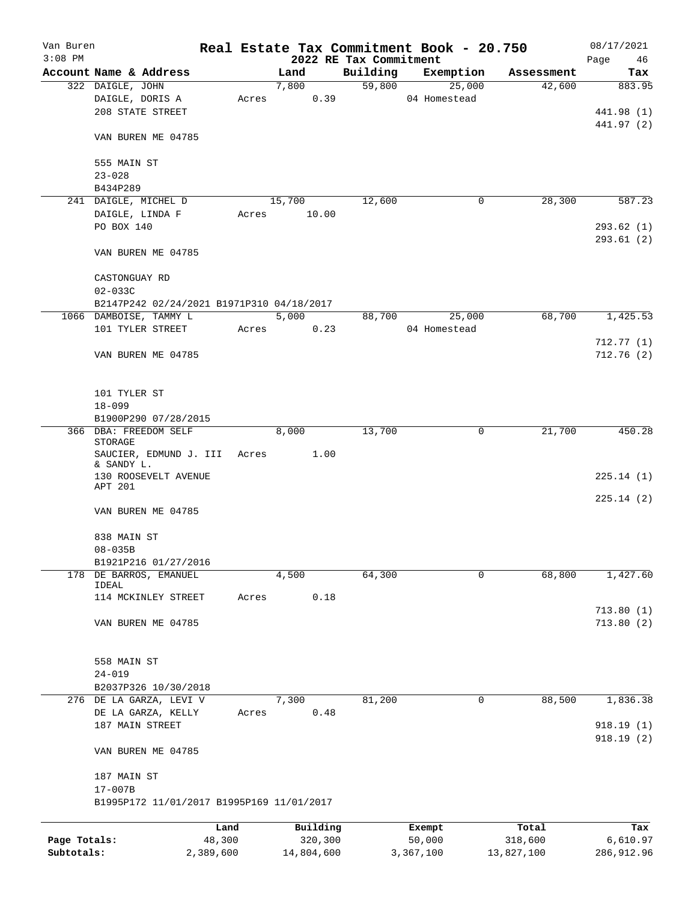| Van Buren    |                                           |           |       |            |                                    | Real Estate Tax Commitment Book - 20.750 |                      | 08/17/2021    |
|--------------|-------------------------------------------|-----------|-------|------------|------------------------------------|------------------------------------------|----------------------|---------------|
| $3:08$ PM    | Account Name & Address                    |           |       | Land       | 2022 RE Tax Commitment<br>Building |                                          |                      | Page<br>46    |
|              | 322 DAIGLE, JOHN                          |           |       | 7,800      | 59,800                             | Exemption<br>25,000                      | Assessment<br>42,600 | Tax<br>883.95 |
|              | DAIGLE, DORIS A                           |           | Acres | 0.39       |                                    | 04 Homestead                             |                      |               |
|              | 208 STATE STREET                          |           |       |            |                                    |                                          |                      | 441.98 (1)    |
|              |                                           |           |       |            |                                    |                                          |                      | 441.97 (2)    |
|              |                                           |           |       |            |                                    |                                          |                      |               |
|              | VAN BUREN ME 04785                        |           |       |            |                                    |                                          |                      |               |
|              |                                           |           |       |            |                                    |                                          |                      |               |
|              | 555 MAIN ST                               |           |       |            |                                    |                                          |                      |               |
|              | $23 - 028$                                |           |       |            |                                    |                                          |                      |               |
|              | B434P289                                  |           |       |            |                                    |                                          |                      |               |
|              | 241 DAIGLE, MICHEL D                      |           |       | 15,700     | 12,600                             | $\mathbf 0$                              | 28,300               | 587.23        |
|              | DAIGLE, LINDA F                           |           | Acres | 10.00      |                                    |                                          |                      |               |
|              | PO BOX 140                                |           |       |            |                                    |                                          |                      | 293.62(1)     |
|              |                                           |           |       |            |                                    |                                          |                      | 293.61(2)     |
|              | VAN BUREN ME 04785                        |           |       |            |                                    |                                          |                      |               |
|              |                                           |           |       |            |                                    |                                          |                      |               |
|              | CASTONGUAY RD                             |           |       |            |                                    |                                          |                      |               |
|              | $02 - 033C$                               |           |       |            |                                    |                                          |                      |               |
|              | B2147P242 02/24/2021 B1971P310 04/18/2017 |           |       |            |                                    |                                          |                      |               |
|              | 1066 DAMBOISE, TAMMY L                    |           |       | 5,000      | 88,700                             | 25,000                                   | 68,700               | 1,425.53      |
|              | 101 TYLER STREET                          |           | Acres | 0.23       |                                    | 04 Homestead                             |                      |               |
|              |                                           |           |       |            |                                    |                                          |                      | 712.77(1)     |
|              | VAN BUREN ME 04785                        |           |       |            |                                    |                                          |                      | 712.76(2)     |
|              |                                           |           |       |            |                                    |                                          |                      |               |
|              |                                           |           |       |            |                                    |                                          |                      |               |
|              | 101 TYLER ST                              |           |       |            |                                    |                                          |                      |               |
|              | $18 - 099$                                |           |       |            |                                    |                                          |                      |               |
|              | B1900P290 07/28/2015                      |           |       |            |                                    |                                          |                      |               |
|              | 366 DBA: FREEDOM SELF                     |           |       | 8,000      | 13,700                             | 0                                        | 21,700               | 450.28        |
|              | STORAGE                                   |           |       |            |                                    |                                          |                      |               |
|              | SAUCIER, EDMUND J. III                    |           | Acres | 1.00       |                                    |                                          |                      |               |
|              | & SANDY L.                                |           |       |            |                                    |                                          |                      |               |
|              | 130 ROOSEVELT AVENUE                      |           |       |            |                                    |                                          |                      | 225.14(1)     |
|              | APT 201                                   |           |       |            |                                    |                                          |                      |               |
|              |                                           |           |       |            |                                    |                                          |                      | 225.14(2)     |
|              | VAN BUREN ME 04785                        |           |       |            |                                    |                                          |                      |               |
|              |                                           |           |       |            |                                    |                                          |                      |               |
|              | 838 MAIN ST                               |           |       |            |                                    |                                          |                      |               |
|              | $08 - 035B$                               |           |       |            |                                    |                                          |                      |               |
|              | B1921P216 01/27/2016                      |           |       |            |                                    |                                          |                      |               |
|              | 178 DE BARROS, EMANUEL                    |           |       | 4,500      | 64,300                             | 0                                        | 68,800               | 1,427.60      |
|              | IDEAL                                     |           |       |            |                                    |                                          |                      |               |
|              | 114 MCKINLEY STREET                       |           | Acres | 0.18       |                                    |                                          |                      |               |
|              |                                           |           |       |            |                                    |                                          |                      | 713.80(1)     |
|              | VAN BUREN ME 04785                        |           |       |            |                                    |                                          |                      | 713.80(2)     |
|              |                                           |           |       |            |                                    |                                          |                      |               |
|              |                                           |           |       |            |                                    |                                          |                      |               |
|              | 558 MAIN ST                               |           |       |            |                                    |                                          |                      |               |
|              | $24 - 019$                                |           |       |            |                                    |                                          |                      |               |
|              | B2037P326 10/30/2018                      |           |       |            |                                    |                                          |                      |               |
|              | 276 DE LA GARZA, LEVI V                   |           |       | 7,300      | 81,200                             | 0                                        | 88,500               | 1,836.38      |
|              | DE LA GARZA, KELLY                        |           | Acres | 0.48       |                                    |                                          |                      |               |
|              | 187 MAIN STREET                           |           |       |            |                                    |                                          |                      | 918.19 (1)    |
|              |                                           |           |       |            |                                    |                                          |                      | 918.19(2)     |
|              | VAN BUREN ME 04785                        |           |       |            |                                    |                                          |                      |               |
|              |                                           |           |       |            |                                    |                                          |                      |               |
|              | 187 MAIN ST                               |           |       |            |                                    |                                          |                      |               |
|              | $17 - 007B$                               |           |       |            |                                    |                                          |                      |               |
|              | B1995P172 11/01/2017 B1995P169 11/01/2017 |           |       |            |                                    |                                          |                      |               |
|              |                                           |           |       |            |                                    |                                          |                      |               |
|              |                                           | Land      |       | Building   |                                    | Exempt                                   | Total                | Tax           |
| Page Totals: |                                           | 48,300    |       | 320,300    |                                    | 50,000                                   | 318,600              | 6,610.97      |
| Subtotals:   |                                           | 2,389,600 |       | 14,804,600 |                                    | 3,367,100                                | 13,827,100           | 286, 912.96   |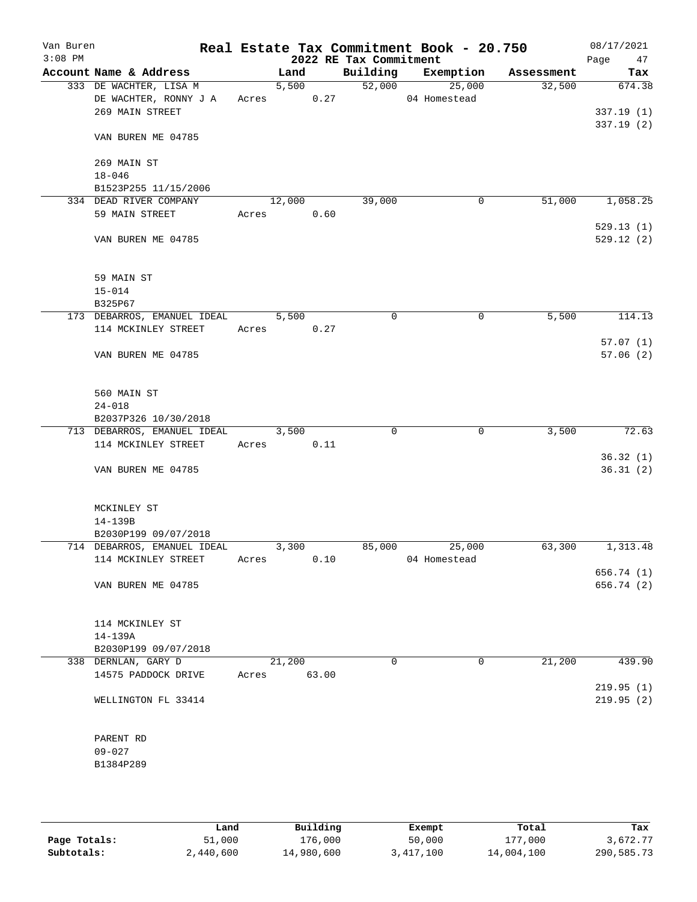| Van Buren<br>$3:08$ PM |                                    |       |        |       | 2022 RE Tax Commitment | Real Estate Tax Commitment Book - 20.750 |            | 08/17/2021<br>Page<br>47 |
|------------------------|------------------------------------|-------|--------|-------|------------------------|------------------------------------------|------------|--------------------------|
|                        | Account Name & Address             |       | Land   |       | Building               | Exemption                                | Assessment | Tax                      |
|                        | 333 DE WACHTER, LISA M             |       | 5,500  |       |                        | 52,000<br>25,000                         | 32,500     | 674.38                   |
|                        | DE WACHTER, RONNY J A              | Acres |        | 0.27  |                        | 04 Homestead                             |            |                          |
|                        | 269 MAIN STREET                    |       |        |       |                        |                                          |            | 337.19(1)                |
|                        | VAN BUREN ME 04785                 |       |        |       |                        |                                          |            | 337.19(2)                |
|                        |                                    |       |        |       |                        |                                          |            |                          |
|                        | 269 MAIN ST                        |       |        |       |                        |                                          |            |                          |
|                        | $18 - 046$<br>B1523P255 11/15/2006 |       |        |       |                        |                                          |            |                          |
|                        | 334 DEAD RIVER COMPANY             |       | 12,000 |       | 39,000                 | 0                                        | 51,000     | 1,058.25                 |
|                        | 59 MAIN STREET                     | Acres |        | 0.60  |                        |                                          |            |                          |
|                        |                                    |       |        |       |                        |                                          |            | 529.13(1)                |
|                        | VAN BUREN ME 04785                 |       |        |       |                        |                                          |            | 529.12(2)                |
|                        |                                    |       |        |       |                        |                                          |            |                          |
|                        | 59 MAIN ST                         |       |        |       |                        |                                          |            |                          |
|                        | $15 - 014$<br>B325P67              |       |        |       |                        |                                          |            |                          |
|                        | 173 DEBARROS, EMANUEL IDEAL        |       | 5,500  |       | 0                      | 0                                        | 5,500      | 114.13                   |
|                        | 114 MCKINLEY STREET                | Acres |        | 0.27  |                        |                                          |            |                          |
|                        |                                    |       |        |       |                        |                                          |            | 57.07(1)                 |
|                        | VAN BUREN ME 04785                 |       |        |       |                        |                                          |            | 57.06(2)                 |
|                        | 560 MAIN ST                        |       |        |       |                        |                                          |            |                          |
|                        | $24 - 018$                         |       |        |       |                        |                                          |            |                          |
|                        | B2037P326 10/30/2018               |       |        |       |                        |                                          |            |                          |
|                        | 713 DEBARROS, EMANUEL IDEAL        |       | 3,500  |       | $\Omega$               | $\mathbf 0$                              | 3,500      | 72.63                    |
|                        | 114 MCKINLEY STREET                | Acres |        | 0.11  |                        |                                          |            |                          |
|                        |                                    |       |        |       |                        |                                          |            | 36.32(1)                 |
|                        | VAN BUREN ME 04785                 |       |        |       |                        |                                          |            | 36.31(2)                 |
|                        | MCKINLEY ST                        |       |        |       |                        |                                          |            |                          |
|                        | 14-139B                            |       |        |       |                        |                                          |            |                          |
|                        | B2030P199 09/07/2018               |       |        |       |                        |                                          |            |                          |
|                        | 714 DEBARROS, EMANUEL IDEAL        |       | 3,300  |       | 85,000                 | 25,000                                   | 63,300     | 1,313.48                 |
|                        | 114 MCKINLEY STREET                | Acres |        | 0.10  |                        | 04 Homestead                             |            |                          |
|                        | VAN BUREN ME 04785                 |       |        |       |                        |                                          |            | 656.74(1)<br>656.74 (2)  |
|                        |                                    |       |        |       |                        |                                          |            |                          |
|                        | 114 MCKINLEY ST                    |       |        |       |                        |                                          |            |                          |
|                        | 14-139A                            |       |        |       |                        |                                          |            |                          |
|                        | B2030P199 09/07/2018               |       |        |       |                        |                                          |            |                          |
|                        | 338 DERNLAN, GARY D                |       | 21,200 |       | $\Omega$               | $\Omega$                                 | 21,200     | 439.90                   |
|                        | 14575 PADDOCK DRIVE                | Acres |        | 63.00 |                        |                                          |            |                          |
|                        | WELLINGTON FL 33414                |       |        |       |                        |                                          |            | 219.95(1)<br>219.95(2)   |
|                        | PARENT RD                          |       |        |       |                        |                                          |            |                          |
|                        | $09 - 027$                         |       |        |       |                        |                                          |            |                          |
|                        | B1384P289                          |       |        |       |                        |                                          |            |                          |
|                        |                                    |       |        |       |                        |                                          |            |                          |
|                        |                                    |       |        |       |                        |                                          |            |                          |

|              | Land      | Building   | Exempt    | Total      | Tax        |
|--------------|-----------|------------|-----------|------------|------------|
| Page Totals: | 51,000    | 176,000    | 50,000    | 177,000    | 3,672.77   |
| Subtotals:   | 2,440,600 | 14,980,600 | 3,417,100 | 14,004,100 | 290,585.73 |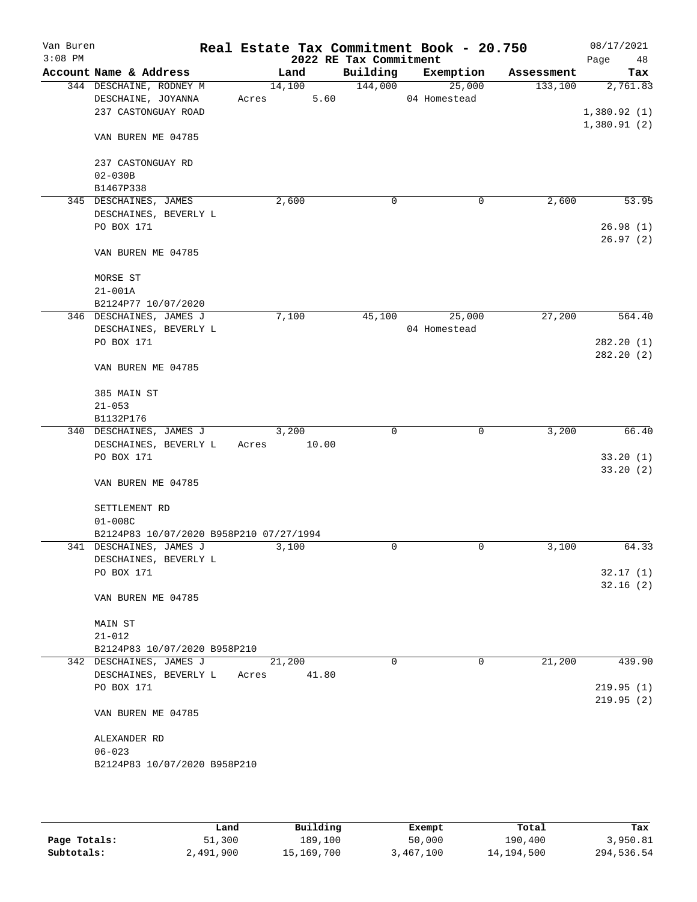| Van Buren<br>$3:08$ PM |                                         | Real Estate Tax Commitment Book - 20.750 | 2022 RE Tax Commitment |              |            | 08/17/2021<br>Page<br>48 |
|------------------------|-----------------------------------------|------------------------------------------|------------------------|--------------|------------|--------------------------|
|                        | Account Name & Address                  | Land                                     | Building               | Exemption    | Assessment | Tax                      |
|                        | 344 DESCHAINE, RODNEY M                 | 14,100                                   | 144,000                | 25,000       | 133,100    | 2,761.83                 |
|                        | DESCHAINE, JOYANNA                      | 5.60<br>Acres                            |                        | 04 Homestead |            |                          |
|                        | 237 CASTONGUAY ROAD                     |                                          |                        |              |            | 1,380.92(1)              |
|                        |                                         |                                          |                        |              |            | 1,380.91(2)              |
|                        | VAN BUREN ME 04785                      |                                          |                        |              |            |                          |
|                        |                                         |                                          |                        |              |            |                          |
|                        | 237 CASTONGUAY RD                       |                                          |                        |              |            |                          |
|                        | $02 - 030B$                             |                                          |                        |              |            |                          |
|                        | B1467P338                               |                                          |                        |              |            |                          |
|                        | 345 DESCHAINES, JAMES                   | 2,600                                    | 0                      | 0            | 2,600      | 53.95                    |
|                        | DESCHAINES, BEVERLY L                   |                                          |                        |              |            |                          |
|                        | PO BOX 171                              |                                          |                        |              |            | 26.98(1)                 |
|                        |                                         |                                          |                        |              |            | 26.97(2)                 |
|                        | VAN BUREN ME 04785                      |                                          |                        |              |            |                          |
|                        |                                         |                                          |                        |              |            |                          |
|                        | MORSE ST                                |                                          |                        |              |            |                          |
|                        | $21 - 001A$                             |                                          |                        |              |            |                          |
|                        | B2124P77 10/07/2020                     |                                          |                        |              |            |                          |
|                        | 346 DESCHAINES, JAMES J                 | 7,100                                    | 45,100                 | 25,000       | 27,200     | 564.40                   |
|                        | DESCHAINES, BEVERLY L                   |                                          |                        | 04 Homestead |            |                          |
|                        | PO BOX 171                              |                                          |                        |              |            | 282.20(1)                |
|                        |                                         |                                          |                        |              |            | 282.20(2)                |
|                        | VAN BUREN ME 04785                      |                                          |                        |              |            |                          |
|                        |                                         |                                          |                        |              |            |                          |
|                        | 385 MAIN ST                             |                                          |                        |              |            |                          |
|                        | $21 - 053$                              |                                          |                        |              |            |                          |
|                        | B1132P176                               |                                          |                        |              |            |                          |
|                        | 340 DESCHAINES, JAMES J                 | 3,200                                    | 0                      | 0            | 3,200      | 66.40                    |
|                        | DESCHAINES, BEVERLY L                   | 10.00<br>Acres                           |                        |              |            |                          |
|                        | PO BOX 171                              |                                          |                        |              |            | 33.20(1)                 |
|                        |                                         |                                          |                        |              |            | 33.20 (2)                |
|                        | VAN BUREN ME 04785                      |                                          |                        |              |            |                          |
|                        | SETTLEMENT RD                           |                                          |                        |              |            |                          |
|                        | $01 - 008C$                             |                                          |                        |              |            |                          |
|                        | B2124P83 10/07/2020 B958P210 07/27/1994 |                                          |                        |              |            |                          |
|                        | 341 DESCHAINES, JAMES J                 | 3,100                                    | 0                      | 0            | 3,100      | 64.33                    |
|                        | DESCHAINES, BEVERLY L                   |                                          |                        |              |            |                          |
|                        | PO BOX 171                              |                                          |                        |              |            | 32.17(1)                 |
|                        |                                         |                                          |                        |              |            | 32.16(2)                 |
|                        | VAN BUREN ME 04785                      |                                          |                        |              |            |                          |
|                        |                                         |                                          |                        |              |            |                          |
|                        | MAIN ST                                 |                                          |                        |              |            |                          |
|                        | $21 - 012$                              |                                          |                        |              |            |                          |
|                        | B2124P83 10/07/2020 B958P210            |                                          |                        |              |            |                          |
|                        | 342 DESCHAINES, JAMES J                 | 21,200                                   | 0                      | $\mathbf 0$  | 21,200     | 439.90                   |
|                        | DESCHAINES, BEVERLY L                   | Acres 41.80                              |                        |              |            |                          |
|                        | PO BOX 171                              |                                          |                        |              |            | 219.95(1)                |
|                        |                                         |                                          |                        |              |            | 219.95(2)                |
|                        | VAN BUREN ME 04785                      |                                          |                        |              |            |                          |
|                        |                                         |                                          |                        |              |            |                          |
|                        | ALEXANDER RD                            |                                          |                        |              |            |                          |
|                        | $06 - 023$                              |                                          |                        |              |            |                          |
|                        | B2124P83 10/07/2020 B958P210            |                                          |                        |              |            |                          |
|                        |                                         |                                          |                        |              |            |                          |
|                        |                                         |                                          |                        |              |            |                          |

|              | Land      | Building   | Exempt    | Total      | Tax        |
|--------------|-----------|------------|-----------|------------|------------|
| Page Totals: | 51,300    | 189,100    | 50,000    | 190,400    | 3,950.81   |
| Subtotals:   | 2,491,900 | 15,169,700 | 3,467,100 | 14,194,500 | 294,536.54 |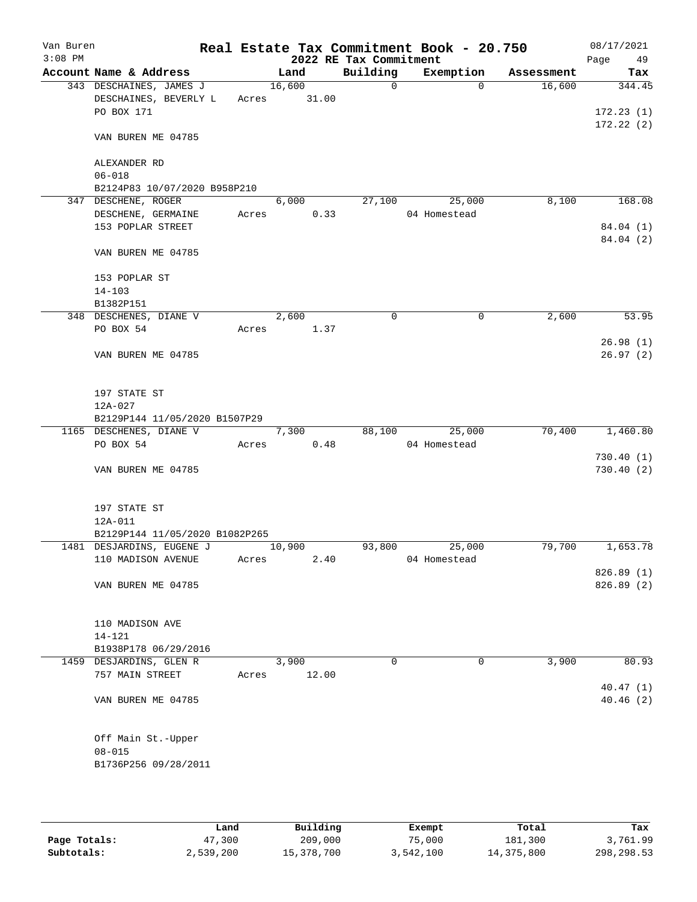| Van Buren<br>$3:08$ PM |                                |       |        | 2022 RE Tax Commitment | Real Estate Tax Commitment Book - 20.750 |            | 08/17/2021<br>Page<br>49 |
|------------------------|--------------------------------|-------|--------|------------------------|------------------------------------------|------------|--------------------------|
|                        | Account Name & Address         |       | Land   | Building               | Exemption                                | Assessment | Tax                      |
|                        | 343 DESCHAINES, JAMES J        |       | 16,600 | $\Omega$               | $\Omega$                                 | 16,600     | 344.45                   |
|                        | DESCHAINES, BEVERLY L          | Acres | 31.00  |                        |                                          |            |                          |
|                        | PO BOX 171                     |       |        |                        |                                          |            | 172.23(1)                |
|                        |                                |       |        |                        |                                          |            | 172.22(2)                |
|                        | VAN BUREN ME 04785             |       |        |                        |                                          |            |                          |
|                        |                                |       |        |                        |                                          |            |                          |
|                        | ALEXANDER RD                   |       |        |                        |                                          |            |                          |
|                        | $06 - 018$                     |       |        |                        |                                          |            |                          |
|                        | B2124P83 10/07/2020 B958P210   |       |        |                        |                                          |            |                          |
|                        | 347 DESCHENE, ROGER            |       | 6,000  | 27,100                 | 25,000                                   | 8,100      | 168.08                   |
|                        | DESCHENE, GERMAINE             | Acres | 0.33   |                        | 04 Homestead                             |            |                          |
|                        | 153 POPLAR STREET              |       |        |                        |                                          |            | 84.04 (1)                |
|                        |                                |       |        |                        |                                          |            | 84.04 (2)                |
|                        | VAN BUREN ME 04785             |       |        |                        |                                          |            |                          |
|                        |                                |       |        |                        |                                          |            |                          |
|                        | 153 POPLAR ST                  |       |        |                        |                                          |            |                          |
|                        | $14 - 103$                     |       |        |                        |                                          |            |                          |
|                        | B1382P151                      |       |        |                        |                                          |            |                          |
|                        | 348 DESCHENES, DIANE V         |       | 2,600  | 0                      | 0                                        | 2,600      | 53.95                    |
|                        | PO BOX 54                      | Acres | 1.37   |                        |                                          |            | 26.98(1)                 |
|                        |                                |       |        |                        |                                          |            | 26.97(2)                 |
|                        | VAN BUREN ME 04785             |       |        |                        |                                          |            |                          |
|                        |                                |       |        |                        |                                          |            |                          |
|                        | 197 STATE ST                   |       |        |                        |                                          |            |                          |
|                        | 12A-027                        |       |        |                        |                                          |            |                          |
|                        | B2129P144 11/05/2020 B1507P29  |       |        |                        |                                          |            |                          |
|                        | 1165 DESCHENES, DIANE V        |       | 7,300  | 88,100                 | 25,000                                   | 70,400     | 1,460.80                 |
|                        | PO BOX 54                      | Acres | 0.48   |                        | 04 Homestead                             |            |                          |
|                        |                                |       |        |                        |                                          |            | 730.40(1)                |
|                        | VAN BUREN ME 04785             |       |        |                        |                                          |            | 730.40 (2)               |
|                        |                                |       |        |                        |                                          |            |                          |
|                        |                                |       |        |                        |                                          |            |                          |
|                        | 197 STATE ST                   |       |        |                        |                                          |            |                          |
|                        | 12A-011                        |       |        |                        |                                          |            |                          |
|                        | B2129P144 11/05/2020 B1082P265 |       |        |                        |                                          |            |                          |
|                        | 1481 DESJARDINS, EUGENE J      |       | 10,900 | 93,800                 | 25,000                                   | 79,700     | 1,653.78                 |
|                        | 110 MADISON AVENUE             | Acres | 2.40   |                        | 04 Homestead                             |            |                          |
|                        |                                |       |        |                        |                                          |            | 826.89(1)                |
|                        | VAN BUREN ME 04785             |       |        |                        |                                          |            | 826.89 (2)               |
|                        |                                |       |        |                        |                                          |            |                          |
|                        | 110 MADISON AVE                |       |        |                        |                                          |            |                          |
|                        | 14-121                         |       |        |                        |                                          |            |                          |
|                        | B1938P178 06/29/2016           |       |        |                        |                                          |            |                          |
|                        | 1459 DESJARDINS, GLEN R        |       | 3,900  | 0                      | 0                                        | 3,900      | 80.93                    |
|                        | 757 MAIN STREET                | Acres | 12.00  |                        |                                          |            |                          |
|                        |                                |       |        |                        |                                          |            | 40.47(1)                 |
|                        | VAN BUREN ME 04785             |       |        |                        |                                          |            | 40.46(2)                 |
|                        |                                |       |        |                        |                                          |            |                          |
|                        |                                |       |        |                        |                                          |            |                          |
|                        | Off Main St.-Upper             |       |        |                        |                                          |            |                          |
|                        | $08 - 015$                     |       |        |                        |                                          |            |                          |
|                        | B1736P256 09/28/2011           |       |        |                        |                                          |            |                          |
|                        |                                |       |        |                        |                                          |            |                          |
|                        |                                |       |        |                        |                                          |            |                          |

|              | Land      | Building   | Exempt    | Total      | Tax         |
|--------------|-----------|------------|-----------|------------|-------------|
| Page Totals: | 47,300    | 209,000    | 75,000    | 181,300    | 3,761.99    |
| Subtotals:   | 2,539,200 | 15,378,700 | 3,542,100 | 14,375,800 | 298, 298.53 |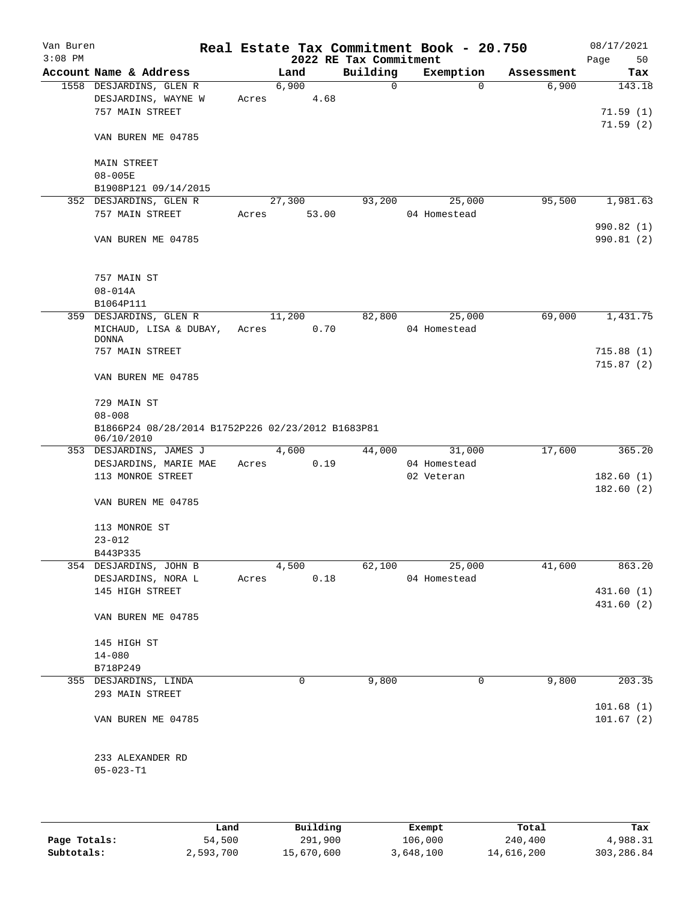| Van Buren<br>$3:08$ PM |                                                                 |       |               | 2022 RE Tax Commitment | Real Estate Tax Commitment Book - 20.750 |            | 08/17/2021<br>Page<br>50 |
|------------------------|-----------------------------------------------------------------|-------|---------------|------------------------|------------------------------------------|------------|--------------------------|
|                        | Account Name & Address                                          |       | Land          | Building               | Exemption                                | Assessment | Tax                      |
|                        | 1558 DESJARDINS, GLEN R                                         |       | 6,900         | 0                      | $\mathbf 0$                              | 6,900      | 143.18                   |
|                        | DESJARDINS, WAYNE W                                             | Acres | 4.68          |                        |                                          |            |                          |
|                        | 757 MAIN STREET                                                 |       |               |                        |                                          |            | 71.59(1)                 |
|                        |                                                                 |       |               |                        |                                          |            | 71.59(2)                 |
|                        | VAN BUREN ME 04785                                              |       |               |                        |                                          |            |                          |
|                        |                                                                 |       |               |                        |                                          |            |                          |
|                        | <b>MAIN STREET</b>                                              |       |               |                        |                                          |            |                          |
|                        | $08 - 005E$                                                     |       |               |                        |                                          |            |                          |
|                        | B1908P121 09/14/2015                                            |       |               |                        |                                          |            |                          |
|                        | 352 DESJARDINS, GLEN R                                          |       | 27,300        | 93,200                 | 25,000                                   | 95,500     | 1,981.63                 |
|                        | 757 MAIN STREET                                                 | Acres | 53.00         |                        | 04 Homestead                             |            |                          |
|                        |                                                                 |       |               |                        |                                          |            | 990.82 (1)               |
|                        | VAN BUREN ME 04785                                              |       |               |                        |                                          |            | 990.81 (2)               |
|                        |                                                                 |       |               |                        |                                          |            |                          |
|                        |                                                                 |       |               |                        |                                          |            |                          |
|                        | 757 MAIN ST                                                     |       |               |                        |                                          |            |                          |
|                        | $08 - 014A$                                                     |       |               |                        |                                          |            |                          |
|                        | B1064P111                                                       |       |               |                        |                                          |            |                          |
|                        | 359 DESJARDINS, GLEN R                                          |       | 11,200        | 82,800                 | 25,000                                   | 69,000     | 1,431.75                 |
|                        | MICHAUD, LISA & DUBAY,                                          | Acres | 0.70          |                        | 04 Homestead                             |            |                          |
|                        | <b>DONNA</b>                                                    |       |               |                        |                                          |            |                          |
|                        | 757 MAIN STREET                                                 |       |               |                        |                                          |            | 715.88(1)                |
|                        |                                                                 |       |               |                        |                                          |            | 715.87(2)                |
|                        | VAN BUREN ME 04785                                              |       |               |                        |                                          |            |                          |
|                        |                                                                 |       |               |                        |                                          |            |                          |
|                        | 729 MAIN ST                                                     |       |               |                        |                                          |            |                          |
|                        | $08 - 008$                                                      |       |               |                        |                                          |            |                          |
|                        | B1866P24 08/28/2014 B1752P226 02/23/2012 B1683P81<br>06/10/2010 |       |               |                        |                                          |            |                          |
|                        | 353 DESJARDINS, JAMES J                                         |       | 4,600         | 44,000                 | 31,000                                   | 17,600     | 365.20                   |
|                        | DESJARDINS, MARIE MAE                                           | Acres | 0.19          |                        | 04 Homestead                             |            |                          |
|                        | 113 MONROE STREET                                               |       |               |                        | 02 Veteran                               |            | 182.60(1)                |
|                        |                                                                 |       |               |                        |                                          |            | 182.60(2)                |
|                        | VAN BUREN ME 04785                                              |       |               |                        |                                          |            |                          |
|                        |                                                                 |       |               |                        |                                          |            |                          |
|                        | 113 MONROE ST                                                   |       |               |                        |                                          |            |                          |
|                        | $23 - 012$                                                      |       |               |                        |                                          |            |                          |
|                        | B443P335                                                        |       |               |                        |                                          |            |                          |
|                        | 354 DESJARDINS, JOHN B                                          |       | 4,500         |                        | 62,100<br>25,000                         | 41,600     | 863.20                   |
|                        | DESJARDINS, NORA L                                              |       | 0.18<br>Acres |                        | 04 Homestead                             |            |                          |
|                        | 145 HIGH STREET                                                 |       |               |                        |                                          |            | 431.60(1)                |
|                        |                                                                 |       |               |                        |                                          |            | 431.60 (2)               |
|                        | VAN BUREN ME 04785                                              |       |               |                        |                                          |            |                          |
|                        |                                                                 |       |               |                        |                                          |            |                          |
|                        | 145 HIGH ST                                                     |       |               |                        |                                          |            |                          |
|                        | $14 - 080$                                                      |       |               |                        |                                          |            |                          |
|                        | B718P249                                                        |       |               |                        |                                          |            |                          |
|                        | 355 DESJARDINS, LINDA                                           |       | 0             | 9,800                  | 0                                        | 9,800      | 203.35                   |
|                        | 293 MAIN STREET                                                 |       |               |                        |                                          |            |                          |
|                        |                                                                 |       |               |                        |                                          |            | 101.68(1)                |
|                        | VAN BUREN ME 04785                                              |       |               |                        |                                          |            | 101.67(2)                |
|                        |                                                                 |       |               |                        |                                          |            |                          |
|                        |                                                                 |       |               |                        |                                          |            |                          |
|                        | 233 ALEXANDER RD                                                |       |               |                        |                                          |            |                          |
|                        | $05 - 023 - T1$                                                 |       |               |                        |                                          |            |                          |
|                        |                                                                 |       |               |                        |                                          |            |                          |
|                        |                                                                 |       |               |                        |                                          |            |                          |
|                        |                                                                 |       |               |                        |                                          |            |                          |
|                        |                                                                 |       |               |                        |                                          |            |                          |

|              | Land      | Building   | Exempt    | Total      | Tax        |
|--------------|-----------|------------|-----------|------------|------------|
| Page Totals: | 54,500    | 291,900    | 106,000   | 240,400    | 4,988.31   |
| Subtotals:   | 2,593,700 | 15,670,600 | 3,648,100 | 14,616,200 | 303,286.84 |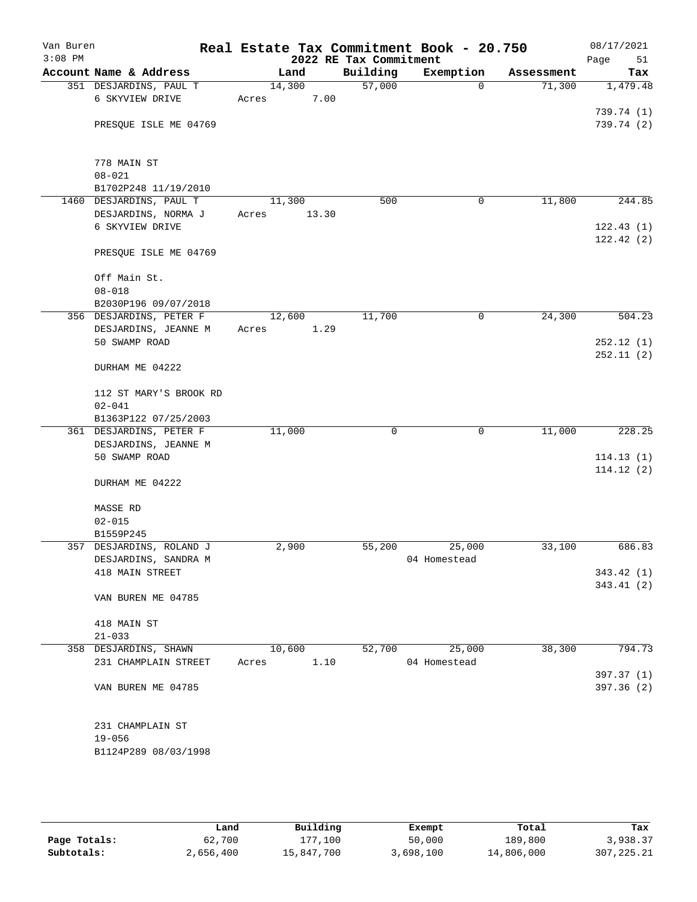| Van Buren<br>$3:08$ PM |                                |       |        | 2022 RE Tax Commitment | Real Estate Tax Commitment Book - 20.750 |            | 08/17/2021<br>Page<br>51 |
|------------------------|--------------------------------|-------|--------|------------------------|------------------------------------------|------------|--------------------------|
|                        | Account Name & Address         |       | Land   | Building               | Exemption                                | Assessment | Tax                      |
|                        | 351 DESJARDINS, PAUL T         |       | 14,300 | 57,000                 | 0                                        | 71,300     | 1,479.48                 |
|                        | 6 SKYVIEW DRIVE                | Acres | 7.00   |                        |                                          |            |                          |
|                        |                                |       |        |                        |                                          |            | 739.74 (1)               |
|                        | PRESQUE ISLE ME 04769          |       |        |                        |                                          |            | 739.74 (2)               |
|                        | 778 MAIN ST                    |       |        |                        |                                          |            |                          |
|                        | $08 - 021$                     |       |        |                        |                                          |            |                          |
|                        | B1702P248 11/19/2010           |       |        |                        |                                          |            |                          |
|                        | 1460 DESJARDINS, PAUL T        |       | 11,300 | 500                    | 0                                        | 11,800     | 244.85                   |
|                        | DESJARDINS, NORMA J            | Acres | 13.30  |                        |                                          |            |                          |
|                        | 6 SKYVIEW DRIVE                |       |        |                        |                                          |            | 122.43(1)                |
|                        | PRESQUE ISLE ME 04769          |       |        |                        |                                          |            | 122.42(2)                |
|                        | Off Main St.                   |       |        |                        |                                          |            |                          |
|                        | $08 - 018$                     |       |        |                        |                                          |            |                          |
|                        | B2030P196 09/07/2018           |       |        |                        |                                          |            |                          |
|                        | 356 DESJARDINS, PETER F        |       | 12,600 | 11,700                 | 0                                        | 24,300     | 504.23                   |
|                        | DESJARDINS, JEANNE M           | Acres | 1.29   |                        |                                          |            |                          |
|                        | 50 SWAMP ROAD                  |       |        |                        |                                          |            | 252.12(1)                |
|                        |                                |       |        |                        |                                          |            | 252.11(2)                |
|                        | DURHAM ME 04222                |       |        |                        |                                          |            |                          |
|                        | 112 ST MARY'S BROOK RD         |       |        |                        |                                          |            |                          |
|                        | $02 - 041$                     |       |        |                        |                                          |            |                          |
|                        | B1363P122 07/25/2003           |       |        |                        |                                          |            |                          |
|                        | 361 DESJARDINS, PETER F        |       | 11,000 | 0                      | 0                                        | 11,000     | 228.25                   |
|                        | DESJARDINS, JEANNE M           |       |        |                        |                                          |            |                          |
|                        | 50 SWAMP ROAD                  |       |        |                        |                                          |            | 114.13(1)                |
|                        | DURHAM ME 04222                |       |        |                        |                                          |            | 114.12(2)                |
|                        | MASSE RD                       |       |        |                        |                                          |            |                          |
|                        | $02 - 015$                     |       |        |                        |                                          |            |                          |
|                        | B1559P245                      |       |        |                        |                                          |            |                          |
|                        | 357 DESJARDINS, ROLAND J       |       | 2,900  | 55,200                 | 25,000                                   | 33,100     | 686.83                   |
|                        | DESJARDINS, SANDRA M           |       |        |                        | 04 Homestead                             |            |                          |
|                        | 418 MAIN STREET                |       |        |                        |                                          |            | 343.42 (1)               |
|                        |                                |       |        |                        |                                          |            | 343.41(2)                |
|                        | VAN BUREN ME 04785             |       |        |                        |                                          |            |                          |
|                        | 418 MAIN ST                    |       |        |                        |                                          |            |                          |
|                        | $21 - 033$                     |       |        |                        |                                          |            |                          |
|                        | 358 DESJARDINS, SHAWN          |       | 10,600 | 52,700                 | 25,000                                   | 38,300     | 794.73                   |
|                        | 231 CHAMPLAIN STREET           | Acres | 1.10   |                        | 04 Homestead                             |            |                          |
|                        |                                |       |        |                        |                                          |            | 397.37 (1)               |
|                        | VAN BUREN ME 04785             |       |        |                        |                                          |            | 397.36(2)                |
|                        |                                |       |        |                        |                                          |            |                          |
|                        | 231 CHAMPLAIN ST<br>$19 - 056$ |       |        |                        |                                          |            |                          |
|                        | B1124P289 08/03/1998           |       |        |                        |                                          |            |                          |
|                        |                                |       |        |                        |                                          |            |                          |
|                        |                                |       |        |                        |                                          |            |                          |
|                        |                                |       |        |                        |                                          |            |                          |

|              | Land      | Building   | Exempt    | Total      | Tax          |
|--------------|-----------|------------|-----------|------------|--------------|
| Page Totals: | 62,700    | 177.100    | 50,000    | 189,800    | 3,938.37     |
| Subtotals:   | 2,656,400 | 15,847,700 | 3,698,100 | 14,806,000 | 307, 225, 21 |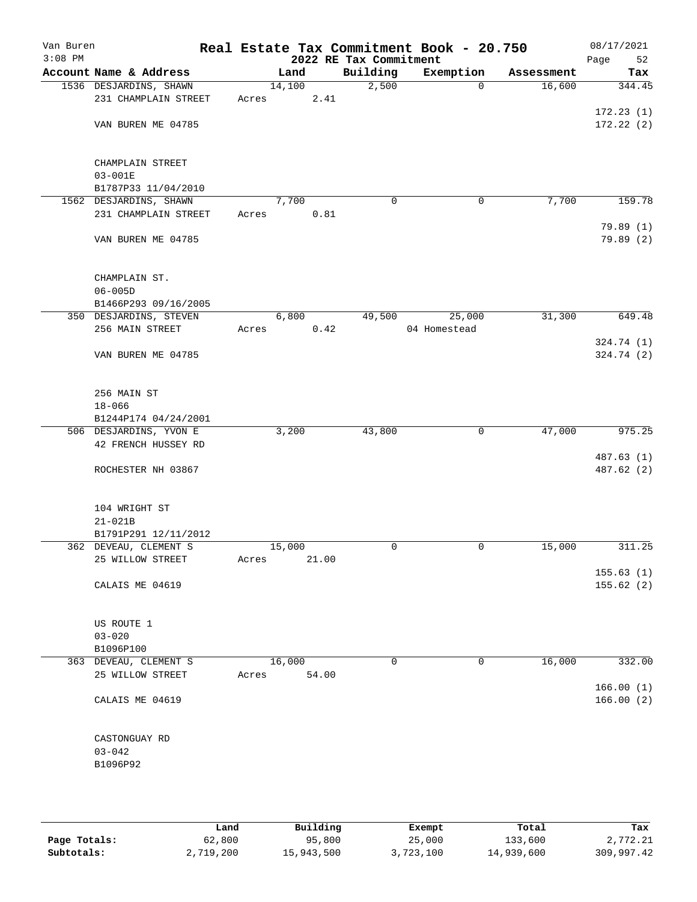| Van Buren<br>$3:08$ PM |                                               |       |        |       | 2022 RE Tax Commitment | Real Estate Tax Commitment Book - 20.750 |            | 08/17/2021<br>52<br>Page |
|------------------------|-----------------------------------------------|-------|--------|-------|------------------------|------------------------------------------|------------|--------------------------|
|                        | Account Name & Address                        |       | Land   |       | Building               | Exemption                                | Assessment | Tax                      |
|                        | 1536 DESJARDINS, SHAWN                        |       | 14,100 |       | 2,500                  | 0                                        | 16,600     | 344.45                   |
|                        | 231 CHAMPLAIN STREET                          | Acres |        | 2.41  |                        |                                          |            |                          |
|                        |                                               |       |        |       |                        |                                          |            | 172.23(1)                |
|                        | VAN BUREN ME 04785                            |       |        |       |                        |                                          |            | 172.22(2)                |
|                        |                                               |       |        |       |                        |                                          |            |                          |
|                        |                                               |       |        |       |                        |                                          |            |                          |
|                        | CHAMPLAIN STREET                              |       |        |       |                        |                                          |            |                          |
|                        | $03 - 001E$<br>B1787P33 11/04/2010            |       |        |       |                        |                                          |            |                          |
|                        | 1562 DESJARDINS, SHAWN                        |       | 7,700  |       | $\mathbf 0$            | $\mathbf 0$                              | 7,700      | 159.78                   |
|                        | 231 CHAMPLAIN STREET                          | Acres |        | 0.81  |                        |                                          |            |                          |
|                        |                                               |       |        |       |                        |                                          |            | 79.89(1)                 |
|                        | VAN BUREN ME 04785                            |       |        |       |                        |                                          |            | 79.89 (2)                |
|                        |                                               |       |        |       |                        |                                          |            |                          |
|                        |                                               |       |        |       |                        |                                          |            |                          |
|                        | CHAMPLAIN ST.                                 |       |        |       |                        |                                          |            |                          |
|                        | $06 - 005D$                                   |       |        |       |                        |                                          |            |                          |
|                        | B1466P293 09/16/2005                          |       |        |       |                        |                                          |            |                          |
|                        | 350 DESJARDINS, STEVEN                        |       | 6,800  |       | 49,500                 | 25,000                                   | 31,300     | 649.48                   |
|                        | 256 MAIN STREET                               | Acres |        | 0.42  |                        | 04 Homestead                             |            |                          |
|                        |                                               |       |        |       |                        |                                          |            | 324.74 (1)               |
|                        | VAN BUREN ME 04785                            |       |        |       |                        |                                          |            | 324.74 (2)               |
|                        |                                               |       |        |       |                        |                                          |            |                          |
|                        | 256 MAIN ST                                   |       |        |       |                        |                                          |            |                          |
|                        | $18 - 066$                                    |       |        |       |                        |                                          |            |                          |
|                        | B1244P174 04/24/2001                          |       |        |       |                        |                                          |            |                          |
|                        | 506 DESJARDINS, YVON E                        |       | 3,200  |       | 43,800                 | 0                                        | 47,000     | 975.25                   |
|                        | 42 FRENCH HUSSEY RD                           |       |        |       |                        |                                          |            |                          |
|                        |                                               |       |        |       |                        |                                          |            | 487.63(1)                |
|                        | ROCHESTER NH 03867                            |       |        |       |                        |                                          |            | 487.62 (2)               |
|                        |                                               |       |        |       |                        |                                          |            |                          |
|                        |                                               |       |        |       |                        |                                          |            |                          |
|                        | 104 WRIGHT ST                                 |       |        |       |                        |                                          |            |                          |
|                        | $21 - 021B$                                   |       |        |       |                        |                                          |            |                          |
|                        | B1791P291 12/11/2012<br>362 DEVEAU, CLEMENT S |       | 15,000 |       | 0                      | 0                                        | 15,000     | 311.25                   |
|                        | 25 WILLOW STREET                              | Acres |        | 21.00 |                        |                                          |            |                          |
|                        |                                               |       |        |       |                        |                                          |            | 155.63(1)                |
|                        | CALAIS ME 04619                               |       |        |       |                        |                                          |            | 155.62(2)                |
|                        |                                               |       |        |       |                        |                                          |            |                          |
|                        |                                               |       |        |       |                        |                                          |            |                          |
|                        | US ROUTE 1                                    |       |        |       |                        |                                          |            |                          |
|                        | $03 - 020$                                    |       |        |       |                        |                                          |            |                          |
|                        | B1096P100                                     |       |        |       |                        |                                          |            |                          |
|                        | 363 DEVEAU, CLEMENT S                         |       | 16,000 |       | $\mathbf 0$            | 0                                        | 16,000     | 332.00                   |
|                        | 25 WILLOW STREET                              | Acres |        | 54.00 |                        |                                          |            |                          |
|                        |                                               |       |        |       |                        |                                          |            | 166.00(1)                |
|                        | CALAIS ME 04619                               |       |        |       |                        |                                          |            | 166.00(2)                |
|                        |                                               |       |        |       |                        |                                          |            |                          |
|                        | CASTONGUAY RD                                 |       |        |       |                        |                                          |            |                          |
|                        | $03 - 042$                                    |       |        |       |                        |                                          |            |                          |
|                        | B1096P92                                      |       |        |       |                        |                                          |            |                          |
|                        |                                               |       |        |       |                        |                                          |            |                          |
|                        |                                               |       |        |       |                        |                                          |            |                          |
|                        |                                               |       |        |       |                        |                                          |            |                          |

|              | Land      | Building   | Exempt    | Total      | Tax        |
|--------------|-----------|------------|-----------|------------|------------|
| Page Totals: | 62,800    | 95,800     | 25,000    | 133,600    | 2,772.21   |
| Subtotals:   | 2,719,200 | 15,943,500 | 3,723,100 | 14,939,600 | 309,997.42 |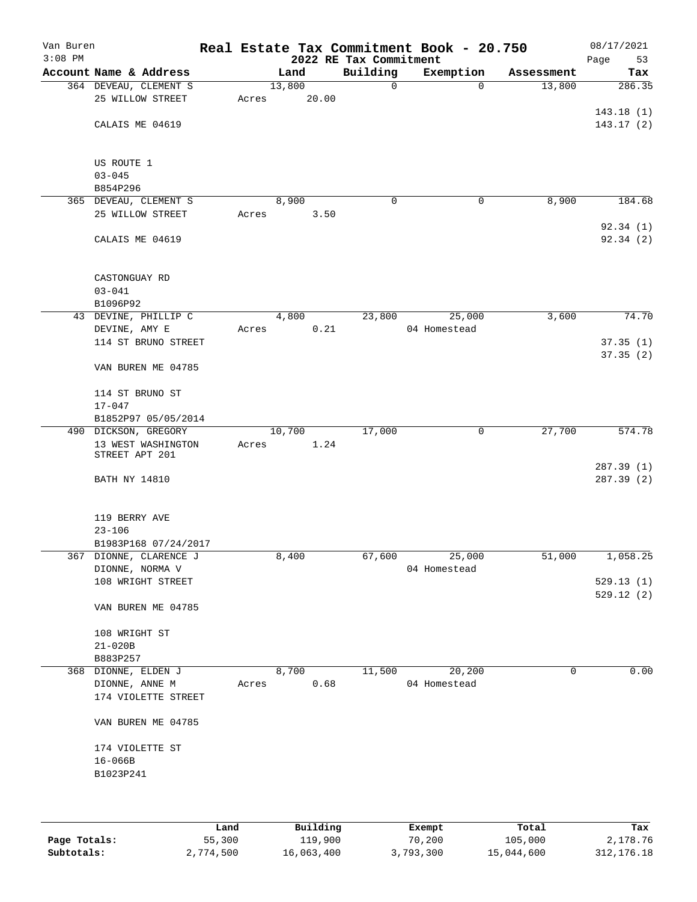| Van Buren<br>$3:08$ PM |                              |       |        | 2022 RE Tax Commitment | Real Estate Tax Commitment Book - 20.750 |            | 08/17/2021<br>Page<br>53 |
|------------------------|------------------------------|-------|--------|------------------------|------------------------------------------|------------|--------------------------|
|                        | Account Name & Address       |       | Land   | Building               | Exemption                                | Assessment | Tax                      |
|                        | 364 DEVEAU, CLEMENT S        |       | 13,800 | $\mathbf 0$            | $\Omega$                                 | 13,800     | 286.35                   |
|                        | 25 WILLOW STREET             | Acres | 20.00  |                        |                                          |            |                          |
|                        |                              |       |        |                        |                                          |            | 143.18(1)                |
|                        | CALAIS ME 04619              |       |        |                        |                                          |            | 143.17(2)                |
|                        |                              |       |        |                        |                                          |            |                          |
|                        |                              |       |        |                        |                                          |            |                          |
|                        | US ROUTE 1                   |       |        |                        |                                          |            |                          |
|                        | $03 - 045$                   |       |        |                        |                                          |            |                          |
|                        | B854P296                     |       |        |                        |                                          |            |                          |
|                        | 365 DEVEAU, CLEMENT S        |       | 8,900  | 0                      | 0                                        | 8,900      | 184.68                   |
|                        | 25 WILLOW STREET             | Acres | 3.50   |                        |                                          |            |                          |
|                        |                              |       |        |                        |                                          |            | 92.34(1)                 |
|                        | CALAIS ME 04619              |       |        |                        |                                          |            | 92.34 (2)                |
|                        |                              |       |        |                        |                                          |            |                          |
|                        |                              |       |        |                        |                                          |            |                          |
|                        | CASTONGUAY RD                |       |        |                        |                                          |            |                          |
|                        | $03 - 041$                   |       |        |                        |                                          |            |                          |
|                        | B1096P92                     |       |        |                        |                                          |            |                          |
|                        | 43 DEVINE, PHILLIP C         |       | 4,800  | 23,800                 | 25,000                                   | 3,600      | 74.70                    |
|                        | DEVINE, AMY E                | Acres | 0.21   |                        | 04 Homestead                             |            |                          |
|                        | 114 ST BRUNO STREET          |       |        |                        |                                          |            | 37.35(1)                 |
|                        | VAN BUREN ME 04785           |       |        |                        |                                          |            | 37.35(2)                 |
|                        |                              |       |        |                        |                                          |            |                          |
|                        | 114 ST BRUNO ST              |       |        |                        |                                          |            |                          |
|                        | $17 - 047$                   |       |        |                        |                                          |            |                          |
|                        | B1852P97 05/05/2014          |       |        |                        |                                          |            |                          |
|                        | 490 DICKSON, GREGORY         |       | 10,700 | 17,000                 | 0                                        | 27,700     | 574.78                   |
|                        | 13 WEST WASHINGTON           | Acres | 1.24   |                        |                                          |            |                          |
|                        | STREET APT 201               |       |        |                        |                                          |            |                          |
|                        |                              |       |        |                        |                                          |            | 287.39(1)                |
|                        | <b>BATH NY 14810</b>         |       |        |                        |                                          |            | 287.39 (2)               |
|                        |                              |       |        |                        |                                          |            |                          |
|                        |                              |       |        |                        |                                          |            |                          |
|                        | 119 BERRY AVE                |       |        |                        |                                          |            |                          |
|                        | $23 - 106$                   |       |        |                        |                                          |            |                          |
|                        | B1983P168 07/24/2017         |       |        |                        |                                          |            |                          |
|                        | 367 DIONNE, CLARENCE J       |       | 8,400  | 67,600                 | 25,000                                   | 51,000     | 1,058.25                 |
|                        | DIONNE, NORMA V              |       |        |                        | 04 Homestead                             |            |                          |
|                        | 108 WRIGHT STREET            |       |        |                        |                                          |            | 529.13(1)                |
|                        |                              |       |        |                        |                                          |            | 529.12(2)                |
|                        | VAN BUREN ME 04785           |       |        |                        |                                          |            |                          |
|                        |                              |       |        |                        |                                          |            |                          |
|                        | 108 WRIGHT ST<br>$21 - 020B$ |       |        |                        |                                          |            |                          |
|                        | B883P257                     |       |        |                        |                                          |            |                          |
|                        | 368 DIONNE, ELDEN J          |       | 8,700  | 11,500                 | 20,200                                   | 0          | 0.00                     |
|                        | DIONNE, ANNE M               | Acres | 0.68   |                        | 04 Homestead                             |            |                          |
|                        | 174 VIOLETTE STREET          |       |        |                        |                                          |            |                          |
|                        |                              |       |        |                        |                                          |            |                          |
|                        | VAN BUREN ME 04785           |       |        |                        |                                          |            |                          |
|                        |                              |       |        |                        |                                          |            |                          |
|                        | 174 VIOLETTE ST              |       |        |                        |                                          |            |                          |
|                        | $16 - 066B$                  |       |        |                        |                                          |            |                          |
|                        | B1023P241                    |       |        |                        |                                          |            |                          |
|                        |                              |       |        |                        |                                          |            |                          |
|                        |                              |       |        |                        |                                          |            |                          |
|                        |                              |       |        |                        |                                          |            |                          |

|              | Land      | Building   | Exempt    | Total      | Tax          |
|--------------|-----------|------------|-----------|------------|--------------|
| Page Totals: | 55,300    | 119,900    | 70,200    | 105,000    | 2,178.76     |
| Subtotals:   | 2,774,500 | 16,063,400 | 3,793,300 | 15,044,600 | 312, 176. 18 |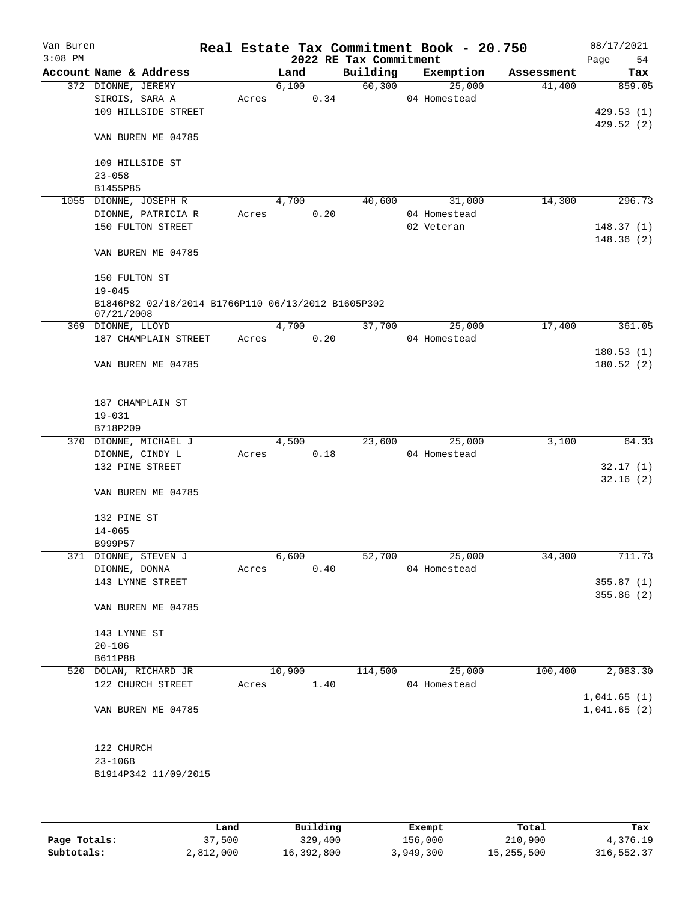| Van Buren<br>$3:08$ PM |                                                    |       |        |      | 2022 RE Tax Commitment | Real Estate Tax Commitment Book - 20.750 |            | 08/17/2021<br>54<br>Page |
|------------------------|----------------------------------------------------|-------|--------|------|------------------------|------------------------------------------|------------|--------------------------|
|                        | Account Name & Address                             |       | Land   |      | Building               | Exemption                                | Assessment | Tax                      |
|                        | 372 DIONNE, JEREMY                                 |       | 6,100  |      | 60, 300                | 25,000                                   | 41,400     | 859.05                   |
|                        | SIROIS, SARA A                                     | Acres |        | 0.34 |                        | 04 Homestead                             |            |                          |
|                        | 109 HILLSIDE STREET                                |       |        |      |                        |                                          |            | 429.53(1)                |
|                        |                                                    |       |        |      |                        |                                          |            | 429.52 (2)               |
|                        | VAN BUREN ME 04785                                 |       |        |      |                        |                                          |            |                          |
|                        |                                                    |       |        |      |                        |                                          |            |                          |
|                        | 109 HILLSIDE ST                                    |       |        |      |                        |                                          |            |                          |
|                        | $23 - 058$                                         |       |        |      |                        |                                          |            |                          |
|                        | B1455P85                                           |       |        |      |                        |                                          |            |                          |
|                        | 1055 DIONNE, JOSEPH R                              |       | 4,700  |      | 40,600                 | 31,000                                   | 14,300     | 296.73                   |
|                        | DIONNE, PATRICIA R                                 | Acres |        | 0.20 |                        | 04 Homestead                             |            |                          |
|                        | 150 FULTON STREET                                  |       |        |      |                        | 02 Veteran                               |            | 148.37(1)                |
|                        |                                                    |       |        |      |                        |                                          |            | 148.36(2)                |
|                        | VAN BUREN ME 04785                                 |       |        |      |                        |                                          |            |                          |
|                        |                                                    |       |        |      |                        |                                          |            |                          |
|                        | 150 FULTON ST<br>$19 - 045$                        |       |        |      |                        |                                          |            |                          |
|                        | B1846P82 02/18/2014 B1766P110 06/13/2012 B1605P302 |       |        |      |                        |                                          |            |                          |
|                        | 07/21/2008                                         |       |        |      |                        |                                          |            |                          |
|                        | 369 DIONNE, LLOYD                                  |       | 4,700  |      | 37,700                 | 25,000                                   | 17,400     | 361.05                   |
|                        | 187 CHAMPLAIN STREET                               | Acres |        | 0.20 |                        | 04 Homestead                             |            |                          |
|                        |                                                    |       |        |      |                        |                                          |            | 180.53(1)                |
|                        | VAN BUREN ME 04785                                 |       |        |      |                        |                                          |            | 180.52(2)                |
|                        |                                                    |       |        |      |                        |                                          |            |                          |
|                        |                                                    |       |        |      |                        |                                          |            |                          |
|                        | 187 CHAMPLAIN ST                                   |       |        |      |                        |                                          |            |                          |
|                        | $19 - 031$                                         |       |        |      |                        |                                          |            |                          |
|                        | B718P209                                           |       |        |      |                        |                                          |            |                          |
|                        | 370 DIONNE, MICHAEL J                              |       | 4,500  |      | 23,600                 | 25,000                                   | 3,100      | 64.33                    |
|                        | DIONNE, CINDY L                                    | Acres |        | 0.18 |                        | 04 Homestead                             |            |                          |
|                        | 132 PINE STREET                                    |       |        |      |                        |                                          |            | 32.17(1)                 |
|                        | VAN BUREN ME 04785                                 |       |        |      |                        |                                          |            | 32.16(2)                 |
|                        |                                                    |       |        |      |                        |                                          |            |                          |
|                        | 132 PINE ST                                        |       |        |      |                        |                                          |            |                          |
|                        | $14 - 065$                                         |       |        |      |                        |                                          |            |                          |
|                        | B999P57                                            |       |        |      |                        |                                          |            |                          |
|                        | 371 DIONNE, STEVEN J                               |       | 6,600  |      | 52,700                 | 25,000                                   | 34,300     | 711.73                   |
|                        | DIONNE, DONNA                                      | Acres |        | 0.40 |                        | 04 Homestead                             |            |                          |
|                        | 143 LYNNE STREET                                   |       |        |      |                        |                                          |            | 355.87(1)                |
|                        |                                                    |       |        |      |                        |                                          |            | 355.86(2)                |
|                        | VAN BUREN ME 04785                                 |       |        |      |                        |                                          |            |                          |
|                        |                                                    |       |        |      |                        |                                          |            |                          |
|                        | 143 LYNNE ST                                       |       |        |      |                        |                                          |            |                          |
|                        | $20 - 106$                                         |       |        |      |                        |                                          |            |                          |
|                        | <b>B611P88</b>                                     |       |        |      |                        |                                          |            |                          |
|                        | 520 DOLAN, RICHARD JR                              |       | 10,900 |      | 114,500                | 25,000                                   | 100,400    | 2,083.30                 |
|                        | 122 CHURCH STREET                                  | Acres |        | 1.40 |                        | 04 Homestead                             |            |                          |
|                        |                                                    |       |        |      |                        |                                          |            | 1,041.65(1)              |
|                        | VAN BUREN ME 04785                                 |       |        |      |                        |                                          |            | 1,041.65(2)              |
|                        |                                                    |       |        |      |                        |                                          |            |                          |
|                        |                                                    |       |        |      |                        |                                          |            |                          |
|                        | 122 CHURCH                                         |       |        |      |                        |                                          |            |                          |
|                        | $23 - 106B$<br>B1914P342 11/09/2015                |       |        |      |                        |                                          |            |                          |
|                        |                                                    |       |        |      |                        |                                          |            |                          |
|                        |                                                    |       |        |      |                        |                                          |            |                          |
|                        |                                                    |       |        |      |                        |                                          |            |                          |

|              | Land      | Building   | Exempt    | Total      | Tax        |
|--------------|-----------|------------|-----------|------------|------------|
| Page Totals: | 37,500    | 329,400    | 156,000   | 210,900    | 4,376.19   |
| Subtotals:   | 2,812,000 | 16,392,800 | 3,949,300 | 15,255,500 | 316,552.37 |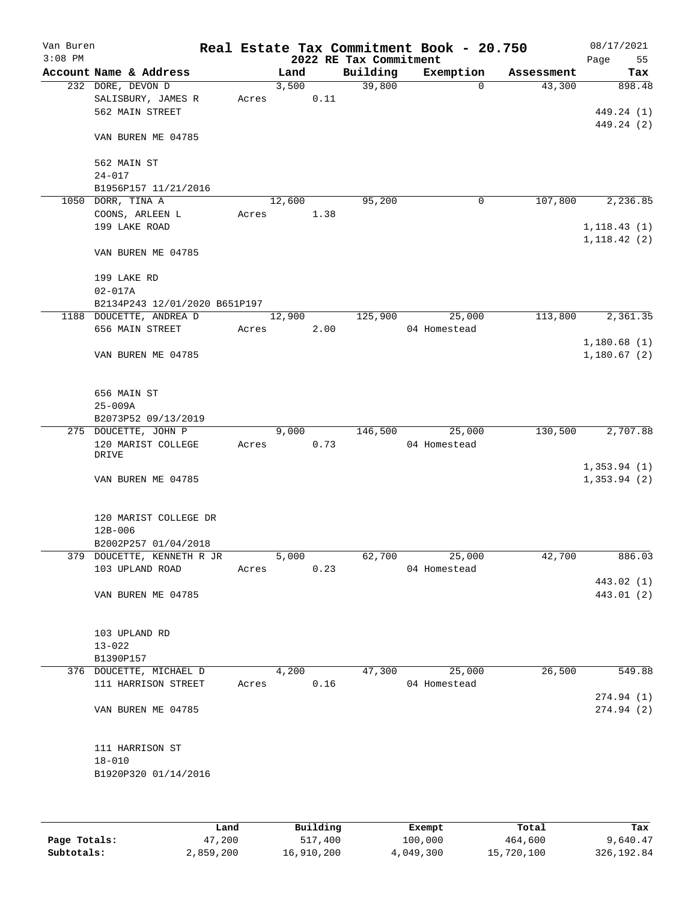| Van Buren<br>$3:08$ PM |                                                            |       |        |      | 2022 RE Tax Commitment | Real Estate Tax Commitment Book - 20.750 |            | 08/17/2021<br>Page<br>55   |
|------------------------|------------------------------------------------------------|-------|--------|------|------------------------|------------------------------------------|------------|----------------------------|
|                        | Account Name & Address                                     |       | Land   |      | Building               | Exemption                                | Assessment | Tax                        |
|                        | 232 DORE, DEVON D<br>SALISBURY, JAMES R<br>562 MAIN STREET | Acres | 3,500  | 0.11 | 39,800                 | $\mathbf 0$                              | 43,300     | 898.48<br>449.24 (1)       |
|                        | VAN BUREN ME 04785                                         |       |        |      |                        |                                          |            | 449.24 (2)                 |
|                        | 562 MAIN ST<br>$24 - 017$                                  |       |        |      |                        |                                          |            |                            |
|                        | B1956P157 11/21/2016                                       |       |        |      |                        |                                          |            |                            |
|                        | 1050 DORR, TINA A                                          |       | 12,600 |      | 95,200                 | 0                                        | 107,800    | 2,236.85                   |
|                        | COONS, ARLEEN L                                            | Acres |        | 1.38 |                        |                                          |            |                            |
|                        | 199 LAKE ROAD                                              |       |        |      |                        |                                          |            | 1, 118.43(1)               |
|                        | VAN BUREN ME 04785                                         |       |        |      |                        |                                          |            | 1, 118.42(2)               |
|                        | 199 LAKE RD                                                |       |        |      |                        |                                          |            |                            |
|                        | $02 - 017A$                                                |       |        |      |                        |                                          |            |                            |
|                        | B2134P243 12/01/2020 B651P197                              |       |        |      |                        |                                          |            |                            |
|                        | 1188 DOUCETTE, ANDREA D                                    |       | 12,900 |      | 125,900                | 25,000                                   | 113,800    | 2,361.35                   |
|                        | 656 MAIN STREET                                            | Acres |        | 2.00 |                        | 04 Homestead                             |            |                            |
|                        | VAN BUREN ME 04785                                         |       |        |      |                        |                                          |            | 1,180.68(1)<br>1,180.67(2) |
|                        | 656 MAIN ST<br>$25 - 009A$                                 |       |        |      |                        |                                          |            |                            |
|                        | B2073P52 09/13/2019                                        |       |        |      |                        |                                          |            |                            |
|                        | 275 DOUCETTE, JOHN P                                       |       | 9,000  |      | 146,500                | 25,000                                   | 130,500    | 2,707.88                   |
|                        | 120 MARIST COLLEGE<br>DRIVE                                | Acres |        | 0.73 |                        | 04 Homestead                             |            |                            |
|                        |                                                            |       |        |      |                        |                                          |            | 1,353.94(1)                |
|                        | VAN BUREN ME 04785                                         |       |        |      |                        |                                          |            | 1,353.94(2)                |
|                        | 120 MARIST COLLEGE DR<br>$12B-006$<br>B2002P257 01/04/2018 |       |        |      |                        |                                          |            |                            |
|                        | 379 DOUCETTE, KENNETH R JR                                 |       | 5,000  |      |                        | 62,700 25,000                            | 42,700     | 886.03                     |
|                        | 103 UPLAND ROAD                                            | Acres |        | 0.23 |                        | 04 Homestead                             |            |                            |
|                        |                                                            |       |        |      |                        |                                          |            | 443.02 (1)                 |
|                        | VAN BUREN ME 04785                                         |       |        |      |                        |                                          |            | 443.01 (2)                 |
|                        | 103 UPLAND RD<br>$13 - 022$                                |       |        |      |                        |                                          |            |                            |
|                        | B1390P157                                                  |       |        |      |                        |                                          |            |                            |
|                        | 376 DOUCETTE, MICHAEL D                                    |       | 4,200  |      | 47,300                 | 25,000                                   | 26,500     | 549.88                     |
|                        | 111 HARRISON STREET                                        | Acres |        | 0.16 |                        | 04 Homestead                             |            |                            |
|                        | VAN BUREN ME 04785                                         |       |        |      |                        |                                          |            | 274.94 (1)<br>274.94 (2)   |
|                        | 111 HARRISON ST                                            |       |        |      |                        |                                          |            |                            |
|                        | $18 - 010$                                                 |       |        |      |                        |                                          |            |                            |
|                        | B1920P320 01/14/2016                                       |       |        |      |                        |                                          |            |                            |
|                        |                                                            |       |        |      |                        |                                          |            |                            |

|              | Land      | Building   | Exempt    | Total      | Tax        |
|--------------|-----------|------------|-----------|------------|------------|
| Page Totals: | 47,200    | 517,400    | 100,000   | 464,600    | 9,640.47   |
| Subtotals:   | 2,859,200 | 16,910,200 | 4,049,300 | 15,720,100 | 326,192.84 |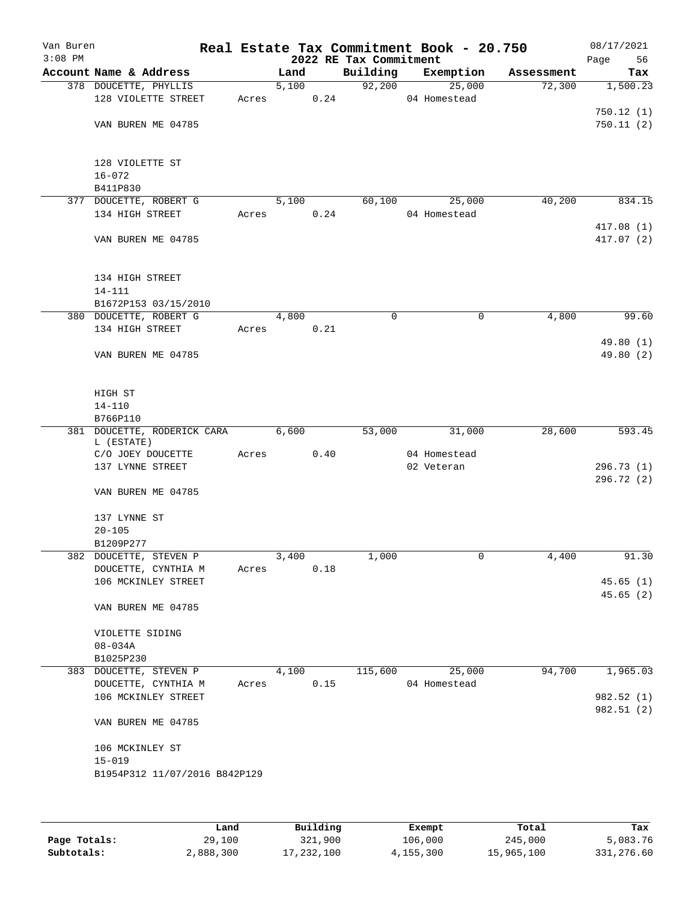| Van Buren<br>$3:08$ PM |                                           |       |       |      | 2022 RE Tax Commitment | Real Estate Tax Commitment Book - 20.750 |            | 08/17/2021<br>Page<br>56 |
|------------------------|-------------------------------------------|-------|-------|------|------------------------|------------------------------------------|------------|--------------------------|
|                        | Account Name & Address                    |       | Land  |      | Building               | Exemption                                | Assessment | Tax                      |
|                        | 378 DOUCETTE, PHYLLIS                     |       | 5,100 |      | 92,200                 | 25,000                                   | 72,300     | 1,500.23                 |
|                        | 128 VIOLETTE STREET                       | Acres |       | 0.24 |                        | 04 Homestead                             |            |                          |
|                        |                                           |       |       |      |                        |                                          |            | 750.12(1)                |
|                        | VAN BUREN ME 04785                        |       |       |      |                        |                                          |            | 750.11(2)                |
|                        |                                           |       |       |      |                        |                                          |            |                          |
|                        |                                           |       |       |      |                        |                                          |            |                          |
|                        | 128 VIOLETTE ST                           |       |       |      |                        |                                          |            |                          |
|                        | $16 - 072$                                |       |       |      |                        |                                          |            |                          |
|                        | B411P830                                  |       |       |      |                        |                                          |            |                          |
|                        | 377 DOUCETTE, ROBERT G                    |       | 5,100 |      | 60,100                 | 25,000                                   | 40,200     | 834.15                   |
|                        | 134 HIGH STREET                           | Acres |       | 0.24 |                        | 04 Homestead                             |            |                          |
|                        |                                           |       |       |      |                        |                                          |            | 417.08(1)                |
|                        | VAN BUREN ME 04785                        |       |       |      |                        |                                          |            | 417.07 (2)               |
|                        |                                           |       |       |      |                        |                                          |            |                          |
|                        |                                           |       |       |      |                        |                                          |            |                          |
|                        | 134 HIGH STREET                           |       |       |      |                        |                                          |            |                          |
|                        | 14-111                                    |       |       |      |                        |                                          |            |                          |
|                        | B1672P153 03/15/2010                      |       |       |      |                        |                                          |            |                          |
|                        | 380 DOUCETTE, ROBERT G                    |       | 4,800 |      | $\mathbf 0$            | 0                                        | 4,800      | 99.60                    |
|                        | 134 HIGH STREET                           | Acres |       | 0.21 |                        |                                          |            |                          |
|                        |                                           |       |       |      |                        |                                          |            | 49.80(1)                 |
|                        | VAN BUREN ME 04785                        |       |       |      |                        |                                          |            | 49.80 (2)                |
|                        |                                           |       |       |      |                        |                                          |            |                          |
|                        |                                           |       |       |      |                        |                                          |            |                          |
|                        | HIGH ST                                   |       |       |      |                        |                                          |            |                          |
|                        | $14 - 110$                                |       |       |      |                        |                                          |            |                          |
|                        | B766P110                                  |       |       |      |                        |                                          |            |                          |
|                        | 381 DOUCETTE, RODERICK CARA<br>L (ESTATE) |       | 6,600 |      | 53,000                 | 31,000                                   | 28,600     | 593.45                   |
|                        | C/O JOEY DOUCETTE                         | Acres |       | 0.40 |                        | 04 Homestead                             |            |                          |
|                        | 137 LYNNE STREET                          |       |       |      |                        | 02 Veteran                               |            | 296.73(1)                |
|                        |                                           |       |       |      |                        |                                          |            | 296.72 (2)               |
|                        | VAN BUREN ME 04785                        |       |       |      |                        |                                          |            |                          |
|                        |                                           |       |       |      |                        |                                          |            |                          |
|                        | 137 LYNNE ST                              |       |       |      |                        |                                          |            |                          |
|                        | $20 - 105$                                |       |       |      |                        |                                          |            |                          |
|                        | B1209P277                                 |       |       |      |                        |                                          |            |                          |
|                        | 382 DOUCETTE, STEVEN P                    |       | 3,400 |      | 1,000                  | 0                                        | 4,400      | 91.30                    |
|                        | DOUCETTE, CYNTHIA M                       | Acres |       | 0.18 |                        |                                          |            |                          |
|                        | 106 MCKINLEY STREET                       |       |       |      |                        |                                          |            | 45.65(1)                 |
|                        |                                           |       |       |      |                        |                                          |            | 45.65(2)                 |
|                        | VAN BUREN ME 04785                        |       |       |      |                        |                                          |            |                          |
|                        |                                           |       |       |      |                        |                                          |            |                          |
|                        | VIOLETTE SIDING                           |       |       |      |                        |                                          |            |                          |
|                        | $08 - 034A$                               |       |       |      |                        |                                          |            |                          |
|                        | B1025P230                                 |       |       |      |                        |                                          |            |                          |
|                        | 383 DOUCETTE, STEVEN P                    |       | 4,100 |      | 115,600                | 25,000                                   | 94,700     | 1,965.03                 |
|                        | DOUCETTE, CYNTHIA M                       | Acres |       | 0.15 |                        | 04 Homestead                             |            |                          |
|                        | 106 MCKINLEY STREET                       |       |       |      |                        |                                          |            | 982.52 (1)               |
|                        |                                           |       |       |      |                        |                                          |            | 982.51 (2)               |
|                        | VAN BUREN ME 04785                        |       |       |      |                        |                                          |            |                          |
|                        |                                           |       |       |      |                        |                                          |            |                          |
|                        | 106 MCKINLEY ST                           |       |       |      |                        |                                          |            |                          |
|                        | $15 - 019$                                |       |       |      |                        |                                          |            |                          |
|                        | B1954P312 11/07/2016 B842P129             |       |       |      |                        |                                          |            |                          |
|                        |                                           |       |       |      |                        |                                          |            |                          |
|                        |                                           |       |       |      |                        |                                          |            |                          |

|              | Land      | Building   | Exempt    | Total      | Tax        |
|--------------|-----------|------------|-----------|------------|------------|
| Page Totals: | 29,100    | 321,900    | 106,000   | 245,000    | 5,083.76   |
| Subtotals:   | 2,888,300 | 17,232,100 | 4,155,300 | 15,965,100 | 331,276.60 |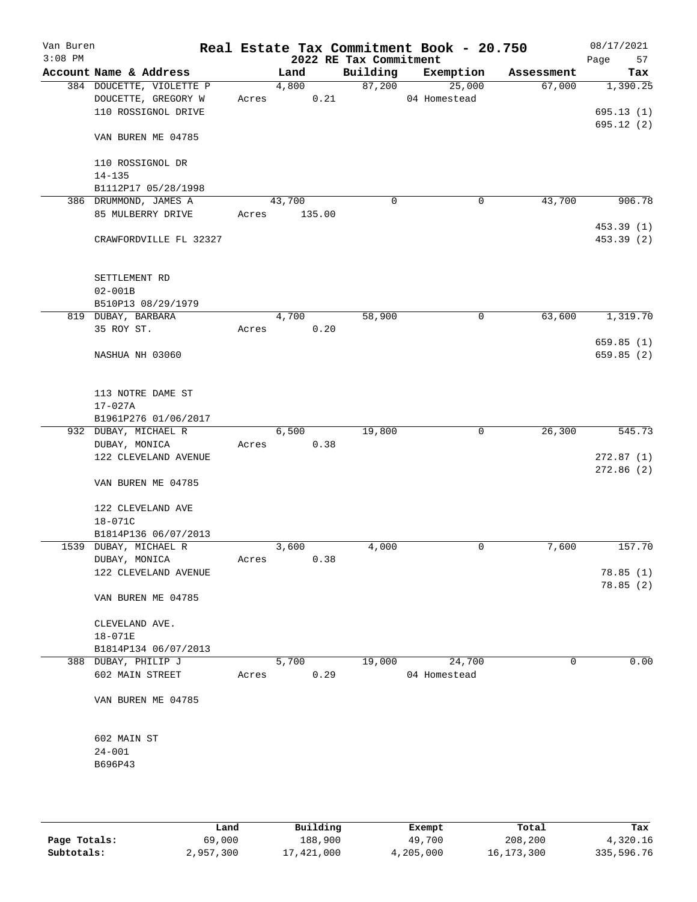| Van Buren<br>$3:08$ PM |                                  |       |        | 2022 RE Tax Commitment | Real Estate Tax Commitment Book - 20.750 |            | 08/17/2021<br>Page<br>57 |
|------------------------|----------------------------------|-------|--------|------------------------|------------------------------------------|------------|--------------------------|
|                        | Account Name & Address           |       | Land   | Building               | Exemption                                | Assessment | Tax                      |
|                        | 384 DOUCETTE, VIOLETTE P         |       | 4,800  | 87,200                 | 25,000                                   | 67,000     | 1,390.25                 |
|                        | DOUCETTE, GREGORY W              | Acres | 0.21   |                        | 04 Homestead                             |            |                          |
|                        | 110 ROSSIGNOL DRIVE              |       |        |                        |                                          |            | 695.13(1)                |
|                        |                                  |       |        |                        |                                          |            | 695.12(2)                |
|                        | VAN BUREN ME 04785               |       |        |                        |                                          |            |                          |
|                        |                                  |       |        |                        |                                          |            |                          |
|                        | 110 ROSSIGNOL DR                 |       |        |                        |                                          |            |                          |
|                        | $14 - 135$                       |       |        |                        |                                          |            |                          |
|                        | B1112P17 05/28/1998              |       |        |                        |                                          |            |                          |
|                        | 386 DRUMMOND, JAMES A            |       | 43,700 | 0                      | 0                                        | 43,700     | 906.78                   |
|                        | 85 MULBERRY DRIVE                | Acres | 135.00 |                        |                                          |            |                          |
|                        |                                  |       |        |                        |                                          |            | 453.39 (1)               |
|                        | CRAWFORDVILLE FL 32327           |       |        |                        |                                          |            | 453.39 (2)               |
|                        |                                  |       |        |                        |                                          |            |                          |
|                        |                                  |       |        |                        |                                          |            |                          |
|                        | SETTLEMENT RD                    |       |        |                        |                                          |            |                          |
|                        | $02 - 001B$                      |       |        |                        |                                          |            |                          |
|                        | B510P13 08/29/1979               |       | 4,700  | 58,900                 | 0                                        | 63,600     | 1,319.70                 |
|                        | 819 DUBAY, BARBARA<br>35 ROY ST. |       | 0.20   |                        |                                          |            |                          |
|                        |                                  | Acres |        |                        |                                          |            | 659.85(1)                |
|                        | NASHUA NH 03060                  |       |        |                        |                                          |            | 659.85 (2)               |
|                        |                                  |       |        |                        |                                          |            |                          |
|                        |                                  |       |        |                        |                                          |            |                          |
|                        | 113 NOTRE DAME ST                |       |        |                        |                                          |            |                          |
|                        | $17 - 027A$                      |       |        |                        |                                          |            |                          |
|                        | B1961P276 01/06/2017             |       |        |                        |                                          |            |                          |
|                        | 932 DUBAY, MICHAEL R             |       | 6,500  | 19,800                 | 0                                        | 26,300     | 545.73                   |
|                        | DUBAY, MONICA                    | Acres | 0.38   |                        |                                          |            |                          |
|                        | 122 CLEVELAND AVENUE             |       |        |                        |                                          |            | 272.87(1)                |
|                        |                                  |       |        |                        |                                          |            | 272.86(2)                |
|                        | VAN BUREN ME 04785               |       |        |                        |                                          |            |                          |
|                        |                                  |       |        |                        |                                          |            |                          |
|                        | 122 CLEVELAND AVE                |       |        |                        |                                          |            |                          |
|                        | 18-071C                          |       |        |                        |                                          |            |                          |
|                        | B1814P136 06/07/2013             |       |        |                        |                                          |            |                          |
|                        | 1539 DUBAY, MICHAEL R            |       | 3,600  | 4,000                  | 0                                        | 7,600      | 157.70                   |
|                        | DUBAY, MONICA                    | Acres | 0.38   |                        |                                          |            |                          |
|                        | 122 CLEVELAND AVENUE             |       |        |                        |                                          |            | 78.85(1)                 |
|                        |                                  |       |        |                        |                                          |            | 78.85 (2)                |
|                        | VAN BUREN ME 04785               |       |        |                        |                                          |            |                          |
|                        |                                  |       |        |                        |                                          |            |                          |
|                        | CLEVELAND AVE.                   |       |        |                        |                                          |            |                          |
|                        | 18-071E                          |       |        |                        |                                          |            |                          |
|                        | B1814P134 06/07/2013             |       |        |                        |                                          |            |                          |
|                        | 388 DUBAY, PHILIP J              |       | 5,700  | 19,000                 | 24,700                                   | 0          | 0.00                     |
|                        | 602 MAIN STREET                  | Acres | 0.29   |                        | 04 Homestead                             |            |                          |
|                        |                                  |       |        |                        |                                          |            |                          |
|                        | VAN BUREN ME 04785               |       |        |                        |                                          |            |                          |
|                        |                                  |       |        |                        |                                          |            |                          |
|                        | 602 MAIN ST                      |       |        |                        |                                          |            |                          |
|                        | $24 - 001$                       |       |        |                        |                                          |            |                          |
|                        | B696P43                          |       |        |                        |                                          |            |                          |
|                        |                                  |       |        |                        |                                          |            |                          |
|                        |                                  |       |        |                        |                                          |            |                          |
|                        |                                  |       |        |                        |                                          |            |                          |

|              | Land      | Building   | Exempt    | Total      | Tax        |
|--------------|-----------|------------|-----------|------------|------------|
| Page Totals: | 69,000    | 188,900    | 49,700    | 208,200    | 4,320.16   |
| Subtotals:   | 2,957,300 | 17,421,000 | 4,205,000 | 16,173,300 | 335,596.76 |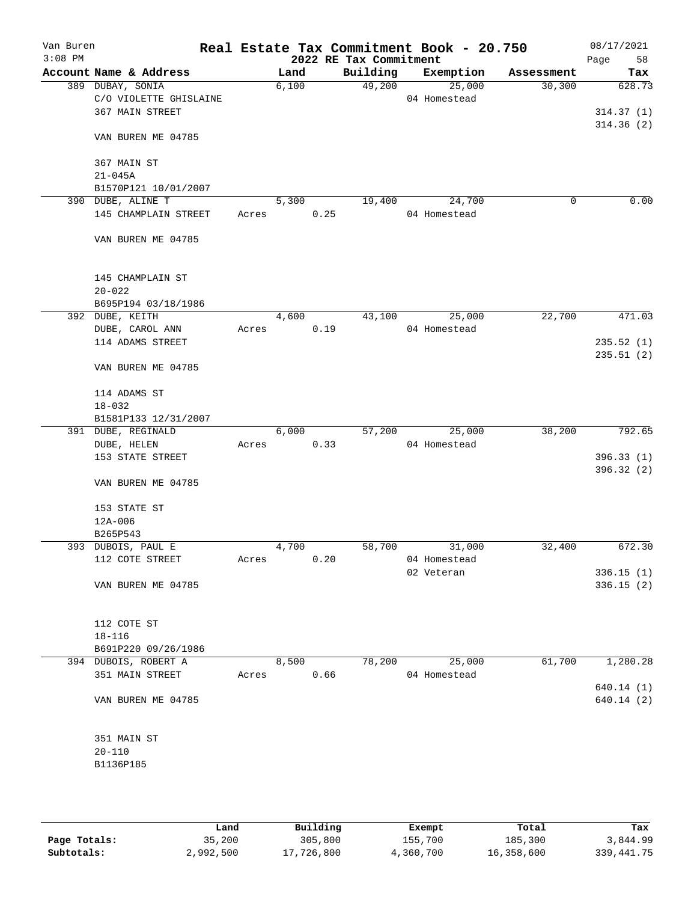| Van Buren<br>$3:08$ PM |                                |       |       |      | 2022 RE Tax Commitment | Real Estate Tax Commitment Book - 20.750 |            | 08/17/2021<br>Page<br>58 |
|------------------------|--------------------------------|-------|-------|------|------------------------|------------------------------------------|------------|--------------------------|
|                        | Account Name & Address         |       | Land  |      | Building               | Exemption                                | Assessment | Tax                      |
|                        | 389 DUBAY, SONIA               |       | 6,100 |      | 49,200                 | 25,000                                   | 30, 300    | 628.73                   |
|                        | C/O VIOLETTE GHISLAINE         |       |       |      |                        | 04 Homestead                             |            |                          |
|                        | 367 MAIN STREET                |       |       |      |                        |                                          |            | 314.37(1)                |
|                        |                                |       |       |      |                        |                                          |            | 314.36(2)                |
|                        | VAN BUREN ME 04785             |       |       |      |                        |                                          |            |                          |
|                        |                                |       |       |      |                        |                                          |            |                          |
|                        | 367 MAIN ST                    |       |       |      |                        |                                          |            |                          |
|                        | $21 - 045A$                    |       |       |      |                        |                                          |            |                          |
|                        | B1570P121 10/01/2007           |       |       |      |                        |                                          |            |                          |
|                        | 390 DUBE, ALINE T              |       | 5,300 |      | 19,400                 | 24,700                                   | 0          | 0.00                     |
|                        | 145 CHAMPLAIN STREET           | Acres |       | 0.25 |                        | 04 Homestead                             |            |                          |
|                        |                                |       |       |      |                        |                                          |            |                          |
|                        | VAN BUREN ME 04785             |       |       |      |                        |                                          |            |                          |
|                        |                                |       |       |      |                        |                                          |            |                          |
|                        |                                |       |       |      |                        |                                          |            |                          |
|                        | 145 CHAMPLAIN ST<br>$20 - 022$ |       |       |      |                        |                                          |            |                          |
|                        | B695P194 03/18/1986            |       |       |      |                        |                                          |            |                          |
|                        | 392 DUBE, KEITH                |       | 4,600 |      | 43,100                 | 25,000                                   | 22,700     | 471.03                   |
|                        | DUBE, CAROL ANN                | Acres |       | 0.19 |                        | 04 Homestead                             |            |                          |
|                        | 114 ADAMS STREET               |       |       |      |                        |                                          |            | 235.52(1)                |
|                        |                                |       |       |      |                        |                                          |            | 235.51(2)                |
|                        | VAN BUREN ME 04785             |       |       |      |                        |                                          |            |                          |
|                        |                                |       |       |      |                        |                                          |            |                          |
|                        | 114 ADAMS ST                   |       |       |      |                        |                                          |            |                          |
|                        | $18 - 032$                     |       |       |      |                        |                                          |            |                          |
|                        | B1581P133 12/31/2007           |       |       |      |                        |                                          |            |                          |
|                        | 391 DUBE, REGINALD             |       | 6,000 |      | 57,200                 | 25,000                                   | 38,200     | 792.65                   |
|                        | DUBE, HELEN                    | Acres |       | 0.33 |                        | 04 Homestead                             |            |                          |
|                        | 153 STATE STREET               |       |       |      |                        |                                          |            | 396.33(1)                |
|                        |                                |       |       |      |                        |                                          |            | 396.32 (2)               |
|                        | VAN BUREN ME 04785             |       |       |      |                        |                                          |            |                          |
|                        |                                |       |       |      |                        |                                          |            |                          |
|                        | 153 STATE ST                   |       |       |      |                        |                                          |            |                          |
|                        | 12A-006                        |       |       |      |                        |                                          |            |                          |
|                        | B265P543                       |       |       |      |                        |                                          |            |                          |
|                        | 393 DUBOIS, PAUL E             |       | 4,700 |      | 58,700                 | 31,000                                   | 32,400     | 672.30                   |
|                        | 112 COTE STREET                | Acres |       | 0.20 |                        | 04 Homestead                             |            |                          |
|                        |                                |       |       |      |                        | 02 Veteran                               |            | 336.15(1)                |
|                        | VAN BUREN ME 04785             |       |       |      |                        |                                          |            | 336.15(2)                |
|                        |                                |       |       |      |                        |                                          |            |                          |
|                        | 112 COTE ST                    |       |       |      |                        |                                          |            |                          |
|                        | 18-116                         |       |       |      |                        |                                          |            |                          |
|                        | B691P220 09/26/1986            |       |       |      |                        |                                          |            |                          |
|                        | 394 DUBOIS, ROBERT A           |       | 8,500 |      | 78,200                 | 25,000                                   | 61,700     | 1,280.28                 |
|                        | 351 MAIN STREET                | Acres |       | 0.66 |                        | 04 Homestead                             |            |                          |
|                        |                                |       |       |      |                        |                                          |            | 640.14(1)                |
|                        | VAN BUREN ME 04785             |       |       |      |                        |                                          |            | 640.14(2)                |
|                        |                                |       |       |      |                        |                                          |            |                          |
|                        |                                |       |       |      |                        |                                          |            |                          |
|                        | 351 MAIN ST                    |       |       |      |                        |                                          |            |                          |
|                        | $20 - 110$                     |       |       |      |                        |                                          |            |                          |
|                        | B1136P185                      |       |       |      |                        |                                          |            |                          |
|                        |                                |       |       |      |                        |                                          |            |                          |
|                        |                                |       |       |      |                        |                                          |            |                          |

|              | Land      | Building   | Exempt    | Total      | Tax        |
|--------------|-----------|------------|-----------|------------|------------|
| Page Totals: | 35,200    | 305,800    | 155,700   | 185,300    | 3,844.99   |
| Subtotals:   | 2,992,500 | 17,726,800 | 4,360,700 | 16,358,600 | 339,441.75 |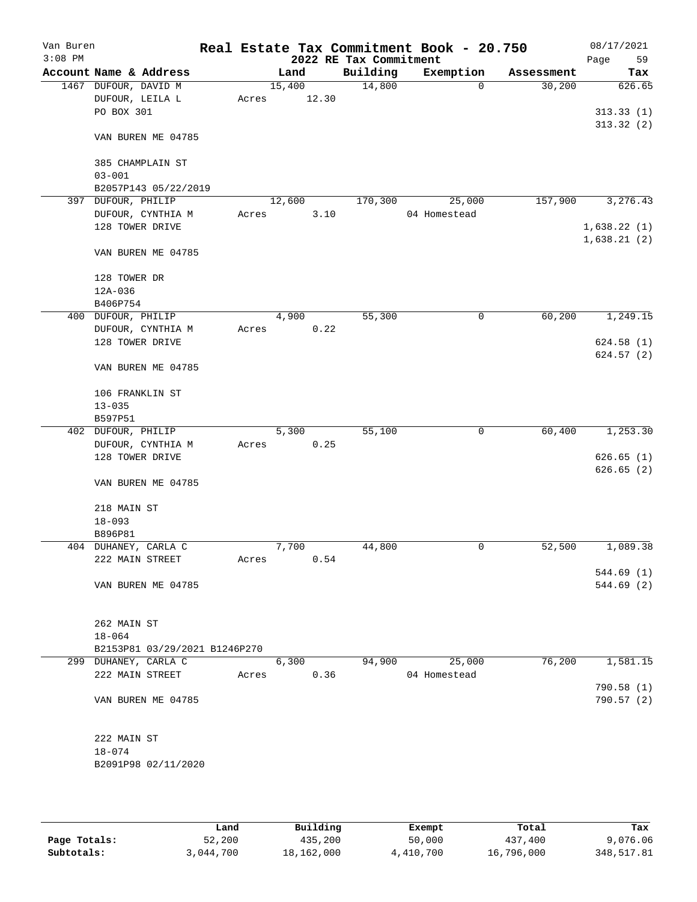| Van Buren<br>$3:08$ PM |                                    |       |        |       | 2022 RE Tax Commitment | Real Estate Tax Commitment Book - 20.750 |            | 08/17/2021<br>59<br>Page |
|------------------------|------------------------------------|-------|--------|-------|------------------------|------------------------------------------|------------|--------------------------|
|                        | Account Name & Address             |       | Land   |       | Building               | Exemption                                | Assessment | Tax                      |
|                        | 1467 DUFOUR, DAVID M               |       | 15,400 |       | 14,800                 | $\mathbf 0$                              | 30,200     | 626.65                   |
|                        | DUFOUR, LEILA L                    | Acres |        | 12.30 |                        |                                          |            |                          |
|                        | PO BOX 301                         |       |        |       |                        |                                          |            | 313.33(1)                |
|                        | VAN BUREN ME 04785                 |       |        |       |                        |                                          |            | 313.32(2)                |
|                        | 385 CHAMPLAIN ST                   |       |        |       |                        |                                          |            |                          |
|                        | $03 - 001$<br>B2057P143 05/22/2019 |       |        |       |                        |                                          |            |                          |
| 397                    | DUFOUR, PHILIP                     |       | 12,600 |       | 170,300                | 25,000                                   | 157,900    | 3,276.43                 |
|                        | DUFOUR, CYNTHIA M                  | Acres |        | 3.10  |                        | 04 Homestead                             |            |                          |
|                        | 128 TOWER DRIVE                    |       |        |       |                        |                                          |            | 1,638.22(1)              |
|                        |                                    |       |        |       |                        |                                          |            | 1,638.21(2)              |
|                        | VAN BUREN ME 04785                 |       |        |       |                        |                                          |            |                          |
|                        | 128 TOWER DR                       |       |        |       |                        |                                          |            |                          |
|                        | $12A-036$                          |       |        |       |                        |                                          |            |                          |
|                        | B406P754<br>400 DUFOUR, PHILIP     |       | 4,900  |       |                        |                                          |            |                          |
|                        | DUFOUR, CYNTHIA M                  | Acres |        | 0.22  | 55,300                 | 0                                        | 60,200     | 1,249.15                 |
|                        | 128 TOWER DRIVE                    |       |        |       |                        |                                          |            | 624.58(1)                |
|                        |                                    |       |        |       |                        |                                          |            | 624.57(2)                |
|                        | VAN BUREN ME 04785                 |       |        |       |                        |                                          |            |                          |
|                        | 106 FRANKLIN ST                    |       |        |       |                        |                                          |            |                          |
|                        | $13 - 035$                         |       |        |       |                        |                                          |            |                          |
|                        | B597P51                            |       |        |       |                        |                                          |            |                          |
|                        | 402 DUFOUR, PHILIP                 |       | 5,300  |       | 55,100                 | 0                                        | 60,400     | 1,253.30                 |
|                        | DUFOUR, CYNTHIA M                  | Acres |        | 0.25  |                        |                                          |            |                          |
|                        | 128 TOWER DRIVE                    |       |        |       |                        |                                          |            | 626.65(1)                |
|                        | VAN BUREN ME 04785                 |       |        |       |                        |                                          |            | 626.65(2)                |
|                        | 218 MAIN ST                        |       |        |       |                        |                                          |            |                          |
|                        | $18 - 093$                         |       |        |       |                        |                                          |            |                          |
|                        | B896P81<br>404 DUHANEY, CARLA C    |       | 7,700  |       | 44,800                 | 0                                        | 52,500     | 1,089.38                 |
|                        | 222 MAIN STREET                    | Acres |        | 0.54  |                        |                                          |            |                          |
|                        |                                    |       |        |       |                        |                                          |            | 544.69(1)                |
|                        | VAN BUREN ME 04785                 |       |        |       |                        |                                          |            | 544.69(2)                |
|                        | 262 MAIN ST                        |       |        |       |                        |                                          |            |                          |
|                        | $18 - 064$                         |       |        |       |                        |                                          |            |                          |
|                        | B2153P81 03/29/2021 B1246P270      |       |        |       |                        |                                          |            |                          |
|                        | 299 DUHANEY, CARLA C               |       | 6,300  |       | 94,900                 | 25,000                                   | 76,200     | 1,581.15                 |
|                        | 222 MAIN STREET                    | Acres |        | 0.36  |                        | 04 Homestead                             |            |                          |
|                        |                                    |       |        |       |                        |                                          |            | 790.58 (1)               |
|                        | VAN BUREN ME 04785                 |       |        |       |                        |                                          |            | 790.57(2)                |
|                        | 222 MAIN ST                        |       |        |       |                        |                                          |            |                          |
|                        | $18 - 074$                         |       |        |       |                        |                                          |            |                          |
|                        | B2091P98 02/11/2020                |       |        |       |                        |                                          |            |                          |
|                        |                                    |       |        |       |                        |                                          |            |                          |

|              | Land      | Building   | Exempt    | Total      | Tax        |
|--------------|-----------|------------|-----------|------------|------------|
| Page Totals: | 52,200    | 435,200    | 50,000    | 437,400    | 9,076.06   |
| Subtotals:   | 3,044,700 | 18,162,000 | 4,410,700 | 16,796,000 | 348,517.81 |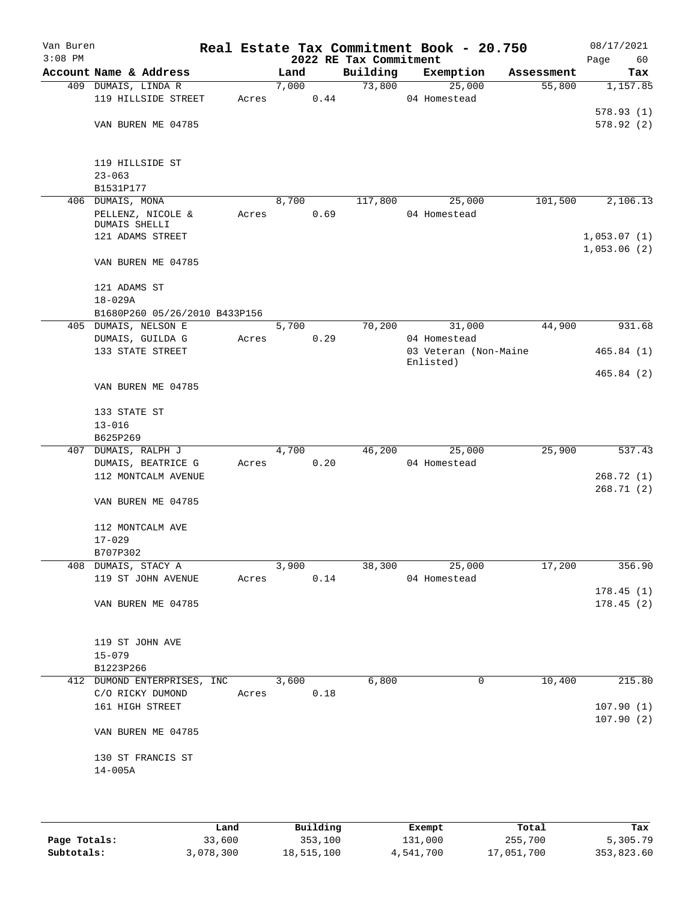| Van Buren<br>$3:08$ PM |                                   |       |            |      | 2022 RE Tax Commitment | Real Estate Tax Commitment Book - 20.750 |            | 08/17/2021<br>Page<br>60 |
|------------------------|-----------------------------------|-------|------------|------|------------------------|------------------------------------------|------------|--------------------------|
|                        | Account Name & Address            |       | Land       |      | Building               | Exemption                                | Assessment | Tax                      |
|                        | 409 DUMAIS, LINDA R               |       | 7,000      |      | 73,800                 | 25,000                                   | 55,800     | 1,157.85                 |
|                        | 119 HILLSIDE STREET               | Acres |            | 0.44 |                        | 04 Homestead                             |            |                          |
|                        |                                   |       |            |      |                        |                                          |            | 578.93(1)                |
|                        | VAN BUREN ME 04785                |       |            |      |                        |                                          |            | 578.92(2)                |
|                        |                                   |       |            |      |                        |                                          |            |                          |
|                        | 119 HILLSIDE ST                   |       |            |      |                        |                                          |            |                          |
|                        | $23 - 063$                        |       |            |      |                        |                                          |            |                          |
|                        | B1531P177                         |       |            |      |                        |                                          |            |                          |
|                        | 406 DUMAIS, MONA                  |       | 8,700      |      | 117,800                | 25,000                                   | 101,500    | 2,106.13                 |
|                        | PELLENZ, NICOLE &                 | Acres |            | 0.69 |                        | 04 Homestead                             |            |                          |
|                        | DUMAIS SHELLI                     |       |            |      |                        |                                          |            |                          |
|                        | 121 ADAMS STREET                  |       |            |      |                        |                                          |            | 1,053.07(1)              |
|                        | VAN BUREN ME 04785                |       |            |      |                        |                                          |            | 1,053.06(2)              |
|                        |                                   |       |            |      |                        |                                          |            |                          |
|                        | 121 ADAMS ST                      |       |            |      |                        |                                          |            |                          |
|                        | $18 - 029A$                       |       |            |      |                        |                                          |            |                          |
|                        | B1680P260 05/26/2010 B433P156     |       |            |      |                        |                                          |            |                          |
|                        | 405 DUMAIS, NELSON E              |       | 5,700      |      | 70,200                 | 31,000                                   | 44,900     | 931.68                   |
|                        | DUMAIS, GUILDA G                  | Acres |            | 0.29 |                        | 04 Homestead                             |            |                          |
|                        | 133 STATE STREET                  |       |            |      |                        | 03 Veteran (Non-Maine<br>Enlisted)       |            | 465.84(1)                |
|                        |                                   |       |            |      |                        |                                          |            | 465.84(2)                |
|                        | VAN BUREN ME 04785                |       |            |      |                        |                                          |            |                          |
|                        | 133 STATE ST                      |       |            |      |                        |                                          |            |                          |
|                        | $13 - 016$                        |       |            |      |                        |                                          |            |                          |
|                        | B625P269                          |       |            |      |                        |                                          |            |                          |
| 407                    | DUMAIS, RALPH J                   |       | 4,700      |      | 46,200                 | 25,000                                   | 25,900     | 537.43                   |
|                        | DUMAIS, BEATRICE G                | Acres |            | 0.20 |                        | 04 Homestead                             |            |                          |
|                        | 112 MONTCALM AVENUE               |       |            |      |                        |                                          |            | 268.72(1)                |
|                        |                                   |       |            |      |                        |                                          |            | 268.71(2)                |
|                        | VAN BUREN ME 04785                |       |            |      |                        |                                          |            |                          |
|                        | 112 MONTCALM AVE                  |       |            |      |                        |                                          |            |                          |
|                        | $17 - 029$                        |       |            |      |                        |                                          |            |                          |
|                        | B707P302                          |       |            |      |                        |                                          |            |                          |
|                        | 408 DUMAIS, STACY A               |       | 3,900      |      | $\frac{38,300}{ }$     | 25,000                                   | 17,200     | 356.90                   |
|                        | 119 ST JOHN AVENUE                |       | Acres 0.14 |      |                        | 04 Homestead                             |            |                          |
|                        |                                   |       |            |      |                        |                                          |            | 178.45(1)                |
|                        | VAN BUREN ME 04785                |       |            |      |                        |                                          |            | 178.45(2)                |
|                        |                                   |       |            |      |                        |                                          |            |                          |
|                        | 119 ST JOHN AVE                   |       |            |      |                        |                                          |            |                          |
|                        | $15 - 079$                        |       |            |      |                        |                                          |            |                          |
|                        | B1223P266                         |       |            |      |                        |                                          |            |                          |
|                        | 412 DUMOND ENTERPRISES, INC 3,600 |       |            |      | 6,800                  | 0                                        | 10,400     | 215.80                   |
|                        | C/O RICKY DUMOND                  |       | Acres 0.18 |      |                        |                                          |            |                          |
|                        | 161 HIGH STREET                   |       |            |      |                        |                                          |            | 107.90(1)                |
|                        | VAN BUREN ME 04785                |       |            |      |                        |                                          |            | 107.90(2)                |
|                        | 130 ST FRANCIS ST                 |       |            |      |                        |                                          |            |                          |
|                        | $14 - 005A$                       |       |            |      |                        |                                          |            |                          |
|                        |                                   |       |            |      |                        |                                          |            |                          |
|                        |                                   |       |            |      |                        |                                          |            |                          |
|                        |                                   |       |            |      |                        |                                          |            |                          |

|              | Land      | Building   | Exempt    | Total      | Tax        |
|--------------|-----------|------------|-----------|------------|------------|
| Page Totals: | 33,600    | 353,100    | 131,000   | 255,700    | 5,305.79   |
| Subtotals:   | 3,078,300 | 18,515,100 | 4,541,700 | 17,051,700 | 353,823.60 |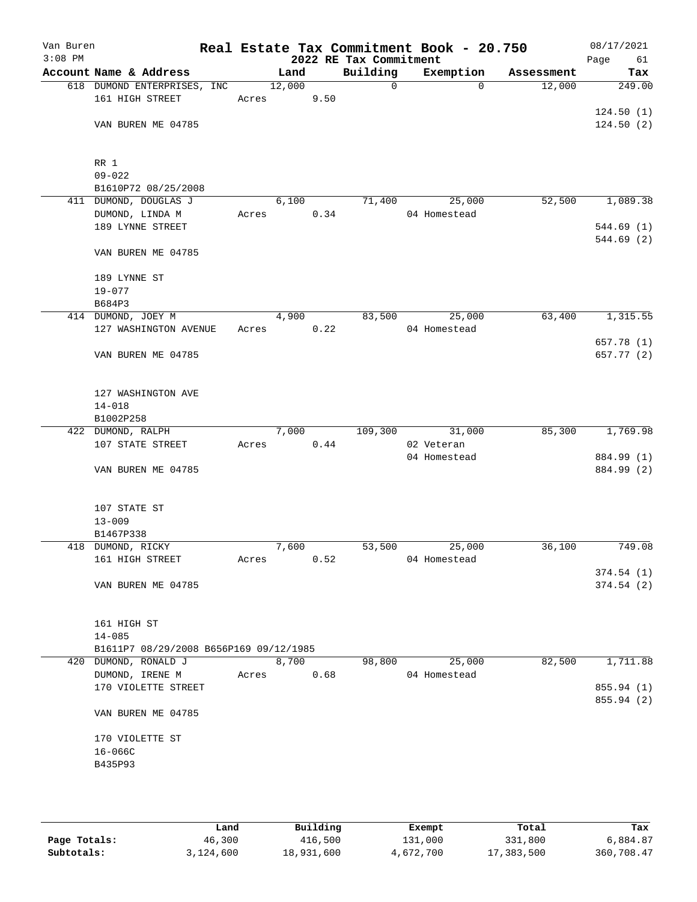| Van Buren<br>$3:08$ PM |                                         |       |        |      | 2022 RE Tax Commitment | Real Estate Tax Commitment Book - 20.750 |            | 08/17/2021<br>Page<br>61 |
|------------------------|-----------------------------------------|-------|--------|------|------------------------|------------------------------------------|------------|--------------------------|
|                        | Account Name & Address                  |       | Land   |      | Building               | Exemption                                | Assessment | Tax                      |
|                        | 618 DUMOND ENTERPRISES, INC             |       | 12,000 |      | $\mathbf 0$            | $\Omega$                                 | 12,000     | 249.00                   |
|                        | 161 HIGH STREET                         | Acres |        | 9.50 |                        |                                          |            |                          |
|                        |                                         |       |        |      |                        |                                          |            | 124.50(1)                |
|                        | VAN BUREN ME 04785                      |       |        |      |                        |                                          |            | 124.50(2)                |
|                        |                                         |       |        |      |                        |                                          |            |                          |
|                        |                                         |       |        |      |                        |                                          |            |                          |
|                        | RR 1                                    |       |        |      |                        |                                          |            |                          |
|                        | $09 - 022$                              |       |        |      |                        |                                          |            |                          |
|                        | B1610P72 08/25/2008                     |       |        |      |                        |                                          |            |                          |
|                        | 411 DUMOND, DOUGLAS J                   |       | 6,100  |      | 71,400                 | 25,000                                   | 52,500     | 1,089.38                 |
|                        | DUMOND, LINDA M<br>189 LYNNE STREET     | Acres |        | 0.34 |                        | 04 Homestead                             |            |                          |
|                        |                                         |       |        |      |                        |                                          |            | 544.69(1)<br>544.69 (2)  |
|                        | VAN BUREN ME 04785                      |       |        |      |                        |                                          |            |                          |
|                        |                                         |       |        |      |                        |                                          |            |                          |
|                        | 189 LYNNE ST                            |       |        |      |                        |                                          |            |                          |
|                        | $19 - 077$                              |       |        |      |                        |                                          |            |                          |
|                        | B684P3                                  |       |        |      |                        |                                          |            |                          |
|                        | 414 DUMOND, JOEY M                      |       | 4,900  |      | 83,500                 | 25,000                                   | 63,400     | 1,315.55                 |
|                        | 127 WASHINGTON AVENUE                   | Acres |        | 0.22 |                        | 04 Homestead                             |            |                          |
|                        |                                         |       |        |      |                        |                                          |            | 657.78 (1)               |
|                        | VAN BUREN ME 04785                      |       |        |      |                        |                                          |            | 657.77 (2)               |
|                        |                                         |       |        |      |                        |                                          |            |                          |
|                        |                                         |       |        |      |                        |                                          |            |                          |
|                        | 127 WASHINGTON AVE                      |       |        |      |                        |                                          |            |                          |
|                        | $14 - 018$                              |       |        |      |                        |                                          |            |                          |
|                        | B1002P258                               |       |        |      |                        |                                          |            |                          |
|                        | 422 DUMOND, RALPH                       |       | 7,000  |      | 109,300                | 31,000                                   | 85,300     | 1,769.98                 |
|                        | 107 STATE STREET                        | Acres |        | 0.44 |                        | 02 Veteran                               |            |                          |
|                        | VAN BUREN ME 04785                      |       |        |      |                        | 04 Homestead                             |            | 884.99 (1)<br>884.99 (2) |
|                        |                                         |       |        |      |                        |                                          |            |                          |
|                        |                                         |       |        |      |                        |                                          |            |                          |
|                        | 107 STATE ST                            |       |        |      |                        |                                          |            |                          |
|                        | $13 - 009$                              |       |        |      |                        |                                          |            |                          |
|                        | B1467P338                               |       |        |      |                        |                                          |            |                          |
|                        | 418 DUMOND, RICKY                       |       | 7,600  |      | 53,500                 | 25,000                                   | 36,100     | 749.08                   |
|                        | 161 HIGH STREET                         | Acres |        | 0.52 |                        | 04 Homestead                             |            |                          |
|                        |                                         |       |        |      |                        |                                          |            | 374.54(1)                |
|                        | VAN BUREN ME 04785                      |       |        |      |                        |                                          |            | 374.54(2)                |
|                        |                                         |       |        |      |                        |                                          |            |                          |
|                        |                                         |       |        |      |                        |                                          |            |                          |
|                        | 161 HIGH ST                             |       |        |      |                        |                                          |            |                          |
|                        | $14 - 085$                              |       |        |      |                        |                                          |            |                          |
|                        | B1611P7 08/29/2008 B656P169 09/12/1985  |       | 8,700  |      | 98,800                 |                                          |            |                          |
|                        | 420 DUMOND, RONALD J<br>DUMOND, IRENE M | Acres |        | 0.68 |                        | 25,000<br>04 Homestead                   | 82,500     | 1,711.88                 |
|                        | 170 VIOLETTE STREET                     |       |        |      |                        |                                          |            | 855.94 (1)               |
|                        |                                         |       |        |      |                        |                                          |            | 855.94 (2)               |
|                        | VAN BUREN ME 04785                      |       |        |      |                        |                                          |            |                          |
|                        |                                         |       |        |      |                        |                                          |            |                          |
|                        | 170 VIOLETTE ST                         |       |        |      |                        |                                          |            |                          |
|                        | $16 - 066C$                             |       |        |      |                        |                                          |            |                          |
|                        | B435P93                                 |       |        |      |                        |                                          |            |                          |
|                        |                                         |       |        |      |                        |                                          |            |                          |
|                        |                                         |       |        |      |                        |                                          |            |                          |
|                        |                                         |       |        |      |                        |                                          |            |                          |

|              | Land      | Building   | Exempt    | Total      | Tax        |
|--------------|-----------|------------|-----------|------------|------------|
| Page Totals: | 46,300    | 416,500    | 131,000   | 331,800    | 6,884.87   |
| Subtotals:   | 3,124,600 | 18,931,600 | 4,672,700 | 17,383,500 | 360,708.47 |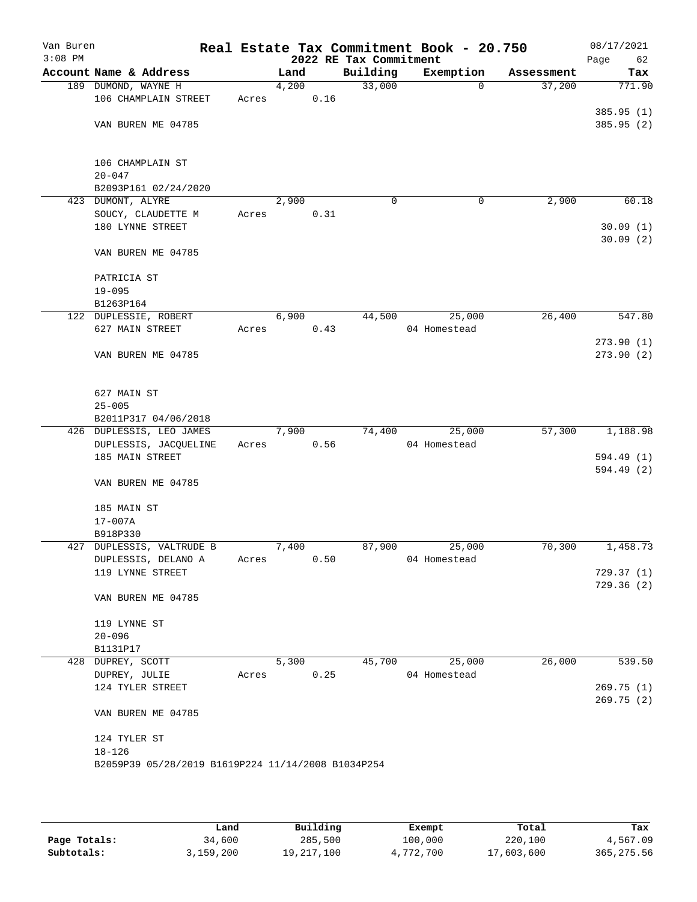| Van Buren<br>$3:08$ PM |                                                    |       |       |      | 2022 RE Tax Commitment | Real Estate Tax Commitment Book - 20.750 |            | 08/17/2021<br>Page<br>62 |
|------------------------|----------------------------------------------------|-------|-------|------|------------------------|------------------------------------------|------------|--------------------------|
|                        | Account Name & Address                             |       | Land  |      | Building               | Exemption                                | Assessment | Tax                      |
|                        | 189 DUMOND, WAYNE H                                |       | 4,200 |      | 33,000                 | $\Omega$                                 | 37,200     | 771.90                   |
|                        | 106 CHAMPLAIN STREET                               | Acres |       | 0.16 |                        |                                          |            |                          |
|                        |                                                    |       |       |      |                        |                                          |            | 385.95(1)                |
|                        | VAN BUREN ME 04785                                 |       |       |      |                        |                                          |            | 385.95(2)                |
|                        |                                                    |       |       |      |                        |                                          |            |                          |
|                        |                                                    |       |       |      |                        |                                          |            |                          |
|                        | 106 CHAMPLAIN ST                                   |       |       |      |                        |                                          |            |                          |
|                        | $20 - 047$                                         |       |       |      |                        |                                          |            |                          |
|                        | B2093P161 02/24/2020                               |       | 2,900 |      | $\mathbf 0$            | 0                                        | 2,900      | 60.18                    |
|                        | 423 DUMONT, ALYRE<br>SOUCY, CLAUDETTE M            | Acres |       | 0.31 |                        |                                          |            |                          |
|                        | 180 LYNNE STREET                                   |       |       |      |                        |                                          |            | 30.09(1)                 |
|                        |                                                    |       |       |      |                        |                                          |            | 30.09(2)                 |
|                        | VAN BUREN ME 04785                                 |       |       |      |                        |                                          |            |                          |
|                        |                                                    |       |       |      |                        |                                          |            |                          |
|                        | PATRICIA ST                                        |       |       |      |                        |                                          |            |                          |
|                        | $19 - 095$                                         |       |       |      |                        |                                          |            |                          |
|                        | B1263P164                                          |       |       |      |                        |                                          |            |                          |
|                        | 122 DUPLESSIE, ROBERT                              |       | 6,900 |      | 44,500                 | 25,000                                   | 26,400     | 547.80                   |
|                        | 627 MAIN STREET                                    | Acres |       | 0.43 |                        | 04 Homestead                             |            |                          |
|                        |                                                    |       |       |      |                        |                                          |            | 273.90(1)                |
|                        | VAN BUREN ME 04785                                 |       |       |      |                        |                                          |            | 273.90(2)                |
|                        |                                                    |       |       |      |                        |                                          |            |                          |
|                        |                                                    |       |       |      |                        |                                          |            |                          |
|                        | 627 MAIN ST                                        |       |       |      |                        |                                          |            |                          |
|                        | $25 - 005$                                         |       |       |      |                        |                                          |            |                          |
|                        | B2011P317 04/06/2018                               |       |       |      |                        |                                          |            |                          |
|                        | 426 DUPLESSIS, LEO JAMES                           |       | 7,900 |      | 74,400                 | 25,000                                   | 57,300     | 1,188.98                 |
|                        | DUPLESSIS, JACQUELINE<br>185 MAIN STREET           | Acres |       | 0.56 |                        | 04 Homestead                             |            |                          |
|                        |                                                    |       |       |      |                        |                                          |            | 594.49 (1)<br>594.49(2)  |
|                        | VAN BUREN ME 04785                                 |       |       |      |                        |                                          |            |                          |
|                        |                                                    |       |       |      |                        |                                          |            |                          |
|                        | 185 MAIN ST                                        |       |       |      |                        |                                          |            |                          |
|                        | $17 - 007A$                                        |       |       |      |                        |                                          |            |                          |
|                        | B918P330                                           |       |       |      |                        |                                          |            |                          |
|                        | 427 DUPLESSIS, VALTRUDE B                          |       | 7,400 |      | 87,900                 | 25,000                                   | 70,300     | 1,458.73                 |
|                        | DUPLESSIS, DELANO A                                | Acres |       | 0.50 |                        | 04 Homestead                             |            |                          |
|                        | 119 LYNNE STREET                                   |       |       |      |                        |                                          |            | 729.37(1)                |
|                        |                                                    |       |       |      |                        |                                          |            | 729.36 (2)               |
|                        | VAN BUREN ME 04785                                 |       |       |      |                        |                                          |            |                          |
|                        |                                                    |       |       |      |                        |                                          |            |                          |
|                        | 119 LYNNE ST                                       |       |       |      |                        |                                          |            |                          |
|                        | $20 - 096$                                         |       |       |      |                        |                                          |            |                          |
|                        | B1131P17                                           |       |       |      |                        |                                          |            |                          |
|                        | 428 DUPREY, SCOTT                                  |       | 5,300 |      | 45,700                 | 25,000                                   | 26,000     | 539.50                   |
|                        | DUPREY, JULIE                                      | Acres |       | 0.25 |                        | 04 Homestead                             |            |                          |
|                        | 124 TYLER STREET                                   |       |       |      |                        |                                          |            | 269.75 (1)               |
|                        |                                                    |       |       |      |                        |                                          |            | 269.75 (2)               |
|                        | VAN BUREN ME 04785                                 |       |       |      |                        |                                          |            |                          |
|                        | 124 TYLER ST                                       |       |       |      |                        |                                          |            |                          |
|                        | $18 - 126$                                         |       |       |      |                        |                                          |            |                          |
|                        | B2059P39 05/28/2019 B1619P224 11/14/2008 B1034P254 |       |       |      |                        |                                          |            |                          |
|                        |                                                    |       |       |      |                        |                                          |            |                          |
|                        |                                                    |       |       |      |                        |                                          |            |                          |
|                        |                                                    |       |       |      |                        |                                          |            |                          |

|              | Land      | Building     | Exempt    | Total      | Tax         |
|--------------|-----------|--------------|-----------|------------|-------------|
| Page Totals: | 34,600    | 285,500      | 100,000   | 220,100    | 4,567.09    |
| Subtotals:   | 3,159,200 | 19, 217, 100 | 4,772,700 | 17,603,600 | 365, 275.56 |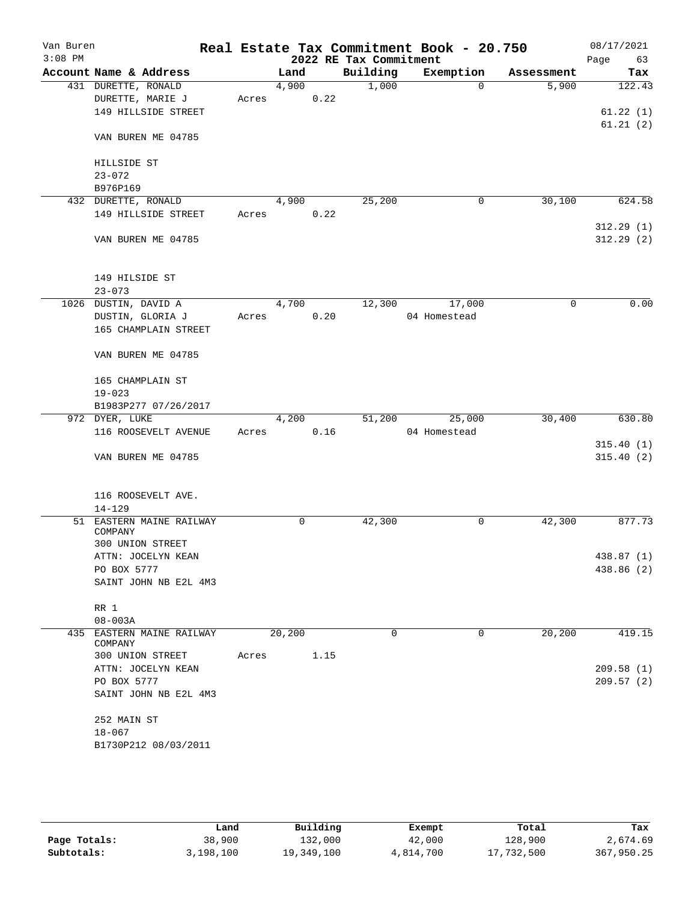| Van Buren |                                      |       |        |      |                        | Real Estate Tax Commitment Book - 20.750 |            | 08/17/2021 |
|-----------|--------------------------------------|-------|--------|------|------------------------|------------------------------------------|------------|------------|
| $3:08$ PM |                                      |       |        |      | 2022 RE Tax Commitment |                                          |            | Page<br>63 |
|           | Account Name & Address               |       | Land   |      | Building               | Exemption                                | Assessment | Tax        |
|           | 431 DURETTE, RONALD                  |       | 4,900  |      | 1,000                  | $\Omega$                                 | 5,900      | 122.43     |
|           | DURETTE, MARIE J                     | Acres |        | 0.22 |                        |                                          |            |            |
|           | 149 HILLSIDE STREET                  |       |        |      |                        |                                          |            | 61.22(1)   |
|           | VAN BUREN ME 04785                   |       |        |      |                        |                                          |            | 61.21(2)   |
|           |                                      |       |        |      |                        |                                          |            |            |
|           | HILLSIDE ST                          |       |        |      |                        |                                          |            |            |
|           | $23 - 072$                           |       |        |      |                        |                                          |            |            |
|           | B976P169                             |       |        |      |                        |                                          |            |            |
|           | 432 DURETTE, RONALD                  |       | 4,900  |      | 25,200                 | $\mathbf 0$                              | 30,100     | 624.58     |
|           | 149 HILLSIDE STREET                  | Acres |        | 0.22 |                        |                                          |            |            |
|           |                                      |       |        |      |                        |                                          |            | 312.29(1)  |
|           | VAN BUREN ME 04785                   |       |        |      |                        |                                          |            | 312.29(2)  |
|           | 149 HILSIDE ST                       |       |        |      |                        |                                          |            |            |
|           | $23 - 073$                           |       |        |      |                        |                                          |            |            |
|           | 1026 DUSTIN, DAVID A                 |       | 4,700  |      | 12,300                 | 17,000                                   | 0          | 0.00       |
|           | DUSTIN, GLORIA J                     | Acres |        | 0.20 |                        | 04 Homestead                             |            |            |
|           | 165 CHAMPLAIN STREET                 |       |        |      |                        |                                          |            |            |
|           |                                      |       |        |      |                        |                                          |            |            |
|           | VAN BUREN ME 04785                   |       |        |      |                        |                                          |            |            |
|           | 165 CHAMPLAIN ST                     |       |        |      |                        |                                          |            |            |
|           | $19 - 023$                           |       |        |      |                        |                                          |            |            |
|           | B1983P277 07/26/2017                 |       |        |      |                        |                                          |            |            |
|           | 972 DYER, LUKE                       |       | 4,200  |      | 51,200                 | 25,000                                   | 30,400     | 630.80     |
|           | 116 ROOSEVELT AVENUE                 | Acres |        | 0.16 |                        | 04 Homestead                             |            |            |
|           |                                      |       |        |      |                        |                                          |            | 315.40(1)  |
|           | VAN BUREN ME 04785                   |       |        |      |                        |                                          |            | 315.40(2)  |
|           | 116 ROOSEVELT AVE.                   |       |        |      |                        |                                          |            |            |
|           | $14 - 129$                           |       |        |      |                        |                                          |            |            |
|           | 51 EASTERN MAINE RAILWAY             |       | 0      |      | 42,300                 | 0                                        | 42,300     | 877.73     |
|           | COMPANY                              |       |        |      |                        |                                          |            |            |
|           | 300 UNION STREET                     |       |        |      |                        |                                          |            |            |
|           | ATTN: JOCELYN KEAN                   |       |        |      |                        |                                          |            | 438.87 (1) |
|           | PO BOX 5777                          |       |        |      |                        |                                          |            | 438.86 (2) |
|           | SAINT JOHN NB E2L 4M3                |       |        |      |                        |                                          |            |            |
|           | RR 1                                 |       |        |      |                        |                                          |            |            |
|           | $08 - 003A$                          |       |        |      |                        |                                          |            |            |
|           | 435 EASTERN MAINE RAILWAY<br>COMPANY |       | 20,200 |      | 0                      | 0                                        | 20,200     | 419.15     |
|           | 300 UNION STREET                     | Acres |        | 1.15 |                        |                                          |            |            |
|           | ATTN: JOCELYN KEAN                   |       |        |      |                        |                                          |            | 209.58(1)  |
|           | PO BOX 5777                          |       |        |      |                        |                                          |            | 209.57(2)  |
|           | SAINT JOHN NB E2L 4M3                |       |        |      |                        |                                          |            |            |
|           | 252 MAIN ST                          |       |        |      |                        |                                          |            |            |
|           | $18 - 067$                           |       |        |      |                        |                                          |            |            |
|           | B1730P212 08/03/2011                 |       |        |      |                        |                                          |            |            |
|           |                                      |       |        |      |                        |                                          |            |            |

|              |           | Building   |           |            |            |
|--------------|-----------|------------|-----------|------------|------------|
|              | Land      |            | Exempt    | Total      | Tax        |
| Page Totals: | 38,900    | 132,000    | 42,000    | 128,900    | 2,674.69   |
| Subtotals:   | 3,198,100 | 19,349,100 | 4,814,700 | 17,732,500 | 367,950.25 |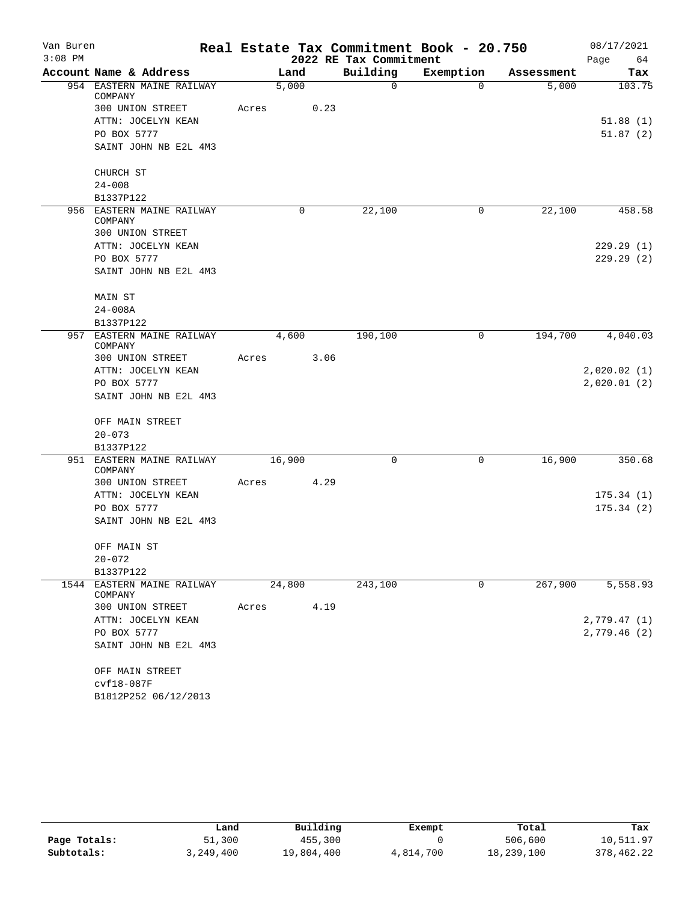| Van Buren |                                      |        |      |                        | Real Estate Tax Commitment Book - 20.750 |            | 08/17/2021   |
|-----------|--------------------------------------|--------|------|------------------------|------------------------------------------|------------|--------------|
| $3:08$ PM |                                      |        |      | 2022 RE Tax Commitment |                                          |            | 64<br>Page   |
|           | Account Name & Address               | Land   |      | Building               | Exemption                                | Assessment | Tax          |
|           | 954 EASTERN MAINE RAILWAY<br>COMPANY | 5,000  |      | 0                      | $\Omega$                                 | 5,000      | 103.75       |
|           | 300 UNION STREET                     | Acres  | 0.23 |                        |                                          |            |              |
|           | ATTN: JOCELYN KEAN                   |        |      |                        |                                          |            | 51.88(1)     |
|           | PO BOX 5777                          |        |      |                        |                                          |            | 51.87(2)     |
|           | SAINT JOHN NB E2L 4M3                |        |      |                        |                                          |            |              |
|           | CHURCH ST                            |        |      |                        |                                          |            |              |
|           | $24 - 008$                           |        |      |                        |                                          |            |              |
|           | B1337P122                            |        |      |                        |                                          |            |              |
|           | 956 EASTERN MAINE RAILWAY<br>COMPANY | 0      |      | 22,100                 | 0                                        | 22,100     | 458.58       |
|           | 300 UNION STREET                     |        |      |                        |                                          |            |              |
|           | ATTN: JOCELYN KEAN                   |        |      |                        |                                          |            | 229.29(1)    |
|           | PO BOX 5777                          |        |      |                        |                                          |            | 229.29(2)    |
|           | SAINT JOHN NB E2L 4M3                |        |      |                        |                                          |            |              |
|           | MAIN ST                              |        |      |                        |                                          |            |              |
|           | $24 - 008A$                          |        |      |                        |                                          |            |              |
|           | B1337P122                            |        |      |                        |                                          |            |              |
|           | 957 EASTERN MAINE RAILWAY<br>COMPANY | 4,600  |      | 190,100                | 0                                        | 194,700    | 4,040.03     |
|           | 300 UNION STREET                     | Acres  | 3.06 |                        |                                          |            |              |
|           | ATTN: JOCELYN KEAN                   |        |      |                        |                                          |            | 2,020.02(1)  |
|           | PO BOX 5777                          |        |      |                        |                                          |            | 2,020.01(2)  |
|           | SAINT JOHN NB E2L 4M3                |        |      |                        |                                          |            |              |
|           | OFF MAIN STREET                      |        |      |                        |                                          |            |              |
|           | $20 - 073$                           |        |      |                        |                                          |            |              |
|           | B1337P122                            |        |      |                        |                                          |            |              |
|           | 951 EASTERN MAINE RAILWAY<br>COMPANY | 16,900 |      | 0                      | 0                                        | 16,900     | 350.68       |
|           | 300 UNION STREET                     | Acres  | 4.29 |                        |                                          |            |              |
|           | ATTN: JOCELYN KEAN                   |        |      |                        |                                          |            | 175.34(1)    |
|           | PO BOX 5777                          |        |      |                        |                                          |            | 175.34(2)    |
|           | SAINT JOHN NB E2L 4M3                |        |      |                        |                                          |            |              |
|           | OFF MAIN ST                          |        |      |                        |                                          |            |              |
|           | $20 - 072$                           |        |      |                        |                                          |            |              |
|           | B1337P122                            |        |      |                        |                                          |            |              |
| 1544      | EASTERN MAINE RAILWAY<br>COMPANY     | 24,800 |      | 243,100                | $\mathbf 0$                              | 267,900    | 5,558.93     |
|           | 300 UNION STREET                     | Acres  | 4.19 |                        |                                          |            |              |
|           | ATTN: JOCELYN KEAN                   |        |      |                        |                                          |            | 2,779.47 (1) |
|           | PO BOX 5777                          |        |      |                        |                                          |            | 2,779.46(2)  |
|           | SAINT JOHN NB E2L 4M3                |        |      |                        |                                          |            |              |
|           | OFF MAIN STREET                      |        |      |                        |                                          |            |              |
|           | $cvf18-087F$                         |        |      |                        |                                          |            |              |
|           | B1812P252 06/12/2013                 |        |      |                        |                                          |            |              |

|              | Land      | Building   | Exempt    | Total      | Tax        |
|--------------|-----------|------------|-----------|------------|------------|
| Page Totals: | 51,300    | 455,300    |           | 506,600    | 10,511.97  |
| Subtotals:   | 3,249,400 | 19,804,400 | 4,814,700 | 18,239,100 | 378,462.22 |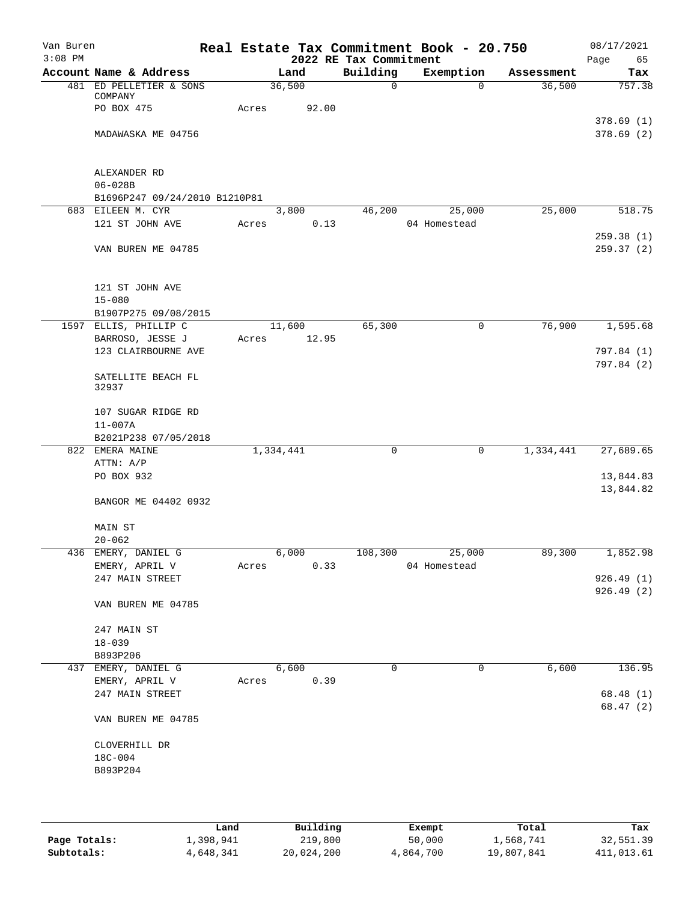| Van Buren<br>$3:08$ PM |                               |       |           |       | 2022 RE Tax Commitment | Real Estate Tax Commitment Book - 20.750 |            | 08/17/2021<br>Page<br>65 |
|------------------------|-------------------------------|-------|-----------|-------|------------------------|------------------------------------------|------------|--------------------------|
|                        | Account Name & Address        |       | Land      |       | Building               | Exemption                                | Assessment | Tax                      |
|                        | 481 ED PELLETIER & SONS       |       | 36,500    |       | $\mathbf 0$            | $\Omega$                                 | 36,500     | 757.38                   |
|                        | COMPANY                       |       |           |       |                        |                                          |            |                          |
|                        | PO BOX 475                    | Acres |           | 92.00 |                        |                                          |            |                          |
|                        |                               |       |           |       |                        |                                          |            | 378.69(1)                |
|                        | MADAWASKA ME 04756            |       |           |       |                        |                                          |            | 378.69 (2)               |
|                        |                               |       |           |       |                        |                                          |            |                          |
|                        | ALEXANDER RD                  |       |           |       |                        |                                          |            |                          |
|                        | $06 - 028B$                   |       |           |       |                        |                                          |            |                          |
|                        | B1696P247 09/24/2010 B1210P81 |       |           |       |                        |                                          |            |                          |
|                        | 683 EILEEN M. CYR             |       | 3,800     |       | 46,200                 | 25,000                                   | 25,000     | 518.75                   |
|                        | 121 ST JOHN AVE               | Acres |           | 0.13  |                        | 04 Homestead                             |            |                          |
|                        |                               |       |           |       |                        |                                          |            | 259.38(1)                |
|                        | VAN BUREN ME 04785            |       |           |       |                        |                                          |            | 259.37(2)                |
|                        | 121 ST JOHN AVE               |       |           |       |                        |                                          |            |                          |
|                        | $15 - 080$                    |       |           |       |                        |                                          |            |                          |
|                        | B1907P275 09/08/2015          |       |           |       |                        |                                          |            |                          |
|                        | 1597 ELLIS, PHILLIP C         |       | 11,600    |       | 65,300                 | 0                                        | 76,900     | 1,595.68                 |
|                        | BARROSO, JESSE J              | Acres |           | 12.95 |                        |                                          |            |                          |
|                        | 123 CLAIRBOURNE AVE           |       |           |       |                        |                                          |            | 797.84 (1)               |
|                        |                               |       |           |       |                        |                                          |            | 797.84 (2)               |
|                        | SATELLITE BEACH FL<br>32937   |       |           |       |                        |                                          |            |                          |
|                        | 107 SUGAR RIDGE RD            |       |           |       |                        |                                          |            |                          |
|                        | $11 - 007A$                   |       |           |       |                        |                                          |            |                          |
|                        | B2021P238 07/05/2018          |       |           |       |                        |                                          |            |                          |
|                        | 822 EMERA MAINE               |       | 1,334,441 |       | 0                      | $\mathbf 0$                              | 1,334,441  | 27,689.65                |
|                        | ATTN: A/P                     |       |           |       |                        |                                          |            |                          |
|                        | PO BOX 932                    |       |           |       |                        |                                          |            | 13,844.83                |
|                        |                               |       |           |       |                        |                                          |            | 13,844.82                |
|                        | BANGOR ME 04402 0932          |       |           |       |                        |                                          |            |                          |
|                        | MAIN ST                       |       |           |       |                        |                                          |            |                          |
|                        | $20 - 062$                    |       |           |       |                        |                                          |            |                          |
|                        | 436 EMERY, DANIEL G           |       |           | 6,000 |                        | 108,300 25,000                           | 89,300     | 1,852.98                 |
|                        | EMERY, APRIL V                | Acres |           | 0.33  |                        | 04 Homestead                             |            |                          |
|                        | 247 MAIN STREET               |       |           |       |                        |                                          |            | 926.49 (1)               |
|                        |                               |       |           |       |                        |                                          |            | 926.49 (2)               |
|                        | VAN BUREN ME 04785            |       |           |       |                        |                                          |            |                          |
|                        | 247 MAIN ST                   |       |           |       |                        |                                          |            |                          |
|                        | $18 - 039$                    |       |           |       |                        |                                          |            |                          |
|                        | B893P206                      |       |           |       |                        |                                          |            |                          |
|                        | 437 EMERY, DANIEL G           |       | 6,600     |       | $\Omega$               | 0                                        | 6,600      | 136.95                   |
|                        | EMERY, APRIL V                | Acres |           | 0.39  |                        |                                          |            |                          |
|                        | 247 MAIN STREET               |       |           |       |                        |                                          |            | 68.48(1)                 |
|                        | VAN BUREN ME 04785            |       |           |       |                        |                                          |            | 68.47 (2)                |
|                        |                               |       |           |       |                        |                                          |            |                          |
|                        | CLOVERHILL DR                 |       |           |       |                        |                                          |            |                          |
|                        | $18C - 004$                   |       |           |       |                        |                                          |            |                          |
|                        | B893P204                      |       |           |       |                        |                                          |            |                          |
|                        |                               |       |           |       |                        |                                          |            |                          |
|                        |                               |       |           |       |                        |                                          |            |                          |
|                        |                               |       |           |       |                        |                                          |            |                          |

|              | Land      | Building   | Exempt    | Total      | Tax        |
|--------------|-----------|------------|-----------|------------|------------|
| Page Totals: | 1,398,941 | 219,800    | 50,000    | 1,568,741  | 32,551.39  |
| Subtotals:   | 4,648,341 | 20,024,200 | 4,864,700 | 19,807,841 | 411,013.61 |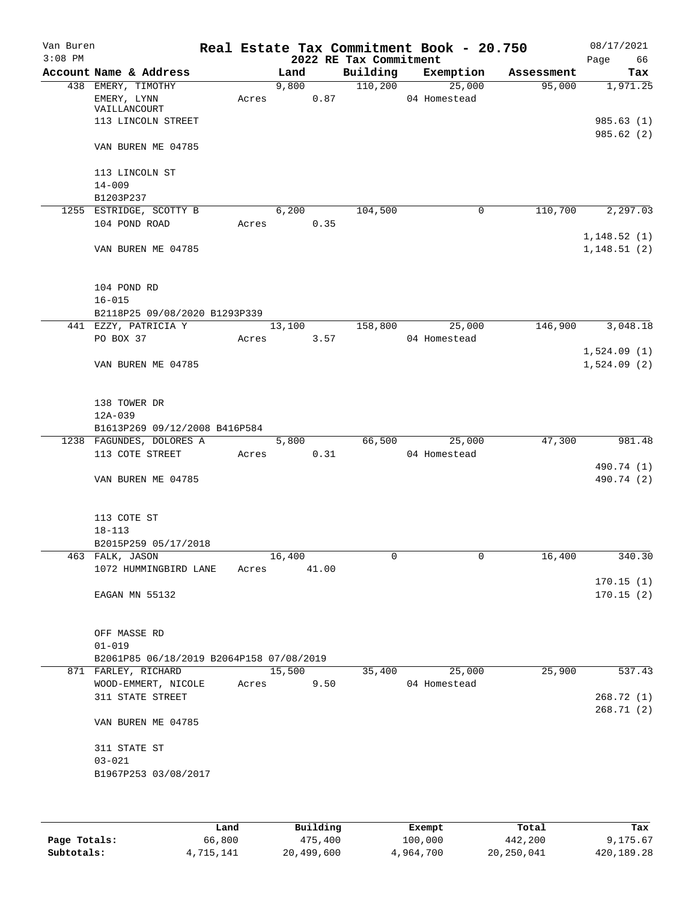| Van Buren<br>$3:08$ PM |                                                   |       |        |       | 2022 RE Tax Commitment | Real Estate Tax Commitment Book - 20.750 |            | 08/17/2021<br>Page<br>66   |
|------------------------|---------------------------------------------------|-------|--------|-------|------------------------|------------------------------------------|------------|----------------------------|
|                        | Account Name & Address                            |       | Land   |       | Building               | Exemption                                | Assessment | Tax                        |
|                        | 438 EMERY, TIMOTHY<br>EMERY, LYNN                 | Acres | 9,800  | 0.87  | 110,200                | 25,000<br>04 Homestead                   | 95,000     | 1,971.25                   |
|                        | VAILLANCOURT<br>113 LINCOLN STREET                |       |        |       |                        |                                          |            | 985.63(1)<br>985.62 (2)    |
|                        | VAN BUREN ME 04785                                |       |        |       |                        |                                          |            |                            |
|                        | 113 LINCOLN ST<br>$14 - 009$                      |       |        |       |                        |                                          |            |                            |
|                        | B1203P237                                         |       |        |       |                        |                                          |            |                            |
|                        | 1255 ESTRIDGE, SCOTTY B<br>104 POND ROAD          | Acres | 6,200  | 0.35  | 104,500                | 0                                        | 110,700    | 2,297.03                   |
|                        | VAN BUREN ME 04785                                |       |        |       |                        |                                          |            | 1,148.52(1)<br>1,148.51(2) |
|                        | 104 POND RD<br>$16 - 015$                         |       |        |       |                        |                                          |            |                            |
|                        | B2118P25 09/08/2020 B1293P339                     |       |        |       |                        |                                          |            |                            |
|                        | 441 EZZY, PATRICIA Y<br>PO BOX 37                 | Acres | 13,100 | 3.57  | 158,800                | 25,000<br>04 Homestead                   | 146,900    | 3,048.18                   |
|                        | VAN BUREN ME 04785                                |       |        |       |                        |                                          |            | 1,524.09(1)<br>1,524.09(2) |
|                        | 138 TOWER DR<br>12A-039                           |       |        |       |                        |                                          |            |                            |
|                        | B1613P269 09/12/2008 B416P584                     |       |        |       |                        |                                          |            |                            |
|                        | 1238 FAGUNDES, DOLORES A<br>113 COTE STREET       | Acres | 5,800  | 0.31  | 66,500                 | 25,000<br>04 Homestead                   | 47,300     | 981.48                     |
|                        | VAN BUREN ME 04785                                |       |        |       |                        |                                          |            | 490.74 (1)<br>490.74 (2)   |
|                        | 113 COTE ST<br>$18 - 113$<br>B2015P259 05/17/2018 |       |        |       |                        |                                          |            |                            |
|                        | 463 FALK, JASON                                   |       | 16,400 |       | 0                      | 0                                        | 16,400     | 340.30                     |
|                        | 1072 HUMMINGBIRD LANE                             | Acres |        | 41.00 |                        |                                          |            | 170.15(1)                  |
|                        | EAGAN MN 55132                                    |       |        |       |                        |                                          |            | 170.15(2)                  |
|                        | OFF MASSE RD<br>$01 - 019$                        |       |        |       |                        |                                          |            |                            |
|                        | B2061P85 06/18/2019 B2064P158 07/08/2019          |       |        |       |                        |                                          |            |                            |
|                        | 871 FARLEY, RICHARD<br>WOOD-EMMERT, NICOLE        | Acres | 15,500 | 9.50  | 35,400                 | 25,000<br>04 Homestead                   | 25,900     | 537.43                     |
|                        | 311 STATE STREET                                  |       |        |       |                        |                                          |            | 268.72 (1)<br>268.71(2)    |
|                        | VAN BUREN ME 04785                                |       |        |       |                        |                                          |            |                            |
|                        | $03 - 021$                                        |       |        |       |                        |                                          |            |                            |
|                        | 311 STATE ST<br>B1967P253 03/08/2017              |       |        |       |                        |                                          |            |                            |

|              | Land      | Building   | Exempt    | Total      | Tax          |
|--------------|-----------|------------|-----------|------------|--------------|
| Page Totals: | 66,800    | 475,400    | 100,000   | 442,200    | 9,175.67     |
| Subtotals:   | 4,715,141 | 20,499,600 | 4,964,700 | 20,250,041 | 420, 189. 28 |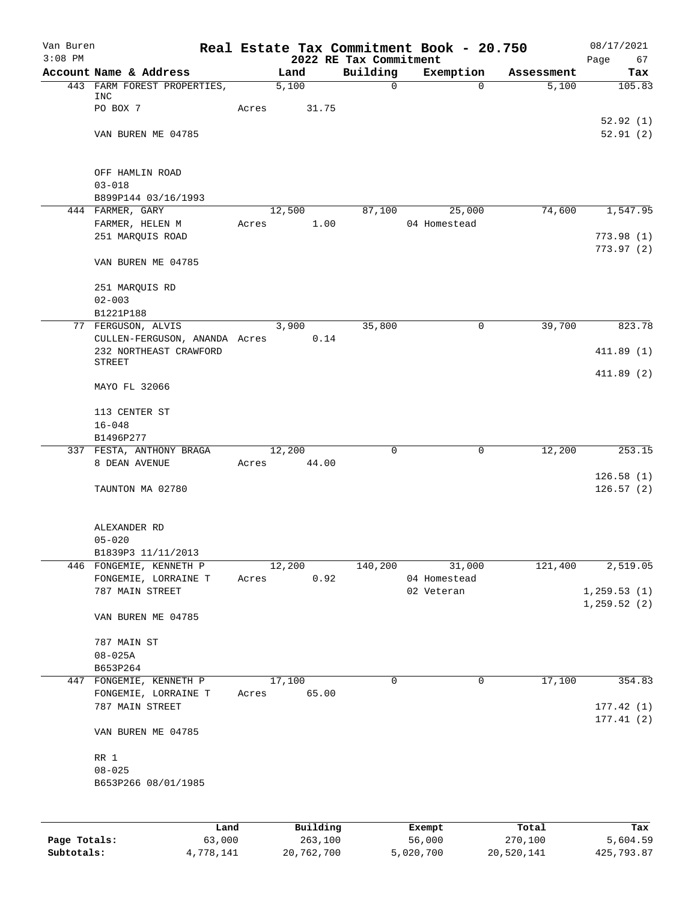| Van Buren<br>$3:08$ PM |                                                                          | Real Estate Tax Commitment Book - 20.750 |                                    |                            |                  | 08/17/2021                   |
|------------------------|--------------------------------------------------------------------------|------------------------------------------|------------------------------------|----------------------------|------------------|------------------------------|
|                        | Account Name & Address                                                   | Land                                     | 2022 RE Tax Commitment<br>Building | Exemption                  | Assessment       | Page<br>67<br>Tax            |
|                        | 443 FARM FOREST PROPERTIES,                                              | 5,100                                    | $\mathsf{O}$                       | $\Omega$                   | 5,100            | 105.83                       |
|                        | INC<br>PO BOX 7                                                          | Acres<br>31.75                           |                                    |                            |                  |                              |
|                        | VAN BUREN ME 04785                                                       |                                          |                                    |                            |                  | 52.92(1)<br>52.91(2)         |
|                        | OFF HAMLIN ROAD                                                          |                                          |                                    |                            |                  |                              |
|                        | $03 - 018$<br>B899P144 03/16/1993                                        |                                          |                                    |                            |                  |                              |
|                        | 444 FARMER, GARY                                                         | 12,500                                   | 87,100                             | 25,000                     | 74,600           | 1,547.95                     |
|                        | FARMER, HELEN M<br>251 MARQUIS ROAD                                      | 1.00<br>Acres                            |                                    | 04 Homestead               |                  | 773.98(1)<br>773.97(2)       |
|                        | VAN BUREN ME 04785                                                       |                                          |                                    |                            |                  |                              |
|                        | 251 MARQUIS RD<br>$02 - 003$<br>B1221P188                                |                                          |                                    |                            |                  |                              |
|                        | 77 FERGUSON, ALVIS                                                       | 3,900                                    | 35,800                             | $\mathsf{O}$               | 39,700           | 823.78                       |
|                        | CULLEN-FERGUSON, ANANDA Acres<br>232 NORTHEAST CRAWFORD<br><b>STREET</b> | 0.14                                     |                                    |                            |                  | 411.89(1)                    |
|                        | MAYO FL 32066                                                            |                                          |                                    |                            |                  | 411.89(2)                    |
|                        | 113 CENTER ST<br>$16 - 048$                                              |                                          |                                    |                            |                  |                              |
|                        | B1496P277                                                                |                                          |                                    |                            |                  |                              |
|                        | 337 FESTA, ANTHONY BRAGA                                                 | 12,200                                   | 0                                  | 0                          | 12,200           | 253.15                       |
|                        | 8 DEAN AVENUE                                                            | 44.00<br>Acres                           |                                    |                            |                  | 126.58(1)                    |
|                        | TAUNTON MA 02780                                                         |                                          |                                    |                            |                  | 126.57(2)                    |
|                        | ALEXANDER RD                                                             |                                          |                                    |                            |                  |                              |
|                        | $05 - 020$<br>B1839P3 11/11/2013                                         |                                          |                                    |                            |                  |                              |
| 446                    | FONGEMIE, KENNETH P                                                      | 12,200                                   | 140,200                            | 31,000                     | 121,400          | 2,519.05                     |
|                        | FONGEMIE, LORRAINE T<br>787 MAIN STREET                                  | 0.92<br>Acres                            |                                    | 04 Homestead<br>02 Veteran |                  | 1, 259.53(1)<br>1, 259.52(2) |
|                        | VAN BUREN ME 04785                                                       |                                          |                                    |                            |                  |                              |
|                        | 787 MAIN ST<br>$08 - 025A$<br>B653P264                                   |                                          |                                    |                            |                  |                              |
| 447                    | FONGEMIE, KENNETH P                                                      | 17,100                                   | 0                                  | 0                          | 17,100           | 354.83                       |
|                        | FONGEMIE, LORRAINE T<br>787 MAIN STREET                                  | 65.00<br>Acres                           |                                    |                            |                  | 177.42(1)<br>177.41(2)       |
|                        | VAN BUREN ME 04785                                                       |                                          |                                    |                            |                  |                              |
|                        | RR 1                                                                     |                                          |                                    |                            |                  |                              |
|                        | $08 - 025$                                                               |                                          |                                    |                            |                  |                              |
|                        | B653P266 08/01/1985                                                      |                                          |                                    |                            |                  |                              |
|                        |                                                                          |                                          |                                    |                            |                  |                              |
| Page Totals:           | Land<br>63,000                                                           | Building<br>263,100                      |                                    | Exempt<br>56,000           | Total<br>270,100 | Tax<br>5,604.59              |

**Subtotals:** 4,778,141 20,762,700 5,020,700 20,520,141 425,793.87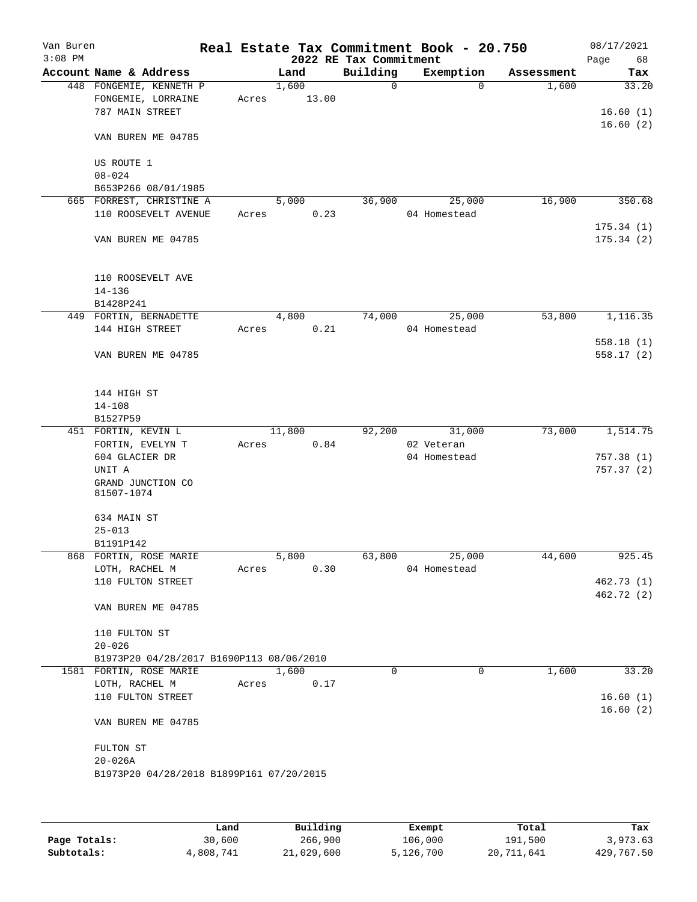| Van Buren<br>$3:08$ PM |                                                 |       |        |       | 2022 RE Tax Commitment | Real Estate Tax Commitment Book - 20.750 |            | 08/17/2021<br>68<br>Page |
|------------------------|-------------------------------------------------|-------|--------|-------|------------------------|------------------------------------------|------------|--------------------------|
|                        | Account Name & Address                          |       | Land   |       | Building               | Exemption                                | Assessment | Tax                      |
|                        | 448 FONGEMIE, KENNETH P                         |       | 1,600  |       | 0                      | $\Omega$                                 | 1,600      | 33.20                    |
|                        | FONGEMIE, LORRAINE                              | Acres |        | 13.00 |                        |                                          |            |                          |
|                        | 787 MAIN STREET                                 |       |        |       |                        |                                          |            | 16.60(1)                 |
|                        |                                                 |       |        |       |                        |                                          |            | 16.60(2)                 |
|                        | VAN BUREN ME 04785                              |       |        |       |                        |                                          |            |                          |
|                        |                                                 |       |        |       |                        |                                          |            |                          |
|                        | US ROUTE 1                                      |       |        |       |                        |                                          |            |                          |
|                        | $08 - 024$                                      |       |        |       |                        |                                          |            |                          |
|                        | B653P266 08/01/1985<br>665 FORREST, CHRISTINE A |       | 5,000  |       | 36,900                 | 25,000                                   | 16,900     | 350.68                   |
|                        | 110 ROOSEVELT AVENUE                            | Acres |        | 0.23  |                        | 04 Homestead                             |            |                          |
|                        |                                                 |       |        |       |                        |                                          |            | 175.34(1)                |
|                        | VAN BUREN ME 04785                              |       |        |       |                        |                                          |            | 175.34(2)                |
|                        |                                                 |       |        |       |                        |                                          |            |                          |
|                        |                                                 |       |        |       |                        |                                          |            |                          |
|                        | 110 ROOSEVELT AVE                               |       |        |       |                        |                                          |            |                          |
|                        | $14 - 136$                                      |       |        |       |                        |                                          |            |                          |
|                        | B1428P241                                       |       |        |       |                        |                                          |            |                          |
|                        | 449 FORTIN, BERNADETTE                          |       | 4,800  |       | 74,000                 | 25,000                                   | 53,800     | 1,116.35                 |
|                        | 144 HIGH STREET                                 | Acres |        | 0.21  |                        | 04 Homestead                             |            |                          |
|                        |                                                 |       |        |       |                        |                                          |            | 558.18(1)                |
|                        | VAN BUREN ME 04785                              |       |        |       |                        |                                          |            | 558.17(2)                |
|                        |                                                 |       |        |       |                        |                                          |            |                          |
|                        | 144 HIGH ST                                     |       |        |       |                        |                                          |            |                          |
|                        | $14 - 108$                                      |       |        |       |                        |                                          |            |                          |
|                        | B1527P59                                        |       |        |       |                        |                                          |            |                          |
|                        | 451 FORTIN, KEVIN L                             |       | 11,800 |       | 92,200                 | 31,000                                   | 73,000     | 1,514.75                 |
|                        | FORTIN, EVELYN T                                | Acres |        | 0.84  |                        | 02 Veteran                               |            |                          |
|                        | 604 GLACIER DR                                  |       |        |       |                        | 04 Homestead                             |            | 757.38 (1)               |
|                        | UNIT A                                          |       |        |       |                        |                                          |            | 757.37(2)                |
|                        | GRAND JUNCTION CO                               |       |        |       |                        |                                          |            |                          |
|                        | 81507-1074                                      |       |        |       |                        |                                          |            |                          |
|                        | 634 MAIN ST                                     |       |        |       |                        |                                          |            |                          |
|                        | $25 - 013$                                      |       |        |       |                        |                                          |            |                          |
|                        | B1191P142                                       |       |        |       |                        |                                          |            |                          |
|                        | 868 FORTIN, ROSE MARIE                          |       | 5,800  |       | 63,800                 | 25,000                                   | 44,600     | 925.45                   |
|                        | LOTH, RACHEL M                                  | Acres |        | 0.30  |                        | 04 Homestead                             |            |                          |
|                        | 110 FULTON STREET                               |       |        |       |                        |                                          |            | 462.73(1)                |
|                        |                                                 |       |        |       |                        |                                          |            | 462.72 (2)               |
|                        | VAN BUREN ME 04785                              |       |        |       |                        |                                          |            |                          |
|                        |                                                 |       |        |       |                        |                                          |            |                          |
|                        | 110 FULTON ST                                   |       |        |       |                        |                                          |            |                          |
|                        | $20 - 026$                                      |       |        |       |                        |                                          |            |                          |
|                        | B1973P20 04/28/2017 B1690P113 08/06/2010        |       |        |       |                        |                                          |            |                          |
|                        | 1581 FORTIN, ROSE MARIE                         |       | 1,600  |       | $\Omega$               | 0                                        | 1,600      | 33.20                    |
|                        | LOTH, RACHEL M                                  | Acres |        | 0.17  |                        |                                          |            |                          |
|                        | 110 FULTON STREET                               |       |        |       |                        |                                          |            | 16.60(1)<br>16.60(2)     |
|                        | VAN BUREN ME 04785                              |       |        |       |                        |                                          |            |                          |
|                        |                                                 |       |        |       |                        |                                          |            |                          |
|                        | FULTON ST                                       |       |        |       |                        |                                          |            |                          |
|                        | $20 - 026A$                                     |       |        |       |                        |                                          |            |                          |
|                        | B1973P20 04/28/2018 B1899P161 07/20/2015        |       |        |       |                        |                                          |            |                          |
|                        |                                                 |       |        |       |                        |                                          |            |                          |
|                        |                                                 |       |        |       |                        |                                          |            |                          |
|                        |                                                 |       |        |       |                        |                                          |            |                          |

|              | Land      | Building   | Exempt    | Total      | Tax        |
|--------------|-----------|------------|-----------|------------|------------|
| Page Totals: | 30,600    | 266,900    | 106,000   | 191,500    | 3,973.63   |
| Subtotals:   | 4,808,741 | 21,029,600 | 5,126,700 | 20,711,641 | 429,767.50 |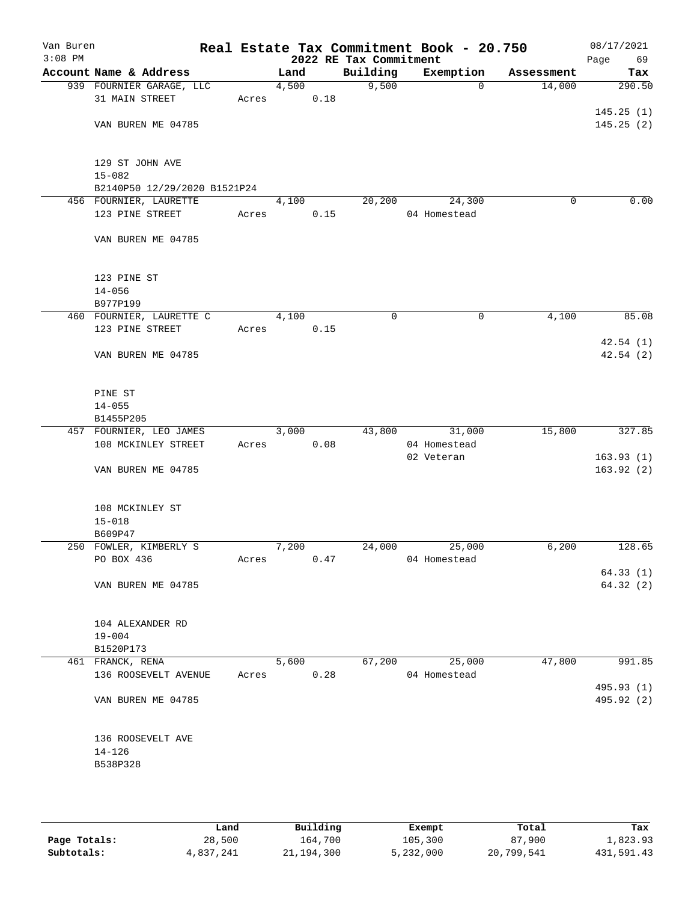| Van Buren<br>$3:08$ PM |                              |       |       |      | 2022 RE Tax Commitment | Real Estate Tax Commitment Book - 20.750 |            | 08/17/2021<br>Page<br>69 |
|------------------------|------------------------------|-------|-------|------|------------------------|------------------------------------------|------------|--------------------------|
|                        | Account Name & Address       |       | Land  |      | Building               | Exemption                                | Assessment | Tax                      |
|                        | 939 FOURNIER GARAGE, LLC     |       | 4,500 |      | 9,500                  | $\Omega$                                 | 14,000     | 290.50                   |
|                        | 31 MAIN STREET               | Acres |       | 0.18 |                        |                                          |            |                          |
|                        |                              |       |       |      |                        |                                          |            | 145.25(1)                |
|                        | VAN BUREN ME 04785           |       |       |      |                        |                                          |            | 145.25(2)                |
|                        |                              |       |       |      |                        |                                          |            |                          |
|                        |                              |       |       |      |                        |                                          |            |                          |
|                        | 129 ST JOHN AVE              |       |       |      |                        |                                          |            |                          |
|                        | $15 - 082$                   |       |       |      |                        |                                          |            |                          |
|                        | B2140P50 12/29/2020 B1521P24 |       |       |      |                        |                                          |            |                          |
|                        | 456 FOURNIER, LAURETTE       |       | 4,100 |      | 20,200                 | 24,300                                   | 0          | 0.00                     |
|                        | 123 PINE STREET              | Acres |       | 0.15 |                        | 04 Homestead                             |            |                          |
|                        |                              |       |       |      |                        |                                          |            |                          |
|                        | VAN BUREN ME 04785           |       |       |      |                        |                                          |            |                          |
|                        | 123 PINE ST                  |       |       |      |                        |                                          |            |                          |
|                        | $14 - 056$                   |       |       |      |                        |                                          |            |                          |
|                        | B977P199                     |       |       |      |                        |                                          |            |                          |
|                        | 460 FOURNIER, LAURETTE C     |       | 4,100 |      | $\mathbf 0$            | 0                                        | 4,100      | 85.08                    |
|                        | 123 PINE STREET              | Acres |       | 0.15 |                        |                                          |            |                          |
|                        |                              |       |       |      |                        |                                          |            | 42.54 (1)                |
|                        | VAN BUREN ME 04785           |       |       |      |                        |                                          |            | 42.54(2)                 |
|                        |                              |       |       |      |                        |                                          |            |                          |
|                        | PINE ST                      |       |       |      |                        |                                          |            |                          |
|                        | $14 - 055$                   |       |       |      |                        |                                          |            |                          |
|                        | B1455P205                    |       |       |      |                        |                                          |            |                          |
|                        | 457 FOURNIER, LEO JAMES      |       | 3,000 |      |                        | 43,800 31,000                            | 15,800     | 327.85                   |
|                        | 108 MCKINLEY STREET          | Acres |       | 0.08 |                        | 04 Homestead                             |            |                          |
|                        |                              |       |       |      |                        | 02 Veteran                               |            | 163.93(1)                |
|                        | VAN BUREN ME 04785           |       |       |      |                        |                                          |            | 163.92(2)                |
|                        | 108 MCKINLEY ST              |       |       |      |                        |                                          |            |                          |
|                        | $15 - 018$                   |       |       |      |                        |                                          |            |                          |
|                        | B609P47                      |       |       |      |                        |                                          |            |                          |
|                        | 250 FOWLER, KIMBERLY S       |       | 7,200 |      | 24,000                 | 25,000                                   | 6,200      | 128.65                   |
|                        | PO BOX 436                   | Acres |       | 0.47 |                        | 04 Homestead                             |            |                          |
|                        |                              |       |       |      |                        |                                          |            | 64.33(1)                 |
|                        | VAN BUREN ME 04785           |       |       |      |                        |                                          |            | 64.32(2)                 |
|                        |                              |       |       |      |                        |                                          |            |                          |
|                        | 104 ALEXANDER RD             |       |       |      |                        |                                          |            |                          |
|                        | $19 - 004$                   |       |       |      |                        |                                          |            |                          |
|                        | B1520P173                    |       |       |      |                        |                                          |            |                          |
|                        | 461 FRANCK, RENA             |       | 5,600 |      | 67,200                 | 25,000                                   | 47,800     | 991.85                   |
|                        | 136 ROOSEVELT AVENUE         | Acres |       | 0.28 |                        | 04 Homestead                             |            |                          |
|                        |                              |       |       |      |                        |                                          |            | 495.93 (1)               |
|                        | VAN BUREN ME 04785           |       |       |      |                        |                                          |            | 495.92 (2)               |
|                        |                              |       |       |      |                        |                                          |            |                          |
|                        | 136 ROOSEVELT AVE            |       |       |      |                        |                                          |            |                          |
|                        | $14 - 126$                   |       |       |      |                        |                                          |            |                          |
|                        | B538P328                     |       |       |      |                        |                                          |            |                          |
|                        |                              |       |       |      |                        |                                          |            |                          |
|                        |                              |       |       |      |                        |                                          |            |                          |

|              | Land      | Building     | Exempt    | Total      | Tax        |
|--------------|-----------|--------------|-----------|------------|------------|
| Page Totals: | 28,500    | 164,700      | 105,300   | 87,900     | 1,823.93   |
| Subtotals:   | 4,837,241 | 21, 194, 300 | 5,232,000 | 20,799,541 | 431,591.43 |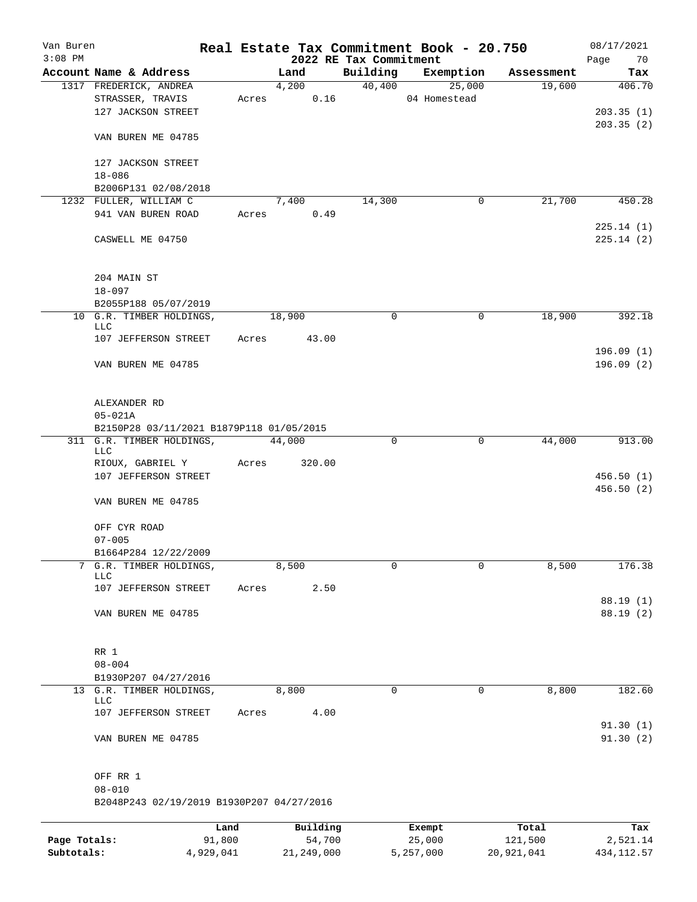| Van Buren<br>$3:08$ PM |                                           |       | 2022 RE Tax Commitment |          | Real Estate Tax Commitment Book - 20.750 |            | 08/17/2021<br>Page<br>70 |
|------------------------|-------------------------------------------|-------|------------------------|----------|------------------------------------------|------------|--------------------------|
|                        | Account Name & Address                    |       | Land                   | Building | Exemption                                | Assessment | Tax                      |
|                        | 1317 FREDERICK, ANDREA                    |       | 4,200                  |          | 40,400<br>25,000                         | 19,600     | 406.70                   |
|                        | STRASSER, TRAVIS                          | Acres | 0.16                   |          | 04 Homestead                             |            |                          |
|                        | 127 JACKSON STREET                        |       |                        |          |                                          |            | 203.35(1)                |
|                        |                                           |       |                        |          |                                          |            | 203.35(2)                |
|                        | VAN BUREN ME 04785                        |       |                        |          |                                          |            |                          |
|                        | 127 JACKSON STREET                        |       |                        |          |                                          |            |                          |
|                        | $18 - 086$                                |       |                        |          |                                          |            |                          |
|                        | B2006P131 02/08/2018                      |       |                        |          |                                          |            |                          |
|                        | 1232 FULLER, WILLIAM C                    |       | 7,400                  | 14,300   | 0                                        | 21,700     | 450.28                   |
|                        | 941 VAN BUREN ROAD                        | Acres | 0.49                   |          |                                          |            |                          |
|                        |                                           |       |                        |          |                                          |            | 225.14(1)                |
|                        | CASWELL ME 04750                          |       |                        |          |                                          |            | 225.14(2)                |
|                        | 204 MAIN ST                               |       |                        |          |                                          |            |                          |
|                        | $18 - 097$                                |       |                        |          |                                          |            |                          |
|                        | B2055P188 05/07/2019                      |       |                        |          |                                          |            |                          |
|                        | 10 G.R. TIMBER HOLDINGS,                  |       | 18,900                 | 0        | 0                                        | 18,900     | 392.18                   |
|                        | LLC                                       |       |                        |          |                                          |            |                          |
|                        | 107 JEFFERSON STREET                      | Acres | 43.00                  |          |                                          |            |                          |
|                        |                                           |       |                        |          |                                          |            | 196.09(1)                |
|                        | VAN BUREN ME 04785                        |       |                        |          |                                          |            | 196.09(2)                |
|                        | ALEXANDER RD                              |       |                        |          |                                          |            |                          |
|                        | $05 - 021A$                               |       |                        |          |                                          |            |                          |
|                        | B2150P28 03/11/2021 B1879P118 01/05/2015  |       |                        |          |                                          |            |                          |
|                        | 311 G.R. TIMBER HOLDINGS,                 |       | 44,000                 | 0        | $\mathbf 0$                              | 44,000     | 913.00                   |
|                        | LLC                                       |       |                        |          |                                          |            |                          |
|                        | RIOUX, GABRIEL Y                          | Acres | 320.00                 |          |                                          |            |                          |
|                        | 107 JEFFERSON STREET                      |       |                        |          |                                          |            | 456.50(1)                |
|                        | VAN BUREN ME 04785                        |       |                        |          |                                          |            | 456.50 (2)               |
|                        |                                           |       |                        |          |                                          |            |                          |
|                        | OFF CYR ROAD                              |       |                        |          |                                          |            |                          |
|                        | $07 - 005$                                |       |                        |          |                                          |            |                          |
|                        | B1664P284 12/22/2009                      |       |                        |          |                                          |            |                          |
| 7                      | G.R. TIMBER HOLDINGS,<br><b>LLC</b>       |       | 8,500                  | 0        | 0                                        | 8,500      | 176.38                   |
|                        | 107 JEFFERSON STREET                      | Acres | 2.50                   |          |                                          |            |                          |
|                        |                                           |       |                        |          |                                          |            | 88.19 (1)                |
|                        | VAN BUREN ME 04785                        |       |                        |          |                                          |            | 88.19 (2)                |
|                        |                                           |       |                        |          |                                          |            |                          |
|                        | RR 1                                      |       |                        |          |                                          |            |                          |
|                        | $08 - 004$                                |       |                        |          |                                          |            |                          |
|                        | B1930P207 04/27/2016                      |       |                        |          |                                          |            |                          |
|                        | 13 G.R. TIMBER HOLDINGS,<br>LLC           |       | 8,800                  | 0        | 0                                        | 8,800      | 182.60                   |
|                        | 107 JEFFERSON STREET                      | Acres | 4.00                   |          |                                          |            |                          |
|                        |                                           |       |                        |          |                                          |            | 91.30(1)                 |
|                        | VAN BUREN ME 04785                        |       |                        |          |                                          |            | 91.30(2)                 |
|                        | OFF RR 1                                  |       |                        |          |                                          |            |                          |
|                        | $08 - 010$                                |       |                        |          |                                          |            |                          |
|                        | B2048P243 02/19/2019 B1930P207 04/27/2016 |       |                        |          |                                          |            |                          |
|                        |                                           | Land  | Building               |          | Exempt                                   | Total      | Tax                      |
| Page Totals:           | 91,800                                    |       | 54,700                 |          | 25,000                                   | 121,500    | 2,521.14                 |
|                        |                                           |       |                        |          |                                          |            |                          |

**Subtotals:** 4,929,041 21,249,000 5,257,000 20,921,041 434,112.57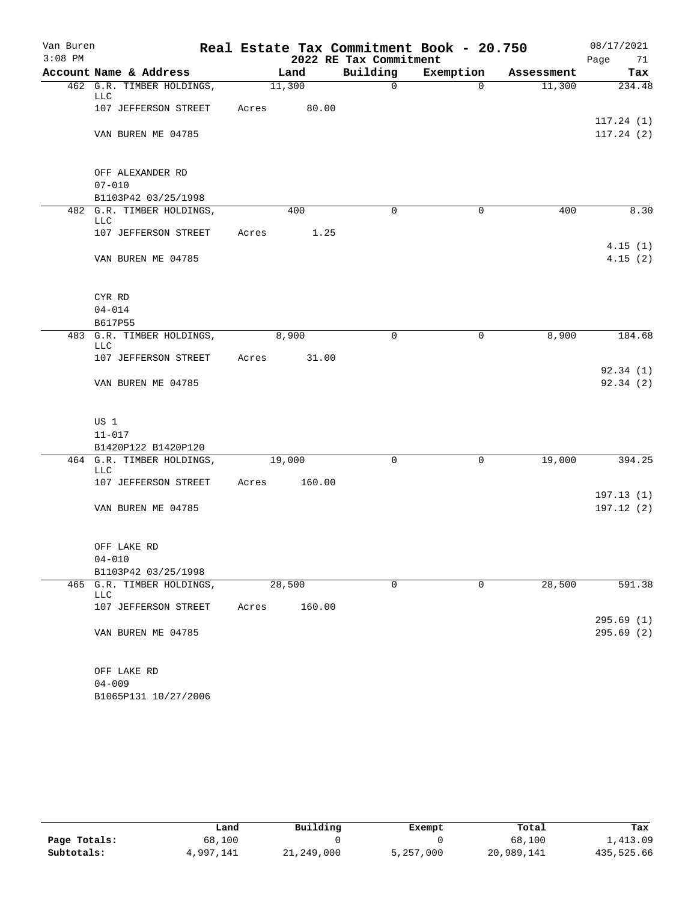| Van Buren |                                         | Real Estate Tax Commitment Book - 20.750 | 08/17/2021             |             |            |                        |
|-----------|-----------------------------------------|------------------------------------------|------------------------|-------------|------------|------------------------|
| $3:08$ PM |                                         |                                          | 2022 RE Tax Commitment |             |            | Page<br>71             |
|           | Account Name & Address                  | Land                                     | Building               | Exemption   | Assessment | Tax                    |
|           | 462 G.R. TIMBER HOLDINGS,<br>LLC        | 11,300                                   | $\mathsf{O}$           | $\Omega$    | 11,300     | 234.48                 |
|           | 107 JEFFERSON STREET                    | Acres<br>80.00                           |                        |             |            | 117.24(1)              |
|           | VAN BUREN ME 04785                      |                                          |                        |             |            | 117.24(2)              |
|           | OFF ALEXANDER RD                        |                                          |                        |             |            |                        |
|           | $07 - 010$                              |                                          |                        |             |            |                        |
|           | B1103P42 03/25/1998                     |                                          |                        |             |            |                        |
|           | 482 G.R. TIMBER HOLDINGS,<br>LLC        | 400                                      | $\Omega$               | 0           | 400        | 8.30                   |
|           | 107 JEFFERSON STREET                    | 1.25<br>Acres                            |                        |             |            | 4.15(1)                |
|           | VAN BUREN ME 04785                      |                                          |                        |             |            | 4.15(2)                |
|           | CYR RD                                  |                                          |                        |             |            |                        |
|           | $04 - 014$                              |                                          |                        |             |            |                        |
|           | B617P55                                 |                                          |                        |             |            |                        |
|           | 483 G.R. TIMBER HOLDINGS,<br><b>LLC</b> | 8,900                                    | 0                      | 0           | 8,900      | 184.68                 |
|           | 107 JEFFERSON STREET                    | 31.00<br>Acres                           |                        |             |            | 92.34(1)               |
|           | VAN BUREN ME 04785                      |                                          |                        |             |            | 92.34(2)               |
|           | US 1                                    |                                          |                        |             |            |                        |
|           | $11 - 017$                              |                                          |                        |             |            |                        |
|           | B1420P122 B1420P120                     |                                          |                        |             |            |                        |
|           | 464 G.R. TIMBER HOLDINGS,<br><b>LLC</b> | 19,000                                   | $\mathbf 0$            | 0           | 19,000     | 394.25                 |
|           | 107 JEFFERSON STREET                    | 160.00<br>Acres                          |                        |             |            |                        |
|           | VAN BUREN ME 04785                      |                                          |                        |             |            | 197.13(1)<br>197.12(2) |
|           |                                         |                                          |                        |             |            |                        |
|           | OFF LAKE RD                             |                                          |                        |             |            |                        |
|           | $04 - 010$                              |                                          |                        |             |            |                        |
|           | B1103P42 03/25/1998                     |                                          |                        |             |            |                        |
| 465       | G.R. TIMBER HOLDINGS,<br>LLC            | 28,500                                   | 0                      | $\mathbf 0$ | 28,500     | 591.38                 |
|           | 107 JEFFERSON STREET                    | 160.00<br>Acres                          |                        |             |            |                        |
|           | VAN BUREN ME 04785                      |                                          |                        |             |            | 295.69(1)<br>295.69(2) |
|           | OFF LAKE RD                             |                                          |                        |             |            |                        |
|           | $04 - 009$                              |                                          |                        |             |            |                        |

|              | Land      | Building   | Exempt    | Total      | Tax        |
|--------------|-----------|------------|-----------|------------|------------|
|              |           |            |           |            |            |
| Page Totals: | 68,100    |            |           | 68,100     | 1,413.09   |
| Subtotals:   | 4,997,141 | 21,249,000 | 5,257,000 | 20,989,141 | 435,525.66 |

B1065P131 10/27/2006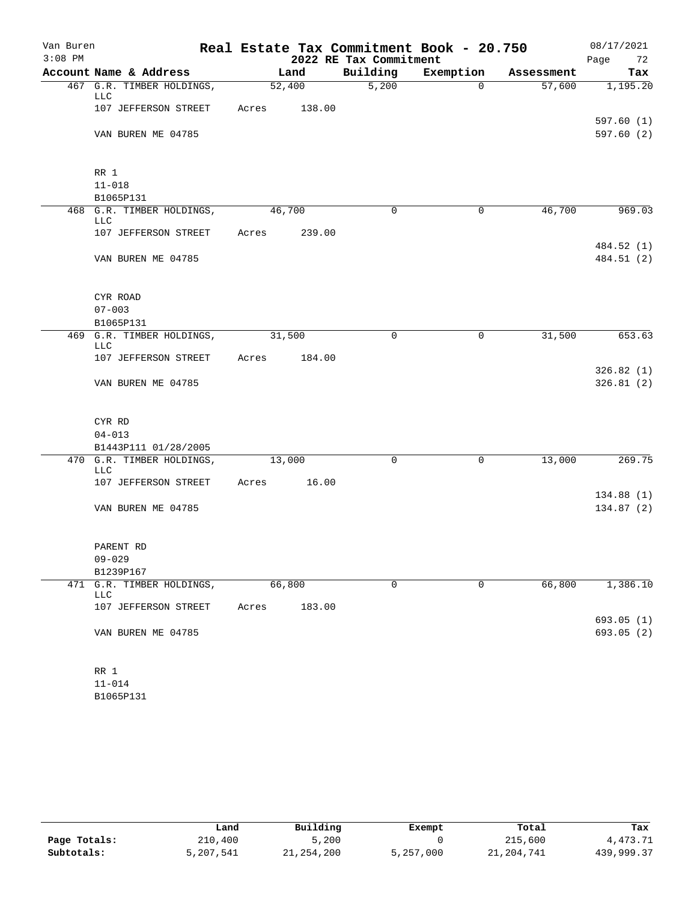| Van Buren |                                         |        |        |                        | Real Estate Tax Commitment Book - 20.750 |            | 08/17/2021             |
|-----------|-----------------------------------------|--------|--------|------------------------|------------------------------------------|------------|------------------------|
| $3:08$ PM |                                         |        |        | 2022 RE Tax Commitment |                                          |            | Page<br>72             |
|           | Account Name & Address                  | Land   |        | Building               | Exemption                                | Assessment | Tax                    |
|           | 467 G.R. TIMBER HOLDINGS,<br>LLC        | 52,400 |        | $\overline{5,200}$     | 0                                        | 57,600     | 1,195.20               |
|           | 107 JEFFERSON STREET                    | Acres  | 138.00 |                        |                                          |            | 597.60(1)              |
|           | VAN BUREN ME 04785                      |        |        |                        |                                          |            | 597.60(2)              |
|           | RR 1                                    |        |        |                        |                                          |            |                        |
|           | $11 - 018$                              |        |        |                        |                                          |            |                        |
|           | B1065P131                               |        |        |                        |                                          |            |                        |
|           | 468 G.R. TIMBER HOLDINGS,<br>LLC        | 46,700 |        | 0                      | 0                                        | 46,700     | 969.03                 |
|           | 107 JEFFERSON STREET                    | Acres  | 239.00 |                        |                                          |            | 484.52 (1)             |
|           | VAN BUREN ME 04785                      |        |        |                        |                                          |            | 484.51 (2)             |
|           | CYR ROAD                                |        |        |                        |                                          |            |                        |
|           | $07 - 003$                              |        |        |                        |                                          |            |                        |
|           | B1065P131                               |        |        |                        |                                          |            |                        |
|           | 469 G.R. TIMBER HOLDINGS,<br><b>LLC</b> | 31,500 |        | 0                      | 0                                        | 31,500     | 653.63                 |
|           | 107 JEFFERSON STREET                    | Acres  | 184.00 |                        |                                          |            | 326.82(1)              |
|           | VAN BUREN ME 04785                      |        |        |                        |                                          |            | 326.81(2)              |
|           | CYR RD                                  |        |        |                        |                                          |            |                        |
|           | $04 - 013$                              |        |        |                        |                                          |            |                        |
|           | B1443P111 01/28/2005                    |        |        |                        |                                          |            |                        |
|           | 470 G.R. TIMBER HOLDINGS,<br>LLC        | 13,000 |        | 0                      | 0                                        | 13,000     | 269.75                 |
|           | 107 JEFFERSON STREET                    | Acres  | 16.00  |                        |                                          |            |                        |
|           | VAN BUREN ME 04785                      |        |        |                        |                                          |            | 134.88(1)<br>134.87(2) |
|           | PARENT RD                               |        |        |                        |                                          |            |                        |
|           | $09 - 029$                              |        |        |                        |                                          |            |                        |
|           | B1239P167                               |        |        |                        |                                          |            |                        |
| 471       | G.R. TIMBER HOLDINGS,<br>LLC            | 66,800 |        | $\mathsf{O}$           | $\mathbf 0$                              | 66,800     | 1,386.10               |
|           | 107 JEFFERSON STREET                    | Acres  | 183.00 |                        |                                          |            |                        |
|           | VAN BUREN ME 04785                      |        |        |                        |                                          |            | 693.05(1)<br>693.05(2) |
|           | RR 1                                    |        |        |                        |                                          |            |                        |
|           | $11 - 014$                              |        |        |                        |                                          |            |                        |

|              | Land      | Building     | Exempt    | Total      | Tax        |
|--------------|-----------|--------------|-----------|------------|------------|
| Page Totals: | 210,400   | 5,200        |           | 215,600    | 4,473.71   |
| Subtotals:   | 5,207,541 | 21, 254, 200 | 5,257,000 | 21,204,741 | 439,999.37 |

B1065P131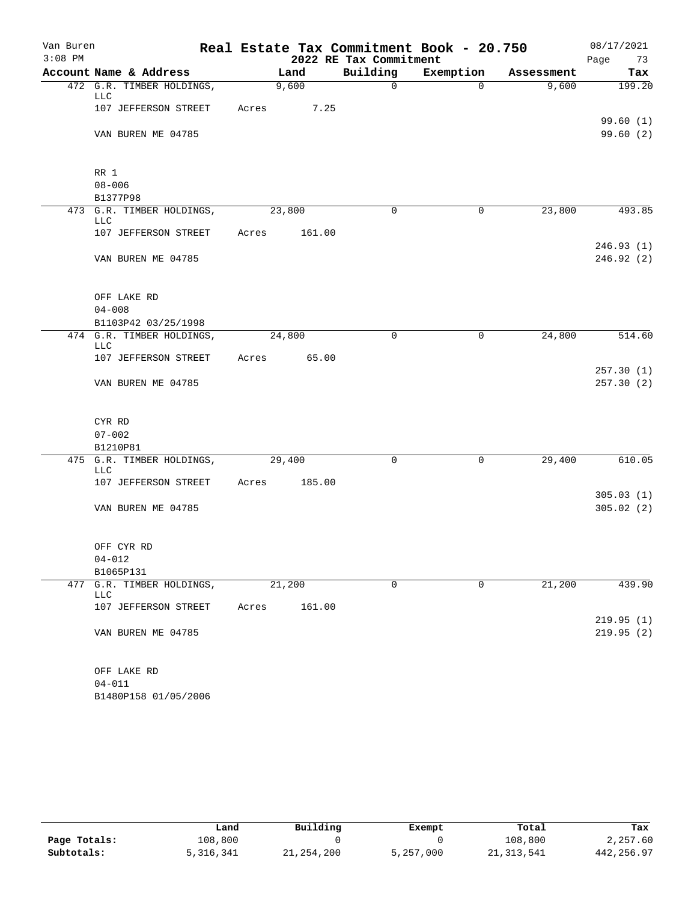| Van Buren |                                         |       | Real Estate Tax Commitment Book - 20.750 |                        |             |            |            |  |
|-----------|-----------------------------------------|-------|------------------------------------------|------------------------|-------------|------------|------------|--|
| $3:08$ PM |                                         |       |                                          | 2022 RE Tax Commitment |             |            | Page<br>73 |  |
|           | Account Name & Address                  |       | Land                                     | Building               | Exemption   | Assessment | Tax        |  |
|           | 472 G.R. TIMBER HOLDINGS,<br>LLC        |       | 9,600                                    | $\mathsf{O}$           | $\mathbf 0$ | 9,600      | 199.20     |  |
|           | 107 JEFFERSON STREET                    | Acres | 7.25                                     |                        |             |            |            |  |
|           | VAN BUREN ME 04785                      |       |                                          |                        |             |            | 99.60(1)   |  |
|           |                                         |       |                                          |                        |             |            | 99.60 (2)  |  |
|           | RR 1                                    |       |                                          |                        |             |            |            |  |
|           | $08 - 006$                              |       |                                          |                        |             |            |            |  |
|           | B1377P98                                |       |                                          |                        |             |            |            |  |
|           | 473 G.R. TIMBER HOLDINGS,<br>LLC        |       | 23,800                                   | 0                      | 0           | 23,800     | 493.85     |  |
|           | 107 JEFFERSON STREET                    | Acres | 161.00                                   |                        |             |            |            |  |
|           | VAN BUREN ME 04785                      |       |                                          |                        |             |            | 246.93(1)  |  |
|           |                                         |       |                                          |                        |             |            | 246.92 (2) |  |
|           | OFF LAKE RD                             |       |                                          |                        |             |            |            |  |
|           | $04 - 008$                              |       |                                          |                        |             |            |            |  |
|           | B1103P42 03/25/1998                     |       |                                          |                        |             |            |            |  |
|           | 474 G.R. TIMBER HOLDINGS,<br><b>LLC</b> |       | 24,800                                   | 0                      | 0           | 24,800     | 514.60     |  |
|           | 107 JEFFERSON STREET                    | Acres | 65.00                                    |                        |             |            |            |  |
|           |                                         |       |                                          |                        |             |            | 257.30(1)  |  |
|           | VAN BUREN ME 04785                      |       |                                          |                        |             |            | 257.30(2)  |  |
|           | CYR RD                                  |       |                                          |                        |             |            |            |  |
|           | $07 - 002$                              |       |                                          |                        |             |            |            |  |
|           | B1210P81                                |       |                                          |                        |             |            |            |  |
|           | 475 G.R. TIMBER HOLDINGS,<br>LLC        |       | 29,400                                   | 0                      | 0           | 29,400     | 610.05     |  |
|           | 107 JEFFERSON STREET                    | Acres | 185.00                                   |                        |             |            |            |  |
|           |                                         |       |                                          |                        |             |            | 305.03(1)  |  |
|           | VAN BUREN ME 04785                      |       |                                          |                        |             |            | 305.02(2)  |  |
|           | OFF CYR RD                              |       |                                          |                        |             |            |            |  |
|           | $04 - 012$                              |       |                                          |                        |             |            |            |  |
|           | B1065P131                               |       |                                          |                        |             |            |            |  |
| 477       | G.R. TIMBER HOLDINGS,<br>LLC            |       | 21,200                                   | $\mathbf 0$            | $\mathbf 0$ | 21,200     | 439.90     |  |
|           | 107 JEFFERSON STREET                    | Acres | 161.00                                   |                        |             |            | 219.95(1)  |  |
|           | VAN BUREN ME 04785                      |       |                                          |                        |             |            | 219.95(2)  |  |
|           |                                         |       |                                          |                        |             |            |            |  |
|           | OFF LAKE RD                             |       |                                          |                        |             |            |            |  |
|           | $04 - 011$                              |       |                                          |                        |             |            |            |  |
|           | B1480P158 01/05/2006                    |       |                                          |                        |             |            |            |  |

|              | Land      | Building   | Exempt    | Total        | Tax        |
|--------------|-----------|------------|-----------|--------------|------------|
| Page Totals: | 108,800   |            |           | 108,800      | 2,257.60   |
| Subtotals:   | 5,316,341 | 21,254,200 | 5,257,000 | 21, 313, 541 | 442,256.97 |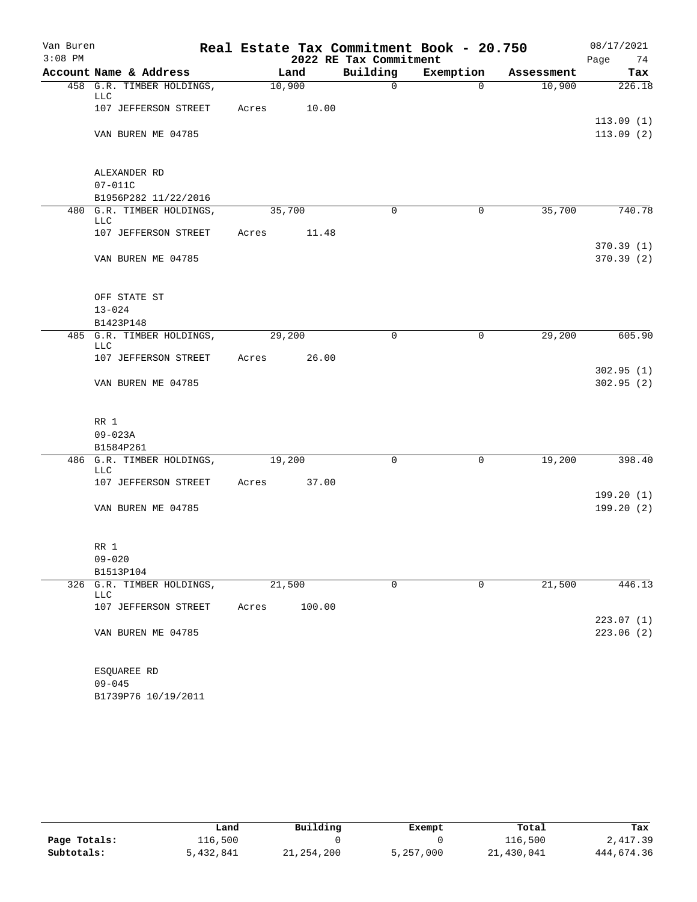| Van Buren |                                         | Real Estate Tax Commitment Book - 20.750 |        |             |             |            | 08/17/2021 |
|-----------|-----------------------------------------|------------------------------------------|--------|-------------|-------------|------------|------------|
| $3:08$ PM |                                         | 2022 RE Tax Commitment                   |        |             |             | Page<br>74 |            |
|           | Account Name & Address                  |                                          | Land   | Building    | Exemption   | Assessment | Tax        |
|           | 458 G.R. TIMBER HOLDINGS,<br>LLC        | 10,900                                   |        | $\mathbf 0$ | $\Omega$    | 10,900     | 226.18     |
|           | 107 JEFFERSON STREET                    | Acres                                    | 10.00  |             |             |            |            |
|           |                                         |                                          |        |             |             |            | 113.09(1)  |
|           | VAN BUREN ME 04785                      |                                          |        |             |             |            | 113.09(2)  |
|           | ALEXANDER RD                            |                                          |        |             |             |            |            |
|           | 07-011C                                 |                                          |        |             |             |            |            |
|           | B1956P282 11/22/2016                    |                                          |        |             |             |            |            |
|           | 480 G.R. TIMBER HOLDINGS,<br><b>LLC</b> | 35,700                                   |        | $\Omega$    | 0           | 35,700     | 740.78     |
|           | 107 JEFFERSON STREET                    | Acres                                    | 11.48  |             |             |            |            |
|           |                                         |                                          |        |             |             |            | 370.39(1)  |
|           | VAN BUREN ME 04785                      |                                          |        |             |             |            | 370.39 (2) |
|           | OFF STATE ST                            |                                          |        |             |             |            |            |
|           | $13 - 024$                              |                                          |        |             |             |            |            |
|           | B1423P148                               |                                          |        |             |             |            |            |
|           | 485 G.R. TIMBER HOLDINGS,               | 29,200                                   |        | 0           | 0           | 29,200     | 605.90     |
|           | <b>LLC</b><br>107 JEFFERSON STREET      | Acres                                    | 26.00  |             |             |            |            |
|           |                                         |                                          |        |             |             |            | 302.95(1)  |
|           | VAN BUREN ME 04785                      |                                          |        |             |             |            | 302.95(2)  |
|           | RR 1                                    |                                          |        |             |             |            |            |
|           | $09 - 023A$                             |                                          |        |             |             |            |            |
|           | B1584P261                               |                                          |        |             |             |            |            |
|           | 486 G.R. TIMBER HOLDINGS,               | 19,200                                   |        | 0           | 0           | 19,200     | 398.40     |
|           | <b>LLC</b>                              |                                          |        |             |             |            |            |
|           | 107 JEFFERSON STREET                    | Acres                                    | 37.00  |             |             |            | 199.20(1)  |
|           | VAN BUREN ME 04785                      |                                          |        |             |             |            | 199.20(2)  |
|           |                                         |                                          |        |             |             |            |            |
|           | RR 1                                    |                                          |        |             |             |            |            |
|           | $09 - 020$                              |                                          |        |             |             |            |            |
|           | B1513P104                               |                                          |        |             |             |            |            |
| 326       | G.R. TIMBER HOLDINGS,<br>LLC            | 21,500                                   |        | $\mathbf 0$ | $\mathbf 0$ | 21,500     | 446.13     |
|           | 107 JEFFERSON STREET                    | Acres                                    | 100.00 |             |             |            |            |
|           |                                         |                                          |        |             |             |            | 223.07(1)  |
|           | VAN BUREN ME 04785                      |                                          |        |             |             |            | 223.06 (2) |
|           | ESQUAREE RD                             |                                          |        |             |             |            |            |
|           | $09 - 045$                              |                                          |        |             |             |            |            |
|           | B1739P76 10/19/2011                     |                                          |        |             |             |            |            |

|              | Land      | Building     | Exempt    | Total      | Tax        |
|--------------|-----------|--------------|-----------|------------|------------|
| Page Totals: | 116,500   |              |           | 116,500    | 2,417.39   |
| Subtotals:   | 5,432,841 | 21, 254, 200 | 5,257,000 | 21,430,041 | 444,674.36 |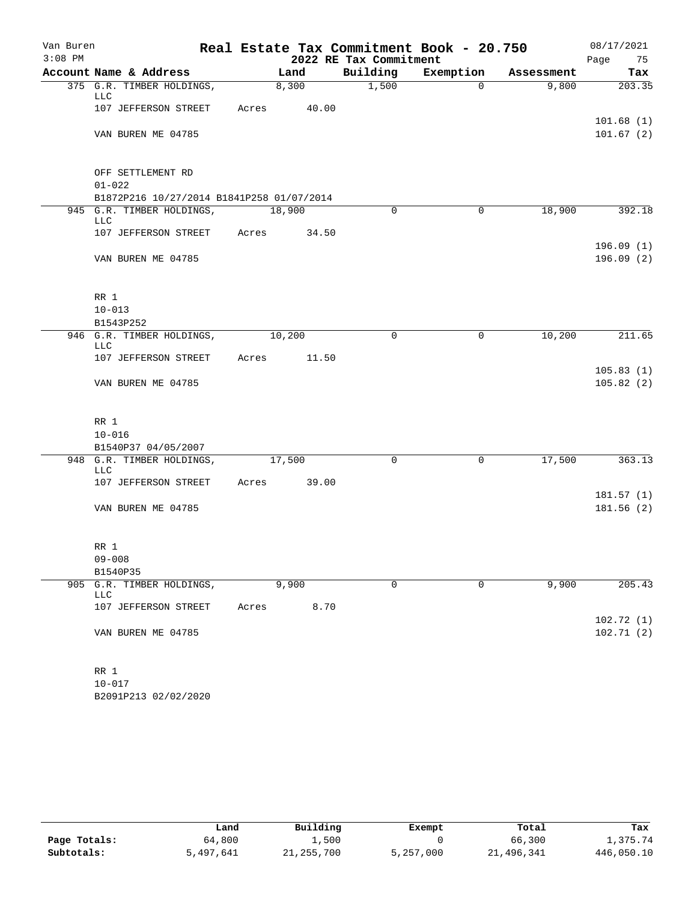| Van Buren |                                           | Real Estate Tax Commitment Book - 20.750 |                        |             |            | 08/17/2021             |
|-----------|-------------------------------------------|------------------------------------------|------------------------|-------------|------------|------------------------|
| $3:08$ PM |                                           |                                          | 2022 RE Tax Commitment |             |            | Page<br>75             |
|           | Account Name & Address                    | Land                                     | Building               | Exemption   | Assessment | Tax                    |
|           | 375 G.R. TIMBER HOLDINGS,<br>LLC          | 8,300                                    | 1,500                  | 0           | 9,800      | 203.35                 |
|           | 107 JEFFERSON STREET                      | 40.00<br>Acres                           |                        |             |            |                        |
|           |                                           |                                          |                        |             |            | 101.68(1)              |
|           | VAN BUREN ME 04785                        |                                          |                        |             |            | 101.67(2)              |
|           | OFF SETTLEMENT RD                         |                                          |                        |             |            |                        |
|           | $01 - 022$                                |                                          |                        |             |            |                        |
|           | B1872P216 10/27/2014 B1841P258 01/07/2014 |                                          |                        |             |            |                        |
|           | 945 G.R. TIMBER HOLDINGS,<br><b>LLC</b>   | 18,900                                   | $\Omega$               | 0           | 18,900     | 392.18                 |
|           | 107 JEFFERSON STREET                      | 34.50<br>Acres                           |                        |             |            | 196.09(1)              |
|           | VAN BUREN ME 04785                        |                                          |                        |             |            | 196.09 (2)             |
|           | RR 1                                      |                                          |                        |             |            |                        |
|           | $10 - 013$                                |                                          |                        |             |            |                        |
|           | B1543P252                                 |                                          |                        |             |            |                        |
|           | 946 G.R. TIMBER HOLDINGS,<br><b>LLC</b>   | 10,200                                   | 0                      | 0           | 10,200     | 211.65                 |
|           | 107 JEFFERSON STREET                      | 11.50<br>Acres                           |                        |             |            |                        |
|           | VAN BUREN ME 04785                        |                                          |                        |             |            | 105.83(1)<br>105.82(2) |
|           |                                           |                                          |                        |             |            |                        |
|           | RR 1                                      |                                          |                        |             |            |                        |
|           | $10 - 016$                                |                                          |                        |             |            |                        |
|           | B1540P37 04/05/2007                       |                                          |                        |             |            |                        |
|           | 948 G.R. TIMBER HOLDINGS,<br><b>LLC</b>   | 17,500                                   | 0                      | 0           | 17,500     | 363.13                 |
|           | 107 JEFFERSON STREET                      | 39.00<br>Acres                           |                        |             |            |                        |
|           |                                           |                                          |                        |             |            | 181.57(1)              |
|           | VAN BUREN ME 04785                        |                                          |                        |             |            | 181.56(2)              |
|           | RR 1                                      |                                          |                        |             |            |                        |
|           | $09 - 008$                                |                                          |                        |             |            |                        |
|           | B1540P35                                  |                                          |                        |             |            |                        |
| 905       | G.R. TIMBER HOLDINGS,<br><b>LLC</b>       | 9,900                                    | $\mathbf 0$            | $\mathbf 0$ | 9,900      | 205.43                 |
|           | 107 JEFFERSON STREET                      | 8.70<br>Acres                            |                        |             |            |                        |
|           | VAN BUREN ME 04785                        |                                          |                        |             |            | 102.72(1)<br>102.71(2) |
|           | RR 1                                      |                                          |                        |             |            |                        |
|           | $10 - 017$                                |                                          |                        |             |            |                        |
|           | B2091P213 02/02/2020                      |                                          |                        |             |            |                        |

|              | Land      | Building   | Exempt    | Total      | Tax        |
|--------------|-----------|------------|-----------|------------|------------|
| Page Totals: | 64,800    | 1,500      |           | 66,300     | 1,375.74   |
| Subtotals:   | 5,497,641 | 21,255,700 | 5,257,000 | 21,496,341 | 446,050.10 |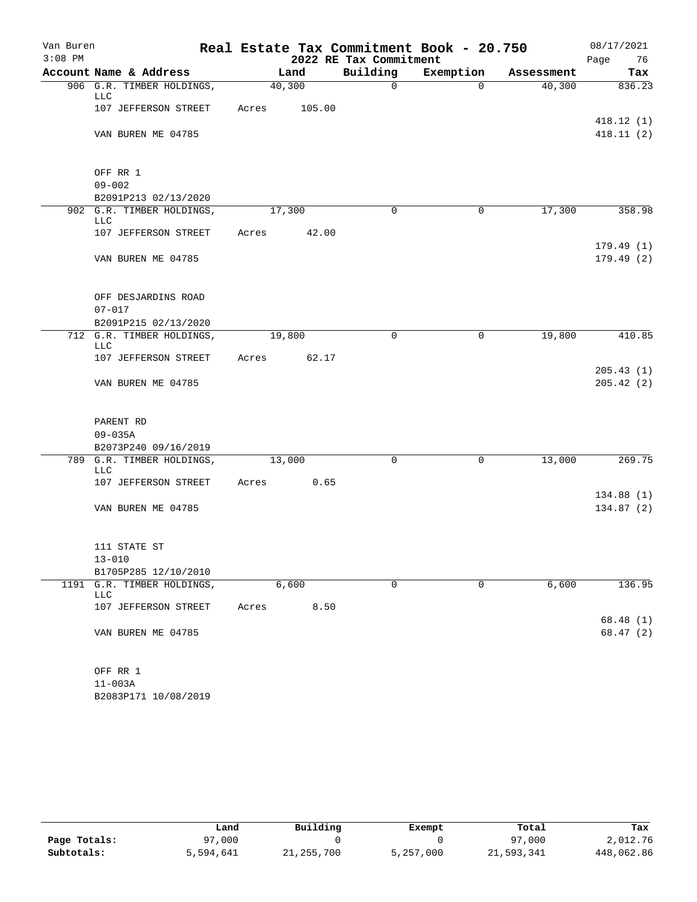| Van Buren |                                         |       |        |                        | Real Estate Tax Commitment Book - 20.750 |            | 08/17/2021             |
|-----------|-----------------------------------------|-------|--------|------------------------|------------------------------------------|------------|------------------------|
| $3:08$ PM |                                         |       |        | 2022 RE Tax Commitment |                                          |            | Page<br>76             |
|           | Account Name & Address                  |       | Land   | Building               | Exemption                                | Assessment | Tax                    |
|           | 906 G.R. TIMBER HOLDINGS,<br>LLC        |       | 40,300 | $\mathbf 0$            | $\Omega$                                 | 40,300     | 836.23                 |
|           | 107 JEFFERSON STREET                    | Acres | 105.00 |                        |                                          |            | 418.12(1)              |
|           | VAN BUREN ME 04785                      |       |        |                        |                                          |            | 418.11(2)              |
|           | OFF RR 1                                |       |        |                        |                                          |            |                        |
|           | $09 - 002$                              |       |        |                        |                                          |            |                        |
|           | B2091P213 02/13/2020                    |       |        |                        |                                          |            |                        |
|           | 902 G.R. TIMBER HOLDINGS,<br>LLC        |       | 17,300 | $\Omega$               | $\mathbf 0$                              | 17,300     | 358.98                 |
|           | 107 JEFFERSON STREET                    | Acres | 42.00  |                        |                                          |            | 179.49(1)              |
|           | VAN BUREN ME 04785                      |       |        |                        |                                          |            | 179.49(2)              |
|           | OFF DESJARDINS ROAD                     |       |        |                        |                                          |            |                        |
|           | $07 - 017$                              |       |        |                        |                                          |            |                        |
|           | B2091P215 02/13/2020                    |       |        |                        |                                          |            |                        |
|           | 712 G.R. TIMBER HOLDINGS,<br>LLC.       |       | 19,800 | $\Omega$               | $\mathbf 0$                              | 19,800     | 410.85                 |
|           | 107 JEFFERSON STREET                    | Acres | 62.17  |                        |                                          |            | 205.43(1)              |
|           | VAN BUREN ME 04785                      |       |        |                        |                                          |            | 205.42(2)              |
|           | PARENT RD                               |       |        |                        |                                          |            |                        |
|           | $09 - 035A$                             |       |        |                        |                                          |            |                        |
|           | B2073P240 09/16/2019                    |       |        |                        |                                          |            |                        |
|           | 789 G.R. TIMBER HOLDINGS,<br><b>LLC</b> |       | 13,000 | $\Omega$               | $\mathbf 0$                              | 13,000     | 269.75                 |
|           | 107 JEFFERSON STREET                    | Acres | 0.65   |                        |                                          |            |                        |
|           | VAN BUREN ME 04785                      |       |        |                        |                                          |            | 134.88(1)<br>134.87(2) |
|           | 111 STATE ST                            |       |        |                        |                                          |            |                        |
|           | $13 - 010$                              |       |        |                        |                                          |            |                        |
|           | B1705P285 12/10/2010                    |       |        |                        |                                          |            |                        |
|           | 1191 G.R. TIMBER HOLDINGS,<br>LLC       |       | 6,600  | $\mathbf 0$            | $\mathbf 0$                              | 6,600      | 136.95                 |
|           | 107 JEFFERSON STREET                    | Acres | 8.50   |                        |                                          |            | 68.48(1)               |
|           | VAN BUREN ME 04785                      |       |        |                        |                                          |            | 68.47 (2)              |
|           | OFF RR 1                                |       |        |                        |                                          |            |                        |
|           | $11 - 003A$                             |       |        |                        |                                          |            |                        |
|           | B2083P171 10/08/2019                    |       |        |                        |                                          |            |                        |

|              | Land      | Building     | Exempt    | Total      | Tax        |  |
|--------------|-----------|--------------|-----------|------------|------------|--|
| Page Totals: | 97,000    |              |           | 97,000     | 2,012.76   |  |
| Subtotals:   | 5,594,641 | 21, 255, 700 | 5,257,000 | 21,593,341 | 448,062.86 |  |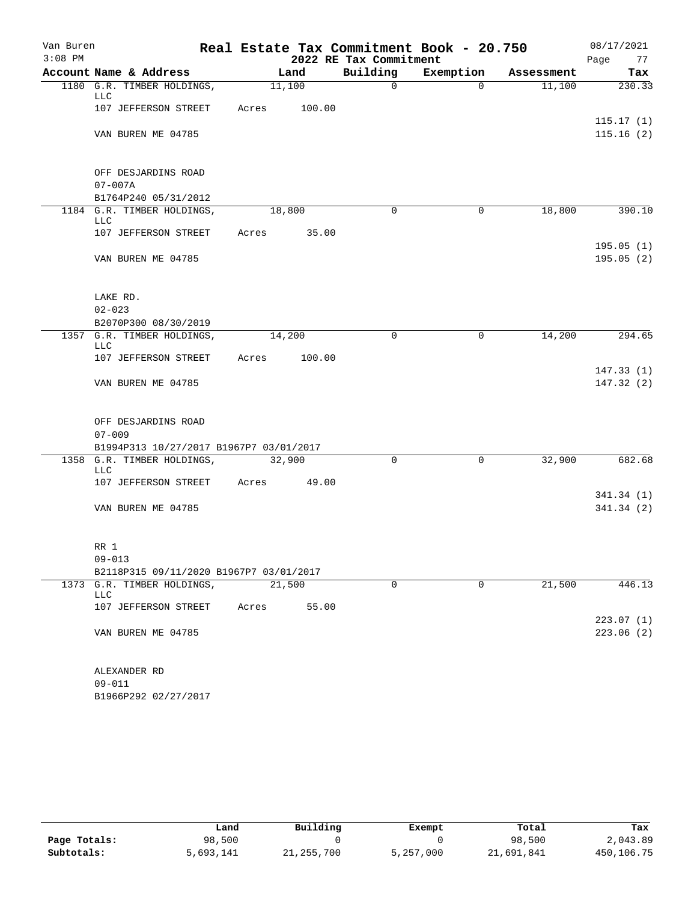| Van Buren |                                          | Real Estate Tax Commitment Book - 20.750 |                        |             |            | 08/17/2021             |
|-----------|------------------------------------------|------------------------------------------|------------------------|-------------|------------|------------------------|
| $3:08$ PM |                                          |                                          | 2022 RE Tax Commitment |             |            | Page<br>77             |
|           | Account Name & Address                   | Land                                     | Building               | Exemption   | Assessment | Tax                    |
|           | 1180 G.R. TIMBER HOLDINGS,<br>LLC        | 11,100                                   | $\mathbf 0$            | 0           | 11,100     | 230.33                 |
|           | 107 JEFFERSON STREET                     | Acres<br>100.00                          |                        |             |            |                        |
|           |                                          |                                          |                        |             |            | 115.17(1)              |
|           | VAN BUREN ME 04785                       |                                          |                        |             |            | 115.16(2)              |
|           | OFF DESJARDINS ROAD                      |                                          |                        |             |            |                        |
|           | $07 - 007A$                              |                                          |                        |             |            |                        |
|           | B1764P240 05/31/2012                     |                                          |                        |             |            |                        |
|           | 1184 G.R. TIMBER HOLDINGS,<br>LLC        | 18,800                                   | $\Omega$               | 0           | 18,800     | 390.10                 |
|           | 107 JEFFERSON STREET                     | 35.00<br>Acres                           |                        |             |            |                        |
|           | VAN BUREN ME 04785                       |                                          |                        |             |            | 195.05(1)<br>195.05(2) |
|           | LAKE RD.                                 |                                          |                        |             |            |                        |
|           | $02 - 023$                               |                                          |                        |             |            |                        |
|           | B2070P300 08/30/2019                     |                                          |                        |             |            |                        |
|           | 1357 G.R. TIMBER HOLDINGS,<br><b>LLC</b> | 14,200                                   | 0                      | 0           | 14,200     | 294.65                 |
|           | 107 JEFFERSON STREET                     | 100.00<br>Acres                          |                        |             |            |                        |
|           |                                          |                                          |                        |             |            | 147.33(1)              |
|           | VAN BUREN ME 04785                       |                                          |                        |             |            | 147.32(2)              |
|           | OFF DESJARDINS ROAD                      |                                          |                        |             |            |                        |
|           | $07 - 009$                               |                                          |                        |             |            |                        |
|           | B1994P313 10/27/2017 B1967P7 03/01/2017  |                                          |                        |             |            |                        |
|           | 1358 G.R. TIMBER HOLDINGS,<br><b>LLC</b> | 32,900<br>49.00                          | $\Omega$               | 0           | 32,900     | 682.68                 |
|           | 107 JEFFERSON STREET                     | Acres                                    |                        |             |            | 341.34(1)              |
|           | VAN BUREN ME 04785                       |                                          |                        |             |            | 341.34(2)              |
|           | RR 1                                     |                                          |                        |             |            |                        |
|           | $09 - 013$                               |                                          |                        |             |            |                        |
|           | B2118P315 09/11/2020 B1967P7 03/01/2017  |                                          |                        |             |            |                        |
|           | 1373 G.R. TIMBER HOLDINGS,<br>LLC        | 21,500                                   | $\mathbf 0$            | $\mathbf 0$ | 21,500     | 446.13                 |
|           | 107 JEFFERSON STREET                     | 55.00<br>Acres                           |                        |             |            |                        |
|           | VAN BUREN ME 04785                       |                                          |                        |             |            | 223.07(1)<br>223.06(2) |
|           |                                          |                                          |                        |             |            |                        |
|           | ALEXANDER RD                             |                                          |                        |             |            |                        |
|           | $09 - 011$                               |                                          |                        |             |            |                        |
|           | B1966P292 02/27/2017                     |                                          |                        |             |            |                        |

|              | Land      | Building     | Exempt    | Total      | Tax        |
|--------------|-----------|--------------|-----------|------------|------------|
| Page Totals: | 98,500    |              |           | 98,500     | 2,043.89   |
| Subtotals:   | 5,693,141 | 21, 255, 700 | 5,257,000 | 21,691,841 | 450,106.75 |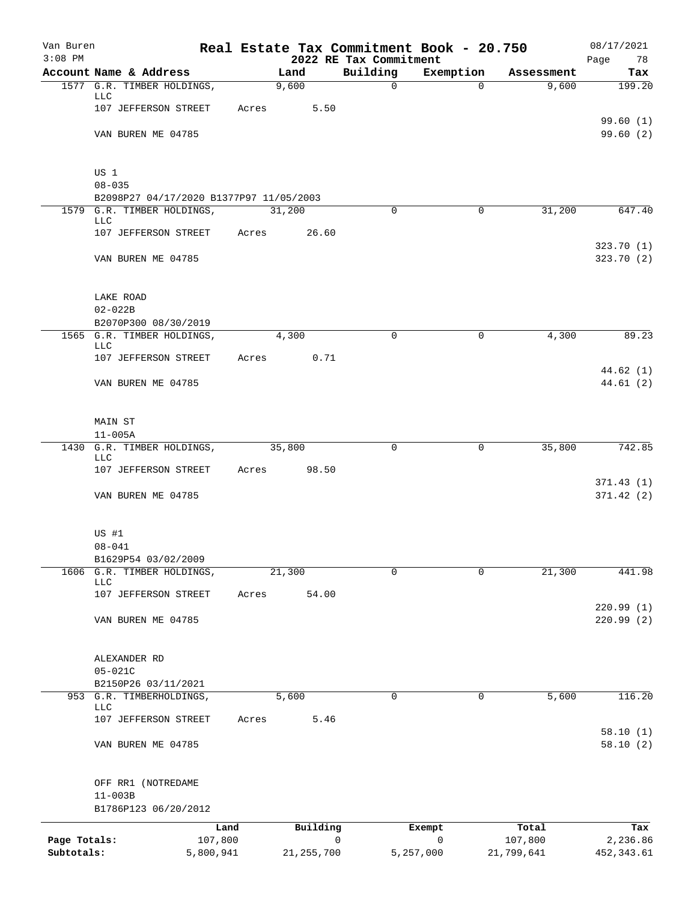| Van Buren<br>$3:08$ PM     |                                                    | Real Estate Tax Commitment Book - 20.750 |                                    |                |                       | 08/17/2021              |
|----------------------------|----------------------------------------------------|------------------------------------------|------------------------------------|----------------|-----------------------|-------------------------|
|                            | Account Name & Address                             | Land                                     | 2022 RE Tax Commitment<br>Building | Exemption      | Assessment            | Page<br>78<br>Tax       |
|                            | 1577 G.R. TIMBER HOLDINGS,                         | 9,600                                    | $\mathbf 0$                        | $\Omega$       | 9,600                 | 199.20                  |
|                            | LLC<br>107 JEFFERSON STREET                        | Acres                                    | 5.50                               |                |                       |                         |
|                            | VAN BUREN ME 04785                                 |                                          |                                    |                |                       | 99.60(1)<br>99.60 (2)   |
|                            | US 1                                               |                                          |                                    |                |                       |                         |
|                            | $08 - 035$                                         |                                          |                                    |                |                       |                         |
|                            | B2098P27 04/17/2020 B1377P97 11/05/2003            |                                          |                                    |                |                       |                         |
|                            | 1579 G.R. TIMBER HOLDINGS,<br>LLC                  | 31,200                                   | $\mathbf 0$                        | 0              | 31,200                | 647.40                  |
|                            | 107 JEFFERSON STREET                               | Acres                                    | 26.60                              |                |                       | 323.70 (1)              |
|                            | VAN BUREN ME 04785                                 |                                          |                                    |                |                       | 323.70 (2)              |
|                            | LAKE ROAD                                          |                                          |                                    |                |                       |                         |
|                            | $02 - 022B$                                        |                                          |                                    |                |                       |                         |
|                            | B2070P300 08/30/2019<br>1565 G.R. TIMBER HOLDINGS, | 4,300                                    | $\Omega$                           | 0              | 4,300                 | 89.23                   |
|                            | <b>LLC</b><br>107 JEFFERSON STREET                 | Acres                                    | 0.71                               |                |                       |                         |
|                            | VAN BUREN ME 04785                                 |                                          |                                    |                |                       | 44.62(1)<br>44.61(2)    |
|                            |                                                    |                                          |                                    |                |                       |                         |
|                            | MAIN ST                                            |                                          |                                    |                |                       |                         |
|                            | $11 - 005A$<br>1430 G.R. TIMBER HOLDINGS,          | 35,800                                   | 0                                  | 0              | 35,800                | 742.85                  |
|                            | LLC<br>107 JEFFERSON STREET                        | Acres                                    | 98.50                              |                |                       |                         |
|                            | VAN BUREN ME 04785                                 |                                          |                                    |                |                       | 371.43(1)<br>371.42(2)  |
|                            |                                                    |                                          |                                    |                |                       |                         |
|                            | US #1                                              |                                          |                                    |                |                       |                         |
|                            | $08 - 041$<br>B1629P54 03/02/2009                  |                                          |                                    |                |                       |                         |
| 1606                       | G.R. TIMBER HOLDINGS,<br>LLC                       | 21,300                                   | $\mathbf 0$                        | $\mathbf 0$    | 21,300                | 441.98                  |
|                            | 107 JEFFERSON STREET                               | Acres                                    | 54.00                              |                |                       | 220.99(1)               |
|                            | VAN BUREN ME 04785                                 |                                          |                                    |                |                       | 220.99 (2)              |
|                            | ALEXANDER RD                                       |                                          |                                    |                |                       |                         |
|                            | $05 - 021C$<br>B2150P26 03/11/2021                 |                                          |                                    |                |                       |                         |
|                            | 953 G.R. TIMBERHOLDINGS,                           | 5,600                                    | 0                                  | 0              | 5,600                 | 116.20                  |
|                            | <b>LLC</b><br>107 JEFFERSON STREET                 | Acres                                    | 5.46                               |                |                       |                         |
|                            |                                                    |                                          |                                    |                |                       | 58.10(1)                |
|                            | VAN BUREN ME 04785                                 |                                          |                                    |                |                       | 58.10(2)                |
|                            | OFF RR1 (NOTREDAME                                 |                                          |                                    |                |                       |                         |
|                            | $11 - 003B$<br>B1786P123 06/20/2012                |                                          |                                    |                |                       |                         |
|                            | Land                                               | Building                                 | $\mathbf 0$                        | Exempt         | Total                 | Tax                     |
| Page Totals:<br>Subtotals: | 107,800<br>5,800,941                               | 21, 255, 700                             |                                    | 0<br>5,257,000 | 107,800<br>21,799,641 | 2,236.86<br>452, 343.61 |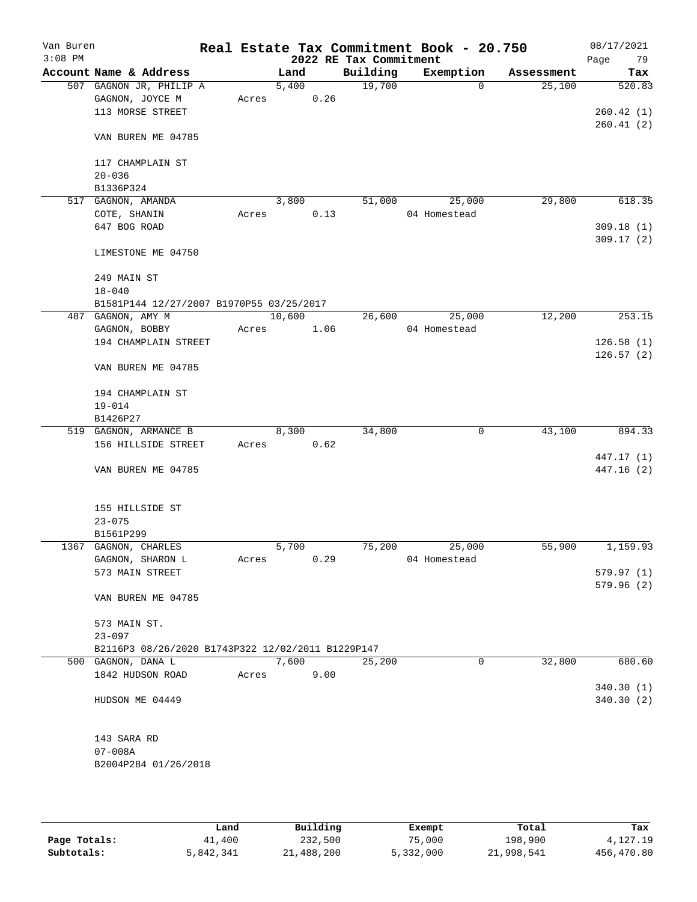| Van Buren<br>$3:08$ PM |                                                               |       |        |      | 2022 RE Tax Commitment | Real Estate Tax Commitment Book - 20.750 |            | 08/17/2021<br>Page<br>79 |
|------------------------|---------------------------------------------------------------|-------|--------|------|------------------------|------------------------------------------|------------|--------------------------|
|                        | Account Name & Address                                        |       | Land   |      | Building               | Exemption                                | Assessment | Tax                      |
|                        | 507 GAGNON JR, PHILIP A                                       |       | 5,400  |      | 19,700                 | $\Omega$                                 | 25,100     | 520.83                   |
|                        | GAGNON, JOYCE M                                               | Acres |        | 0.26 |                        |                                          |            |                          |
|                        | 113 MORSE STREET                                              |       |        |      |                        |                                          |            | 260.42(1)                |
|                        | VAN BUREN ME 04785                                            |       |        |      |                        |                                          |            | 260.41(2)                |
|                        | 117 CHAMPLAIN ST                                              |       |        |      |                        |                                          |            |                          |
|                        | $20 - 036$                                                    |       |        |      |                        |                                          |            |                          |
|                        | B1336P324                                                     |       |        |      |                        |                                          |            |                          |
|                        | 517 GAGNON, AMANDA                                            |       | 3,800  |      | 51,000                 | 25,000                                   | 29,800     | 618.35                   |
|                        | COTE, SHANIN                                                  | Acres |        | 0.13 |                        | 04 Homestead                             |            |                          |
|                        | 647 BOG ROAD                                                  |       |        |      |                        |                                          |            | 309.18(1)                |
|                        | LIMESTONE ME 04750                                            |       |        |      |                        |                                          |            | 309.17(2)                |
|                        | 249 MAIN ST                                                   |       |        |      |                        |                                          |            |                          |
|                        | $18 - 040$                                                    |       |        |      |                        |                                          |            |                          |
|                        | B1581P144 12/27/2007 B1970P55 03/25/2017<br>487 GAGNON, AMY M |       | 10,600 |      |                        |                                          | 12,200     | 253.15                   |
|                        |                                                               |       |        |      | 26,600                 | 25,000<br>04 Homestead                   |            |                          |
|                        | GAGNON, BOBBY<br>194 CHAMPLAIN STREET                         | Acres |        | 1.06 |                        |                                          |            | 126.58(1)                |
|                        |                                                               |       |        |      |                        |                                          |            | 126.57(2)                |
|                        | VAN BUREN ME 04785                                            |       |        |      |                        |                                          |            |                          |
|                        | 194 CHAMPLAIN ST                                              |       |        |      |                        |                                          |            |                          |
|                        | $19 - 014$                                                    |       |        |      |                        |                                          |            |                          |
|                        | B1426P27                                                      |       |        |      |                        |                                          |            |                          |
|                        | 519 GAGNON, ARMANCE B                                         |       | 8,300  |      | 34,800                 | 0                                        | 43,100     | 894.33                   |
|                        | 156 HILLSIDE STREET                                           | Acres |        | 0.62 |                        |                                          |            |                          |
|                        |                                                               |       |        |      |                        |                                          |            | 447.17 (1)               |
|                        | VAN BUREN ME 04785                                            |       |        |      |                        |                                          |            | 447.16 (2)               |
|                        | 155 HILLSIDE ST                                               |       |        |      |                        |                                          |            |                          |
|                        | $23 - 075$                                                    |       |        |      |                        |                                          |            |                          |
|                        | B1561P299                                                     |       |        |      |                        |                                          |            |                          |
|                        | 1367 GAGNON, CHARLES                                          |       | 5,700  |      | 75,200                 | 25,000                                   | 55,900     | 1,159.93                 |
|                        | GAGNON, SHARON L                                              | Acres |        | 0.29 |                        | 04 Homestead                             |            |                          |
|                        | 573 MAIN STREET                                               |       |        |      |                        |                                          |            | 579.97(1)                |
|                        | VAN BUREN ME 04785                                            |       |        |      |                        |                                          |            | 579.96 (2)               |
|                        | 573 MAIN ST.                                                  |       |        |      |                        |                                          |            |                          |
|                        | $23 - 097$                                                    |       |        |      |                        |                                          |            |                          |
|                        | B2116P3 08/26/2020 B1743P322 12/02/2011 B1229P147             |       |        |      |                        |                                          |            |                          |
|                        | 500 GAGNON, DANA L                                            |       | 7,600  |      | 25,200                 | 0                                        | 32,800     | 680.60                   |
|                        | 1842 HUDSON ROAD                                              | Acres |        | 9.00 |                        |                                          |            |                          |
|                        |                                                               |       |        |      |                        |                                          |            | 340.30(1)                |
|                        | HUDSON ME 04449                                               |       |        |      |                        |                                          |            | 340.30(2)                |
|                        | 143 SARA RD                                                   |       |        |      |                        |                                          |            |                          |
|                        | $07 - 008A$                                                   |       |        |      |                        |                                          |            |                          |
|                        | B2004P284 01/26/2018                                          |       |        |      |                        |                                          |            |                          |
|                        |                                                               |       |        |      |                        |                                          |            |                          |

|              | Land      | Building   | Exempt    | Total      | Tax        |
|--------------|-----------|------------|-----------|------------|------------|
| Page Totals: | 41,400    | 232,500    | 75,000    | 198,900    | 4,127.19   |
| Subtotals:   | 5,842,341 | 21,488,200 | 5,332,000 | 21,998,541 | 456,470.80 |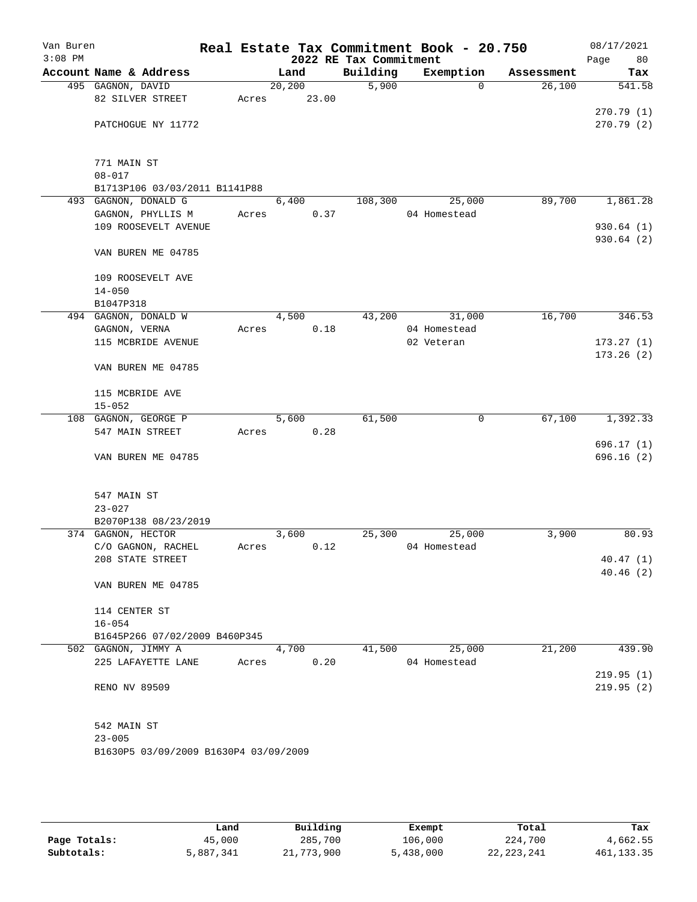| Van Buren<br>$3:08$ PM |                                             |       |         | 2022 RE Tax Commitment | Real Estate Tax Commitment Book - 20.750 |            | 08/17/2021<br>Page<br>80 |
|------------------------|---------------------------------------------|-------|---------|------------------------|------------------------------------------|------------|--------------------------|
|                        | Account Name & Address                      |       | Land    | Building               | Exemption                                | Assessment | Tax                      |
|                        | 495 GAGNON, DAVID                           |       | 20, 200 | 5,900                  | $\Omega$                                 | 26,100     | 541.58                   |
|                        | 82 SILVER STREET                            | Acres | 23.00   |                        |                                          |            |                          |
|                        |                                             |       |         |                        |                                          |            | 270.79(1)                |
|                        | PATCHOGUE NY 11772                          |       |         |                        |                                          |            | 270.79(2)                |
|                        |                                             |       |         |                        |                                          |            |                          |
|                        |                                             |       |         |                        |                                          |            |                          |
|                        | 771 MAIN ST                                 |       |         |                        |                                          |            |                          |
|                        | $08 - 017$<br>B1713P106 03/03/2011 B1141P88 |       |         |                        |                                          |            |                          |
|                        | 493 GAGNON, DONALD G                        |       | 6,400   | 108,300                | 25,000                                   | 89,700     | 1,861.28                 |
|                        | GAGNON, PHYLLIS M                           | Acres | 0.37    |                        | 04 Homestead                             |            |                          |
|                        | 109 ROOSEVELT AVENUE                        |       |         |                        |                                          |            | 930.64(1)                |
|                        |                                             |       |         |                        |                                          |            | 930.64 (2)               |
|                        | VAN BUREN ME 04785                          |       |         |                        |                                          |            |                          |
|                        |                                             |       |         |                        |                                          |            |                          |
|                        | 109 ROOSEVELT AVE                           |       |         |                        |                                          |            |                          |
|                        | $14 - 050$                                  |       |         |                        |                                          |            |                          |
|                        | B1047P318                                   |       |         |                        |                                          |            |                          |
|                        | 494 GAGNON, DONALD W                        |       | 4,500   | 43,200                 | 31,000                                   | 16,700     | 346.53                   |
|                        | GAGNON, VERNA                               | Acres | 0.18    |                        | 04 Homestead                             |            |                          |
|                        | 115 MCBRIDE AVENUE                          |       |         |                        | 02 Veteran                               |            | 173.27(1)                |
|                        |                                             |       |         |                        |                                          |            | 173.26(2)                |
|                        | VAN BUREN ME 04785                          |       |         |                        |                                          |            |                          |
|                        |                                             |       |         |                        |                                          |            |                          |
|                        | 115 MCBRIDE AVE                             |       |         |                        |                                          |            |                          |
|                        | $15 - 052$                                  |       | 5,600   | 61,500                 | 0                                        | 67,100     | 1,392.33                 |
|                        | 108 GAGNON, GEORGE P<br>547 MAIN STREET     | Acres | 0.28    |                        |                                          |            |                          |
|                        |                                             |       |         |                        |                                          |            | 696.17(1)                |
|                        | VAN BUREN ME 04785                          |       |         |                        |                                          |            | 696.16(2)                |
|                        |                                             |       |         |                        |                                          |            |                          |
|                        |                                             |       |         |                        |                                          |            |                          |
|                        | 547 MAIN ST                                 |       |         |                        |                                          |            |                          |
|                        | $23 - 027$                                  |       |         |                        |                                          |            |                          |
|                        | B2070P138 08/23/2019                        |       |         |                        |                                          |            |                          |
|                        | 374 GAGNON, HECTOR                          |       | 3,600   | 25,300                 | 25,000                                   | 3,900      | 80.93                    |
|                        | C/O GAGNON, RACHEL                          | Acres | 0.12    |                        | 04 Homestead                             |            |                          |
|                        | 208 STATE STREET                            |       |         |                        |                                          |            | 40.47(1)                 |
|                        |                                             |       |         |                        |                                          |            | 40.46(2)                 |
|                        | VAN BUREN ME 04785                          |       |         |                        |                                          |            |                          |
|                        | 114 CENTER ST                               |       |         |                        |                                          |            |                          |
|                        | $16 - 054$                                  |       |         |                        |                                          |            |                          |
|                        | B1645P266 07/02/2009 B460P345               |       |         |                        |                                          |            |                          |
|                        | 502 GAGNON, JIMMY A                         |       | 4,700   | 41,500                 | 25,000                                   | 21,200     | 439.90                   |
|                        | 225 LAFAYETTE LANE                          | Acres | 0.20    |                        | 04 Homestead                             |            |                          |
|                        |                                             |       |         |                        |                                          |            | 219.95(1)                |
|                        | <b>RENO NV 89509</b>                        |       |         |                        |                                          |            | 219.95(2)                |
|                        |                                             |       |         |                        |                                          |            |                          |
|                        |                                             |       |         |                        |                                          |            |                          |
|                        | 542 MAIN ST                                 |       |         |                        |                                          |            |                          |
|                        | $23 - 005$                                  |       |         |                        |                                          |            |                          |
|                        | B1630P5 03/09/2009 B1630P4 03/09/2009       |       |         |                        |                                          |            |                          |
|                        |                                             |       |         |                        |                                          |            |                          |
|                        |                                             |       |         |                        |                                          |            |                          |
|                        |                                             |       |         |                        |                                          |            |                          |

|              | Land      | Building   | Exempt    | Total      | Tax         |
|--------------|-----------|------------|-----------|------------|-------------|
| Page Totals: | 45,000    | 285,700    | 106,000   | 224,700    | 4,662.55    |
| Subtotals:   | 5,887,341 | 21,773,900 | 5,438,000 | 22,223,241 | 461, 133.35 |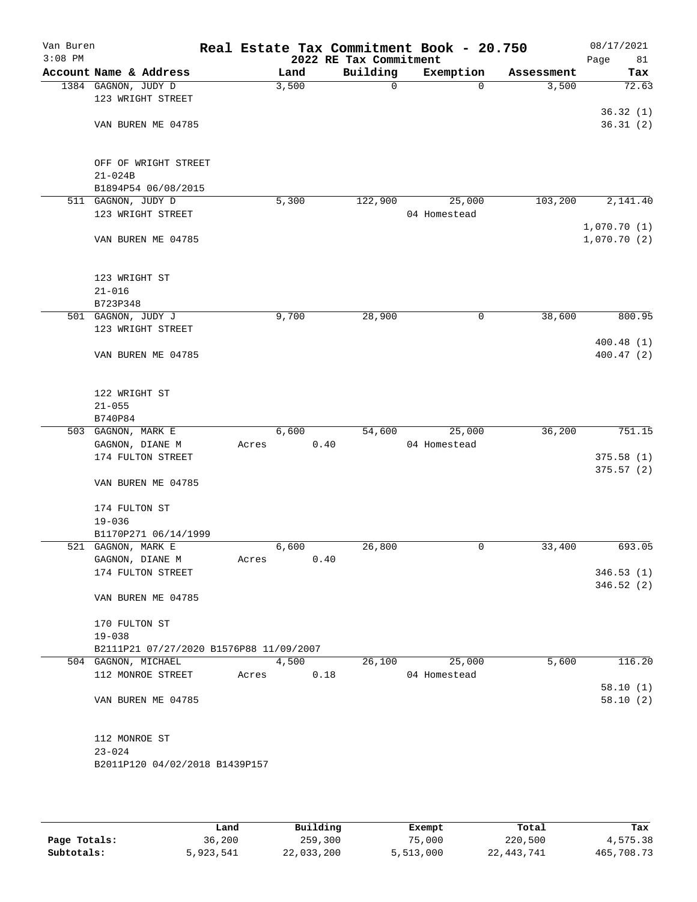| Van Buren<br>$3:08$ PM |                                         |       |       |      | 2022 RE Tax Commitment | Real Estate Tax Commitment Book - 20.750 |            | 08/17/2021<br>81<br>Page |
|------------------------|-----------------------------------------|-------|-------|------|------------------------|------------------------------------------|------------|--------------------------|
|                        | Account Name & Address                  |       | Land  |      | Building               | Exemption                                | Assessment | Tax                      |
|                        | 1384 GAGNON, JUDY D                     |       | 3,500 |      | $\mathbf 0$            | $\Omega$                                 | 3,500      | 72.63                    |
|                        | 123 WRIGHT STREET                       |       |       |      |                        |                                          |            |                          |
|                        |                                         |       |       |      |                        |                                          |            | 36.32(1)                 |
|                        | VAN BUREN ME 04785                      |       |       |      |                        |                                          |            | 36.31(2)                 |
|                        |                                         |       |       |      |                        |                                          |            |                          |
|                        | OFF OF WRIGHT STREET                    |       |       |      |                        |                                          |            |                          |
|                        | $21 - 024B$                             |       |       |      |                        |                                          |            |                          |
|                        | B1894P54 06/08/2015                     |       |       |      |                        |                                          |            |                          |
|                        | 511 GAGNON, JUDY D                      |       | 5,300 |      | 122,900                | 25,000                                   | 103,200    | 2,141.40                 |
|                        | 123 WRIGHT STREET                       |       |       |      |                        | 04 Homestead                             |            |                          |
|                        |                                         |       |       |      |                        |                                          |            | 1,070.70(1)              |
|                        | VAN BUREN ME 04785                      |       |       |      |                        |                                          |            | 1,070.70(2)              |
|                        |                                         |       |       |      |                        |                                          |            |                          |
|                        |                                         |       |       |      |                        |                                          |            |                          |
|                        | 123 WRIGHT ST                           |       |       |      |                        |                                          |            |                          |
|                        | $21 - 016$                              |       |       |      |                        |                                          |            |                          |
|                        | B723P348<br>501 GAGNON, JUDY J          |       | 9,700 |      | 28,900                 | 0                                        | 38,600     | 800.95                   |
|                        | 123 WRIGHT STREET                       |       |       |      |                        |                                          |            |                          |
|                        |                                         |       |       |      |                        |                                          |            | 400.48(1)                |
|                        | VAN BUREN ME 04785                      |       |       |      |                        |                                          |            | 400.47(2)                |
|                        |                                         |       |       |      |                        |                                          |            |                          |
|                        |                                         |       |       |      |                        |                                          |            |                          |
|                        | 122 WRIGHT ST                           |       |       |      |                        |                                          |            |                          |
|                        | $21 - 055$                              |       |       |      |                        |                                          |            |                          |
|                        | B740P84                                 |       |       |      |                        |                                          |            |                          |
|                        | 503 GAGNON, MARK E                      |       | 6,600 |      | 54,600                 | 25,000                                   | 36,200     | 751.15                   |
|                        | GAGNON, DIANE M                         | Acres |       | 0.40 |                        | 04 Homestead                             |            |                          |
|                        | 174 FULTON STREET                       |       |       |      |                        |                                          |            | 375.58(1)<br>375.57(2)   |
|                        | VAN BUREN ME 04785                      |       |       |      |                        |                                          |            |                          |
|                        |                                         |       |       |      |                        |                                          |            |                          |
|                        | 174 FULTON ST                           |       |       |      |                        |                                          |            |                          |
|                        | $19 - 036$                              |       |       |      |                        |                                          |            |                          |
|                        | B1170P271 06/14/1999                    |       |       |      |                        |                                          |            |                          |
|                        | 521 GAGNON, MARK E                      |       | 6,600 |      | 26,800                 | $\mathbf 0$                              | 33,400     | 693.05                   |
|                        | GAGNON, DIANE M                         | Acres |       | 0.40 |                        |                                          |            |                          |
|                        | 174 FULTON STREET                       |       |       |      |                        |                                          |            | 346.53(1)                |
|                        |                                         |       |       |      |                        |                                          |            | 346.52(2)                |
|                        | VAN BUREN ME 04785                      |       |       |      |                        |                                          |            |                          |
|                        | 170 FULTON ST                           |       |       |      |                        |                                          |            |                          |
|                        | $19 - 038$                              |       |       |      |                        |                                          |            |                          |
|                        | B2111P21 07/27/2020 B1576P88 11/09/2007 |       |       |      |                        |                                          |            |                          |
|                        | 504 GAGNON, MICHAEL                     |       | 4,500 |      | 26,100                 | 25,000                                   | 5,600      | 116.20                   |
|                        | 112 MONROE STREET                       | Acres |       | 0.18 |                        | 04 Homestead                             |            |                          |
|                        |                                         |       |       |      |                        |                                          |            | 58.10(1)                 |
|                        | VAN BUREN ME 04785                      |       |       |      |                        |                                          |            | 58.10(2)                 |
|                        |                                         |       |       |      |                        |                                          |            |                          |
|                        |                                         |       |       |      |                        |                                          |            |                          |
|                        | 112 MONROE ST<br>$23 - 024$             |       |       |      |                        |                                          |            |                          |
|                        | B2011P120 04/02/2018 B1439P157          |       |       |      |                        |                                          |            |                          |
|                        |                                         |       |       |      |                        |                                          |            |                          |
|                        |                                         |       |       |      |                        |                                          |            |                          |

|              | Land      | Building   | Exempt    | Total      | Tax        |
|--------------|-----------|------------|-----------|------------|------------|
| Page Totals: | 36,200    | 259,300    | 75,000    | 220,500    | 4,575.38   |
| Subtotals:   | 5,923,541 | 22,033,200 | 5,513,000 | 22,443,741 | 465,708.73 |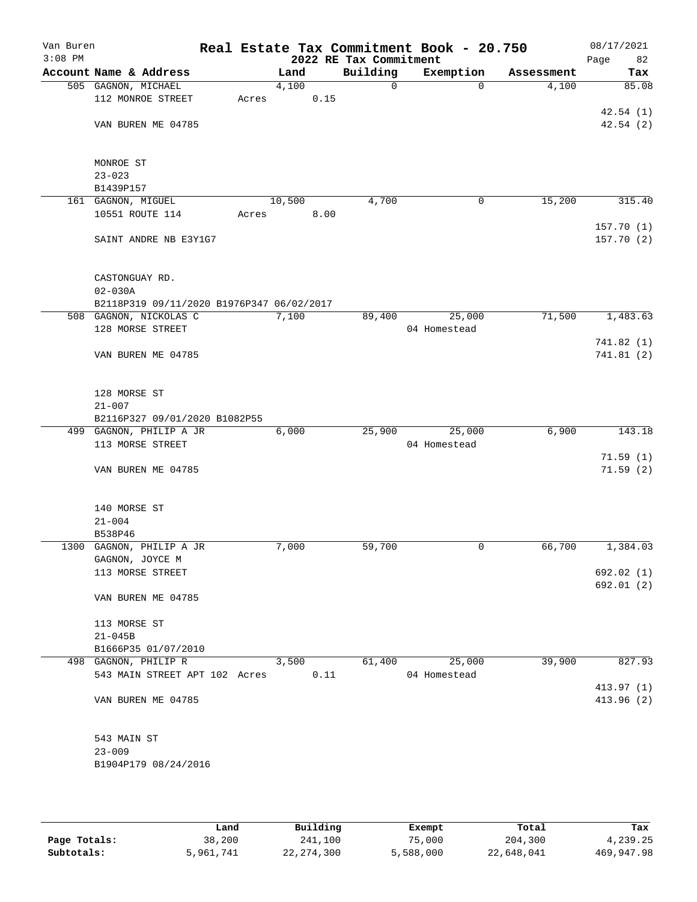| Van Buren<br>$3:08$ PM |                                           |       |        |      | 2022 RE Tax Commitment | Real Estate Tax Commitment Book - 20.750 |            | 08/17/2021<br>Page<br>82 |
|------------------------|-------------------------------------------|-------|--------|------|------------------------|------------------------------------------|------------|--------------------------|
|                        | Account Name & Address                    |       | Land   |      | Building               | Exemption                                | Assessment | Tax                      |
|                        | 505 GAGNON, MICHAEL                       |       | 4,100  |      | $\mathbf 0$            | $\Omega$                                 | 4,100      | 85.08                    |
|                        | 112 MONROE STREET                         | Acres |        | 0.15 |                        |                                          |            |                          |
|                        |                                           |       |        |      |                        |                                          |            | 42.54(1)                 |
|                        | VAN BUREN ME 04785                        |       |        |      |                        |                                          |            | 42.54(2)                 |
|                        |                                           |       |        |      |                        |                                          |            |                          |
|                        |                                           |       |        |      |                        |                                          |            |                          |
|                        | MONROE ST                                 |       |        |      |                        |                                          |            |                          |
|                        | $23 - 023$                                |       |        |      |                        |                                          |            |                          |
|                        | B1439P157                                 |       |        |      |                        |                                          |            |                          |
|                        | 161 GAGNON, MIGUEL                        |       | 10,500 |      | 4,700                  | 0                                        | 15,200     | 315.40                   |
|                        | 10551 ROUTE 114                           | Acres |        | 8.00 |                        |                                          |            |                          |
|                        |                                           |       |        |      |                        |                                          |            | 157.70(1)                |
|                        | SAINT ANDRE NB E3Y1G7                     |       |        |      |                        |                                          |            | 157.70(2)                |
|                        |                                           |       |        |      |                        |                                          |            |                          |
|                        |                                           |       |        |      |                        |                                          |            |                          |
|                        | CASTONGUAY RD.                            |       |        |      |                        |                                          |            |                          |
|                        | $02 - 030A$                               |       |        |      |                        |                                          |            |                          |
|                        | B2118P319 09/11/2020 B1976P347 06/02/2017 |       |        |      |                        |                                          |            |                          |
|                        | 508 GAGNON, NICKOLAS C                    |       | 7,100  |      | 89,400                 | 25,000                                   | 71,500     | 1,483.63                 |
|                        | 128 MORSE STREET                          |       |        |      |                        | 04 Homestead                             |            |                          |
|                        |                                           |       |        |      |                        |                                          |            | 741.82 (1)               |
|                        | VAN BUREN ME 04785                        |       |        |      |                        |                                          |            | 741.81(2)                |
|                        |                                           |       |        |      |                        |                                          |            |                          |
|                        |                                           |       |        |      |                        |                                          |            |                          |
|                        | 128 MORSE ST                              |       |        |      |                        |                                          |            |                          |
|                        | $21 - 007$                                |       |        |      |                        |                                          |            |                          |
|                        | B2116P327 09/01/2020 B1082P55             |       |        |      |                        |                                          |            |                          |
|                        | 499 GAGNON, PHILIP A JR                   |       | 6,000  |      | 25,900                 | 25,000                                   | 6,900      | 143.18                   |
|                        | 113 MORSE STREET                          |       |        |      |                        | 04 Homestead                             |            |                          |
|                        |                                           |       |        |      |                        |                                          |            | 71.59(1)                 |
|                        | VAN BUREN ME 04785                        |       |        |      |                        |                                          |            | 71.59(2)                 |
|                        |                                           |       |        |      |                        |                                          |            |                          |
|                        |                                           |       |        |      |                        |                                          |            |                          |
|                        | 140 MORSE ST                              |       |        |      |                        |                                          |            |                          |
|                        | $21 - 004$                                |       |        |      |                        |                                          |            |                          |
|                        | B538P46                                   |       |        |      |                        |                                          |            |                          |
|                        | 1300 GAGNON, PHILIP A JR                  |       | 7,000  |      | 59,700                 | 0                                        | 66,700     | 1,384.03                 |
|                        | GAGNON, JOYCE M                           |       |        |      |                        |                                          |            |                          |
|                        | 113 MORSE STREET                          |       |        |      |                        |                                          |            | 692.02(1)                |
|                        |                                           |       |        |      |                        |                                          |            | 692.01 (2)               |
|                        | VAN BUREN ME 04785                        |       |        |      |                        |                                          |            |                          |
|                        |                                           |       |        |      |                        |                                          |            |                          |
|                        | 113 MORSE ST                              |       |        |      |                        |                                          |            |                          |
|                        | $21 - 045B$                               |       |        |      |                        |                                          |            |                          |
|                        | B1666P35 01/07/2010                       |       |        |      |                        |                                          |            |                          |
|                        | 498 GAGNON, PHILIP R                      |       | 3,500  |      | 61,400                 | 25,000                                   | 39,900     | 827.93                   |
|                        |                                           |       |        | 0.11 |                        |                                          |            |                          |
|                        | 543 MAIN STREET APT 102 Acres             |       |        |      |                        | 04 Homestead                             |            |                          |
|                        |                                           |       |        |      |                        |                                          |            | 413.97 (1)               |
|                        | VAN BUREN ME 04785                        |       |        |      |                        |                                          |            | 413.96 (2)               |
|                        |                                           |       |        |      |                        |                                          |            |                          |
|                        |                                           |       |        |      |                        |                                          |            |                          |
|                        | 543 MAIN ST                               |       |        |      |                        |                                          |            |                          |
|                        | $23 - 009$                                |       |        |      |                        |                                          |            |                          |
|                        | B1904P179 08/24/2016                      |       |        |      |                        |                                          |            |                          |
|                        |                                           |       |        |      |                        |                                          |            |                          |
|                        |                                           |       |        |      |                        |                                          |            |                          |

|              | Land      | Building     | Exempt    | Total      | Tax        |
|--------------|-----------|--------------|-----------|------------|------------|
| Page Totals: | 38,200    | 241,100      | 75,000    | 204,300    | 4,239.25   |
| Subtotals:   | 5,961,741 | 22, 274, 300 | 5,588,000 | 22,648,041 | 469,947.98 |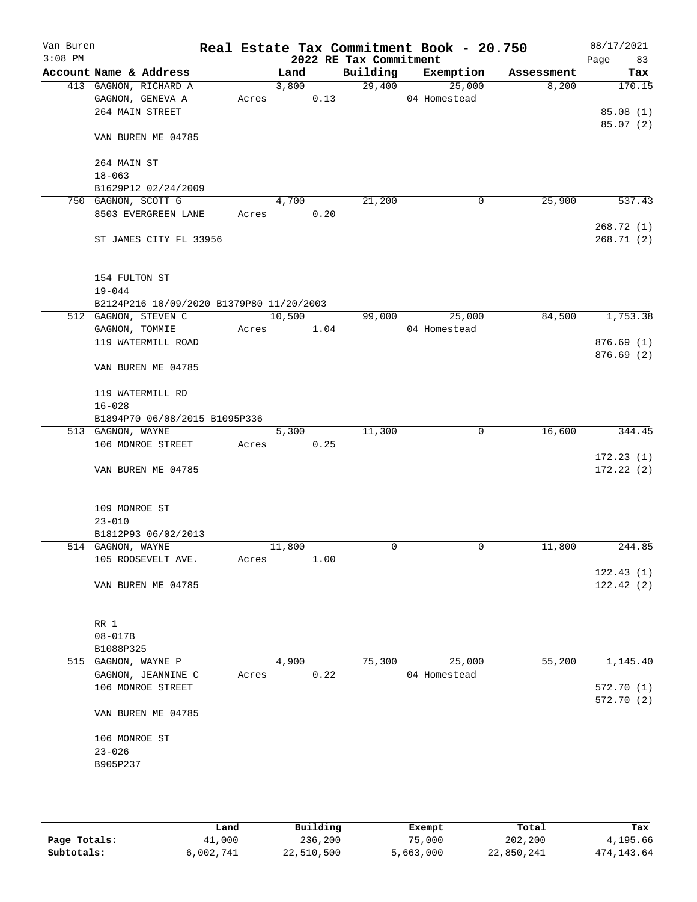| Van Buren<br>$3:08$ PM |                                          |       |        |      | 2022 RE Tax Commitment | Real Estate Tax Commitment Book - 20.750 |            | 08/17/2021<br>Page<br>83 |
|------------------------|------------------------------------------|-------|--------|------|------------------------|------------------------------------------|------------|--------------------------|
|                        | Account Name & Address                   |       | Land   |      | Building               | Exemption                                | Assessment | Tax                      |
|                        | 413 GAGNON, RICHARD A                    |       | 3,800  |      | 29,400                 | 25,000                                   | 8,200      | 170.15                   |
|                        | GAGNON, GENEVA A                         | Acres |        | 0.13 |                        | 04 Homestead                             |            |                          |
|                        | 264 MAIN STREET                          |       |        |      |                        |                                          |            | 85.08(1)                 |
|                        |                                          |       |        |      |                        |                                          |            | 85.07(2)                 |
|                        | VAN BUREN ME 04785                       |       |        |      |                        |                                          |            |                          |
|                        |                                          |       |        |      |                        |                                          |            |                          |
|                        | 264 MAIN ST                              |       |        |      |                        |                                          |            |                          |
|                        | $18 - 063$                               |       |        |      |                        |                                          |            |                          |
|                        | B1629P12 02/24/2009                      |       |        |      |                        |                                          |            |                          |
|                        | 750 GAGNON, SCOTT G                      |       | 4,700  |      | 21,200                 | 0                                        | 25,900     | 537.43                   |
|                        | 8503 EVERGREEN LANE                      | Acres |        | 0.20 |                        |                                          |            |                          |
|                        |                                          |       |        |      |                        |                                          |            | 268.72(1)                |
|                        | ST JAMES CITY FL 33956                   |       |        |      |                        |                                          |            | 268.71(2)                |
|                        |                                          |       |        |      |                        |                                          |            |                          |
|                        | 154 FULTON ST                            |       |        |      |                        |                                          |            |                          |
|                        | $19 - 044$                               |       |        |      |                        |                                          |            |                          |
|                        | B2124P216 10/09/2020 B1379P80 11/20/2003 |       |        |      |                        |                                          |            |                          |
|                        | 512 GAGNON, STEVEN C                     |       | 10,500 |      | 99,000                 | 25,000                                   | 84,500     | 1,753.38                 |
|                        | GAGNON, TOMMIE                           | Acres |        | 1.04 |                        | 04 Homestead                             |            |                          |
|                        | 119 WATERMILL ROAD                       |       |        |      |                        |                                          |            | 876.69(1)                |
|                        |                                          |       |        |      |                        |                                          |            | 876.69(2)                |
|                        | VAN BUREN ME 04785                       |       |        |      |                        |                                          |            |                          |
|                        |                                          |       |        |      |                        |                                          |            |                          |
|                        | 119 WATERMILL RD                         |       |        |      |                        |                                          |            |                          |
|                        | $16 - 028$                               |       |        |      |                        |                                          |            |                          |
|                        | B1894P70 06/08/2015 B1095P336            |       |        |      |                        |                                          |            |                          |
|                        | 513 GAGNON, WAYNE                        |       | 5,300  |      | 11,300                 | 0                                        | 16,600     | 344.45                   |
|                        | 106 MONROE STREET                        | Acres |        | 0.25 |                        |                                          |            |                          |
|                        |                                          |       |        |      |                        |                                          |            | 172.23(1)                |
|                        | VAN BUREN ME 04785                       |       |        |      |                        |                                          |            | 172.22(2)                |
|                        |                                          |       |        |      |                        |                                          |            |                          |
|                        | 109 MONROE ST                            |       |        |      |                        |                                          |            |                          |
|                        | $23 - 010$                               |       |        |      |                        |                                          |            |                          |
|                        | B1812P93 06/02/2013                      |       |        |      |                        |                                          |            |                          |
|                        | 514 GAGNON, WAYNE                        |       | 11,800 |      | 0                      | 0                                        | 11,800     | 244.85                   |
|                        | 105 ROOSEVELT AVE.                       | Acres |        | 1.00 |                        |                                          |            |                          |
|                        |                                          |       |        |      |                        |                                          |            | 122.43(1)                |
|                        | VAN BUREN ME 04785                       |       |        |      |                        |                                          |            | 122.42(2)                |
|                        |                                          |       |        |      |                        |                                          |            |                          |
|                        |                                          |       |        |      |                        |                                          |            |                          |
|                        | RR 1                                     |       |        |      |                        |                                          |            |                          |
|                        | $08 - 017B$                              |       |        |      |                        |                                          |            |                          |
|                        | B1088P325                                |       |        |      |                        |                                          |            |                          |
|                        | 515 GAGNON, WAYNE P                      |       | 4,900  |      | 75,300                 | 25,000                                   | 55,200     | 1,145.40                 |
|                        | GAGNON, JEANNINE C                       | Acres |        | 0.22 |                        | 04 Homestead                             |            |                          |
|                        | 106 MONROE STREET                        |       |        |      |                        |                                          |            | 572.70(1)                |
|                        | VAN BUREN ME 04785                       |       |        |      |                        |                                          |            | 572.70(2)                |
|                        |                                          |       |        |      |                        |                                          |            |                          |
|                        | 106 MONROE ST                            |       |        |      |                        |                                          |            |                          |
|                        | $23 - 026$                               |       |        |      |                        |                                          |            |                          |
|                        | B905P237                                 |       |        |      |                        |                                          |            |                          |
|                        |                                          |       |        |      |                        |                                          |            |                          |
|                        |                                          |       |        |      |                        |                                          |            |                          |
|                        |                                          |       |        |      |                        |                                          |            |                          |

|              | Land      | Building   | Exempt    | Total      | Tax         |
|--------------|-----------|------------|-----------|------------|-------------|
| Page Totals: | 41,000    | 236,200    | 75,000    | 202,200    | 4,195.66    |
| Subtotals:   | 6,002,741 | 22,510,500 | 5,663,000 | 22,850,241 | 474, 143.64 |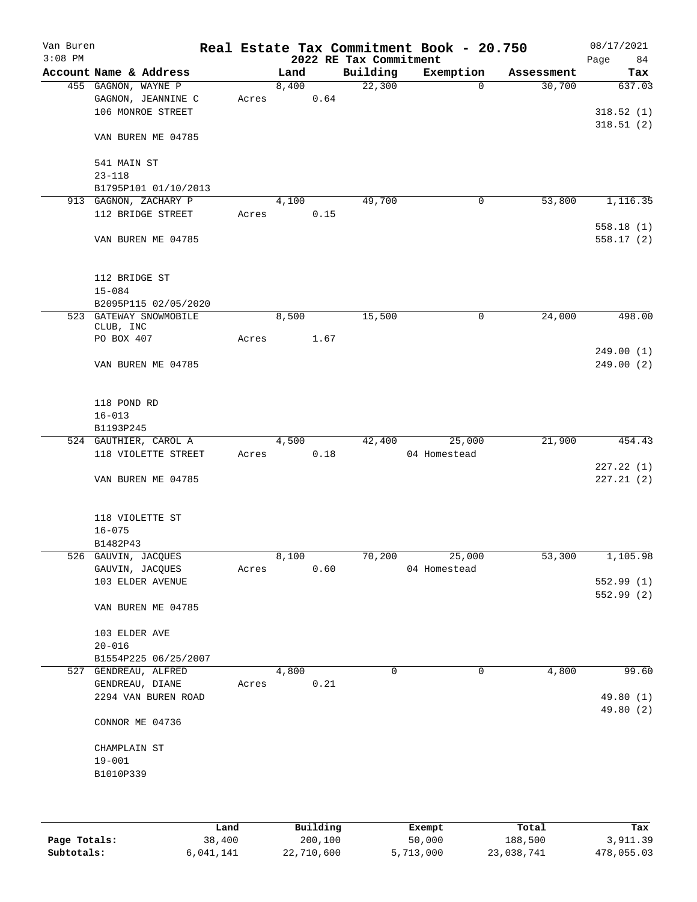| Van Buren<br>$3:08$ PM |                             |       |       |      | 2022 RE Tax Commitment | Real Estate Tax Commitment Book - 20.750 |            | 08/17/2021<br>Page<br>84 |
|------------------------|-----------------------------|-------|-------|------|------------------------|------------------------------------------|------------|--------------------------|
|                        | Account Name & Address      |       | Land  |      | Building               | Exemption                                | Assessment | Tax                      |
|                        | 455 GAGNON, WAYNE P         |       | 8,400 |      | 22,300                 | $\Omega$                                 | 30,700     | 637.03                   |
|                        | GAGNON, JEANNINE C          | Acres |       | 0.64 |                        |                                          |            |                          |
|                        | 106 MONROE STREET           |       |       |      |                        |                                          |            | 318.52(1)                |
|                        |                             |       |       |      |                        |                                          |            | 318.51(2)                |
|                        | VAN BUREN ME 04785          |       |       |      |                        |                                          |            |                          |
|                        | 541 MAIN ST                 |       |       |      |                        |                                          |            |                          |
|                        | $23 - 118$                  |       |       |      |                        |                                          |            |                          |
|                        | B1795P101 01/10/2013        |       |       |      |                        |                                          |            |                          |
|                        | 913 GAGNON, ZACHARY P       |       | 4,100 |      | 49,700                 | 0                                        | 53,800     | 1,116.35                 |
|                        | 112 BRIDGE STREET           | Acres |       | 0.15 |                        |                                          |            |                          |
|                        |                             |       |       |      |                        |                                          |            | 558.18(1)                |
|                        | VAN BUREN ME 04785          |       |       |      |                        |                                          |            | 558.17(2)                |
|                        | 112 BRIDGE ST               |       |       |      |                        |                                          |            |                          |
|                        | $15 - 084$                  |       |       |      |                        |                                          |            |                          |
|                        | B2095P115 02/05/2020        |       |       |      |                        |                                          |            |                          |
|                        | 523 GATEWAY SNOWMOBILE      |       | 8,500 |      | 15,500                 | 0                                        | 24,000     | 498.00                   |
|                        | CLUB, INC                   |       |       |      |                        |                                          |            |                          |
|                        | PO BOX 407                  | Acres |       | 1.67 |                        |                                          |            |                          |
|                        |                             |       |       |      |                        |                                          |            | 249.00(1)                |
|                        | VAN BUREN ME 04785          |       |       |      |                        |                                          |            | 249.00 (2)               |
|                        | 118 POND RD                 |       |       |      |                        |                                          |            |                          |
|                        | $16 - 013$                  |       |       |      |                        |                                          |            |                          |
|                        | B1193P245                   |       |       |      |                        |                                          |            |                          |
|                        | 524 GAUTHIER, CAROL A       |       | 4,500 |      | 42,400                 | 25,000                                   | 21,900     | 454.43                   |
|                        | 118 VIOLETTE STREET         | Acres |       | 0.18 |                        | 04 Homestead                             |            |                          |
|                        |                             |       |       |      |                        |                                          |            | 227.22(1)                |
|                        | VAN BUREN ME 04785          |       |       |      |                        |                                          |            | 227.21(2)                |
|                        |                             |       |       |      |                        |                                          |            |                          |
|                        | 118 VIOLETTE ST             |       |       |      |                        |                                          |            |                          |
|                        | $16 - 075$                  |       |       |      |                        |                                          |            |                          |
|                        | B1482P43                    |       |       |      |                        |                                          |            |                          |
|                        | 526 GAUVIN, JACQUES         |       | 8,100 |      | 70,200                 | 25,000                                   | 53,300     | 1,105.98                 |
|                        | GAUVIN, JACQUES             | Acres |       | 0.60 |                        | 04 Homestead                             |            |                          |
|                        | 103 ELDER AVENUE            |       |       |      |                        |                                          |            | 552.99(1)                |
|                        |                             |       |       |      |                        |                                          |            | 552.99 (2)               |
|                        | VAN BUREN ME 04785          |       |       |      |                        |                                          |            |                          |
|                        |                             |       |       |      |                        |                                          |            |                          |
|                        | 103 ELDER AVE<br>$20 - 016$ |       |       |      |                        |                                          |            |                          |
|                        | B1554P225 06/25/2007        |       |       |      |                        |                                          |            |                          |
|                        | 527 GENDREAU, ALFRED        |       | 4,800 |      | $\Omega$               | 0                                        | 4,800      | 99.60                    |
|                        | GENDREAU, DIANE             | Acres |       | 0.21 |                        |                                          |            |                          |
|                        | 2294 VAN BUREN ROAD         |       |       |      |                        |                                          |            | 49.80 (1)                |
|                        |                             |       |       |      |                        |                                          |            | 49.80 (2)                |
|                        | CONNOR ME 04736             |       |       |      |                        |                                          |            |                          |
|                        | CHAMPLAIN ST                |       |       |      |                        |                                          |            |                          |
|                        | $19 - 001$                  |       |       |      |                        |                                          |            |                          |
|                        | B1010P339                   |       |       |      |                        |                                          |            |                          |
|                        |                             |       |       |      |                        |                                          |            |                          |
|                        |                             |       |       |      |                        |                                          |            |                          |
|                        |                             |       |       |      |                        |                                          |            |                          |

|              | Land      | Building   | Exempt    | Total      | Tax        |
|--------------|-----------|------------|-----------|------------|------------|
| Page Totals: | 38,400    | 200,100    | 50,000    | 188,500    | 3,911.39   |
| Subtotals:   | 6,041,141 | 22,710,600 | 5,713,000 | 23,038,741 | 478,055.03 |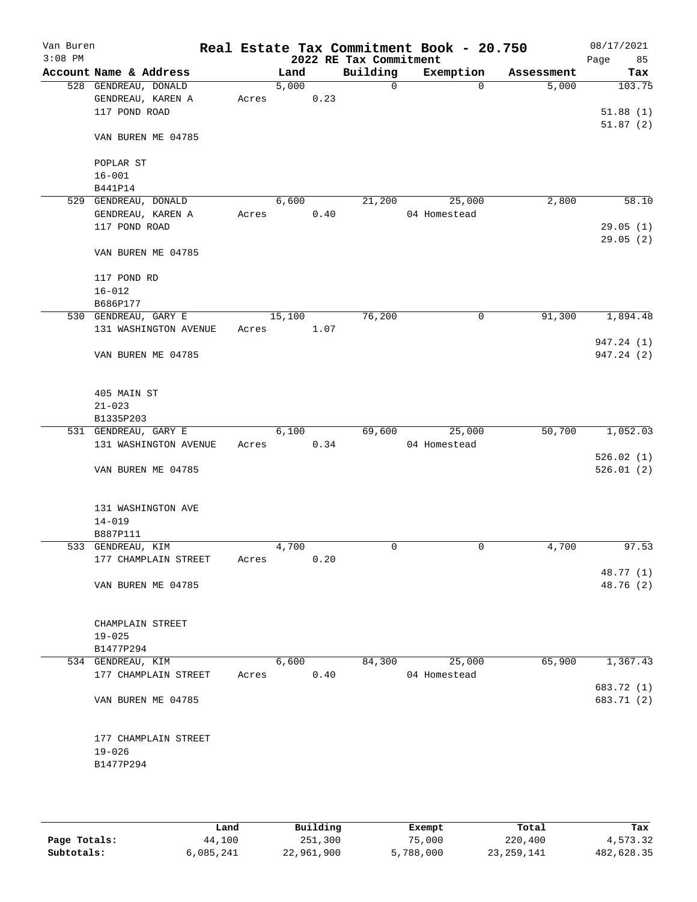| Van Buren<br>$3:08$ PM |                        |       |        |      | Real Estate Tax Commitment Book - 20.750<br>2022 RE Tax Commitment |              |            | 08/17/2021<br>Page<br>85 |
|------------------------|------------------------|-------|--------|------|--------------------------------------------------------------------|--------------|------------|--------------------------|
|                        | Account Name & Address |       | Land   |      | Building                                                           | Exemption    | Assessment | Tax                      |
|                        | 528 GENDREAU, DONALD   |       | 5,000  |      | $\Omega$                                                           | $\Omega$     | 5,000      | 103.75                   |
|                        | GENDREAU, KAREN A      | Acres |        | 0.23 |                                                                    |              |            |                          |
|                        | 117 POND ROAD          |       |        |      |                                                                    |              |            | 51.88(1)                 |
|                        |                        |       |        |      |                                                                    |              |            | 51.87(2)                 |
|                        | VAN BUREN ME 04785     |       |        |      |                                                                    |              |            |                          |
|                        |                        |       |        |      |                                                                    |              |            |                          |
|                        | POPLAR ST              |       |        |      |                                                                    |              |            |                          |
|                        | $16 - 001$             |       |        |      |                                                                    |              |            |                          |
|                        | B441P14                |       |        |      |                                                                    |              |            |                          |
|                        | 529 GENDREAU, DONALD   |       | 6,600  |      | 21,200                                                             | 25,000       | 2,800      | 58.10                    |
|                        | GENDREAU, KAREN A      | Acres |        | 0.40 |                                                                    | 04 Homestead |            |                          |
|                        | 117 POND ROAD          |       |        |      |                                                                    |              |            | 29.05(1)                 |
|                        |                        |       |        |      |                                                                    |              |            | 29.05(2)                 |
|                        | VAN BUREN ME 04785     |       |        |      |                                                                    |              |            |                          |
|                        |                        |       |        |      |                                                                    |              |            |                          |
|                        | 117 POND RD            |       |        |      |                                                                    |              |            |                          |
|                        | $16 - 012$             |       |        |      |                                                                    |              |            |                          |
|                        | B686P177               |       |        |      |                                                                    |              |            |                          |
|                        | 530 GENDREAU, GARY E   |       | 15,100 |      | 76,200                                                             | 0            | 91,300     | 1,894.48                 |
|                        | 131 WASHINGTON AVENUE  | Acres |        | 1.07 |                                                                    |              |            |                          |
|                        |                        |       |        |      |                                                                    |              |            | 947.24 (1)               |
|                        | VAN BUREN ME 04785     |       |        |      |                                                                    |              |            | 947.24 (2)               |
|                        |                        |       |        |      |                                                                    |              |            |                          |
|                        |                        |       |        |      |                                                                    |              |            |                          |
|                        | 405 MAIN ST            |       |        |      |                                                                    |              |            |                          |
|                        | $21 - 023$             |       |        |      |                                                                    |              |            |                          |
|                        | B1335P203              |       |        |      |                                                                    |              |            |                          |
|                        | 531 GENDREAU, GARY E   |       | 6,100  |      | 69,600                                                             | 25,000       | 50,700     | 1,052.03                 |
|                        | 131 WASHINGTON AVENUE  | Acres |        | 0.34 |                                                                    | 04 Homestead |            |                          |
|                        | VAN BUREN ME 04785     |       |        |      |                                                                    |              |            | 526.02(1)<br>526.01(2)   |
|                        |                        |       |        |      |                                                                    |              |            |                          |
|                        |                        |       |        |      |                                                                    |              |            |                          |
|                        | 131 WASHINGTON AVE     |       |        |      |                                                                    |              |            |                          |
|                        | $14 - 019$             |       |        |      |                                                                    |              |            |                          |
|                        | B887P111               |       |        |      |                                                                    |              |            |                          |
|                        | 533 GENDREAU, KIM      |       | 4,700  |      | 0                                                                  | 0            | 4,700      | 97.53                    |
|                        | 177 CHAMPLAIN STREET   | Acres |        | 0.20 |                                                                    |              |            |                          |
|                        |                        |       |        |      |                                                                    |              |            | 48.77 (1)                |
|                        | VAN BUREN ME 04785     |       |        |      |                                                                    |              |            | 48.76 (2)                |
|                        |                        |       |        |      |                                                                    |              |            |                          |
|                        |                        |       |        |      |                                                                    |              |            |                          |
|                        | CHAMPLAIN STREET       |       |        |      |                                                                    |              |            |                          |
|                        | $19 - 025$             |       |        |      |                                                                    |              |            |                          |
|                        | B1477P294              |       |        |      |                                                                    |              |            |                          |
|                        | 534 GENDREAU, KIM      |       | 6,600  |      | 84,300                                                             | 25,000       | 65,900     | 1,367.43                 |
|                        | 177 CHAMPLAIN STREET   | Acres |        | 0.40 |                                                                    | 04 Homestead |            |                          |
|                        |                        |       |        |      |                                                                    |              |            | 683.72 (1)               |
|                        | VAN BUREN ME 04785     |       |        |      |                                                                    |              |            | 683.71 (2)               |
|                        |                        |       |        |      |                                                                    |              |            |                          |
|                        |                        |       |        |      |                                                                    |              |            |                          |
|                        | 177 CHAMPLAIN STREET   |       |        |      |                                                                    |              |            |                          |
|                        | $19 - 026$             |       |        |      |                                                                    |              |            |                          |
|                        | B1477P294              |       |        |      |                                                                    |              |            |                          |
|                        |                        |       |        |      |                                                                    |              |            |                          |
|                        |                        |       |        |      |                                                                    |              |            |                          |

|              | Land      | Building   | Exempt    | Total        | Tax        |
|--------------|-----------|------------|-----------|--------------|------------|
| Page Totals: | 44,100    | 251,300    | 75,000    | 220,400      | 4,573.32   |
| Subtotals:   | 6,085,241 | 22,961,900 | 5,788,000 | 23, 259, 141 | 482,628.35 |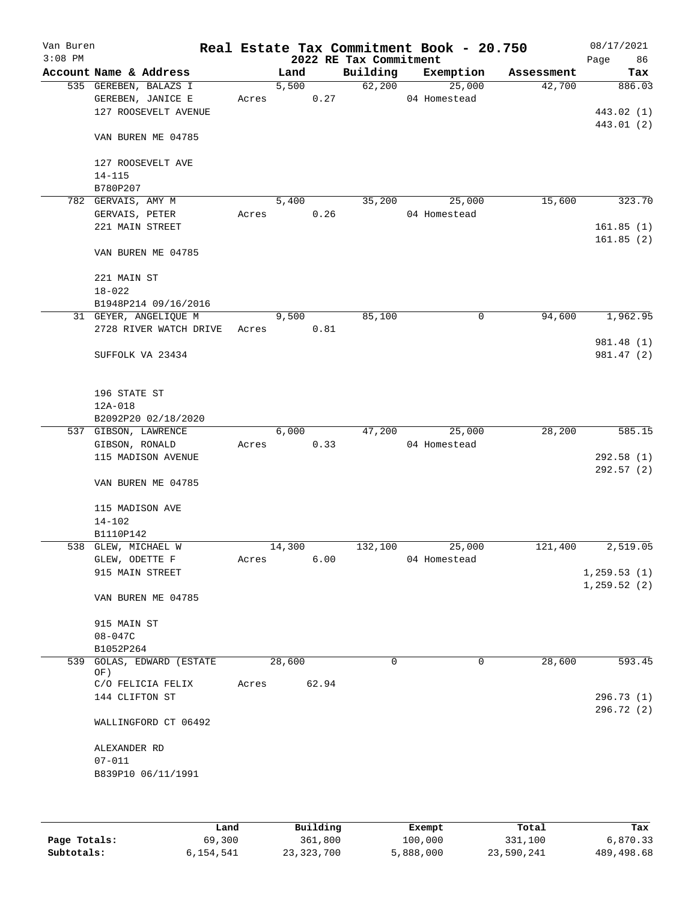| Van Buren<br>$3:08$ PM |                                      |       |                           |      | 2022 RE Tax Commitment |                                               | Real Estate Tax Commitment Book - 20.750 |            | 08/17/2021<br>Page<br>86 |
|------------------------|--------------------------------------|-------|---------------------------|------|------------------------|-----------------------------------------------|------------------------------------------|------------|--------------------------|
|                        | Account Name & Address               |       | Land                      |      | Building               |                                               | Exemption                                | Assessment | Tax                      |
|                        | 535 GEREBEN, BALAZS I                |       | 5,500                     |      | 62,200                 |                                               | 25,000                                   | 42,700     | 886.03                   |
|                        | GEREBEN, JANICE E                    | Acres |                           | 0.27 |                        |                                               | 04 Homestead                             |            |                          |
|                        | 127 ROOSEVELT AVENUE                 |       |                           |      |                        |                                               |                                          |            | 443.02 (1)               |
|                        |                                      |       |                           |      |                        |                                               |                                          |            | 443.01 (2)               |
|                        | VAN BUREN ME 04785                   |       |                           |      |                        |                                               |                                          |            |                          |
|                        |                                      |       |                           |      |                        |                                               |                                          |            |                          |
|                        | 127 ROOSEVELT AVE                    |       |                           |      |                        |                                               |                                          |            |                          |
|                        | $14 - 115$                           |       |                           |      |                        |                                               |                                          |            |                          |
|                        | B780P207                             |       |                           |      | 35,200                 |                                               |                                          | 15,600     | 323.70                   |
|                        | 782 GERVAIS, AMY M<br>GERVAIS, PETER | Acres | 5,400                     | 0.26 |                        |                                               | 25,000<br>04 Homestead                   |            |                          |
|                        | 221 MAIN STREET                      |       |                           |      |                        |                                               |                                          |            | 161.85(1)                |
|                        |                                      |       |                           |      |                        |                                               |                                          |            | 161.85(2)                |
|                        | VAN BUREN ME 04785                   |       |                           |      |                        |                                               |                                          |            |                          |
|                        |                                      |       |                           |      |                        |                                               |                                          |            |                          |
|                        | 221 MAIN ST                          |       |                           |      |                        |                                               |                                          |            |                          |
|                        | $18 - 022$                           |       |                           |      |                        |                                               |                                          |            |                          |
|                        | B1948P214 09/16/2016                 |       |                           |      |                        |                                               |                                          |            |                          |
|                        | 31 GEYER, ANGELIQUE M                |       | 9,500                     |      | 85,100                 |                                               | 0                                        | 94,600     | 1,962.95                 |
|                        | 2728 RIVER WATCH DRIVE               | Acres |                           | 0.81 |                        |                                               |                                          |            |                          |
|                        |                                      |       |                           |      |                        |                                               |                                          |            | 981.48 (1)               |
|                        | SUFFOLK VA 23434                     |       |                           |      |                        |                                               |                                          |            | 981.47 (2)               |
|                        |                                      |       |                           |      |                        |                                               |                                          |            |                          |
|                        |                                      |       |                           |      |                        |                                               |                                          |            |                          |
|                        | 196 STATE ST                         |       |                           |      |                        |                                               |                                          |            |                          |
|                        | 12A-018                              |       |                           |      |                        |                                               |                                          |            |                          |
|                        | B2092P20 02/18/2020                  |       |                           |      |                        |                                               |                                          |            |                          |
|                        | 537 GIBSON, LAWRENCE                 |       | 6,000                     |      | 47,200                 |                                               | 25,000                                   | 28,200     | 585.15                   |
|                        | GIBSON, RONALD                       | Acres |                           | 0.33 |                        |                                               | 04 Homestead                             |            |                          |
|                        | 115 MADISON AVENUE                   |       |                           |      |                        |                                               |                                          |            | 292.58(1)                |
|                        | VAN BUREN ME 04785                   |       |                           |      |                        |                                               |                                          |            | 292.57 (2)               |
|                        |                                      |       |                           |      |                        |                                               |                                          |            |                          |
|                        | 115 MADISON AVE                      |       |                           |      |                        |                                               |                                          |            |                          |
|                        | $14 - 102$                           |       |                           |      |                        |                                               |                                          |            |                          |
|                        | B1110P142                            |       |                           |      |                        |                                               |                                          |            |                          |
|                        | 538 GLEW, MICHAEL W                  |       | 14,300                    |      | 132,100                |                                               | 25,000                                   | 121,400    | 2,519.05                 |
|                        | GLEW, ODETTE F                       | Acres |                           | 6.00 |                        |                                               | 04 Homestead                             |            |                          |
|                        | 915 MAIN STREET                      |       |                           |      |                        |                                               |                                          |            | 1, 259.53(1)             |
|                        |                                      |       |                           |      |                        |                                               |                                          |            | 1, 259.52(2)             |
|                        | VAN BUREN ME 04785                   |       |                           |      |                        |                                               |                                          |            |                          |
|                        |                                      |       |                           |      |                        |                                               |                                          |            |                          |
|                        | 915 MAIN ST                          |       |                           |      |                        |                                               |                                          |            |                          |
|                        | $08 - 047C$                          |       |                           |      |                        |                                               |                                          |            |                          |
|                        | B1052P264                            |       |                           |      |                        |                                               |                                          |            |                          |
|                        | 539 GOLAS, EDWARD (ESTATE            |       | 28,600                    |      | 0                      |                                               | 0                                        | 28,600     | 593.45                   |
|                        | OF)<br>C/O FELICIA FELIX             | Acres | 62.94                     |      |                        |                                               |                                          |            |                          |
|                        | 144 CLIFTON ST                       |       |                           |      |                        |                                               |                                          |            | 296.73 (1)               |
|                        |                                      |       |                           |      |                        |                                               |                                          |            | 296.72 (2)               |
|                        | WALLINGFORD CT 06492                 |       |                           |      |                        |                                               |                                          |            |                          |
|                        |                                      |       |                           |      |                        |                                               |                                          |            |                          |
|                        | ALEXANDER RD                         |       |                           |      |                        |                                               |                                          |            |                          |
|                        | $07 - 011$                           |       |                           |      |                        |                                               |                                          |            |                          |
|                        | B839P10 06/11/1991                   |       |                           |      |                        |                                               |                                          |            |                          |
|                        |                                      |       |                           |      |                        |                                               |                                          |            |                          |
|                        |                                      |       |                           |      |                        |                                               |                                          |            |                          |
|                        |                                      |       |                           |      |                        |                                               |                                          |            |                          |
|                        | المصدر                               |       | $D_{11}$ in $A$ in $\sim$ |      |                        | $P$ <sub>r</sub> $\sim$ m $\sim$ <sup>+</sup> |                                          | $T - 1$    |                          |

|              | Land      | Building   | Exempt    | Total      | Tax        |
|--------------|-----------|------------|-----------|------------|------------|
| Page Totals: | 69,300    | 361,800    | 100,000   | 331,100    | 6,870.33   |
| Subtotals:   | 6,154,541 | 23,323,700 | 5,888,000 | 23,590,241 | 489,498.68 |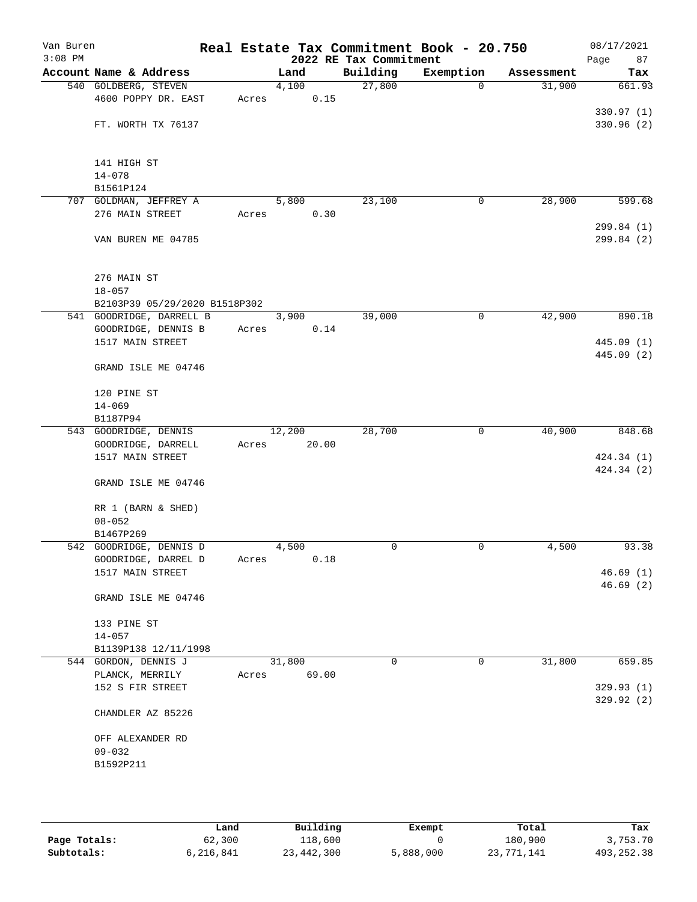| Van Buren<br>$3:08$ PM |                                      |       |        | 2022 RE Tax Commitment | Real Estate Tax Commitment Book - 20.750 |            | 08/17/2021<br>Page<br>87 |
|------------------------|--------------------------------------|-------|--------|------------------------|------------------------------------------|------------|--------------------------|
|                        | Account Name & Address               |       | Land   | Building               | Exemption                                | Assessment | Tax                      |
|                        | 540 GOLDBERG, STEVEN                 |       | 4,100  | 27,800                 | 0                                        | 31,900     | 661.93                   |
|                        | 4600 POPPY DR. EAST                  | Acres | 0.15   |                        |                                          |            |                          |
|                        |                                      |       |        |                        |                                          |            | 330.97 (1)               |
|                        | FT. WORTH TX 76137                   |       |        |                        |                                          |            | 330.96 (2)               |
|                        |                                      |       |        |                        |                                          |            |                          |
|                        |                                      |       |        |                        |                                          |            |                          |
|                        | 141 HIGH ST<br>$14 - 078$            |       |        |                        |                                          |            |                          |
|                        | B1561P124                            |       |        |                        |                                          |            |                          |
|                        | 707 GOLDMAN, JEFFREY A               |       | 5,800  | 23,100                 | 0                                        | 28,900     | 599.68                   |
|                        | 276 MAIN STREET                      | Acres | 0.30   |                        |                                          |            |                          |
|                        |                                      |       |        |                        |                                          |            | 299.84 (1)               |
|                        | VAN BUREN ME 04785                   |       |        |                        |                                          |            | 299.84 (2)               |
|                        |                                      |       |        |                        |                                          |            |                          |
|                        |                                      |       |        |                        |                                          |            |                          |
|                        | 276 MAIN ST                          |       |        |                        |                                          |            |                          |
|                        | $18 - 057$                           |       |        |                        |                                          |            |                          |
|                        | B2103P39 05/29/2020 B1518P302        |       |        |                        |                                          |            |                          |
|                        | 541 GOODRIDGE, DARRELL B             |       | 3,900  | 39,000                 | 0                                        | 42,900     | 890.18                   |
|                        | GOODRIDGE, DENNIS B                  | Acres | 0.14   |                        |                                          |            |                          |
|                        | 1517 MAIN STREET                     |       |        |                        |                                          |            | 445.09 (1)               |
|                        | GRAND ISLE ME 04746                  |       |        |                        |                                          |            | 445.09 (2)               |
|                        |                                      |       |        |                        |                                          |            |                          |
|                        | 120 PINE ST                          |       |        |                        |                                          |            |                          |
|                        | $14 - 069$                           |       |        |                        |                                          |            |                          |
|                        | B1187P94                             |       |        |                        |                                          |            |                          |
|                        | 543 GOODRIDGE, DENNIS                |       | 12,200 | 28,700                 | 0                                        | 40,900     | 848.68                   |
|                        | GOODRIDGE, DARRELL                   | Acres | 20.00  |                        |                                          |            |                          |
|                        | 1517 MAIN STREET                     |       |        |                        |                                          |            | 424.34 (1)               |
|                        |                                      |       |        |                        |                                          |            | 424.34 (2)               |
|                        | GRAND ISLE ME 04746                  |       |        |                        |                                          |            |                          |
|                        |                                      |       |        |                        |                                          |            |                          |
|                        | RR 1 (BARN & SHED)                   |       |        |                        |                                          |            |                          |
|                        | $08 - 052$                           |       |        |                        |                                          |            |                          |
|                        | B1467P269<br>542 GOODRIDGE, DENNIS D |       | 4,500  | $\mathbf 0$            | 0                                        | 4,500      | 93.38                    |
|                        | GOODRIDGE, DARREL D                  | Acres | 0.18   |                        |                                          |            |                          |
|                        | 1517 MAIN STREET                     |       |        |                        |                                          |            | 46.69(1)                 |
|                        |                                      |       |        |                        |                                          |            | 46.69(2)                 |
|                        | GRAND ISLE ME 04746                  |       |        |                        |                                          |            |                          |
|                        |                                      |       |        |                        |                                          |            |                          |
|                        | 133 PINE ST                          |       |        |                        |                                          |            |                          |
|                        | $14 - 057$                           |       |        |                        |                                          |            |                          |
|                        | B1139P138 12/11/1998                 |       |        |                        |                                          |            |                          |
|                        | 544 GORDON, DENNIS J                 |       | 31,800 | 0                      | 0                                        | 31,800     | 659.85                   |
|                        | PLANCK, MERRILY                      | Acres | 69.00  |                        |                                          |            |                          |
|                        | 152 S FIR STREET                     |       |        |                        |                                          |            | 329.93(1)                |
|                        | CHANDLER AZ 85226                    |       |        |                        |                                          |            | 329.92 (2)               |
|                        |                                      |       |        |                        |                                          |            |                          |
|                        | OFF ALEXANDER RD                     |       |        |                        |                                          |            |                          |
|                        | $09 - 032$                           |       |        |                        |                                          |            |                          |
|                        | B1592P211                            |       |        |                        |                                          |            |                          |
|                        |                                      |       |        |                        |                                          |            |                          |
|                        |                                      |       |        |                        |                                          |            |                          |
|                        |                                      |       |        |                        |                                          |            |                          |

|              | Land      | Building   | Exempt    | Total      | Tax        |
|--------------|-----------|------------|-----------|------------|------------|
| Page Totals: | 62,300    | 118,600    |           | 180,900    | 3,753.70   |
| Subtotals:   | 6,216,841 | 23,442,300 | 5,888,000 | 23,771,141 | 493,252.38 |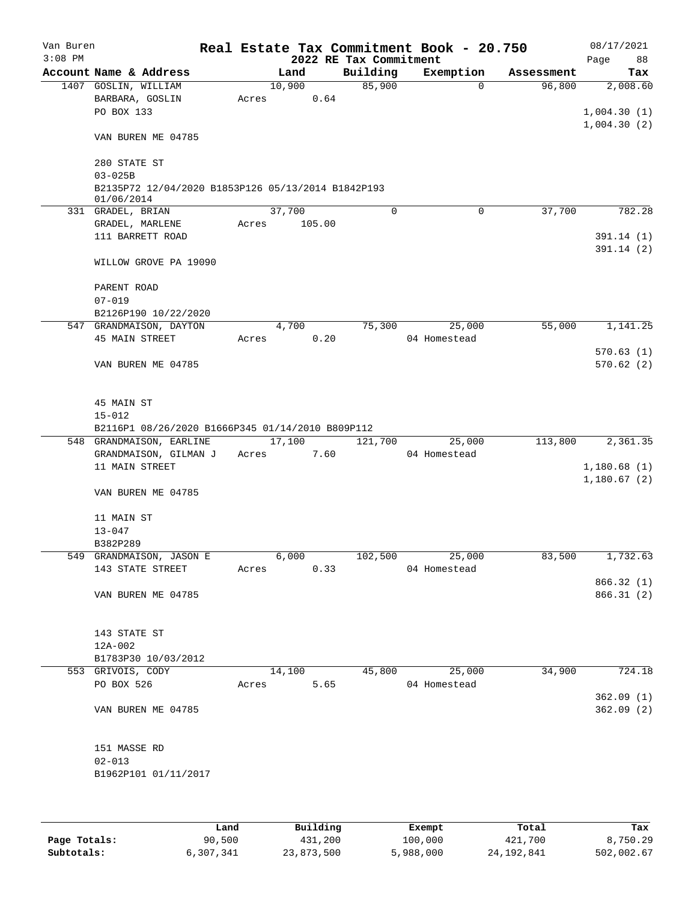| Van Buren |                                                                  |       |                |                        | Real Estate Tax Commitment Book - 20.750 |            | 08/17/2021              |
|-----------|------------------------------------------------------------------|-------|----------------|------------------------|------------------------------------------|------------|-------------------------|
| $3:08$ PM |                                                                  |       |                | 2022 RE Tax Commitment |                                          |            | Page<br>88              |
|           | Account Name & Address                                           |       | Land           | Building               | Exemption                                | Assessment | Tax                     |
|           | 1407 GOSLIN, WILLIAM<br>BARBARA, GOSLIN<br>PO BOX 133            | Acres | 10,900<br>0.64 | 85,900                 | 0                                        | 96,800     | 2,008.60<br>1,004.30(1) |
|           | VAN BUREN ME 04785                                               |       |                |                        |                                          |            | 1,004.30(2)             |
|           | 280 STATE ST<br>$03 - 025B$                                      |       |                |                        |                                          |            |                         |
|           | B2135P72 12/04/2020 B1853P126 05/13/2014 B1842P193<br>01/06/2014 |       |                |                        |                                          |            |                         |
|           | 331 GRADEL, BRIAN                                                |       | 37,700         | 0                      | 0                                        | 37,700     | 782.28                  |
|           | GRADEL, MARLENE                                                  | Acres | 105.00         |                        |                                          |            |                         |
|           | 111 BARRETT ROAD                                                 |       |                |                        |                                          |            | 391.14(1)<br>391.14(2)  |
|           | WILLOW GROVE PA 19090                                            |       |                |                        |                                          |            |                         |
|           | PARENT ROAD<br>$07 - 019$                                        |       |                |                        |                                          |            |                         |
|           | B2126P190 10/22/2020                                             |       |                |                        |                                          |            |                         |
|           | 547 GRANDMAISON, DAYTON<br>45 MAIN STREET                        | Acres | 4,700<br>0.20  | 75,300                 | 25,000<br>04 Homestead                   | 55,000     | 1,141.25                |
|           |                                                                  |       |                |                        |                                          |            | 570.63(1)               |
|           | VAN BUREN ME 04785                                               |       |                |                        |                                          |            | 570.62(2)               |
|           | 45 MAIN ST<br>$15 - 012$                                         |       |                |                        |                                          |            |                         |
|           | B2116P1 08/26/2020 B1666P345 01/14/2010 B809P112                 |       |                |                        |                                          |            |                         |
|           | 548 GRANDMAISON, EARLINE                                         |       | 17,100         | 121,700                | 25,000                                   | 113,800    | 2,361.35                |
|           | GRANDMAISON, GILMAN J                                            | Acres | 7.60           |                        | 04 Homestead                             |            |                         |
|           | 11 MAIN STREET                                                   |       |                |                        |                                          |            | 1,180.68(1)             |
|           |                                                                  |       |                |                        |                                          |            | 1,180.67(2)             |
|           | VAN BUREN ME 04785                                               |       |                |                        |                                          |            |                         |
|           | 11 MAIN ST                                                       |       |                |                        |                                          |            |                         |
|           | $13 - 047$                                                       |       |                |                        |                                          |            |                         |
|           | B382P289                                                         |       |                |                        |                                          |            |                         |
|           | 549 GRANDMAISON, JASON E                                         |       | 6,000          | 102,500                | 25,000                                   | 83,500     | 1,732.63                |
|           | 143 STATE STREET                                                 | Acres | 0.33           |                        | 04 Homestead                             |            |                         |
|           |                                                                  |       |                |                        |                                          |            | 866.32 (1)              |
|           | VAN BUREN ME 04785                                               |       |                |                        |                                          |            | 866.31(2)               |
|           | 143 STATE ST                                                     |       |                |                        |                                          |            |                         |
|           | 12A-002                                                          |       |                |                        |                                          |            |                         |
|           | B1783P30 10/03/2012                                              |       |                |                        |                                          |            |                         |
|           | 553 GRIVOIS, CODY                                                |       | 14,100         | 45,800                 | 25,000                                   | 34,900     | 724.18                  |
|           | PO BOX 526                                                       | Acres | 5.65           |                        | 04 Homestead                             |            |                         |
|           |                                                                  |       |                |                        |                                          |            | 362.09(1)               |
|           | VAN BUREN ME 04785                                               |       |                |                        |                                          |            | 362.09(2)               |
|           | 151 MASSE RD                                                     |       |                |                        |                                          |            |                         |
|           | $02 - 013$                                                       |       |                |                        |                                          |            |                         |
|           | B1962P101 01/11/2017                                             |       |                |                        |                                          |            |                         |
|           |                                                                  |       |                |                        |                                          |            |                         |

|              | Land      | Building   | Exempt    | Total        | Tax        |
|--------------|-----------|------------|-----------|--------------|------------|
| Page Totals: | 90,500    | 431,200    | 100,000   | 421,700      | 8,750.29   |
| Subtotals:   | 6,307,341 | 23,873,500 | 5,988,000 | 24, 192, 841 | 502,002.67 |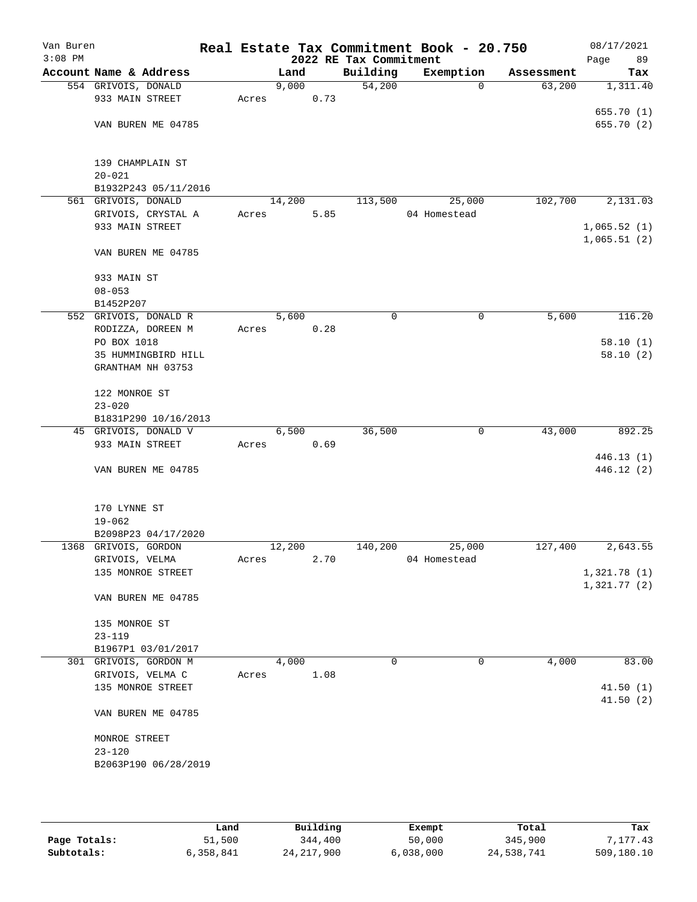| Van Buren<br>$3:08$ PM |                                  |       |        |      | 2022 RE Tax Commitment | Real Estate Tax Commitment Book - 20.750 |            | 08/17/2021<br>89<br>Page |
|------------------------|----------------------------------|-------|--------|------|------------------------|------------------------------------------|------------|--------------------------|
|                        | Account Name & Address           |       | Land   |      | Building               | Exemption                                | Assessment | Tax                      |
|                        | 554 GRIVOIS, DONALD              |       | 9,000  |      | 54,200                 | $\mathbf 0$                              | 63,200     | 1,311.40                 |
|                        | 933 MAIN STREET                  | Acres |        | 0.73 |                        |                                          |            |                          |
|                        |                                  |       |        |      |                        |                                          |            | 655.70 (1)               |
|                        | VAN BUREN ME 04785               |       |        |      |                        |                                          |            | 655.70 (2)               |
|                        |                                  |       |        |      |                        |                                          |            |                          |
|                        |                                  |       |        |      |                        |                                          |            |                          |
|                        | 139 CHAMPLAIN ST                 |       |        |      |                        |                                          |            |                          |
|                        | $20 - 021$                       |       |        |      |                        |                                          |            |                          |
|                        | B1932P243 05/11/2016             |       |        |      |                        |                                          |            |                          |
|                        | 561 GRIVOIS, DONALD              |       | 14,200 |      | 113,500                | 25,000                                   | 102,700    | 2,131.03                 |
|                        | GRIVOIS, CRYSTAL A               | Acres |        | 5.85 |                        | 04 Homestead                             |            |                          |
|                        | 933 MAIN STREET                  |       |        |      |                        |                                          |            | 1,065.52(1)              |
|                        |                                  |       |        |      |                        |                                          |            | 1,065.51(2)              |
|                        | VAN BUREN ME 04785               |       |        |      |                        |                                          |            |                          |
|                        | 933 MAIN ST                      |       |        |      |                        |                                          |            |                          |
|                        | $08 - 053$                       |       |        |      |                        |                                          |            |                          |
|                        | B1452P207                        |       |        |      |                        |                                          |            |                          |
|                        | 552 GRIVOIS, DONALD R            |       | 5,600  |      | 0                      | 0                                        | 5,600      | 116.20                   |
|                        | RODIZZA, DOREEN M                | Acres |        | 0.28 |                        |                                          |            |                          |
|                        | PO BOX 1018                      |       |        |      |                        |                                          |            | 58.10(1)                 |
|                        | 35 HUMMINGBIRD HILL              |       |        |      |                        |                                          |            | 58.10(2)                 |
|                        | GRANTHAM NH 03753                |       |        |      |                        |                                          |            |                          |
|                        |                                  |       |        |      |                        |                                          |            |                          |
|                        | 122 MONROE ST                    |       |        |      |                        |                                          |            |                          |
|                        | $23 - 020$                       |       |        |      |                        |                                          |            |                          |
|                        | B1831P290 10/16/2013             |       |        |      |                        |                                          |            |                          |
|                        | 45 GRIVOIS, DONALD V             |       | 6,500  |      | 36,500                 | 0                                        | 43,000     | 892.25                   |
|                        | 933 MAIN STREET                  | Acres |        | 0.69 |                        |                                          |            |                          |
|                        |                                  |       |        |      |                        |                                          |            | 446.13(1)<br>446.12(2)   |
|                        | VAN BUREN ME 04785               |       |        |      |                        |                                          |            |                          |
|                        |                                  |       |        |      |                        |                                          |            |                          |
|                        | 170 LYNNE ST                     |       |        |      |                        |                                          |            |                          |
|                        | $19 - 062$                       |       |        |      |                        |                                          |            |                          |
|                        | B2098P23 04/17/2020              |       |        |      |                        |                                          |            |                          |
|                        | 1368 GRIVOIS, GORDON             |       | 12,200 |      | 140,200                | 25,000                                   | 127,400    | 2,643.55                 |
|                        | GRIVOIS, VELMA                   | Acres |        | 2.70 |                        | 04 Homestead                             |            |                          |
|                        | 135 MONROE STREET                |       |        |      |                        |                                          |            | 1,321.78(1)              |
|                        |                                  |       |        |      |                        |                                          |            | 1,321.77(2)              |
|                        | VAN BUREN ME 04785               |       |        |      |                        |                                          |            |                          |
|                        |                                  |       |        |      |                        |                                          |            |                          |
|                        | 135 MONROE ST                    |       |        |      |                        |                                          |            |                          |
|                        | $23 - 119$<br>B1967P1 03/01/2017 |       |        |      |                        |                                          |            |                          |
|                        | 301 GRIVOIS, GORDON M            |       | 4,000  |      | 0                      | 0                                        | 4,000      | 83.00                    |
|                        | GRIVOIS, VELMA C                 | Acres |        | 1.08 |                        |                                          |            |                          |
|                        | 135 MONROE STREET                |       |        |      |                        |                                          |            | 41.50(1)                 |
|                        |                                  |       |        |      |                        |                                          |            | 41.50(2)                 |
|                        | VAN BUREN ME 04785               |       |        |      |                        |                                          |            |                          |
|                        | MONROE STREET                    |       |        |      |                        |                                          |            |                          |
|                        | $23 - 120$                       |       |        |      |                        |                                          |            |                          |
|                        | B2063P190 06/28/2019             |       |        |      |                        |                                          |            |                          |
|                        |                                  |       |        |      |                        |                                          |            |                          |
|                        |                                  |       |        |      |                        |                                          |            |                          |
|                        |                                  |       |        |      |                        |                                          |            |                          |

|              | Land      | Building     | Exempt    | Total      | Tax        |
|--------------|-----------|--------------|-----------|------------|------------|
| Page Totals: | 51,500    | 344,400      | 50,000    | 345,900    | 7,177.43   |
| Subtotals:   | 6,358,841 | 24, 217, 900 | 6,038,000 | 24,538,741 | 509,180.10 |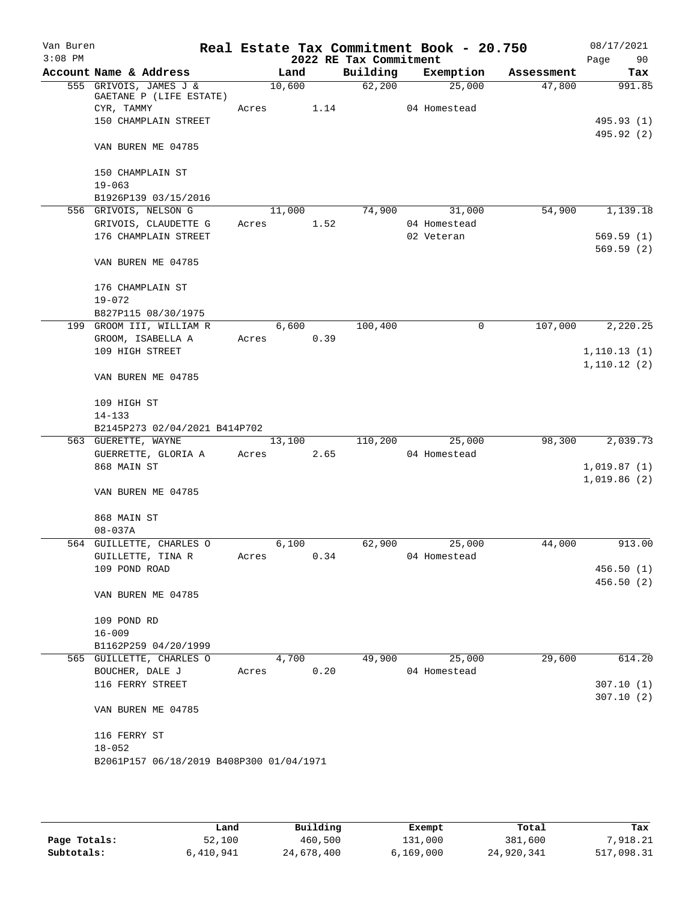| Van Buren<br>$3:08$ PM |                                                   |       |        |      | 2022 RE Tax Commitment | Real Estate Tax Commitment Book - 20.750 |            | 08/17/2021<br>90<br>Page |
|------------------------|---------------------------------------------------|-------|--------|------|------------------------|------------------------------------------|------------|--------------------------|
|                        | Account Name & Address                            |       | Land   |      | Building               | Exemption                                | Assessment | Tax                      |
|                        | 555 GRIVOIS, JAMES J &<br>GAETANE P (LIFE ESTATE) |       | 10,600 |      | 62,200                 | 25,000                                   | 47,800     | 991.85                   |
|                        | CYR, TAMMY                                        | Acres |        | 1.14 |                        | 04 Homestead                             |            |                          |
|                        | 150 CHAMPLAIN STREET                              |       |        |      |                        |                                          |            | 495.93 (1)               |
|                        | VAN BUREN ME 04785                                |       |        |      |                        |                                          |            | 495.92 (2)               |
|                        |                                                   |       |        |      |                        |                                          |            |                          |
|                        | 150 CHAMPLAIN ST                                  |       |        |      |                        |                                          |            |                          |
|                        | $19 - 063$                                        |       |        |      |                        |                                          |            |                          |
|                        | B1926P139 03/15/2016                              |       |        |      |                        |                                          |            |                          |
|                        | 556 GRIVOIS, NELSON G                             |       | 11,000 |      | 74,900                 | 31,000                                   | 54,900     | 1,139.18                 |
|                        | GRIVOIS, CLAUDETTE G                              | Acres |        | 1.52 |                        | 04 Homestead                             |            |                          |
|                        | 176 CHAMPLAIN STREET                              |       |        |      |                        | 02 Veteran                               |            | 569.59(1)<br>569.59(2)   |
|                        | VAN BUREN ME 04785                                |       |        |      |                        |                                          |            |                          |
|                        | 176 CHAMPLAIN ST                                  |       |        |      |                        |                                          |            |                          |
|                        | $19 - 072$                                        |       |        |      |                        |                                          |            |                          |
|                        | B827P115 08/30/1975                               |       |        |      |                        |                                          |            |                          |
|                        | 199 GROOM III, WILLIAM R                          |       | 6,600  |      | 100,400                | 0                                        | 107,000    | 2,220.25                 |
|                        | GROOM, ISABELLA A                                 | Acres |        | 0.39 |                        |                                          |            |                          |
|                        | 109 HIGH STREET                                   |       |        |      |                        |                                          |            | 1, 110.13(1)             |
|                        |                                                   |       |        |      |                        |                                          |            | 1,110.12(2)              |
|                        | VAN BUREN ME 04785                                |       |        |      |                        |                                          |            |                          |
|                        | 109 HIGH ST                                       |       |        |      |                        |                                          |            |                          |
|                        | $14 - 133$                                        |       |        |      |                        |                                          |            |                          |
|                        | B2145P273 02/04/2021 B414P702                     |       |        |      |                        |                                          |            |                          |
|                        | 563 GUERETTE, WAYNE                               |       | 13,100 |      | 110,200                | 25,000                                   | 98,300     | 2,039.73                 |
|                        | GUERRETTE, GLORIA A                               | Acres |        | 2.65 |                        | 04 Homestead                             |            |                          |
|                        | 868 MAIN ST                                       |       |        |      |                        |                                          |            | 1,019.87(1)              |
|                        |                                                   |       |        |      |                        |                                          |            | 1,019.86(2)              |
|                        | VAN BUREN ME 04785                                |       |        |      |                        |                                          |            |                          |
|                        | 868 MAIN ST                                       |       |        |      |                        |                                          |            |                          |
|                        | $08 - 037A$                                       |       |        |      |                        |                                          |            |                          |
|                        | 564 GUILLETTE, CHARLES O                          |       | 6,100  |      | 62,900                 | 25,000                                   | 44,000     | 913.00                   |
|                        | GUILLETTE, TINA R                                 | Acres |        | 0.34 |                        | 04 Homestead                             |            |                          |
|                        | 109 POND ROAD                                     |       |        |      |                        |                                          |            | 456.50(1)                |
|                        |                                                   |       |        |      |                        |                                          |            | 456.50 (2)               |
|                        | VAN BUREN ME 04785                                |       |        |      |                        |                                          |            |                          |
|                        | 109 POND RD                                       |       |        |      |                        |                                          |            |                          |
|                        | $16 - 009$                                        |       |        |      |                        |                                          |            |                          |
|                        | B1162P259 04/20/1999                              |       |        |      |                        |                                          |            |                          |
|                        | 565 GUILLETTE, CHARLES O                          |       | 4,700  |      | 49,900                 | 25,000                                   | 29,600     | 614.20                   |
|                        | BOUCHER, DALE J                                   | Acres |        | 0.20 |                        | 04 Homestead                             |            |                          |
|                        | 116 FERRY STREET                                  |       |        |      |                        |                                          |            | 307.10 (1)               |
|                        |                                                   |       |        |      |                        |                                          |            | 307.10(2)                |
|                        | VAN BUREN ME 04785                                |       |        |      |                        |                                          |            |                          |
|                        | 116 FERRY ST                                      |       |        |      |                        |                                          |            |                          |
|                        | $18 - 052$                                        |       |        |      |                        |                                          |            |                          |
|                        | B2061P157 06/18/2019 B408P300 01/04/1971          |       |        |      |                        |                                          |            |                          |
|                        |                                                   |       |        |      |                        |                                          |            |                          |
|                        |                                                   |       |        |      |                        |                                          |            |                          |

|              | Land      | Building   | Exempt    | Total      | Tax        |
|--------------|-----------|------------|-----------|------------|------------|
| Page Totals: | 52,100    | 460,500    | 131,000   | 381,600    | 7,918.21   |
| Subtotals:   | 6,410,941 | 24,678,400 | 6,169,000 | 24,920,341 | 517,098.31 |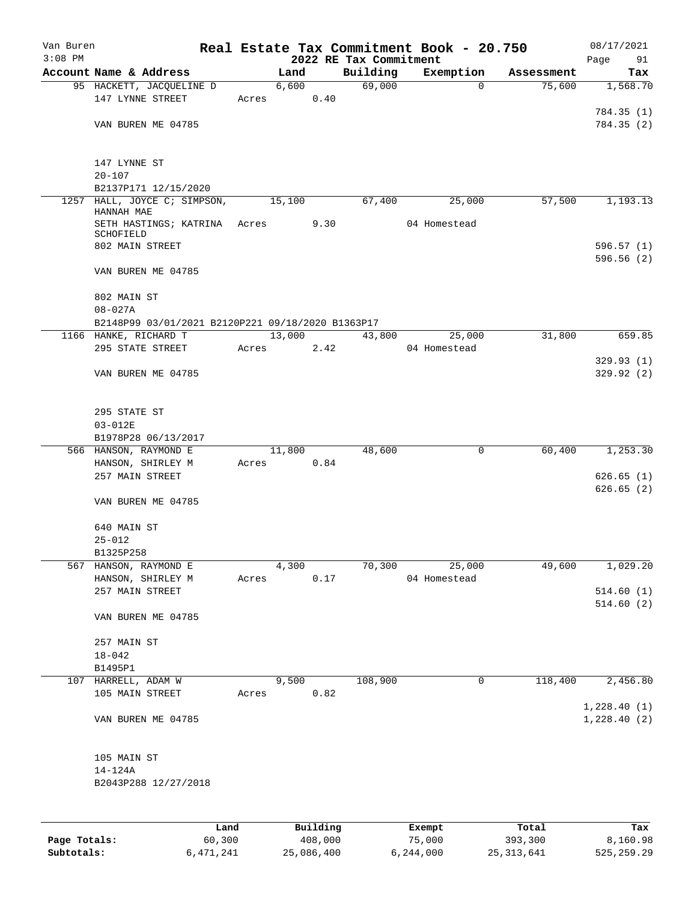| Van Buren    |                                                   |       |        |          |                        | Real Estate Tax Commitment Book - 20.750 |            | 08/17/2021                 |
|--------------|---------------------------------------------------|-------|--------|----------|------------------------|------------------------------------------|------------|----------------------------|
| $3:08$ PM    |                                                   |       |        |          | 2022 RE Tax Commitment |                                          |            | Page<br>91                 |
|              | Account Name & Address                            |       | Land   |          | Building               | Exemption                                | Assessment | Tax                        |
|              | 95 HACKETT, JACQUELINE D<br>147 LYNNE STREET      |       | 6,600  |          | 69,000                 | $\Omega$                                 | 75,600     | 1,568.70                   |
|              |                                                   | Acres |        | 0.40     |                        |                                          |            | 784.35 (1)                 |
|              | VAN BUREN ME 04785                                |       |        |          |                        |                                          |            | 784.35(2)                  |
|              |                                                   |       |        |          |                        |                                          |            |                            |
|              | 147 LYNNE ST                                      |       |        |          |                        |                                          |            |                            |
|              | $20 - 107$                                        |       |        |          |                        |                                          |            |                            |
|              | B2137P171 12/15/2020                              |       |        |          |                        |                                          |            |                            |
|              | 1257 HALL, JOYCE C; SIMPSON,                      |       | 15,100 |          | 67,400                 | 25,000                                   | 57,500     | 1,193.13                   |
|              | HANNAH MAE                                        |       |        |          |                        |                                          |            |                            |
|              | SETH HASTINGS; KATRINA<br>SCHOFIELD               | Acres |        | 9.30     |                        | 04 Homestead                             |            |                            |
|              | 802 MAIN STREET                                   |       |        |          |                        |                                          |            | 596.57(1)                  |
|              | VAN BUREN ME 04785                                |       |        |          |                        |                                          |            | 596.56(2)                  |
|              | 802 MAIN ST                                       |       |        |          |                        |                                          |            |                            |
|              | $08 - 027A$                                       |       |        |          |                        |                                          |            |                            |
|              | B2148P99 03/01/2021 B2120P221 09/18/2020 B1363P17 |       |        |          |                        |                                          |            |                            |
|              | 1166 HANKE, RICHARD T                             |       | 13,000 |          | 43,800                 | 25,000                                   | 31,800     | 659.85                     |
|              | 295 STATE STREET                                  | Acres |        | 2.42     |                        | 04 Homestead                             |            |                            |
|              |                                                   |       |        |          |                        |                                          |            | 329.93(1)                  |
|              | VAN BUREN ME 04785                                |       |        |          |                        |                                          |            | 329.92(2)                  |
|              | 295 STATE ST                                      |       |        |          |                        |                                          |            |                            |
|              | $03 - 012E$                                       |       |        |          |                        |                                          |            |                            |
|              | B1978P28 06/13/2017                               |       |        |          |                        |                                          |            |                            |
|              | 566 HANSON, RAYMOND E                             |       | 11,800 |          | 48,600                 | 0                                        | 60,400     | 1,253.30                   |
|              | HANSON, SHIRLEY M                                 | Acres |        | 0.84     |                        |                                          |            |                            |
|              | 257 MAIN STREET                                   |       |        |          |                        |                                          |            | 626.65(1)                  |
|              |                                                   |       |        |          |                        |                                          |            | 626.65(2)                  |
|              | VAN BUREN ME 04785                                |       |        |          |                        |                                          |            |                            |
|              | 640 MAIN ST                                       |       |        |          |                        |                                          |            |                            |
|              | $25 - 012$                                        |       |        |          |                        |                                          |            |                            |
|              | B1325P258                                         |       |        |          |                        |                                          |            |                            |
| 567          | HANSON, RAYMOND E                                 |       | 4,300  |          | 70,300                 | 25,000                                   | 49,600     | 1,029.20                   |
|              | HANSON, SHIRLEY M                                 | Acres |        | 0.17     |                        | 04 Homestead                             |            |                            |
|              | 257 MAIN STREET                                   |       |        |          |                        |                                          |            | 514.60(1)<br>514.60(2)     |
|              | VAN BUREN ME 04785                                |       |        |          |                        |                                          |            |                            |
|              | 257 MAIN ST                                       |       |        |          |                        |                                          |            |                            |
|              | $18 - 042$                                        |       |        |          |                        |                                          |            |                            |
|              | B1495P1                                           |       |        |          |                        |                                          |            |                            |
|              | 107 HARRELL, ADAM W                               |       | 9,500  |          | 108,900                | 0                                        | 118,400    | 2,456.80                   |
|              | 105 MAIN STREET                                   | Acres |        | 0.82     |                        |                                          |            |                            |
|              | VAN BUREN ME 04785                                |       |        |          |                        |                                          |            | 1,228.40(1)<br>1,228.40(2) |
|              |                                                   |       |        |          |                        |                                          |            |                            |
|              | 105 MAIN ST                                       |       |        |          |                        |                                          |            |                            |
|              | $14-124A$                                         |       |        |          |                        |                                          |            |                            |
|              | B2043P288 12/27/2018                              |       |        |          |                        |                                          |            |                            |
|              |                                                   |       |        |          |                        |                                          |            |                            |
|              | Land                                              |       |        | Building |                        | Exempt                                   | Total      | Tax                        |
| Page Totals: | 60,300                                            |       |        | 408,000  |                        | 75,000                                   | 393,300    | 8,160.98                   |

**Subtotals:** 6,471,241 25,086,400 6,244,000 25,313,641 525,259.29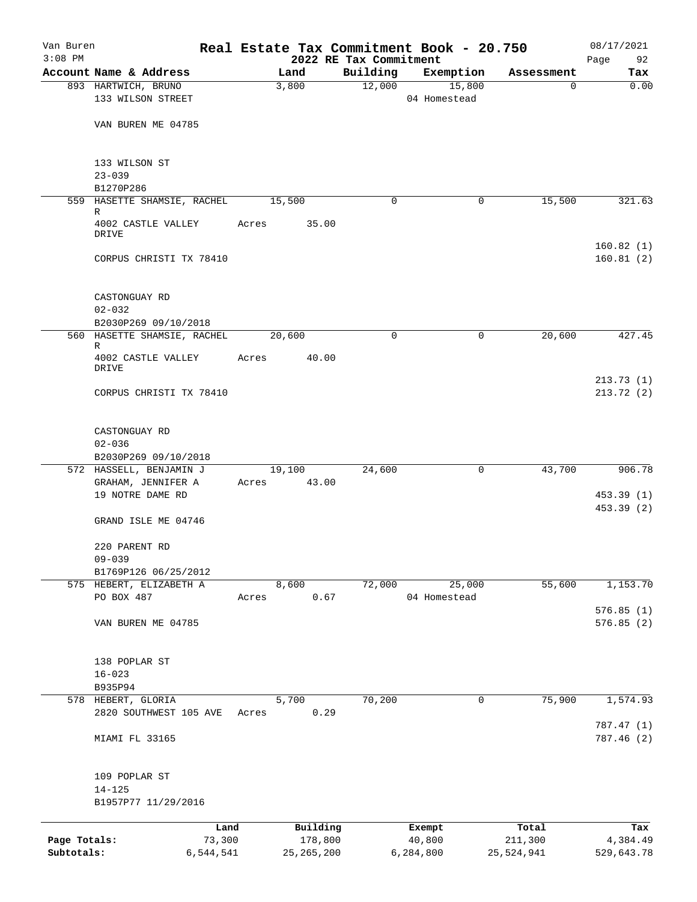| Van Buren<br>$3:08$ PM     |                                               |                 |                                    | Real Estate Tax Commitment Book - 20.750 |                       | 08/17/2021               |
|----------------------------|-----------------------------------------------|-----------------|------------------------------------|------------------------------------------|-----------------------|--------------------------|
|                            | Account Name & Address                        | Land            | 2022 RE Tax Commitment<br>Building | Exemption                                | Assessment            | 92<br>Page<br>Tax        |
|                            | 893 HARTWICH, BRUNO                           | 3,800           | 12,000                             | 15,800                                   | 0                     | 0.00                     |
|                            | 133 WILSON STREET                             |                 |                                    | 04 Homestead                             |                       |                          |
|                            | VAN BUREN ME 04785                            |                 |                                    |                                          |                       |                          |
|                            | 133 WILSON ST<br>$23 - 039$                   |                 |                                    |                                          |                       |                          |
|                            | B1270P286                                     |                 |                                    |                                          |                       |                          |
|                            | 559 HASETTE SHAMSIE, RACHEL                   | 15,500          |                                    | 0<br>0                                   | 15,500                | 321.63                   |
|                            | R<br>4002 CASTLE VALLEY<br>DRIVE              | Acres           | 35.00                              |                                          |                       |                          |
|                            | CORPUS CHRISTI TX 78410                       |                 |                                    |                                          |                       | 160.82(1)<br>160.81(2)   |
|                            | CASTONGUAY RD                                 |                 |                                    |                                          |                       |                          |
|                            | $02 - 032$<br>B2030P269 09/10/2018            |                 |                                    |                                          |                       |                          |
|                            | 560 HASETTE SHAMSIE, RACHEL                   | 20,600          |                                    | 0<br>0                                   | 20,600                | 427.45                   |
|                            | R<br>4002 CASTLE VALLEY<br>DRIVE              | Acres           | 40.00                              |                                          |                       |                          |
|                            | CORPUS CHRISTI TX 78410                       |                 |                                    |                                          |                       | 213.73(1)<br>213.72(2)   |
|                            | CASTONGUAY RD<br>$02 - 036$                   |                 |                                    |                                          |                       |                          |
|                            | B2030P269 09/10/2018                          |                 |                                    |                                          |                       |                          |
|                            | 572 HASSELL, BENJAMIN J<br>GRAHAM, JENNIFER A | 19,100<br>Acres | 24,600<br>43.00                    | 0                                        | 43,700                | 906.78                   |
|                            | 19 NOTRE DAME RD                              |                 |                                    |                                          |                       | 453.39 (1)<br>453.39 (2) |
|                            | GRAND ISLE ME 04746                           |                 |                                    |                                          |                       |                          |
|                            | 220 PARENT RD<br>$09 - 039$                   |                 |                                    |                                          |                       |                          |
|                            | B1769P126 06/25/2012                          |                 |                                    |                                          |                       |                          |
|                            | 575 HEBERT, ELIZABETH A<br>PO BOX 487         | 8,600<br>Acres  | 72,000<br>0.67                     | 25,000<br>04 Homestead                   | 55,600                | 1,153.70                 |
|                            |                                               |                 |                                    |                                          |                       | 576.85(1)                |
|                            | VAN BUREN ME 04785                            |                 |                                    |                                          |                       | 576.85(2)                |
|                            | 138 POPLAR ST<br>$16 - 023$                   |                 |                                    |                                          |                       |                          |
|                            | B935P94                                       |                 |                                    |                                          |                       |                          |
|                            | 578 HEBERT, GLORIA<br>2820 SOUTHWEST 105 AVE  | 5,700<br>Acres  | 70,200<br>0.29                     | 0                                        | 75,900                | 1,574.93<br>787.47 (1)   |
|                            | MIAMI FL 33165                                |                 |                                    |                                          |                       | 787.46 (2)               |
|                            | 109 POPLAR ST<br>$14 - 125$                   |                 |                                    |                                          |                       |                          |
|                            | B1957P77 11/29/2016                           |                 |                                    |                                          |                       |                          |
|                            | Land                                          |                 | Building                           | Exempt                                   | Total                 | Tax                      |
| Page Totals:<br>Subtotals: | 73,300<br>6,544,541                           | 25, 265, 200    | 178,800                            | 40,800<br>6,284,800                      | 211,300<br>25,524,941 | 4,384.49<br>529,643.78   |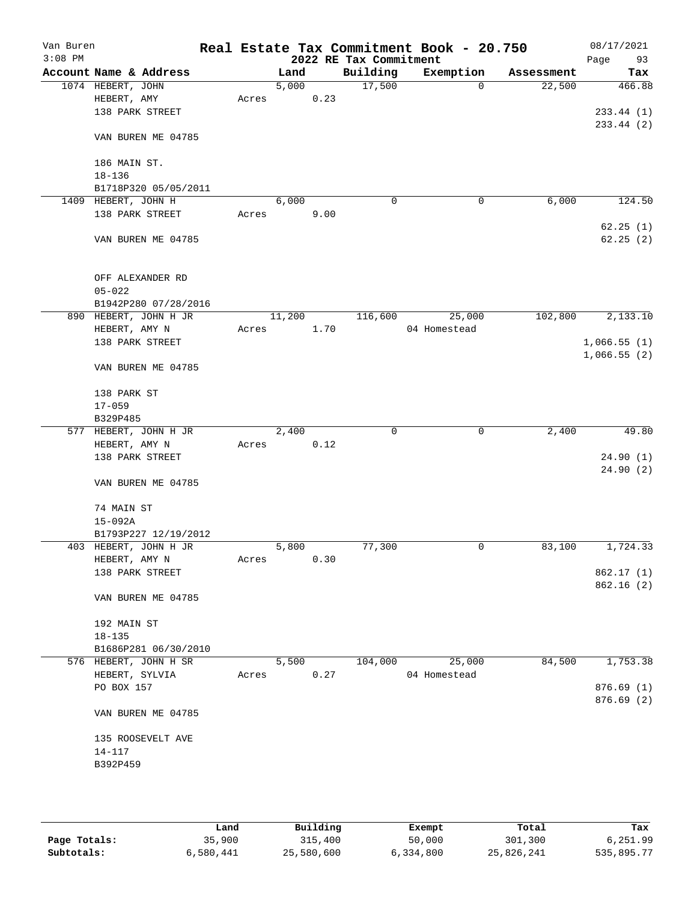| Van Buren |                        |       |        |      |                        | Real Estate Tax Commitment Book - 20.750 |            | 08/17/2021             |
|-----------|------------------------|-------|--------|------|------------------------|------------------------------------------|------------|------------------------|
| $3:08$ PM |                        |       |        |      | 2022 RE Tax Commitment |                                          |            | 93<br>Page             |
|           | Account Name & Address |       | Land   |      | Building               | Exemption                                | Assessment | Tax                    |
|           | 1074 HEBERT, JOHN      |       | 5,000  |      | 17,500                 | 0                                        | 22,500     | 466.88                 |
|           | HEBERT, AMY            | Acres |        | 0.23 |                        |                                          |            |                        |
|           | 138 PARK STREET        |       |        |      |                        |                                          |            | 233.44 (1)             |
|           |                        |       |        |      |                        |                                          |            | 233.44 (2)             |
|           | VAN BUREN ME 04785     |       |        |      |                        |                                          |            |                        |
|           |                        |       |        |      |                        |                                          |            |                        |
|           | 186 MAIN ST.           |       |        |      |                        |                                          |            |                        |
|           | $18 - 136$             |       |        |      |                        |                                          |            |                        |
|           | B1718P320 05/05/2011   |       |        |      |                        |                                          |            |                        |
|           | 1409 HEBERT, JOHN H    |       | 6,000  |      | 0                      | $\mathbf 0$                              | 6,000      | 124.50                 |
|           | 138 PARK STREET        | Acres |        | 9.00 |                        |                                          |            |                        |
|           |                        |       |        |      |                        |                                          |            | 62.25(1)               |
|           | VAN BUREN ME 04785     |       |        |      |                        |                                          |            | 62.25(2)               |
|           |                        |       |        |      |                        |                                          |            |                        |
|           |                        |       |        |      |                        |                                          |            |                        |
|           | OFF ALEXANDER RD       |       |        |      |                        |                                          |            |                        |
|           | $05 - 022$             |       |        |      |                        |                                          |            |                        |
|           | B1942P280 07/28/2016   |       |        |      |                        |                                          |            |                        |
|           |                        |       |        |      |                        |                                          |            |                        |
|           | 890 HEBERT, JOHN H JR  |       | 11,200 |      | 116,600                | 25,000                                   | 102,800    | 2,133.10               |
|           | HEBERT, AMY N          | Acres |        | 1.70 |                        | 04 Homestead                             |            |                        |
|           | 138 PARK STREET        |       |        |      |                        |                                          |            | 1,066.55(1)            |
|           |                        |       |        |      |                        |                                          |            | 1,066.55(2)            |
|           | VAN BUREN ME 04785     |       |        |      |                        |                                          |            |                        |
|           |                        |       |        |      |                        |                                          |            |                        |
|           | 138 PARK ST            |       |        |      |                        |                                          |            |                        |
|           | $17 - 059$             |       |        |      |                        |                                          |            |                        |
|           | B329P485               |       |        |      |                        |                                          |            |                        |
|           | 577 HEBERT, JOHN H JR  |       | 2,400  |      | 0                      | 0                                        | 2,400      | 49.80                  |
|           | HEBERT, AMY N          | Acres |        | 0.12 |                        |                                          |            |                        |
|           | 138 PARK STREET        |       |        |      |                        |                                          |            | 24.90(1)               |
|           |                        |       |        |      |                        |                                          |            | 24.90(2)               |
|           | VAN BUREN ME 04785     |       |        |      |                        |                                          |            |                        |
|           |                        |       |        |      |                        |                                          |            |                        |
|           | 74 MAIN ST             |       |        |      |                        |                                          |            |                        |
|           | $15 - 092A$            |       |        |      |                        |                                          |            |                        |
|           | B1793P227 12/19/2012   |       |        |      |                        |                                          |            |                        |
|           | 403 HEBERT, JOHN H JR  |       | 5,800  |      | 77,300                 | 0                                        | 83,100     | 1,724.33               |
|           | HEBERT, AMY N          | Acres |        | 0.30 |                        |                                          |            |                        |
|           | 138 PARK STREET        |       |        |      |                        |                                          |            | 862.17 (1)             |
|           |                        |       |        |      |                        |                                          |            | 862.16(2)              |
|           | VAN BUREN ME 04785     |       |        |      |                        |                                          |            |                        |
|           |                        |       |        |      |                        |                                          |            |                        |
|           | 192 MAIN ST            |       |        |      |                        |                                          |            |                        |
|           | $18 - 135$             |       |        |      |                        |                                          |            |                        |
|           | B1686P281 06/30/2010   |       |        |      |                        |                                          |            |                        |
|           | 576 HEBERT, JOHN H SR  |       | 5,500  |      | 104,000                | 25,000                                   | 84,500     | 1,753.38               |
|           | HEBERT, SYLVIA         | Acres |        | 0.27 |                        | 04 Homestead                             |            |                        |
|           |                        |       |        |      |                        |                                          |            |                        |
|           | PO BOX 157             |       |        |      |                        |                                          |            | 876.69(1)<br>876.69(2) |
|           |                        |       |        |      |                        |                                          |            |                        |
|           | VAN BUREN ME 04785     |       |        |      |                        |                                          |            |                        |
|           |                        |       |        |      |                        |                                          |            |                        |
|           | 135 ROOSEVELT AVE      |       |        |      |                        |                                          |            |                        |
|           | $14 - 117$             |       |        |      |                        |                                          |            |                        |
|           | B392P459               |       |        |      |                        |                                          |            |                        |
|           |                        |       |        |      |                        |                                          |            |                        |
|           |                        |       |        |      |                        |                                          |            |                        |

|              | Land      | Building   | Exempt    | Total      | Tax        |
|--------------|-----------|------------|-----------|------------|------------|
| Page Totals: | 35,900    | 315,400    | 50,000    | 301,300    | 6,251.99   |
| Subtotals:   | 6,580,441 | 25,580,600 | 6,334,800 | 25,826,241 | 535,895.77 |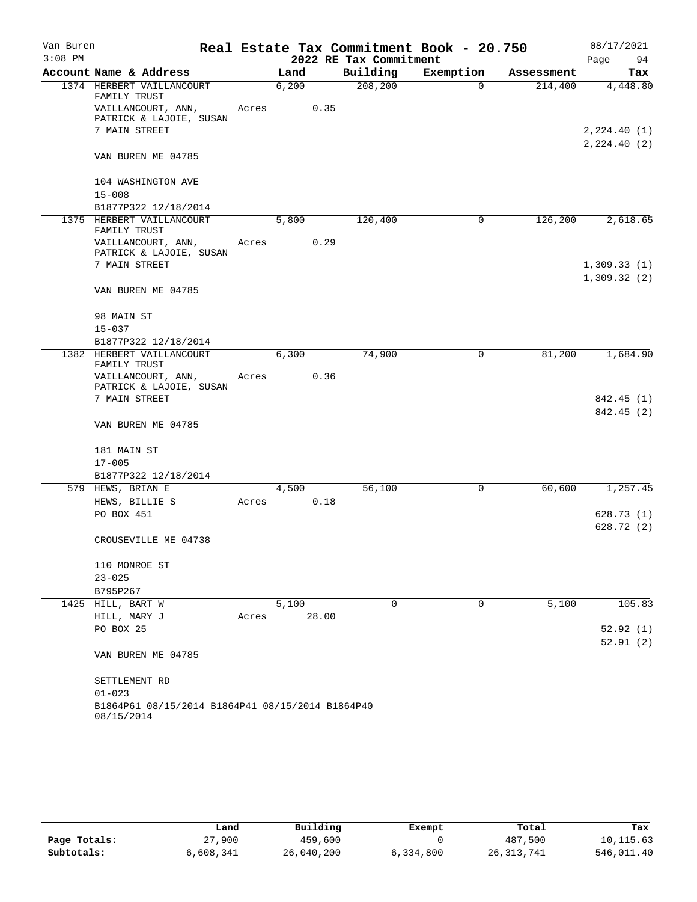| Van Buren |                                                                |       |                |                        | Real Estate Tax Commitment Book - 20.750 |            | 08/17/2021                 |
|-----------|----------------------------------------------------------------|-------|----------------|------------------------|------------------------------------------|------------|----------------------------|
| $3:08$ PM |                                                                |       |                | 2022 RE Tax Commitment |                                          |            | Page<br>94                 |
|           | Account Name & Address                                         |       | Land           | Building               | Exemption                                | Assessment | Tax                        |
|           | 1374 HERBERT VAILLANCOURT<br>FAMILY TRUST                      |       | 6,200          | 208,200                | 0                                        | 214,400    | 4,448.80                   |
|           | VAILLANCOURT, ANN,<br>PATRICK & LAJOIE, SUSAN<br>7 MAIN STREET | Acres | 0.35           |                        |                                          |            | 2, 224.40(1)               |
|           | VAN BUREN ME 04785                                             |       |                |                        |                                          |            | 2, 224.40 (2)              |
|           | 104 WASHINGTON AVE<br>$15 - 008$                               |       |                |                        |                                          |            |                            |
|           | B1877P322 12/18/2014                                           |       |                |                        |                                          |            |                            |
|           | 1375 HERBERT VAILLANCOURT<br>FAMILY TRUST                      |       | 5,800          | 120,400                | 0                                        | 126,200    | 2,618.65                   |
|           | VAILLANCOURT, ANN,<br>PATRICK & LAJOIE, SUSAN                  | Acres | 0.29           |                        |                                          |            |                            |
|           | 7 MAIN STREET                                                  |       |                |                        |                                          |            | 1,309.33(1)<br>1,309.32(2) |
|           | VAN BUREN ME 04785                                             |       |                |                        |                                          |            |                            |
|           | 98 MAIN ST<br>$15 - 037$                                       |       |                |                        |                                          |            |                            |
|           | B1877P322 12/18/2014                                           |       |                |                        |                                          |            |                            |
|           | 1382 HERBERT VAILLANCOURT<br>FAMILY TRUST                      |       | 6,300          | 74,900                 | 0                                        | 81,200     | 1,684.90                   |
|           | VAILLANCOURT, ANN,<br>PATRICK & LAJOIE, SUSAN                  | Acres | 0.36           |                        |                                          |            |                            |
|           | 7 MAIN STREET                                                  |       |                |                        |                                          |            | 842.45 (1)<br>842.45 (2)   |
|           | VAN BUREN ME 04785                                             |       |                |                        |                                          |            |                            |
|           | 181 MAIN ST<br>$17 - 005$                                      |       |                |                        |                                          |            |                            |
|           | B1877P322 12/18/2014                                           |       |                |                        |                                          |            |                            |
|           | 579 HEWS, BRIAN E                                              |       | 4,500          | 56,100                 | 0                                        | 60,600     | 1,257.45                   |
|           | HEWS, BILLIE S                                                 | Acres | 0.18           |                        |                                          |            |                            |
|           | PO BOX 451                                                     |       |                |                        |                                          |            | 628.73 (1)<br>628.72 (2)   |
|           | CROUSEVILLE ME 04738                                           |       |                |                        |                                          |            |                            |
|           | 110 MONROE ST                                                  |       |                |                        |                                          |            |                            |
|           | $23 - 025$                                                     |       |                |                        |                                          |            |                            |
|           | B795P267                                                       |       |                | $\Omega$               | 0                                        | 5,100      | 105.83                     |
|           | 1425 HILL, BART W<br>HILL, MARY J                              | Acres | 5,100<br>28.00 |                        |                                          |            |                            |
|           | PO BOX 25                                                      |       |                |                        |                                          |            | 52.92(1)                   |
|           |                                                                |       |                |                        |                                          |            | 52.91(2)                   |
|           | VAN BUREN ME 04785                                             |       |                |                        |                                          |            |                            |
|           | SETTLEMENT RD                                                  |       |                |                        |                                          |            |                            |
|           | $01 - 023$                                                     |       |                |                        |                                          |            |                            |
|           | B1864P61 08/15/2014 B1864P41 08/15/2014 B1864P40<br>08/15/2014 |       |                |                        |                                          |            |                            |

|              | Land      | Building   | Exempt    | Total        | Tax        |
|--------------|-----------|------------|-----------|--------------|------------|
| Page Totals: | 27,900    | 459,600    |           | 487,500      | 10,115.63  |
| Subtotals:   | 6,608,341 | 26,040,200 | 6,334,800 | 26, 313, 741 | 546,011.40 |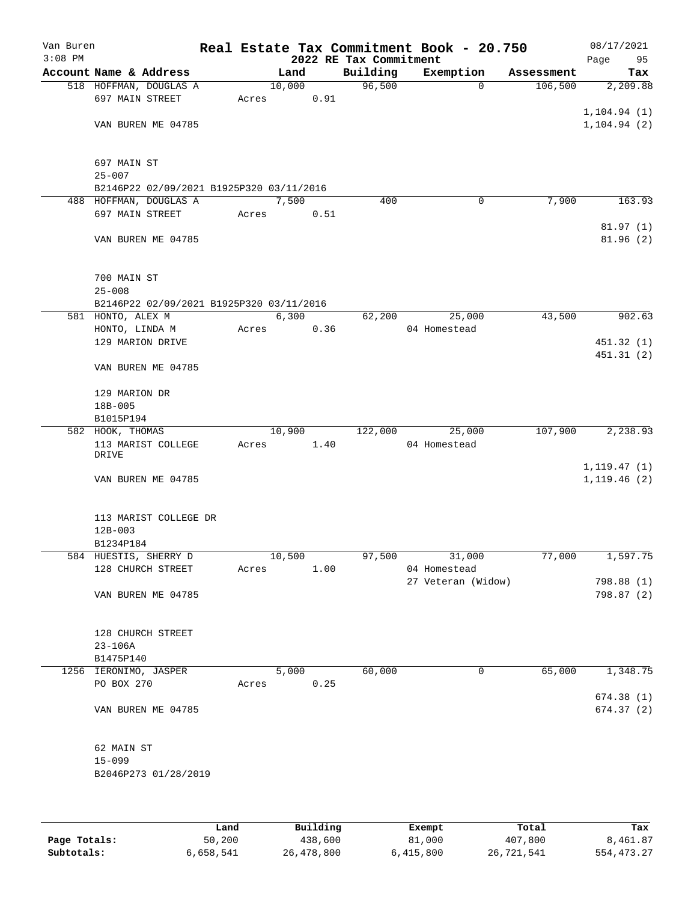| Van Buren<br>$3:08$ PM |                                            |       |                | 2022 RE Tax Commitment | Real Estate Tax Commitment Book - 20.750 |            | 08/17/2021<br>Page<br>95     |
|------------------------|--------------------------------------------|-------|----------------|------------------------|------------------------------------------|------------|------------------------------|
|                        | Account Name & Address                     |       | Land           | Building               | Exemption                                | Assessment | Tax                          |
|                        | 518 HOFFMAN, DOUGLAS A<br>697 MAIN STREET  | Acres | 10,000<br>0.91 | 96,500                 | $\Omega$                                 | 106,500    | 2,209.88                     |
|                        | VAN BUREN ME 04785                         |       |                |                        |                                          |            | 1, 104.94(1)<br>1, 104.94(2) |
|                        | 697 MAIN ST<br>$25 - 007$                  |       |                |                        |                                          |            |                              |
|                        | B2146P22 02/09/2021 B1925P320 03/11/2016   |       |                |                        |                                          |            |                              |
|                        | 488 HOFFMAN, DOUGLAS A                     |       | 7,500          | 400                    | 0                                        | 7,900      | 163.93                       |
|                        | 697 MAIN STREET                            | Acres | 0.51           |                        |                                          |            |                              |
|                        | VAN BUREN ME 04785                         |       |                |                        |                                          |            | 81.97(1)<br>81.96(2)         |
|                        | 700 MAIN ST<br>$25 - 008$                  |       |                |                        |                                          |            |                              |
|                        | B2146P22 02/09/2021 B1925P320 03/11/2016   |       |                |                        |                                          |            |                              |
|                        | 581 HONTO, ALEX M                          |       | 6,300          | 62,200                 | 25,000                                   | 43,500     | 902.63                       |
|                        | HONTO, LINDA M<br>129 MARION DRIVE         | Acres | 0.36           |                        | 04 Homestead                             |            | 451.32 (1)                   |
|                        |                                            |       |                |                        |                                          |            | 451.31(2)                    |
|                        | VAN BUREN ME 04785                         |       |                |                        |                                          |            |                              |
|                        | 129 MARION DR                              |       |                |                        |                                          |            |                              |
|                        | 18B-005                                    |       |                |                        |                                          |            |                              |
|                        | B1015P194<br>582 HOOK, THOMAS              |       | 10,900         | 122,000                | 25,000                                   | 107,900    | 2,238.93                     |
|                        | 113 MARIST COLLEGE                         | Acres | 1.40           |                        | 04 Homestead                             |            |                              |
|                        | DRIVE                                      |       |                |                        |                                          |            |                              |
|                        |                                            |       |                |                        |                                          |            | 1, 119.47(1)                 |
|                        | VAN BUREN ME 04785                         |       |                |                        |                                          |            | 1, 119.46(2)                 |
|                        | 113 MARIST COLLEGE DR                      |       |                |                        |                                          |            |                              |
|                        | $12B-003$                                  |       |                |                        |                                          |            |                              |
|                        | B1234P184                                  |       |                |                        |                                          |            |                              |
|                        | 584 HUESTIS, SHERRY D<br>128 CHURCH STREET | Acres | 10,500<br>1.00 | 97,500                 | 31,000<br>04 Homestead                   | 77,000     | 1,597.75                     |
|                        |                                            |       |                |                        | 27 Veteran (Widow)                       |            | 798.88 (1)                   |
|                        | VAN BUREN ME 04785                         |       |                |                        |                                          |            | 798.87 (2)                   |
|                        | 128 CHURCH STREET                          |       |                |                        |                                          |            |                              |
|                        | $23 - 106A$                                |       |                |                        |                                          |            |                              |
|                        | B1475P140                                  |       |                |                        |                                          |            |                              |
|                        | 1256 IERONIMO, JASPER                      |       | 5,000          | 60,000                 | 0                                        | 65,000     | 1,348.75                     |
|                        | PO BOX 270                                 | Acres | 0.25           |                        |                                          |            |                              |
|                        |                                            |       |                |                        |                                          |            | 674.38 (1)                   |
|                        | VAN BUREN ME 04785                         |       |                |                        |                                          |            | 674.37(2)                    |
|                        | 62 MAIN ST                                 |       |                |                        |                                          |            |                              |
|                        | $15 - 099$                                 |       |                |                        |                                          |            |                              |
|                        | B2046P273 01/28/2019                       |       |                |                        |                                          |            |                              |
|                        |                                            |       |                |                        |                                          |            |                              |
|                        |                                            |       |                |                        |                                          |            |                              |

|              | Land      | Building   | Exempt    | Total      | Tax        |
|--------------|-----------|------------|-----------|------------|------------|
| Page Totals: | 50,200    | 438,600    | 81,000    | 407,800    | 8,461.87   |
| Subtotals:   | 6,658,541 | 26,478,800 | 6,415,800 | 26,721,541 | 554,473.27 |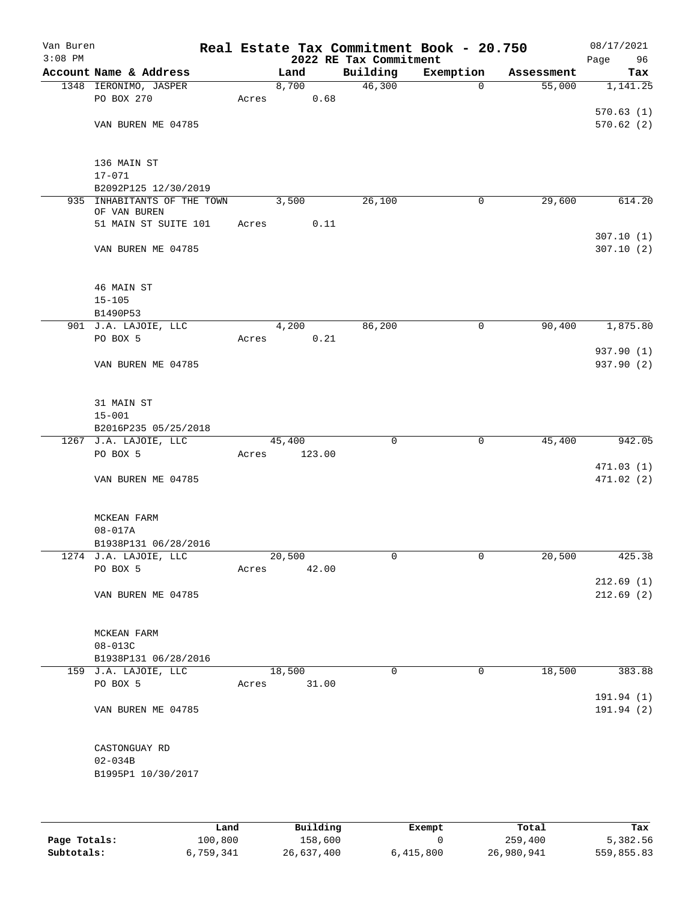| Van Buren<br>$3:08$ PM |                             |       |          |                                    | Real Estate Tax Commitment Book - 20.750 |            | 08/17/2021        |
|------------------------|-----------------------------|-------|----------|------------------------------------|------------------------------------------|------------|-------------------|
|                        | Account Name & Address      |       | Land     | 2022 RE Tax Commitment<br>Building | Exemption                                | Assessment | Page<br>96<br>Tax |
|                        | 1348 IERONIMO, JASPER       |       | 8,700    | 46,300                             | $\mathbf 0$                              | 55,000     | 1,141.25          |
|                        | PO BOX 270                  | Acres | 0.68     |                                    |                                          |            |                   |
|                        |                             |       |          |                                    |                                          |            | 570.63(1)         |
|                        | VAN BUREN ME 04785          |       |          |                                    |                                          |            | 570.62(2)         |
|                        |                             |       |          |                                    |                                          |            |                   |
|                        | 136 MAIN ST                 |       |          |                                    |                                          |            |                   |
|                        | $17 - 071$                  |       |          |                                    |                                          |            |                   |
|                        | B2092P125 12/30/2019        |       |          |                                    |                                          |            |                   |
|                        | 935 INHABITANTS OF THE TOWN |       | 3,500    | 26,100                             | 0                                        | 29,600     | 614.20            |
|                        | OF VAN BUREN                |       |          |                                    |                                          |            |                   |
|                        | 51 MAIN ST SUITE 101        | Acres | 0.11     |                                    |                                          |            |                   |
|                        |                             |       |          |                                    |                                          |            | 307.10(1)         |
|                        | VAN BUREN ME 04785          |       |          |                                    |                                          |            | 307.10(2)         |
|                        | 46 MAIN ST                  |       |          |                                    |                                          |            |                   |
|                        | $15 - 105$                  |       |          |                                    |                                          |            |                   |
|                        | B1490P53                    |       |          |                                    |                                          |            |                   |
|                        | 901 J.A. LAJOIE, LLC        |       | 4,200    | 86,200                             | 0                                        | 90,400     | 1,875.80          |
|                        | PO BOX 5                    | Acres | 0.21     |                                    |                                          |            |                   |
|                        |                             |       |          |                                    |                                          |            | 937.90 (1)        |
|                        | VAN BUREN ME 04785          |       |          |                                    |                                          |            | 937.90 (2)        |
|                        | 31 MAIN ST                  |       |          |                                    |                                          |            |                   |
|                        | $15 - 001$                  |       |          |                                    |                                          |            |                   |
|                        | B2016P235 05/25/2018        |       |          |                                    |                                          |            |                   |
|                        | 1267 J.A. LAJOIE, LLC       |       | 45,400   | $\mathbf 0$                        | 0                                        | 45,400     | 942.05            |
|                        | PO BOX 5                    | Acres | 123.00   |                                    |                                          |            |                   |
|                        |                             |       |          |                                    |                                          |            | 471.03(1)         |
|                        | VAN BUREN ME 04785          |       |          |                                    |                                          |            | 471.02(2)         |
|                        | MCKEAN FARM                 |       |          |                                    |                                          |            |                   |
|                        | $08 - 017A$                 |       |          |                                    |                                          |            |                   |
|                        | B1938P131 06/28/2016        |       |          |                                    |                                          |            |                   |
|                        | 1274 J.A. LAJOIE, LLC       |       | 20,500   | 0                                  | $\overline{0}$                           | 20,500     | 425.38            |
|                        | PO BOX 5                    | Acres | 42.00    |                                    |                                          |            |                   |
|                        |                             |       |          |                                    |                                          |            | 212.69(1)         |
|                        | VAN BUREN ME 04785          |       |          |                                    |                                          |            | 212.69(2)         |
|                        | MCKEAN FARM                 |       |          |                                    |                                          |            |                   |
|                        | 08-013C                     |       |          |                                    |                                          |            |                   |
|                        | B1938P131 06/28/2016        |       |          |                                    |                                          |            |                   |
|                        | 159 J.A. LAJOIE, LLC        |       | 18,500   | 0                                  | $\mathbf 0$                              | 18,500     | 383.88            |
|                        | PO BOX 5                    | Acres | 31.00    |                                    |                                          |            |                   |
|                        |                             |       |          |                                    |                                          |            | 191.94 (1)        |
|                        | VAN BUREN ME 04785          |       |          |                                    |                                          |            | 191.94 (2)        |
|                        | CASTONGUAY RD               |       |          |                                    |                                          |            |                   |
|                        | $02 - 034B$                 |       |          |                                    |                                          |            |                   |
|                        | B1995P1 10/30/2017          |       |          |                                    |                                          |            |                   |
|                        |                             |       |          |                                    |                                          |            |                   |
|                        | Land                        |       | Building |                                    | <b>Fromnt</b>                            | $T0+21$    | Tav               |

|              | Land      | Building   | Exempt    | Total      | Tax        |
|--------------|-----------|------------|-----------|------------|------------|
| Page Totals: | 100,800   | 158,600    |           | 259,400    | 5,382.56   |
| Subtotals:   | 6,759,341 | 26,637,400 | 6,415,800 | 26,980,941 | 559,855.83 |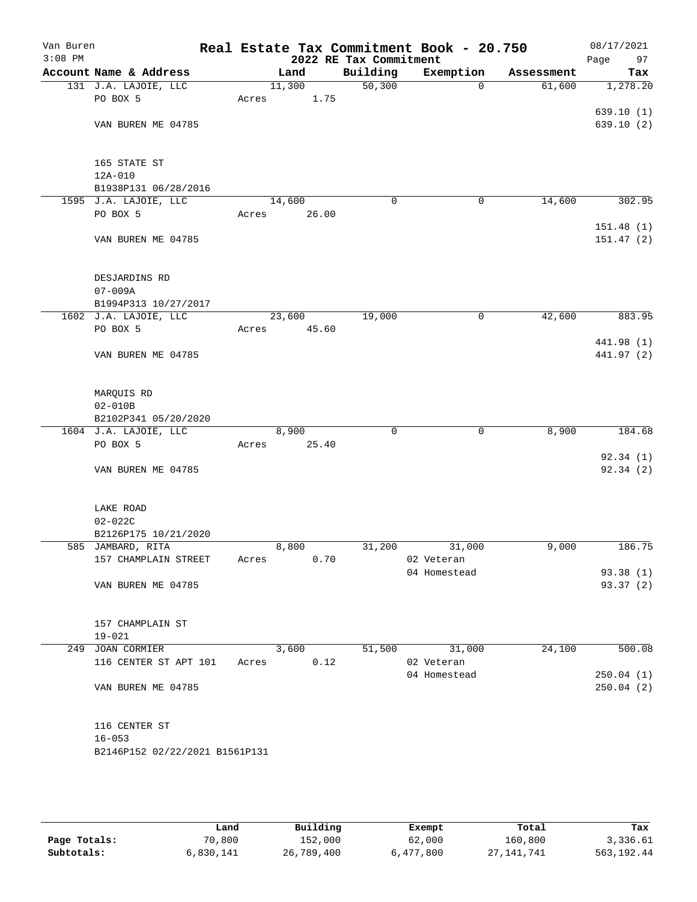| Van Buren<br>$3:08$ PM |                                               |       |        | 2022 RE Tax Commitment | Real Estate Tax Commitment Book - 20.750 |            | 08/17/2021<br>Page<br>97 |
|------------------------|-----------------------------------------------|-------|--------|------------------------|------------------------------------------|------------|--------------------------|
|                        | Account Name & Address                        |       | Land   | Building               | Exemption                                | Assessment | Tax                      |
|                        | 131 J.A. LAJOIE, LLC                          |       | 11,300 | 50,300                 | $\Omega$                                 | 61,600     | 1,278.20                 |
|                        | PO BOX 5                                      | Acres | 1.75   |                        |                                          |            |                          |
|                        |                                               |       |        |                        |                                          |            | 639.10(1)                |
|                        | VAN BUREN ME 04785                            |       |        |                        |                                          |            | 639.10 (2)               |
|                        |                                               |       |        |                        |                                          |            |                          |
|                        | 165 STATE ST                                  |       |        |                        |                                          |            |                          |
|                        | $12A-010$                                     |       |        |                        |                                          |            |                          |
|                        | B1938P131 06/28/2016                          |       |        |                        |                                          |            |                          |
|                        | 1595 J.A. LAJOIE, LLC                         |       | 14,600 | 0                      | 0                                        | 14,600     | 302.95                   |
|                        | PO BOX 5                                      | Acres | 26.00  |                        |                                          |            |                          |
|                        |                                               |       |        |                        |                                          |            | 151.48(1)                |
|                        | VAN BUREN ME 04785                            |       |        |                        |                                          |            | 151.47(2)                |
|                        |                                               |       |        |                        |                                          |            |                          |
|                        | DESJARDINS RD                                 |       |        |                        |                                          |            |                          |
|                        | $07 - 009A$                                   |       |        |                        |                                          |            |                          |
|                        | B1994P313 10/27/2017                          |       |        |                        |                                          |            |                          |
|                        | 1602 J.A. LAJOIE, LLC                         |       | 23,600 | 19,000                 | $\mathbf 0$                              | 42,600     | 883.95                   |
|                        | PO BOX 5                                      | Acres | 45.60  |                        |                                          |            | 441.98 (1)               |
|                        | VAN BUREN ME 04785                            |       |        |                        |                                          |            | 441.97 (2)               |
|                        |                                               |       |        |                        |                                          |            |                          |
|                        |                                               |       |        |                        |                                          |            |                          |
|                        | MARQUIS RD                                    |       |        |                        |                                          |            |                          |
|                        | $02 - 010B$                                   |       |        |                        |                                          |            |                          |
|                        | B2102P341 05/20/2020<br>1604 J.A. LAJOIE, LLC |       | 8,900  | $\mathbf 0$            | 0                                        | 8,900      | 184.68                   |
|                        | PO BOX 5                                      | Acres | 25.40  |                        |                                          |            |                          |
|                        |                                               |       |        |                        |                                          |            | 92.34(1)                 |
|                        | VAN BUREN ME 04785                            |       |        |                        |                                          |            | 92.34(2)                 |
|                        |                                               |       |        |                        |                                          |            |                          |
|                        | LAKE ROAD                                     |       |        |                        |                                          |            |                          |
|                        | $02 - 022C$                                   |       |        |                        |                                          |            |                          |
|                        | B2126P175 10/21/2020                          |       |        |                        |                                          |            |                          |
|                        | 585 JAMBARD, RITA                             |       | 8,800  | 31,200                 | 31,000                                   | 9,000      | 186.75                   |
|                        | 157 CHAMPLAIN STREET                          | Acres | 0.70   |                        | 02 Veteran                               |            |                          |
|                        |                                               |       |        |                        | 04 Homestead                             |            | 93.38(1)                 |
|                        | VAN BUREN ME 04785                            |       |        |                        |                                          |            | 93.37(2)                 |
|                        |                                               |       |        |                        |                                          |            |                          |
|                        | 157 CHAMPLAIN ST                              |       |        |                        |                                          |            |                          |
|                        | $19 - 021$                                    |       |        |                        |                                          |            |                          |
|                        | 249 JOAN CORMIER                              |       | 3,600  | 51,500                 | 31,000                                   | 24,100     | 500.08                   |
|                        | 116 CENTER ST APT 101                         | Acres | 0.12   |                        | 02 Veteran<br>04 Homestead               |            | 250.04(1)                |
|                        | VAN BUREN ME 04785                            |       |        |                        |                                          |            | 250.04(2)                |
|                        |                                               |       |        |                        |                                          |            |                          |
|                        |                                               |       |        |                        |                                          |            |                          |
|                        | 116 CENTER ST                                 |       |        |                        |                                          |            |                          |
|                        | $16 - 053$<br>B2146P152 02/22/2021 B1561P131  |       |        |                        |                                          |            |                          |
|                        |                                               |       |        |                        |                                          |            |                          |
|                        |                                               |       |        |                        |                                          |            |                          |
|                        |                                               |       |        |                        |                                          |            |                          |

|              | Land      | Building   | Exempt    | Total      | Tax        |
|--------------|-----------|------------|-----------|------------|------------|
| Page Totals: | 70,800    | 152,000    | 62,000    | 160,800    | 3,336.61   |
| Subtotals:   | 6,830,141 | 26,789,400 | 6,477,800 | 27,141,741 | 563,192.44 |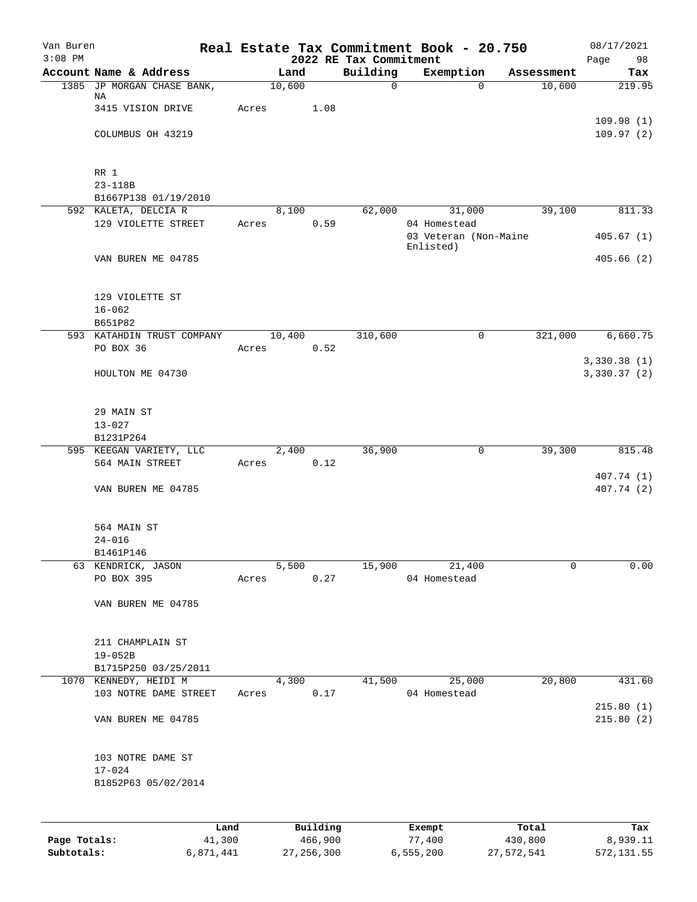| Van Buren    |                                               |       |        |          |                                    | Real Estate Tax Commitment Book - 20.750 |            | 08/17/2021             |
|--------------|-----------------------------------------------|-------|--------|----------|------------------------------------|------------------------------------------|------------|------------------------|
| $3:08$ PM    | Account Name & Address                        |       | Land   |          | 2022 RE Tax Commitment<br>Building | Exemption                                | Assessment | Page<br>98<br>Tax      |
|              | 1385 JP MORGAN CHASE BANK,                    |       | 10,600 |          | $\mathbf 0$                        | $\Omega$                                 | 10,600     | 219.95                 |
|              | ΝA<br>3415 VISION DRIVE                       | Acres |        | 1.08     |                                    |                                          |            |                        |
|              | COLUMBUS OH 43219                             |       |        |          |                                    |                                          |            | 109.98(1)<br>109.97(2) |
|              | RR 1                                          |       |        |          |                                    |                                          |            |                        |
|              | $23 - 118B$                                   |       |        |          |                                    |                                          |            |                        |
|              | B1667P138 01/19/2010<br>592 KALETA, DELCIA R  |       | 8,100  |          | 62,000                             | 31,000                                   | 39,100     | 811.33                 |
|              | 129 VIOLETTE STREET                           | Acres |        | 0.59     |                                    | 04 Homestead<br>03 Veteran (Non-Maine    |            | 405.67(1)              |
|              |                                               |       |        |          |                                    | Enlisted)                                |            |                        |
|              | VAN BUREN ME 04785                            |       |        |          |                                    |                                          |            | 405.66(2)              |
|              | 129 VIOLETTE ST                               |       |        |          |                                    |                                          |            |                        |
|              | $16 - 062$<br>B651P82                         |       |        |          |                                    |                                          |            |                        |
|              | 593 KATAHDIN TRUST COMPANY                    |       | 10,400 |          | 310,600                            | 0                                        | 321,000    | 6,660.75               |
|              | PO BOX 36                                     | Acres |        | 0.52     |                                    |                                          |            |                        |
|              |                                               |       |        |          |                                    |                                          |            | 3,330.38(1)            |
|              | HOULTON ME 04730                              |       |        |          |                                    |                                          |            | 3,330.37 (2)           |
|              | 29 MAIN ST<br>$13 - 027$                      |       |        |          |                                    |                                          |            |                        |
|              | B1231P264                                     |       |        |          |                                    |                                          |            |                        |
|              | 595 KEEGAN VARIETY, LLC                       |       | 2,400  |          | 36,900                             | 0                                        | 39,300     | 815.48                 |
|              | 564 MAIN STREET                               | Acres |        | 0.12     |                                    |                                          |            | 407.74 (1)             |
|              | VAN BUREN ME 04785                            |       |        |          |                                    |                                          |            | 407.74 (2)             |
|              | 564 MAIN ST                                   |       |        |          |                                    |                                          |            |                        |
|              | $24 - 016$                                    |       |        |          |                                    |                                          |            |                        |
|              | B1461P146<br>63 KENDRICK, JASON               |       | 5,500  |          | 15,900                             | 21,400                                   | 0          | 0.00                   |
|              | PO BOX 395                                    | Acres |        | 0.27     |                                    | 04 Homestead                             |            |                        |
|              | VAN BUREN ME 04785                            |       |        |          |                                    |                                          |            |                        |
|              | 211 CHAMPLAIN ST                              |       |        |          |                                    |                                          |            |                        |
|              | $19 - 052B$                                   |       |        |          |                                    |                                          |            |                        |
|              | B1715P250 03/25/2011<br>1070 KENNEDY, HEIDI M |       | 4,300  |          | 41,500                             | 25,000                                   | 20,800     | 431.60                 |
|              | 103 NOTRE DAME STREET                         | Acres |        | 0.17     |                                    | 04 Homestead                             |            | 215.80(1)              |
|              | VAN BUREN ME 04785                            |       |        |          |                                    |                                          |            | 215.80(2)              |
|              | 103 NOTRE DAME ST                             |       |        |          |                                    |                                          |            |                        |
|              | $17 - 024$                                    |       |        |          |                                    |                                          |            |                        |
|              | B1852P63 05/02/2014                           |       |        |          |                                    |                                          |            |                        |
|              | Land                                          |       |        | Building |                                    | Exempt                                   | Total      | Tax                    |
| Page Totals: | 41,300                                        |       |        | 466,900  |                                    | 77,400                                   | 430,800    | 8,939.11               |

**Subtotals:** 6,871,441 27,256,300 6,555,200 27,572,541 572,131.55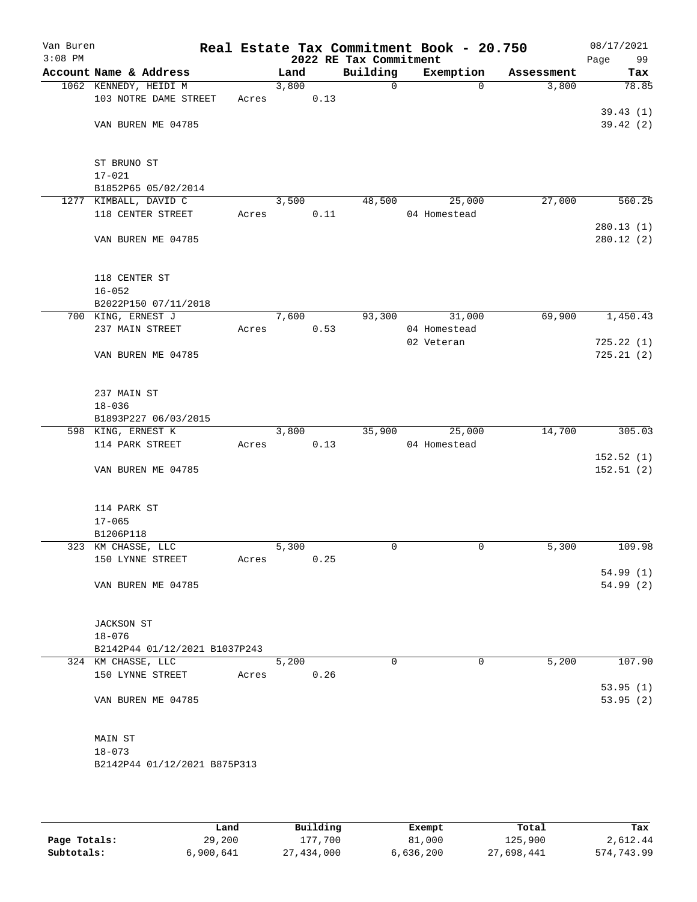| Van Buren<br>$3:08$ PM |                                         |       |       |      | 2022 RE Tax Commitment | Real Estate Tax Commitment Book - 20.750 |            | 08/17/2021<br>Page<br>99 |
|------------------------|-----------------------------------------|-------|-------|------|------------------------|------------------------------------------|------------|--------------------------|
|                        | Account Name & Address                  |       | Land  |      | Building               | Exemption                                | Assessment | Tax                      |
|                        | 1062 KENNEDY, HEIDI M                   |       | 3,800 |      | $\mathsf{O}$           | $\Omega$                                 | 3,800      | 78.85                    |
|                        | 103 NOTRE DAME STREET                   | Acres |       | 0.13 |                        |                                          |            |                          |
|                        |                                         |       |       |      |                        |                                          |            | 39.43(1)                 |
|                        | VAN BUREN ME 04785                      |       |       |      |                        |                                          |            | 39.42(2)                 |
|                        |                                         |       |       |      |                        |                                          |            |                          |
|                        | ST BRUNO ST                             |       |       |      |                        |                                          |            |                          |
|                        | $17 - 021$                              |       |       |      |                        |                                          |            |                          |
| 1277                   | B1852P65 05/02/2014<br>KIMBALL, DAVID C |       | 3,500 |      | 48,500                 | 25,000                                   | 27,000     | 560.25                   |
|                        | 118 CENTER STREET                       | Acres |       | 0.11 |                        | 04 Homestead                             |            |                          |
|                        |                                         |       |       |      |                        |                                          |            | 280.13(1)                |
|                        | VAN BUREN ME 04785                      |       |       |      |                        |                                          |            | 280.12 (2)               |
|                        | 118 CENTER ST                           |       |       |      |                        |                                          |            |                          |
|                        | $16 - 052$                              |       |       |      |                        |                                          |            |                          |
|                        | B2022P150 07/11/2018                    |       |       |      |                        |                                          |            |                          |
|                        | 700 KING, ERNEST J                      |       | 7,600 |      | 93,300                 | 31,000                                   | 69,900     | 1,450.43                 |
|                        | 237 MAIN STREET                         | Acres |       | 0.53 |                        | 04 Homestead                             |            |                          |
|                        |                                         |       |       |      |                        | 02 Veteran                               |            | 725.22(1)                |
|                        | VAN BUREN ME 04785                      |       |       |      |                        |                                          |            | 725.21(2)                |
|                        |                                         |       |       |      |                        |                                          |            |                          |
|                        | 237 MAIN ST                             |       |       |      |                        |                                          |            |                          |
|                        | $18 - 036$                              |       |       |      |                        |                                          |            |                          |
|                        | B1893P227 06/03/2015                    |       |       |      |                        |                                          |            |                          |
|                        | 598 KING, ERNEST K                      |       | 3,800 |      | 35,900                 | 25,000                                   | 14,700     | 305.03                   |
|                        | 114 PARK STREET                         | Acres |       | 0.13 |                        | 04 Homestead                             |            |                          |
|                        |                                         |       |       |      |                        |                                          |            | 152.52(1)                |
|                        | VAN BUREN ME 04785                      |       |       |      |                        |                                          |            | 152.51(2)                |
|                        | 114 PARK ST                             |       |       |      |                        |                                          |            |                          |
|                        | $17 - 065$                              |       |       |      |                        |                                          |            |                          |
|                        | B1206P118                               |       |       |      |                        |                                          |            |                          |
|                        | 323 KM CHASSE, LLC                      |       | 5,300 |      | 0                      | 0                                        | 5,300      | 109.98                   |
|                        | 150 LYNNE STREET                        | Acres |       | 0.25 |                        |                                          |            |                          |
|                        |                                         |       |       |      |                        |                                          |            | 54.99(1)                 |
|                        | VAN BUREN ME 04785                      |       |       |      |                        |                                          |            | 54.99(2)                 |
|                        | JACKSON ST                              |       |       |      |                        |                                          |            |                          |
|                        | $18 - 076$                              |       |       |      |                        |                                          |            |                          |
|                        | B2142P44 01/12/2021 B1037P243           |       |       |      |                        |                                          |            |                          |
|                        | 324 KM CHASSE, LLC                      |       | 5,200 |      | $\Omega$               | 0                                        | 5,200      | 107.90                   |
|                        | 150 LYNNE STREET                        | Acres |       | 0.26 |                        |                                          |            |                          |
|                        |                                         |       |       |      |                        |                                          |            | 53.95(1)                 |
|                        | VAN BUREN ME 04785                      |       |       |      |                        |                                          |            | 53.95(2)                 |
|                        | MAIN ST                                 |       |       |      |                        |                                          |            |                          |
|                        | $18 - 073$                              |       |       |      |                        |                                          |            |                          |
|                        | B2142P44 01/12/2021 B875P313            |       |       |      |                        |                                          |            |                          |
|                        |                                         |       |       |      |                        |                                          |            |                          |
|                        |                                         |       |       |      |                        |                                          |            |                          |

|              | Land      | Building   | Exempt    | Total      | Tax        |
|--------------|-----------|------------|-----------|------------|------------|
| Page Totals: | 29,200    | 177,700    | 81,000    | 125,900    | 2,612.44   |
| Subtotals:   | 6,900,641 | 27,434,000 | 6,636,200 | 27,698,441 | 574,743.99 |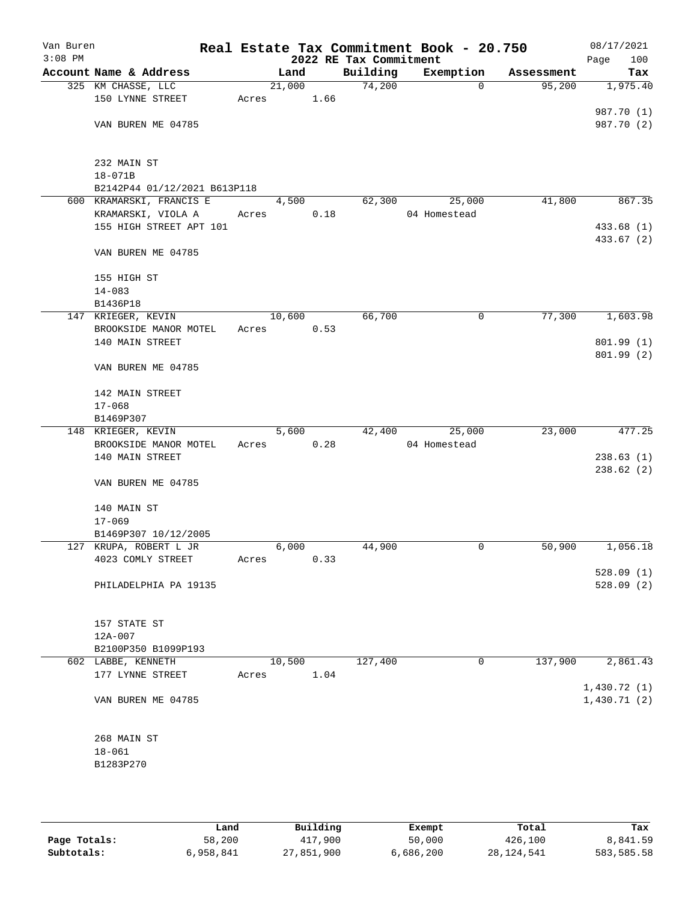| Van Buren<br>$3:08$ PM |                                           |       |        |      | 2022 RE Tax Commitment | Real Estate Tax Commitment Book - 20.750 |            | 08/17/2021<br>100<br>Page |
|------------------------|-------------------------------------------|-------|--------|------|------------------------|------------------------------------------|------------|---------------------------|
|                        | Account Name & Address                    |       | Land   |      | Building               | Exemption                                | Assessment | Tax                       |
|                        | 325 KM CHASSE, LLC                        |       | 21,000 |      | 74,200                 | $\Omega$                                 | 95,200     | 1,975.40                  |
|                        | 150 LYNNE STREET                          | Acres |        | 1.66 |                        |                                          |            |                           |
|                        |                                           |       |        |      |                        |                                          |            | 987.70 (1)                |
|                        | VAN BUREN ME 04785                        |       |        |      |                        |                                          |            | 987.70 (2)                |
|                        |                                           |       |        |      |                        |                                          |            |                           |
|                        |                                           |       |        |      |                        |                                          |            |                           |
|                        | 232 MAIN ST                               |       |        |      |                        |                                          |            |                           |
|                        | $18 - 071B$                               |       |        |      |                        |                                          |            |                           |
|                        | B2142P44 01/12/2021 B613P118              |       |        |      |                        |                                          |            |                           |
|                        | 600 KRAMARSKI, FRANCIS E                  |       | 4,500  |      | 62,300                 | 25,000                                   | 41,800     | 867.35                    |
|                        | KRAMARSKI, VIOLA A                        | Acres |        | 0.18 |                        | 04 Homestead                             |            |                           |
|                        | 155 HIGH STREET APT 101                   |       |        |      |                        |                                          |            | 433.68 (1)<br>433.67 (2)  |
|                        | VAN BUREN ME 04785                        |       |        |      |                        |                                          |            |                           |
|                        |                                           |       |        |      |                        |                                          |            |                           |
|                        | 155 HIGH ST                               |       |        |      |                        |                                          |            |                           |
|                        | $14 - 083$                                |       |        |      |                        |                                          |            |                           |
|                        | B1436P18                                  |       |        |      |                        |                                          |            |                           |
|                        | 147 KRIEGER, KEVIN                        |       | 10,600 |      | 66,700                 | 0                                        | 77,300     | 1,603.98                  |
|                        | BROOKSIDE MANOR MOTEL                     | Acres |        | 0.53 |                        |                                          |            |                           |
|                        | 140 MAIN STREET                           |       |        |      |                        |                                          |            | 801.99(1)                 |
|                        |                                           |       |        |      |                        |                                          |            | 801.99(2)                 |
|                        | VAN BUREN ME 04785                        |       |        |      |                        |                                          |            |                           |
|                        |                                           |       |        |      |                        |                                          |            |                           |
|                        | 142 MAIN STREET                           |       |        |      |                        |                                          |            |                           |
|                        | $17 - 068$                                |       |        |      |                        |                                          |            |                           |
|                        | B1469P307                                 |       |        |      |                        |                                          |            |                           |
|                        | 148 KRIEGER, KEVIN                        |       | 5,600  | 0.28 | 42,400                 | 25,000                                   | 23,000     | 477.25                    |
|                        | BROOKSIDE MANOR MOTEL<br>140 MAIN STREET  | Acres |        |      |                        | 04 Homestead                             |            | 238.63(1)                 |
|                        |                                           |       |        |      |                        |                                          |            | 238.62(2)                 |
|                        | VAN BUREN ME 04785                        |       |        |      |                        |                                          |            |                           |
|                        |                                           |       |        |      |                        |                                          |            |                           |
|                        | 140 MAIN ST                               |       |        |      |                        |                                          |            |                           |
|                        | $17 - 069$                                |       |        |      |                        |                                          |            |                           |
|                        | B1469P307 10/12/2005                      |       |        |      |                        |                                          |            |                           |
|                        | 127 KRUPA, ROBERT L JR                    |       | 6,000  |      | 44,900                 | 0                                        | 50,900     | 1,056.18                  |
|                        | 4023 COMLY STREET                         | Acres |        | 0.33 |                        |                                          |            |                           |
|                        |                                           |       |        |      |                        |                                          |            | 528.09(1)                 |
|                        | PHILADELPHIA PA 19135                     |       |        |      |                        |                                          |            | 528.09(2)                 |
|                        |                                           |       |        |      |                        |                                          |            |                           |
|                        |                                           |       |        |      |                        |                                          |            |                           |
|                        | 157 STATE ST                              |       |        |      |                        |                                          |            |                           |
|                        | 12A-007                                   |       |        |      |                        |                                          |            |                           |
|                        | B2100P350 B1099P193<br>602 LABBE, KENNETH |       | 10,500 |      | 127,400                | $\mathbf 0$                              | 137,900    | 2,861.43                  |
|                        | 177 LYNNE STREET                          | Acres |        | 1.04 |                        |                                          |            |                           |
|                        |                                           |       |        |      |                        |                                          |            | 1,430.72(1)               |
|                        | VAN BUREN ME 04785                        |       |        |      |                        |                                          |            | 1,430.71(2)               |
|                        |                                           |       |        |      |                        |                                          |            |                           |
|                        |                                           |       |        |      |                        |                                          |            |                           |
|                        | 268 MAIN ST                               |       |        |      |                        |                                          |            |                           |
|                        | $18 - 061$                                |       |        |      |                        |                                          |            |                           |
|                        | B1283P270                                 |       |        |      |                        |                                          |            |                           |
|                        |                                           |       |        |      |                        |                                          |            |                           |
|                        |                                           |       |        |      |                        |                                          |            |                           |

|              | Land      | Building   | Exempt    | Total      | Tax        |
|--------------|-----------|------------|-----------|------------|------------|
| Page Totals: | 58,200    | 417,900    | 50,000    | 426,100    | 8,841.59   |
| Subtotals:   | 6,958,841 | 27,851,900 | 6,686,200 | 28,124,541 | 583,585.58 |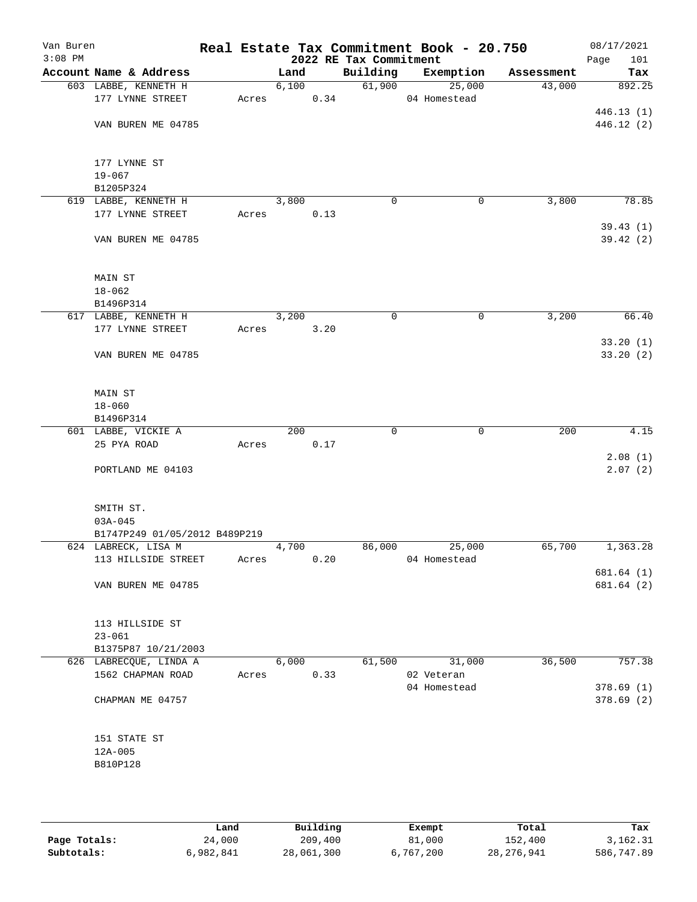| Van Buren<br>$3:08$ PM |                                                      |       |       |      | 2022 RE Tax Commitment | Real Estate Tax Commitment Book - 20.750 |            | 08/17/2021<br>Page<br>101 |
|------------------------|------------------------------------------------------|-------|-------|------|------------------------|------------------------------------------|------------|---------------------------|
|                        | Account Name & Address                               |       | Land  |      | Building               | Exemption                                | Assessment | Tax                       |
|                        | 603 LABBE, KENNETH H                                 |       | 6,100 |      | 61,900                 | 25,000                                   | 43,000     | 892.25                    |
|                        | 177 LYNNE STREET                                     | Acres |       | 0.34 |                        | 04 Homestead                             |            |                           |
|                        |                                                      |       |       |      |                        |                                          |            | 446.13(1)                 |
|                        | VAN BUREN ME 04785                                   |       |       |      |                        |                                          |            | 446.12 (2)                |
|                        |                                                      |       |       |      |                        |                                          |            |                           |
|                        |                                                      |       |       |      |                        |                                          |            |                           |
|                        | 177 LYNNE ST                                         |       |       |      |                        |                                          |            |                           |
|                        | $19 - 067$                                           |       |       |      |                        |                                          |            |                           |
|                        | B1205P324                                            |       |       |      |                        |                                          |            |                           |
|                        | 619 LABBE, KENNETH H<br>177 LYNNE STREET             |       | 3,800 |      | 0                      | 0                                        | 3,800      | 78.85                     |
|                        |                                                      | Acres |       | 0.13 |                        |                                          |            | 39.43(1)                  |
|                        | VAN BUREN ME 04785                                   |       |       |      |                        |                                          |            | 39.42 (2)                 |
|                        |                                                      |       |       |      |                        |                                          |            |                           |
|                        |                                                      |       |       |      |                        |                                          |            |                           |
|                        | MAIN ST                                              |       |       |      |                        |                                          |            |                           |
|                        | $18 - 062$                                           |       |       |      |                        |                                          |            |                           |
|                        | B1496P314                                            |       |       |      |                        |                                          |            |                           |
|                        | 617 LABBE, KENNETH H                                 |       | 3,200 |      | $\mathbf 0$            | $\mathbf 0$                              | 3,200      | 66.40                     |
|                        | 177 LYNNE STREET                                     | Acres |       | 3.20 |                        |                                          |            |                           |
|                        |                                                      |       |       |      |                        |                                          |            | 33.20(1)                  |
|                        | VAN BUREN ME 04785                                   |       |       |      |                        |                                          |            | 33.20(2)                  |
|                        |                                                      |       |       |      |                        |                                          |            |                           |
|                        | MAIN ST                                              |       |       |      |                        |                                          |            |                           |
|                        | $18 - 060$                                           |       |       |      |                        |                                          |            |                           |
|                        | B1496P314                                            |       |       |      |                        |                                          |            |                           |
|                        | 601 LABBE, VICKIE A                                  |       | 200   |      | $\mathbf 0$            | $\mathbf 0$                              | 200        | 4.15                      |
|                        | 25 PYA ROAD                                          | Acres |       | 0.17 |                        |                                          |            |                           |
|                        |                                                      |       |       |      |                        |                                          |            | 2.08(1)                   |
|                        | PORTLAND ME 04103                                    |       |       |      |                        |                                          |            | 2.07(2)                   |
|                        |                                                      |       |       |      |                        |                                          |            |                           |
|                        |                                                      |       |       |      |                        |                                          |            |                           |
|                        | SMITH ST.                                            |       |       |      |                        |                                          |            |                           |
|                        | $03A - 045$                                          |       |       |      |                        |                                          |            |                           |
|                        | B1747P249 01/05/2012 B489P219<br>624 LABRECK, LISA M |       | 4,700 |      | 86,000                 | 25,000                                   | 65,700     | 1,363.28                  |
|                        | 113 HILLSIDE STREET                                  | Acres |       | 0.20 |                        | 04 Homestead                             |            |                           |
|                        |                                                      |       |       |      |                        |                                          |            | 681.64(1)                 |
|                        | VAN BUREN ME 04785                                   |       |       |      |                        |                                          |            | 681.64(2)                 |
|                        |                                                      |       |       |      |                        |                                          |            |                           |
|                        |                                                      |       |       |      |                        |                                          |            |                           |
|                        | 113 HILLSIDE ST                                      |       |       |      |                        |                                          |            |                           |
|                        | $23 - 061$                                           |       |       |      |                        |                                          |            |                           |
|                        | B1375P87 10/21/2003                                  |       |       |      |                        |                                          |            |                           |
|                        | 626 LABRECQUE, LINDA A                               |       | 6,000 |      | 61,500                 | 31,000                                   | 36,500     | 757.38                    |
|                        | 1562 CHAPMAN ROAD                                    | Acres |       | 0.33 |                        | 02 Veteran                               |            |                           |
|                        |                                                      |       |       |      |                        | 04 Homestead                             |            | 378.69(1)                 |
|                        | CHAPMAN ME 04757                                     |       |       |      |                        |                                          |            | 378.69(2)                 |
|                        |                                                      |       |       |      |                        |                                          |            |                           |
|                        | 151 STATE ST                                         |       |       |      |                        |                                          |            |                           |
|                        | 12A-005                                              |       |       |      |                        |                                          |            |                           |
|                        | B810P128                                             |       |       |      |                        |                                          |            |                           |
|                        |                                                      |       |       |      |                        |                                          |            |                           |
|                        |                                                      |       |       |      |                        |                                          |            |                           |
|                        |                                                      |       |       |      |                        |                                          |            |                           |

|              | Land      | Building   | Exempt    | Total      | Tax        |
|--------------|-----------|------------|-----------|------------|------------|
| Page Totals: | 24,000    | 209,400    | 81,000    | 152,400    | 3,162.31   |
| Subtotals:   | 6,982,841 | 28,061,300 | 6,767,200 | 28,276,941 | 586,747.89 |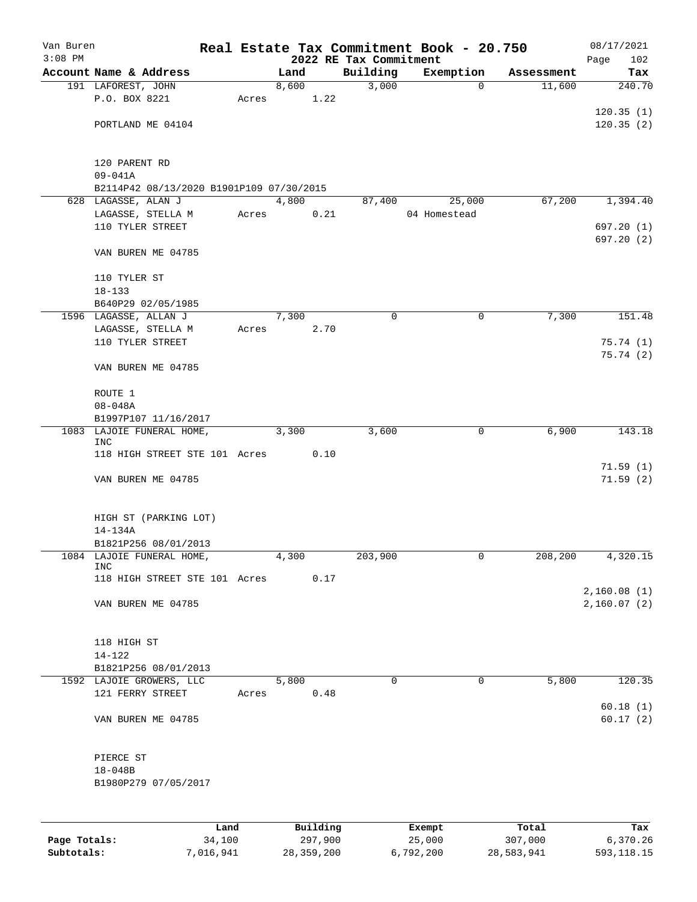| Van Buren |                                          |       |               |                        | Real Estate Tax Commitment Book - 20.750 |            | 08/17/2021  |
|-----------|------------------------------------------|-------|---------------|------------------------|------------------------------------------|------------|-------------|
| $3:08$ PM |                                          |       |               | 2022 RE Tax Commitment |                                          |            | 102<br>Page |
|           | Account Name & Address                   |       | Land          | Building               | Exemption<br>$\mathbf 0$                 | Assessment | Tax         |
|           | 191 LAFOREST, JOHN<br>P.O. BOX 8221      | Acres | 8,600<br>1.22 | 3,000                  |                                          | 11,600     | 240.70      |
|           |                                          |       |               |                        |                                          |            | 120.35(1)   |
|           | PORTLAND ME 04104                        |       |               |                        |                                          |            | 120.35(2)   |
|           |                                          |       |               |                        |                                          |            |             |
|           | 120 PARENT RD                            |       |               |                        |                                          |            |             |
|           | $09 - 041A$                              |       |               |                        |                                          |            |             |
|           | B2114P42 08/13/2020 B1901P109 07/30/2015 |       |               |                        |                                          |            |             |
|           | 628 LAGASSE, ALAN J                      |       | 4,800         | 87,400                 | 25,000                                   | 67,200     | 1,394.40    |
|           | LAGASSE, STELLA M                        | Acres | 0.21          |                        | 04 Homestead                             |            |             |
|           | 110 TYLER STREET                         |       |               |                        |                                          |            | 697.20(1)   |
|           | VAN BUREN ME 04785                       |       |               |                        |                                          |            | 697.20 (2)  |
|           | 110 TYLER ST                             |       |               |                        |                                          |            |             |
|           | $18 - 133$                               |       |               |                        |                                          |            |             |
|           | B640P29 02/05/1985                       |       |               |                        |                                          |            |             |
|           | 1596 LAGASSE, ALLAN J                    |       | 7,300         | 0                      | 0                                        | 7,300      | 151.48      |
|           | LAGASSE, STELLA M                        | Acres | 2.70          |                        |                                          |            |             |
|           | 110 TYLER STREET                         |       |               |                        |                                          |            | 75.74(1)    |
|           | VAN BUREN ME 04785                       |       |               |                        |                                          |            | 75.74(2)    |
|           | ROUTE 1                                  |       |               |                        |                                          |            |             |
|           | 08-048A                                  |       |               |                        |                                          |            |             |
|           | B1997P107 11/16/2017                     |       |               |                        |                                          |            |             |
|           | 1083 LAJOIE FUNERAL HOME,                |       | 3,300         | 3,600                  | $\mathbf 0$                              | 6,900      | 143.18      |
|           | <b>INC</b>                               |       |               |                        |                                          |            |             |
|           | 118 HIGH STREET STE 101 Acres            |       | 0.10          |                        |                                          |            | 71.59(1)    |
|           | VAN BUREN ME 04785                       |       |               |                        |                                          |            | 71.59(2)    |
|           | HIGH ST (PARKING LOT)                    |       |               |                        |                                          |            |             |
|           | 14-134A                                  |       |               |                        |                                          |            |             |
|           | B1821P256 08/01/2013                     |       |               |                        |                                          |            |             |
|           | 1084 LAJOIE FUNERAL HOME,                |       | 4,300         | 203,900                | 0                                        | 208,200    | 4,320.15    |
|           | INC<br>118 HIGH STREET STE 101 Acres     |       | 0.17          |                        |                                          |            |             |
|           |                                          |       |               |                        |                                          |            | 2,160.08(1) |
|           | VAN BUREN ME 04785                       |       |               |                        |                                          |            | 2,160.07(2) |
|           | 118 HIGH ST                              |       |               |                        |                                          |            |             |
|           | $14 - 122$                               |       |               |                        |                                          |            |             |
|           | B1821P256 08/01/2013                     |       |               |                        |                                          |            |             |
|           | 1592 LAJOIE GROWERS, LLC                 |       | 5,800         | 0                      | $\mathbf 0$                              | 5,800      | 120.35      |
|           | 121 FERRY STREET                         | Acres | 0.48          |                        |                                          |            |             |
|           |                                          |       |               |                        |                                          |            | 60.18(1)    |
|           | VAN BUREN ME 04785                       |       |               |                        |                                          |            | 60.17(2)    |
|           | PIERCE ST                                |       |               |                        |                                          |            |             |
|           | $18 - 048B$                              |       |               |                        |                                          |            |             |
|           | B1980P279 07/05/2017                     |       |               |                        |                                          |            |             |
|           |                                          |       |               |                        |                                          |            |             |
|           | Land                                     |       | Building      |                        | Exempt                                   | Total      | Tax         |

**Page Totals:** 34,100 297,900 25,000 307,000 6,370.26 **Subtotals:** 7,016,941 28,359,200 6,792,200 28,583,941 593,118.15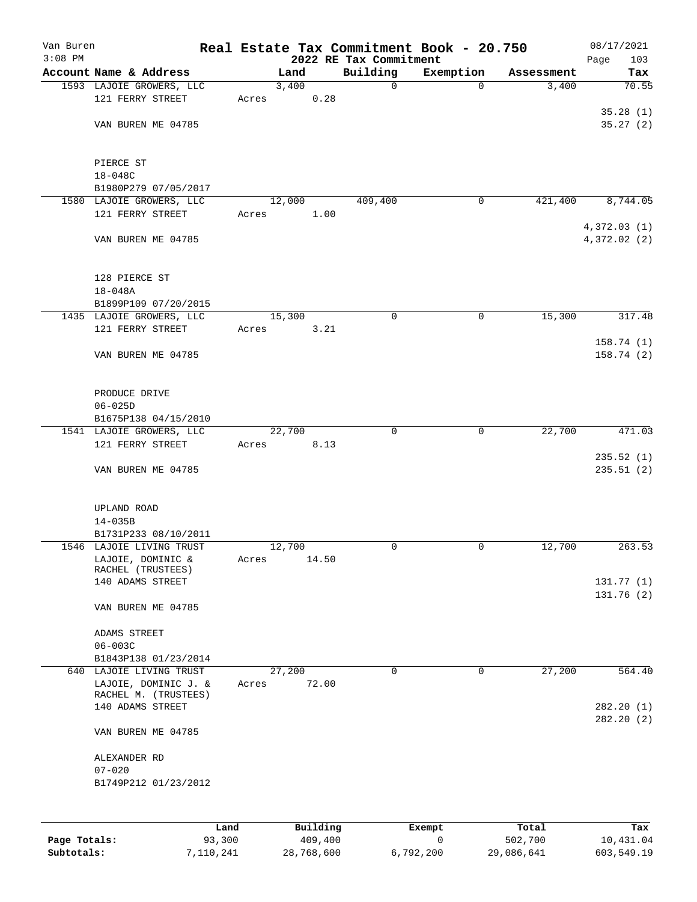| Van Buren |                          |       |        |          |                                    | Real Estate Tax Commitment Book - 20.750 |            | 08/17/2021             |
|-----------|--------------------------|-------|--------|----------|------------------------------------|------------------------------------------|------------|------------------------|
| $3:08$ PM | Account Name & Address   |       | Land   |          | 2022 RE Tax Commitment<br>Building | Exemption                                | Assessment | Page<br>103<br>Tax     |
|           | 1593 LAJOIE GROWERS, LLC |       | 3,400  |          | 0                                  | $\mathbf 0$                              | 3,400      | 70.55                  |
|           | 121 FERRY STREET         | Acres |        | 0.28     |                                    |                                          |            |                        |
|           |                          |       |        |          |                                    |                                          |            | 35.28(1)               |
|           | VAN BUREN ME 04785       |       |        |          |                                    |                                          |            | 35.27(2)               |
|           |                          |       |        |          |                                    |                                          |            |                        |
|           | PIERCE ST                |       |        |          |                                    |                                          |            |                        |
|           | $18 - 048C$              |       |        |          |                                    |                                          |            |                        |
|           | B1980P279 07/05/2017     |       |        |          |                                    |                                          |            |                        |
|           | 1580 LAJOIE GROWERS, LLC |       | 12,000 |          | 409,400                            | 0                                        | 421,400    | 8,744.05               |
|           | 121 FERRY STREET         | Acres |        | 1.00     |                                    |                                          |            |                        |
|           |                          |       |        |          |                                    |                                          |            | 4,372.03 (1)           |
|           | VAN BUREN ME 04785       |       |        |          |                                    |                                          |            | 4,372.02(2)            |
|           | 128 PIERCE ST            |       |        |          |                                    |                                          |            |                        |
|           | $18 - 048A$              |       |        |          |                                    |                                          |            |                        |
|           | B1899P109 07/20/2015     |       |        |          |                                    |                                          |            |                        |
|           | 1435 LAJOIE GROWERS, LLC |       | 15,300 |          | 0                                  | 0                                        | 15,300     | 317.48                 |
|           | 121 FERRY STREET         | Acres |        | 3.21     |                                    |                                          |            |                        |
|           |                          |       |        |          |                                    |                                          |            | 158.74(1)              |
|           | VAN BUREN ME 04785       |       |        |          |                                    |                                          |            | 158.74(2)              |
|           | PRODUCE DRIVE            |       |        |          |                                    |                                          |            |                        |
|           | $06 - 025D$              |       |        |          |                                    |                                          |            |                        |
|           | B1675P138 04/15/2010     |       |        |          |                                    |                                          |            |                        |
|           | 1541 LAJOIE GROWERS, LLC |       | 22,700 |          | $\mathbf 0$                        | $\mathbf 0$                              | 22,700     | 471.03                 |
|           | 121 FERRY STREET         | Acres |        | 8.13     |                                    |                                          |            |                        |
|           |                          |       |        |          |                                    |                                          |            | 235.52(1)              |
|           | VAN BUREN ME 04785       |       |        |          |                                    |                                          |            | 235.51(2)              |
|           | UPLAND ROAD              |       |        |          |                                    |                                          |            |                        |
|           | $14 - 035B$              |       |        |          |                                    |                                          |            |                        |
|           | B1731P233 08/10/2011     |       |        |          |                                    |                                          |            |                        |
|           | 1546 LAJOIE LIVING TRUST |       | 12,700 |          | 0                                  | 0                                        | 12,700     | 263.53                 |
|           | LAJOIE, DOMINIC &        | Acres |        | 14.50    |                                    |                                          |            |                        |
|           | RACHEL (TRUSTEES)        |       |        |          |                                    |                                          |            |                        |
|           | 140 ADAMS STREET         |       |        |          |                                    |                                          |            | 131.77 (1)             |
|           | VAN BUREN ME 04785       |       |        |          |                                    |                                          |            | 131.76(2)              |
|           | ADAMS STREET             |       |        |          |                                    |                                          |            |                        |
|           | $06 - 003C$              |       |        |          |                                    |                                          |            |                        |
|           | B1843P138 01/23/2014     |       |        |          |                                    |                                          |            |                        |
|           | 640 LAJOIE LIVING TRUST  |       | 27,200 |          | 0                                  | $\mathbf 0$                              | 27,200     | 564.40                 |
|           | LAJOIE, DOMINIC J. &     | Acres |        | 72.00    |                                    |                                          |            |                        |
|           | RACHEL M. (TRUSTEES)     |       |        |          |                                    |                                          |            |                        |
|           | 140 ADAMS STREET         |       |        |          |                                    |                                          |            | 282.20(1)<br>282.20(2) |
|           | VAN BUREN ME 04785       |       |        |          |                                    |                                          |            |                        |
|           | ALEXANDER RD             |       |        |          |                                    |                                          |            |                        |
|           | $07 - 020$               |       |        |          |                                    |                                          |            |                        |
|           | B1749P212 01/23/2012     |       |        |          |                                    |                                          |            |                        |
|           |                          |       |        |          |                                    |                                          |            |                        |
|           |                          | Land  |        | Building |                                    | Exempt                                   | Total      | Tax                    |

| Page Totals: | 93,300    | 409,400    |           | 502,700    | 10,431.04  |
|--------------|-----------|------------|-----------|------------|------------|
| Subtotals:   | 7,110,241 | 28,768,600 | 6,792,200 | 29,086,641 | 603,549.19 |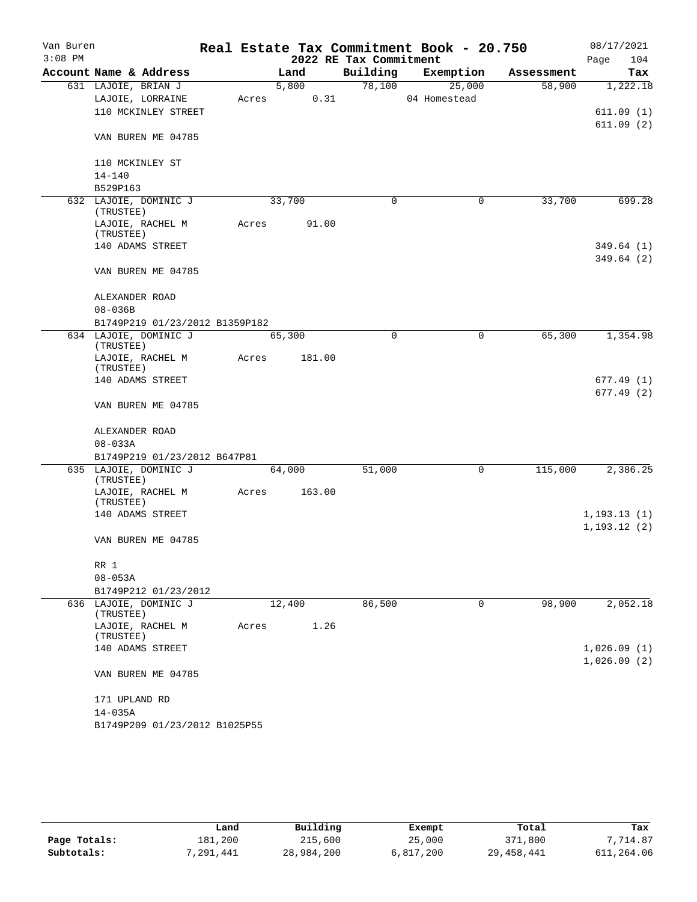| Van Buren |                                    |       |        |                        | Real Estate Tax Commitment Book - 20.750 |            | 08/17/2021             |
|-----------|------------------------------------|-------|--------|------------------------|------------------------------------------|------------|------------------------|
| $3:08$ PM |                                    |       |        | 2022 RE Tax Commitment |                                          |            | 104<br>Page            |
|           | Account Name & Address             |       | Land   | Building               | Exemption                                | Assessment | Tax                    |
|           | 631 LAJOIE, BRIAN J                |       | 5,800  | 78,100                 | 25,000                                   | 58,900     | 1,222.18               |
|           | LAJOIE, LORRAINE                   | Acres | 0.31   |                        | 04 Homestead                             |            |                        |
|           | 110 MCKINLEY STREET                |       |        |                        |                                          |            | 611.09(1)<br>611.09(2) |
|           | VAN BUREN ME 04785                 |       |        |                        |                                          |            |                        |
|           | 110 MCKINLEY ST                    |       |        |                        |                                          |            |                        |
|           | $14 - 140$                         |       |        |                        |                                          |            |                        |
|           | B529P163                           |       |        |                        |                                          |            |                        |
|           | 632 LAJOIE, DOMINIC J<br>(TRUSTEE) |       | 33,700 | $\mathbf 0$            | 0                                        | 33,700     | 699.28                 |
|           | LAJOIE, RACHEL M                   | Acres | 91.00  |                        |                                          |            |                        |
|           | (TRUSTEE)                          |       |        |                        |                                          |            |                        |
|           | 140 ADAMS STREET                   |       |        |                        |                                          |            | 349.64 (1)             |
|           | VAN BUREN ME 04785                 |       |        |                        |                                          |            | 349.64(2)              |
|           | ALEXANDER ROAD                     |       |        |                        |                                          |            |                        |
|           | $08 - 036B$                        |       |        |                        |                                          |            |                        |
|           | B1749P219 01/23/2012 B1359P182     |       |        |                        |                                          |            |                        |
|           | 634 LAJOIE, DOMINIC J              |       | 65,300 | $\mathbf 0$            | 0                                        | 65,300     | 1,354.98               |
|           | (TRUSTEE)                          |       |        |                        |                                          |            |                        |
|           | LAJOIE, RACHEL M<br>(TRUSTEE)      | Acres | 181.00 |                        |                                          |            |                        |
|           | 140 ADAMS STREET                   |       |        |                        |                                          |            | 677.49 (1)             |
|           |                                    |       |        |                        |                                          |            | 677.49(2)              |
|           | VAN BUREN ME 04785                 |       |        |                        |                                          |            |                        |
|           | ALEXANDER ROAD                     |       |        |                        |                                          |            |                        |
|           | $08 - 033A$                        |       |        |                        |                                          |            |                        |
|           | B1749P219 01/23/2012 B647P81       |       |        |                        |                                          |            |                        |
|           | 635 LAJOIE, DOMINIC J              |       | 64,000 | 51,000                 | 0                                        | 115,000    | 2,386.25               |
|           | (TRUSTEE)<br>LAJOIE, RACHEL M      | Acres | 163.00 |                        |                                          |            |                        |
|           | (TRUSTEE)                          |       |        |                        |                                          |            |                        |
|           | 140 ADAMS STREET                   |       |        |                        |                                          |            | 1, 193.13(1)           |
|           |                                    |       |        |                        |                                          |            | 1, 193.12(2)           |
|           | VAN BUREN ME 04785                 |       |        |                        |                                          |            |                        |
|           | RR 1                               |       |        |                        |                                          |            |                        |
|           | $08 - 053A$                        |       |        |                        |                                          |            |                        |
|           | B1749P212 01/23/2012               |       |        |                        |                                          |            |                        |
|           | 636 LAJOIE, DOMINIC J<br>(TRUSTEE) |       | 12,400 | 86,500                 | 0                                        | 98,900     | 2,052.18               |
|           | LAJOIE, RACHEL M<br>(TRUSTEE)      | Acres | 1.26   |                        |                                          |            |                        |
|           | 140 ADAMS STREET                   |       |        |                        |                                          |            | 1,026.09(1)            |
|           | VAN BUREN ME 04785                 |       |        |                        |                                          |            | 1,026.09(2)            |
|           | 171 UPLAND RD                      |       |        |                        |                                          |            |                        |
|           | $14 - 035A$                        |       |        |                        |                                          |            |                        |
|           | B1749P209 01/23/2012 B1025P55      |       |        |                        |                                          |            |                        |

|              | Land      | Building   | Exempt    | Total        | Tax        |
|--------------|-----------|------------|-----------|--------------|------------|
| Page Totals: | 181,200   | 215,600    | 25,000    | 371,800      | 7.714.87   |
| Subtotals:   | 7,291,441 | 28,984,200 | 6,817,200 | 29, 458, 441 | 611,264.06 |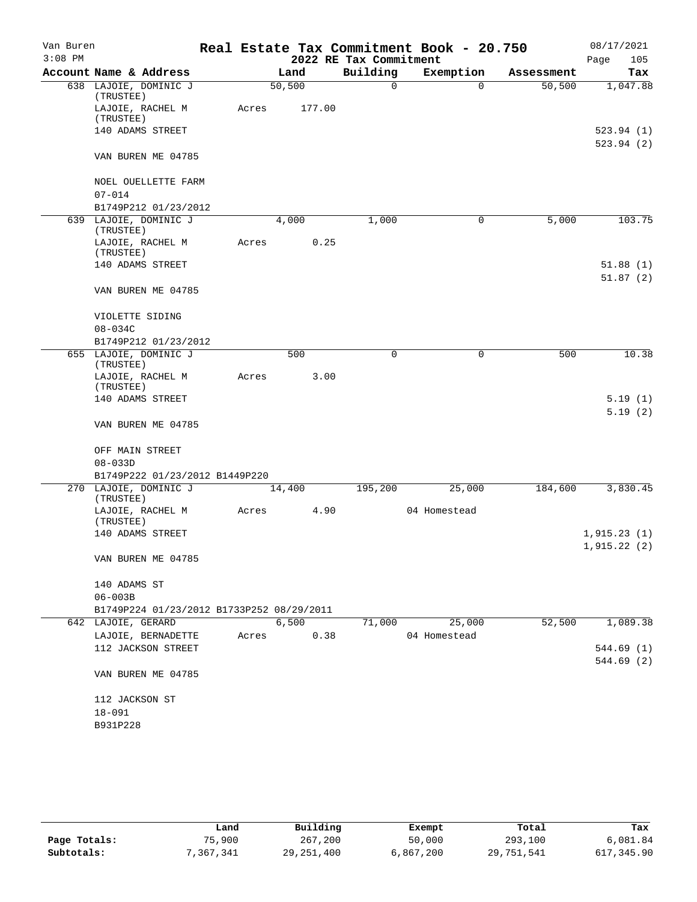| Van Buren |                                           |       |         |      |                        | Real Estate Tax Commitment Book - 20.750 |            | 08/17/2021               |
|-----------|-------------------------------------------|-------|---------|------|------------------------|------------------------------------------|------------|--------------------------|
| $3:08$ PM |                                           |       |         |      | 2022 RE Tax Commitment |                                          |            | 105<br>Page              |
|           | Account Name & Address                    |       | Land    |      | Building               | Exemption                                | Assessment | Tax                      |
|           | 638 LAJOIE, DOMINIC J<br>(TRUSTEE)        |       | 50, 500 |      | $\mathbf 0$            | $\Omega$                                 | 50, 500    | 1,047.88                 |
|           | LAJOIE, RACHEL M<br>(TRUSTEE)             | Acres | 177.00  |      |                        |                                          |            |                          |
|           | 140 ADAMS STREET                          |       |         |      |                        |                                          |            | 523.94(1)<br>523.94(2)   |
|           | VAN BUREN ME 04785                        |       |         |      |                        |                                          |            |                          |
|           | NOEL OUELLETTE FARM                       |       |         |      |                        |                                          |            |                          |
|           | $07 - 014$<br>B1749P212 01/23/2012        |       |         |      |                        |                                          |            |                          |
|           | 639 LAJOIE, DOMINIC J                     |       | 4,000   |      | 1,000                  | 0                                        | 5,000      | 103.75                   |
|           | (TRUSTEE)<br>LAJOIE, RACHEL M             | Acres |         | 0.25 |                        |                                          |            |                          |
|           | (TRUSTEE)                                 |       |         |      |                        |                                          |            |                          |
|           | 140 ADAMS STREET                          |       |         |      |                        |                                          |            | 51.88(1)<br>51.87(2)     |
|           | VAN BUREN ME 04785                        |       |         |      |                        |                                          |            |                          |
|           | VIOLETTE SIDING                           |       |         |      |                        |                                          |            |                          |
|           | $08 - 034C$                               |       |         |      |                        |                                          |            |                          |
|           | B1749P212 01/23/2012                      |       |         |      |                        |                                          |            |                          |
|           | 655 LAJOIE, DOMINIC J<br>(TRUSTEE)        |       | 500     |      | $\Omega$               | $\mathbf 0$                              | 500        | 10.38                    |
|           | LAJOIE, RACHEL M<br>(TRUSTEE)             | Acres |         | 3.00 |                        |                                          |            |                          |
|           | 140 ADAMS STREET                          |       |         |      |                        |                                          |            | 5.19(1)                  |
|           | VAN BUREN ME 04785                        |       |         |      |                        |                                          |            | 5.19(2)                  |
|           | OFF MAIN STREET                           |       |         |      |                        |                                          |            |                          |
|           | $08 - 033D$                               |       |         |      |                        |                                          |            |                          |
|           | B1749P222 01/23/2012 B1449P220            |       |         |      |                        |                                          |            |                          |
|           | 270 LAJOIE, DOMINIC J<br>(TRUSTEE)        |       | 14,400  |      | 195,200                | 25,000                                   | 184,600    | 3,830.45                 |
|           | LAJOIE, RACHEL M<br>(TRUSTEE)             | Acres |         | 4.90 |                        | 04 Homestead                             |            |                          |
|           | 140 ADAMS STREET                          |       |         |      |                        |                                          |            | 1,915.23(1)              |
|           | VAN BUREN ME 04785                        |       |         |      |                        |                                          |            | 1,915.22(2)              |
|           | 140 ADAMS ST                              |       |         |      |                        |                                          |            |                          |
|           | $06 - 003B$                               |       |         |      |                        |                                          |            |                          |
|           | B1749P224 01/23/2012 B1733P252 08/29/2011 |       |         |      |                        |                                          |            |                          |
|           | 642 LAJOIE, GERARD                        |       | 6,500   |      | 71,000                 | 25,000                                   | 52,500     | 1,089.38                 |
|           | LAJOIE, BERNADETTE                        | Acres |         | 0.38 |                        | 04 Homestead                             |            |                          |
|           | 112 JACKSON STREET                        |       |         |      |                        |                                          |            | 544.69 (1)<br>544.69 (2) |
|           | VAN BUREN ME 04785                        |       |         |      |                        |                                          |            |                          |
|           | 112 JACKSON ST                            |       |         |      |                        |                                          |            |                          |
|           | $18 - 091$                                |       |         |      |                        |                                          |            |                          |
|           | B931P228                                  |       |         |      |                        |                                          |            |                          |
|           |                                           |       |         |      |                        |                                          |            |                          |

|              | Land       | Building     | Exempt    | Total      | Tax        |
|--------------|------------|--------------|-----------|------------|------------|
| Page Totals: | 75,900     | 267,200      | 50,000    | 293,100    | 6,081.84   |
| Subtotals:   | , 367, 341 | 29, 251, 400 | 6,867,200 | 29,751,541 | 617,345.90 |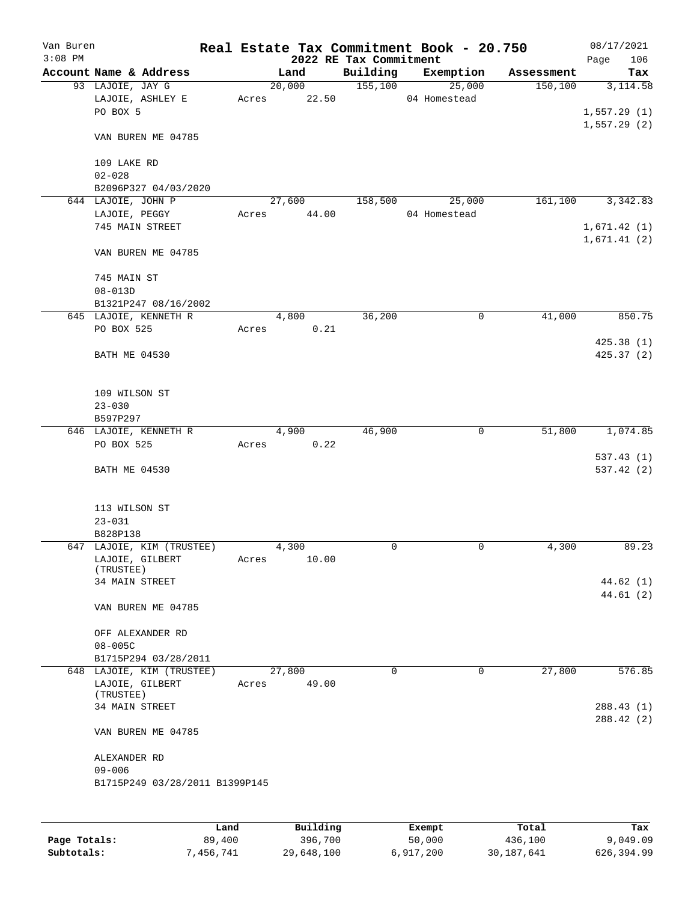| Van Buren |                                |       |                |                        | Real Estate Tax Commitment Book - 20.750 |                        | 08/17/2021      |
|-----------|--------------------------------|-------|----------------|------------------------|------------------------------------------|------------------------|-----------------|
| $3:08$ PM | Account Name & Address         |       |                | 2022 RE Tax Commitment |                                          |                        | 106<br>Page     |
|           | 93 LAJOIE, JAY G               |       | Land<br>20,000 | Building<br>155,100    | Exemption<br>25,000                      | Assessment<br>150, 100 | Tax<br>3,114.58 |
|           | LAJOIE, ASHLEY E               | Acres | 22.50          |                        | 04 Homestead                             |                        |                 |
|           | PO BOX 5                       |       |                |                        |                                          |                        | 1,557.29(1)     |
|           |                                |       |                |                        |                                          |                        | 1,557.29(2)     |
|           | VAN BUREN ME 04785             |       |                |                        |                                          |                        |                 |
|           |                                |       |                |                        |                                          |                        |                 |
|           | 109 LAKE RD                    |       |                |                        |                                          |                        |                 |
|           | $02 - 028$                     |       |                |                        |                                          |                        |                 |
|           | B2096P327 04/03/2020           |       |                |                        |                                          |                        |                 |
|           | 644 LAJOIE, JOHN P             |       | 27,600         | 158,500                | 25,000                                   | 161,100                | 3,342.83        |
|           | LAJOIE, PEGGY                  | Acres | 44.00          |                        | 04 Homestead                             |                        |                 |
|           | 745 MAIN STREET                |       |                |                        |                                          |                        | 1,671.42(1)     |
|           | VAN BUREN ME 04785             |       |                |                        |                                          |                        | 1,671.41(2)     |
|           |                                |       |                |                        |                                          |                        |                 |
|           | 745 MAIN ST                    |       |                |                        |                                          |                        |                 |
|           | $08 - 013D$                    |       |                |                        |                                          |                        |                 |
|           | B1321P247 08/16/2002           |       |                |                        |                                          |                        |                 |
|           | 645 LAJOIE, KENNETH R          |       | 4,800          | 36,200                 | 0                                        | 41,000                 | 850.75          |
|           | PO BOX 525                     | Acres | 0.21           |                        |                                          |                        |                 |
|           |                                |       |                |                        |                                          |                        | 425.38(1)       |
|           | <b>BATH ME 04530</b>           |       |                |                        |                                          |                        | 425.37(2)       |
|           | 109 WILSON ST                  |       |                |                        |                                          |                        |                 |
|           | $23 - 030$                     |       |                |                        |                                          |                        |                 |
|           | B597P297                       |       |                |                        |                                          |                        |                 |
|           | 646 LAJOIE, KENNETH R          |       | 4,900          | 46,900                 | $\mathbf 0$                              | 51,800                 | 1,074.85        |
|           | PO BOX 525                     | Acres | 0.22           |                        |                                          |                        |                 |
|           |                                |       |                |                        |                                          |                        | 537.43(1)       |
|           | <b>BATH ME 04530</b>           |       |                |                        |                                          |                        | 537.42(2)       |
|           |                                |       |                |                        |                                          |                        |                 |
|           | 113 WILSON ST                  |       |                |                        |                                          |                        |                 |
|           | $23 - 031$                     |       |                |                        |                                          |                        |                 |
|           | B828P138                       |       |                |                        |                                          |                        |                 |
|           | 647 LAJOIE, KIM (TRUSTEE)      |       | 4,300          | 0                      | 0                                        | 4,300                  | 89.23           |
|           | LAJOIE, GILBERT                | Acres | 10.00          |                        |                                          |                        |                 |
|           | (TRUSTEE)                      |       |                |                        |                                          |                        |                 |
|           | 34 MAIN STREET                 |       |                |                        |                                          |                        | 44.62 (1)       |
|           |                                |       |                |                        |                                          |                        | 44.61 (2)       |
|           | VAN BUREN ME 04785             |       |                |                        |                                          |                        |                 |
|           | OFF ALEXANDER RD               |       |                |                        |                                          |                        |                 |
|           | $08 - 005C$                    |       |                |                        |                                          |                        |                 |
|           | B1715P294 03/28/2011           |       |                |                        |                                          |                        |                 |
|           | 648 LAJOIE, KIM (TRUSTEE)      |       | 27,800         | 0                      | 0                                        | 27,800                 | 576.85          |
|           | LAJOIE, GILBERT                | Acres | 49.00          |                        |                                          |                        |                 |
|           | (TRUSTEE)<br>34 MAIN STREET    |       |                |                        |                                          |                        | 288.43(1)       |
|           |                                |       |                |                        |                                          |                        | 288.42(2)       |
|           | VAN BUREN ME 04785             |       |                |                        |                                          |                        |                 |
|           | ALEXANDER RD                   |       |                |                        |                                          |                        |                 |
|           | $09 - 006$                     |       |                |                        |                                          |                        |                 |
|           | B1715P249 03/28/2011 B1399P145 |       |                |                        |                                          |                        |                 |
|           |                                |       |                |                        |                                          |                        |                 |
|           |                                |       |                |                        |                                          |                        |                 |
|           |                                |       |                |                        |                                          |                        |                 |
|           |                                |       |                |                        |                                          |                        |                 |

|              | Land      | Building   | Exempt    | Total      | Tax        |
|--------------|-----------|------------|-----------|------------|------------|
| Page Totals: | 89,400    | 396,700    | 50,000    | 436,100    | 9,049.09   |
| Subtotals:   | 7,456,741 | 29,648,100 | 6,917,200 | 30,187,641 | 626,394.99 |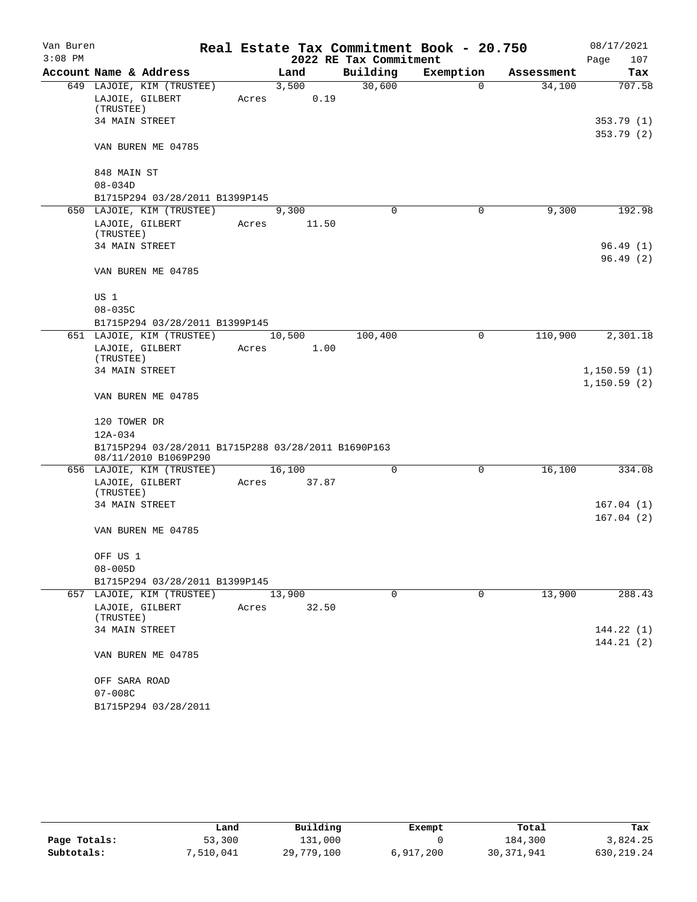| Van Buren |                        |                                                             |       |        |                        | Real Estate Tax Commitment Book - 20.750 |            | 08/17/2021  |
|-----------|------------------------|-------------------------------------------------------------|-------|--------|------------------------|------------------------------------------|------------|-------------|
| $3:08$ PM |                        |                                                             |       |        | 2022 RE Tax Commitment |                                          |            | 107<br>Page |
|           | Account Name & Address |                                                             |       | Land   | Building               | Exemption                                | Assessment | Tax         |
|           |                        | 649 LAJOIE, KIM (TRUSTEE)                                   |       | 3,500  | 30,600                 | 0                                        | 34,100     | 707.58      |
|           | LAJOIE, GILBERT        |                                                             | Acres | 0.19   |                        |                                          |            |             |
|           | (TRUSTEE)              |                                                             |       |        |                        |                                          |            |             |
|           | 34 MAIN STREET         |                                                             |       |        |                        |                                          |            | 353.79(1)   |
|           |                        |                                                             |       |        |                        |                                          |            | 353.79(2)   |
|           | VAN BUREN ME 04785     |                                                             |       |        |                        |                                          |            |             |
|           | 848 MAIN ST            |                                                             |       |        |                        |                                          |            |             |
|           | $08 - 034D$            |                                                             |       |        |                        |                                          |            |             |
|           |                        | B1715P294 03/28/2011 B1399P145                              |       |        |                        |                                          |            |             |
|           |                        | 650 LAJOIE, KIM (TRUSTEE)                                   |       | 9,300  | $\Omega$               | 0                                        | 9,300      | 192.98      |
|           | LAJOIE, GILBERT        |                                                             | Acres | 11.50  |                        |                                          |            |             |
|           | (TRUSTEE)              |                                                             |       |        |                        |                                          |            |             |
|           | 34 MAIN STREET         |                                                             |       |        |                        |                                          |            | 96.49(1)    |
|           |                        |                                                             |       |        |                        |                                          |            | 96.49(2)    |
|           | VAN BUREN ME 04785     |                                                             |       |        |                        |                                          |            |             |
|           |                        |                                                             |       |        |                        |                                          |            |             |
|           | US 1                   |                                                             |       |        |                        |                                          |            |             |
|           | $08 - 035C$            |                                                             |       |        |                        |                                          |            |             |
|           |                        | B1715P294 03/28/2011 B1399P145                              |       |        |                        |                                          |            |             |
|           |                        | 651 LAJOIE, KIM (TRUSTEE)                                   |       | 10,500 | 100,400                | 0                                        | 110,900    | 2,301.18    |
|           | LAJOIE, GILBERT        |                                                             | Acres | 1.00   |                        |                                          |            |             |
|           | (TRUSTEE)              |                                                             |       |        |                        |                                          |            |             |
|           | 34 MAIN STREET         |                                                             |       |        |                        |                                          |            | 1,150.59(1) |
|           |                        |                                                             |       |        |                        |                                          |            | 1,150.59(2) |
|           | VAN BUREN ME 04785     |                                                             |       |        |                        |                                          |            |             |
|           | 120 TOWER DR           |                                                             |       |        |                        |                                          |            |             |
|           | 12A-034                |                                                             |       |        |                        |                                          |            |             |
|           |                        | B1715P294 03/28/2011 B1715P288 03/28/2011 B1690P163         |       |        |                        |                                          |            |             |
|           |                        | 08/11/2010 B1069P290                                        |       |        |                        |                                          |            |             |
|           |                        | 656 LAJOIE, KIM (TRUSTEE)                                   |       | 16,100 | 0                      | 0                                        | 16,100     | 334.08      |
|           | LAJOIE, GILBERT        |                                                             | Acres | 37.87  |                        |                                          |            |             |
|           | (TRUSTEE)              |                                                             |       |        |                        |                                          |            |             |
|           | 34 MAIN STREET         |                                                             |       |        |                        |                                          |            | 167.04(1)   |
|           |                        |                                                             |       |        |                        |                                          |            | 167.04(2)   |
|           | VAN BUREN ME 04785     |                                                             |       |        |                        |                                          |            |             |
|           |                        |                                                             |       |        |                        |                                          |            |             |
|           | OFF US 1               |                                                             |       |        |                        |                                          |            |             |
|           | $08 - 005D$            |                                                             |       |        |                        |                                          |            |             |
|           |                        | B1715P294 03/28/2011 B1399P145<br>657 LAJOIE, KIM (TRUSTEE) |       | 13,900 | 0                      | 0                                        | 13,900     | 288.43      |
|           | LAJOIE, GILBERT        |                                                             | Acres | 32.50  |                        |                                          |            |             |
|           | (TRUSTEE)              |                                                             |       |        |                        |                                          |            |             |
|           | 34 MAIN STREET         |                                                             |       |        |                        |                                          |            | 144.22(1)   |
|           |                        |                                                             |       |        |                        |                                          |            | 144.21(2)   |
|           | VAN BUREN ME 04785     |                                                             |       |        |                        |                                          |            |             |
|           |                        |                                                             |       |        |                        |                                          |            |             |
|           | OFF SARA ROAD          |                                                             |       |        |                        |                                          |            |             |
|           | $07 - 008C$            |                                                             |       |        |                        |                                          |            |             |
|           |                        | B1715P294 03/28/2011                                        |       |        |                        |                                          |            |             |

|              | Land      | Building   | Exempt    | Total      | Tax        |
|--------------|-----------|------------|-----------|------------|------------|
| Page Totals: | 53,300    | 131,000    |           | 184,300    | 3,824.25   |
| Subtotals:   | 7,510,041 | 29,779,100 | 6.917.200 | 30,371,941 | 630,219.24 |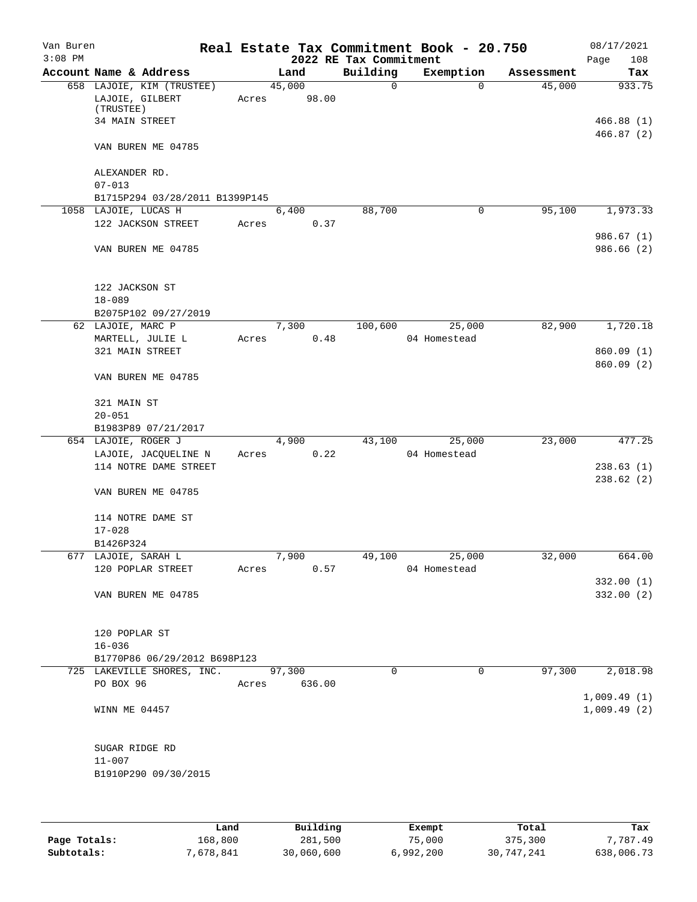| Van Buren<br>$3:08$ PM |                                                           |       |        |        | 2022 RE Tax Commitment | Real Estate Tax Commitment Book - 20.750 |            | 08/17/2021<br>108<br>Page |
|------------------------|-----------------------------------------------------------|-------|--------|--------|------------------------|------------------------------------------|------------|---------------------------|
|                        | Account Name & Address                                    |       | Land   |        | Building               | Exemption                                | Assessment | Tax                       |
|                        | 658 LAJOIE, KIM (TRUSTEE)<br>LAJOIE, GILBERT<br>(TRUSTEE) | Acres | 45,000 | 98.00  | 0                      | $\Omega$                                 | 45,000     | 933.75                    |
|                        | 34 MAIN STREET<br>VAN BUREN ME 04785                      |       |        |        |                        |                                          |            | 466.88(1)<br>466.87(2)    |
|                        | ALEXANDER RD.                                             |       |        |        |                        |                                          |            |                           |
|                        | $07 - 013$<br>B1715P294 03/28/2011 B1399P145              |       |        |        |                        |                                          |            |                           |
|                        | 1058 LAJOIE, LUCAS H                                      |       | 6,400  |        | 88,700                 | 0                                        | 95,100     | 1,973.33                  |
|                        | 122 JACKSON STREET                                        | Acres |        | 0.37   |                        |                                          |            | 986.67 (1)                |
|                        | VAN BUREN ME 04785                                        |       |        |        |                        |                                          |            | 986.66(2)                 |
|                        | 122 JACKSON ST<br>$18 - 089$                              |       |        |        |                        |                                          |            |                           |
|                        | B2075P102 09/27/2019<br>62 LAJOIE, MARC P                 |       | 7,300  |        | 100,600                | 25,000                                   | 82,900     | 1,720.18                  |
|                        | MARTELL, JULIE L                                          | Acres |        | 0.48   |                        | 04 Homestead                             |            |                           |
|                        | 321 MAIN STREET                                           |       |        |        |                        |                                          |            | 860.09(1)                 |
|                        |                                                           |       |        |        |                        |                                          |            | 860.09 (2)                |
|                        | VAN BUREN ME 04785                                        |       |        |        |                        |                                          |            |                           |
|                        | 321 MAIN ST                                               |       |        |        |                        |                                          |            |                           |
|                        | $20 - 051$                                                |       |        |        |                        |                                          |            |                           |
|                        | B1983P89 07/21/2017                                       |       |        |        |                        |                                          |            |                           |
|                        | 654 LAJOIE, ROGER J                                       |       | 4,900  |        | 43,100                 | 25,000                                   | 23,000     | 477.25                    |
|                        | LAJOIE, JACQUELINE N                                      | Acres |        | 0.22   |                        | 04 Homestead                             |            |                           |
|                        | 114 NOTRE DAME STREET                                     |       |        |        |                        |                                          |            | 238.63(1)                 |
|                        | VAN BUREN ME 04785                                        |       |        |        |                        |                                          |            | 238.62(2)                 |
|                        | 114 NOTRE DAME ST<br>$17 - 028$                           |       |        |        |                        |                                          |            |                           |
|                        | B1426P324                                                 |       |        |        |                        |                                          |            |                           |
|                        | 677 LAJOIE, SARAH L                                       |       | 7,900  |        | 49,100                 | $\frac{1}{25,000}$                       | 32,000     | 664.00                    |
|                        | 120 POPLAR STREET                                         | Acres |        | 0.57   |                        | 04 Homestead                             |            |                           |
|                        |                                                           |       |        |        |                        |                                          |            | 332.00(1)                 |
|                        | VAN BUREN ME 04785                                        |       |        |        |                        |                                          |            | 332.00 (2)                |
|                        | 120 POPLAR ST<br>$16 - 036$                               |       |        |        |                        |                                          |            |                           |
|                        | B1770P86 06/29/2012 B698P123                              |       |        |        |                        |                                          |            |                           |
|                        | 725 LAKEVILLE SHORES, INC.                                |       | 97,300 |        | $\Omega$               | 0                                        | 97,300     | 2,018.98                  |
|                        | PO BOX 96                                                 | Acres |        | 636.00 |                        |                                          |            | 1,009.49(1)               |
|                        | WINN ME 04457                                             |       |        |        |                        |                                          |            | 1,009.49(2)               |
|                        | SUGAR RIDGE RD                                            |       |        |        |                        |                                          |            |                           |
|                        | $11 - 007$                                                |       |        |        |                        |                                          |            |                           |
|                        | B1910P290 09/30/2015                                      |       |        |        |                        |                                          |            |                           |
|                        |                                                           |       |        |        |                        |                                          |            |                           |

|              | Land      | Building   | Exempt    | Total      | Tax        |
|--------------|-----------|------------|-----------|------------|------------|
| Page Totals: | 168,800   | 281,500    | 75,000    | 375,300    | 7.787.49   |
| Subtotals:   | 7,678,841 | 30,060,600 | 6.992.200 | 30,747,241 | 638,006.73 |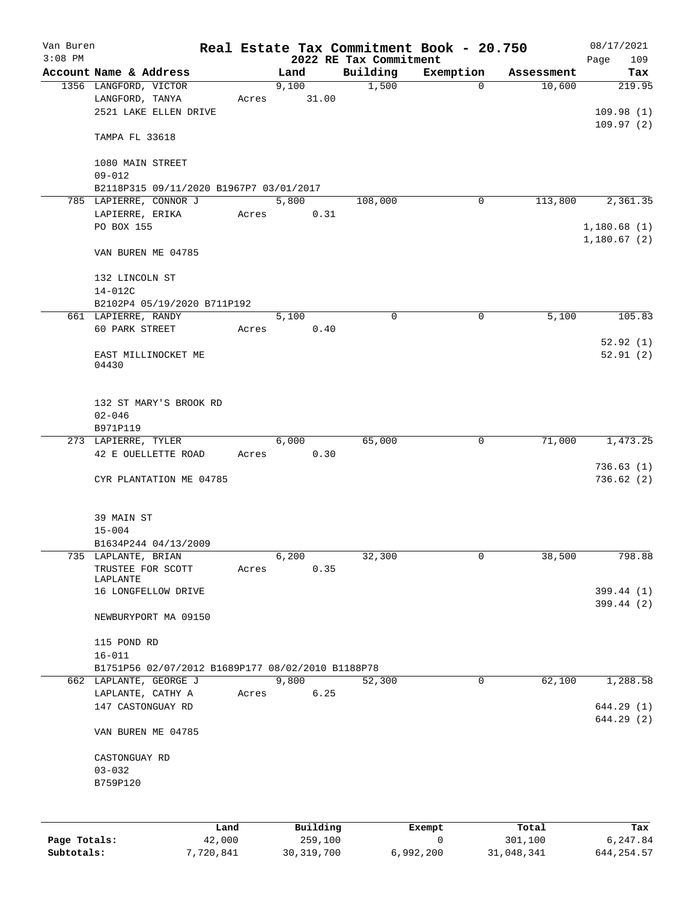| Van Buren<br>$3:08$ PM |                                                    |       |          |                                    | Real Estate Tax Commitment Book - 20.750 |                      | 08/17/2021               |
|------------------------|----------------------------------------------------|-------|----------|------------------------------------|------------------------------------------|----------------------|--------------------------|
|                        | Account Name & Address                             |       | Land     | 2022 RE Tax Commitment<br>Building |                                          |                      | Page<br>109<br>Tax       |
|                        | 1356 LANGFORD, VICTOR                              |       | 9,100    | 1,500                              | Exemption<br>0                           | Assessment<br>10,600 | 219.95                   |
|                        | LANGFORD, TANYA                                    | Acres | 31.00    |                                    |                                          |                      |                          |
|                        | 2521 LAKE ELLEN DRIVE                              |       |          |                                    |                                          |                      | 109.98(1)                |
|                        |                                                    |       |          |                                    |                                          |                      | 109.97(2)                |
|                        | TAMPA FL 33618                                     |       |          |                                    |                                          |                      |                          |
|                        | 1080 MAIN STREET                                   |       |          |                                    |                                          |                      |                          |
|                        | $09 - 012$                                         |       |          |                                    |                                          |                      |                          |
|                        | B2118P315 09/11/2020 B1967P7 03/01/2017            |       |          |                                    |                                          |                      |                          |
|                        | 785 LAPIERRE, CONNOR J                             |       | 5,800    | 108,000                            | 0                                        | 113,800              | 2,361.35                 |
|                        | LAPIERRE, ERIKA                                    | Acres | 0.31     |                                    |                                          |                      |                          |
|                        | PO BOX 155                                         |       |          |                                    |                                          |                      | 1,180.68(1)              |
|                        | VAN BUREN ME 04785                                 |       |          |                                    |                                          |                      | 1,180.67(2)              |
|                        |                                                    |       |          |                                    |                                          |                      |                          |
|                        | 132 LINCOLN ST                                     |       |          |                                    |                                          |                      |                          |
|                        | $14 - 012C$                                        |       |          |                                    |                                          |                      |                          |
|                        | B2102P4 05/19/2020 B711P192<br>661 LAPIERRE, RANDY |       | 5,100    | 0                                  | 0                                        | 5,100                | 105.83                   |
|                        | 60 PARK STREET                                     | Acres | 0.40     |                                    |                                          |                      |                          |
|                        |                                                    |       |          |                                    |                                          |                      | 52.92(1)                 |
|                        | EAST MILLINOCKET ME                                |       |          |                                    |                                          |                      | 52.91(2)                 |
|                        | 04430                                              |       |          |                                    |                                          |                      |                          |
|                        | 132 ST MARY'S BROOK RD                             |       |          |                                    |                                          |                      |                          |
|                        | $02 - 046$                                         |       |          |                                    |                                          |                      |                          |
|                        | B971P119                                           |       |          |                                    |                                          |                      |                          |
|                        | 273 LAPIERRE, TYLER                                |       | 6,000    | 65,000                             | 0                                        | 71,000               | 1,473.25                 |
|                        | 42 E OUELLETTE ROAD                                | Acres | 0.30     |                                    |                                          |                      |                          |
|                        |                                                    |       |          |                                    |                                          |                      | 736.63(1)                |
|                        | CYR PLANTATION ME 04785                            |       |          |                                    |                                          |                      | 736.62(2)                |
|                        |                                                    |       |          |                                    |                                          |                      |                          |
|                        | 39 MAIN ST                                         |       |          |                                    |                                          |                      |                          |
|                        | $15 - 004$                                         |       |          |                                    |                                          |                      |                          |
|                        | B1634P244 04/13/2009                               |       |          |                                    |                                          |                      |                          |
|                        | 735 LAPLANTE, BRIAN                                |       | 6,200    | 32,300                             | 0                                        | 38,500               | 798.88                   |
|                        | TRUSTEE FOR SCOTT<br>LAPLANTE                      | Acres | 0.35     |                                    |                                          |                      |                          |
|                        | 16 LONGFELLOW DRIVE                                |       |          |                                    |                                          |                      | 399.44 (1)               |
|                        |                                                    |       |          |                                    |                                          |                      | 399.44 (2)               |
|                        | NEWBURYPORT MA 09150                               |       |          |                                    |                                          |                      |                          |
|                        | 115 POND RD                                        |       |          |                                    |                                          |                      |                          |
|                        | $16 - 011$                                         |       |          |                                    |                                          |                      |                          |
|                        | B1751P56 02/07/2012 B1689P177 08/02/2010 B1188P78  |       |          |                                    |                                          |                      |                          |
|                        | 662 LAPLANTE, GEORGE J                             |       | 9,800    | 52,300                             | 0                                        | 62,100               | 1,288.58                 |
|                        | LAPLANTE, CATHY A                                  | Acres | 6.25     |                                    |                                          |                      |                          |
|                        | 147 CASTONGUAY RD                                  |       |          |                                    |                                          |                      | 644.29 (1)<br>644.29 (2) |
|                        | VAN BUREN ME 04785                                 |       |          |                                    |                                          |                      |                          |
|                        | CASTONGUAY RD                                      |       |          |                                    |                                          |                      |                          |
|                        | $03 - 032$                                         |       |          |                                    |                                          |                      |                          |
|                        | B759P120                                           |       |          |                                    |                                          |                      |                          |
|                        |                                                    |       |          |                                    |                                          |                      |                          |
|                        | Land                                               |       | Building |                                    |                                          | Total                | Tax                      |
| Page Totals:           | 42,000                                             |       | 259,100  |                                    | Exempt<br>$\mathsf{O}$                   | 301,100              | 6,247.84                 |

**Subtotals:** 7,720,841 30,319,700 6,992,200 31,048,341 644,254.57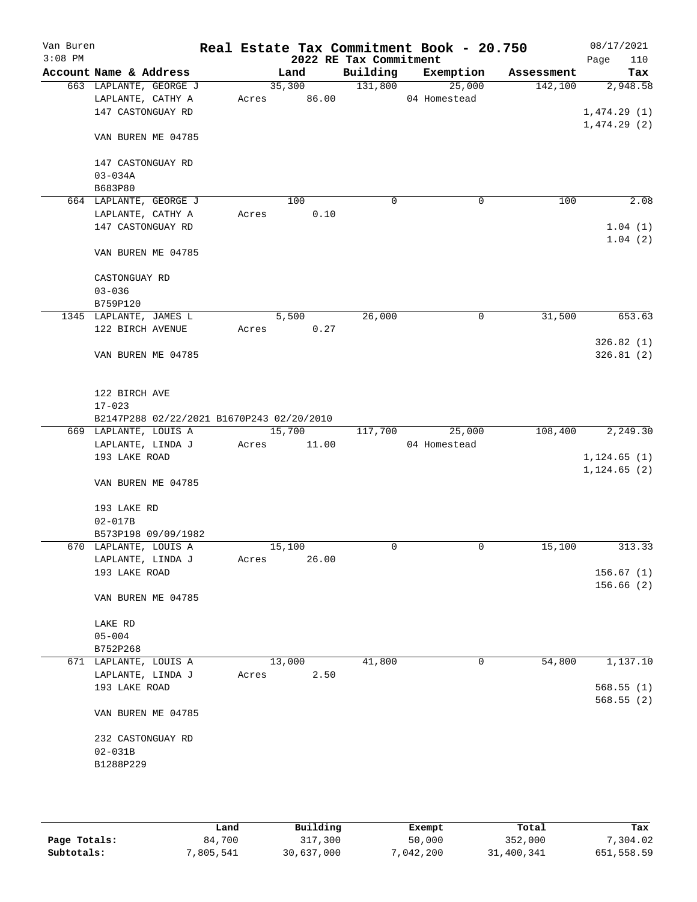| Van Buren |                                           |       |             |                        | Real Estate Tax Commitment Book - 20.750 |            | 08/17/2021   |
|-----------|-------------------------------------------|-------|-------------|------------------------|------------------------------------------|------------|--------------|
| $3:08$ PM |                                           |       |             | 2022 RE Tax Commitment |                                          |            | 110<br>Page  |
|           | Account Name & Address                    |       | Land        | Building               | Exemption                                | Assessment | Tax          |
|           | 663 LAPLANTE, GEORGE J                    |       | 35,300      | 131,800                | 25,000                                   | 142,100    | 2,948.58     |
|           | LAPLANTE, CATHY A                         |       | Acres 86.00 |                        | 04 Homestead                             |            |              |
|           | 147 CASTONGUAY RD                         |       |             |                        |                                          |            | 1,474.29(1)  |
|           |                                           |       |             |                        |                                          |            | 1,474.29(2)  |
|           | VAN BUREN ME 04785                        |       |             |                        |                                          |            |              |
|           |                                           |       |             |                        |                                          |            |              |
|           | 147 CASTONGUAY RD                         |       |             |                        |                                          |            |              |
|           | $03 - 034A$                               |       |             |                        |                                          |            |              |
|           | B683P80                                   |       |             |                        |                                          |            |              |
|           | 664 LAPLANTE, GEORGE J                    |       | 100         | $\mathbf 0$            | 0                                        | 100        | 2.08         |
|           | LAPLANTE, CATHY A                         | Acres | 0.10        |                        |                                          |            |              |
|           | 147 CASTONGUAY RD                         |       |             |                        |                                          |            | 1.04(1)      |
|           |                                           |       |             |                        |                                          |            | 1.04(2)      |
|           | VAN BUREN ME 04785                        |       |             |                        |                                          |            |              |
|           |                                           |       |             |                        |                                          |            |              |
|           | CASTONGUAY RD                             |       |             |                        |                                          |            |              |
|           | $03 - 036$                                |       |             |                        |                                          |            |              |
|           | B759P120                                  |       |             |                        |                                          |            |              |
|           |                                           |       |             |                        |                                          |            |              |
|           | 1345 LAPLANTE, JAMES L                    |       | 5,500       | 26,000                 | 0                                        | 31,500     | 653.63       |
|           | 122 BIRCH AVENUE                          |       | Acres 0.27  |                        |                                          |            |              |
|           |                                           |       |             |                        |                                          |            | 326.82(1)    |
|           | VAN BUREN ME 04785                        |       |             |                        |                                          |            | 326.81(2)    |
|           |                                           |       |             |                        |                                          |            |              |
|           |                                           |       |             |                        |                                          |            |              |
|           | 122 BIRCH AVE                             |       |             |                        |                                          |            |              |
|           | $17 - 023$                                |       |             |                        |                                          |            |              |
|           | B2147P288 02/22/2021 B1670P243 02/20/2010 |       |             |                        |                                          |            |              |
|           | 669 LAPLANTE, LOUIS A                     |       | 15,700      | 117,700                | 25,000                                   | 108,400    | 2,249.30     |
|           | LAPLANTE, LINDA J                         | Acres | 11.00       |                        | 04 Homestead                             |            |              |
|           | 193 LAKE ROAD                             |       |             |                        |                                          |            | 1, 124.65(1) |
|           |                                           |       |             |                        |                                          |            | 1, 124.65(2) |
|           | VAN BUREN ME 04785                        |       |             |                        |                                          |            |              |
|           |                                           |       |             |                        |                                          |            |              |
|           | 193 LAKE RD                               |       |             |                        |                                          |            |              |
|           | $02 - 017B$                               |       |             |                        |                                          |            |              |
|           | B573P198 09/09/1982                       |       |             |                        |                                          |            |              |
|           | 670 LAPLANTE, LOUIS A                     |       | 15,100      | 0                      | $\mathbf 0$                              | 15,100     | 313.33       |
|           | LAPLANTE, LINDA J                         | Acres | 26.00       |                        |                                          |            |              |
|           | 193 LAKE ROAD                             |       |             |                        |                                          |            | 156.67(1)    |
|           |                                           |       |             |                        |                                          |            | 156.66 (2)   |
|           | VAN BUREN ME 04785                        |       |             |                        |                                          |            |              |
|           |                                           |       |             |                        |                                          |            |              |
|           | LAKE RD                                   |       |             |                        |                                          |            |              |
|           | $05 - 004$                                |       |             |                        |                                          |            |              |
|           | B752P268                                  |       |             |                        |                                          |            |              |
|           | 671 LAPLANTE, LOUIS A                     |       | 13,000      | 41,800                 | 0                                        | 54,800     | 1,137.10     |
|           | LAPLANTE, LINDA J                         | Acres | 2.50        |                        |                                          |            |              |
|           | 193 LAKE ROAD                             |       |             |                        |                                          |            | 568.55(1)    |
|           |                                           |       |             |                        |                                          |            | 568.55(2)    |
|           | VAN BUREN ME 04785                        |       |             |                        |                                          |            |              |
|           |                                           |       |             |                        |                                          |            |              |
|           | 232 CASTONGUAY RD                         |       |             |                        |                                          |            |              |
|           | $02 - 031B$                               |       |             |                        |                                          |            |              |
|           | B1288P229                                 |       |             |                        |                                          |            |              |
|           |                                           |       |             |                        |                                          |            |              |
|           |                                           |       |             |                        |                                          |            |              |
|           |                                           |       |             |                        |                                          |            |              |
|           |                                           |       |             |                        |                                          |            |              |

|              | Land      | Building   | Exempt    | Total      | Tax        |
|--------------|-----------|------------|-----------|------------|------------|
| Page Totals: | 84,700    | 317,300    | 50,000    | 352,000    | 7,304.02   |
| Subtotals:   | 7,805,541 | 30,637,000 | 7,042,200 | 31,400,341 | 651,558.59 |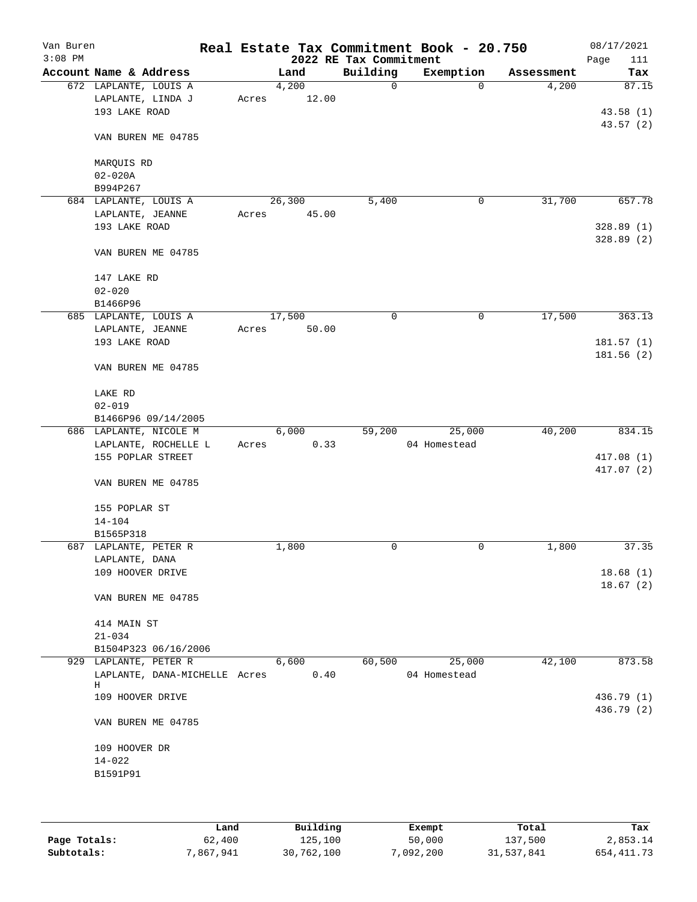| Van Buren<br>$3:08$ PM |                                    |       |        | 2022 RE Tax Commitment | Real Estate Tax Commitment Book - 20.750 |            | 08/17/2021<br>Page<br>111 |
|------------------------|------------------------------------|-------|--------|------------------------|------------------------------------------|------------|---------------------------|
|                        | Account Name & Address             |       | Land   | Building               | Exemption                                | Assessment | Tax                       |
|                        | 672 LAPLANTE, LOUIS A              |       | 4,200  | $\mathbf 0$            | $\Omega$                                 | 4,200      | 87.15                     |
|                        | LAPLANTE, LINDA J                  | Acres | 12.00  |                        |                                          |            |                           |
|                        | 193 LAKE ROAD                      |       |        |                        |                                          |            | 43.58(1)                  |
|                        |                                    |       |        |                        |                                          |            | 43.57 (2)                 |
|                        | VAN BUREN ME 04785                 |       |        |                        |                                          |            |                           |
|                        |                                    |       |        |                        |                                          |            |                           |
|                        | MARQUIS RD                         |       |        |                        |                                          |            |                           |
|                        | $02 - 020A$                        |       |        |                        |                                          |            |                           |
|                        | B994P267                           |       |        |                        |                                          |            |                           |
|                        | 684 LAPLANTE, LOUIS A              |       | 26,300 | 5,400                  | 0                                        | 31,700     | 657.78                    |
|                        | LAPLANTE, JEANNE                   | Acres | 45.00  |                        |                                          |            |                           |
|                        | 193 LAKE ROAD                      |       |        |                        |                                          |            | 328.89(1)                 |
|                        |                                    |       |        |                        |                                          |            | 328.89(2)                 |
|                        | VAN BUREN ME 04785                 |       |        |                        |                                          |            |                           |
|                        |                                    |       |        |                        |                                          |            |                           |
|                        | 147 LAKE RD                        |       |        |                        |                                          |            |                           |
|                        | $02 - 020$                         |       |        |                        |                                          |            |                           |
|                        | B1466P96                           |       |        |                        |                                          |            |                           |
|                        | 685 LAPLANTE, LOUIS A              |       | 17,500 | 0                      | 0                                        | 17,500     | 363.13                    |
|                        | LAPLANTE, JEANNE                   | Acres | 50.00  |                        |                                          |            |                           |
|                        | 193 LAKE ROAD                      |       |        |                        |                                          |            | 181.57(1)                 |
|                        |                                    |       |        |                        |                                          |            | 181.56(2)                 |
|                        | VAN BUREN ME 04785                 |       |        |                        |                                          |            |                           |
|                        |                                    |       |        |                        |                                          |            |                           |
|                        | LAKE RD                            |       |        |                        |                                          |            |                           |
|                        | $02 - 019$                         |       |        |                        |                                          |            |                           |
|                        | B1466P96 09/14/2005                |       |        |                        |                                          |            |                           |
|                        | 686 LAPLANTE, NICOLE M             |       | 6,000  | 59,200                 | 25,000                                   | 40,200     | 834.15                    |
|                        | LAPLANTE, ROCHELLE L               | Acres | 0.33   |                        | 04 Homestead                             |            |                           |
|                        | 155 POPLAR STREET                  |       |        |                        |                                          |            | 417.08(1)                 |
|                        |                                    |       |        |                        |                                          |            | 417.07(2)                 |
|                        | VAN BUREN ME 04785                 |       |        |                        |                                          |            |                           |
|                        |                                    |       |        |                        |                                          |            |                           |
|                        | 155 POPLAR ST                      |       |        |                        |                                          |            |                           |
|                        | $14 - 104$                         |       |        |                        |                                          |            |                           |
|                        | B1565P318                          |       |        |                        |                                          |            |                           |
|                        | 687 LAPLANTE, PETER R              |       | 1,800  | 0                      | 0                                        | 1,800      | 37.35                     |
|                        | LAPLANTE, DANA                     |       |        |                        |                                          |            |                           |
|                        | 109 HOOVER DRIVE                   |       |        |                        |                                          |            | 18.68(1)                  |
|                        |                                    |       |        |                        |                                          |            | 18.67(2)                  |
|                        | VAN BUREN ME 04785                 |       |        |                        |                                          |            |                           |
|                        |                                    |       |        |                        |                                          |            |                           |
|                        | 414 MAIN ST                        |       |        |                        |                                          |            |                           |
|                        |                                    |       |        |                        |                                          |            |                           |
|                        | $21 - 034$<br>B1504P323 06/16/2006 |       |        |                        |                                          |            |                           |
|                        | 929 LAPLANTE, PETER R              |       | 6,600  | 60,500                 | 25,000                                   | 42,100     | 873.58                    |
|                        | LAPLANTE, DANA-MICHELLE Acres      |       | 0.40   |                        | 04 Homestead                             |            |                           |
|                        | Н                                  |       |        |                        |                                          |            |                           |
|                        | 109 HOOVER DRIVE                   |       |        |                        |                                          |            | 436.79 (1)                |
|                        |                                    |       |        |                        |                                          |            | 436.79 (2)                |
|                        | VAN BUREN ME 04785                 |       |        |                        |                                          |            |                           |
|                        |                                    |       |        |                        |                                          |            |                           |
|                        | 109 HOOVER DR                      |       |        |                        |                                          |            |                           |
|                        | $14 - 022$                         |       |        |                        |                                          |            |                           |
|                        | B1591P91                           |       |        |                        |                                          |            |                           |
|                        |                                    |       |        |                        |                                          |            |                           |
|                        |                                    |       |        |                        |                                          |            |                           |
|                        |                                    |       |        |                        |                                          |            |                           |

|              | Land      | Building   | Exempt    | Total      | Tax         |
|--------------|-----------|------------|-----------|------------|-------------|
| Page Totals: | 62,400    | 125,100    | 50,000    | 137,500    | 2,853.14    |
| Subtotals:   | 7,867,941 | 30,762,100 | 7,092,200 | 31,537,841 | 654, 411.73 |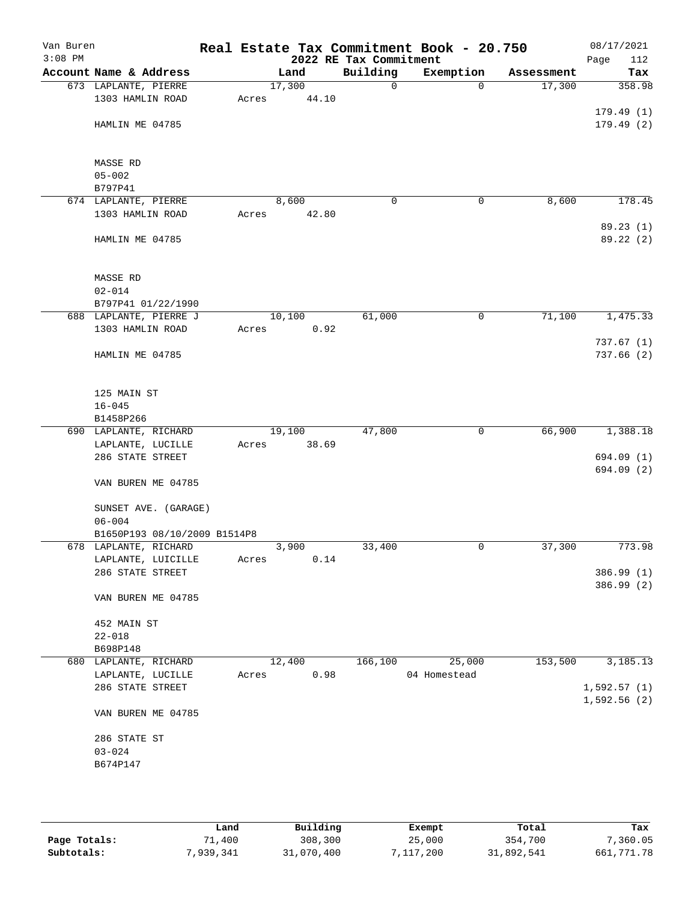| Van Buren<br>$3:08$ PM |                              |       |        | 2022 RE Tax Commitment | Real Estate Tax Commitment Book - 20.750 |            | 08/17/2021<br>Page<br>112 |
|------------------------|------------------------------|-------|--------|------------------------|------------------------------------------|------------|---------------------------|
|                        | Account Name & Address       |       | Land   | Building               | Exemption                                | Assessment | Tax                       |
|                        | 673 LAPLANTE, PIERRE         |       | 17,300 | $\mathbf 0$            | $\mathbf 0$                              | 17,300     | 358.98                    |
|                        | 1303 HAMLIN ROAD             | Acres | 44.10  |                        |                                          |            |                           |
|                        |                              |       |        |                        |                                          |            | 179.49(1)                 |
|                        | HAMLIN ME 04785              |       |        |                        |                                          |            | 179.49 (2)                |
|                        |                              |       |        |                        |                                          |            |                           |
|                        |                              |       |        |                        |                                          |            |                           |
|                        | MASSE RD                     |       |        |                        |                                          |            |                           |
|                        | $05 - 002$                   |       |        |                        |                                          |            |                           |
|                        | B797P41                      |       |        |                        |                                          |            |                           |
|                        | 674 LAPLANTE, PIERRE         |       | 8,600  | 0                      | 0                                        | 8,600      | 178.45                    |
|                        | 1303 HAMLIN ROAD             | Acres | 42.80  |                        |                                          |            |                           |
|                        |                              |       |        |                        |                                          |            | 89.23 (1)                 |
|                        | HAMLIN ME 04785              |       |        |                        |                                          |            | 89.22 (2)                 |
|                        |                              |       |        |                        |                                          |            |                           |
|                        |                              |       |        |                        |                                          |            |                           |
|                        | MASSE RD                     |       |        |                        |                                          |            |                           |
|                        | $02 - 014$                   |       |        |                        |                                          |            |                           |
|                        | B797P41 01/22/1990           |       |        |                        |                                          |            |                           |
|                        | 688 LAPLANTE, PIERRE J       |       | 10,100 | 61,000                 | 0                                        | 71,100     | 1,475.33                  |
|                        | 1303 HAMLIN ROAD             | Acres | 0.92   |                        |                                          |            |                           |
|                        |                              |       |        |                        |                                          |            | 737.67(1)                 |
|                        | HAMLIN ME 04785              |       |        |                        |                                          |            | 737.66(2)                 |
|                        |                              |       |        |                        |                                          |            |                           |
|                        |                              |       |        |                        |                                          |            |                           |
|                        | 125 MAIN ST                  |       |        |                        |                                          |            |                           |
|                        | $16 - 045$                   |       |        |                        |                                          |            |                           |
|                        | B1458P266                    |       |        |                        |                                          |            |                           |
|                        | 690 LAPLANTE, RICHARD        |       | 19,100 | 47,800                 | 0                                        | 66,900     | 1,388.18                  |
|                        | LAPLANTE, LUCILLE            | Acres | 38.69  |                        |                                          |            |                           |
|                        | 286 STATE STREET             |       |        |                        |                                          |            | 694.09 (1)                |
|                        |                              |       |        |                        |                                          |            | 694.09 (2)                |
|                        | VAN BUREN ME 04785           |       |        |                        |                                          |            |                           |
|                        |                              |       |        |                        |                                          |            |                           |
|                        | SUNSET AVE. (GARAGE)         |       |        |                        |                                          |            |                           |
|                        | $06 - 004$                   |       |        |                        |                                          |            |                           |
|                        | B1650P193 08/10/2009 B1514P8 |       |        |                        |                                          |            |                           |
|                        | 678 LAPLANTE, RICHARD        |       | 3,900  | 33,400                 | 0                                        | 37,300     | 773.98                    |
|                        | LAPLANTE, LUICILLE           | Acres | 0.14   |                        |                                          |            |                           |
|                        | 286 STATE STREET             |       |        |                        |                                          |            | 386.99 (1)                |
|                        |                              |       |        |                        |                                          |            | 386.99 (2)                |
|                        | VAN BUREN ME 04785           |       |        |                        |                                          |            |                           |
|                        |                              |       |        |                        |                                          |            |                           |
|                        | 452 MAIN ST                  |       |        |                        |                                          |            |                           |
|                        | $22 - 018$                   |       |        |                        |                                          |            |                           |
|                        | B698P148                     |       |        |                        |                                          |            |                           |
|                        | 680 LAPLANTE, RICHARD        |       | 12,400 | 166,100                | 25,000                                   | 153,500    | 3,185.13                  |
|                        | LAPLANTE, LUCILLE            | Acres | 0.98   |                        | 04 Homestead                             |            |                           |
|                        | 286 STATE STREET             |       |        |                        |                                          |            | 1,592.57(1)               |
|                        |                              |       |        |                        |                                          |            | 1,592.56(2)               |
|                        | VAN BUREN ME 04785           |       |        |                        |                                          |            |                           |
|                        |                              |       |        |                        |                                          |            |                           |
|                        | 286 STATE ST                 |       |        |                        |                                          |            |                           |
|                        | $03 - 024$                   |       |        |                        |                                          |            |                           |
|                        | B674P147                     |       |        |                        |                                          |            |                           |
|                        |                              |       |        |                        |                                          |            |                           |
|                        |                              |       |        |                        |                                          |            |                           |
|                        |                              |       |        |                        |                                          |            |                           |

|              | Land      | Building   | Exempt    | Total      | Tax        |
|--------------|-----------|------------|-----------|------------|------------|
| Page Totals: | 71,400    | 308,300    | 25,000    | 354,700    | 7,360.05   |
| Subtotals:   | 7,939,341 | 31,070,400 | 7,117,200 | 31,892,541 | 661,771.78 |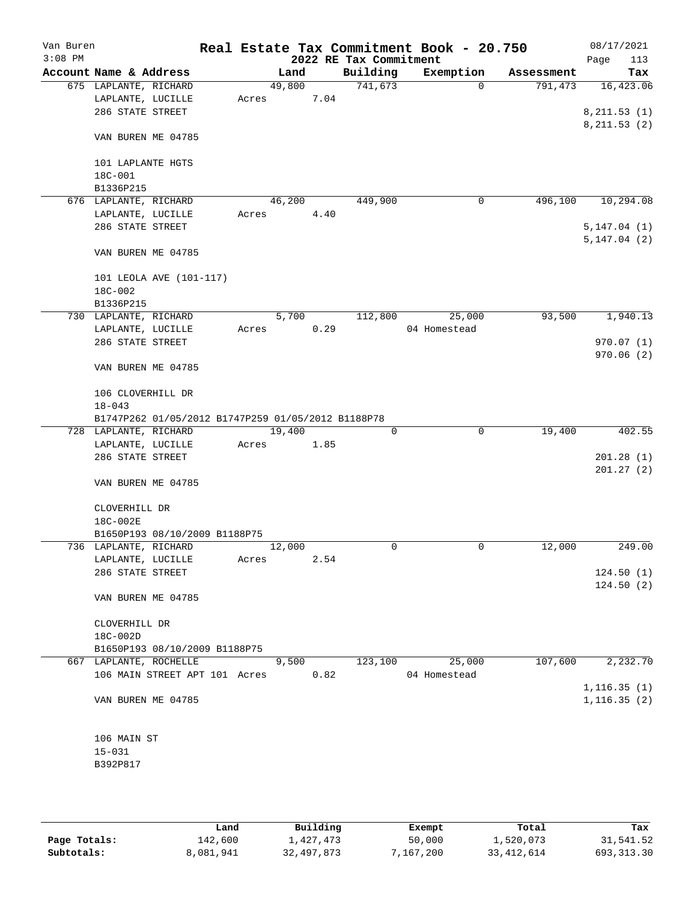| Van Buren |                                                    |       |        |      |                        | Real Estate Tax Commitment Book - 20.750 |            | 08/17/2021   |
|-----------|----------------------------------------------------|-------|--------|------|------------------------|------------------------------------------|------------|--------------|
| $3:08$ PM |                                                    |       |        |      | 2022 RE Tax Commitment |                                          |            | Page<br>113  |
|           | Account Name & Address                             |       | Land   |      | Building               | Exemption                                | Assessment | Tax          |
|           | 675 LAPLANTE, RICHARD                              |       | 49,800 |      | 741,673                | 0                                        | 791,473    | 16,423.06    |
|           | LAPLANTE, LUCILLE                                  | Acres |        | 7.04 |                        |                                          |            |              |
|           | 286 STATE STREET                                   |       |        |      |                        |                                          |            | 8, 211.53(1) |
|           |                                                    |       |        |      |                        |                                          |            | 8, 211.53(2) |
|           | VAN BUREN ME 04785                                 |       |        |      |                        |                                          |            |              |
|           |                                                    |       |        |      |                        |                                          |            |              |
|           | 101 LAPLANTE HGTS                                  |       |        |      |                        |                                          |            |              |
|           | 18C-001                                            |       |        |      |                        |                                          |            |              |
|           | B1336P215                                          |       |        |      |                        |                                          |            |              |
|           | 676 LAPLANTE, RICHARD                              |       | 46,200 |      | 449,900                | 0                                        | 496,100    | 10,294.08    |
|           | LAPLANTE, LUCILLE                                  | Acres |        | 4.40 |                        |                                          |            |              |
|           | 286 STATE STREET                                   |       |        |      |                        |                                          |            | 5, 147.04(1) |
|           |                                                    |       |        |      |                        |                                          |            | 5, 147.04(2) |
|           | VAN BUREN ME 04785                                 |       |        |      |                        |                                          |            |              |
|           |                                                    |       |        |      |                        |                                          |            |              |
|           | 101 LEOLA AVE (101-117)                            |       |        |      |                        |                                          |            |              |
|           |                                                    |       |        |      |                        |                                          |            |              |
|           | 18C-002                                            |       |        |      |                        |                                          |            |              |
|           | B1336P215                                          |       |        |      |                        |                                          |            |              |
|           | 730 LAPLANTE, RICHARD                              |       | 5,700  |      | 112,800                | 25,000                                   | 93,500     | 1,940.13     |
|           | LAPLANTE, LUCILLE                                  | Acres |        | 0.29 |                        | 04 Homestead                             |            |              |
|           | 286 STATE STREET                                   |       |        |      |                        |                                          |            | 970.07(1)    |
|           |                                                    |       |        |      |                        |                                          |            | 970.06(2)    |
|           | VAN BUREN ME 04785                                 |       |        |      |                        |                                          |            |              |
|           |                                                    |       |        |      |                        |                                          |            |              |
|           | 106 CLOVERHILL DR                                  |       |        |      |                        |                                          |            |              |
|           | $18 - 043$                                         |       |        |      |                        |                                          |            |              |
|           | B1747P262 01/05/2012 B1747P259 01/05/2012 B1188P78 |       |        |      |                        |                                          |            |              |
|           | 728 LAPLANTE, RICHARD                              |       | 19,400 |      | 0                      | $\mathbf 0$                              | 19,400     | 402.55       |
|           | LAPLANTE, LUCILLE                                  | Acres |        | 1.85 |                        |                                          |            |              |
|           | 286 STATE STREET                                   |       |        |      |                        |                                          |            | 201.28(1)    |
|           |                                                    |       |        |      |                        |                                          |            | 201.27(2)    |
|           | VAN BUREN ME 04785                                 |       |        |      |                        |                                          |            |              |
|           |                                                    |       |        |      |                        |                                          |            |              |
|           | CLOVERHILL DR                                      |       |        |      |                        |                                          |            |              |
|           | 18C-002E                                           |       |        |      |                        |                                          |            |              |
|           | B1650P193 08/10/2009 B1188P75                      |       |        |      |                        |                                          |            |              |
|           | 736 LAPLANTE, RICHARD                              |       | 12,000 |      | 0                      | $\mathbf 0$                              | 12,000     | 249.00       |
|           | LAPLANTE, LUCILLE                                  | Acres |        | 2.54 |                        |                                          |            |              |
|           | 286 STATE STREET                                   |       |        |      |                        |                                          |            | 124.50(1)    |
|           |                                                    |       |        |      |                        |                                          |            | 124.50(2)    |
|           | VAN BUREN ME 04785                                 |       |        |      |                        |                                          |            |              |
|           |                                                    |       |        |      |                        |                                          |            |              |
|           | CLOVERHILL DR                                      |       |        |      |                        |                                          |            |              |
|           | 18C-002D                                           |       |        |      |                        |                                          |            |              |
|           | B1650P193 08/10/2009 B1188P75                      |       |        |      |                        |                                          |            |              |
|           |                                                    |       |        |      | 123,100                | 25,000                                   | 107,600    | 2,232.70     |
|           | 667 LAPLANTE, ROCHELLE                             |       | 9,500  |      |                        |                                          |            |              |
|           | 106 MAIN STREET APT 101 Acres                      |       |        | 0.82 |                        | 04 Homestead                             |            |              |
|           |                                                    |       |        |      |                        |                                          |            | 1, 116.35(1) |
|           | VAN BUREN ME 04785                                 |       |        |      |                        |                                          |            | 1, 116.35(2) |
|           |                                                    |       |        |      |                        |                                          |            |              |
|           |                                                    |       |        |      |                        |                                          |            |              |
|           | 106 MAIN ST                                        |       |        |      |                        |                                          |            |              |
|           | $15 - 031$                                         |       |        |      |                        |                                          |            |              |
|           | B392P817                                           |       |        |      |                        |                                          |            |              |
|           |                                                    |       |        |      |                        |                                          |            |              |
|           |                                                    |       |        |      |                        |                                          |            |              |

|              | Land      | Building   | Exempt    | Total        | Tax          |
|--------------|-----------|------------|-----------|--------------|--------------|
| Page Totals: | 142,600   | l,427,473  | 50,000    | 1,520,073    | 31,541.52    |
| Subtotals:   | 8,081,941 | 32,497,873 | 7,167,200 | 33, 412, 614 | 693, 313, 30 |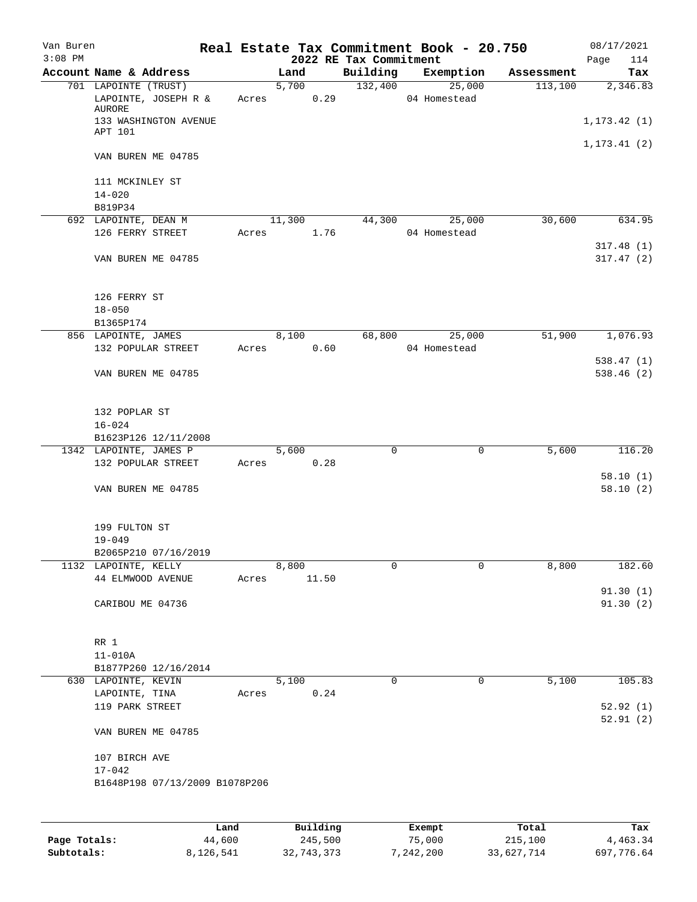| Van Buren<br>$3:08$ PM |                                              |       |        |       | 2022 RE Tax Commitment | Real Estate Tax Commitment Book - 20.750 |            | 08/17/2021<br>Page<br>114 |
|------------------------|----------------------------------------------|-------|--------|-------|------------------------|------------------------------------------|------------|---------------------------|
|                        | Account Name & Address                       |       | Land   |       | Building               | Exemption                                | Assessment | Tax                       |
|                        | 701 LAPOINTE (TRUST)<br>LAPOINTE, JOSEPH R & | Acres | 5,700  | 0.29  | 132,400                | 25,000<br>04 Homestead                   | 113,100    | 2,346.83                  |
|                        | AURORE<br>133 WASHINGTON AVENUE<br>APT 101   |       |        |       |                        |                                          |            | 1, 173.42(1)              |
|                        | VAN BUREN ME 04785                           |       |        |       |                        |                                          |            | 1, 173.41(2)              |
|                        | 111 MCKINLEY ST                              |       |        |       |                        |                                          |            |                           |
|                        | $14 - 020$                                   |       |        |       |                        |                                          |            |                           |
|                        | B819P34<br>692 LAPOINTE, DEAN M              |       | 11,300 |       | 44,300                 | 25,000                                   | 30,600     | 634.95                    |
|                        | 126 FERRY STREET                             | Acres |        | 1.76  |                        | 04 Homestead                             |            |                           |
|                        | VAN BUREN ME 04785                           |       |        |       |                        |                                          |            | 317.48(1)<br>317.47(2)    |
|                        | 126 FERRY ST                                 |       |        |       |                        |                                          |            |                           |
|                        | $18 - 050$                                   |       |        |       |                        |                                          |            |                           |
|                        | B1365P174<br>856 LAPOINTE, JAMES             |       | 8,100  |       | 68,800                 | 25,000                                   | 51,900     | 1,076.93                  |
|                        | 132 POPULAR STREET                           | Acres |        | 0.60  |                        | 04 Homestead                             |            | 538.47(1)                 |
|                        | VAN BUREN ME 04785                           |       |        |       |                        |                                          |            | 538.46(2)                 |
|                        | 132 POPLAR ST                                |       |        |       |                        |                                          |            |                           |
|                        | $16 - 024$<br>B1623P126 12/11/2008           |       |        |       |                        |                                          |            |                           |
|                        | 1342 LAPOINTE, JAMES P                       |       | 5,600  |       | $\mathbf 0$            | 0                                        | 5,600      | 116.20                    |
|                        | 132 POPULAR STREET                           | Acres |        | 0.28  |                        |                                          |            |                           |
|                        | VAN BUREN ME 04785                           |       |        |       |                        |                                          |            | 58.10(1)<br>58.10(2)      |
|                        | 199 FULTON ST                                |       |        |       |                        |                                          |            |                           |
|                        | $19 - 049$<br>B2065P210 07/16/2019           |       |        |       |                        |                                          |            |                           |
|                        | 1132 LAPOINTE, KELLY                         |       | 8,800  |       | 0                      | 0                                        | 8,800      | 182.60                    |
|                        | 44 ELMWOOD AVENUE                            | Acres |        | 11.50 |                        |                                          |            | 91.30(1)                  |
|                        | CARIBOU ME 04736                             |       |        |       |                        |                                          |            | 91.30(2)                  |
|                        | RR 1                                         |       |        |       |                        |                                          |            |                           |
|                        | $11 - 010A$                                  |       |        |       |                        |                                          |            |                           |
|                        | B1877P260 12/16/2014                         |       |        |       |                        |                                          |            |                           |
|                        | 630 LAPOINTE, KEVIN<br>LAPOINTE, TINA        | Acres | 5,100  | 0.24  | $\mathbf 0$            | $\mathbf 0$                              | 5,100      | 105.83                    |
|                        | 119 PARK STREET                              |       |        |       |                        |                                          |            | 52.92(1)<br>52.91(2)      |
|                        | VAN BUREN ME 04785                           |       |        |       |                        |                                          |            |                           |
|                        | 107 BIRCH AVE<br>$17 - 042$                  |       |        |       |                        |                                          |            |                           |
|                        | B1648P198 07/13/2009 B1078P206               |       |        |       |                        |                                          |            |                           |
|                        |                                              |       |        |       |                        |                                          |            |                           |
|                        |                                              |       |        |       |                        |                                          |            |                           |

|              | Land      | Building   | Exempt    | Total      | Tax        |
|--------------|-----------|------------|-----------|------------|------------|
| Page Totals: | 44,600    | 245,500    | 75,000    | 215,100    | 4,463.34   |
| Subtotals:   | 8,126,541 | 32,743,373 | 7,242,200 | 33,627,714 | 697,776.64 |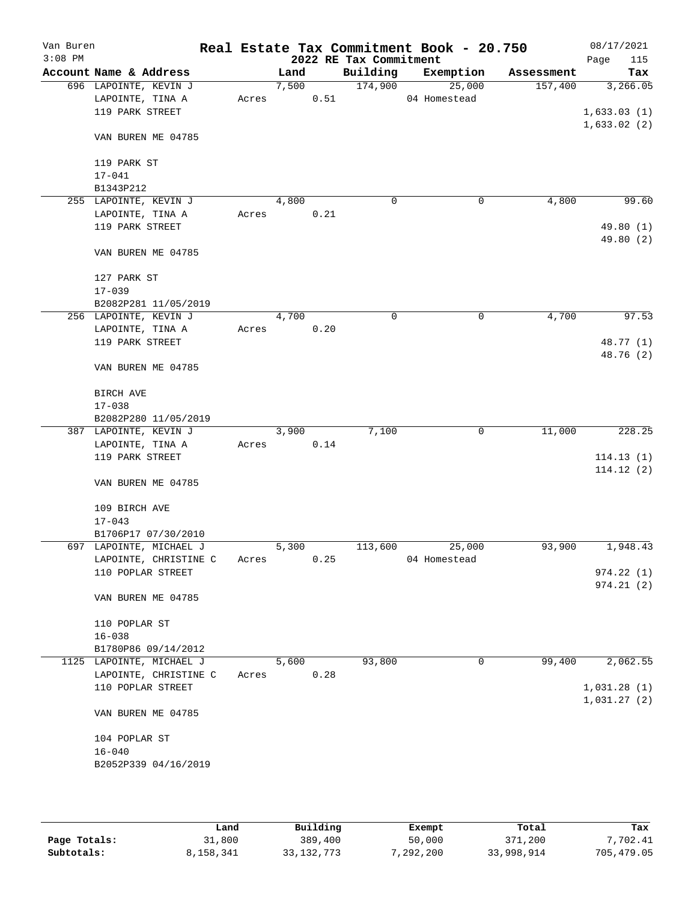| Van Buren<br>$3:08$ PM |                          |       |       |      | 2022 RE Tax Commitment | Real Estate Tax Commitment Book - 20.750 |            | 08/17/2021<br>Page<br>115 |
|------------------------|--------------------------|-------|-------|------|------------------------|------------------------------------------|------------|---------------------------|
|                        | Account Name & Address   |       | Land  |      | Building               | Exemption                                | Assessment | Tax                       |
|                        | 696 LAPOINTE, KEVIN J    |       | 7,500 |      | 174,900                | 25,000                                   | 157,400    | 3,266.05                  |
|                        | LAPOINTE, TINA A         | Acres |       | 0.51 |                        | 04 Homestead                             |            |                           |
|                        | 119 PARK STREET          |       |       |      |                        |                                          |            | 1,633.03(1)               |
|                        |                          |       |       |      |                        |                                          |            | 1,633.02(2)               |
|                        | VAN BUREN ME 04785       |       |       |      |                        |                                          |            |                           |
|                        |                          |       |       |      |                        |                                          |            |                           |
|                        | 119 PARK ST              |       |       |      |                        |                                          |            |                           |
|                        | $17 - 041$               |       |       |      |                        |                                          |            |                           |
|                        | B1343P212                |       |       |      |                        |                                          |            |                           |
|                        | 255 LAPOINTE, KEVIN J    |       | 4,800 |      | 0                      | 0                                        | 4,800      | 99.60                     |
|                        | LAPOINTE, TINA A         | Acres |       | 0.21 |                        |                                          |            |                           |
|                        | 119 PARK STREET          |       |       |      |                        |                                          |            | 49.80 (1)                 |
|                        |                          |       |       |      |                        |                                          |            | 49.80 (2)                 |
|                        | VAN BUREN ME 04785       |       |       |      |                        |                                          |            |                           |
|                        |                          |       |       |      |                        |                                          |            |                           |
|                        | 127 PARK ST              |       |       |      |                        |                                          |            |                           |
|                        | $17 - 039$               |       |       |      |                        |                                          |            |                           |
|                        | B2082P281 11/05/2019     |       |       |      |                        |                                          |            |                           |
|                        | 256 LAPOINTE, KEVIN J    |       | 4,700 |      | 0                      | 0                                        | 4,700      | 97.53                     |
|                        | LAPOINTE, TINA A         | Acres |       | 0.20 |                        |                                          |            |                           |
|                        | 119 PARK STREET          |       |       |      |                        |                                          |            | 48.77 (1)                 |
|                        |                          |       |       |      |                        |                                          |            | 48.76 (2)                 |
|                        | VAN BUREN ME 04785       |       |       |      |                        |                                          |            |                           |
|                        |                          |       |       |      |                        |                                          |            |                           |
|                        | BIRCH AVE                |       |       |      |                        |                                          |            |                           |
|                        | $17 - 038$               |       |       |      |                        |                                          |            |                           |
|                        | B2082P280 11/05/2019     |       |       |      |                        |                                          |            |                           |
|                        | 387 LAPOINTE, KEVIN J    |       | 3,900 |      | 7,100                  | 0                                        | 11,000     | 228.25                    |
|                        | LAPOINTE, TINA A         | Acres |       | 0.14 |                        |                                          |            |                           |
|                        | 119 PARK STREET          |       |       |      |                        |                                          |            | 114.13(1)                 |
|                        |                          |       |       |      |                        |                                          |            | 114.12(2)                 |
|                        | VAN BUREN ME 04785       |       |       |      |                        |                                          |            |                           |
|                        |                          |       |       |      |                        |                                          |            |                           |
|                        | 109 BIRCH AVE            |       |       |      |                        |                                          |            |                           |
|                        | $17 - 043$               |       |       |      |                        |                                          |            |                           |
|                        | B1706P17 07/30/2010      |       |       |      |                        |                                          |            |                           |
|                        | 697 LAPOINTE, MICHAEL J  |       | 5,300 |      | 113,600                | 25,000                                   | 93,900     | 1,948.43                  |
|                        | LAPOINTE, CHRISTINE C    | Acres |       | 0.25 |                        | 04 Homestead                             |            |                           |
|                        | 110 POPLAR STREET        |       |       |      |                        |                                          |            | 974.22(1)                 |
|                        |                          |       |       |      |                        |                                          |            | 974.21 (2)                |
|                        | VAN BUREN ME 04785       |       |       |      |                        |                                          |            |                           |
|                        |                          |       |       |      |                        |                                          |            |                           |
|                        | 110 POPLAR ST            |       |       |      |                        |                                          |            |                           |
|                        | $16 - 038$               |       |       |      |                        |                                          |            |                           |
|                        | B1780P86 09/14/2012      |       |       |      |                        |                                          |            |                           |
|                        | 1125 LAPOINTE, MICHAEL J |       | 5,600 |      | 93,800                 | 0                                        | 99,400     | 2,062.55                  |
|                        | LAPOINTE, CHRISTINE C    | Acres |       | 0.28 |                        |                                          |            |                           |
|                        | 110 POPLAR STREET        |       |       |      |                        |                                          |            | 1,031.28(1)               |
|                        |                          |       |       |      |                        |                                          |            | 1,031.27(2)               |
|                        | VAN BUREN ME 04785       |       |       |      |                        |                                          |            |                           |
|                        |                          |       |       |      |                        |                                          |            |                           |
|                        | 104 POPLAR ST            |       |       |      |                        |                                          |            |                           |
|                        | $16 - 040$               |       |       |      |                        |                                          |            |                           |
|                        | B2052P339 04/16/2019     |       |       |      |                        |                                          |            |                           |
|                        |                          |       |       |      |                        |                                          |            |                           |
|                        |                          |       |       |      |                        |                                          |            |                           |

|              | Land      | Building     | Exempt    | Total      | Tax        |
|--------------|-----------|--------------|-----------|------------|------------|
| Page Totals: | 31,800    | 389,400      | 50,000    | 371,200    | 7.702.41   |
| Subtotals:   | 8,158,341 | 33, 132, 773 | 7,292,200 | 33,998,914 | 705,479.05 |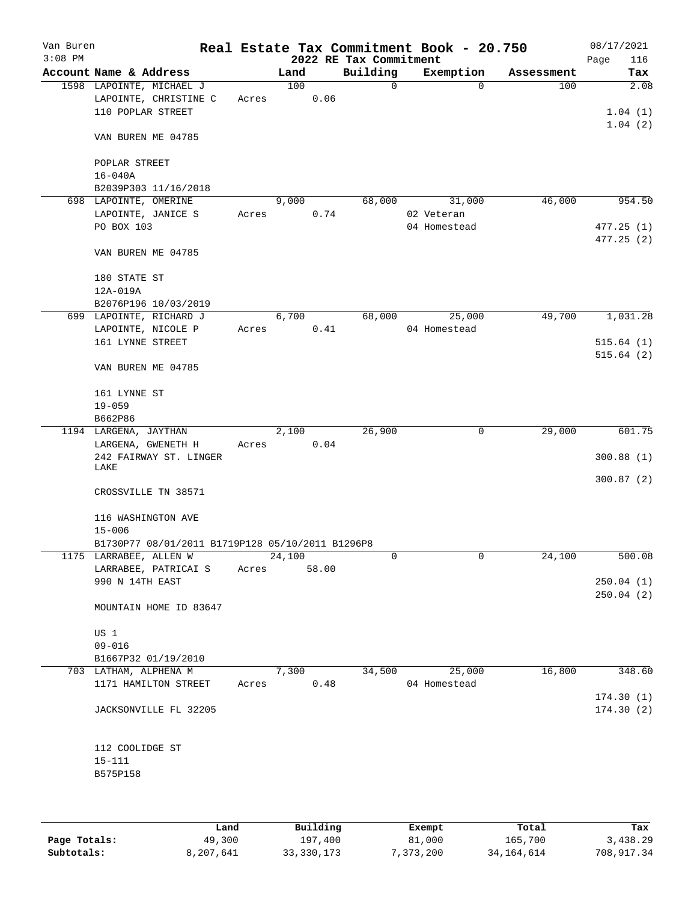| Van Buren<br>$3:08$ PM |                                                  |       |        |      | 2022 RE Tax Commitment | Real Estate Tax Commitment Book - 20.750 |            | 08/17/2021<br>116<br>Page |
|------------------------|--------------------------------------------------|-------|--------|------|------------------------|------------------------------------------|------------|---------------------------|
|                        | Account Name & Address                           |       | Land   |      | Building               | Exemption                                | Assessment | Tax                       |
|                        | 1598 LAPOINTE, MICHAEL J                         |       | 100    |      | $\mathbf 0$            | $\Omega$                                 | 100        | 2.08                      |
|                        | LAPOINTE, CHRISTINE C                            | Acres |        | 0.06 |                        |                                          |            |                           |
|                        | 110 POPLAR STREET                                |       |        |      |                        |                                          |            | 1.04(1)                   |
|                        |                                                  |       |        |      |                        |                                          |            | 1.04(2)                   |
|                        | VAN BUREN ME 04785                               |       |        |      |                        |                                          |            |                           |
|                        |                                                  |       |        |      |                        |                                          |            |                           |
|                        | POPLAR STREET                                    |       |        |      |                        |                                          |            |                           |
|                        | $16 - 040A$                                      |       |        |      |                        |                                          |            |                           |
|                        | B2039P303 11/16/2018                             |       |        |      |                        |                                          |            |                           |
|                        | 698 LAPOINTE, OMERINE                            |       | 9,000  |      | 68,000                 | 31,000                                   | 46,000     | 954.50                    |
|                        | LAPOINTE, JANICE S                               | Acres |        | 0.74 |                        | 02 Veteran                               |            |                           |
|                        | PO BOX 103                                       |       |        |      |                        | 04 Homestead                             |            | 477.25(1)                 |
|                        |                                                  |       |        |      |                        |                                          |            | 477.25 (2)                |
|                        | VAN BUREN ME 04785                               |       |        |      |                        |                                          |            |                           |
|                        |                                                  |       |        |      |                        |                                          |            |                           |
|                        | 180 STATE ST                                     |       |        |      |                        |                                          |            |                           |
|                        | 12A-019A                                         |       |        |      |                        |                                          |            |                           |
|                        | B2076P196 10/03/2019<br>699 LAPOINTE, RICHARD J  |       | 6,700  |      | 68,000                 | 25,000                                   | 49,700     | 1,031.28                  |
|                        | LAPOINTE, NICOLE P                               | Acres |        | 0.41 |                        | 04 Homestead                             |            |                           |
|                        | 161 LYNNE STREET                                 |       |        |      |                        |                                          |            | 515.64(1)                 |
|                        |                                                  |       |        |      |                        |                                          |            | 515.64(2)                 |
|                        | VAN BUREN ME 04785                               |       |        |      |                        |                                          |            |                           |
|                        |                                                  |       |        |      |                        |                                          |            |                           |
|                        | 161 LYNNE ST                                     |       |        |      |                        |                                          |            |                           |
|                        | $19 - 059$                                       |       |        |      |                        |                                          |            |                           |
|                        | B662P86                                          |       |        |      |                        |                                          |            |                           |
|                        | 1194 LARGENA, JAYTHAN                            |       | 2,100  |      | 26,900                 | 0                                        | 29,000     | 601.75                    |
|                        | LARGENA, GWENETH H                               | Acres |        | 0.04 |                        |                                          |            |                           |
|                        | 242 FAIRWAY ST. LINGER                           |       |        |      |                        |                                          |            | 300.88(1)                 |
|                        | LAKE                                             |       |        |      |                        |                                          |            |                           |
|                        |                                                  |       |        |      |                        |                                          |            | 300.87(2)                 |
|                        | CROSSVILLE TN 38571                              |       |        |      |                        |                                          |            |                           |
|                        |                                                  |       |        |      |                        |                                          |            |                           |
|                        | 116 WASHINGTON AVE                               |       |        |      |                        |                                          |            |                           |
|                        | $15 - 006$                                       |       |        |      |                        |                                          |            |                           |
|                        | B1730P77 08/01/2011 B1719P128 05/10/2011 B1296P8 |       |        |      |                        |                                          |            |                           |
|                        | 1175 LARRABEE, ALLEN W                           |       | 24,100 |      | 0                      | 0                                        | 24,100     | 500.08                    |
|                        | LARRABEE, PATRICAI S<br>990 N 14TH EAST          | Acres | 58.00  |      |                        |                                          |            |                           |
|                        |                                                  |       |        |      |                        |                                          |            | 250.04(1)                 |
|                        | MOUNTAIN HOME ID 83647                           |       |        |      |                        |                                          |            | 250.04(2)                 |
|                        |                                                  |       |        |      |                        |                                          |            |                           |
|                        | US 1                                             |       |        |      |                        |                                          |            |                           |
|                        | $09 - 016$                                       |       |        |      |                        |                                          |            |                           |
|                        | B1667P32 01/19/2010                              |       |        |      |                        |                                          |            |                           |
|                        | 703 LATHAM, ALPHENA M                            |       | 7,300  |      | 34,500                 | 25,000                                   | 16,800     | 348.60                    |
|                        | 1171 HAMILTON STREET                             | Acres |        | 0.48 |                        | 04 Homestead                             |            |                           |
|                        |                                                  |       |        |      |                        |                                          |            | 174.30(1)                 |
|                        | JACKSONVILLE FL 32205                            |       |        |      |                        |                                          |            | 174.30(2)                 |
|                        |                                                  |       |        |      |                        |                                          |            |                           |
|                        |                                                  |       |        |      |                        |                                          |            |                           |
|                        | 112 COOLIDGE ST                                  |       |        |      |                        |                                          |            |                           |
|                        | $15 - 111$                                       |       |        |      |                        |                                          |            |                           |
|                        | B575P158                                         |       |        |      |                        |                                          |            |                           |
|                        |                                                  |       |        |      |                        |                                          |            |                           |
|                        |                                                  |       |        |      |                        |                                          |            |                           |
|                        |                                                  |       |        |      |                        |                                          |            |                           |

|              | Land      | Building   | Exempt     | Total      | Tax        |
|--------------|-----------|------------|------------|------------|------------|
| Page Totals: | 49,300    | 197,400    | 81,000     | 165,700    | 3,438.29   |
| Subtotals:   | 8,207,641 | 33,330,173 | , 373, 200 | 34,164,614 | 708,917.34 |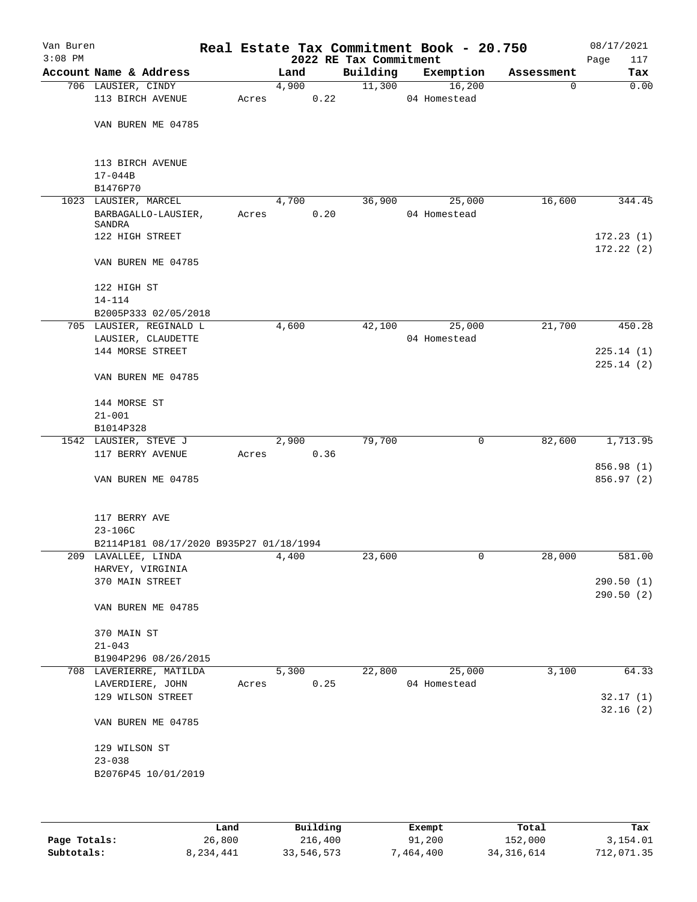| Van Buren<br>$3:08$ PM |                                         |       |       |      | 2022 RE Tax Commitment | Real Estate Tax Commitment Book - 20.750 |            | 08/17/2021<br>Page<br>117 |
|------------------------|-----------------------------------------|-------|-------|------|------------------------|------------------------------------------|------------|---------------------------|
|                        | Account Name & Address                  |       | Land  |      | Building               | Exemption                                | Assessment | Tax                       |
|                        | 706 LAUSIER, CINDY                      |       | 4,900 |      | 11,300                 | 16,200                                   | 0          | 0.00                      |
|                        | 113 BIRCH AVENUE                        | Acres |       | 0.22 |                        | 04 Homestead                             |            |                           |
|                        | VAN BUREN ME 04785                      |       |       |      |                        |                                          |            |                           |
|                        | 113 BIRCH AVENUE                        |       |       |      |                        |                                          |            |                           |
|                        | $17 - 044B$                             |       |       |      |                        |                                          |            |                           |
|                        | B1476P70                                |       |       |      |                        |                                          |            |                           |
|                        | 1023 LAUSIER, MARCEL                    |       | 4,700 |      | 36,900                 | 25,000                                   | 16,600     | 344.45                    |
|                        | BARBAGALLO-LAUSIER,<br>SANDRA           | Acres |       | 0.20 |                        | 04 Homestead                             |            |                           |
|                        | 122 HIGH STREET                         |       |       |      |                        |                                          |            | 172.23(1)                 |
|                        |                                         |       |       |      |                        |                                          |            | 172.22(2)                 |
|                        | VAN BUREN ME 04785                      |       |       |      |                        |                                          |            |                           |
|                        | 122 HIGH ST                             |       |       |      |                        |                                          |            |                           |
|                        | $14 - 114$                              |       |       |      |                        |                                          |            |                           |
|                        | B2005P333 02/05/2018                    |       |       |      |                        |                                          |            |                           |
|                        | 705 LAUSIER, REGINALD L                 |       | 4,600 |      | 42,100                 | 25,000                                   | 21,700     | 450.28                    |
|                        | LAUSIER, CLAUDETTE                      |       |       |      |                        | 04 Homestead                             |            |                           |
|                        | 144 MORSE STREET                        |       |       |      |                        |                                          |            | 225.14(1)                 |
|                        | VAN BUREN ME 04785                      |       |       |      |                        |                                          |            | 225.14(2)                 |
|                        | 144 MORSE ST                            |       |       |      |                        |                                          |            |                           |
|                        | $21 - 001$                              |       |       |      |                        |                                          |            |                           |
|                        | B1014P328                               |       |       |      |                        |                                          |            |                           |
|                        | 1542 LAUSIER, STEVE J                   |       | 2,900 |      | 79,700                 | 0                                        | 82,600     | 1,713.95                  |
|                        | 117 BERRY AVENUE                        | Acres |       | 0.36 |                        |                                          |            |                           |
|                        |                                         |       |       |      |                        |                                          |            | 856.98 (1)                |
|                        | VAN BUREN ME 04785                      |       |       |      |                        |                                          |            | 856.97 (2)                |
|                        | 117 BERRY AVE                           |       |       |      |                        |                                          |            |                           |
|                        | $23 - 106C$                             |       |       |      |                        |                                          |            |                           |
|                        | B2114P181 08/17/2020 B935P27 01/18/1994 |       |       |      |                        |                                          |            |                           |
|                        | 209 LAVALLEE, LINDA                     |       | 4,400 |      | 23,600                 | 0                                        | 28,000     | 581.00                    |
|                        | HARVEY, VIRGINIA<br>370 MAIN STREET     |       |       |      |                        |                                          |            | 290.50(1)                 |
|                        |                                         |       |       |      |                        |                                          |            | 290.50(2)                 |
|                        | VAN BUREN ME 04785                      |       |       |      |                        |                                          |            |                           |
|                        | 370 MAIN ST                             |       |       |      |                        |                                          |            |                           |
|                        | $21 - 043$                              |       |       |      |                        |                                          |            |                           |
|                        | B1904P296 08/26/2015                    |       |       |      |                        |                                          |            |                           |
|                        | 708 LAVERIERRE, MATILDA                 |       | 5,300 |      | 22,800                 | 25,000                                   | 3,100      | 64.33                     |
|                        | LAVERDIERE, JOHN                        | Acres |       | 0.25 |                        | 04 Homestead                             |            |                           |
|                        | 129 WILSON STREET                       |       |       |      |                        |                                          |            | 32.17(1)                  |
|                        | VAN BUREN ME 04785                      |       |       |      |                        |                                          |            | 32.16(2)                  |
|                        | 129 WILSON ST                           |       |       |      |                        |                                          |            |                           |
|                        | $23 - 038$                              |       |       |      |                        |                                          |            |                           |
|                        | B2076P45 10/01/2019                     |       |       |      |                        |                                          |            |                           |
|                        |                                         |       |       |      |                        |                                          |            |                           |
|                        |                                         |       |       |      |                        |                                          |            |                           |
|                        |                                         |       |       |      |                        |                                          |            |                           |

|              | Land      | Building   | Exempt    | Total      | Tax        |
|--------------|-----------|------------|-----------|------------|------------|
| Page Totals: | 26,800    | 216,400    | 91,200    | 152,000    | 3,154.01   |
| Subtotals:   | 8,234,441 | 33,546,573 | 7,464,400 | 34,316,614 | 712,071.35 |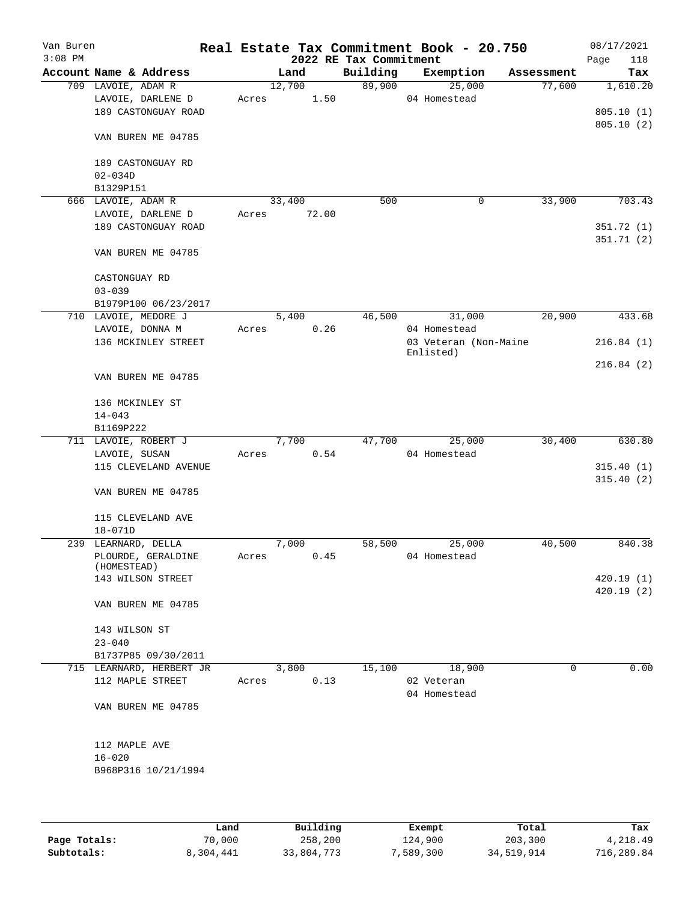| Van Buren<br>$3:08$ PM |                                  | Real Estate Tax Commitment Book - 20.750 | 2022 RE Tax Commitment |                       |            | 08/17/2021<br>Page<br>118 |
|------------------------|----------------------------------|------------------------------------------|------------------------|-----------------------|------------|---------------------------|
|                        | Account Name & Address           | Land                                     | Building               | Exemption             | Assessment | Tax                       |
|                        | 709 LAVOIE, ADAM R               | 12,700                                   | 89,900                 | 25,000                | 77,600     | 1,610.20                  |
|                        | LAVOIE, DARLENE D                | 1.50<br>Acres                            |                        | 04 Homestead          |            |                           |
|                        | 189 CASTONGUAY ROAD              |                                          |                        |                       |            | 805.10(1)                 |
|                        | VAN BUREN ME 04785               |                                          |                        |                       |            | 805.10(2)                 |
|                        | 189 CASTONGUAY RD<br>$02 - 034D$ |                                          |                        |                       |            |                           |
|                        | B1329P151                        |                                          |                        |                       |            |                           |
|                        | 666 LAVOIE, ADAM R               | 33,400                                   | 500                    | 0                     | 33,900     | 703.43                    |
|                        | LAVOIE, DARLENE D                | 72.00<br>Acres                           |                        |                       |            |                           |
|                        | 189 CASTONGUAY ROAD              |                                          |                        |                       |            | 351.72(1)                 |
|                        |                                  |                                          |                        |                       |            | 351.71(2)                 |
|                        | VAN BUREN ME 04785               |                                          |                        |                       |            |                           |
|                        | CASTONGUAY RD                    |                                          |                        |                       |            |                           |
|                        | $03 - 039$                       |                                          |                        |                       |            |                           |
|                        | B1979P100 06/23/2017             |                                          |                        |                       |            |                           |
|                        | 710 LAVOIE, MEDORE J             | 5,400                                    | 46,500                 | 31,000                | 20,900     | 433.68                    |
|                        | LAVOIE, DONNA M                  | 0.26<br>Acres                            |                        | 04 Homestead          |            |                           |
|                        | 136 MCKINLEY STREET              |                                          |                        | 03 Veteran (Non-Maine |            | 216.84(1)                 |
|                        |                                  |                                          |                        | Enlisted)             |            |                           |
|                        |                                  |                                          |                        |                       |            | 216.84(2)                 |
|                        | VAN BUREN ME 04785               |                                          |                        |                       |            |                           |
|                        |                                  |                                          |                        |                       |            |                           |
|                        | 136 MCKINLEY ST<br>$14 - 043$    |                                          |                        |                       |            |                           |
|                        | B1169P222                        |                                          |                        |                       |            |                           |
|                        | 711 LAVOIE, ROBERT J             | 7,700                                    | 47,700                 | 25,000                | 30,400     | 630.80                    |
|                        | LAVOIE, SUSAN                    | 0.54<br>Acres                            |                        | 04 Homestead          |            |                           |
|                        | 115 CLEVELAND AVENUE             |                                          |                        |                       |            | 315.40(1)                 |
|                        |                                  |                                          |                        |                       |            | 315.40(2)                 |
|                        | VAN BUREN ME 04785               |                                          |                        |                       |            |                           |
|                        | 115 CLEVELAND AVE                |                                          |                        |                       |            |                           |
|                        | $18 - 071D$                      |                                          |                        |                       |            |                           |
|                        | 239 LEARNARD, DELLA              | 7,000                                    | 58,500                 | 25,000                | 40,500     | 840.38                    |
|                        | PLOURDE, GERALDINE               | Acres<br>0.45                            |                        | 04 Homestead          |            |                           |
|                        | (HOMESTEAD)                      |                                          |                        |                       |            |                           |
|                        | 143 WILSON STREET                |                                          |                        |                       |            | 420.19(1)                 |
|                        |                                  |                                          |                        |                       |            | 420.19(2)                 |
|                        | VAN BUREN ME 04785               |                                          |                        |                       |            |                           |
|                        | 143 WILSON ST                    |                                          |                        |                       |            |                           |
|                        | $23 - 040$                       |                                          |                        |                       |            |                           |
|                        | B1737P85 09/30/2011              |                                          |                        |                       |            |                           |
|                        | 715 LEARNARD, HERBERT JR         | 3,800                                    | 15,100                 | 18,900                | 0          | 0.00                      |
|                        | 112 MAPLE STREET                 | 0.13<br>Acres                            |                        | 02 Veteran            |            |                           |
|                        |                                  |                                          |                        | 04 Homestead          |            |                           |
|                        | VAN BUREN ME 04785               |                                          |                        |                       |            |                           |
|                        |                                  |                                          |                        |                       |            |                           |
|                        | 112 MAPLE AVE                    |                                          |                        |                       |            |                           |
|                        | $16 - 020$                       |                                          |                        |                       |            |                           |
|                        | B968P316 10/21/1994              |                                          |                        |                       |            |                           |
|                        |                                  |                                          |                        |                       |            |                           |
|                        |                                  |                                          |                        |                       |            |                           |

|              | Land      | Building   | Exempt    | Total      | Tax        |
|--------------|-----------|------------|-----------|------------|------------|
| Page Totals: | 70,000    | 258,200    | 124,900   | 203,300    | 4,218.49   |
| Subtotals:   | 8,304,441 | 33,804,773 | 7,589,300 | 34,519,914 | 716,289.84 |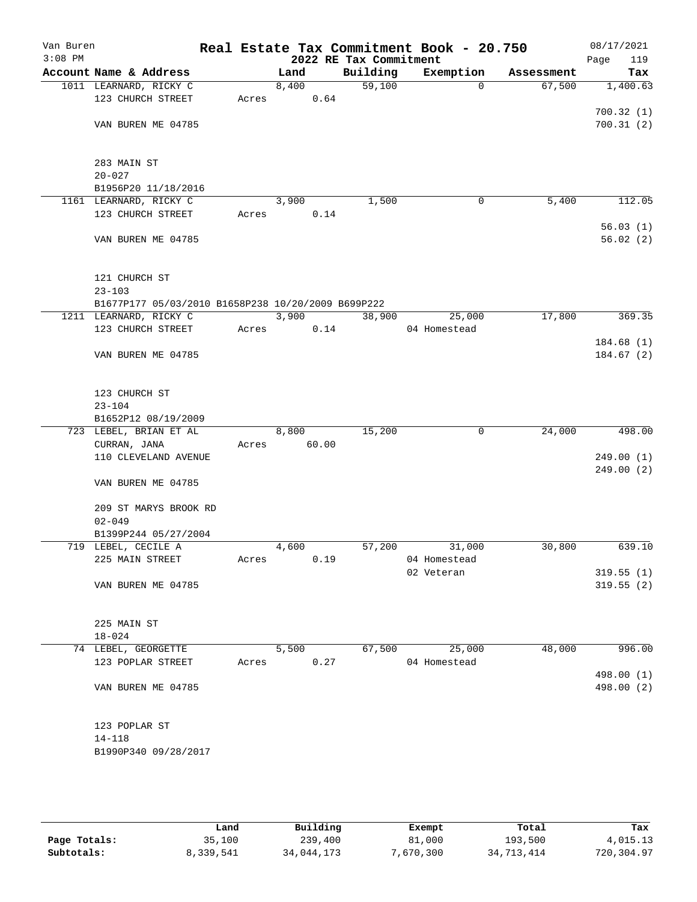| Van Buren<br>$3:08$ PM |                                                    |       |       |       | 2022 RE Tax Commitment | Real Estate Tax Commitment Book - 20.750 |            | 08/17/2021<br>Page<br>119 |
|------------------------|----------------------------------------------------|-------|-------|-------|------------------------|------------------------------------------|------------|---------------------------|
|                        | Account Name & Address                             |       | Land  |       | Building               | Exemption                                | Assessment | Tax                       |
|                        | 1011 LEARNARD, RICKY C                             |       | 8,400 |       | 59,100                 | $\mathbf 0$                              | 67,500     | 1,400.63                  |
|                        | 123 CHURCH STREET                                  | Acres |       | 0.64  |                        |                                          |            |                           |
|                        |                                                    |       |       |       |                        |                                          |            | 700.32(1)                 |
|                        | VAN BUREN ME 04785                                 |       |       |       |                        |                                          |            | 700.31(2)                 |
|                        |                                                    |       |       |       |                        |                                          |            |                           |
|                        |                                                    |       |       |       |                        |                                          |            |                           |
|                        | 283 MAIN ST                                        |       |       |       |                        |                                          |            |                           |
|                        | $20 - 027$                                         |       |       |       |                        |                                          |            |                           |
|                        | B1956P20 11/18/2016                                |       |       |       |                        |                                          |            |                           |
|                        | 1161 LEARNARD, RICKY C                             |       | 3,900 |       | 1,500                  | 0                                        | 5,400      | 112.05                    |
|                        | 123 CHURCH STREET                                  | Acres |       | 0.14  |                        |                                          |            |                           |
|                        |                                                    |       |       |       |                        |                                          |            | 56.03(1)                  |
|                        | VAN BUREN ME 04785                                 |       |       |       |                        |                                          |            | 56.02(2)                  |
|                        |                                                    |       |       |       |                        |                                          |            |                           |
|                        |                                                    |       |       |       |                        |                                          |            |                           |
|                        | 121 CHURCH ST                                      |       |       |       |                        |                                          |            |                           |
|                        | $23 - 103$                                         |       |       |       |                        |                                          |            |                           |
|                        | B1677P177 05/03/2010 B1658P238 10/20/2009 B699P222 |       |       |       |                        |                                          |            |                           |
|                        | 1211 LEARNARD, RICKY C                             |       | 3,900 |       | 38,900                 | 25,000                                   | 17,800     | 369.35                    |
|                        | 123 CHURCH STREET                                  | Acres |       | 0.14  |                        | 04 Homestead                             |            |                           |
|                        |                                                    |       |       |       |                        |                                          |            | 184.68(1)                 |
|                        | VAN BUREN ME 04785                                 |       |       |       |                        |                                          |            | 184.67(2)                 |
|                        |                                                    |       |       |       |                        |                                          |            |                           |
|                        |                                                    |       |       |       |                        |                                          |            |                           |
|                        | 123 CHURCH ST                                      |       |       |       |                        |                                          |            |                           |
|                        | $23 - 104$                                         |       |       |       |                        |                                          |            |                           |
|                        | B1652P12 08/19/2009                                |       |       |       |                        |                                          |            |                           |
|                        | 723 LEBEL, BRIAN ET AL                             |       | 8,800 |       | 15,200                 | 0                                        | 24,000     | 498.00                    |
|                        | CURRAN, JANA                                       | Acres |       | 60.00 |                        |                                          |            |                           |
|                        | 110 CLEVELAND AVENUE                               |       |       |       |                        |                                          |            | 249.00(1)                 |
|                        |                                                    |       |       |       |                        |                                          |            | 249.00(2)                 |
|                        | VAN BUREN ME 04785                                 |       |       |       |                        |                                          |            |                           |
|                        |                                                    |       |       |       |                        |                                          |            |                           |
|                        | 209 ST MARYS BROOK RD                              |       |       |       |                        |                                          |            |                           |
|                        | $02 - 049$                                         |       |       |       |                        |                                          |            |                           |
|                        | B1399P244 05/27/2004                               |       |       |       |                        |                                          |            |                           |
|                        | 719 LEBEL, CECILE A                                |       | 4,600 |       | 57,200                 | 31,000                                   | 30,800     | 639.10                    |
|                        | 225 MAIN STREET                                    | Acres |       | 0.19  |                        | 04 Homestead                             |            |                           |
|                        |                                                    |       |       |       |                        | 02 Veteran                               |            | 319.55(1)                 |
|                        | VAN BUREN ME 04785                                 |       |       |       |                        |                                          |            | 319.55(2)                 |
|                        |                                                    |       |       |       |                        |                                          |            |                           |
|                        |                                                    |       |       |       |                        |                                          |            |                           |
|                        | 225 MAIN ST                                        |       |       |       |                        |                                          |            |                           |
|                        | $18 - 024$                                         |       |       |       |                        |                                          |            |                           |
|                        | 74 LEBEL, GEORGETTE                                |       | 5,500 |       | 67,500                 | 25,000                                   | 48,000     | 996.00                    |
|                        | 123 POPLAR STREET                                  | Acres |       | 0.27  |                        | 04 Homestead                             |            |                           |
|                        |                                                    |       |       |       |                        |                                          |            | 498.00 (1)                |
|                        | VAN BUREN ME 04785                                 |       |       |       |                        |                                          |            | 498.00 (2)                |
|                        |                                                    |       |       |       |                        |                                          |            |                           |
|                        |                                                    |       |       |       |                        |                                          |            |                           |
|                        | 123 POPLAR ST                                      |       |       |       |                        |                                          |            |                           |
|                        | $14 - 118$                                         |       |       |       |                        |                                          |            |                           |
|                        | B1990P340 09/28/2017                               |       |       |       |                        |                                          |            |                           |
|                        |                                                    |       |       |       |                        |                                          |            |                           |
|                        |                                                    |       |       |       |                        |                                          |            |                           |

|              | Land      | Building   | Exempt    | Total      | Tax        |
|--------------|-----------|------------|-----------|------------|------------|
| Page Totals: | 35,100    | 239,400    | 81,000    | 193,500    | 4,015.13   |
| Subtotals:   | 8,339,541 | 34,044,173 | 7,670,300 | 34,713,414 | 720,304.97 |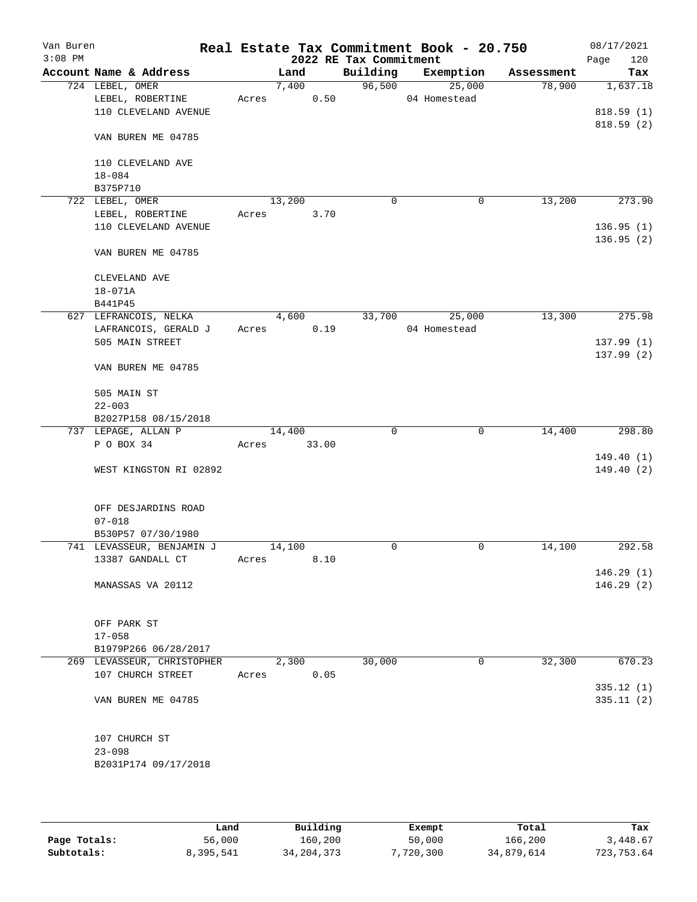| Van Buren<br>$3:08$ PM |                                         |       |        |       | 2022 RE Tax Commitment | Real Estate Tax Commitment Book - 20.750 |            | 08/17/2021<br>120<br>Page |
|------------------------|-----------------------------------------|-------|--------|-------|------------------------|------------------------------------------|------------|---------------------------|
|                        | Account Name & Address                  |       | Land   |       | Building               | Exemption                                | Assessment | Tax                       |
|                        | 724 LEBEL, OMER                         |       | 7,400  |       | 96,500                 | 25,000                                   | 78,900     | 1,637.18                  |
|                        | LEBEL, ROBERTINE                        | Acres |        | 0.50  |                        | 04 Homestead                             |            |                           |
|                        | 110 CLEVELAND AVENUE                    |       |        |       |                        |                                          |            | 818.59(1)                 |
|                        | VAN BUREN ME 04785                      |       |        |       |                        |                                          |            | 818.59(2)                 |
|                        | 110 CLEVELAND AVE                       |       |        |       |                        |                                          |            |                           |
|                        | $18 - 084$                              |       |        |       |                        |                                          |            |                           |
|                        | B375P710                                |       |        |       |                        |                                          |            |                           |
|                        | 722 LEBEL, OMER                         |       | 13,200 |       | $\mathbf 0$            | 0                                        | 13,200     | 273.90                    |
|                        | LEBEL, ROBERTINE                        | Acres |        | 3.70  |                        |                                          |            |                           |
|                        | 110 CLEVELAND AVENUE                    |       |        |       |                        |                                          |            | 136.95(1)<br>136.95(2)    |
|                        | VAN BUREN ME 04785                      |       |        |       |                        |                                          |            |                           |
|                        | CLEVELAND AVE                           |       |        |       |                        |                                          |            |                           |
|                        | $18 - 071A$                             |       |        |       |                        |                                          |            |                           |
|                        | B441P45                                 |       | 4,600  |       |                        |                                          |            |                           |
|                        | 627 LEFRANCOIS, NELKA                   |       |        |       | 33,700                 | 25,000<br>04 Homestead                   | 13,300     | 275.98                    |
|                        | LAFRANCOIS, GERALD J<br>505 MAIN STREET | Acres |        | 0.19  |                        |                                          |            | 137.99(1)                 |
|                        |                                         |       |        |       |                        |                                          |            | 137.99(2)                 |
|                        | VAN BUREN ME 04785                      |       |        |       |                        |                                          |            |                           |
|                        | 505 MAIN ST                             |       |        |       |                        |                                          |            |                           |
|                        | $22 - 003$                              |       |        |       |                        |                                          |            |                           |
|                        | B2027P158 08/15/2018                    |       |        |       |                        |                                          |            |                           |
|                        | 737 LEPAGE, ALLAN P                     |       | 14,400 |       | $\mathbf 0$            | $\mathbf 0$                              | 14,400     | 298.80                    |
|                        | P O BOX 34                              | Acres |        | 33.00 |                        |                                          |            |                           |
|                        |                                         |       |        |       |                        |                                          |            | 149.40(1)                 |
|                        | WEST KINGSTON RI 02892                  |       |        |       |                        |                                          |            | 149.40(2)                 |
|                        |                                         |       |        |       |                        |                                          |            |                           |
|                        | OFF DESJARDINS ROAD                     |       |        |       |                        |                                          |            |                           |
|                        | $07 - 018$                              |       |        |       |                        |                                          |            |                           |
|                        | B530P57 07/30/1980                      |       |        |       |                        |                                          |            |                           |
|                        | 741 LEVASSEUR, BENJAMIN J               |       | 14,100 |       | 0                      | 0                                        | 14,100     | 292.58                    |
|                        | 13387 GANDALL CT                        | Acres |        | 8.10  |                        |                                          |            |                           |
|                        |                                         |       |        |       |                        |                                          |            | 146.29(1)                 |
|                        | MANASSAS VA 20112                       |       |        |       |                        |                                          |            | 146.29(2)                 |
|                        | OFF PARK ST                             |       |        |       |                        |                                          |            |                           |
|                        | $17 - 058$                              |       |        |       |                        |                                          |            |                           |
|                        | B1979P266 06/28/2017                    |       |        |       |                        |                                          |            |                           |
|                        | 269 LEVASSEUR, CHRISTOPHER              |       | 2,300  |       | 30,000                 | 0                                        | 32,300     | 670.23                    |
|                        | 107 CHURCH STREET                       | Acres |        | 0.05  |                        |                                          |            |                           |
|                        |                                         |       |        |       |                        |                                          |            | 335.12(1)                 |
|                        | VAN BUREN ME 04785                      |       |        |       |                        |                                          |            | 335.11(2)                 |
|                        | 107 CHURCH ST                           |       |        |       |                        |                                          |            |                           |
|                        | $23 - 098$                              |       |        |       |                        |                                          |            |                           |
|                        | B2031P174 09/17/2018                    |       |        |       |                        |                                          |            |                           |
|                        |                                         |       |        |       |                        |                                          |            |                           |

|              | Land      | Building     | Exempt    | Total      | Tax         |
|--------------|-----------|--------------|-----------|------------|-------------|
| Page Totals: | 56,000    | 160,200      | 50,000    | 166,200    | 3,448.67    |
| Subtotals:   | 8,395,541 | 34, 204, 373 | 7,720,300 | 34,879,614 | 723, 753.64 |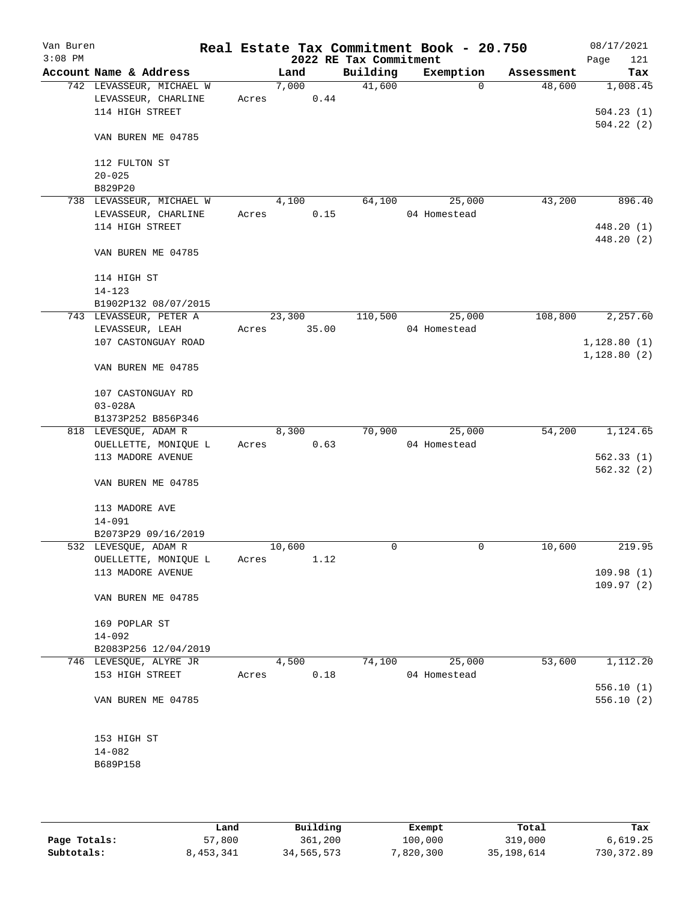| Van Buren<br>$3:08$ PM |                          |       |        |       | 2022 RE Tax Commitment | Real Estate Tax Commitment Book - 20.750 |            | 08/17/2021<br>Page<br>121 |
|------------------------|--------------------------|-------|--------|-------|------------------------|------------------------------------------|------------|---------------------------|
|                        | Account Name & Address   |       | Land   |       | Building               | Exemption                                | Assessment | Tax                       |
|                        | 742 LEVASSEUR, MICHAEL W |       | 7,000  |       | 41,600                 | $\Omega$                                 | 48,600     | 1,008.45                  |
|                        | LEVASSEUR, CHARLINE      | Acres |        | 0.44  |                        |                                          |            |                           |
|                        | 114 HIGH STREET          |       |        |       |                        |                                          |            | 504.23(1)                 |
|                        | VAN BUREN ME 04785       |       |        |       |                        |                                          |            | 504.22(2)                 |
|                        | 112 FULTON ST            |       |        |       |                        |                                          |            |                           |
|                        | $20 - 025$               |       |        |       |                        |                                          |            |                           |
|                        | B829P20                  |       |        |       |                        |                                          |            |                           |
|                        | 738 LEVASSEUR, MICHAEL W |       | 4,100  |       | 64,100                 | 25,000                                   | 43,200     | 896.40                    |
|                        | LEVASSEUR, CHARLINE      | Acres |        | 0.15  |                        | 04 Homestead                             |            |                           |
|                        | 114 HIGH STREET          |       |        |       |                        |                                          |            | 448.20 (1)                |
|                        | VAN BUREN ME 04785       |       |        |       |                        |                                          |            | 448.20 (2)                |
|                        | 114 HIGH ST              |       |        |       |                        |                                          |            |                           |
|                        | $14 - 123$               |       |        |       |                        |                                          |            |                           |
|                        | B1902P132 08/07/2015     |       |        |       |                        |                                          |            |                           |
|                        | 743 LEVASSEUR, PETER A   |       | 23,300 |       | 110,500                | 25,000                                   | 108,800    | 2,257.60                  |
|                        | LEVASSEUR, LEAH          | Acres |        | 35.00 |                        | 04 Homestead                             |            |                           |
|                        | 107 CASTONGUAY ROAD      |       |        |       |                        |                                          |            | 1,128.80(1)               |
|                        | VAN BUREN ME 04785       |       |        |       |                        |                                          |            | 1,128.80(2)               |
|                        | 107 CASTONGUAY RD        |       |        |       |                        |                                          |            |                           |
|                        | $03 - 028A$              |       |        |       |                        |                                          |            |                           |
|                        | B1373P252 B856P346       |       |        |       |                        |                                          |            |                           |
|                        | 818 LEVESQUE, ADAM R     |       | 8,300  |       | 70,900                 | 25,000                                   | 54,200     | 1,124.65                  |
|                        | OUELLETTE, MONIQUE L     | Acres |        | 0.63  |                        | 04 Homestead                             |            |                           |
|                        | 113 MADORE AVENUE        |       |        |       |                        |                                          |            | 562.33(1)                 |
|                        | VAN BUREN ME 04785       |       |        |       |                        |                                          |            | 562.32(2)                 |
|                        | 113 MADORE AVE           |       |        |       |                        |                                          |            |                           |
|                        | $14 - 091$               |       |        |       |                        |                                          |            |                           |
|                        | B2073P29 09/16/2019      |       |        |       |                        |                                          |            |                           |
|                        | 532 LEVESQUE, ADAM R     |       | 10,600 |       | 0                      | 0                                        | 10,600     | 219.95                    |
|                        | OUELLETTE, MONIQUE L     | Acres |        | 1.12  |                        |                                          |            |                           |
|                        | 113 MADORE AVENUE        |       |        |       |                        |                                          |            | 109.98(1)                 |
|                        |                          |       |        |       |                        |                                          |            | 109.97(2)                 |
|                        | VAN BUREN ME 04785       |       |        |       |                        |                                          |            |                           |
|                        | 169 POPLAR ST            |       |        |       |                        |                                          |            |                           |
|                        | $14 - 092$               |       |        |       |                        |                                          |            |                           |
|                        | B2083P256 12/04/2019     |       |        |       |                        |                                          |            |                           |
|                        | 746 LEVESQUE, ALYRE JR   |       | 4,500  |       | 74,100                 | 25,000                                   | 53,600     | 1,112.20                  |
|                        | 153 HIGH STREET          | Acres |        | 0.18  |                        | 04 Homestead                             |            |                           |
|                        |                          |       |        |       |                        |                                          |            | 556.10(1)                 |
|                        | VAN BUREN ME 04785       |       |        |       |                        |                                          |            | 556.10(2)                 |
|                        | 153 HIGH ST              |       |        |       |                        |                                          |            |                           |
|                        | $14 - 082$               |       |        |       |                        |                                          |            |                           |
|                        | B689P158                 |       |        |       |                        |                                          |            |                           |
|                        |                          |       |        |       |                        |                                          |            |                           |
|                        |                          |       |        |       |                        |                                          |            |                           |

|              | Land      | Building   | Exempt    | Total        | Tax          |
|--------------|-----------|------------|-----------|--------------|--------------|
| Page Totals: | 57,800    | 361,200    | 100,000   | 319,000      | 6,619.25     |
| Subtotals:   | 8,453,341 | 34,565,573 | 7,820,300 | 35, 198, 614 | 730, 372, 89 |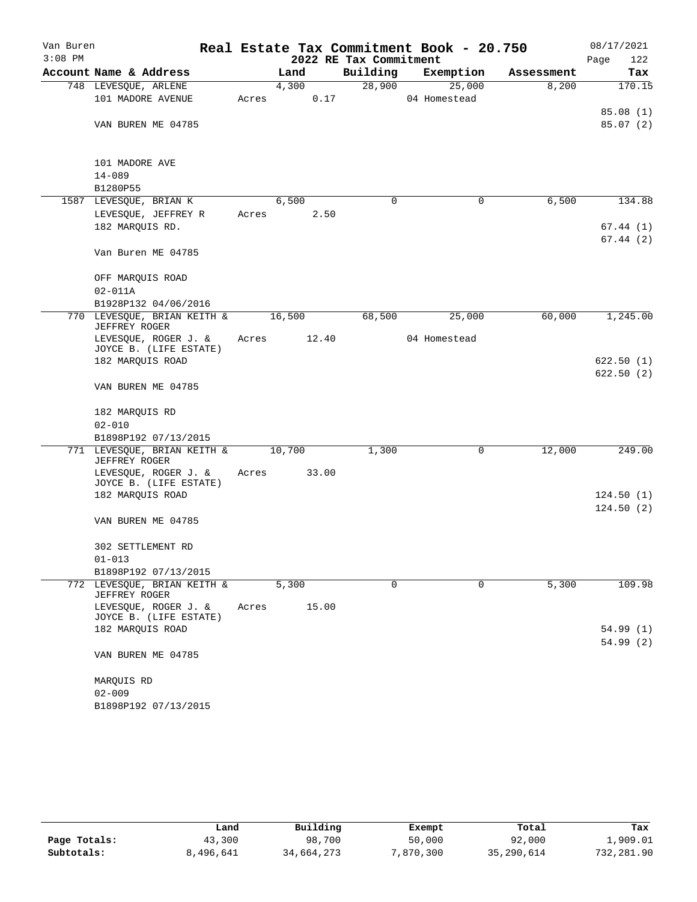| Van Buren |                                                     |       |        |                        | Real Estate Tax Commitment Book - 20.750 |            | 08/17/2021  |
|-----------|-----------------------------------------------------|-------|--------|------------------------|------------------------------------------|------------|-------------|
| $3:08$ PM |                                                     |       |        | 2022 RE Tax Commitment |                                          |            | Page<br>122 |
|           | Account Name & Address                              |       | Land   | Building               | Exemption                                | Assessment | Tax         |
|           | 748 LEVESQUE, ARLENE                                |       | 4,300  | 28,900                 | 25,000                                   | 8,200      | 170.15      |
|           | 101 MADORE AVENUE                                   | Acres | 0.17   |                        | 04 Homestead                             |            |             |
|           |                                                     |       |        |                        |                                          |            | 85.08(1)    |
|           | VAN BUREN ME 04785                                  |       |        |                        |                                          |            | 85.07(2)    |
|           | 101 MADORE AVE                                      |       |        |                        |                                          |            |             |
|           | $14 - 089$                                          |       |        |                        |                                          |            |             |
|           | B1280P55                                            |       |        |                        |                                          |            |             |
|           | 1587 LEVESQUE, BRIAN K                              |       | 6,500  | 0                      | 0                                        | 6,500      | 134.88      |
|           | LEVESQUE, JEFFREY R                                 | Acres | 2.50   |                        |                                          |            |             |
|           | 182 MARQUIS RD.                                     |       |        |                        |                                          |            | 67.44(1)    |
|           |                                                     |       |        |                        |                                          |            | 67.44(2)    |
|           | Van Buren ME 04785                                  |       |        |                        |                                          |            |             |
|           | OFF MARQUIS ROAD                                    |       |        |                        |                                          |            |             |
|           | $02 - 011A$                                         |       |        |                        |                                          |            |             |
|           | B1928P132 04/06/2016                                |       |        |                        |                                          |            |             |
|           | 770 LEVESOUE, BRIAN KEITH &<br><b>JEFFREY ROGER</b> |       | 16,500 | 68,500                 | 25,000                                   | 60,000     | 1,245.00    |
|           | LEVESQUE, ROGER J. &<br>JOYCE B. (LIFE ESTATE)      | Acres | 12.40  |                        | 04 Homestead                             |            |             |
|           | 182 MARQUIS ROAD                                    |       |        |                        |                                          |            | 622.50(1)   |
|           | VAN BUREN ME 04785                                  |       |        |                        |                                          |            | 622.50(2)   |
|           | 182 MARQUIS RD                                      |       |        |                        |                                          |            |             |
|           | $02 - 010$                                          |       |        |                        |                                          |            |             |
|           | B1898P192 07/13/2015                                |       |        |                        |                                          |            |             |
|           | 771 LEVESQUE, BRIAN KEITH &<br><b>JEFFREY ROGER</b> |       | 10,700 | 1,300                  | 0                                        | 12,000     | 249.00      |
|           | LEVESQUE, ROGER J. &<br>JOYCE B. (LIFE ESTATE)      | Acres | 33.00  |                        |                                          |            |             |
|           | 182 MARQUIS ROAD                                    |       |        |                        |                                          |            | 124.50(1)   |
|           |                                                     |       |        |                        |                                          |            | 124.50(2)   |
|           | VAN BUREN ME 04785                                  |       |        |                        |                                          |            |             |
|           | 302 SETTLEMENT RD                                   |       |        |                        |                                          |            |             |
|           | $01 - 013$                                          |       |        |                        |                                          |            |             |
|           | B1898P192 07/13/2015                                |       |        |                        |                                          |            |             |
| 772       | LEVESQUE, BRIAN KEITH &<br><b>JEFFREY ROGER</b>     |       | 5,300  | 0                      | 0                                        | 5,300      | 109.98      |
|           | LEVESQUE, ROGER J. &<br>JOYCE B. (LIFE ESTATE)      | Acres | 15.00  |                        |                                          |            |             |
|           | 182 MARQUIS ROAD                                    |       |        |                        |                                          |            | 54.99(1)    |
|           | VAN BUREN ME 04785                                  |       |        |                        |                                          |            | 54.99(2)    |
|           | MARQUIS RD                                          |       |        |                        |                                          |            |             |
|           | $02 - 009$                                          |       |        |                        |                                          |            |             |
|           | B1898P192 07/13/2015                                |       |        |                        |                                          |            |             |
|           |                                                     |       |        |                        |                                          |            |             |

|              | Land      | Building   | Exempt    | Total      | Tax        |
|--------------|-----------|------------|-----------|------------|------------|
| Page Totals: | 43,300    | 98,700     | 50,000    | 92,000     | 1,909.01   |
| Subtotals:   | 8,496,641 | 34,664,273 | 7,870,300 | 35,290,614 | 732,281.90 |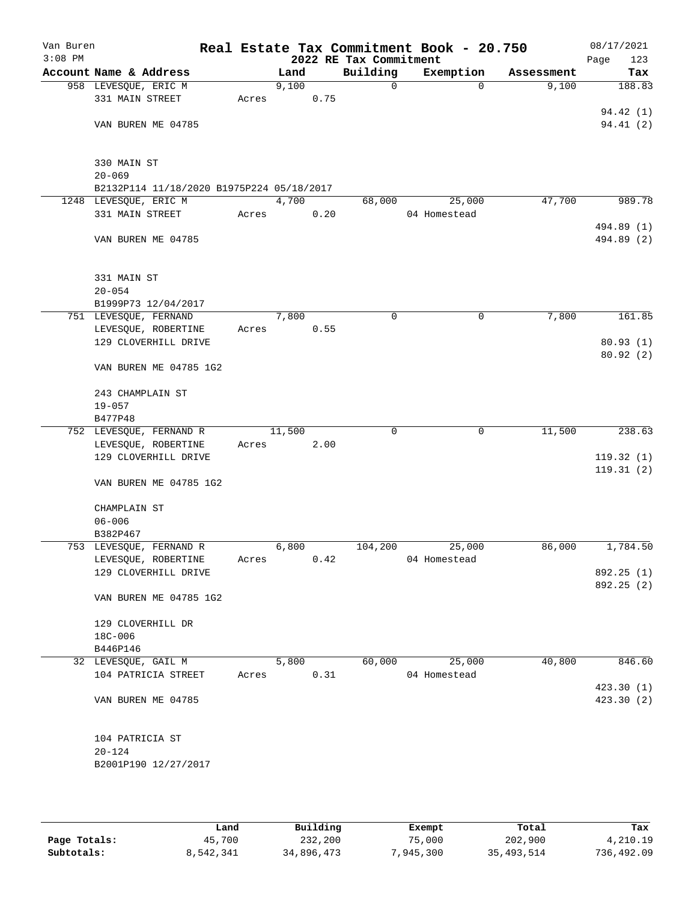| Van Buren<br>$3:08$ PM |                                           |       |        |      | 2022 RE Tax Commitment | Real Estate Tax Commitment Book - 20.750 |            | 08/17/2021<br>123     |
|------------------------|-------------------------------------------|-------|--------|------|------------------------|------------------------------------------|------------|-----------------------|
|                        | Account Name & Address                    |       | Land   |      | Building               | Exemption                                | Assessment | Page<br>Tax           |
|                        | 958 LEVESQUE, ERIC M                      |       | 9,100  |      | 0                      | $\Omega$                                 | 9,100      | 188.83                |
|                        | 331 MAIN STREET                           |       |        | 0.75 |                        |                                          |            |                       |
|                        |                                           | Acres |        |      |                        |                                          |            |                       |
|                        | VAN BUREN ME 04785                        |       |        |      |                        |                                          |            | 94.42 (1)<br>94.41(2) |
|                        |                                           |       |        |      |                        |                                          |            |                       |
|                        |                                           |       |        |      |                        |                                          |            |                       |
|                        | 330 MAIN ST                               |       |        |      |                        |                                          |            |                       |
|                        | $20 - 069$                                |       |        |      |                        |                                          |            |                       |
|                        | B2132P114 11/18/2020 B1975P224 05/18/2017 |       |        |      |                        |                                          |            |                       |
| 1248                   | LEVESQUE, ERIC M                          |       | 4,700  |      | 68,000                 | 25,000                                   | 47,700     | 989.78                |
|                        | 331 MAIN STREET                           | Acres |        | 0.20 |                        | 04 Homestead                             |            |                       |
|                        |                                           |       |        |      |                        |                                          |            | 494.89 (1)            |
|                        | VAN BUREN ME 04785                        |       |        |      |                        |                                          |            | 494.89 (2)            |
|                        |                                           |       |        |      |                        |                                          |            |                       |
|                        |                                           |       |        |      |                        |                                          |            |                       |
|                        | 331 MAIN ST                               |       |        |      |                        |                                          |            |                       |
|                        | $20 - 054$                                |       |        |      |                        |                                          |            |                       |
|                        | B1999P73 12/04/2017                       |       |        |      |                        |                                          |            | 161.85                |
|                        | 751 LEVESQUE, FERNAND                     |       | 7,800  |      | 0                      | 0                                        | 7,800      |                       |
|                        | LEVESQUE, ROBERTINE                       | Acres |        | 0.55 |                        |                                          |            |                       |
|                        | 129 CLOVERHILL DRIVE                      |       |        |      |                        |                                          |            | 80.93(1)              |
|                        |                                           |       |        |      |                        |                                          |            | 80.92(2)              |
|                        | VAN BUREN ME 04785 1G2                    |       |        |      |                        |                                          |            |                       |
|                        | 243 CHAMPLAIN ST                          |       |        |      |                        |                                          |            |                       |
|                        | $19 - 057$                                |       |        |      |                        |                                          |            |                       |
|                        | B477P48                                   |       |        |      |                        |                                          |            |                       |
|                        | 752 LEVESQUE, FERNAND R                   |       | 11,500 |      | 0                      | $\mathsf{O}$                             | 11,500     | 238.63                |
|                        | LEVESQUE, ROBERTINE                       | Acres |        | 2.00 |                        |                                          |            |                       |
|                        | 129 CLOVERHILL DRIVE                      |       |        |      |                        |                                          |            | 119.32(1)             |
|                        |                                           |       |        |      |                        |                                          |            | 119.31(2)             |
|                        | VAN BUREN ME 04785 1G2                    |       |        |      |                        |                                          |            |                       |
|                        |                                           |       |        |      |                        |                                          |            |                       |
|                        | CHAMPLAIN ST                              |       |        |      |                        |                                          |            |                       |
|                        | $06 - 006$                                |       |        |      |                        |                                          |            |                       |
|                        | B382P467                                  |       |        |      |                        |                                          |            |                       |
|                        | 753 LEVESQUE, FERNAND R                   |       | 6,800  |      | 104,200                | 25,000                                   | 86,000     | 1,784.50              |
|                        | LEVESQUE, ROBERTINE                       | Acres |        | 0.42 |                        | 04 Homestead                             |            |                       |
|                        | 129 CLOVERHILL DRIVE                      |       |        |      |                        |                                          |            | 892.25 (1)            |
|                        |                                           |       |        |      |                        |                                          |            | 892.25(2)             |
|                        | VAN BUREN ME 04785 1G2                    |       |        |      |                        |                                          |            |                       |
|                        |                                           |       |        |      |                        |                                          |            |                       |
|                        | 129 CLOVERHILL DR                         |       |        |      |                        |                                          |            |                       |
|                        | 18C-006                                   |       |        |      |                        |                                          |            |                       |
|                        | B446P146                                  |       |        |      |                        |                                          |            |                       |
|                        | 32 LEVESQUE, GAIL M                       |       | 5,800  |      | 60,000                 | 25,000                                   | 40,800     | 846.60                |
|                        | 104 PATRICIA STREET                       | Acres |        | 0.31 |                        | 04 Homestead                             |            |                       |
|                        |                                           |       |        |      |                        |                                          |            | 423.30(1)             |
|                        | VAN BUREN ME 04785                        |       |        |      |                        |                                          |            | 423.30(2)             |
|                        |                                           |       |        |      |                        |                                          |            |                       |
|                        | 104 PATRICIA ST                           |       |        |      |                        |                                          |            |                       |
|                        | $20 - 124$                                |       |        |      |                        |                                          |            |                       |
|                        | B2001P190 12/27/2017                      |       |        |      |                        |                                          |            |                       |
|                        |                                           |       |        |      |                        |                                          |            |                       |
|                        |                                           |       |        |      |                        |                                          |            |                       |

|              | Land      | Building   | Exempt    | Total        | Tax        |
|--------------|-----------|------------|-----------|--------------|------------|
| Page Totals: | 45,700    | 232,200    | 75,000    | 202,900      | 4,210.19   |
| Subtotals:   | 8,542,341 | 34,896,473 | 7,945,300 | 35, 493, 514 | 736,492.09 |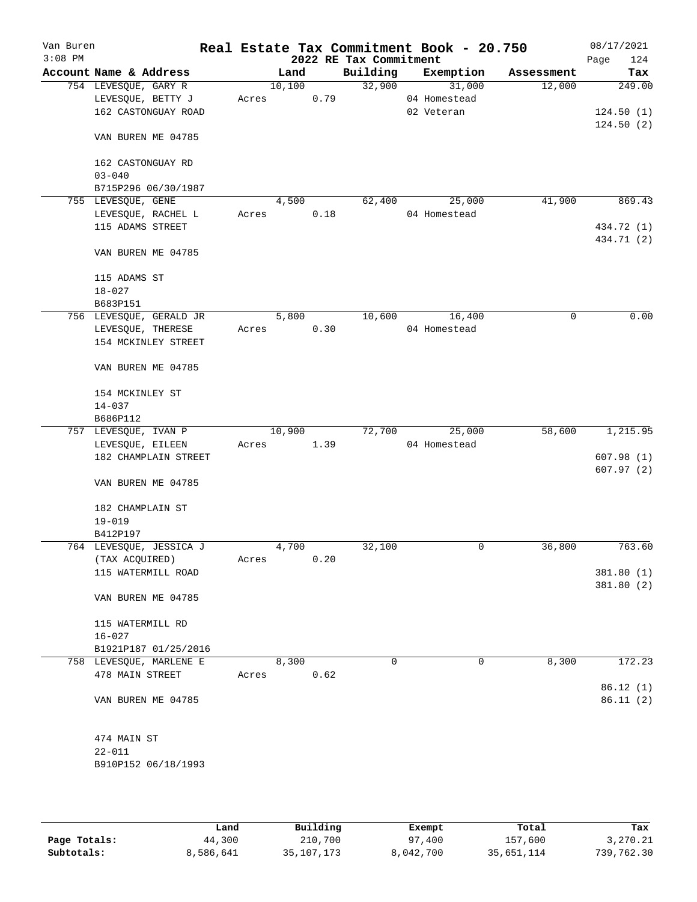| Van Buren<br>$3:08$ PM |                                   |       |        |      | 2022 RE Tax Commitment | Real Estate Tax Commitment Book - 20.750 |            | 08/17/2021<br>124<br>Page |
|------------------------|-----------------------------------|-------|--------|------|------------------------|------------------------------------------|------------|---------------------------|
|                        | Account Name & Address            |       | Land   |      | Building               | Exemption                                | Assessment | Tax                       |
|                        | 754 LEVESQUE, GARY R              |       | 10,100 |      | 32,900                 | 31,000                                   | 12,000     | 249.00                    |
|                        | LEVESQUE, BETTY J                 | Acres |        | 0.79 |                        | 04 Homestead                             |            |                           |
|                        | 162 CASTONGUAY ROAD               |       |        |      |                        | 02 Veteran                               |            | 124.50(1)                 |
|                        | VAN BUREN ME 04785                |       |        |      |                        |                                          |            | 124.50(2)                 |
|                        | 162 CASTONGUAY RD                 |       |        |      |                        |                                          |            |                           |
|                        | $03 - 040$                        |       |        |      |                        |                                          |            |                           |
|                        | B715P296 06/30/1987               |       |        |      |                        |                                          |            |                           |
|                        | 755 LEVESQUE, GENE                |       | 4,500  |      | 62,400                 | 25,000                                   | 41,900     | 869.43                    |
|                        | LEVESQUE, RACHEL L                | Acres |        | 0.18 |                        | 04 Homestead                             |            |                           |
|                        | 115 ADAMS STREET                  |       |        |      |                        |                                          |            | 434.72 (1)                |
|                        | VAN BUREN ME 04785                |       |        |      |                        |                                          |            | 434.71 (2)                |
|                        | 115 ADAMS ST                      |       |        |      |                        |                                          |            |                           |
|                        | $18 - 027$                        |       |        |      |                        |                                          |            |                           |
|                        | B683P151                          |       |        |      |                        |                                          |            |                           |
|                        | 756 LEVESQUE, GERALD JR           |       | 5,800  |      | 10,600                 | 16,400                                   | 0          | 0.00                      |
|                        | LEVESQUE, THERESE                 | Acres |        | 0.30 |                        | 04 Homestead                             |            |                           |
|                        | 154 MCKINLEY STREET               |       |        |      |                        |                                          |            |                           |
|                        | VAN BUREN ME 04785                |       |        |      |                        |                                          |            |                           |
|                        | 154 MCKINLEY ST                   |       |        |      |                        |                                          |            |                           |
|                        | $14 - 037$                        |       |        |      |                        |                                          |            |                           |
|                        | B686P112                          |       |        |      |                        |                                          |            |                           |
|                        | 757 LEVESQUE, IVAN P              |       | 10,900 |      | 72,700                 | 25,000                                   | 58,600     | 1,215.95                  |
|                        | LEVESQUE, EILEEN                  | Acres |        | 1.39 |                        | 04 Homestead                             |            |                           |
|                        | 182 CHAMPLAIN STREET              |       |        |      |                        |                                          |            | 607.98(1)                 |
|                        | VAN BUREN ME 04785                |       |        |      |                        |                                          |            | 607.97(2)                 |
|                        | 182 CHAMPLAIN ST                  |       |        |      |                        |                                          |            |                           |
|                        | $19 - 019$                        |       |        |      |                        |                                          |            |                           |
|                        | B412P197                          |       |        |      |                        |                                          |            |                           |
|                        | 764 LEVESQUE, JESSICA J           |       | 4,700  |      | 32,100                 | 0                                        | 36,800     | 763.60                    |
|                        | (TAX ACQUIRED)                    | Acres |        | 0.20 |                        |                                          |            |                           |
|                        | 115 WATERMILL ROAD                |       |        |      |                        |                                          |            | 381.80(1)                 |
|                        | VAN BUREN ME 04785                |       |        |      |                        |                                          |            | 381.80 (2)                |
|                        | 115 WATERMILL RD                  |       |        |      |                        |                                          |            |                           |
|                        | $16 - 027$                        |       |        |      |                        |                                          |            |                           |
|                        | B1921P187 01/25/2016              |       |        |      |                        |                                          |            |                           |
|                        | 758 LEVESQUE, MARLENE E           |       | 8,300  |      | 0                      | $\mathbf 0$                              | 8,300      | 172.23                    |
|                        | 478 MAIN STREET                   | Acres |        | 0.62 |                        |                                          |            |                           |
|                        |                                   |       |        |      |                        |                                          |            | 86.12(1)                  |
|                        | VAN BUREN ME 04785                |       |        |      |                        |                                          |            | 86.11(2)                  |
|                        |                                   |       |        |      |                        |                                          |            |                           |
|                        | 474 MAIN ST                       |       |        |      |                        |                                          |            |                           |
|                        | $22 - 011$<br>B910P152 06/18/1993 |       |        |      |                        |                                          |            |                           |
|                        |                                   |       |        |      |                        |                                          |            |                           |
|                        |                                   |       |        |      |                        |                                          |            |                           |

|              | Land      | Building   | Exempt    | Total      | Tax        |
|--------------|-----------|------------|-----------|------------|------------|
| Page Totals: | 44,300    | 210,700    | 97,400    | 157,600    | 3,270.21   |
| Subtotals:   | 8,586,641 | 35,107,173 | 8,042,700 | 35,651,114 | 739,762.30 |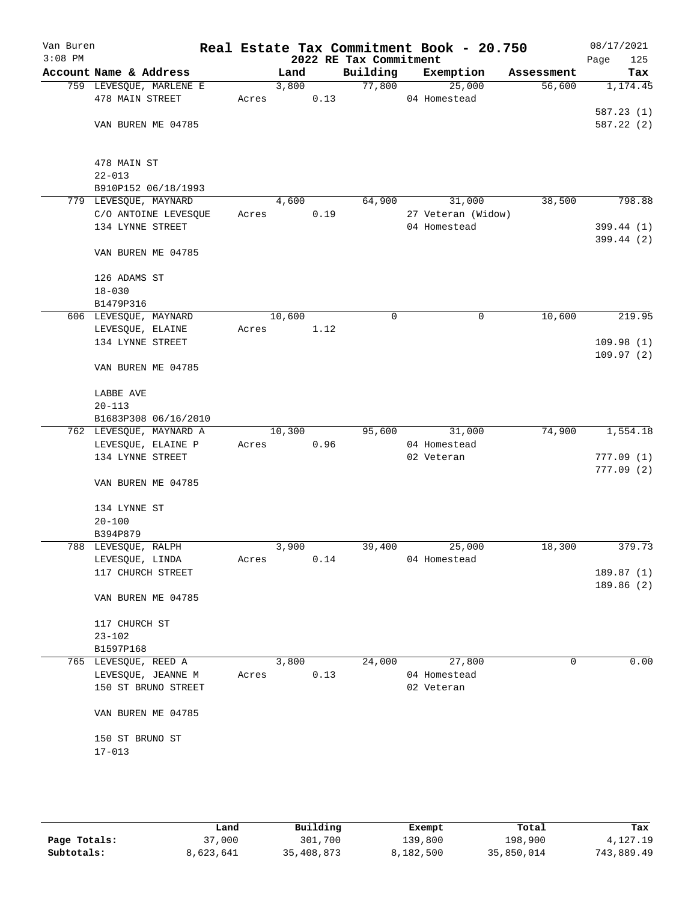| Van Buren<br>$3:08$ PM |                         |       |        |      | 2022 RE Tax Commitment | Real Estate Tax Commitment Book - 20.750 |            | 08/17/2021<br>125<br>Page |
|------------------------|-------------------------|-------|--------|------|------------------------|------------------------------------------|------------|---------------------------|
|                        | Account Name & Address  |       | Land   |      | Building               | Exemption                                | Assessment | Tax                       |
|                        | 759 LEVESQUE, MARLENE E |       | 3,800  |      | 77,800                 | 25,000                                   | 56,600     | 1,174.45                  |
|                        | 478 MAIN STREET         | Acres |        | 0.13 |                        | 04 Homestead                             |            |                           |
|                        |                         |       |        |      |                        |                                          |            | 587.23(1)                 |
|                        | VAN BUREN ME 04785      |       |        |      |                        |                                          |            | 587.22(2)                 |
|                        | 478 MAIN ST             |       |        |      |                        |                                          |            |                           |
|                        | $22 - 013$              |       |        |      |                        |                                          |            |                           |
|                        | B910P152 06/18/1993     |       |        |      |                        |                                          |            |                           |
|                        | 779 LEVESQUE, MAYNARD   |       | 4,600  |      | 64,900                 | 31,000                                   | 38,500     | 798.88                    |
|                        | C/O ANTOINE LEVESQUE    | Acres |        | 0.19 |                        | 27 Veteran (Widow)                       |            |                           |
|                        | 134 LYNNE STREET        |       |        |      |                        | 04 Homestead                             |            | 399.44(1)                 |
|                        | VAN BUREN ME 04785      |       |        |      |                        |                                          |            | 399.44 (2)                |
|                        | 126 ADAMS ST            |       |        |      |                        |                                          |            |                           |
|                        | $18 - 030$              |       |        |      |                        |                                          |            |                           |
|                        | B1479P316               |       |        |      |                        |                                          |            |                           |
|                        | 606 LEVESQUE, MAYNARD   |       | 10,600 |      | 0                      | 0                                        | 10,600     | 219.95                    |
|                        | LEVESQUE, ELAINE        | Acres |        | 1.12 |                        |                                          |            |                           |
|                        | 134 LYNNE STREET        |       |        |      |                        |                                          |            | 109.98(1)                 |
|                        | VAN BUREN ME 04785      |       |        |      |                        |                                          |            | 109.97(2)                 |
|                        |                         |       |        |      |                        |                                          |            |                           |
|                        | LABBE AVE               |       |        |      |                        |                                          |            |                           |
|                        | $20 - 113$              |       |        |      |                        |                                          |            |                           |
|                        | B1683P308 06/16/2010    |       |        |      |                        |                                          |            |                           |
|                        | 762 LEVESQUE, MAYNARD A |       | 10,300 |      | 95,600                 | 31,000                                   | 74,900     | 1,554.18                  |
|                        | LEVESQUE, ELAINE P      | Acres |        | 0.96 |                        | 04 Homestead                             |            |                           |
|                        | 134 LYNNE STREET        |       |        |      |                        | 02 Veteran                               |            | 777.09(1)                 |
|                        | VAN BUREN ME 04785      |       |        |      |                        |                                          |            | 777.09(2)                 |
|                        | 134 LYNNE ST            |       |        |      |                        |                                          |            |                           |
|                        | $20 - 100$              |       |        |      |                        |                                          |            |                           |
|                        | B394P879                |       |        |      |                        |                                          |            |                           |
|                        | 788 LEVESQUE, RALPH     |       | 3,900  |      | 39,400                 | 25,000                                   | 18,300     | 379.73                    |
|                        | LEVESQUE, LINDA         | Acres |        | 0.14 |                        | 04 Homestead                             |            |                           |
|                        | 117 CHURCH STREET       |       |        |      |                        |                                          |            | 189.87(1)                 |
|                        | VAN BUREN ME 04785      |       |        |      |                        |                                          |            | 189.86 (2)                |
|                        | 117 CHURCH ST           |       |        |      |                        |                                          |            |                           |
|                        | $23 - 102$              |       |        |      |                        |                                          |            |                           |
|                        | B1597P168               |       |        |      |                        |                                          |            |                           |
|                        | 765 LEVESQUE, REED A    |       | 3,800  |      | 24,000                 | 27,800                                   | 0          | 0.00                      |
|                        | LEVESQUE, JEANNE M      | Acres |        | 0.13 |                        | 04 Homestead                             |            |                           |
|                        | 150 ST BRUNO STREET     |       |        |      |                        | 02 Veteran                               |            |                           |
|                        | VAN BUREN ME 04785      |       |        |      |                        |                                          |            |                           |
|                        | 150 ST BRUNO ST         |       |        |      |                        |                                          |            |                           |
|                        | $17 - 013$              |       |        |      |                        |                                          |            |                           |
|                        |                         |       |        |      |                        |                                          |            |                           |
|                        |                         |       |        |      |                        |                                          |            |                           |
|                        |                         |       |        |      |                        |                                          |            |                           |

|              | Land      | Building   | Exempt    | Total      | Tax        |
|--------------|-----------|------------|-----------|------------|------------|
| Page Totals: | 37,000    | 301,700    | 139,800   | 198,900    | 4,127.19   |
| Subtotals:   | 8,623,641 | 35,408,873 | 8,182,500 | 35,850,014 | 743,889.49 |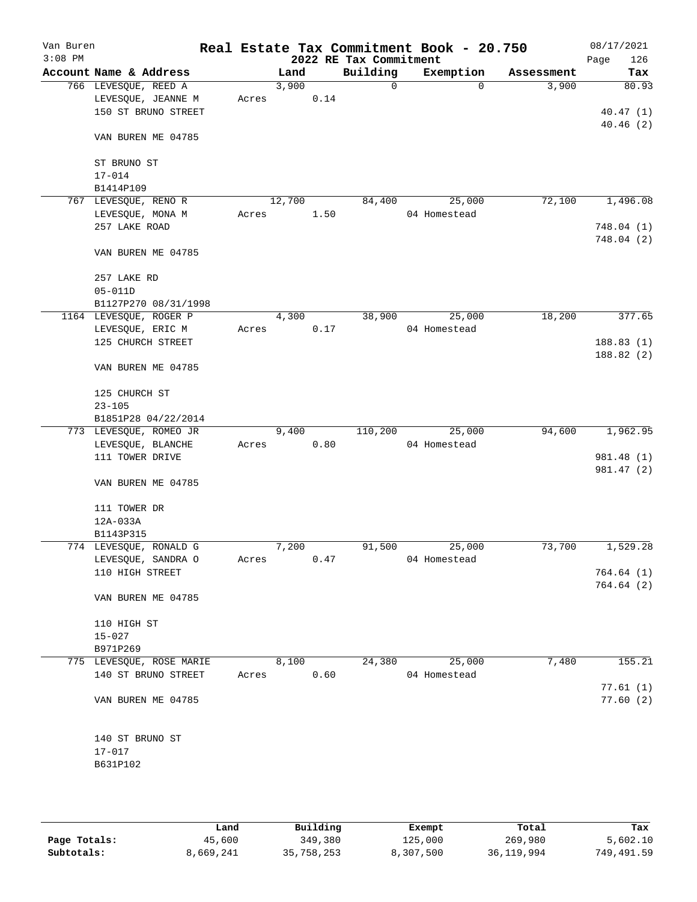| Van Buren<br>$3:08$ PM |                          |       |        |      | 2022 RE Tax Commitment | Real Estate Tax Commitment Book - 20.750 |                   | 08/17/2021<br>Page<br>126 |
|------------------------|--------------------------|-------|--------|------|------------------------|------------------------------------------|-------------------|---------------------------|
|                        | Account Name & Address   |       | Land   |      | Building               | Exemption                                | Assessment        | Tax                       |
|                        | 766 LEVESQUE, REED A     |       | 3,900  |      | 0                      |                                          | $\Omega$<br>3,900 | 80.93                     |
|                        | LEVESQUE, JEANNE M       | Acres |        | 0.14 |                        |                                          |                   |                           |
|                        | 150 ST BRUNO STREET      |       |        |      |                        |                                          |                   | 40.47(1)                  |
|                        |                          |       |        |      |                        |                                          |                   | 40.46(2)                  |
|                        | VAN BUREN ME 04785       |       |        |      |                        |                                          |                   |                           |
|                        |                          |       |        |      |                        |                                          |                   |                           |
|                        | ST BRUNO ST              |       |        |      |                        |                                          |                   |                           |
|                        | $17 - 014$               |       |        |      |                        |                                          |                   |                           |
|                        | B1414P109                |       |        |      |                        |                                          |                   |                           |
|                        | 767 LEVESQUE, RENO R     |       | 12,700 |      | 84,400                 | 25,000                                   | 72,100            | 1,496.08                  |
|                        | LEVESQUE, MONA M         | Acres |        | 1.50 |                        | 04 Homestead                             |                   |                           |
|                        | 257 LAKE ROAD            |       |        |      |                        |                                          |                   | 748.04 (1)                |
|                        |                          |       |        |      |                        |                                          |                   | 748.04 (2)                |
|                        | VAN BUREN ME 04785       |       |        |      |                        |                                          |                   |                           |
|                        |                          |       |        |      |                        |                                          |                   |                           |
|                        | 257 LAKE RD              |       |        |      |                        |                                          |                   |                           |
|                        | $05 - 011D$              |       |        |      |                        |                                          |                   |                           |
|                        | B1127P270 08/31/1998     |       |        |      |                        |                                          |                   |                           |
|                        | 1164 LEVESQUE, ROGER P   |       | 4,300  |      | 38,900                 | 25,000                                   | 18,200            | 377.65                    |
|                        | LEVESQUE, ERIC M         | Acres |        | 0.17 |                        | 04 Homestead                             |                   |                           |
|                        | 125 CHURCH STREET        |       |        |      |                        |                                          |                   | 188.83(1)                 |
|                        |                          |       |        |      |                        |                                          |                   | 188.82 (2)                |
|                        | VAN BUREN ME 04785       |       |        |      |                        |                                          |                   |                           |
|                        |                          |       |        |      |                        |                                          |                   |                           |
|                        | 125 CHURCH ST            |       |        |      |                        |                                          |                   |                           |
|                        | $23 - 105$               |       |        |      |                        |                                          |                   |                           |
|                        | B1851P28 04/22/2014      |       |        |      |                        |                                          |                   |                           |
|                        | 773 LEVESQUE, ROMEO JR   |       | 9,400  |      | 110,200                | 25,000                                   | 94,600            | 1,962.95                  |
|                        | LEVESQUE, BLANCHE        | Acres |        | 0.80 |                        | 04 Homestead                             |                   |                           |
|                        | 111 TOWER DRIVE          |       |        |      |                        |                                          |                   | 981.48 (1)                |
|                        |                          |       |        |      |                        |                                          |                   | 981.47 (2)                |
|                        | VAN BUREN ME 04785       |       |        |      |                        |                                          |                   |                           |
|                        |                          |       |        |      |                        |                                          |                   |                           |
|                        | 111 TOWER DR             |       |        |      |                        |                                          |                   |                           |
|                        | 12A-033A                 |       |        |      |                        |                                          |                   |                           |
|                        | B1143P315                |       |        |      |                        |                                          |                   |                           |
|                        | 774 LEVESQUE, RONALD G   |       | 7,200  |      | 91,500                 | 25,000                                   | 73,700            | 1,529.28                  |
|                        | LEVESQUE, SANDRA O       | Acres |        | 0.47 |                        | 04 Homestead                             |                   |                           |
|                        | 110 HIGH STREET          |       |        |      |                        |                                          |                   | 764.64(1)                 |
|                        |                          |       |        |      |                        |                                          |                   | 764.64 (2)                |
|                        | VAN BUREN ME 04785       |       |        |      |                        |                                          |                   |                           |
|                        |                          |       |        |      |                        |                                          |                   |                           |
|                        | 110 HIGH ST              |       |        |      |                        |                                          |                   |                           |
|                        | $15 - 027$               |       |        |      |                        |                                          |                   |                           |
|                        | B971P269                 |       |        |      |                        |                                          |                   |                           |
|                        | 775 LEVESQUE, ROSE MARIE |       | 8,100  |      | 24,380                 | 25,000                                   | 7,480             | 155.21                    |
|                        | 140 ST BRUNO STREET      | Acres |        | 0.60 |                        | 04 Homestead                             |                   |                           |
|                        |                          |       |        |      |                        |                                          |                   | 77.61(1)                  |
|                        | VAN BUREN ME 04785       |       |        |      |                        |                                          |                   | 77.60(2)                  |
|                        |                          |       |        |      |                        |                                          |                   |                           |
|                        |                          |       |        |      |                        |                                          |                   |                           |
|                        | 140 ST BRUNO ST          |       |        |      |                        |                                          |                   |                           |
|                        | $17 - 017$               |       |        |      |                        |                                          |                   |                           |
|                        | B631P102                 |       |        |      |                        |                                          |                   |                           |
|                        |                          |       |        |      |                        |                                          |                   |                           |
|                        |                          |       |        |      |                        |                                          |                   |                           |

|              | Land      | Building   | Exempt    | Total      | Tax        |
|--------------|-----------|------------|-----------|------------|------------|
| Page Totals: | 45,600    | 349,380    | 125,000   | 269,980    | 5.602.10   |
| Subtotals:   | 8,669,241 | 35,758,253 | 8,307,500 | 36,119,994 | 749,491.59 |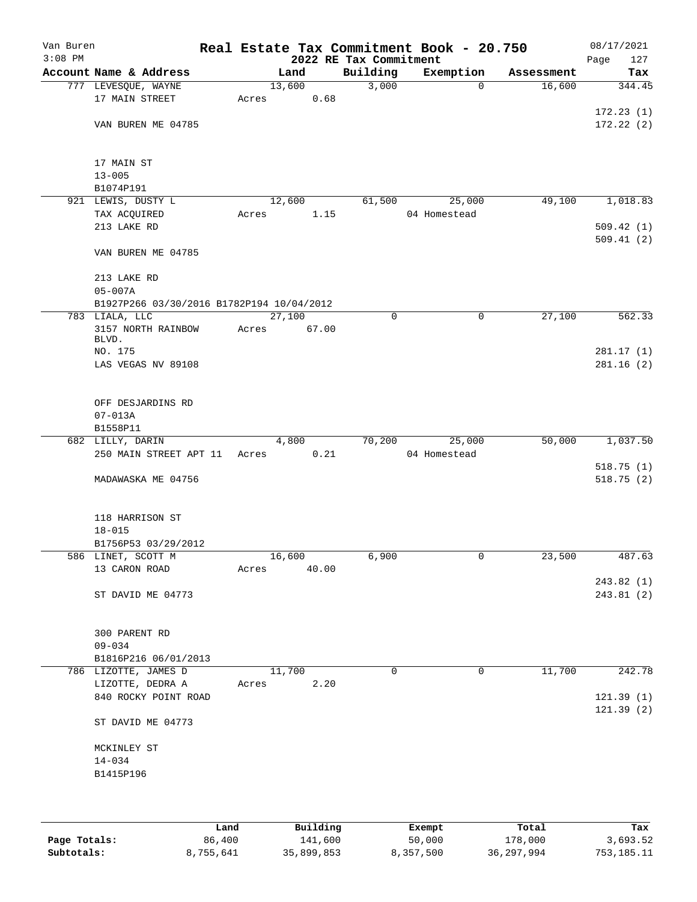| Van Buren<br>$3:08$ PM |                                                          |       |        | 2022 RE Tax Commitment | Real Estate Tax Commitment Book - 20.750 |            | 08/17/2021<br>127<br>Page |
|------------------------|----------------------------------------------------------|-------|--------|------------------------|------------------------------------------|------------|---------------------------|
|                        | Account Name & Address                                   |       | Land   | Building               | Exemption                                | Assessment | Tax                       |
|                        | 777 LEVESQUE, WAYNE                                      |       | 13,600 | 3,000                  | $\mathbf 0$                              | 16,600     | 344.45                    |
|                        | 17 MAIN STREET                                           | Acres | 0.68   |                        |                                          |            |                           |
|                        |                                                          |       |        |                        |                                          |            | 172.23(1)                 |
|                        | VAN BUREN ME 04785                                       |       |        |                        |                                          |            | 172.22(2)                 |
|                        |                                                          |       |        |                        |                                          |            |                           |
|                        |                                                          |       |        |                        |                                          |            |                           |
|                        | 17 MAIN ST                                               |       |        |                        |                                          |            |                           |
|                        | $13 - 005$                                               |       |        |                        |                                          |            |                           |
|                        | B1074P191                                                |       |        |                        |                                          |            |                           |
|                        | 921 LEWIS, DUSTY L                                       |       | 12,600 | 61,500                 | 25,000                                   | 49,100     | 1,018.83                  |
|                        | TAX ACQUIRED                                             | Acres | 1.15   |                        | 04 Homestead                             |            |                           |
|                        | 213 LAKE RD                                              |       |        |                        |                                          |            | 509.42(1)                 |
|                        |                                                          |       |        |                        |                                          |            | 509.41(2)                 |
|                        | VAN BUREN ME 04785                                       |       |        |                        |                                          |            |                           |
|                        |                                                          |       |        |                        |                                          |            |                           |
|                        | 213 LAKE RD                                              |       |        |                        |                                          |            |                           |
|                        | $05 - 007A$<br>B1927P266 03/30/2016 B1782P194 10/04/2012 |       |        |                        |                                          |            |                           |
|                        | 783 LIALA, LLC                                           |       | 27,100 | 0                      | 0                                        | 27,100     | 562.33                    |
|                        | 3157 NORTH RAINBOW                                       | Acres | 67.00  |                        |                                          |            |                           |
|                        | BLVD.                                                    |       |        |                        |                                          |            |                           |
|                        | NO. 175                                                  |       |        |                        |                                          |            | 281.17(1)                 |
|                        | LAS VEGAS NV 89108                                       |       |        |                        |                                          |            | 281.16(2)                 |
|                        |                                                          |       |        |                        |                                          |            |                           |
|                        |                                                          |       |        |                        |                                          |            |                           |
|                        | OFF DESJARDINS RD                                        |       |        |                        |                                          |            |                           |
|                        | $07 - 013A$                                              |       |        |                        |                                          |            |                           |
|                        | B1558P11                                                 |       |        |                        |                                          |            |                           |
|                        | 682 LILLY, DARIN                                         |       | 4,800  | 70,200                 | 25,000                                   | 50,000     | 1,037.50                  |
|                        | 250 MAIN STREET APT 11                                   | Acres | 0.21   |                        | 04 Homestead                             |            |                           |
|                        |                                                          |       |        |                        |                                          |            | 518.75(1)                 |
|                        | MADAWASKA ME 04756                                       |       |        |                        |                                          |            | 518.75(2)                 |
|                        |                                                          |       |        |                        |                                          |            |                           |
|                        | 118 HARRISON ST                                          |       |        |                        |                                          |            |                           |
|                        | $18 - 015$                                               |       |        |                        |                                          |            |                           |
|                        | B1756P53 03/29/2012                                      |       |        |                        |                                          |            |                           |
|                        | 586 LINET, SCOTT M                                       |       | 16,600 | 6,900                  | 0                                        | 23,500     | 487.63                    |
|                        | 13 CARON ROAD                                            | Acres | 40.00  |                        |                                          |            |                           |
|                        |                                                          |       |        |                        |                                          |            | 243.82 (1)                |
|                        | ST DAVID ME 04773                                        |       |        |                        |                                          |            | 243.81(2)                 |
|                        |                                                          |       |        |                        |                                          |            |                           |
|                        |                                                          |       |        |                        |                                          |            |                           |
|                        | 300 PARENT RD                                            |       |        |                        |                                          |            |                           |
|                        | $09 - 034$                                               |       |        |                        |                                          |            |                           |
|                        | B1816P216 06/01/2013                                     |       |        |                        |                                          |            |                           |
|                        | 786 LIZOTTE, JAMES D                                     |       | 11,700 | 0                      | 0                                        | 11,700     | 242.78                    |
|                        | LIZOTTE, DEDRA A                                         | Acres | 2.20   |                        |                                          |            |                           |
|                        | 840 ROCKY POINT ROAD                                     |       |        |                        |                                          |            | 121.39(1)                 |
|                        | ST DAVID ME 04773                                        |       |        |                        |                                          |            | 121.39(2)                 |
|                        |                                                          |       |        |                        |                                          |            |                           |
|                        | MCKINLEY ST                                              |       |        |                        |                                          |            |                           |
|                        | $14 - 034$                                               |       |        |                        |                                          |            |                           |
|                        | B1415P196                                                |       |        |                        |                                          |            |                           |
|                        |                                                          |       |        |                        |                                          |            |                           |
|                        |                                                          |       |        |                        |                                          |            |                           |
|                        |                                                          |       |        |                        |                                          |            |                           |

|              | úand      | Building   | Exempt    | Total      | Tax          |
|--------------|-----------|------------|-----------|------------|--------------|
| Page Totals: | 86,400    | 141,600    | 50,000    | 178,000    | 3,693.52     |
| Subtotals:   | 8,755,641 | 35,899,853 | 8,357,500 | 36,297,994 | 753, 185. 11 |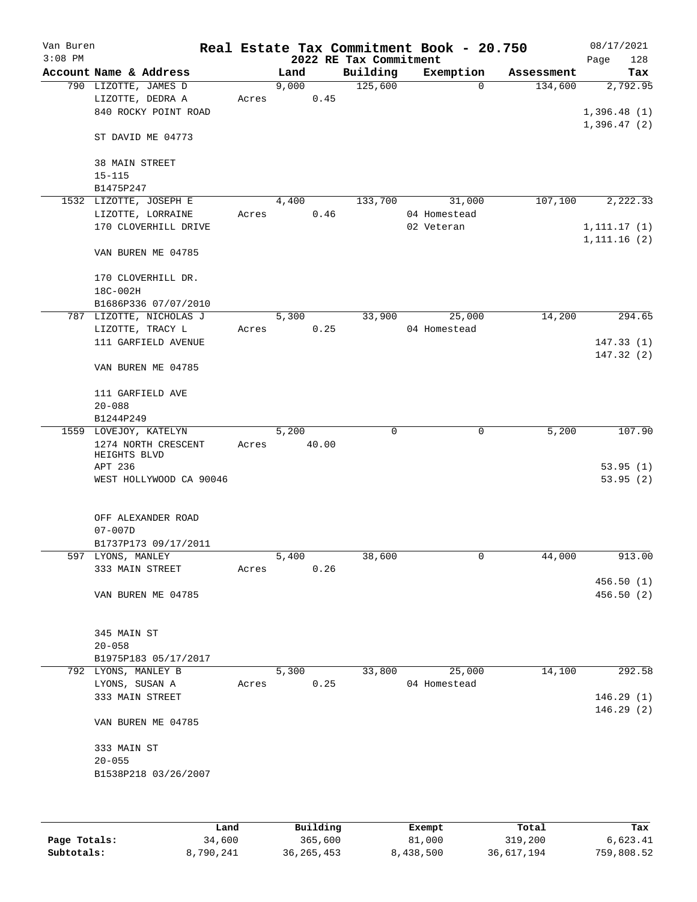| Van Buren<br>$3:08$ PM |                                                                  |       |               | 2022 RE Tax Commitment | Real Estate Tax Commitment Book - 20.750 |            | 08/17/2021<br>Page<br>128 |
|------------------------|------------------------------------------------------------------|-------|---------------|------------------------|------------------------------------------|------------|---------------------------|
|                        | Account Name & Address                                           |       | Land          | Building               | Exemption                                | Assessment | Tax                       |
|                        | 790 LIZOTTE, JAMES D<br>LIZOTTE, DEDRA A<br>840 ROCKY POINT ROAD | Acres | 9,000<br>0.45 | 125,600                | $\mathbf 0$                              | 134,600    | 2,792.95<br>1,396.48(1)   |
|                        | ST DAVID ME 04773                                                |       |               |                        |                                          |            | 1,396.47(2)               |
|                        | 38 MAIN STREET<br>$15 - 115$                                     |       |               |                        |                                          |            |                           |
|                        | B1475P247                                                        |       |               |                        |                                          |            |                           |
|                        | 1532 LIZOTTE, JOSEPH E                                           |       | 4,400         | 133,700                | 31,000                                   | 107,100    | 2, 222.33                 |
|                        | LIZOTTE, LORRAINE                                                | Acres | 0.46          |                        | 04 Homestead                             |            |                           |
|                        | 170 CLOVERHILL DRIVE                                             |       |               |                        | 02 Veteran                               |            | 1, 111.17(1)              |
|                        | VAN BUREN ME 04785                                               |       |               |                        |                                          |            | 1, 111.16(2)              |
|                        | 170 CLOVERHILL DR.                                               |       |               |                        |                                          |            |                           |
|                        | 18C-002H                                                         |       |               |                        |                                          |            |                           |
|                        | B1686P336 07/07/2010                                             |       |               |                        |                                          |            |                           |
|                        | 787 LIZOTTE, NICHOLAS J                                          |       | 5,300         | 33,900                 | 25,000                                   | 14,200     | 294.65                    |
|                        | LIZOTTE, TRACY L                                                 | Acres | 0.25          |                        | 04 Homestead                             |            |                           |
|                        | 111 GARFIELD AVENUE                                              |       |               |                        |                                          |            | 147.33(1)                 |
|                        | VAN BUREN ME 04785                                               |       |               |                        |                                          |            | 147.32(2)                 |
|                        | 111 GARFIELD AVE<br>$20 - 088$                                   |       |               |                        |                                          |            |                           |
|                        | B1244P249                                                        |       |               |                        |                                          |            |                           |
|                        | 1559 LOVEJOY, KATELYN                                            |       | 5,200         | 0                      | 0                                        | 5,200      | 107.90                    |
|                        | 1274 NORTH CRESCENT<br>HEIGHTS BLVD                              | Acres | 40.00         |                        |                                          |            |                           |
|                        | APT 236                                                          |       |               |                        |                                          |            | 53.95(1)                  |
|                        | WEST HOLLYWOOD CA 90046                                          |       |               |                        |                                          |            | 53.95(2)                  |
|                        | OFF ALEXANDER ROAD                                               |       |               |                        |                                          |            |                           |
|                        | $07 - 007D$                                                      |       |               |                        |                                          |            |                           |
|                        | B1737P173 09/17/2011                                             |       |               |                        |                                          |            |                           |
|                        | 597 LYONS, MANLEY                                                |       | 5,400         | 38,600                 | 0                                        | 44,000     | 913.00                    |
|                        | 333 MAIN STREET                                                  | Acres | 0.26          |                        |                                          |            |                           |
|                        | VAN BUREN ME 04785                                               |       |               |                        |                                          |            | 456.50(1)<br>456.50(2)    |
|                        |                                                                  |       |               |                        |                                          |            |                           |
|                        | 345 MAIN ST                                                      |       |               |                        |                                          |            |                           |
|                        | $20 - 058$                                                       |       |               |                        |                                          |            |                           |
|                        | B1975P183 05/17/2017                                             |       |               |                        |                                          |            |                           |
|                        | 792 LYONS, MANLEY B                                              |       | 5,300         | 33,800                 | 25,000                                   | 14,100     | 292.58                    |
|                        | LYONS, SUSAN A<br>333 MAIN STREET                                | Acres | 0.25          |                        | 04 Homestead                             |            |                           |
|                        |                                                                  |       |               |                        |                                          |            | 146.29(1)<br>146.29(2)    |
|                        | VAN BUREN ME 04785                                               |       |               |                        |                                          |            |                           |
|                        | 333 MAIN ST                                                      |       |               |                        |                                          |            |                           |
|                        | $20 - 055$                                                       |       |               |                        |                                          |            |                           |
|                        | B1538P218 03/26/2007                                             |       |               |                        |                                          |            |                           |
|                        |                                                                  |       |               |                        |                                          |            |                           |
|                        |                                                                  |       |               |                        |                                          |            |                           |
|                        |                                                                  |       |               |                        |                                          |            |                           |

|              | Land      | Building     | Exempt    | Total      | Tax        |
|--------------|-----------|--------------|-----------|------------|------------|
| Page Totals: | 34,600    | 365,600      | 81,000    | 319,200    | 6.623.41   |
| Subtotals:   | 8,790,241 | 36, 265, 453 | 8,438,500 | 36,617,194 | 759,808.52 |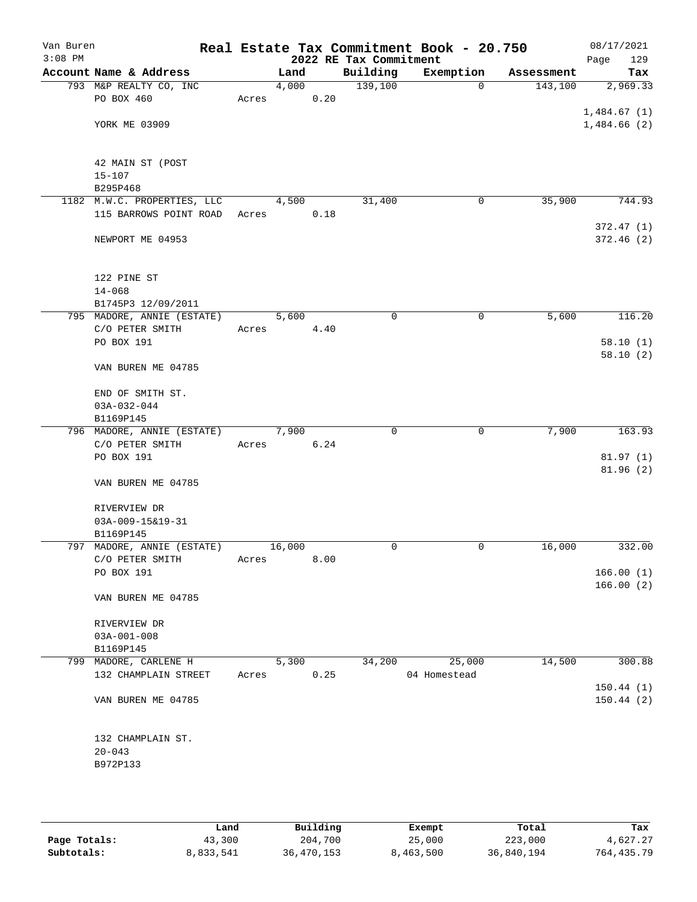| Van Buren<br>$3:08$ PM |                                |       |               |      |                        | Real Estate Tax Commitment Book - 20.750 |                       | 08/17/2021             |
|------------------------|--------------------------------|-------|---------------|------|------------------------|------------------------------------------|-----------------------|------------------------|
|                        | Account Name & Address         |       |               |      | 2022 RE Tax Commitment |                                          |                       | Page<br>129            |
|                        | 793 M&P REALTY CO, INC         |       | Land<br>4,000 |      | Building<br>139,100    | Exemption<br>$\Omega$                    | Assessment<br>143,100 | Tax<br>2,969.33        |
|                        | PO BOX 460                     | Acres |               | 0.20 |                        |                                          |                       |                        |
|                        |                                |       |               |      |                        |                                          |                       | 1,484.67(1)            |
|                        | YORK ME 03909                  |       |               |      |                        |                                          |                       | 1,484.66(2)            |
|                        |                                |       |               |      |                        |                                          |                       |                        |
|                        |                                |       |               |      |                        |                                          |                       |                        |
|                        | 42 MAIN ST (POST<br>$15 - 107$ |       |               |      |                        |                                          |                       |                        |
|                        | B295P468                       |       |               |      |                        |                                          |                       |                        |
|                        | 1182 M.W.C. PROPERTIES, LLC    |       | 4,500         |      | 31,400                 | 0                                        | 35,900                | 744.93                 |
|                        | 115 BARROWS POINT ROAD         | Acres |               | 0.18 |                        |                                          |                       |                        |
|                        |                                |       |               |      |                        |                                          |                       | 372.47(1)              |
|                        | NEWPORT ME 04953               |       |               |      |                        |                                          |                       | 372.46(2)              |
|                        |                                |       |               |      |                        |                                          |                       |                        |
|                        |                                |       |               |      |                        |                                          |                       |                        |
|                        | 122 PINE ST<br>$14 - 068$      |       |               |      |                        |                                          |                       |                        |
|                        | B1745P3 12/09/2011             |       |               |      |                        |                                          |                       |                        |
|                        | 795 MADORE, ANNIE (ESTATE)     |       | 5,600         |      | $\mathbf 0$            | 0                                        | 5,600                 | 116.20                 |
|                        | C/O PETER SMITH                | Acres |               | 4.40 |                        |                                          |                       |                        |
|                        | PO BOX 191                     |       |               |      |                        |                                          |                       | 58.10(1)               |
|                        |                                |       |               |      |                        |                                          |                       | 58.10(2)               |
|                        | VAN BUREN ME 04785             |       |               |      |                        |                                          |                       |                        |
|                        | END OF SMITH ST.               |       |               |      |                        |                                          |                       |                        |
|                        | $03A-032-044$                  |       |               |      |                        |                                          |                       |                        |
|                        | B1169P145                      |       |               |      |                        |                                          |                       |                        |
|                        | 796 MADORE, ANNIE (ESTATE)     |       | 7,900         |      | $\mathbf 0$            | 0                                        | 7,900                 | 163.93                 |
|                        | C/O PETER SMITH                | Acres |               | 6.24 |                        |                                          |                       |                        |
|                        | PO BOX 191                     |       |               |      |                        |                                          |                       | 81.97(1)               |
|                        |                                |       |               |      |                        |                                          |                       | 81.96(2)               |
|                        | VAN BUREN ME 04785             |       |               |      |                        |                                          |                       |                        |
|                        | RIVERVIEW DR                   |       |               |      |                        |                                          |                       |                        |
|                        | 03A-009-15&19-31               |       |               |      |                        |                                          |                       |                        |
|                        | B1169P145                      |       |               |      |                        |                                          |                       |                        |
|                        | 797 MADORE, ANNIE (ESTATE)     |       | 16,000        |      | 0                      | 0                                        | 16,000                | 332.00                 |
|                        | C/O PETER SMITH                | Acres |               | 8.00 |                        |                                          |                       |                        |
|                        | PO BOX 191                     |       |               |      |                        |                                          |                       | 166.00(1)              |
|                        | VAN BUREN ME 04785             |       |               |      |                        |                                          |                       | 166.00(2)              |
|                        |                                |       |               |      |                        |                                          |                       |                        |
|                        | RIVERVIEW DR                   |       |               |      |                        |                                          |                       |                        |
|                        | $03A-001-008$                  |       |               |      |                        |                                          |                       |                        |
|                        | B1169P145                      |       |               |      |                        |                                          |                       |                        |
|                        | 799 MADORE, CARLENE H          |       | 5,300         |      | 34,200                 | 25,000                                   | 14,500                | 300.88                 |
|                        | 132 CHAMPLAIN STREET           | Acres |               | 0.25 |                        | 04 Homestead                             |                       |                        |
|                        | VAN BUREN ME 04785             |       |               |      |                        |                                          |                       | 150.44(1)<br>150.44(2) |
|                        |                                |       |               |      |                        |                                          |                       |                        |
|                        |                                |       |               |      |                        |                                          |                       |                        |
|                        | 132 CHAMPLAIN ST.              |       |               |      |                        |                                          |                       |                        |
|                        | $20 - 043$                     |       |               |      |                        |                                          |                       |                        |
|                        | B972P133                       |       |               |      |                        |                                          |                       |                        |
|                        |                                |       |               |      |                        |                                          |                       |                        |
|                        |                                |       |               |      |                        |                                          |                       |                        |

|              | Land      | Building   | Exempt    | Total      | Tax          |
|--------------|-----------|------------|-----------|------------|--------------|
| Page Totals: | 43,300    | 204,700    | 25,000    | 223,000    | 4,627.27     |
| Subtotals:   | 8,833,541 | 36,470,153 | 8,463,500 | 36,840,194 | 764, 435. 79 |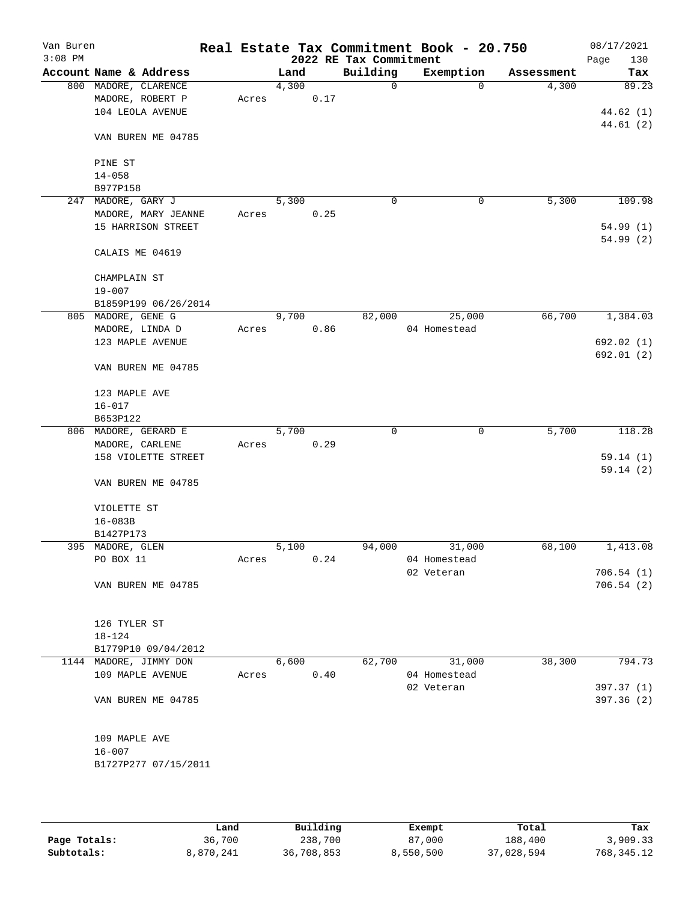| Van Buren<br>$3:08$ PM |                        |       |       |      | 2022 RE Tax Commitment | Real Estate Tax Commitment Book - 20.750 |            | 08/17/2021<br>130<br>Page |
|------------------------|------------------------|-------|-------|------|------------------------|------------------------------------------|------------|---------------------------|
|                        | Account Name & Address |       | Land  |      | Building               | Exemption                                | Assessment | Tax                       |
|                        | 800 MADORE, CLARENCE   |       | 4,300 |      | 0                      | $\Omega$                                 | 4,300      | 89.23                     |
|                        | MADORE, ROBERT P       | Acres |       | 0.17 |                        |                                          |            |                           |
|                        | 104 LEOLA AVENUE       |       |       |      |                        |                                          |            | 44.62(1)                  |
|                        | VAN BUREN ME 04785     |       |       |      |                        |                                          |            | 44.61 (2)                 |
|                        | PINE ST                |       |       |      |                        |                                          |            |                           |
|                        | $14 - 058$             |       |       |      |                        |                                          |            |                           |
|                        | B977P158               |       |       |      |                        |                                          |            |                           |
| 247                    | MADORE, GARY J         |       | 5,300 |      | $\mathbf 0$            | 0                                        | 5,300      | 109.98                    |
|                        | MADORE, MARY JEANNE    | Acres |       | 0.25 |                        |                                          |            |                           |
|                        | 15 HARRISON STREET     |       |       |      |                        |                                          |            | 54.99(1)                  |
|                        | CALAIS ME 04619        |       |       |      |                        |                                          |            | 54.99(2)                  |
|                        | CHAMPLAIN ST           |       |       |      |                        |                                          |            |                           |
|                        | $19 - 007$             |       |       |      |                        |                                          |            |                           |
|                        | B1859P199 06/26/2014   |       |       |      |                        |                                          |            |                           |
|                        | 805 MADORE, GENE G     |       | 9,700 |      | 82,000                 | 25,000                                   | 66,700     | 1,384.03                  |
|                        | MADORE, LINDA D        | Acres |       | 0.86 |                        | 04 Homestead                             |            |                           |
|                        | 123 MAPLE AVENUE       |       |       |      |                        |                                          |            | 692.02 (1)<br>692.01 (2)  |
|                        | VAN BUREN ME 04785     |       |       |      |                        |                                          |            |                           |
|                        | 123 MAPLE AVE          |       |       |      |                        |                                          |            |                           |
|                        | $16 - 017$             |       |       |      |                        |                                          |            |                           |
|                        | B653P122               |       |       |      |                        |                                          |            |                           |
|                        | 806 MADORE, GERARD E   |       | 5,700 |      | $\mathbf 0$            | 0                                        | 5,700      | 118.28                    |
|                        | MADORE, CARLENE        | Acres |       | 0.29 |                        |                                          |            |                           |
|                        | 158 VIOLETTE STREET    |       |       |      |                        |                                          |            | 59.14(1)                  |
|                        | VAN BUREN ME 04785     |       |       |      |                        |                                          |            | 59.14(2)                  |
|                        | VIOLETTE ST            |       |       |      |                        |                                          |            |                           |
|                        | $16 - 083B$            |       |       |      |                        |                                          |            |                           |
|                        | B1427P173              |       |       |      |                        |                                          |            |                           |
|                        | 395 MADORE, GLEN       |       | 5,100 |      | 94,000                 | 31,000                                   | 68,100     | 1,413.08                  |
|                        | PO BOX 11              | Acres |       | 0.24 |                        | 04 Homestead                             |            |                           |
|                        |                        |       |       |      |                        | 02 Veteran                               |            | 706.54(1)                 |
|                        | VAN BUREN ME 04785     |       |       |      |                        |                                          |            | 706.54(2)                 |
|                        | 126 TYLER ST           |       |       |      |                        |                                          |            |                           |
|                        | $18 - 124$             |       |       |      |                        |                                          |            |                           |
|                        | B1779P10 09/04/2012    |       |       |      |                        |                                          |            |                           |
|                        | 1144 MADORE, JIMMY DON |       | 6,600 |      | 62,700                 | 31,000                                   | 38,300     | 794.73                    |
|                        | 109 MAPLE AVENUE       | Acres |       | 0.40 |                        | 04 Homestead                             |            |                           |
|                        |                        |       |       |      |                        | 02 Veteran                               |            | 397.37 (1)                |
|                        | VAN BUREN ME 04785     |       |       |      |                        |                                          |            | 397.36 (2)                |
|                        | 109 MAPLE AVE          |       |       |      |                        |                                          |            |                           |
|                        | $16 - 007$             |       |       |      |                        |                                          |            |                           |
|                        | B1727P277 07/15/2011   |       |       |      |                        |                                          |            |                           |
|                        |                        |       |       |      |                        |                                          |            |                           |

|              | Land      | Building   | Exempt    | Total      | Tax          |
|--------------|-----------|------------|-----------|------------|--------------|
| Page Totals: | 36,700    | 238,700    | 87,000    | 188,400    | 3,909.33     |
| Subtotals:   | 8,870,241 | 36,708,853 | 8,550,500 | 37,028,594 | 768, 345. 12 |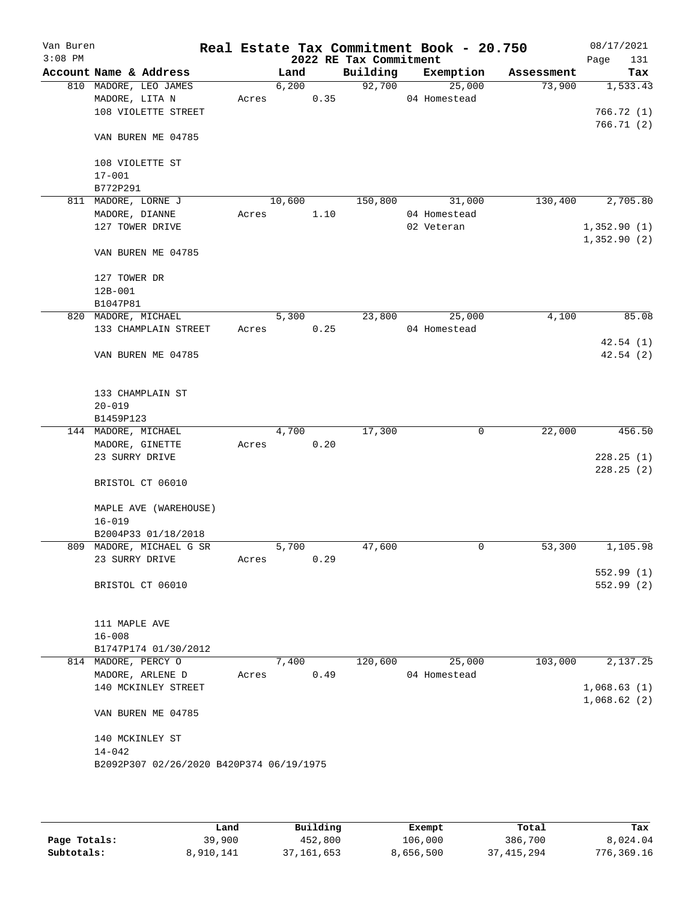| Van Buren |                         |                                          |       |        |      |                        | Real Estate Tax Commitment Book - 20.750 |            | 08/17/2021  |
|-----------|-------------------------|------------------------------------------|-------|--------|------|------------------------|------------------------------------------|------------|-------------|
| $3:08$ PM |                         |                                          |       |        |      | 2022 RE Tax Commitment |                                          |            | 131<br>Page |
|           |                         | Account Name & Address                   |       | Land   |      | Building               | Exemption                                | Assessment | Tax         |
|           |                         | 810 MADORE, LEO JAMES                    |       | 6,200  |      | 92,700                 | 25,000                                   | 73,900     | 1,533.43    |
|           | MADORE, LITA N          |                                          | Acres |        | 0.35 |                        | 04 Homestead                             |            |             |
|           |                         | 108 VIOLETTE STREET                      |       |        |      |                        |                                          |            | 766.72(1)   |
|           |                         | VAN BUREN ME 04785                       |       |        |      |                        |                                          |            | 766.71(2)   |
|           | 108 VIOLETTE ST         |                                          |       |        |      |                        |                                          |            |             |
|           | $17 - 001$              |                                          |       |        |      |                        |                                          |            |             |
|           | B772P291                |                                          |       |        |      |                        |                                          |            |             |
|           | 811 MADORE, LORNE J     |                                          |       | 10,600 |      | 150,800                | 31,000                                   | 130,400    | 2,705.80    |
|           | MADORE, DIANNE          |                                          | Acres |        | 1.10 |                        | 04 Homestead                             |            |             |
|           | 127 TOWER DRIVE         |                                          |       |        |      |                        | 02 Veteran                               |            | 1,352.90(1) |
|           |                         | VAN BUREN ME 04785                       |       |        |      |                        |                                          |            | 1,352.90(2) |
|           | 127 TOWER DR            |                                          |       |        |      |                        |                                          |            |             |
|           | $12B - 001$             |                                          |       |        |      |                        |                                          |            |             |
|           | B1047P81                |                                          |       |        |      |                        |                                          |            |             |
|           | 820 MADORE, MICHAEL     |                                          |       | 5,300  |      | 23,800                 | 25,000                                   | 4,100      | 85.08       |
|           |                         | 133 CHAMPLAIN STREET                     | Acres |        | 0.25 |                        | 04 Homestead                             |            |             |
|           |                         |                                          |       |        |      |                        |                                          |            | 42.54(1)    |
|           |                         | VAN BUREN ME 04785                       |       |        |      |                        |                                          |            | 42.54(2)    |
|           |                         | 133 CHAMPLAIN ST                         |       |        |      |                        |                                          |            |             |
|           | $20 - 019$<br>B1459P123 |                                          |       |        |      |                        |                                          |            |             |
|           | 144 MADORE, MICHAEL     |                                          |       | 4,700  |      | 17,300                 | 0                                        | 22,000     | 456.50      |
|           | MADORE, GINETTE         |                                          | Acres |        | 0.20 |                        |                                          |            |             |
|           | 23 SURRY DRIVE          |                                          |       |        |      |                        |                                          |            | 228.25(1)   |
|           |                         |                                          |       |        |      |                        |                                          |            | 228.25(2)   |
|           |                         | BRISTOL CT 06010                         |       |        |      |                        |                                          |            |             |
|           | $16 - 019$              | MAPLE AVE (WAREHOUSE)                    |       |        |      |                        |                                          |            |             |
|           |                         | B2004P33 01/18/2018                      |       |        |      |                        |                                          |            |             |
|           |                         | 809 MADORE, MICHAEL G SR                 |       | 5,700  |      | 47,600                 | 0                                        | 53,300     | 1,105.98    |
|           | 23 SURRY DRIVE          |                                          | Acres |        | 0.29 |                        |                                          |            |             |
|           |                         |                                          |       |        |      |                        |                                          |            | 552.99(1)   |
|           |                         | BRISTOL CT 06010                         |       |        |      |                        |                                          |            | 552.99(2)   |
|           | 111 MAPLE AVE           |                                          |       |        |      |                        |                                          |            |             |
|           | $16 - 008$              |                                          |       |        |      |                        |                                          |            |             |
|           |                         | B1747P174 01/30/2012                     |       |        |      |                        |                                          |            |             |
|           | 814 MADORE, PERCY O     |                                          |       | 7,400  |      | 120,600                | 25,000                                   | 103,000    | 2,137.25    |
|           |                         | MADORE, ARLENE D                         | Acres |        | 0.49 |                        | 04 Homestead                             |            |             |
|           |                         | 140 MCKINLEY STREET                      |       |        |      |                        |                                          |            | 1,068.63(1) |
|           |                         | VAN BUREN ME 04785                       |       |        |      |                        |                                          |            | 1,068.62(2) |
|           |                         |                                          |       |        |      |                        |                                          |            |             |
|           | 140 MCKINLEY ST         |                                          |       |        |      |                        |                                          |            |             |
|           | $14 - 042$              |                                          |       |        |      |                        |                                          |            |             |
|           |                         | B2092P307 02/26/2020 B420P374 06/19/1975 |       |        |      |                        |                                          |            |             |
|           |                         |                                          |       |        |      |                        |                                          |            |             |
|           |                         |                                          |       |        |      |                        |                                          |            |             |

|              | Land      | Building     | Exempt    | Total        | Tax        |
|--------------|-----------|--------------|-----------|--------------|------------|
| Page Totals: | 39,900    | 452,800      | 106,000   | 386,700      | 8,024.04   |
| Subtotals:   | 8,910,141 | 37, 161, 653 | 8,656,500 | 37, 415, 294 | 776,369.16 |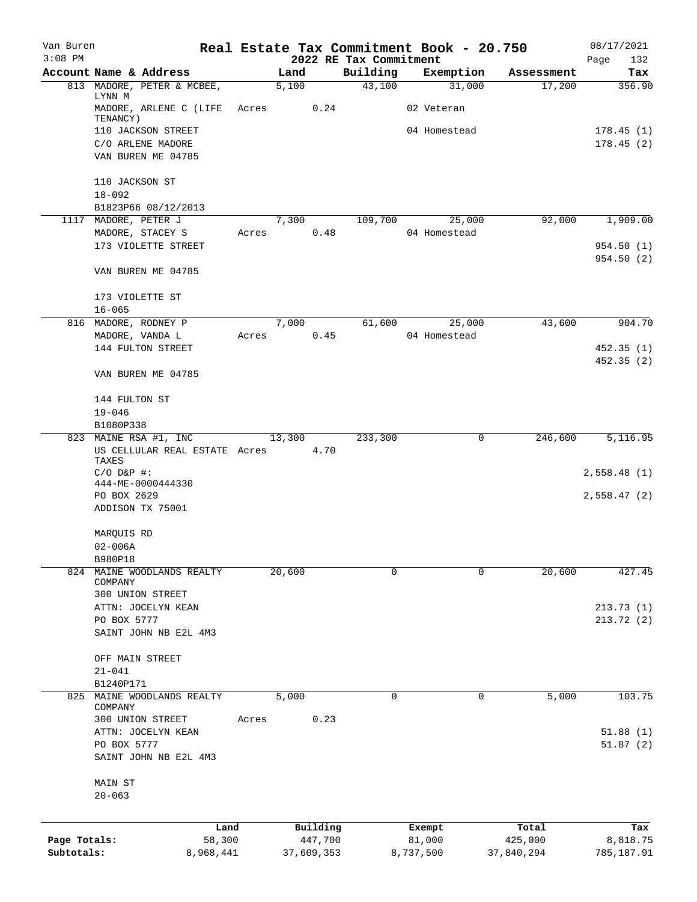| Van Buren<br>$3:08$ PM |                                                        |       |                     | 2022 RE Tax Commitment | Real Estate Tax Commitment Book - 20.750 |                  | 08/17/2021<br>132<br>Page |
|------------------------|--------------------------------------------------------|-------|---------------------|------------------------|------------------------------------------|------------------|---------------------------|
|                        | Account Name & Address                                 |       | Land                | Building               | Exemption                                | Assessment       | Tax                       |
|                        | 813 MADORE, PETER & MCBEE,                             |       | 5,100               | 43,100                 | 31,000                                   | 17,200           | 356.90                    |
|                        | LYNN M<br>MADORE, ARLENE C (LIFE<br>TENANCY)           | Acres | 0.24                |                        | 02 Veteran                               |                  |                           |
|                        | 110 JACKSON STREET                                     |       |                     |                        | 04 Homestead                             |                  | 178.45(1)                 |
|                        | C/O ARLENE MADORE                                      |       |                     |                        |                                          |                  | 178.45(2)                 |
|                        | VAN BUREN ME 04785                                     |       |                     |                        |                                          |                  |                           |
|                        | 110 JACKSON ST<br>$18 - 092$                           |       |                     |                        |                                          |                  |                           |
|                        | B1823P66 08/12/2013                                    |       |                     |                        |                                          |                  |                           |
|                        | 1117 MADORE, PETER J                                   |       | 7,300               | 109,700                | 25,000                                   | 92,000           | 1,909.00                  |
|                        | MADORE, STACEY S                                       | Acres | 0.48                |                        | 04 Homestead                             |                  |                           |
|                        | 173 VIOLETTE STREET                                    |       |                     |                        |                                          |                  | 954.50(1)<br>954.50 (2)   |
|                        | VAN BUREN ME 04785                                     |       |                     |                        |                                          |                  |                           |
|                        | 173 VIOLETTE ST                                        |       |                     |                        |                                          |                  |                           |
|                        | $16 - 065$                                             |       |                     |                        |                                          |                  |                           |
|                        | 816 MADORE, RODNEY P                                   |       | 7,000               | 61,600                 | 25,000                                   | 43,600           | 904.70                    |
|                        | MADORE, VANDA L                                        | Acres | 0.45                |                        | 04 Homestead                             |                  |                           |
|                        | 144 FULTON STREET                                      |       |                     |                        |                                          |                  | 452.35(1)<br>452.35(2)    |
|                        | VAN BUREN ME 04785                                     |       |                     |                        |                                          |                  |                           |
|                        | 144 FULTON ST                                          |       |                     |                        |                                          |                  |                           |
|                        | $19 - 046$                                             |       |                     |                        |                                          |                  |                           |
|                        | B1080P338                                              |       |                     |                        |                                          |                  |                           |
|                        | 823 MAINE RSA #1, INC<br>US CELLULAR REAL ESTATE Acres |       | 13,300<br>4.70      | 233,300                | 0                                        | 246,600          | 5,116.95                  |
|                        | TAXES<br>$C/O$ $D\&P$ #:                               |       |                     |                        |                                          |                  | 2,558.48(1)               |
|                        | 444-ME-0000444330                                      |       |                     |                        |                                          |                  |                           |
|                        | PO BOX 2629                                            |       |                     |                        |                                          |                  | 2,558.47(2)               |
|                        | ADDISON TX 75001                                       |       |                     |                        |                                          |                  |                           |
|                        | MARQUIS RD                                             |       |                     |                        |                                          |                  |                           |
|                        | $02 - 006A$                                            |       |                     |                        |                                          |                  |                           |
|                        | B980P18                                                |       |                     |                        |                                          |                  |                           |
| 824                    | MAINE WOODLANDS REALTY<br>COMPANY                      |       | 20,600              | 0                      | $\Omega$                                 | 20,600           | 427.45                    |
|                        | 300 UNION STREET                                       |       |                     |                        |                                          |                  |                           |
|                        | ATTN: JOCELYN KEAN                                     |       |                     |                        |                                          |                  | 213.73(1)                 |
|                        | PO BOX 5777                                            |       |                     |                        |                                          |                  | 213.72(2)                 |
|                        | SAINT JOHN NB E2L 4M3                                  |       |                     |                        |                                          |                  |                           |
|                        | OFF MAIN STREET                                        |       |                     |                        |                                          |                  |                           |
|                        | $21 - 041$                                             |       |                     |                        |                                          |                  |                           |
|                        | B1240P171                                              |       |                     |                        |                                          |                  |                           |
| 825                    | MAINE WOODLANDS REALTY<br>COMPANY                      |       | 5,000               | 0                      | 0                                        | 5,000            | 103.75                    |
|                        | 300 UNION STREET                                       | Acres | 0.23                |                        |                                          |                  |                           |
|                        | ATTN: JOCELYN KEAN                                     |       |                     |                        |                                          |                  | 51.88(1)                  |
|                        | PO BOX 5777                                            |       |                     |                        |                                          |                  | 51.87(2)                  |
|                        | SAINT JOHN NB E2L 4M3                                  |       |                     |                        |                                          |                  |                           |
|                        | MAIN ST                                                |       |                     |                        |                                          |                  |                           |
|                        | $20 - 063$                                             |       |                     |                        |                                          |                  |                           |
|                        |                                                        |       |                     |                        |                                          |                  |                           |
| Page Totals:           | Land<br>58,300                                         |       | Building<br>447,700 |                        | Exempt<br>81,000                         | Total<br>425,000 | Tax<br>8,818.75           |
| Subtotals:             | 8,968,441                                              |       | 37,609,353          |                        | 8,737,500                                | 37,840,294       | 785,187.91                |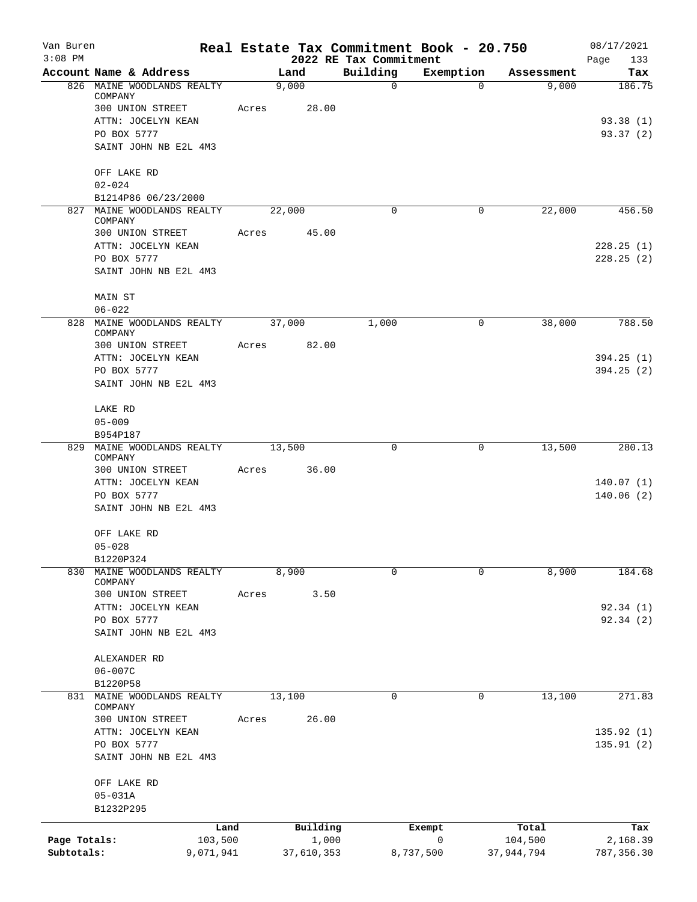| Van Buren<br>$3:08$ PM |                                       |       |            | 2022 RE Tax Commitment | Real Estate Tax Commitment Book - 20.750 |            | 08/17/2021<br>Page<br>133 |
|------------------------|---------------------------------------|-------|------------|------------------------|------------------------------------------|------------|---------------------------|
|                        | Account Name & Address                |       | Land       | Building               | Exemption                                | Assessment | Tax                       |
|                        | 826 MAINE WOODLANDS REALTY<br>COMPANY |       | 9,000      | $\mathbf 0$            | 0                                        | 9,000      | 186.75                    |
|                        | 300 UNION STREET                      | Acres | 28.00      |                        |                                          |            |                           |
|                        | ATTN: JOCELYN KEAN                    |       |            |                        |                                          |            | 93.38 (1)                 |
|                        | PO BOX 5777                           |       |            |                        |                                          |            | 93.37(2)                  |
|                        | SAINT JOHN NB E2L 4M3                 |       |            |                        |                                          |            |                           |
|                        | OFF LAKE RD                           |       |            |                        |                                          |            |                           |
|                        | $02 - 024$<br>B1214P86 06/23/2000     |       |            |                        |                                          |            |                           |
|                        | 827 MAINE WOODLANDS REALTY            |       | 22,000     | 0                      | 0                                        | 22,000     | 456.50                    |
|                        | COMPANY                               |       |            |                        |                                          |            |                           |
|                        | 300 UNION STREET                      | Acres | 45.00      |                        |                                          |            |                           |
|                        | ATTN: JOCELYN KEAN                    |       |            |                        |                                          |            | 228.25(1)                 |
|                        | PO BOX 5777                           |       |            |                        |                                          |            | 228.25(2)                 |
|                        | SAINT JOHN NB E2L 4M3                 |       |            |                        |                                          |            |                           |
|                        | MAIN ST                               |       |            |                        |                                          |            |                           |
|                        | $06 - 022$                            |       |            |                        |                                          |            |                           |
|                        | 828 MAINE WOODLANDS REALTY<br>COMPANY |       | 37,000     | 1,000                  | 0                                        | 38,000     | 788.50                    |
|                        | 300 UNION STREET                      | Acres | 82.00      |                        |                                          |            |                           |
|                        | ATTN: JOCELYN KEAN                    |       |            |                        |                                          |            | 394.25(1)                 |
|                        | PO BOX 5777                           |       |            |                        |                                          |            | 394.25(2)                 |
|                        | SAINT JOHN NB E2L 4M3                 |       |            |                        |                                          |            |                           |
|                        | LAKE RD                               |       |            |                        |                                          |            |                           |
|                        | $05 - 009$                            |       |            |                        |                                          |            |                           |
|                        | B954P187                              |       |            |                        |                                          |            |                           |
| 829                    | MAINE WOODLANDS REALTY<br>COMPANY     |       | 13,500     | 0                      | 0                                        | 13,500     | 280.13                    |
|                        | 300 UNION STREET                      | Acres | 36.00      |                        |                                          |            |                           |
|                        | ATTN: JOCELYN KEAN                    |       |            |                        |                                          |            | 140.07(1)                 |
|                        | PO BOX 5777                           |       |            |                        |                                          |            | 140.06(2)                 |
|                        | SAINT JOHN NB E2L 4M3                 |       |            |                        |                                          |            |                           |
|                        | OFF LAKE RD                           |       |            |                        |                                          |            |                           |
|                        | $05 - 028$                            |       |            |                        |                                          |            |                           |
|                        | B1220P324                             |       |            |                        |                                          |            |                           |
| 830                    | MAINE WOODLANDS REALTY<br>COMPANY     |       | 8,900      | 0                      | 0                                        | 8,900      | 184.68                    |
|                        | 300 UNION STREET                      | Acres | 3.50       |                        |                                          |            |                           |
|                        | ATTN: JOCELYN KEAN                    |       |            |                        |                                          |            | 92.34(1)                  |
|                        | PO BOX 5777                           |       |            |                        |                                          |            | 92.34(2)                  |
|                        | SAINT JOHN NB E2L 4M3                 |       |            |                        |                                          |            |                           |
|                        | ALEXANDER RD                          |       |            |                        |                                          |            |                           |
|                        | $06 - 007C$                           |       |            |                        |                                          |            |                           |
|                        | B1220P58                              |       |            |                        |                                          |            |                           |
|                        | 831 MAINE WOODLANDS REALTY<br>COMPANY |       | 13,100     | 0                      | 0                                        | 13,100     | 271.83                    |
|                        | 300 UNION STREET                      | Acres | 26.00      |                        |                                          |            |                           |
|                        | ATTN: JOCELYN KEAN                    |       |            |                        |                                          |            | 135.92(1)                 |
|                        | PO BOX 5777                           |       |            |                        |                                          |            | 135.91(2)                 |
|                        | SAINT JOHN NB E2L 4M3                 |       |            |                        |                                          |            |                           |
|                        | OFF LAKE RD                           |       |            |                        |                                          |            |                           |
|                        | $05 - 031A$                           |       |            |                        |                                          |            |                           |
|                        | B1232P295                             |       |            |                        |                                          |            |                           |
|                        | Land                                  |       | Building   |                        | Exempt                                   | Total      | Tax                       |
| Page Totals:           | 103,500                               |       | 1,000      |                        | 0                                        | 104,500    | 2,168.39                  |
| Subtotals:             | 9,071,941                             |       | 37,610,353 |                        | 8,737,500                                | 37,944,794 | 787,356.30                |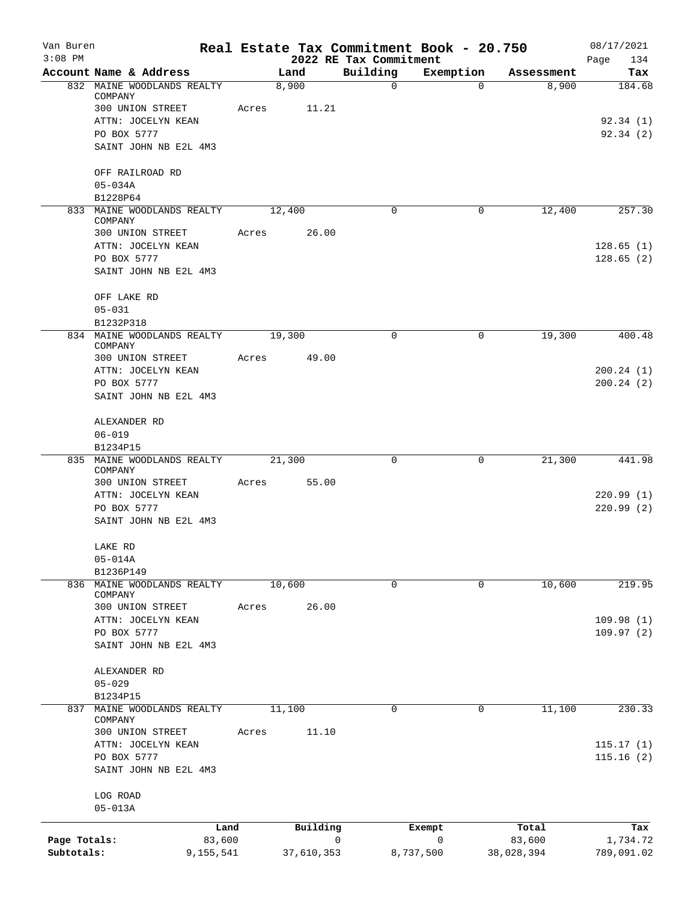| Account Name & Address<br>Building<br>Land<br>Exemption<br>Assessment<br>Tax<br>8,900<br>832 MAINE WOODLANDS REALTY<br>0<br>8,900<br>$\mathbf 0$<br>COMPANY<br>300 UNION STREET<br>11.21<br>Acres<br>ATTN: JOCELYN KEAN<br>PO BOX 5777<br>SAINT JOHN NB E2L 4M3<br>OFF RAILROAD RD<br>$05 - 034A$<br>B1228P64<br>12,400<br>833<br>MAINE WOODLANDS REALTY<br>12,400<br>0<br>0<br>COMPANY<br>26.00<br>300 UNION STREET<br>Acres<br>ATTN: JOCELYN KEAN<br>PO BOX 5777<br>SAINT JOHN NB E2L 4M3<br>OFF LAKE RD<br>$05 - 031$<br>B1232P318<br>19,300<br>834 MAINE WOODLANDS REALTY<br>19,300<br>0<br>0<br>COMPANY<br>300 UNION STREET<br>49.00<br>Acres<br>ATTN: JOCELYN KEAN<br>PO BOX 5777<br>SAINT JOHN NB E2L 4M3<br>ALEXANDER RD<br>$06 - 019$<br>B1234P15<br>21,300<br>21,300<br>835<br>MAINE WOODLANDS REALTY<br>0<br>0<br>COMPANY<br>300 UNION STREET<br>55.00<br>Acres<br>ATTN: JOCELYN KEAN<br>PO BOX 5777<br>SAINT JOHN NB E2L 4M3<br>LAKE RD<br>$05 - 014A$<br>B1236P149<br>10,600<br>0<br>$\mathbf 0$<br>10,600<br>836<br>MAINE WOODLANDS REALTY<br>COMPANY<br>26.00<br>300 UNION STREET<br>Acres<br>ATTN: JOCELYN KEAN<br>PO BOX 5777<br>SAINT JOHN NB E2L 4M3<br>ALEXANDER RD<br>$05 - 029$<br>B1234P15<br>MAINE WOODLANDS REALTY<br>11,100<br>0<br>0<br>11,100<br>837<br>COMPANY<br>11.10<br>300 UNION STREET<br>Acres<br>ATTN: JOCELYN KEAN<br>PO BOX 5777<br>SAINT JOHN NB E2L 4M3<br>LOG ROAD<br>$05 - 013A$<br>Building<br>Total<br>Land<br>Exempt<br>Tax<br>Page Totals:<br>83,600<br>0<br>0<br>83,600<br>Subtotals:<br>9,155,541<br>37,610,353<br>8,737,500<br>38,028,394 | Van Buren<br>$3:08$ PM |  | 2022 RE Tax Commitment | Real Estate Tax Commitment Book - 20.750 | 08/17/2021<br>Page<br>134 |
|--------------------------------------------------------------------------------------------------------------------------------------------------------------------------------------------------------------------------------------------------------------------------------------------------------------------------------------------------------------------------------------------------------------------------------------------------------------------------------------------------------------------------------------------------------------------------------------------------------------------------------------------------------------------------------------------------------------------------------------------------------------------------------------------------------------------------------------------------------------------------------------------------------------------------------------------------------------------------------------------------------------------------------------------------------------------------------------------------------------------------------------------------------------------------------------------------------------------------------------------------------------------------------------------------------------------------------------------------------------------------------------------------------------------------------------------------------------------------------------------------------------------------------------------------------------------------------------------|------------------------|--|------------------------|------------------------------------------|---------------------------|
|                                                                                                                                                                                                                                                                                                                                                                                                                                                                                                                                                                                                                                                                                                                                                                                                                                                                                                                                                                                                                                                                                                                                                                                                                                                                                                                                                                                                                                                                                                                                                                                            |                        |  |                        |                                          |                           |
| 92.34(1)<br>92.34(2)<br>257.30<br>128.65(1)<br>128.65(2)<br>400.48<br>200.24(1)<br>200.24(2)<br>441.98<br>220.99(1)<br>220.99(2)<br>219.95<br>109.98(1)<br>109.97(2)<br>230.33<br>115.17(1)<br>115.16(2)                                                                                                                                                                                                                                                                                                                                                                                                                                                                                                                                                                                                                                                                                                                                                                                                                                                                                                                                                                                                                                                                                                                                                                                                                                                                                                                                                                                   |                        |  |                        |                                          | 184.68                    |
|                                                                                                                                                                                                                                                                                                                                                                                                                                                                                                                                                                                                                                                                                                                                                                                                                                                                                                                                                                                                                                                                                                                                                                                                                                                                                                                                                                                                                                                                                                                                                                                            |                        |  |                        |                                          |                           |
|                                                                                                                                                                                                                                                                                                                                                                                                                                                                                                                                                                                                                                                                                                                                                                                                                                                                                                                                                                                                                                                                                                                                                                                                                                                                                                                                                                                                                                                                                                                                                                                            |                        |  |                        |                                          |                           |
|                                                                                                                                                                                                                                                                                                                                                                                                                                                                                                                                                                                                                                                                                                                                                                                                                                                                                                                                                                                                                                                                                                                                                                                                                                                                                                                                                                                                                                                                                                                                                                                            |                        |  |                        |                                          |                           |
|                                                                                                                                                                                                                                                                                                                                                                                                                                                                                                                                                                                                                                                                                                                                                                                                                                                                                                                                                                                                                                                                                                                                                                                                                                                                                                                                                                                                                                                                                                                                                                                            |                        |  |                        |                                          |                           |
|                                                                                                                                                                                                                                                                                                                                                                                                                                                                                                                                                                                                                                                                                                                                                                                                                                                                                                                                                                                                                                                                                                                                                                                                                                                                                                                                                                                                                                                                                                                                                                                            |                        |  |                        |                                          |                           |
|                                                                                                                                                                                                                                                                                                                                                                                                                                                                                                                                                                                                                                                                                                                                                                                                                                                                                                                                                                                                                                                                                                                                                                                                                                                                                                                                                                                                                                                                                                                                                                                            |                        |  |                        |                                          |                           |
|                                                                                                                                                                                                                                                                                                                                                                                                                                                                                                                                                                                                                                                                                                                                                                                                                                                                                                                                                                                                                                                                                                                                                                                                                                                                                                                                                                                                                                                                                                                                                                                            |                        |  |                        |                                          |                           |
|                                                                                                                                                                                                                                                                                                                                                                                                                                                                                                                                                                                                                                                                                                                                                                                                                                                                                                                                                                                                                                                                                                                                                                                                                                                                                                                                                                                                                                                                                                                                                                                            |                        |  |                        |                                          |                           |
|                                                                                                                                                                                                                                                                                                                                                                                                                                                                                                                                                                                                                                                                                                                                                                                                                                                                                                                                                                                                                                                                                                                                                                                                                                                                                                                                                                                                                                                                                                                                                                                            |                        |  |                        |                                          |                           |
|                                                                                                                                                                                                                                                                                                                                                                                                                                                                                                                                                                                                                                                                                                                                                                                                                                                                                                                                                                                                                                                                                                                                                                                                                                                                                                                                                                                                                                                                                                                                                                                            |                        |  |                        |                                          |                           |
|                                                                                                                                                                                                                                                                                                                                                                                                                                                                                                                                                                                                                                                                                                                                                                                                                                                                                                                                                                                                                                                                                                                                                                                                                                                                                                                                                                                                                                                                                                                                                                                            |                        |  |                        |                                          |                           |
|                                                                                                                                                                                                                                                                                                                                                                                                                                                                                                                                                                                                                                                                                                                                                                                                                                                                                                                                                                                                                                                                                                                                                                                                                                                                                                                                                                                                                                                                                                                                                                                            |                        |  |                        |                                          |                           |
|                                                                                                                                                                                                                                                                                                                                                                                                                                                                                                                                                                                                                                                                                                                                                                                                                                                                                                                                                                                                                                                                                                                                                                                                                                                                                                                                                                                                                                                                                                                                                                                            |                        |  |                        |                                          |                           |
|                                                                                                                                                                                                                                                                                                                                                                                                                                                                                                                                                                                                                                                                                                                                                                                                                                                                                                                                                                                                                                                                                                                                                                                                                                                                                                                                                                                                                                                                                                                                                                                            |                        |  |                        |                                          |                           |
|                                                                                                                                                                                                                                                                                                                                                                                                                                                                                                                                                                                                                                                                                                                                                                                                                                                                                                                                                                                                                                                                                                                                                                                                                                                                                                                                                                                                                                                                                                                                                                                            |                        |  |                        |                                          |                           |
|                                                                                                                                                                                                                                                                                                                                                                                                                                                                                                                                                                                                                                                                                                                                                                                                                                                                                                                                                                                                                                                                                                                                                                                                                                                                                                                                                                                                                                                                                                                                                                                            |                        |  |                        |                                          |                           |
|                                                                                                                                                                                                                                                                                                                                                                                                                                                                                                                                                                                                                                                                                                                                                                                                                                                                                                                                                                                                                                                                                                                                                                                                                                                                                                                                                                                                                                                                                                                                                                                            |                        |  |                        |                                          |                           |
|                                                                                                                                                                                                                                                                                                                                                                                                                                                                                                                                                                                                                                                                                                                                                                                                                                                                                                                                                                                                                                                                                                                                                                                                                                                                                                                                                                                                                                                                                                                                                                                            |                        |  |                        |                                          |                           |
|                                                                                                                                                                                                                                                                                                                                                                                                                                                                                                                                                                                                                                                                                                                                                                                                                                                                                                                                                                                                                                                                                                                                                                                                                                                                                                                                                                                                                                                                                                                                                                                            |                        |  |                        |                                          |                           |
|                                                                                                                                                                                                                                                                                                                                                                                                                                                                                                                                                                                                                                                                                                                                                                                                                                                                                                                                                                                                                                                                                                                                                                                                                                                                                                                                                                                                                                                                                                                                                                                            |                        |  |                        |                                          |                           |
|                                                                                                                                                                                                                                                                                                                                                                                                                                                                                                                                                                                                                                                                                                                                                                                                                                                                                                                                                                                                                                                                                                                                                                                                                                                                                                                                                                                                                                                                                                                                                                                            |                        |  |                        |                                          |                           |
|                                                                                                                                                                                                                                                                                                                                                                                                                                                                                                                                                                                                                                                                                                                                                                                                                                                                                                                                                                                                                                                                                                                                                                                                                                                                                                                                                                                                                                                                                                                                                                                            |                        |  |                        |                                          |                           |
|                                                                                                                                                                                                                                                                                                                                                                                                                                                                                                                                                                                                                                                                                                                                                                                                                                                                                                                                                                                                                                                                                                                                                                                                                                                                                                                                                                                                                                                                                                                                                                                            |                        |  |                        |                                          |                           |
|                                                                                                                                                                                                                                                                                                                                                                                                                                                                                                                                                                                                                                                                                                                                                                                                                                                                                                                                                                                                                                                                                                                                                                                                                                                                                                                                                                                                                                                                                                                                                                                            |                        |  |                        |                                          |                           |
|                                                                                                                                                                                                                                                                                                                                                                                                                                                                                                                                                                                                                                                                                                                                                                                                                                                                                                                                                                                                                                                                                                                                                                                                                                                                                                                                                                                                                                                                                                                                                                                            |                        |  |                        |                                          |                           |
|                                                                                                                                                                                                                                                                                                                                                                                                                                                                                                                                                                                                                                                                                                                                                                                                                                                                                                                                                                                                                                                                                                                                                                                                                                                                                                                                                                                                                                                                                                                                                                                            |                        |  |                        |                                          |                           |
|                                                                                                                                                                                                                                                                                                                                                                                                                                                                                                                                                                                                                                                                                                                                                                                                                                                                                                                                                                                                                                                                                                                                                                                                                                                                                                                                                                                                                                                                                                                                                                                            |                        |  |                        |                                          |                           |
|                                                                                                                                                                                                                                                                                                                                                                                                                                                                                                                                                                                                                                                                                                                                                                                                                                                                                                                                                                                                                                                                                                                                                                                                                                                                                                                                                                                                                                                                                                                                                                                            |                        |  |                        |                                          |                           |
|                                                                                                                                                                                                                                                                                                                                                                                                                                                                                                                                                                                                                                                                                                                                                                                                                                                                                                                                                                                                                                                                                                                                                                                                                                                                                                                                                                                                                                                                                                                                                                                            |                        |  |                        |                                          |                           |
|                                                                                                                                                                                                                                                                                                                                                                                                                                                                                                                                                                                                                                                                                                                                                                                                                                                                                                                                                                                                                                                                                                                                                                                                                                                                                                                                                                                                                                                                                                                                                                                            |                        |  |                        |                                          |                           |
|                                                                                                                                                                                                                                                                                                                                                                                                                                                                                                                                                                                                                                                                                                                                                                                                                                                                                                                                                                                                                                                                                                                                                                                                                                                                                                                                                                                                                                                                                                                                                                                            |                        |  |                        |                                          |                           |
|                                                                                                                                                                                                                                                                                                                                                                                                                                                                                                                                                                                                                                                                                                                                                                                                                                                                                                                                                                                                                                                                                                                                                                                                                                                                                                                                                                                                                                                                                                                                                                                            |                        |  |                        |                                          |                           |
|                                                                                                                                                                                                                                                                                                                                                                                                                                                                                                                                                                                                                                                                                                                                                                                                                                                                                                                                                                                                                                                                                                                                                                                                                                                                                                                                                                                                                                                                                                                                                                                            |                        |  |                        |                                          |                           |
|                                                                                                                                                                                                                                                                                                                                                                                                                                                                                                                                                                                                                                                                                                                                                                                                                                                                                                                                                                                                                                                                                                                                                                                                                                                                                                                                                                                                                                                                                                                                                                                            |                        |  |                        |                                          |                           |
|                                                                                                                                                                                                                                                                                                                                                                                                                                                                                                                                                                                                                                                                                                                                                                                                                                                                                                                                                                                                                                                                                                                                                                                                                                                                                                                                                                                                                                                                                                                                                                                            |                        |  |                        |                                          |                           |
|                                                                                                                                                                                                                                                                                                                                                                                                                                                                                                                                                                                                                                                                                                                                                                                                                                                                                                                                                                                                                                                                                                                                                                                                                                                                                                                                                                                                                                                                                                                                                                                            |                        |  |                        |                                          |                           |
|                                                                                                                                                                                                                                                                                                                                                                                                                                                                                                                                                                                                                                                                                                                                                                                                                                                                                                                                                                                                                                                                                                                                                                                                                                                                                                                                                                                                                                                                                                                                                                                            |                        |  |                        |                                          |                           |
|                                                                                                                                                                                                                                                                                                                                                                                                                                                                                                                                                                                                                                                                                                                                                                                                                                                                                                                                                                                                                                                                                                                                                                                                                                                                                                                                                                                                                                                                                                                                                                                            |                        |  |                        |                                          |                           |
|                                                                                                                                                                                                                                                                                                                                                                                                                                                                                                                                                                                                                                                                                                                                                                                                                                                                                                                                                                                                                                                                                                                                                                                                                                                                                                                                                                                                                                                                                                                                                                                            |                        |  |                        |                                          |                           |
|                                                                                                                                                                                                                                                                                                                                                                                                                                                                                                                                                                                                                                                                                                                                                                                                                                                                                                                                                                                                                                                                                                                                                                                                                                                                                                                                                                                                                                                                                                                                                                                            |                        |  |                        |                                          |                           |
|                                                                                                                                                                                                                                                                                                                                                                                                                                                                                                                                                                                                                                                                                                                                                                                                                                                                                                                                                                                                                                                                                                                                                                                                                                                                                                                                                                                                                                                                                                                                                                                            |                        |  |                        |                                          |                           |
|                                                                                                                                                                                                                                                                                                                                                                                                                                                                                                                                                                                                                                                                                                                                                                                                                                                                                                                                                                                                                                                                                                                                                                                                                                                                                                                                                                                                                                                                                                                                                                                            |                        |  |                        |                                          |                           |
|                                                                                                                                                                                                                                                                                                                                                                                                                                                                                                                                                                                                                                                                                                                                                                                                                                                                                                                                                                                                                                                                                                                                                                                                                                                                                                                                                                                                                                                                                                                                                                                            |                        |  |                        |                                          |                           |
|                                                                                                                                                                                                                                                                                                                                                                                                                                                                                                                                                                                                                                                                                                                                                                                                                                                                                                                                                                                                                                                                                                                                                                                                                                                                                                                                                                                                                                                                                                                                                                                            |                        |  |                        |                                          |                           |
|                                                                                                                                                                                                                                                                                                                                                                                                                                                                                                                                                                                                                                                                                                                                                                                                                                                                                                                                                                                                                                                                                                                                                                                                                                                                                                                                                                                                                                                                                                                                                                                            |                        |  |                        |                                          |                           |
| 789,091.02                                                                                                                                                                                                                                                                                                                                                                                                                                                                                                                                                                                                                                                                                                                                                                                                                                                                                                                                                                                                                                                                                                                                                                                                                                                                                                                                                                                                                                                                                                                                                                                 |                        |  |                        |                                          | 1,734.72                  |
|                                                                                                                                                                                                                                                                                                                                                                                                                                                                                                                                                                                                                                                                                                                                                                                                                                                                                                                                                                                                                                                                                                                                                                                                                                                                                                                                                                                                                                                                                                                                                                                            |                        |  |                        |                                          |                           |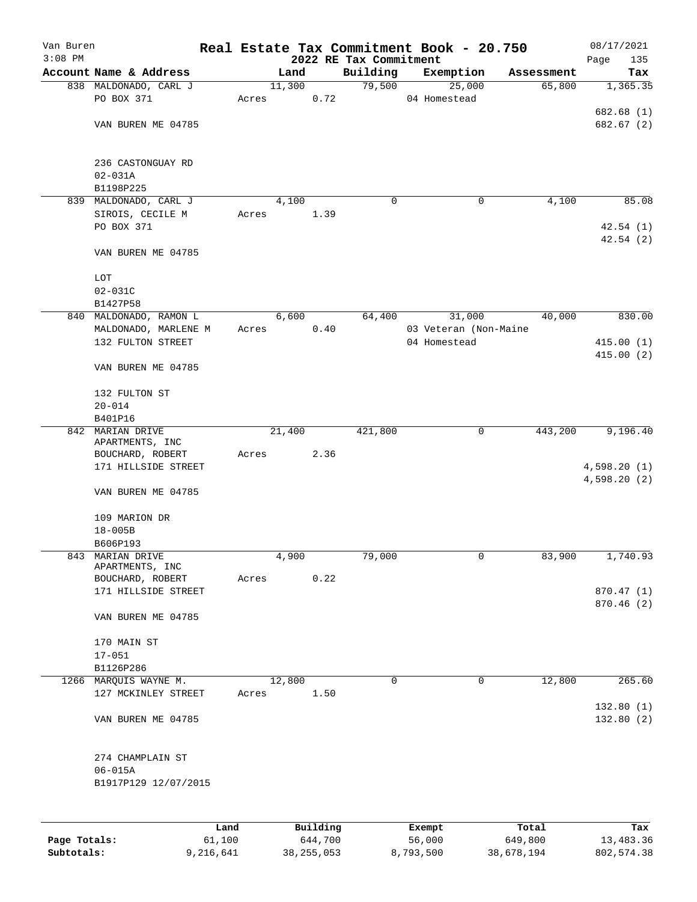| Van Buren    |                                 |       |        |          |                                    | Real Estate Tax Commitment Book - 20.750 |            | 08/17/2021         |
|--------------|---------------------------------|-------|--------|----------|------------------------------------|------------------------------------------|------------|--------------------|
| $3:08$ PM    | Account Name & Address          |       | Land   |          | 2022 RE Tax Commitment<br>Building | Exemption                                | Assessment | 135<br>Page<br>Tax |
|              | 838 MALDONADO, CARL J           |       | 11,300 |          | 79,500                             | 25,000                                   | 65,800     | 1,365.35           |
|              | PO BOX 371                      | Acres |        | 0.72     |                                    | 04 Homestead                             |            |                    |
|              |                                 |       |        |          |                                    |                                          |            | 682.68 (1)         |
|              | VAN BUREN ME 04785              |       |        |          |                                    |                                          |            | 682.67(2)          |
|              |                                 |       |        |          |                                    |                                          |            |                    |
|              | 236 CASTONGUAY RD               |       |        |          |                                    |                                          |            |                    |
|              | $02 - 031A$                     |       |        |          |                                    |                                          |            |                    |
|              | B1198P225                       |       |        |          |                                    |                                          |            |                    |
|              | 839 MALDONADO, CARL J           |       | 4,100  |          | 0                                  | 0                                        | 4,100      | 85.08              |
|              | SIROIS, CECILE M                | Acres |        | 1.39     |                                    |                                          |            |                    |
|              | PO BOX 371                      |       |        |          |                                    |                                          |            | 42.54(1)           |
|              |                                 |       |        |          |                                    |                                          |            | 42.54 (2)          |
|              | VAN BUREN ME 04785              |       |        |          |                                    |                                          |            |                    |
|              | LOT                             |       |        |          |                                    |                                          |            |                    |
|              | $02 - 031C$                     |       |        |          |                                    |                                          |            |                    |
|              | B1427P58                        |       |        |          |                                    |                                          |            |                    |
|              | 840 MALDONADO, RAMON L          |       | 6,600  |          | 64,400                             | 31,000                                   | 40,000     | 830.00             |
|              | MALDONADO, MARLENE M            | Acres |        | 0.40     |                                    | 03 Veteran (Non-Maine                    |            |                    |
|              | 132 FULTON STREET               |       |        |          |                                    | 04 Homestead                             |            | 415.00(1)          |
|              |                                 |       |        |          |                                    |                                          |            | 415.00(2)          |
|              | VAN BUREN ME 04785              |       |        |          |                                    |                                          |            |                    |
|              | 132 FULTON ST                   |       |        |          |                                    |                                          |            |                    |
|              | $20 - 014$                      |       |        |          |                                    |                                          |            |                    |
|              | B401P16                         |       |        |          |                                    |                                          |            |                    |
|              | 842 MARIAN DRIVE                |       | 21,400 |          | 421,800                            | 0                                        | 443,200    | 9,196.40           |
|              | APARTMENTS, INC                 |       |        |          |                                    |                                          |            |                    |
|              | BOUCHARD, ROBERT                | Acres |        | 2.36     |                                    |                                          |            |                    |
|              | 171 HILLSIDE STREET             |       |        |          |                                    |                                          |            | 4,598.20(1)        |
|              | VAN BUREN ME 04785              |       |        |          |                                    |                                          |            | 4,598.20(2)        |
|              |                                 |       |        |          |                                    |                                          |            |                    |
|              | 109 MARION DR                   |       |        |          |                                    |                                          |            |                    |
|              | $18 - 005B$                     |       |        |          |                                    |                                          |            |                    |
|              | B606P193                        |       |        |          |                                    |                                          |            |                    |
| 843          | MARIAN DRIVE<br>APARTMENTS, INC |       | 4,900  |          | 79,000                             | 0                                        | 83,900     | 1,740.93           |
|              | BOUCHARD, ROBERT                | Acres |        | 0.22     |                                    |                                          |            |                    |
|              | 171 HILLSIDE STREET             |       |        |          |                                    |                                          |            | 870.47 (1)         |
|              |                                 |       |        |          |                                    |                                          |            | 870.46 (2)         |
|              | VAN BUREN ME 04785              |       |        |          |                                    |                                          |            |                    |
|              | 170 MAIN ST                     |       |        |          |                                    |                                          |            |                    |
|              | $17 - 051$                      |       |        |          |                                    |                                          |            |                    |
|              | B1126P286                       |       |        |          |                                    |                                          |            |                    |
|              | 1266 MARQUIS WAYNE M.           |       | 12,800 |          | 0                                  | $\mathsf{O}$                             | 12,800     | 265.60             |
|              | 127 MCKINLEY STREET             | Acres |        | 1.50     |                                    |                                          |            |                    |
|              |                                 |       |        |          |                                    |                                          |            | 132.80(1)          |
|              | VAN BUREN ME 04785              |       |        |          |                                    |                                          |            | 132.80(2)          |
|              | 274 CHAMPLAIN ST                |       |        |          |                                    |                                          |            |                    |
|              | $06 - 015A$                     |       |        |          |                                    |                                          |            |                    |
|              | B1917P129 12/07/2015            |       |        |          |                                    |                                          |            |                    |
|              |                                 |       |        |          |                                    |                                          |            |                    |
|              |                                 |       |        |          |                                    |                                          |            |                    |
|              | Land                            |       |        | Building |                                    | Exempt                                   | Total      | Tax                |
| Page Totals: | 61,100                          |       |        | 644,700  |                                    | 56,000                                   | 649,800    | 13,483.36          |

**Subtotals:** 9,216,641 38,255,053 8,793,500 38,678,194 802,574.38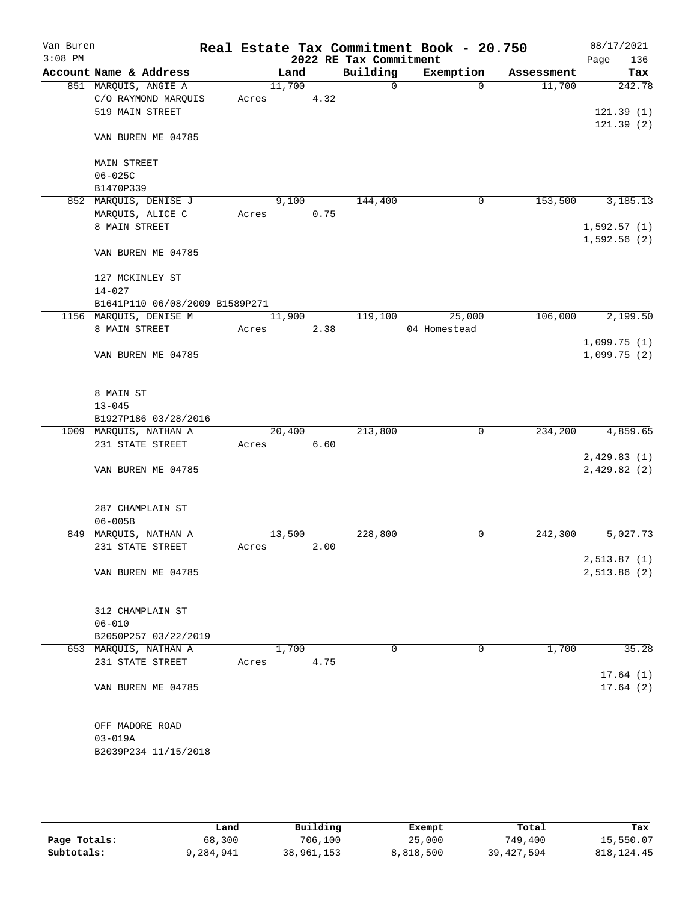| Van Buren |                                             |                 |      |                        | Real Estate Tax Commitment Book - 20.750 |            | 08/17/2021                 |
|-----------|---------------------------------------------|-----------------|------|------------------------|------------------------------------------|------------|----------------------------|
| $3:08$ PM |                                             |                 |      | 2022 RE Tax Commitment |                                          |            | Page<br>136                |
|           | Account Name & Address                      | Land            |      | Building               | Exemption                                | Assessment | Tax                        |
|           | 851 MARQUIS, ANGIE A<br>C/O RAYMOND MARQUIS | 11,700          | 4.32 | $\Omega$               | $\Omega$                                 | 11,700     | 242.78                     |
|           | 519 MAIN STREET                             | Acres           |      |                        |                                          |            | 121.39(1)                  |
|           |                                             |                 |      |                        |                                          |            | 121.39(2)                  |
|           | VAN BUREN ME 04785                          |                 |      |                        |                                          |            |                            |
|           | MAIN STREET                                 |                 |      |                        |                                          |            |                            |
|           | $06 - 025C$                                 |                 |      |                        |                                          |            |                            |
|           | B1470P339                                   |                 |      |                        |                                          |            |                            |
|           | 852 MARQUIS, DENISE J                       | 9,100           |      | 144,400                | 0                                        | 153,500    | 3,185.13                   |
|           | MARQUIS, ALICE C                            | Acres           | 0.75 |                        |                                          |            |                            |
|           | 8 MAIN STREET                               |                 |      |                        |                                          |            | 1,592.57(1)<br>1,592.56(2) |
|           | VAN BUREN ME 04785                          |                 |      |                        |                                          |            |                            |
|           | 127 MCKINLEY ST                             |                 |      |                        |                                          |            |                            |
|           | $14 - 027$                                  |                 |      |                        |                                          |            |                            |
|           | B1641P110 06/08/2009 B1589P271              |                 |      |                        |                                          |            |                            |
|           | 1156 MARQUIS, DENISE M<br>8 MAIN STREET     | 11,900<br>Acres | 2.38 | 119,100                | 25,000<br>04 Homestead                   | 106,000    | 2,199.50                   |
|           |                                             |                 |      |                        |                                          |            | 1,099.75(1)                |
|           | VAN BUREN ME 04785                          |                 |      |                        |                                          |            | 1,099.75(2)                |
|           |                                             |                 |      |                        |                                          |            |                            |
|           | 8 MAIN ST                                   |                 |      |                        |                                          |            |                            |
|           | $13 - 045$                                  |                 |      |                        |                                          |            |                            |
|           | B1927P186 03/28/2016                        |                 |      |                        |                                          |            |                            |
|           | 1009 MARQUIS, NATHAN A                      | 20,400          |      | 213,800                | 0                                        | 234,200    | 4,859.65                   |
|           | 231 STATE STREET                            | Acres           | 6.60 |                        |                                          |            |                            |
|           |                                             |                 |      |                        |                                          |            | 2,429.83(1)                |
|           | VAN BUREN ME 04785                          |                 |      |                        |                                          |            | 2,429.82(2)                |
|           | 287 CHAMPLAIN ST                            |                 |      |                        |                                          |            |                            |
|           | $06 - 005B$                                 |                 |      |                        |                                          |            |                            |
|           | 849 MARQUIS, NATHAN A                       | 13,500          |      | 228,800                | 0                                        | 242,300    | 5,027.73                   |
|           | 231 STATE STREET                            | Acres           | 2.00 |                        |                                          |            |                            |
|           |                                             |                 |      |                        |                                          |            | 2,513.87 (1)               |
|           | VAN BUREN ME 04785                          |                 |      |                        |                                          |            | 2,513.86 (2)               |
|           | 312 CHAMPLAIN ST                            |                 |      |                        |                                          |            |                            |
|           | $06 - 010$                                  |                 |      |                        |                                          |            |                            |
|           | B2050P257 03/22/2019                        |                 |      |                        |                                          |            |                            |
|           | 653 MARQUIS, NATHAN A                       | 1,700           |      | 0                      | 0                                        | 1,700      | 35.28                      |
|           | 231 STATE STREET                            | Acres           | 4.75 |                        |                                          |            |                            |
|           |                                             |                 |      |                        |                                          |            | 17.64(1)                   |
|           | VAN BUREN ME 04785                          |                 |      |                        |                                          |            | 17.64(2)                   |
|           | OFF MADORE ROAD                             |                 |      |                        |                                          |            |                            |
|           | $03 - 019A$                                 |                 |      |                        |                                          |            |                            |
|           | B2039P234 11/15/2018                        |                 |      |                        |                                          |            |                            |
|           |                                             |                 |      |                        |                                          |            |                            |

|              | Land      | Building   | Exempt    | Total        | Tax          |
|--------------|-----------|------------|-----------|--------------|--------------|
| Page Totals: | 68,300    | 706,100    | 25,000    | 749,400      | 15,550.07    |
| Subtotals:   | 9,284,941 | 38,961,153 | 8,818,500 | 39, 427, 594 | 818, 124. 45 |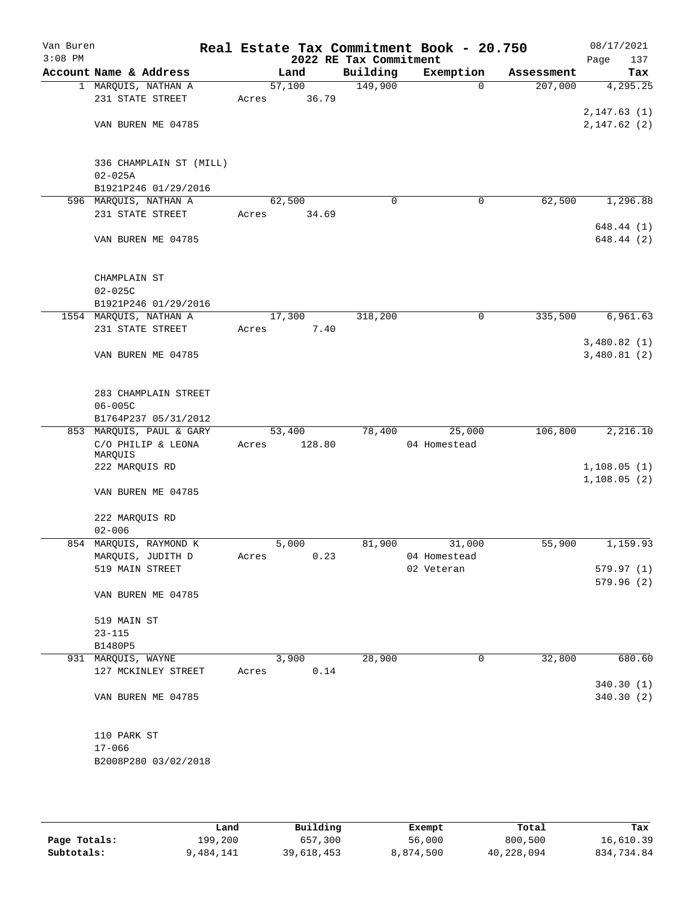| Van Buren<br>$3:08$ PM |                          |       |        | 2022 RE Tax Commitment | Real Estate Tax Commitment Book - 20.750 |            | 08/17/2021<br>137<br>Page |
|------------------------|--------------------------|-------|--------|------------------------|------------------------------------------|------------|---------------------------|
|                        | Account Name & Address   |       | Land   | Building               | Exemption                                | Assessment | Tax                       |
|                        | 1 MARQUIS, NATHAN A      |       | 57,100 | 149,900                | 0                                        | 207,000    | 4, 295.25                 |
|                        | 231 STATE STREET         | Acres | 36.79  |                        |                                          |            |                           |
|                        |                          |       |        |                        |                                          |            | 2, 147.63(1)              |
|                        | VAN BUREN ME 04785       |       |        |                        |                                          |            | 2,147.62(2)               |
|                        |                          |       |        |                        |                                          |            |                           |
|                        |                          |       |        |                        |                                          |            |                           |
|                        | 336 CHAMPLAIN ST (MILL)  |       |        |                        |                                          |            |                           |
|                        | $02 - 025A$              |       |        |                        |                                          |            |                           |
|                        | B1921P246 01/29/2016     |       |        |                        |                                          |            |                           |
|                        | 596 MARQUIS, NATHAN A    |       | 62,500 | 0                      | 0                                        | 62,500     | 1,296.88                  |
|                        | 231 STATE STREET         | Acres | 34.69  |                        |                                          |            |                           |
|                        |                          |       |        |                        |                                          |            | 648.44(1)                 |
|                        | VAN BUREN ME 04785       |       |        |                        |                                          |            | 648.44 (2)                |
|                        |                          |       |        |                        |                                          |            |                           |
|                        | CHAMPLAIN ST             |       |        |                        |                                          |            |                           |
|                        | $02 - 025C$              |       |        |                        |                                          |            |                           |
|                        | B1921P246 01/29/2016     |       |        |                        |                                          |            |                           |
|                        | 1554 MARQUIS, NATHAN A   |       | 17,300 | 318,200                | 0                                        | 335,500    | 6,961.63                  |
|                        | 231 STATE STREET         | Acres | 7.40   |                        |                                          |            |                           |
|                        |                          |       |        |                        |                                          |            | 3,480.82(1)               |
|                        | VAN BUREN ME 04785       |       |        |                        |                                          |            | 3,480.81(2)               |
|                        |                          |       |        |                        |                                          |            |                           |
|                        |                          |       |        |                        |                                          |            |                           |
|                        | 283 CHAMPLAIN STREET     |       |        |                        |                                          |            |                           |
|                        | $06 - 005C$              |       |        |                        |                                          |            |                           |
|                        | B1764P237 05/31/2012     |       |        |                        |                                          |            |                           |
|                        | 853 MARQUIS, PAUL & GARY |       | 53,400 | 78,400                 | 25,000                                   | 106,800    | 2,216.10                  |
|                        | C/O PHILIP & LEONA       | Acres | 128.80 |                        | 04 Homestead                             |            |                           |
|                        | MARQUIS                  |       |        |                        |                                          |            |                           |
|                        | 222 MARQUIS RD           |       |        |                        |                                          |            | 1,108.05(1)               |
|                        | VAN BUREN ME 04785       |       |        |                        |                                          |            | 1,108.05(2)               |
|                        |                          |       |        |                        |                                          |            |                           |
|                        | 222 MARQUIS RD           |       |        |                        |                                          |            |                           |
|                        | $02 - 006$               |       |        |                        |                                          |            |                           |
|                        | 854 MARQUIS, RAYMOND K   |       | 5,000  | 81,900                 | 31,000                                   | 55,900     | 1,159.93                  |
|                        | MARQUIS, JUDITH D        | Acres | 0.23   |                        | 04 Homestead                             |            |                           |
|                        | 519 MAIN STREET          |       |        |                        | 02 Veteran                               |            | 579.97(1)                 |
|                        |                          |       |        |                        |                                          |            | 579.96(2)                 |
|                        | VAN BUREN ME 04785       |       |        |                        |                                          |            |                           |
|                        |                          |       |        |                        |                                          |            |                           |
|                        | 519 MAIN ST              |       |        |                        |                                          |            |                           |
|                        | $23 - 115$               |       |        |                        |                                          |            |                           |
|                        | B1480P5                  |       |        |                        |                                          |            |                           |
|                        | 931 MARQUIS, WAYNE       |       | 3,900  | 28,900                 | $\mathbf 0$                              | 32,800     | 680.60                    |
|                        | 127 MCKINLEY STREET      | Acres | 0.14   |                        |                                          |            |                           |
|                        |                          |       |        |                        |                                          |            | 340.30(1)                 |
|                        | VAN BUREN ME 04785       |       |        |                        |                                          |            | 340.30 (2)                |
|                        |                          |       |        |                        |                                          |            |                           |
|                        |                          |       |        |                        |                                          |            |                           |
|                        | 110 PARK ST              |       |        |                        |                                          |            |                           |
|                        | $17 - 066$               |       |        |                        |                                          |            |                           |
|                        | B2008P280 03/02/2018     |       |        |                        |                                          |            |                           |
|                        |                          |       |        |                        |                                          |            |                           |

|              | Land      | Building   | Exempt    | Total      | Tax        |
|--------------|-----------|------------|-----------|------------|------------|
| Page Totals: | 199,200   | 657,300    | 56,000    | 800,500    | 16,610.39  |
| Subtotals:   | 9,484,141 | 39,618,453 | 8,874,500 | 40,228,094 | 834,734.84 |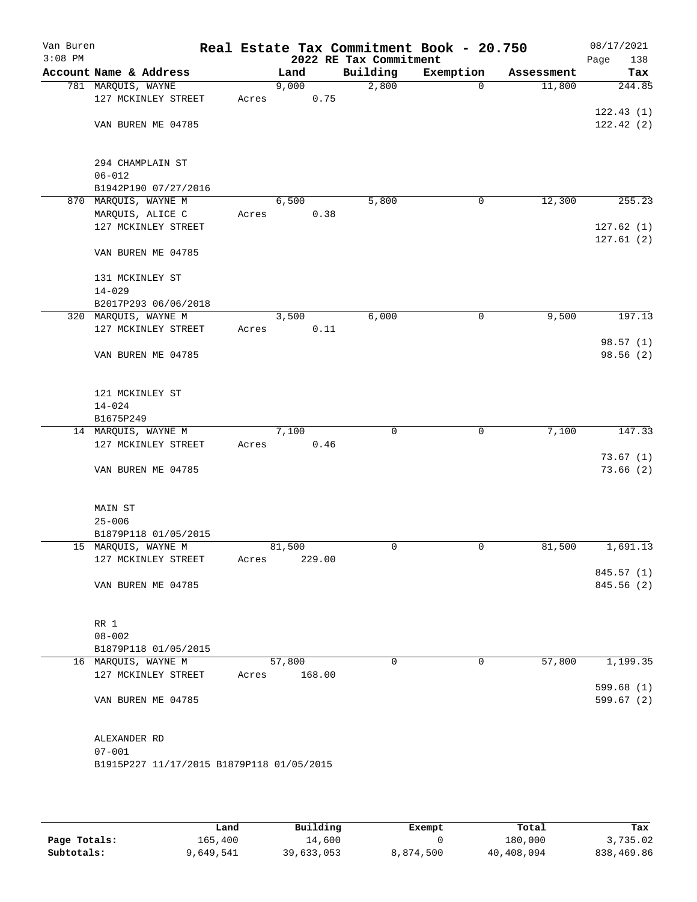| Van Buren<br>$3:08$ PM |                                            |       |        |        | 2022 RE Tax Commitment | Real Estate Tax Commitment Book - 20.750 |            | 08/17/2021<br>Page<br>138 |
|------------------------|--------------------------------------------|-------|--------|--------|------------------------|------------------------------------------|------------|---------------------------|
|                        | Account Name & Address                     |       | Land   |        | Building               | Exemption                                | Assessment | Tax                       |
|                        | 781 MARQUIS, WAYNE                         |       | 9,000  |        | 2,800                  | $\mathbf 0$                              | 11,800     | 244.85                    |
|                        | 127 MCKINLEY STREET                        | Acres |        | 0.75   |                        |                                          |            |                           |
|                        |                                            |       |        |        |                        |                                          |            | 122.43(1)                 |
|                        | VAN BUREN ME 04785                         |       |        |        |                        |                                          |            | 122.42(2)                 |
|                        |                                            |       |        |        |                        |                                          |            |                           |
|                        | 294 CHAMPLAIN ST                           |       |        |        |                        |                                          |            |                           |
|                        | $06 - 012$                                 |       |        |        |                        |                                          |            |                           |
|                        | B1942P190 07/27/2016                       |       |        |        |                        |                                          |            |                           |
|                        | 870 MARQUIS, WAYNE M                       |       | 6,500  |        | 5,800                  | 0                                        | 12,300     | 255.23                    |
|                        | MARQUIS, ALICE C                           | Acres |        | 0.38   |                        |                                          |            |                           |
|                        | 127 MCKINLEY STREET                        |       |        |        |                        |                                          |            | 127.62(1)                 |
|                        |                                            |       |        |        |                        |                                          |            | 127.61(2)                 |
|                        | VAN BUREN ME 04785                         |       |        |        |                        |                                          |            |                           |
|                        |                                            |       |        |        |                        |                                          |            |                           |
|                        | 131 MCKINLEY ST<br>$14 - 029$              |       |        |        |                        |                                          |            |                           |
|                        | B2017P293 06/06/2018                       |       |        |        |                        |                                          |            |                           |
|                        | 320 MARQUIS, WAYNE M                       |       | 3,500  |        | 6,000                  | $\mathbf 0$                              | 9,500      | 197.13                    |
|                        | 127 MCKINLEY STREET                        | Acres |        | 0.11   |                        |                                          |            |                           |
|                        |                                            |       |        |        |                        |                                          |            | 98.57(1)                  |
|                        | VAN BUREN ME 04785                         |       |        |        |                        |                                          |            | 98.56(2)                  |
|                        |                                            |       |        |        |                        |                                          |            |                           |
|                        |                                            |       |        |        |                        |                                          |            |                           |
|                        | 121 MCKINLEY ST                            |       |        |        |                        |                                          |            |                           |
|                        | $14 - 024$                                 |       |        |        |                        |                                          |            |                           |
|                        | B1675P249                                  |       | 7,100  |        | 0                      | 0                                        | 7,100      | 147.33                    |
|                        | 14 MARQUIS, WAYNE M<br>127 MCKINLEY STREET | Acres |        | 0.46   |                        |                                          |            |                           |
|                        |                                            |       |        |        |                        |                                          |            | 73.67(1)                  |
|                        | VAN BUREN ME 04785                         |       |        |        |                        |                                          |            | 73.66(2)                  |
|                        |                                            |       |        |        |                        |                                          |            |                           |
|                        |                                            |       |        |        |                        |                                          |            |                           |
|                        | MAIN ST                                    |       |        |        |                        |                                          |            |                           |
|                        | $25 - 006$                                 |       |        |        |                        |                                          |            |                           |
|                        | B1879P118 01/05/2015                       |       |        |        |                        |                                          |            |                           |
|                        | 15 MARQUIS, WAYNE M                        |       | 81,500 |        | 0                      | 0                                        | 81,500     | 1,691.13                  |
|                        | 127 MCKINLEY STREET                        | Acres |        | 229.00 |                        |                                          |            | 845.57(1)                 |
|                        | VAN BUREN ME 04785                         |       |        |        |                        |                                          |            | 845.56 (2)                |
|                        |                                            |       |        |        |                        |                                          |            |                           |
|                        |                                            |       |        |        |                        |                                          |            |                           |
|                        | RR 1                                       |       |        |        |                        |                                          |            |                           |
|                        | $08 - 002$                                 |       |        |        |                        |                                          |            |                           |
|                        | B1879P118 01/05/2015                       |       |        |        |                        |                                          |            |                           |
|                        | 16 MARQUIS, WAYNE M<br>127 MCKINLEY STREET |       | 57,800 | 168.00 | 0                      | 0                                        | 57,800     | 1,199.35                  |
|                        |                                            | Acres |        |        |                        |                                          |            | 599.68(1)                 |
|                        | VAN BUREN ME 04785                         |       |        |        |                        |                                          |            | 599.67(2)                 |
|                        |                                            |       |        |        |                        |                                          |            |                           |
|                        |                                            |       |        |        |                        |                                          |            |                           |
|                        | ALEXANDER RD                               |       |        |        |                        |                                          |            |                           |
|                        | $07 - 001$                                 |       |        |        |                        |                                          |            |                           |
|                        | B1915P227 11/17/2015 B1879P118 01/05/2015  |       |        |        |                        |                                          |            |                           |
|                        |                                            |       |        |        |                        |                                          |            |                           |

|              | Land      | Building   | Exempt    | Total      | Tax        |
|--------------|-----------|------------|-----------|------------|------------|
| Page Totals: | 165,400   | 14,600     |           | 180,000    | 3,735.02   |
| Subtotals:   | 9,649,541 | 39,633,053 | 8,874,500 | 40,408,094 | 838,469.86 |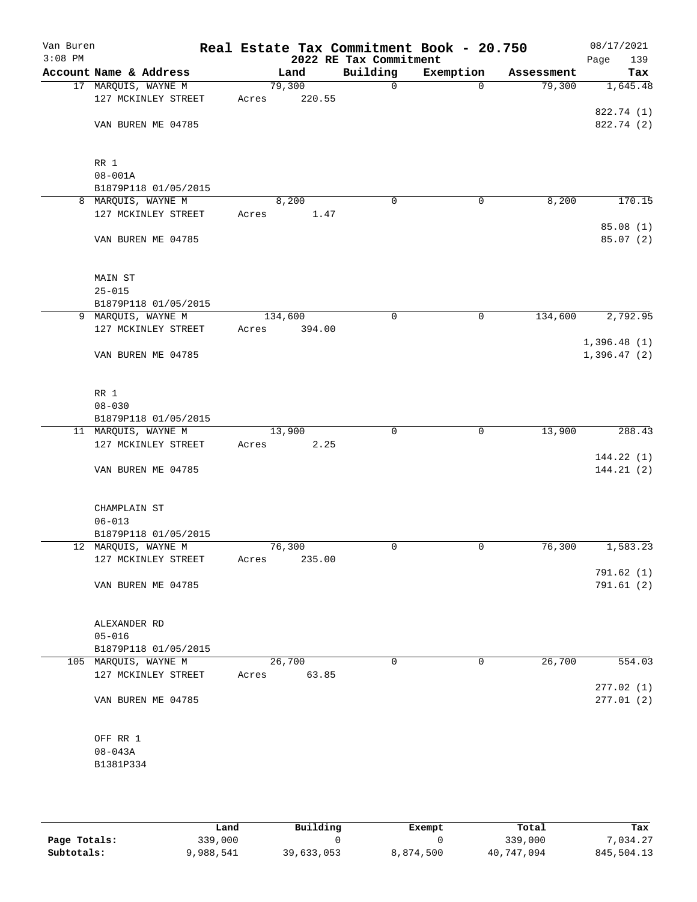| Van Buren<br>$3:08$ PM |                                            | Real Estate Tax Commitment Book - 20.750 | 2022 RE Tax Commitment |             |            | 08/17/2021<br>Page<br>139 |
|------------------------|--------------------------------------------|------------------------------------------|------------------------|-------------|------------|---------------------------|
|                        | Account Name & Address                     | Land                                     | Building               | Exemption   | Assessment | Tax                       |
|                        | 17 MARQUIS, WAYNE M                        | 79,300                                   | $\mathbf 0$            | $\mathbf 0$ | 79,300     | 1,645.48                  |
|                        | 127 MCKINLEY STREET                        | 220.55<br>Acres                          |                        |             |            |                           |
|                        |                                            |                                          |                        |             |            | 822.74 (1)                |
|                        | VAN BUREN ME 04785                         |                                          |                        |             |            | 822.74 (2)                |
|                        | RR 1                                       |                                          |                        |             |            |                           |
|                        | $08 - 001A$                                |                                          |                        |             |            |                           |
|                        | B1879P118 01/05/2015                       |                                          |                        |             |            |                           |
|                        | 8 MARQUIS, WAYNE M                         | 8,200                                    | 0                      | 0           | 8,200      | 170.15                    |
|                        | 127 MCKINLEY STREET                        | Acres<br>1.47                            |                        |             |            | 85.08(1)                  |
|                        | VAN BUREN ME 04785                         |                                          |                        |             |            | 85.07 (2)                 |
|                        | MAIN ST                                    |                                          |                        |             |            |                           |
|                        | $25 - 015$                                 |                                          |                        |             |            |                           |
|                        | B1879P118 01/05/2015                       |                                          |                        |             |            |                           |
|                        | 9 MARQUIS, WAYNE M                         | 134,600                                  | $\mathbf 0$            | $\mathbf 0$ | 134,600    | 2,792.95                  |
|                        | 127 MCKINLEY STREET                        | 394.00<br>Acres                          |                        |             |            |                           |
|                        |                                            |                                          |                        |             |            | 1,396.48(1)               |
|                        | VAN BUREN ME 04785                         |                                          |                        |             |            | 1,396.47(2)               |
|                        | RR 1                                       |                                          |                        |             |            |                           |
|                        | $08 - 030$                                 |                                          |                        |             |            |                           |
|                        | B1879P118 01/05/2015                       |                                          |                        |             |            |                           |
|                        | 11 MARQUIS, WAYNE M<br>127 MCKINLEY STREET | 13,900<br>2.25<br>Acres                  | $\mathbf 0$            | 0           | 13,900     | 288.43                    |
|                        |                                            |                                          |                        |             |            | 144.22(1)                 |
|                        | VAN BUREN ME 04785                         |                                          |                        |             |            | 144.21(2)                 |
|                        | CHAMPLAIN ST                               |                                          |                        |             |            |                           |
|                        | $06 - 013$                                 |                                          |                        |             |            |                           |
|                        | B1879P118 01/05/2015                       |                                          |                        |             |            |                           |
|                        | 12 MARQUIS, WAYNE M                        | 76,300                                   | 0                      | 0           | 76,300     | 1,583.23                  |
|                        | 127 MCKINLEY STREET                        | 235.00<br>Acres                          |                        |             |            |                           |
|                        | VAN BUREN ME 04785                         |                                          |                        |             |            | 791.62(1)<br>791.61(2)    |
|                        |                                            |                                          |                        |             |            |                           |
|                        | ALEXANDER RD                               |                                          |                        |             |            |                           |
|                        | $05 - 016$                                 |                                          |                        |             |            |                           |
|                        | B1879P118 01/05/2015                       |                                          |                        |             |            |                           |
|                        | 105 MARQUIS, WAYNE M                       | 26,700                                   | 0                      | 0           | 26,700     | 554.03                    |
|                        | 127 MCKINLEY STREET                        | 63.85<br>Acres                           |                        |             |            | 277.02(1)                 |
|                        | VAN BUREN ME 04785                         |                                          |                        |             |            | 277.01(2)                 |
|                        |                                            |                                          |                        |             |            |                           |
|                        | OFF RR 1                                   |                                          |                        |             |            |                           |
|                        | $08 - 043A$                                |                                          |                        |             |            |                           |
|                        | B1381P334                                  |                                          |                        |             |            |                           |
|                        |                                            |                                          |                        |             |            |                           |

|              | Land      | Building   | Exempt    | Total      | Tax        |
|--------------|-----------|------------|-----------|------------|------------|
| Page Totals: | 339,000   |            |           | 339,000    | 7,034.27   |
| Subtotals:   | 9,988,541 | 39,633,053 | 8,874,500 | 40,747,094 | 845,504.13 |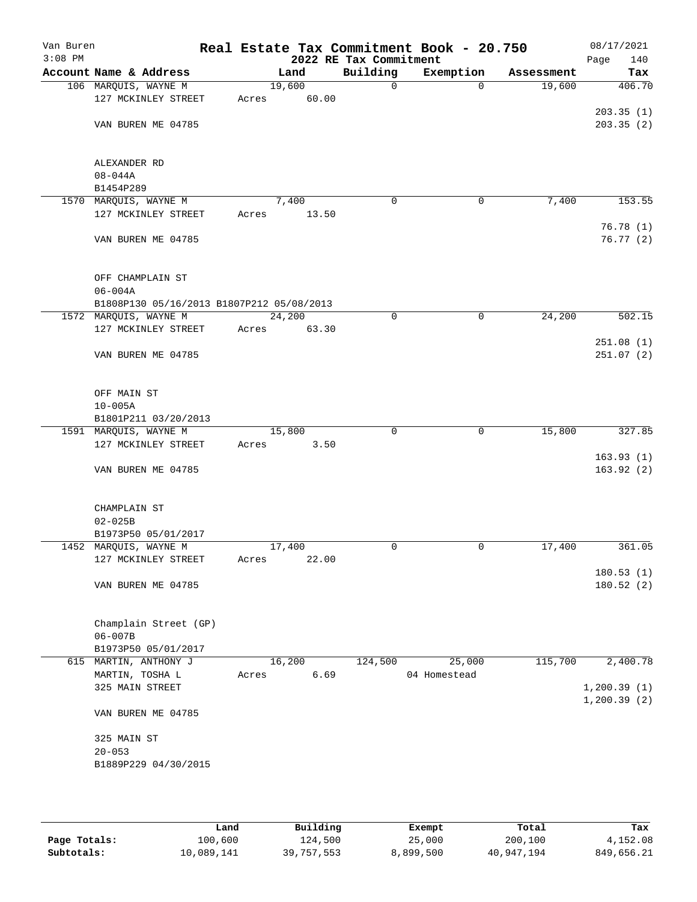| Van Buren<br>$3:08$ PM |                                              | Real Estate Tax Commitment Book - 20.750 | 2022 RE Tax Commitment |              |            | 08/17/2021<br>Page<br>140 |
|------------------------|----------------------------------------------|------------------------------------------|------------------------|--------------|------------|---------------------------|
|                        | Account Name & Address                       | Land                                     | Building               | Exemption    | Assessment | Tax                       |
|                        | 106 MARQUIS, WAYNE M                         | 19,600                                   | $\mathbf 0$            | $\Omega$     | 19,600     | 406.70                    |
|                        | 127 MCKINLEY STREET                          | 60.00<br>Acres                           |                        |              |            |                           |
|                        |                                              |                                          |                        |              |            | 203.35(1)                 |
|                        | VAN BUREN ME 04785                           |                                          |                        |              |            | 203.35(2)                 |
|                        |                                              |                                          |                        |              |            |                           |
|                        |                                              |                                          |                        |              |            |                           |
|                        | ALEXANDER RD                                 |                                          |                        |              |            |                           |
|                        | $08 - 044A$                                  |                                          |                        |              |            |                           |
|                        | B1454P289                                    |                                          |                        |              |            |                           |
|                        | 1570 MARQUIS, WAYNE M                        | 7,400                                    | 0                      | 0            | 7,400      | 153.55                    |
|                        | 127 MCKINLEY STREET                          | 13.50<br>Acres                           |                        |              |            | 76.78(1)                  |
|                        | VAN BUREN ME 04785                           |                                          |                        |              |            | 76.77(2)                  |
|                        |                                              |                                          |                        |              |            |                           |
|                        |                                              |                                          |                        |              |            |                           |
|                        | OFF CHAMPLAIN ST                             |                                          |                        |              |            |                           |
|                        | $06 - 004A$                                  |                                          |                        |              |            |                           |
|                        | B1808P130 05/16/2013 B1807P212 05/08/2013    |                                          |                        |              |            |                           |
|                        | 1572 MARQUIS, WAYNE M                        | 24,200                                   | 0                      | $\mathbf 0$  | 24,200     | 502.15                    |
|                        | 127 MCKINLEY STREET                          | 63.30<br>Acres                           |                        |              |            |                           |
|                        |                                              |                                          |                        |              |            | 251.08(1)                 |
|                        | VAN BUREN ME 04785                           |                                          |                        |              |            | 251.07(2)                 |
|                        |                                              |                                          |                        |              |            |                           |
|                        |                                              |                                          |                        |              |            |                           |
|                        | OFF MAIN ST                                  |                                          |                        |              |            |                           |
|                        | $10 - 005A$                                  |                                          |                        |              |            |                           |
|                        | B1801P211 03/20/2013                         |                                          |                        |              |            |                           |
|                        | 1591 MARQUIS, WAYNE M                        | 15,800                                   | $\Omega$               | $\mathbf 0$  | 15,800     | 327.85                    |
|                        | 127 MCKINLEY STREET                          | 3.50<br>Acres                            |                        |              |            |                           |
|                        | VAN BUREN ME 04785                           |                                          |                        |              |            | 163.93(1)<br>163.92(2)    |
|                        |                                              |                                          |                        |              |            |                           |
|                        |                                              |                                          |                        |              |            |                           |
|                        | CHAMPLAIN ST                                 |                                          |                        |              |            |                           |
|                        | $02 - 025B$                                  |                                          |                        |              |            |                           |
|                        | B1973P50 05/01/2017                          |                                          |                        |              |            |                           |
|                        | 1452 MARQUIS, WAYNE M                        | 17,400                                   | 0                      | 0            | 17,400     | 361.05                    |
|                        | 127 MCKINLEY STREET                          | 22.00<br>Acres                           |                        |              |            |                           |
|                        |                                              |                                          |                        |              |            | 180.53(1)                 |
|                        | VAN BUREN ME 04785                           |                                          |                        |              |            | 180.52(2)                 |
|                        |                                              |                                          |                        |              |            |                           |
|                        |                                              |                                          |                        |              |            |                           |
|                        | Champlain Street (GP)                        |                                          |                        |              |            |                           |
|                        | $06 - 007B$                                  |                                          |                        |              |            |                           |
|                        | B1973P50 05/01/2017<br>615 MARTIN, ANTHONY J | 16,200                                   | 124,500                | 25,000       | 115,700    | 2,400.78                  |
|                        | MARTIN, TOSHA L                              | 6.69<br>Acres                            |                        | 04 Homestead |            |                           |
|                        | 325 MAIN STREET                              |                                          |                        |              |            | 1, 200.39(1)              |
|                        |                                              |                                          |                        |              |            | 1, 200.39(2)              |
|                        | VAN BUREN ME 04785                           |                                          |                        |              |            |                           |
|                        |                                              |                                          |                        |              |            |                           |
|                        | 325 MAIN ST                                  |                                          |                        |              |            |                           |
|                        | $20 - 053$                                   |                                          |                        |              |            |                           |
|                        | B1889P229 04/30/2015                         |                                          |                        |              |            |                           |
|                        |                                              |                                          |                        |              |            |                           |
|                        |                                              |                                          |                        |              |            |                           |

|              | Land       | Building   | Exempt    | Total      | Tax        |
|--------------|------------|------------|-----------|------------|------------|
| Page Totals: | 100,600    | 124,500    | 25,000    | 200,100    | 4,152.08   |
| Subtotals:   | 10,089,141 | 39,757,553 | 8,899,500 | 40,947,194 | 849,656.21 |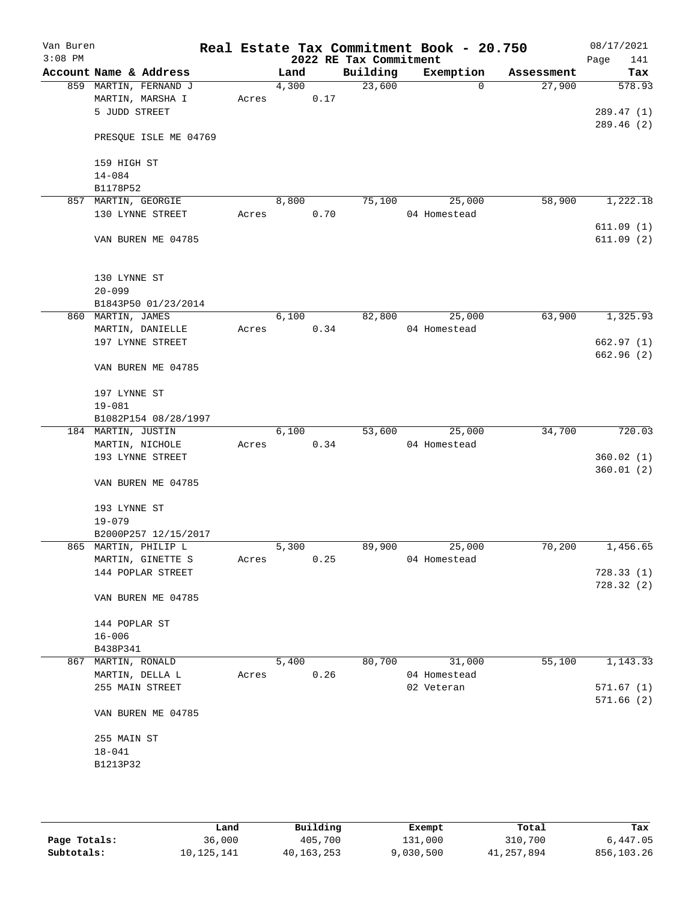| Van Buren<br>$3:08$ PM |                        |       |       |      | 2022 RE Tax Commitment | Real Estate Tax Commitment Book - 20.750 |            | 08/17/2021<br>Page<br>141 |
|------------------------|------------------------|-------|-------|------|------------------------|------------------------------------------|------------|---------------------------|
|                        | Account Name & Address |       | Land  |      | Building               | Exemption                                | Assessment | Tax                       |
|                        | 859 MARTIN, FERNAND J  |       | 4,300 |      | 23,600                 | $\Omega$                                 | 27,900     | 578.93                    |
|                        | MARTIN, MARSHA I       | Acres |       | 0.17 |                        |                                          |            |                           |
|                        | 5 JUDD STREET          |       |       |      |                        |                                          |            | 289.47 (1)                |
|                        |                        |       |       |      |                        |                                          |            | 289.46 (2)                |
|                        | PRESQUE ISLE ME 04769  |       |       |      |                        |                                          |            |                           |
|                        |                        |       |       |      |                        |                                          |            |                           |
|                        | 159 HIGH ST            |       |       |      |                        |                                          |            |                           |
|                        | $14 - 084$             |       |       |      |                        |                                          |            |                           |
|                        | B1178P52               |       |       |      |                        |                                          |            |                           |
| 857                    | MARTIN, GEORGIE        |       | 8,800 |      | 75,100                 | 25,000                                   | 58,900     | 1,222.18                  |
|                        | 130 LYNNE STREET       | Acres |       | 0.70 |                        | 04 Homestead                             |            |                           |
|                        |                        |       |       |      |                        |                                          |            | 611.09(1)                 |
|                        | VAN BUREN ME 04785     |       |       |      |                        |                                          |            | 611.09(2)                 |
|                        |                        |       |       |      |                        |                                          |            |                           |
|                        |                        |       |       |      |                        |                                          |            |                           |
|                        | 130 LYNNE ST           |       |       |      |                        |                                          |            |                           |
|                        | $20 - 099$             |       |       |      |                        |                                          |            |                           |
|                        | B1843P50 01/23/2014    |       |       |      |                        |                                          |            |                           |
|                        | 860 MARTIN, JAMES      |       | 6,100 |      | 82,800                 | 25,000                                   | 63,900     | 1,325.93                  |
|                        | MARTIN, DANIELLE       | Acres |       | 0.34 |                        | 04 Homestead                             |            |                           |
|                        | 197 LYNNE STREET       |       |       |      |                        |                                          |            | 662.97(1)                 |
|                        |                        |       |       |      |                        |                                          |            | 662.96(2)                 |
|                        | VAN BUREN ME 04785     |       |       |      |                        |                                          |            |                           |
|                        |                        |       |       |      |                        |                                          |            |                           |
|                        | 197 LYNNE ST           |       |       |      |                        |                                          |            |                           |
|                        | $19 - 081$             |       |       |      |                        |                                          |            |                           |
|                        |                        |       |       |      |                        |                                          |            |                           |
|                        | B1082P154 08/28/1997   |       |       |      |                        |                                          |            |                           |
|                        | 184 MARTIN, JUSTIN     |       | 6,100 |      | 53,600                 | 25,000                                   | 34,700     | 720.03                    |
|                        | MARTIN, NICHOLE        | Acres |       | 0.34 |                        | 04 Homestead                             |            |                           |
|                        | 193 LYNNE STREET       |       |       |      |                        |                                          |            | 360.02(1)                 |
|                        |                        |       |       |      |                        |                                          |            | 360.01(2)                 |
|                        | VAN BUREN ME 04785     |       |       |      |                        |                                          |            |                           |
|                        |                        |       |       |      |                        |                                          |            |                           |
|                        | 193 LYNNE ST           |       |       |      |                        |                                          |            |                           |
|                        | $19 - 079$             |       |       |      |                        |                                          |            |                           |
|                        | B2000P257 12/15/2017   |       |       |      |                        |                                          |            |                           |
|                        | 865 MARTIN, PHILIP L   |       | 5,300 |      | 89,900                 | 25,000                                   | 70,200     | 1,456.65                  |
|                        | MARTIN, GINETTE S      | Acres |       | 0.25 |                        | 04 Homestead                             |            |                           |
|                        | 144 POPLAR STREET      |       |       |      |                        |                                          |            | 728.33(1)                 |
|                        |                        |       |       |      |                        |                                          |            | 728.32(2)                 |
|                        | VAN BUREN ME 04785     |       |       |      |                        |                                          |            |                           |
|                        |                        |       |       |      |                        |                                          |            |                           |
|                        | 144 POPLAR ST          |       |       |      |                        |                                          |            |                           |
|                        | $16 - 006$             |       |       |      |                        |                                          |            |                           |
|                        | B438P341               |       |       |      |                        |                                          |            |                           |
|                        | 867 MARTIN, RONALD     |       | 5,400 |      | 80,700                 | 31,000                                   | 55,100     | 1,143.33                  |
|                        | MARTIN, DELLA L        | Acres |       | 0.26 |                        | 04 Homestead                             |            |                           |
|                        | 255 MAIN STREET        |       |       |      |                        | 02 Veteran                               |            | 571.67(1)                 |
|                        |                        |       |       |      |                        |                                          |            | 571.66(2)                 |
|                        | VAN BUREN ME 04785     |       |       |      |                        |                                          |            |                           |
|                        |                        |       |       |      |                        |                                          |            |                           |
|                        | 255 MAIN ST            |       |       |      |                        |                                          |            |                           |
|                        | $18 - 041$             |       |       |      |                        |                                          |            |                           |
|                        | B1213P32               |       |       |      |                        |                                          |            |                           |
|                        |                        |       |       |      |                        |                                          |            |                           |
|                        |                        |       |       |      |                        |                                          |            |                           |
|                        |                        |       |       |      |                        |                                          |            |                           |

|              | Land       | Building   | Exempt    | Total      | Tax        |
|--------------|------------|------------|-----------|------------|------------|
| Page Totals: | 36,000     | 405,700    | 131,000   | 310,700    | 6,447.05   |
| Subtotals:   | 10,125,141 | 40,163,253 | 9,030,500 | 41,257,894 | 856,103.26 |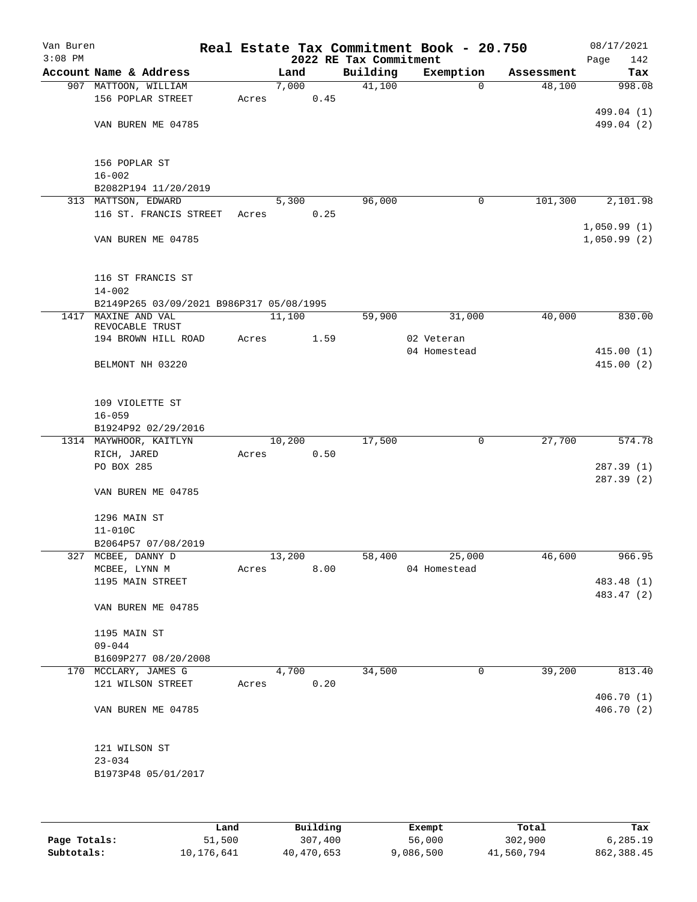| Van Buren |                                          |       |        |      |                        | Real Estate Tax Commitment Book - 20.750 |            | 08/17/2021                 |
|-----------|------------------------------------------|-------|--------|------|------------------------|------------------------------------------|------------|----------------------------|
| $3:08$ PM |                                          |       |        |      | 2022 RE Tax Commitment |                                          |            | 142<br>Page                |
|           | Account Name & Address                   |       | Land   |      | Building               | Exemption                                | Assessment | Tax                        |
|           | 907 MATTOON, WILLIAM                     |       | 7,000  |      | 41,100                 | $\mathbf 0$                              | 48,100     | 998.08                     |
|           | 156 POPLAR STREET                        | Acres |        | 0.45 |                        |                                          |            |                            |
|           |                                          |       |        |      |                        |                                          |            | 499.04 (1)                 |
|           | VAN BUREN ME 04785                       |       |        |      |                        |                                          |            | 499.04 (2)                 |
|           |                                          |       |        |      |                        |                                          |            |                            |
|           |                                          |       |        |      |                        |                                          |            |                            |
|           | 156 POPLAR ST                            |       |        |      |                        |                                          |            |                            |
|           | $16 - 002$                               |       |        |      |                        |                                          |            |                            |
|           | B2082P194 11/20/2019                     |       | 5,300  |      |                        |                                          |            |                            |
|           | 313 MATTSON, EDWARD                      |       |        |      | 96,000                 | $\mathbf 0$                              | 101,300    | 2,101.98                   |
|           | 116 ST. FRANCIS STREET                   | Acres |        | 0.25 |                        |                                          |            |                            |
|           | VAN BUREN ME 04785                       |       |        |      |                        |                                          |            | 1,050.99(1)<br>1,050.99(2) |
|           |                                          |       |        |      |                        |                                          |            |                            |
|           |                                          |       |        |      |                        |                                          |            |                            |
|           | 116 ST FRANCIS ST                        |       |        |      |                        |                                          |            |                            |
|           | $14 - 002$                               |       |        |      |                        |                                          |            |                            |
|           | B2149P265 03/09/2021 B986P317 05/08/1995 |       |        |      |                        |                                          |            |                            |
|           | 1417 MAXINE AND VAL                      |       | 11,100 |      | 59,900                 | 31,000                                   | 40,000     | 830.00                     |
|           | REVOCABLE TRUST                          |       |        |      |                        |                                          |            |                            |
|           | 194 BROWN HILL ROAD                      | Acres |        | 1.59 |                        | 02 Veteran                               |            |                            |
|           |                                          |       |        |      |                        | 04 Homestead                             |            | 415.00(1)                  |
|           | BELMONT NH 03220                         |       |        |      |                        |                                          |            | 415.00(2)                  |
|           |                                          |       |        |      |                        |                                          |            |                            |
|           |                                          |       |        |      |                        |                                          |            |                            |
|           | 109 VIOLETTE ST                          |       |        |      |                        |                                          |            |                            |
|           | $16 - 059$                               |       |        |      |                        |                                          |            |                            |
|           | B1924P92 02/29/2016                      |       |        |      |                        |                                          |            |                            |
|           | 1314 MAYWHOOR, KAITLYN                   |       | 10,200 |      | 17,500                 | 0                                        | 27,700     | 574.78                     |
|           | RICH, JARED                              | Acres |        | 0.50 |                        |                                          |            |                            |
|           | PO BOX 285                               |       |        |      |                        |                                          |            | 287.39(1)                  |
|           |                                          |       |        |      |                        |                                          |            | 287.39(2)                  |
|           | VAN BUREN ME 04785                       |       |        |      |                        |                                          |            |                            |
|           |                                          |       |        |      |                        |                                          |            |                            |
|           | 1296 MAIN ST                             |       |        |      |                        |                                          |            |                            |
|           | $11 - 010C$                              |       |        |      |                        |                                          |            |                            |
|           | B2064P57 07/08/2019                      |       |        |      |                        |                                          |            |                            |
|           | 327 MCBEE, DANNY D                       |       | 13,200 |      | 58,400                 | 25,000                                   | 46,600     | 966.95                     |
|           | MCBEE, LYNN M                            | Acres |        | 8.00 |                        | 04 Homestead                             |            |                            |
|           | 1195 MAIN STREET                         |       |        |      |                        |                                          |            | 483.48 (1)                 |
|           |                                          |       |        |      |                        |                                          |            | 483.47 (2)                 |
|           | VAN BUREN ME 04785                       |       |        |      |                        |                                          |            |                            |
|           |                                          |       |        |      |                        |                                          |            |                            |
|           | 1195 MAIN ST                             |       |        |      |                        |                                          |            |                            |
|           | $09 - 044$                               |       |        |      |                        |                                          |            |                            |
|           | B1609P277 08/20/2008                     |       |        |      |                        |                                          |            |                            |
|           | 170 MCCLARY, JAMES G                     |       | 4,700  |      | 34,500                 | 0                                        | 39,200     | 813.40                     |
|           | 121 WILSON STREET                        | Acres |        | 0.20 |                        |                                          |            |                            |
|           |                                          |       |        |      |                        |                                          |            | 406.70 (1)                 |
|           | VAN BUREN ME 04785                       |       |        |      |                        |                                          |            | 406.70(2)                  |
|           |                                          |       |        |      |                        |                                          |            |                            |
|           |                                          |       |        |      |                        |                                          |            |                            |
|           | 121 WILSON ST                            |       |        |      |                        |                                          |            |                            |
|           | $23 - 034$                               |       |        |      |                        |                                          |            |                            |
|           | B1973P48 05/01/2017                      |       |        |      |                        |                                          |            |                            |
|           |                                          |       |        |      |                        |                                          |            |                            |
|           |                                          |       |        |      |                        |                                          |            |                            |
|           |                                          |       |        |      |                        |                                          |            |                            |

|              | Land       | Building   | Exempt    | Total      | Tax          |
|--------------|------------|------------|-----------|------------|--------------|
| Page Totals: | 51,500     | 307,400    | 56,000    | 302,900    | 6.285.19     |
| Subtotals:   | 10,176,641 | 40,470,653 | 9,086,500 | 41,560,794 | 862, 388, 45 |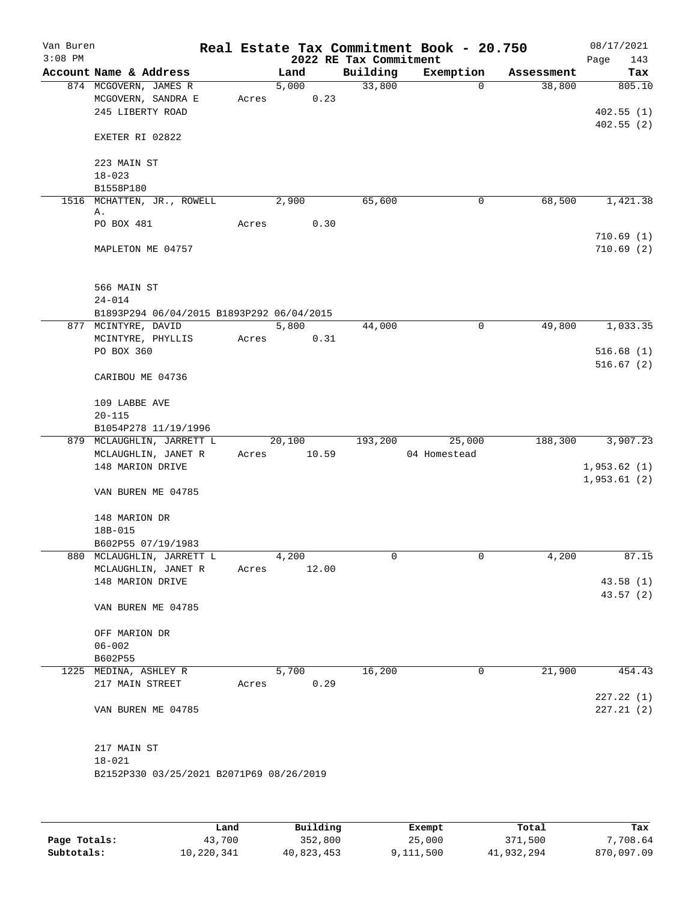| Van Buren<br>$3:08$ PM |                                           |       |        | 2022 RE Tax Commitment | Real Estate Tax Commitment Book - 20.750 |            | 08/17/2021<br>143<br>Page |
|------------------------|-------------------------------------------|-------|--------|------------------------|------------------------------------------|------------|---------------------------|
|                        | Account Name & Address                    |       | Land   | Building               | Exemption                                | Assessment | Tax                       |
|                        | 874 MCGOVERN, JAMES R                     |       | 5,000  | 33,800                 | $\Omega$                                 | 38,800     | 805.10                    |
|                        | MCGOVERN, SANDRA E                        | Acres | 0.23   |                        |                                          |            |                           |
|                        | 245 LIBERTY ROAD                          |       |        |                        |                                          |            | 402.55(1)                 |
|                        |                                           |       |        |                        |                                          |            | 402.55(2)                 |
|                        | EXETER RI 02822                           |       |        |                        |                                          |            |                           |
|                        |                                           |       |        |                        |                                          |            |                           |
|                        | 223 MAIN ST                               |       |        |                        |                                          |            |                           |
|                        | $18 - 023$                                |       |        |                        |                                          |            |                           |
|                        | B1558P180<br>1516 MCHATTEN, JR., ROWELL   |       | 2,900  | 65,600                 | 0                                        | 68,500     | 1,421.38                  |
|                        | Α.                                        |       |        |                        |                                          |            |                           |
|                        | PO BOX 481                                | Acres | 0.30   |                        |                                          |            |                           |
|                        |                                           |       |        |                        |                                          |            | 710.69(1)                 |
|                        | MAPLETON ME 04757                         |       |        |                        |                                          |            | 710.69(2)                 |
|                        |                                           |       |        |                        |                                          |            |                           |
|                        |                                           |       |        |                        |                                          |            |                           |
|                        | 566 MAIN ST                               |       |        |                        |                                          |            |                           |
|                        | $24 - 014$                                |       |        |                        |                                          |            |                           |
|                        | B1893P294 06/04/2015 B1893P292 06/04/2015 |       |        |                        |                                          |            |                           |
|                        | 877 MCINTYRE, DAVID                       |       | 5,800  | 44,000                 | 0                                        | 49,800     | 1,033.35                  |
|                        | MCINTYRE, PHYLLIS                         | Acres | 0.31   |                        |                                          |            |                           |
|                        | PO BOX 360                                |       |        |                        |                                          |            | 516.68(1)<br>516.67(2)    |
|                        | CARIBOU ME 04736                          |       |        |                        |                                          |            |                           |
|                        |                                           |       |        |                        |                                          |            |                           |
|                        | 109 LABBE AVE                             |       |        |                        |                                          |            |                           |
|                        | $20 - 115$                                |       |        |                        |                                          |            |                           |
|                        | B1054P278 11/19/1996                      |       |        |                        |                                          |            |                           |
|                        | 879 MCLAUGHLIN, JARRETT L                 |       | 20,100 | 193,200                | 25,000                                   | 188,300    | 3,907.23                  |
|                        | MCLAUGHLIN, JANET R                       | Acres | 10.59  |                        | 04 Homestead                             |            |                           |
|                        | 148 MARION DRIVE                          |       |        |                        |                                          |            | 1,953.62(1)               |
|                        |                                           |       |        |                        |                                          |            | 1,953.61(2)               |
|                        | VAN BUREN ME 04785                        |       |        |                        |                                          |            |                           |
|                        |                                           |       |        |                        |                                          |            |                           |
|                        | 148 MARION DR                             |       |        |                        |                                          |            |                           |
|                        | 18B-015<br>B602P55 07/19/1983             |       |        |                        |                                          |            |                           |
|                        | 880 MCLAUGHLIN, JARRETT L                 |       | 4,200  | 0                      | 0                                        | 4,200      | 87.15                     |
|                        | MCLAUGHLIN, JANET R                       | Acres | 12.00  |                        |                                          |            |                           |
|                        | 148 MARION DRIVE                          |       |        |                        |                                          |            | 43.58(1)                  |
|                        |                                           |       |        |                        |                                          |            | 43.57 (2)                 |
|                        | VAN BUREN ME 04785                        |       |        |                        |                                          |            |                           |
|                        |                                           |       |        |                        |                                          |            |                           |
|                        | OFF MARION DR                             |       |        |                        |                                          |            |                           |
|                        | $06 - 002$                                |       |        |                        |                                          |            |                           |
|                        | B602P55                                   |       |        |                        |                                          |            |                           |
| 1225                   | MEDINA, ASHLEY R                          |       | 5,700  | 16,200                 | 0                                        | 21,900     | 454.43                    |
|                        | 217 MAIN STREET                           | Acres | 0.29   |                        |                                          |            |                           |
|                        |                                           |       |        |                        |                                          |            | 227.22 (1)                |
|                        | VAN BUREN ME 04785                        |       |        |                        |                                          |            | 227.21(2)                 |
|                        |                                           |       |        |                        |                                          |            |                           |
|                        | 217 MAIN ST                               |       |        |                        |                                          |            |                           |
|                        | $18 - 021$                                |       |        |                        |                                          |            |                           |
|                        | B2152P330 03/25/2021 B2071P69 08/26/2019  |       |        |                        |                                          |            |                           |
|                        |                                           |       |        |                        |                                          |            |                           |
|                        |                                           |       |        |                        |                                          |            |                           |
|                        |                                           |       |        |                        |                                          |            |                           |

|              | Land       | Building   | Exempt    | Total      | Tax        |
|--------------|------------|------------|-----------|------------|------------|
| Page Totals: | 43,700     | 352,800    | 25,000    | 371,500    | 7,708.64   |
| Subtotals:   | 10,220,341 | 40,823,453 | 9,111,500 | 41,932,294 | 870,097.09 |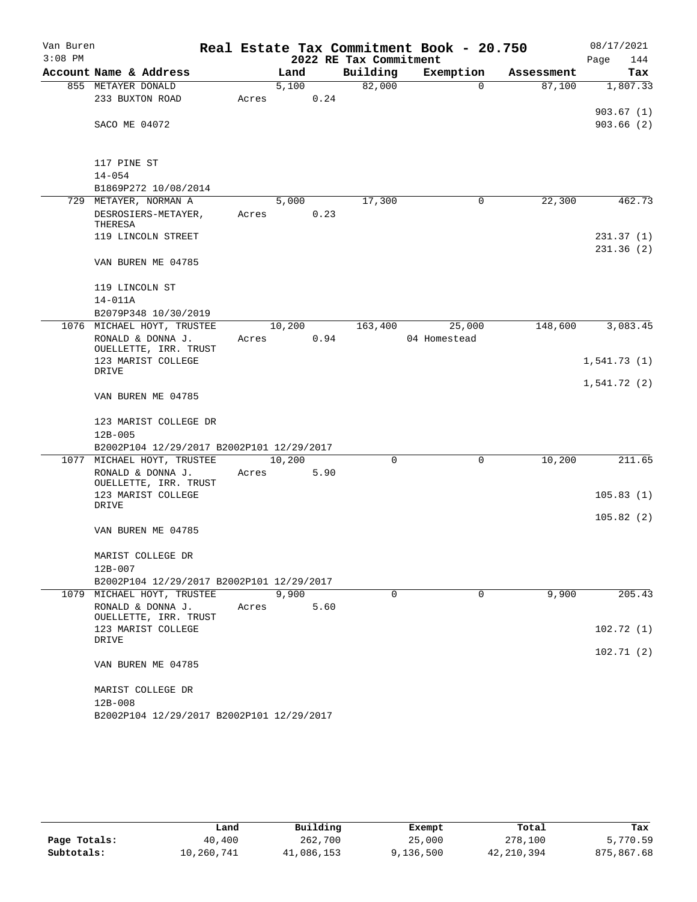| Van Buren |                                                                         |       |        |                        | Real Estate Tax Commitment Book - 20.750 |            | 08/17/2021   |
|-----------|-------------------------------------------------------------------------|-------|--------|------------------------|------------------------------------------|------------|--------------|
| $3:08$ PM |                                                                         |       |        | 2022 RE Tax Commitment |                                          |            | 144<br>Page  |
|           | Account Name & Address                                                  |       | Land   | Building               | Exemption                                | Assessment | Tax          |
|           | 855 METAYER DONALD                                                      |       | 5,100  | 82,000                 | $\mathbf 0$                              | 87,100     | 1,807.33     |
|           | 233 BUXTON ROAD                                                         | Acres | 0.24   |                        |                                          |            |              |
|           |                                                                         |       |        |                        |                                          |            | 903.67(1)    |
|           | SACO ME 04072                                                           |       |        |                        |                                          |            | 903.66(2)    |
|           |                                                                         |       |        |                        |                                          |            |              |
|           | 117 PINE ST                                                             |       |        |                        |                                          |            |              |
|           | $14 - 054$                                                              |       |        |                        |                                          |            |              |
|           | B1869P272 10/08/2014                                                    |       |        |                        |                                          |            |              |
|           | 729 METAYER, NORMAN A                                                   |       | 5,000  | 17,300                 | 0                                        | 22,300     | 462.73       |
|           | DESROSIERS-METAYER,                                                     | Acres | 0.23   |                        |                                          |            |              |
|           | THERESA                                                                 |       |        |                        |                                          |            |              |
|           | 119 LINCOLN STREET                                                      |       |        |                        |                                          |            | 231.37(1)    |
|           |                                                                         |       |        |                        |                                          |            | 231.36 (2)   |
|           | VAN BUREN ME 04785                                                      |       |        |                        |                                          |            |              |
|           |                                                                         |       |        |                        |                                          |            |              |
|           | 119 LINCOLN ST                                                          |       |        |                        |                                          |            |              |
|           | $14 - 011A$                                                             |       |        |                        |                                          |            |              |
|           | B2079P348 10/30/2019                                                    |       |        |                        |                                          |            |              |
|           | 1076 MICHAEL HOYT, TRUSTEE                                              | Acres | 10,200 | 163,400                | 25,000<br>04 Homestead                   | 148,600    | 3,083.45     |
|           | RONALD & DONNA J.<br>OUELLETTE, IRR. TRUST                              |       | 0.94   |                        |                                          |            |              |
|           | 123 MARIST COLLEGE                                                      |       |        |                        |                                          |            | 1,541.73(1)  |
|           | DRIVE                                                                   |       |        |                        |                                          |            |              |
|           |                                                                         |       |        |                        |                                          |            | 1,541.72 (2) |
|           | VAN BUREN ME 04785                                                      |       |        |                        |                                          |            |              |
|           |                                                                         |       |        |                        |                                          |            |              |
|           | 123 MARIST COLLEGE DR                                                   |       |        |                        |                                          |            |              |
|           | $12B - 005$                                                             |       |        |                        |                                          |            |              |
|           | B2002P104 12/29/2017 B2002P101 12/29/2017<br>1077 MICHAEL HOYT, TRUSTEE |       | 10,200 | $\Omega$               | 0                                        | 10,200     | 211.65       |
|           | RONALD & DONNA J.                                                       | Acres | 5.90   |                        |                                          |            |              |
|           | OUELLETTE, IRR. TRUST                                                   |       |        |                        |                                          |            |              |
|           | 123 MARIST COLLEGE                                                      |       |        |                        |                                          |            | 105.83(1)    |
|           | DRIVE                                                                   |       |        |                        |                                          |            |              |
|           |                                                                         |       |        |                        |                                          |            | 105.82(2)    |
|           | VAN BUREN ME 04785                                                      |       |        |                        |                                          |            |              |
|           |                                                                         |       |        |                        |                                          |            |              |
|           | MARIST COLLEGE DR<br>12B-007                                            |       |        |                        |                                          |            |              |
|           | B2002P104 12/29/2017 B2002P101 12/29/2017                               |       |        |                        |                                          |            |              |
|           | 1079 MICHAEL HOYT, TRUSTEE                                              |       | 9,900  | 0                      | 0                                        | 9,900      | 205.43       |
|           | RONALD & DONNA J.                                                       | Acres | 5.60   |                        |                                          |            |              |
|           | OUELLETTE, IRR. TRUST                                                   |       |        |                        |                                          |            |              |
|           | 123 MARIST COLLEGE                                                      |       |        |                        |                                          |            | 102.72(1)    |
|           | DRIVE                                                                   |       |        |                        |                                          |            |              |
|           | VAN BUREN ME 04785                                                      |       |        |                        |                                          |            | 102.71(2)    |
|           | MARIST COLLEGE DR                                                       |       |        |                        |                                          |            |              |
|           | $12B-008$                                                               |       |        |                        |                                          |            |              |
|           | B2002P104 12/29/2017 B2002P101 12/29/2017                               |       |        |                        |                                          |            |              |
|           |                                                                         |       |        |                        |                                          |            |              |

|              | Land       | Building   | Exempt    | Total      | Tax        |
|--------------|------------|------------|-----------|------------|------------|
| Page Totals: | 40,400     | 262,700    | 25,000    | 278,100    | 5,770.59   |
| Subtotals:   | 10,260,741 | 41,086,153 | 9,136,500 | 42,210,394 | 875,867.68 |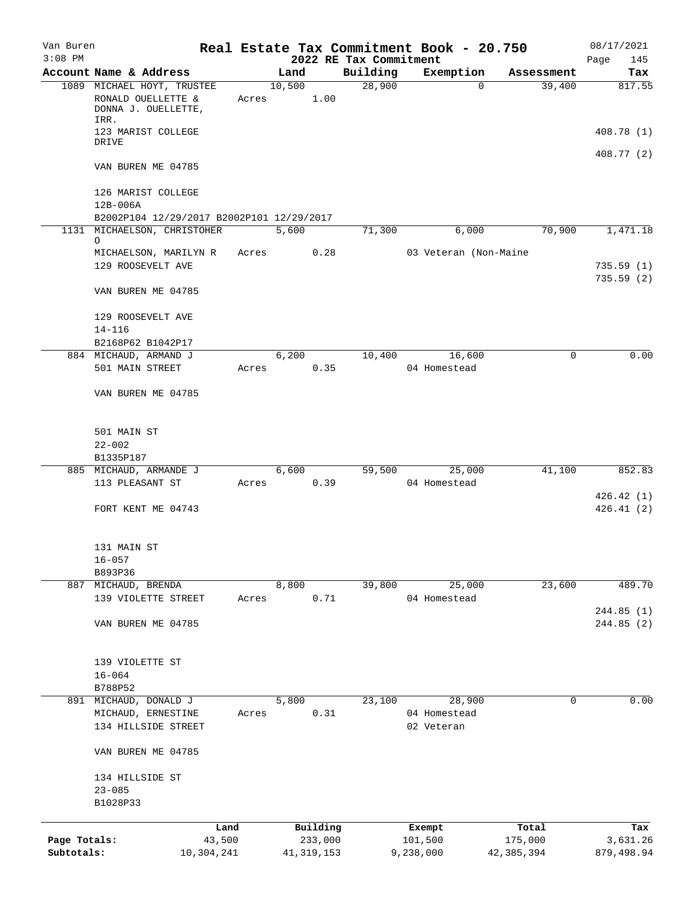| Van Buren<br>$3:08$ PM     |                                                                          |        |                         | 2022 RE Tax Commitment | Real Estate Tax Commitment Book - 20.750 |                         | 08/17/2021<br>Page<br>145 |
|----------------------------|--------------------------------------------------------------------------|--------|-------------------------|------------------------|------------------------------------------|-------------------------|---------------------------|
|                            | Account Name & Address                                                   |        | Land                    | Building               | Exemption                                | Assessment              | Tax                       |
|                            | 1089 MICHAEL HOYT, TRUSTEE<br>RONALD OUELLETTE &<br>DONNA J. OUELLETTE,  |        | 10,500<br>Acres 1.00    | 28,900                 | $\Omega$                                 | 39,400                  | 817.55                    |
|                            | IRR.<br>123 MARIST COLLEGE<br>DRIVE                                      |        |                         |                        |                                          |                         | 408.78 (1)                |
|                            | VAN BUREN ME 04785                                                       |        |                         |                        |                                          |                         | 408.77 (2)                |
|                            | 126 MARIST COLLEGE<br>$12B-006A$                                         |        |                         |                        |                                          |                         |                           |
|                            | B2002P104 12/29/2017 B2002P101 12/29/2017<br>1131 MICHAELSON, CHRISTOHER |        | 5,600                   | 71,300                 | 6,000                                    | 70,900                  | 1,471.18                  |
|                            | $\circ$                                                                  |        |                         |                        |                                          |                         |                           |
|                            | MICHAELSON, MARILYN R<br>129 ROOSEVELT AVE                               |        | 0.28<br>Acres           |                        | 03 Veteran (Non-Maine                    |                         | 735.59(1)<br>735.59(2)    |
|                            | VAN BUREN ME 04785                                                       |        |                         |                        |                                          |                         |                           |
|                            | 129 ROOSEVELT AVE<br>$14 - 116$                                          |        |                         |                        |                                          |                         |                           |
|                            | B2168P62 B1042P17                                                        |        | 6,200                   |                        | 10,400<br>16,600                         | 0                       | 0.00                      |
|                            | 884 MICHAUD, ARMAND J<br>501 MAIN STREET                                 | Acres  | 0.35                    |                        | 04 Homestead                             |                         |                           |
|                            | VAN BUREN ME 04785                                                       |        |                         |                        |                                          |                         |                           |
|                            | 501 MAIN ST<br>$22 - 002$                                                |        |                         |                        |                                          |                         |                           |
|                            | B1335P187                                                                |        |                         |                        |                                          |                         |                           |
|                            | 885 MICHAUD, ARMANDE J<br>113 PLEASANT ST                                |        | 6,600<br>0.39<br>Acres  |                        | 59,500<br>25,000<br>04 Homestead         | 41,100                  | 852.83<br>426.42(1)       |
|                            | FORT KENT ME 04743                                                       |        |                         |                        |                                          |                         | 426.41(2)                 |
|                            | 131 MAIN ST<br>$16 - 057$                                                |        |                         |                        |                                          |                         |                           |
|                            | B893P36                                                                  |        |                         |                        |                                          |                         |                           |
|                            | 887 MICHAUD, BRENDA<br>139 VIOLETTE STREET                               | Acres  | 8,800<br>0.71           | 39,800                 | 25,000<br>04 Homestead                   | 23,600                  | 489.70                    |
|                            | VAN BUREN ME 04785                                                       |        |                         |                        |                                          |                         | 244.85(1)<br>244.85 (2)   |
|                            | 139 VIOLETTE ST<br>$16 - 064$<br>B788P52                                 |        |                         |                        |                                          |                         |                           |
| 891                        | MICHAUD, DONALD J                                                        |        | 5,800                   | 23,100                 | 28,900                                   | 0                       | 0.00                      |
|                            | MICHAUD, ERNESTINE<br>134 HILLSIDE STREET                                | Acres  | 0.31                    |                        | 04 Homestead<br>02 Veteran               |                         |                           |
|                            | VAN BUREN ME 04785                                                       |        |                         |                        |                                          |                         |                           |
|                            | 134 HILLSIDE ST<br>$23 - 085$                                            |        |                         |                        |                                          |                         |                           |
|                            | B1028P33                                                                 |        |                         |                        |                                          |                         |                           |
|                            |                                                                          | Land   | Building                |                        | Exempt                                   | Total                   | Tax                       |
| Page Totals:<br>Subtotals: | 10,304,241                                                               | 43,500 | 233,000<br>41, 319, 153 |                        | 101,500<br>9,238,000                     | 175,000<br>42, 385, 394 | 3,631.26<br>879,498.94    |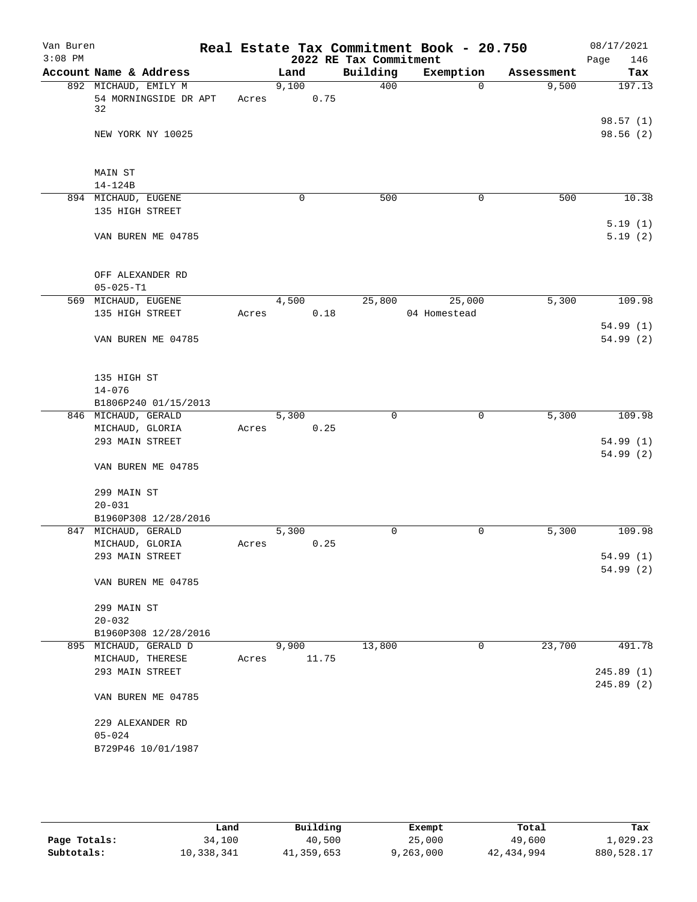| Van Buren<br>$3:08$ PM |                                                     |       |               | 2022 RE Tax Commitment | Real Estate Tax Commitment Book - 20.750 |            | 08/17/2021<br>Page<br>146 |
|------------------------|-----------------------------------------------------|-------|---------------|------------------------|------------------------------------------|------------|---------------------------|
|                        | Account Name & Address                              |       | Land          | Building               | Exemption                                | Assessment | Tax                       |
|                        | 892 MICHAUD, EMILY M<br>54 MORNINGSIDE DR APT<br>32 | Acres | 9,100<br>0.75 | 400                    | $\Omega$                                 | 9,500      | 197.13                    |
|                        | NEW YORK NY 10025                                   |       |               |                        |                                          |            | 98.57(1)<br>98.56(2)      |
|                        | MAIN ST<br>$14 - 124B$                              |       |               |                        |                                          |            |                           |
|                        | 894 MICHAUD, EUGENE                                 |       | $\mathbf 0$   | 500                    | 0                                        | 500        | 10.38                     |
|                        | 135 HIGH STREET                                     |       |               |                        |                                          |            |                           |
|                        | VAN BUREN ME 04785                                  |       |               |                        |                                          |            | 5.19(1)<br>5.19(2)        |
|                        | OFF ALEXANDER RD<br>$05 - 025 - T1$                 |       |               |                        |                                          |            |                           |
|                        | 569 MICHAUD, EUGENE                                 |       | 4,500         | 25,800                 | 25,000                                   | 5,300      | 109.98                    |
|                        | 135 HIGH STREET                                     | Acres | 0.18          |                        | 04 Homestead                             |            |                           |
|                        |                                                     |       |               |                        |                                          |            | 54.99(1)                  |
|                        | VAN BUREN ME 04785                                  |       |               |                        |                                          |            | 54.99 (2)                 |
|                        | 135 HIGH ST                                         |       |               |                        |                                          |            |                           |
|                        | $14 - 076$                                          |       |               |                        |                                          |            |                           |
|                        | B1806P240 01/15/2013                                |       |               |                        |                                          |            |                           |
|                        | 846 MICHAUD, GERALD                                 |       | 5,300         | $\Omega$               | 0                                        | 5,300      | 109.98                    |
|                        | MICHAUD, GLORIA                                     | Acres | 0.25          |                        |                                          |            |                           |
|                        | 293 MAIN STREET                                     |       |               |                        |                                          |            | 54.99(1)                  |
|                        | VAN BUREN ME 04785                                  |       |               |                        |                                          |            | 54.99(2)                  |
|                        | 299 MAIN ST                                         |       |               |                        |                                          |            |                           |
|                        | $20 - 031$                                          |       |               |                        |                                          |            |                           |
|                        | B1960P308 12/28/2016                                |       |               |                        |                                          |            |                           |
|                        | 847 MICHAUD, GERALD                                 |       | 5,300         | 0                      | 0                                        | 5,300      | 109.98                    |
|                        | MICHAUD, GLORIA<br>293 MAIN STREET                  | Acres | 0.25          |                        |                                          |            | 54.99(1)                  |
|                        |                                                     |       |               |                        |                                          |            | 54.99(2)                  |
|                        | VAN BUREN ME 04785                                  |       |               |                        |                                          |            |                           |
|                        | 299 MAIN ST                                         |       |               |                        |                                          |            |                           |
|                        | $20 - 032$                                          |       |               |                        |                                          |            |                           |
|                        | B1960P308 12/28/2016                                |       |               |                        |                                          |            |                           |
|                        | 895 MICHAUD, GERALD D                               |       | 9,900         | 13,800                 | 0                                        | 23,700     | 491.78                    |
|                        | MICHAUD, THERESE                                    | Acres | 11.75         |                        |                                          |            |                           |
|                        | 293 MAIN STREET                                     |       |               |                        |                                          |            | 245.89(1)                 |
|                        | VAN BUREN ME 04785                                  |       |               |                        |                                          |            | 245.89(2)                 |
|                        | 229 ALEXANDER RD                                    |       |               |                        |                                          |            |                           |
|                        | $05 - 024$                                          |       |               |                        |                                          |            |                           |
|                        | B729P46 10/01/1987                                  |       |               |                        |                                          |            |                           |
|                        |                                                     |       |               |                        |                                          |            |                           |

|              | Land       | Building   | Exempt    | Total      | Tax        |
|--------------|------------|------------|-----------|------------|------------|
| Page Totals: | 34,100     | 40,500     | 25,000    | 49,600     | 1,029.23   |
| Subtotals:   | 10,338,341 | 41,359,653 | 9,263,000 | 42,434,994 | 880,528.17 |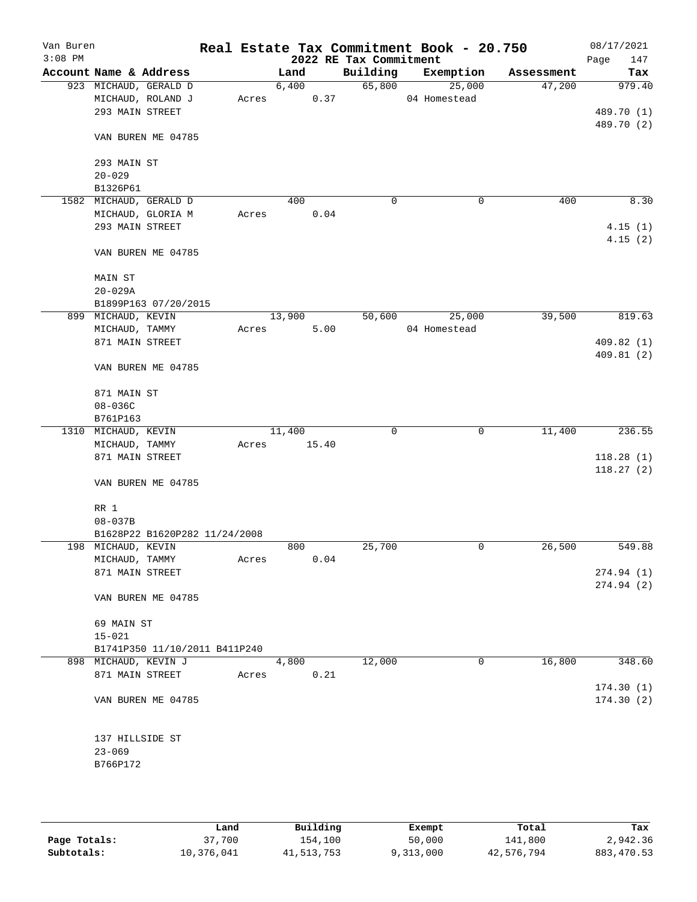| Van Buren<br>$3:08$ PM |                     |                               |       |        |       | 2022 RE Tax Commitment | Real Estate Tax Commitment Book - 20.750 |            | 08/17/2021<br>Page<br>147 |
|------------------------|---------------------|-------------------------------|-------|--------|-------|------------------------|------------------------------------------|------------|---------------------------|
|                        |                     | Account Name & Address        |       | Land   |       | Building               | Exemption                                | Assessment | Tax                       |
|                        |                     | 923 MICHAUD, GERALD D         |       | 6,400  |       | 65,800                 | 25,000                                   | 47,200     | 979.40                    |
|                        |                     | MICHAUD, ROLAND J             | Acres |        | 0.37  |                        | 04 Homestead                             |            |                           |
|                        | 293 MAIN STREET     |                               |       |        |       |                        |                                          |            | 489.70 (1)                |
|                        |                     |                               |       |        |       |                        |                                          |            | 489.70 (2)                |
|                        |                     | VAN BUREN ME 04785            |       |        |       |                        |                                          |            |                           |
|                        | 293 MAIN ST         |                               |       |        |       |                        |                                          |            |                           |
|                        | $20 - 029$          |                               |       |        |       |                        |                                          |            |                           |
|                        | B1326P61            |                               |       |        |       |                        |                                          |            |                           |
|                        |                     | 1582 MICHAUD, GERALD D        |       | 400    |       | $\mathbf 0$            | 0                                        | 400        | 8.30                      |
|                        |                     | MICHAUD, GLORIA M             | Acres |        | 0.04  |                        |                                          |            |                           |
|                        | 293 MAIN STREET     |                               |       |        |       |                        |                                          |            | 4.15(1)                   |
|                        |                     | VAN BUREN ME 04785            |       |        |       |                        |                                          |            | 4.15(2)                   |
|                        |                     |                               |       |        |       |                        |                                          |            |                           |
|                        | MAIN ST             |                               |       |        |       |                        |                                          |            |                           |
|                        | $20 - 029A$         |                               |       |        |       |                        |                                          |            |                           |
|                        |                     | B1899P163 07/20/2015          |       |        |       |                        |                                          |            |                           |
|                        | 899 MICHAUD, KEVIN  |                               |       | 13,900 |       | 50,600                 | 25,000                                   | 39,500     | 819.63                    |
|                        | MICHAUD, TAMMY      |                               | Acres |        | 5.00  |                        | 04 Homestead                             |            |                           |
|                        | 871 MAIN STREET     |                               |       |        |       |                        |                                          |            | 409.82(1)                 |
|                        |                     | VAN BUREN ME 04785            |       |        |       |                        |                                          |            | 409.81(2)                 |
|                        |                     |                               |       |        |       |                        |                                          |            |                           |
|                        | 871 MAIN ST         |                               |       |        |       |                        |                                          |            |                           |
|                        | $08 - 036C$         |                               |       |        |       |                        |                                          |            |                           |
|                        | B761P163            |                               |       |        |       |                        |                                          |            |                           |
|                        | 1310 MICHAUD, KEVIN |                               |       | 11,400 |       | $\mathbf 0$            | $\mathbf 0$                              | 11,400     | 236.55                    |
|                        | MICHAUD, TAMMY      |                               | Acres |        | 15.40 |                        |                                          |            |                           |
|                        | 871 MAIN STREET     |                               |       |        |       |                        |                                          |            | 118.28(1)                 |
|                        |                     |                               |       |        |       |                        |                                          |            | 118.27(2)                 |
|                        |                     | VAN BUREN ME 04785            |       |        |       |                        |                                          |            |                           |
|                        |                     |                               |       |        |       |                        |                                          |            |                           |
|                        | RR 1                |                               |       |        |       |                        |                                          |            |                           |
|                        | $08 - 037B$         |                               |       |        |       |                        |                                          |            |                           |
|                        | 198 MICHAUD, KEVIN  | B1628P22 B1620P282 11/24/2008 |       | 800    |       |                        | 0                                        | 26,500     | 549.88                    |
|                        |                     |                               |       |        |       | 25,700                 |                                          |            |                           |
|                        | MICHAUD, TAMMY      |                               | Acres |        | 0.04  |                        |                                          |            |                           |
|                        | 871 MAIN STREET     |                               |       |        |       |                        |                                          |            | 274.94(1)                 |
|                        |                     | VAN BUREN ME 04785            |       |        |       |                        |                                          |            | 274.94(2)                 |
|                        |                     |                               |       |        |       |                        |                                          |            |                           |
|                        | 69 MAIN ST          |                               |       |        |       |                        |                                          |            |                           |
|                        | $15 - 021$          |                               |       |        |       |                        |                                          |            |                           |
|                        |                     | B1741P350 11/10/2011 B411P240 |       |        |       |                        |                                          |            |                           |
|                        |                     | 898 MICHAUD, KEVIN J          |       | 4,800  |       | 12,000                 | 0                                        | 16,800     | 348.60                    |
|                        | 871 MAIN STREET     |                               | Acres |        | 0.21  |                        |                                          |            |                           |
|                        |                     | VAN BUREN ME 04785            |       |        |       |                        |                                          |            | 174.30(1)<br>174.30(2)    |
|                        | 137 HILLSIDE ST     |                               |       |        |       |                        |                                          |            |                           |
|                        | $23 - 069$          |                               |       |        |       |                        |                                          |            |                           |
|                        | B766P172            |                               |       |        |       |                        |                                          |            |                           |
|                        |                     |                               |       |        |       |                        |                                          |            |                           |
|                        |                     |                               |       |        |       |                        |                                          |            |                           |
|                        |                     |                               |       |        |       |                        |                                          |            |                           |

|              | Land       | Building   | Exempt    | Total      | Tax         |
|--------------|------------|------------|-----------|------------|-------------|
| Page Totals: | 37,700     | 154,100    | 50,000    | 141,800    | 2,942.36    |
| Subtotals:   | 10,376,041 | 41,513,753 | 9,313,000 | 42,576,794 | 883, 470.53 |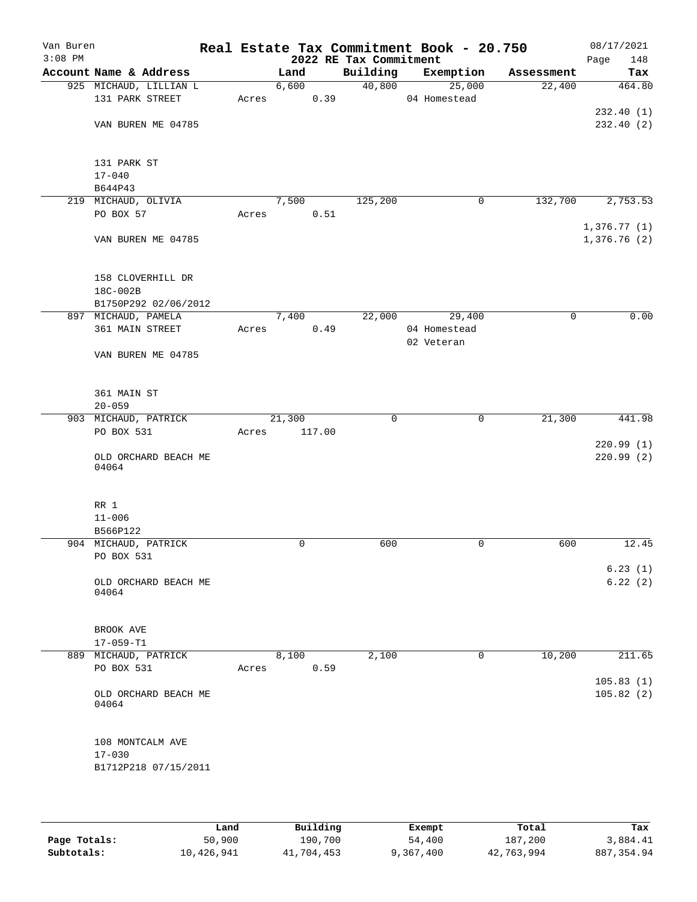| Van Buren<br>$3:08$ PM |                                        |       |        |        | 2022 RE Tax Commitment | Real Estate Tax Commitment Book - 20.750 |             |            | 08/17/2021<br>Page<br>148   |
|------------------------|----------------------------------------|-------|--------|--------|------------------------|------------------------------------------|-------------|------------|-----------------------------|
|                        | Account Name & Address                 |       | Land   |        | Building               | Exemption                                |             | Assessment | Tax                         |
|                        | 925 MICHAUD, LILLIAN L                 |       | 6,600  |        | 40,800                 | 25,000                                   |             | 22,400     | 464.80                      |
|                        | 131 PARK STREET                        | Acres |        | 0.39   |                        | 04 Homestead                             |             |            |                             |
|                        | VAN BUREN ME 04785                     |       |        |        |                        |                                          |             |            | 232.40(1)<br>232.40 (2)     |
|                        | 131 PARK ST                            |       |        |        |                        |                                          |             |            |                             |
|                        | $17 - 040$                             |       |        |        |                        |                                          |             |            |                             |
|                        | B644P43                                |       |        |        |                        |                                          |             |            |                             |
|                        | 219 MICHAUD, OLIVIA<br>PO BOX 57       | Acres | 7,500  | 0.51   | 125,200                |                                          | $\mathbf 0$ | 132,700    | 2,753.53                    |
|                        | VAN BUREN ME 04785                     |       |        |        |                        |                                          |             |            | 1,376.77(1)<br>1,376.76 (2) |
|                        | 158 CLOVERHILL DR                      |       |        |        |                        |                                          |             |            |                             |
|                        | 18C-002B                               |       |        |        |                        |                                          |             |            |                             |
|                        | B1750P292 02/06/2012                   |       |        |        |                        |                                          |             |            |                             |
|                        | 897 MICHAUD, PAMELA<br>361 MAIN STREET | Acres | 7,400  | 0.49   | 22,000                 | 29,400<br>04 Homestead<br>02 Veteran     |             | 0          | 0.00                        |
|                        | VAN BUREN ME 04785                     |       |        |        |                        |                                          |             |            |                             |
|                        | 361 MAIN ST<br>$20 - 059$              |       |        |        |                        |                                          |             |            |                             |
|                        | 903 MICHAUD, PATRICK                   |       | 21,300 |        | 0                      |                                          | $\mathbf 0$ | 21,300     | 441.98                      |
|                        | PO BOX 531                             | Acres |        | 117.00 |                        |                                          |             |            | 220.99 (1)                  |
|                        | OLD ORCHARD BEACH ME<br>04064          |       |        |        |                        |                                          |             |            | 220.99(2)                   |
|                        | RR 1<br>$11 - 006$<br>B566P122         |       |        |        |                        |                                          |             |            |                             |
|                        | 904 MICHAUD, PATRICK                   |       | 0      |        | 600                    |                                          | 0           | 600        | 12.45                       |
|                        | PO BOX 531                             |       |        |        |                        |                                          |             |            |                             |
|                        | OLD ORCHARD BEACH ME<br>04064          |       |        |        |                        |                                          |             |            | 6.23(1)<br>6.22(2)          |
|                        | BROOK AVE<br>$17 - 059 - T1$           |       |        |        |                        |                                          |             |            |                             |
|                        | 889 MICHAUD, PATRICK                   |       | 8,100  |        | 2,100                  |                                          | 0           | 10,200     | 211.65                      |
|                        | PO BOX 531<br>OLD ORCHARD BEACH ME     | Acres |        | 0.59   |                        |                                          |             |            | 105.83(1)<br>105.82(2)      |
|                        | 04064                                  |       |        |        |                        |                                          |             |            |                             |
|                        | 108 MONTCALM AVE                       |       |        |        |                        |                                          |             |            |                             |
|                        | $17 - 030$<br>B1712P218 07/15/2011     |       |        |        |                        |                                          |             |            |                             |
|                        |                                        |       |        |        |                        |                                          |             |            |                             |

|              | Land       | Building   | Exempt    | Total      | Tax         |
|--------------|------------|------------|-----------|------------|-------------|
| Page Totals: | 50,900     | 190,700    | 54,400    | 187,200    | 3,884.41    |
| Subtotals:   | 10,426,941 | 41,704,453 | 9,367,400 | 42,763,994 | 887, 354.94 |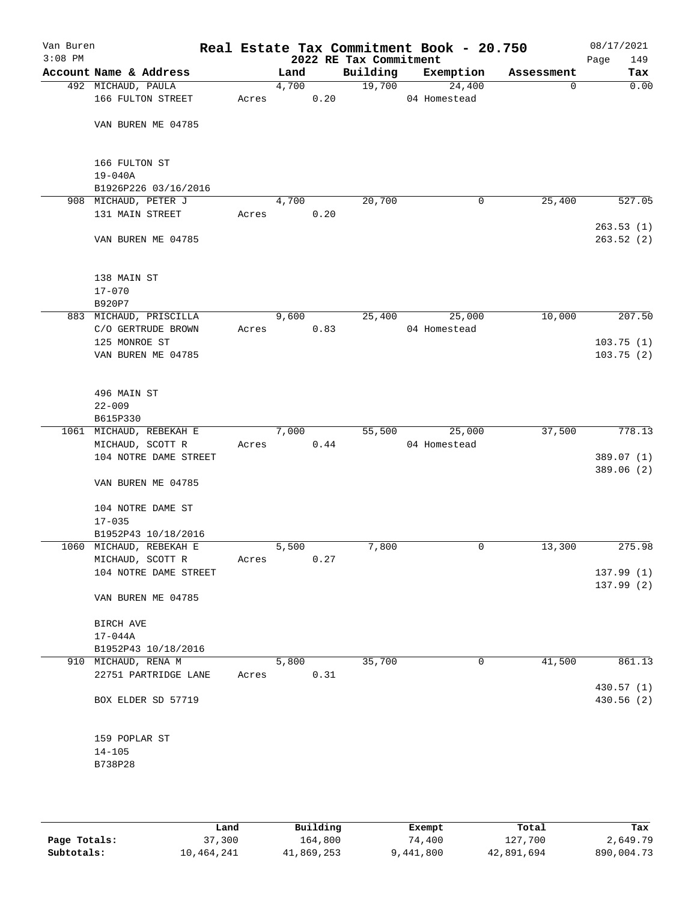| Van Buren<br>$3:08$ PM |                         |       |       |      | 2022 RE Tax Commitment | Real Estate Tax Commitment Book - 20.750 |            | 08/17/2021<br>149<br>Page |
|------------------------|-------------------------|-------|-------|------|------------------------|------------------------------------------|------------|---------------------------|
|                        | Account Name & Address  |       | Land  |      | Building               | Exemption                                | Assessment | Tax                       |
|                        | 492 MICHAUD, PAULA      |       | 4,700 |      | 19,700                 | 24,400                                   | 0          | 0.00                      |
|                        | 166 FULTON STREET       | Acres |       | 0.20 |                        | 04 Homestead                             |            |                           |
|                        | VAN BUREN ME 04785      |       |       |      |                        |                                          |            |                           |
|                        | 166 FULTON ST           |       |       |      |                        |                                          |            |                           |
|                        | 19-040A                 |       |       |      |                        |                                          |            |                           |
|                        | B1926P226 03/16/2016    |       |       |      |                        |                                          |            |                           |
|                        | 908 MICHAUD, PETER J    |       | 4,700 |      | 20,700                 | 0                                        | 25,400     | 527.05                    |
|                        | 131 MAIN STREET         | Acres |       | 0.20 |                        |                                          |            | 263.53(1)                 |
|                        | VAN BUREN ME 04785      |       |       |      |                        |                                          |            | 263.52(2)                 |
|                        | 138 MAIN ST             |       |       |      |                        |                                          |            |                           |
|                        | $17 - 070$              |       |       |      |                        |                                          |            |                           |
|                        | B920P7                  |       |       |      |                        |                                          |            |                           |
|                        | 883 MICHAUD, PRISCILLA  |       | 9,600 |      | 25,400                 | 25,000                                   | 10,000     | 207.50                    |
|                        | C/O GERTRUDE BROWN      | Acres |       | 0.83 |                        | 04 Homestead                             |            |                           |
|                        | 125 MONROE ST           |       |       |      |                        |                                          |            | 103.75(1)                 |
|                        | VAN BUREN ME 04785      |       |       |      |                        |                                          |            | 103.75(2)                 |
|                        | 496 MAIN ST             |       |       |      |                        |                                          |            |                           |
|                        | $22 - 009$              |       |       |      |                        |                                          |            |                           |
|                        | B615P330                |       |       |      |                        |                                          |            |                           |
|                        | 1061 MICHAUD, REBEKAH E |       | 7,000 |      | 55,500                 | 25,000                                   | 37,500     | 778.13                    |
|                        | MICHAUD, SCOTT R        | Acres |       | 0.44 |                        | 04 Homestead                             |            |                           |
|                        | 104 NOTRE DAME STREET   |       |       |      |                        |                                          |            | 389.07 (1)                |
|                        | VAN BUREN ME 04785      |       |       |      |                        |                                          |            | 389.06 (2)                |
|                        | 104 NOTRE DAME ST       |       |       |      |                        |                                          |            |                           |
|                        | $17 - 035$              |       |       |      |                        |                                          |            |                           |
|                        | B1952P43 10/18/2016     |       |       |      |                        |                                          |            |                           |
|                        | 1060 MICHAUD, REBEKAH E |       | 5,500 |      | 7,800                  | 0                                        | 13,300     | 275.98                    |
|                        | MICHAUD, SCOTT R        | Acres |       | 0.27 |                        |                                          |            |                           |
|                        | 104 NOTRE DAME STREET   |       |       |      |                        |                                          |            | 137.99(1)<br>137.99(2)    |
|                        | VAN BUREN ME 04785      |       |       |      |                        |                                          |            |                           |
|                        | BIRCH AVE               |       |       |      |                        |                                          |            |                           |
|                        | 17-044A                 |       |       |      |                        |                                          |            |                           |
|                        | B1952P43 10/18/2016     |       |       |      |                        |                                          |            |                           |
|                        | 910 MICHAUD, RENA M     |       | 5,800 |      | 35,700                 | 0                                        | 41,500     | 861.13                    |
|                        | 22751 PARTRIDGE LANE    | Acres |       | 0.31 |                        |                                          |            |                           |
|                        | BOX ELDER SD 57719      |       |       |      |                        |                                          |            | 430.57 (1)<br>430.56 (2)  |
|                        |                         |       |       |      |                        |                                          |            |                           |
|                        | 159 POPLAR ST           |       |       |      |                        |                                          |            |                           |
|                        | $14 - 105$              |       |       |      |                        |                                          |            |                           |
|                        | B738P28                 |       |       |      |                        |                                          |            |                           |
|                        |                         |       |       |      |                        |                                          |            |                           |

|              | Land       | Building   | Exempt    | Total      | Tax        |
|--------------|------------|------------|-----------|------------|------------|
| Page Totals: | 37,300     | 164,800    | 74,400    | 127,700    | 2,649.79   |
| Subtotals:   | 10,464,241 | 41,869,253 | 9,441,800 | 42,891,694 | 890,004.73 |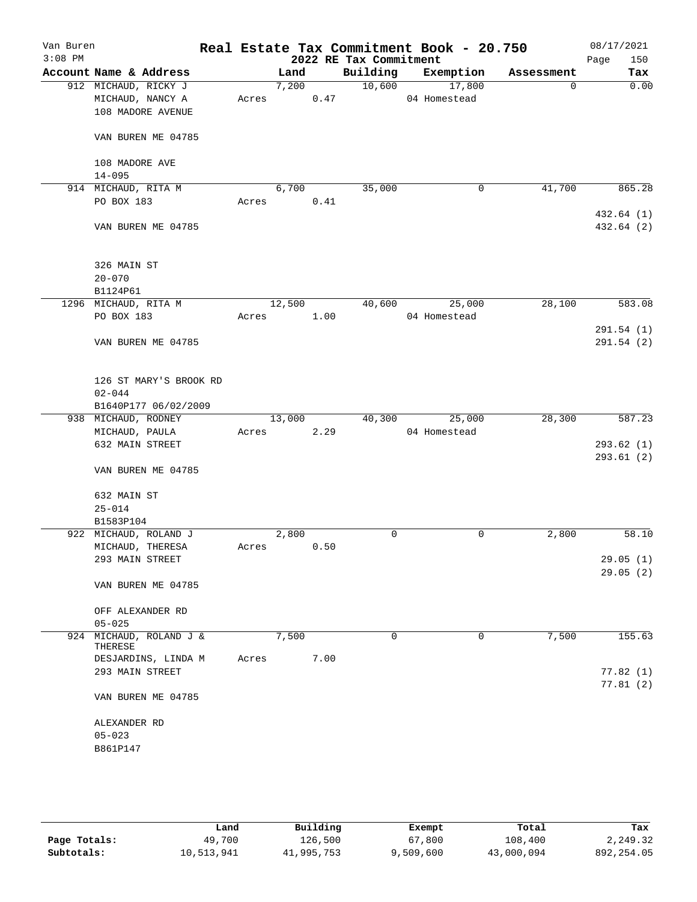| Van Buren<br>$3:08$ PM |                                |       |        |      | 2022 RE Tax Commitment | Real Estate Tax Commitment Book - 20.750 |            | 08/17/2021<br>Page<br>150 |
|------------------------|--------------------------------|-------|--------|------|------------------------|------------------------------------------|------------|---------------------------|
|                        | Account Name & Address         |       | Land   |      | Building               | Exemption                                | Assessment | Tax                       |
|                        | 912 MICHAUD, RICKY J           |       | 7,200  |      |                        | 10,600<br>17,800                         | 0          | 0.00                      |
|                        | MICHAUD, NANCY A               | Acres |        | 0.47 |                        | 04 Homestead                             |            |                           |
|                        | 108 MADORE AVENUE              |       |        |      |                        |                                          |            |                           |
|                        |                                |       |        |      |                        |                                          |            |                           |
|                        | VAN BUREN ME 04785             |       |        |      |                        |                                          |            |                           |
|                        | 108 MADORE AVE                 |       |        |      |                        |                                          |            |                           |
|                        | $14 - 095$                     |       |        |      |                        |                                          |            |                           |
|                        | 914 MICHAUD, RITA M            |       | 6,700  |      | 35,000                 | 0                                        | 41,700     | 865.28                    |
|                        | PO BOX 183                     | Acres |        | 0.41 |                        |                                          |            |                           |
|                        |                                |       |        |      |                        |                                          |            | 432.64 (1)                |
|                        | VAN BUREN ME 04785             |       |        |      |                        |                                          |            | 432.64 (2)                |
|                        | 326 MAIN ST                    |       |        |      |                        |                                          |            |                           |
|                        | $20 - 070$                     |       |        |      |                        |                                          |            |                           |
|                        | B1124P61                       |       |        |      |                        |                                          |            |                           |
|                        | 1296 MICHAUD, RITA M           |       | 12,500 |      | 40,600                 | 25,000                                   | 28,100     | 583.08                    |
|                        | PO BOX 183                     | Acres |        | 1.00 |                        | 04 Homestead                             |            |                           |
|                        |                                |       |        |      |                        |                                          |            | 291.54 (1)                |
|                        | VAN BUREN ME 04785             |       |        |      |                        |                                          |            | 291.54(2)                 |
|                        | 126 ST MARY'S BROOK RD         |       |        |      |                        |                                          |            |                           |
|                        | $02 - 044$                     |       |        |      |                        |                                          |            |                           |
|                        | B1640P177 06/02/2009           |       |        |      |                        |                                          |            |                           |
|                        | 938 MICHAUD, RODNEY            |       | 13,000 |      | 40,300                 | 25,000                                   | 28,300     | 587.23                    |
|                        | MICHAUD, PAULA                 | Acres |        | 2.29 |                        | 04 Homestead                             |            |                           |
|                        | 632 MAIN STREET                |       |        |      |                        |                                          |            | 293.62(1)                 |
|                        |                                |       |        |      |                        |                                          |            | 293.61(2)                 |
|                        | VAN BUREN ME 04785             |       |        |      |                        |                                          |            |                           |
|                        | 632 MAIN ST                    |       |        |      |                        |                                          |            |                           |
|                        | $25 - 014$                     |       |        |      |                        |                                          |            |                           |
|                        | B1583P104                      |       |        |      |                        |                                          |            |                           |
|                        | 922 MICHAUD, ROLAND J          |       | 2,800  |      | 0                      | 0                                        | 2,800      | 58.10                     |
|                        | MICHAUD, THERESA               | Acres |        | 0.50 |                        |                                          |            |                           |
|                        | 293 MAIN STREET                |       |        |      |                        |                                          |            | 29.05(1)                  |
|                        | VAN BUREN ME 04785             |       |        |      |                        |                                          |            | 29.05(2)                  |
|                        |                                |       |        |      |                        |                                          |            |                           |
|                        | OFF ALEXANDER RD<br>$05 - 025$ |       |        |      |                        |                                          |            |                           |
|                        | 924 MICHAUD, ROLAND J &        |       | 7,500  |      | 0                      | 0                                        | 7,500      | 155.63                    |
|                        | THERESE                        |       |        |      |                        |                                          |            |                           |
|                        | DESJARDINS, LINDA M            | Acres |        | 7.00 |                        |                                          |            |                           |
|                        | 293 MAIN STREET                |       |        |      |                        |                                          |            | 77.82 (1)                 |
|                        | VAN BUREN ME 04785             |       |        |      |                        |                                          |            | 77.81(2)                  |
|                        |                                |       |        |      |                        |                                          |            |                           |
|                        | ALEXANDER RD                   |       |        |      |                        |                                          |            |                           |
|                        | $05 - 023$                     |       |        |      |                        |                                          |            |                           |
|                        | B861P147                       |       |        |      |                        |                                          |            |                           |
|                        |                                |       |        |      |                        |                                          |            |                           |
|                        |                                |       |        |      |                        |                                          |            |                           |

|              | Land       | Building   | Exempt    | Total      | Tax        |
|--------------|------------|------------|-----------|------------|------------|
| Page Totals: | 49,700     | 126,500    | 67,800    | 108,400    | 2,249.32   |
| Subtotals:   | 10,513,941 | 41,995,753 | 9,509,600 | 43,000,094 | 892,254.05 |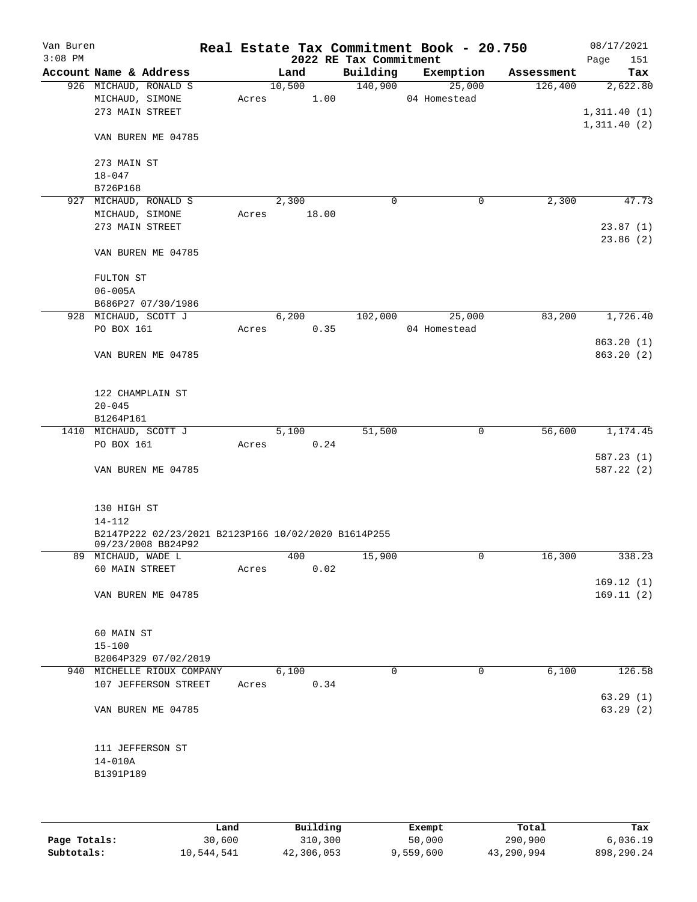| Van Buren |                                                     |       |        |       |                        | Real Estate Tax Commitment Book - 20.750 |            | 08/17/2021             |
|-----------|-----------------------------------------------------|-------|--------|-------|------------------------|------------------------------------------|------------|------------------------|
| $3:08$ PM |                                                     |       |        |       | 2022 RE Tax Commitment |                                          |            | 151<br>Page            |
|           | Account Name & Address                              |       | Land   |       | Building               | Exemption                                | Assessment | Tax                    |
|           | 926 MICHAUD, RONALD S                               |       | 10,500 |       | 140,900                | 25,000                                   | 126,400    | 2,622.80               |
|           | MICHAUD, SIMONE                                     | Acres |        | 1.00  |                        | 04 Homestead                             |            |                        |
|           | 273 MAIN STREET                                     |       |        |       |                        |                                          |            | 1,311.40(1)            |
|           | VAN BUREN ME 04785                                  |       |        |       |                        |                                          |            | 1,311.40(2)            |
|           | 273 MAIN ST                                         |       |        |       |                        |                                          |            |                        |
|           | $18 - 047$                                          |       |        |       |                        |                                          |            |                        |
|           | B726P168                                            |       |        |       |                        |                                          |            |                        |
| 927       | MICHAUD, RONALD S                                   |       | 2,300  |       | $\mathbf 0$            | 0                                        | 2,300      | 47.73                  |
|           | MICHAUD, SIMONE                                     | Acres |        | 18.00 |                        |                                          |            |                        |
|           | 273 MAIN STREET                                     |       |        |       |                        |                                          |            | 23.87(1)               |
|           | VAN BUREN ME 04785                                  |       |        |       |                        |                                          |            | 23.86(2)               |
|           |                                                     |       |        |       |                        |                                          |            |                        |
|           | FULTON ST                                           |       |        |       |                        |                                          |            |                        |
|           | $06 - 005A$                                         |       |        |       |                        |                                          |            |                        |
|           | B686P27 07/30/1986                                  |       |        |       |                        |                                          |            |                        |
|           | 928 MICHAUD, SCOTT J                                |       | 6,200  |       | 102,000                | 25,000                                   | 83,200     | 1,726.40               |
|           | PO BOX 161                                          | Acres |        | 0.35  |                        | 04 Homestead                             |            |                        |
|           | VAN BUREN ME 04785                                  |       |        |       |                        |                                          |            | 863.20(1)<br>863.20(2) |
|           |                                                     |       |        |       |                        |                                          |            |                        |
|           | 122 CHAMPLAIN ST                                    |       |        |       |                        |                                          |            |                        |
|           | $20 - 045$                                          |       |        |       |                        |                                          |            |                        |
|           | B1264P161                                           |       |        |       |                        |                                          |            |                        |
|           | 1410 MICHAUD, SCOTT J                               |       | 5,100  |       | 51,500                 | 0                                        | 56,600     | 1,174.45               |
|           | PO BOX 161                                          | Acres |        | 0.24  |                        |                                          |            |                        |
|           |                                                     |       |        |       |                        |                                          |            | 587.23(1)              |
|           | VAN BUREN ME 04785                                  |       |        |       |                        |                                          |            | 587.22 (2)             |
|           |                                                     |       |        |       |                        |                                          |            |                        |
|           | 130 HIGH ST                                         |       |        |       |                        |                                          |            |                        |
|           | $14 - 112$                                          |       |        |       |                        |                                          |            |                        |
|           | B2147P222 02/23/2021 B2123P166 10/02/2020 B1614P255 |       |        |       |                        |                                          |            |                        |
|           | 09/23/2008 B824P92<br>89 MICHAUD, WADE L            |       | 400    |       | 15,900                 | 0                                        | 16,300     | 338.23                 |
|           | 60 MAIN STREET                                      | Acres |        | 0.02  |                        |                                          |            |                        |
|           |                                                     |       |        |       |                        |                                          |            | 169.12(1)              |
|           | VAN BUREN ME 04785                                  |       |        |       |                        |                                          |            | 169.11(2)              |
|           |                                                     |       |        |       |                        |                                          |            |                        |
|           |                                                     |       |        |       |                        |                                          |            |                        |
|           | 60 MAIN ST                                          |       |        |       |                        |                                          |            |                        |
|           | $15 - 100$                                          |       |        |       |                        |                                          |            |                        |
|           | B2064P329 07/02/2019                                |       |        |       |                        |                                          |            |                        |
|           | 940 MICHELLE RIOUX COMPANY                          |       | 6,100  |       | 0                      | 0                                        | 6,100      | 126.58                 |
|           | 107 JEFFERSON STREET                                | Acres |        | 0.34  |                        |                                          |            |                        |
|           |                                                     |       |        |       |                        |                                          |            | 63.29(1)               |
|           | VAN BUREN ME 04785                                  |       |        |       |                        |                                          |            | 63.29(2)               |
|           | 111 JEFFERSON ST                                    |       |        |       |                        |                                          |            |                        |
|           | 14-010A                                             |       |        |       |                        |                                          |            |                        |
|           | B1391P189                                           |       |        |       |                        |                                          |            |                        |
|           |                                                     |       |        |       |                        |                                          |            |                        |
|           |                                                     |       |        |       |                        |                                          |            |                        |
|           |                                                     |       |        |       |                        |                                          |            |                        |

|              | Land       | Building   | Exempt    | Total      | Tax        |
|--------------|------------|------------|-----------|------------|------------|
| Page Totals: | 30,600     | 310,300    | 50,000    | 290,900    | 6.036.19   |
| Subtotals:   | 10,544,541 | 42,306,053 | 9,559,600 | 43,290,994 | 898,290.24 |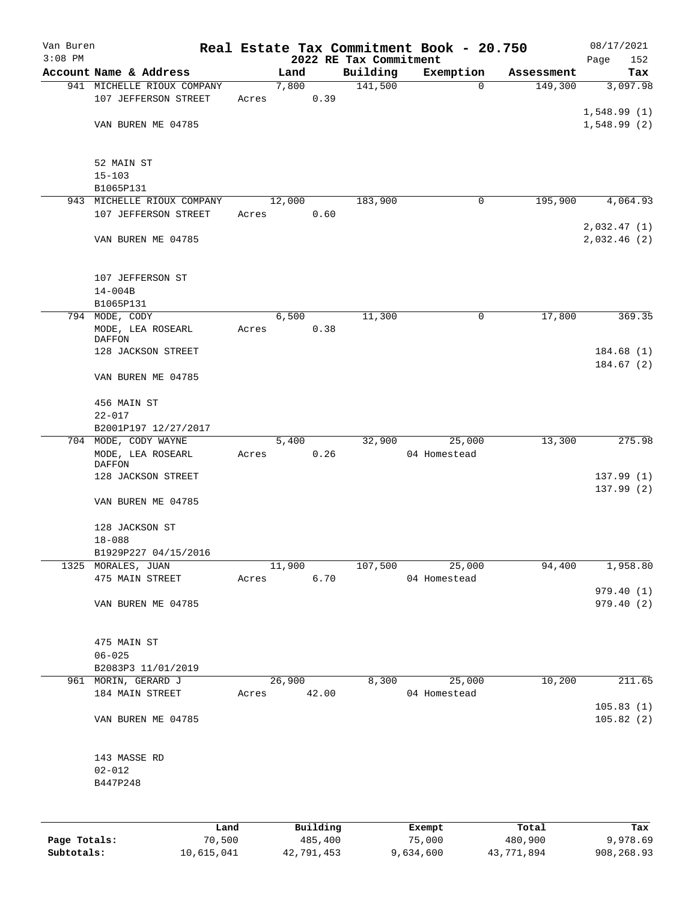| Van Buren    |                                    |                     |                                    | Real Estate Tax Commitment Book - 20.750 |                  | 08/17/2021               |
|--------------|------------------------------------|---------------------|------------------------------------|------------------------------------------|------------------|--------------------------|
| $3:08$ PM    | Account Name & Address             | Land                | 2022 RE Tax Commitment<br>Building |                                          | Assessment       | Page<br>152              |
|              | 941 MICHELLE RIOUX COMPANY         | 7,800               | 141,500                            | Exemption<br>$\mathbf 0$                 | 149,300          | Tax<br>3,097.98          |
|              | 107 JEFFERSON STREET               | Acres               | 0.39                               |                                          |                  |                          |
|              |                                    |                     |                                    |                                          |                  | 1,548.99(1)              |
|              | VAN BUREN ME 04785                 |                     |                                    |                                          |                  | 1,548.99(2)              |
|              |                                    |                     |                                    |                                          |                  |                          |
|              | 52 MAIN ST                         |                     |                                    |                                          |                  |                          |
|              | $15 - 103$                         |                     |                                    |                                          |                  |                          |
|              | B1065P131                          |                     |                                    |                                          |                  |                          |
|              | 943 MICHELLE RIOUX COMPANY         | 12,000              | 183,900                            | 0                                        | 195,900          | 4,064.93                 |
|              | 107 JEFFERSON STREET               | Acres               | 0.60                               |                                          |                  |                          |
|              |                                    |                     |                                    |                                          |                  | 2,032.47(1)              |
|              | VAN BUREN ME 04785                 |                     |                                    |                                          |                  | 2,032.46 (2)             |
|              | 107 JEFFERSON ST                   |                     |                                    |                                          |                  |                          |
|              | $14 - 004B$                        |                     |                                    |                                          |                  |                          |
|              | B1065P131                          |                     |                                    |                                          |                  |                          |
|              | 794 MODE, CODY                     | 6,500               | 11,300                             | 0                                        | 17,800           | 369.35                   |
|              | MODE, LEA ROSEARL<br><b>DAFFON</b> | Acres               | 0.38                               |                                          |                  |                          |
|              | 128 JACKSON STREET                 |                     |                                    |                                          |                  | 184.68(1)                |
|              | VAN BUREN ME 04785                 |                     |                                    |                                          |                  | 184.67(2)                |
|              | 456 MAIN ST                        |                     |                                    |                                          |                  |                          |
|              | $22 - 017$                         |                     |                                    |                                          |                  |                          |
|              | B2001P197 12/27/2017               |                     |                                    |                                          |                  |                          |
|              | 704 MODE, CODY WAYNE               | 5,400               | 32,900                             | 25,000                                   | 13,300           | 275.98                   |
|              | MODE, LEA ROSEARL<br>DAFFON        | Acres               | 0.26                               | 04 Homestead                             |                  |                          |
|              | 128 JACKSON STREET                 |                     |                                    |                                          |                  | 137.99(1)                |
|              |                                    |                     |                                    |                                          |                  | 137.99(2)                |
|              | VAN BUREN ME 04785                 |                     |                                    |                                          |                  |                          |
|              | 128 JACKSON ST                     |                     |                                    |                                          |                  |                          |
|              | $18 - 088$                         |                     |                                    |                                          |                  |                          |
|              | B1929P227 04/15/2016               |                     |                                    |                                          |                  |                          |
| 1325         | MORALES, JUAN                      | 11,900              | 107,500                            | 25,000                                   | 94,400           | 1,958.80                 |
|              | 475 MAIN STREET                    | Acres               | 6.70                               | 04 Homestead                             |                  |                          |
|              | VAN BUREN ME 04785                 |                     |                                    |                                          |                  | 979.40 (1)<br>979.40 (2) |
|              |                                    |                     |                                    |                                          |                  |                          |
|              | 475 MAIN ST                        |                     |                                    |                                          |                  |                          |
|              | $06 - 025$                         |                     |                                    |                                          |                  |                          |
|              | B2083P3 11/01/2019                 |                     |                                    |                                          |                  |                          |
|              | 961 MORIN, GERARD J                | 26,900              | 8,300                              | 25,000                                   | 10,200           | 211.65                   |
|              | 184 MAIN STREET                    | 42.00<br>Acres      |                                    | 04 Homestead                             |                  | 105.83(1)                |
|              | VAN BUREN ME 04785                 |                     |                                    |                                          |                  | 105.82(2)                |
|              | 143 MASSE RD                       |                     |                                    |                                          |                  |                          |
|              | $02 - 012$                         |                     |                                    |                                          |                  |                          |
|              | B447P248                           |                     |                                    |                                          |                  |                          |
|              |                                    |                     |                                    |                                          |                  |                          |
|              |                                    |                     |                                    |                                          |                  |                          |
| Page Totals: | Land<br>70,500                     | Building<br>485,400 |                                    | Exempt<br>75,000                         | Total<br>480,900 | Tax<br>9,978.69          |
|              |                                    |                     |                                    |                                          |                  |                          |

**Subtotals:** 10,615,041 42,791,453 9,634,600 43,771,894 908,268.93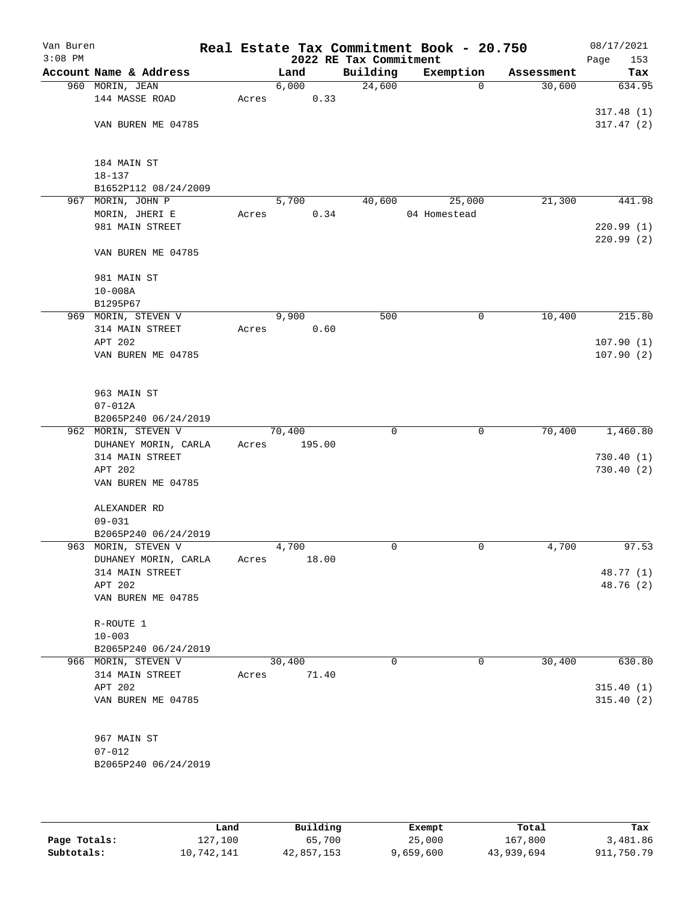| Van Buren<br>$3:08$ PM |                                             |       |        | 2022 RE Tax Commitment | Real Estate Tax Commitment Book - 20.750 |            | 08/17/2021<br>153<br>Page |
|------------------------|---------------------------------------------|-------|--------|------------------------|------------------------------------------|------------|---------------------------|
|                        | Account Name & Address                      |       | Land   | Building               | Exemption                                | Assessment | Tax                       |
|                        | 960 MORIN, JEAN                             |       | 6,000  | 24,600                 | 0                                        | 30,600     | 634.95                    |
|                        | 144 MASSE ROAD                              | Acres | 0.33   |                        |                                          |            |                           |
|                        |                                             |       |        |                        |                                          |            | 317.48(1)                 |
|                        | VAN BUREN ME 04785                          |       |        |                        |                                          |            | 317.47(2)                 |
|                        |                                             |       |        |                        |                                          |            |                           |
|                        |                                             |       |        |                        |                                          |            |                           |
|                        | 184 MAIN ST                                 |       |        |                        |                                          |            |                           |
|                        | $18 - 137$                                  |       |        |                        |                                          |            |                           |
|                        | B1652P112 08/24/2009                        |       |        |                        |                                          |            |                           |
|                        | 967 MORIN, JOHN P                           |       | 5,700  | 40,600                 | 25,000                                   | 21,300     | 441.98                    |
|                        | MORIN, JHERI E                              | Acres | 0.34   |                        | 04 Homestead                             |            |                           |
|                        | 981 MAIN STREET                             |       |        |                        |                                          |            | 220.99(1)                 |
|                        |                                             |       |        |                        |                                          |            | 220.99 (2)                |
|                        | VAN BUREN ME 04785                          |       |        |                        |                                          |            |                           |
|                        |                                             |       |        |                        |                                          |            |                           |
|                        | 981 MAIN ST                                 |       |        |                        |                                          |            |                           |
|                        | $10 - 008A$                                 |       |        |                        |                                          |            |                           |
|                        | B1295P67                                    |       |        |                        |                                          |            |                           |
|                        | 969 MORIN, STEVEN V                         |       | 9,900  | 500                    | 0                                        | 10,400     | 215.80                    |
|                        | 314 MAIN STREET                             | Acres | 0.60   |                        |                                          |            |                           |
|                        | APT 202                                     |       |        |                        |                                          |            | 107.90(1)                 |
|                        | VAN BUREN ME 04785                          |       |        |                        |                                          |            | 107.90(2)                 |
|                        |                                             |       |        |                        |                                          |            |                           |
|                        |                                             |       |        |                        |                                          |            |                           |
|                        | 963 MAIN ST                                 |       |        |                        |                                          |            |                           |
|                        | $07 - 012A$                                 |       |        |                        |                                          |            |                           |
|                        | B2065P240 06/24/2019<br>962 MORIN, STEVEN V |       | 70,400 | $\Omega$               | $\mathsf{O}$                             | 70,400     | 1,460.80                  |
|                        | DUHANEY MORIN, CARLA                        |       | 195.00 |                        |                                          |            |                           |
|                        |                                             | Acres |        |                        |                                          |            |                           |
|                        | 314 MAIN STREET<br>APT 202                  |       |        |                        |                                          |            | 730.40(1)<br>730.40(2)    |
|                        | VAN BUREN ME 04785                          |       |        |                        |                                          |            |                           |
|                        |                                             |       |        |                        |                                          |            |                           |
|                        | ALEXANDER RD                                |       |        |                        |                                          |            |                           |
|                        | $09 - 031$                                  |       |        |                        |                                          |            |                           |
|                        | B2065P240 06/24/2019                        |       |        |                        |                                          |            |                           |
|                        | 963 MORIN, STEVEN V                         |       | 4,700  | 0                      | 0                                        | 4,700      | 97.53                     |
|                        | DUHANEY MORIN, CARLA                        | Acres | 18.00  |                        |                                          |            |                           |
|                        | 314 MAIN STREET                             |       |        |                        |                                          |            | 48.77 (1)                 |
|                        | APT 202                                     |       |        |                        |                                          |            | 48.76 (2)                 |
|                        | VAN BUREN ME 04785                          |       |        |                        |                                          |            |                           |
|                        |                                             |       |        |                        |                                          |            |                           |
|                        | R-ROUTE 1                                   |       |        |                        |                                          |            |                           |
|                        | $10 - 003$                                  |       |        |                        |                                          |            |                           |
|                        | B2065P240 06/24/2019                        |       |        |                        |                                          |            |                           |
|                        | 966 MORIN, STEVEN V                         |       | 30,400 | 0                      | 0                                        | 30,400     | 630.80                    |
|                        | 314 MAIN STREET                             | Acres | 71.40  |                        |                                          |            |                           |
|                        | APT 202                                     |       |        |                        |                                          |            | 315.40(1)                 |
|                        | VAN BUREN ME 04785                          |       |        |                        |                                          |            | 315.40(2)                 |
|                        |                                             |       |        |                        |                                          |            |                           |
|                        |                                             |       |        |                        |                                          |            |                           |
|                        | 967 MAIN ST                                 |       |        |                        |                                          |            |                           |
|                        | $07 - 012$                                  |       |        |                        |                                          |            |                           |
|                        | B2065P240 06/24/2019                        |       |        |                        |                                          |            |                           |
|                        |                                             |       |        |                        |                                          |            |                           |
|                        |                                             |       |        |                        |                                          |            |                           |

|              | Land       | Building   | Exempt    | Total      | Tax        |
|--------------|------------|------------|-----------|------------|------------|
| Page Totals: | 127,100    | 65,700     | 25,000    | 167,800    | 3,481.86   |
| Subtotals:   | 10,742,141 | 42,857,153 | 9,659,600 | 43,939,694 | 911,750.79 |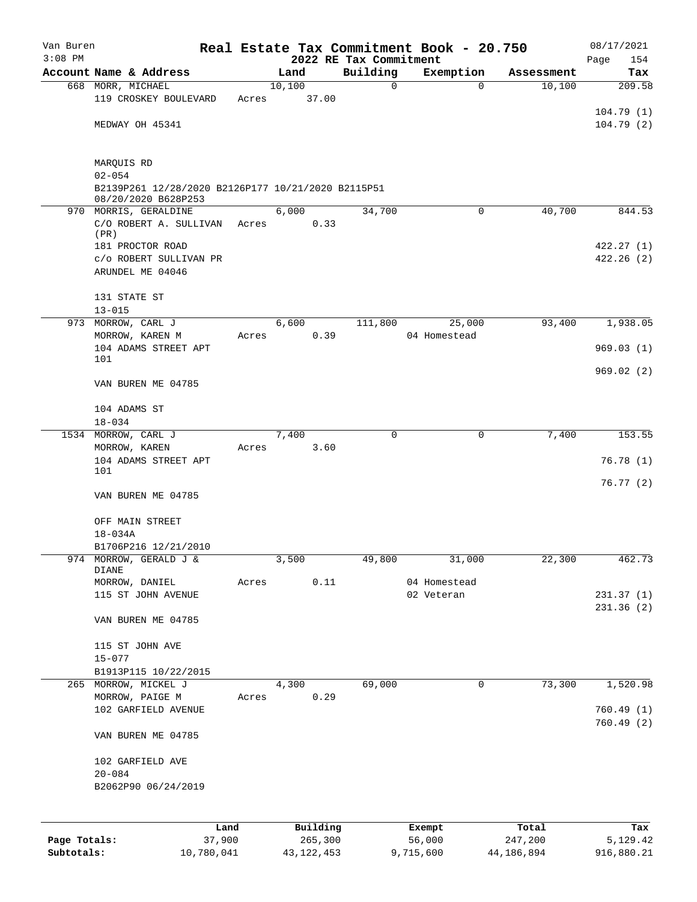| Van Buren    |                                                                  |       |                     |                                    | Real Estate Tax Commitment Book - 20.750 |                      | 08/17/2021      |
|--------------|------------------------------------------------------------------|-------|---------------------|------------------------------------|------------------------------------------|----------------------|-----------------|
| $3:08$ PM    | Account Name & Address                                           |       | Land                | 2022 RE Tax Commitment<br>Building |                                          |                      | 154<br>Page     |
|              | 668 MORR, MICHAEL                                                |       | 10,100              | 0                                  | Exemption<br>$\Omega$                    | Assessment<br>10,100 | Tax<br>209.58   |
|              | 119 CROSKEY BOULEVARD                                            | Acres | 37.00               |                                    |                                          |                      |                 |
|              |                                                                  |       |                     |                                    |                                          |                      | 104.79(1)       |
|              | MEDWAY OH 45341                                                  |       |                     |                                    |                                          |                      | 104.79(2)       |
|              |                                                                  |       |                     |                                    |                                          |                      |                 |
|              | MARQUIS RD                                                       |       |                     |                                    |                                          |                      |                 |
|              | $02 - 054$<br>B2139P261 12/28/2020 B2126P177 10/21/2020 B2115P51 |       |                     |                                    |                                          |                      |                 |
|              | 08/20/2020 B628P253                                              |       |                     |                                    |                                          |                      |                 |
|              | 970 MORRIS, GERALDINE                                            |       | 6,000               | 34,700                             | $\mathbf 0$                              | 40,700               | 844.53          |
|              | C/O ROBERT A. SULLIVAN<br>(PR)                                   | Acres | 0.33                |                                    |                                          |                      |                 |
|              | 181 PROCTOR ROAD                                                 |       |                     |                                    |                                          |                      | 422.27(1)       |
|              | C/O ROBERT SULLIVAN PR                                           |       |                     |                                    |                                          |                      | 422.26(2)       |
|              | ARUNDEL ME 04046                                                 |       |                     |                                    |                                          |                      |                 |
|              | 131 STATE ST                                                     |       |                     |                                    |                                          |                      |                 |
|              | $13 - 015$                                                       |       |                     |                                    |                                          |                      |                 |
|              | 973 MORROW, CARL J                                               |       | 6,600               | 111,800                            | 25,000                                   | 93,400               | 1,938.05        |
|              | MORROW, KAREN M<br>104 ADAMS STREET APT                          | Acres | 0.39                |                                    | 04 Homestead                             |                      | 969.03(1)       |
|              | 101                                                              |       |                     |                                    |                                          |                      |                 |
|              | VAN BUREN ME 04785                                               |       |                     |                                    |                                          |                      | 969.02(2)       |
|              |                                                                  |       |                     |                                    |                                          |                      |                 |
|              | 104 ADAMS ST<br>$18 - 034$                                       |       |                     |                                    |                                          |                      |                 |
|              | 1534 MORROW, CARL J                                              |       | 7,400               | $\mathbf 0$                        | 0                                        | 7,400                | 153.55          |
|              | MORROW, KAREN                                                    | Acres | 3.60                |                                    |                                          |                      |                 |
|              | 104 ADAMS STREET APT<br>101                                      |       |                     |                                    |                                          |                      | 76.78(1)        |
|              |                                                                  |       |                     |                                    |                                          |                      | 76.77(2)        |
|              | VAN BUREN ME 04785                                               |       |                     |                                    |                                          |                      |                 |
|              | OFF MAIN STREET                                                  |       |                     |                                    |                                          |                      |                 |
|              | $18 - 034A$                                                      |       |                     |                                    |                                          |                      |                 |
|              | B1706P216 12/21/2010                                             |       |                     |                                    |                                          |                      |                 |
| 974          | MORROW, GERALD J &<br>DIANE                                      |       | 3,500               | 49,800                             | 31,000                                   | 22,300               | 462.73          |
|              | MORROW, DANIEL                                                   | Acres | 0.11                |                                    | 04 Homestead                             |                      |                 |
|              | 115 ST JOHN AVENUE                                               |       |                     |                                    | 02 Veteran                               |                      | 231.37(1)       |
|              |                                                                  |       |                     |                                    |                                          |                      | 231.36 (2)      |
|              | VAN BUREN ME 04785                                               |       |                     |                                    |                                          |                      |                 |
|              | 115 ST JOHN AVE                                                  |       |                     |                                    |                                          |                      |                 |
|              | $15 - 077$                                                       |       |                     |                                    |                                          |                      |                 |
|              | B1913P115 10/22/2015<br>265 MORROW, MICKEL J                     |       | 4,300               | 69,000                             | $\mathbf 0$                              | 73,300               | 1,520.98        |
|              | MORROW, PAIGE M                                                  | Acres | 0.29                |                                    |                                          |                      |                 |
|              | 102 GARFIELD AVENUE                                              |       |                     |                                    |                                          |                      | 760.49(1)       |
|              |                                                                  |       |                     |                                    |                                          |                      | 760.49 (2)      |
|              | VAN BUREN ME 04785                                               |       |                     |                                    |                                          |                      |                 |
|              | 102 GARFIELD AVE                                                 |       |                     |                                    |                                          |                      |                 |
|              | $20 - 084$                                                       |       |                     |                                    |                                          |                      |                 |
|              | B2062P90 06/24/2019                                              |       |                     |                                    |                                          |                      |                 |
|              |                                                                  |       |                     |                                    |                                          |                      |                 |
| Page Totals: | 37,900                                                           | Land  | Building<br>265,300 |                                    | Exempt<br>56,000                         | Total<br>247,200     | Tax<br>5,129.42 |
| Subtotals:   | 10,780,041                                                       |       | 43, 122, 453        |                                    | 9,715,600                                | 44,186,894           | 916,880.21      |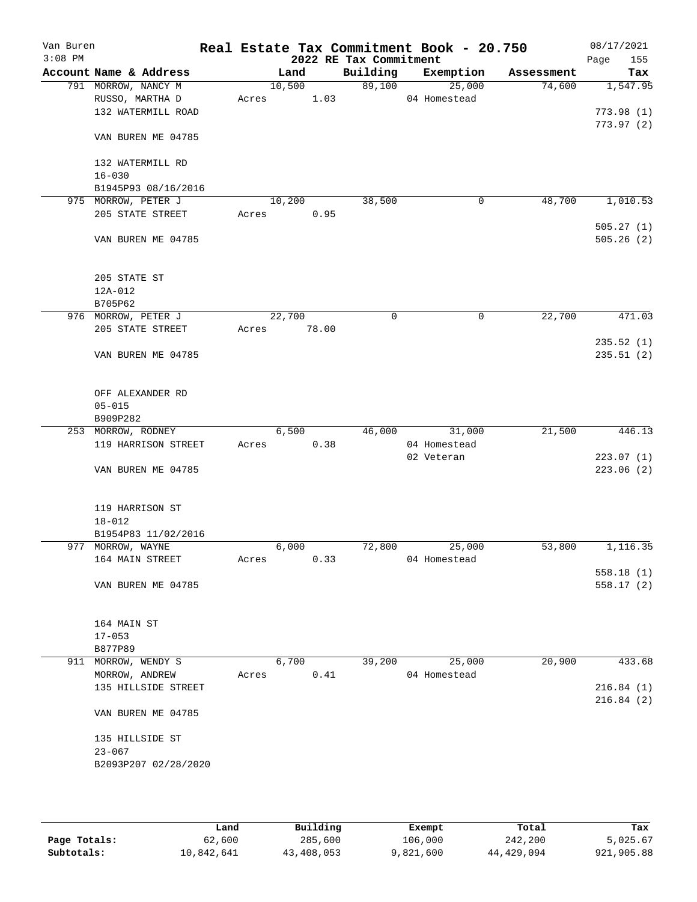| Van Buren<br>$3:08$ PM |                        |       |        |       | Real Estate Tax Commitment Book - 20.750<br>2022 RE Tax Commitment |            |              |            | 08/17/2021<br>155<br>Page |
|------------------------|------------------------|-------|--------|-------|--------------------------------------------------------------------|------------|--------------|------------|---------------------------|
|                        | Account Name & Address |       | Land   |       | Building                                                           |            | Exemption    | Assessment | Tax                       |
|                        | 791 MORROW, NANCY M    |       | 10,500 |       | 89,100                                                             |            | 25,000       | 74,600     | 1,547.95                  |
|                        | RUSSO, MARTHA D        | Acres |        | 1.03  |                                                                    |            | 04 Homestead |            |                           |
|                        | 132 WATERMILL ROAD     |       |        |       |                                                                    |            |              |            | 773.98(1)                 |
|                        |                        |       |        |       |                                                                    |            |              |            | 773.97(2)                 |
|                        | VAN BUREN ME 04785     |       |        |       |                                                                    |            |              |            |                           |
|                        |                        |       |        |       |                                                                    |            |              |            |                           |
|                        | 132 WATERMILL RD       |       |        |       |                                                                    |            |              |            |                           |
|                        | $16 - 030$             |       |        |       |                                                                    |            |              |            |                           |
|                        | B1945P93 08/16/2016    |       |        |       |                                                                    |            |              |            |                           |
|                        | 975 MORROW, PETER J    |       | 10,200 |       | 38,500                                                             |            | $\mathsf{O}$ | 48,700     | 1,010.53                  |
|                        | 205 STATE STREET       | Acres |        | 0.95  |                                                                    |            |              |            |                           |
|                        |                        |       |        |       |                                                                    |            |              |            | 505.27(1)                 |
|                        | VAN BUREN ME 04785     |       |        |       |                                                                    |            |              |            | 505.26(2)                 |
|                        |                        |       |        |       |                                                                    |            |              |            |                           |
|                        |                        |       |        |       |                                                                    |            |              |            |                           |
|                        | 205 STATE ST           |       |        |       |                                                                    |            |              |            |                           |
|                        | $12A-012$              |       |        |       |                                                                    |            |              |            |                           |
|                        | B705P62                |       |        |       |                                                                    |            |              |            |                           |
|                        | 976 MORROW, PETER J    |       | 22,700 |       | 0                                                                  |            | 0            | 22,700     | 471.03                    |
|                        | 205 STATE STREET       | Acres |        | 78.00 |                                                                    |            |              |            |                           |
|                        |                        |       |        |       |                                                                    |            |              |            | 235.52(1)                 |
|                        | VAN BUREN ME 04785     |       |        |       |                                                                    |            |              |            | 235.51(2)                 |
|                        |                        |       |        |       |                                                                    |            |              |            |                           |
|                        | OFF ALEXANDER RD       |       |        |       |                                                                    |            |              |            |                           |
|                        | $05 - 015$             |       |        |       |                                                                    |            |              |            |                           |
|                        | B909P282               |       |        |       |                                                                    |            |              |            |                           |
|                        | 253 MORROW, RODNEY     |       | 6,500  |       | 46,000                                                             |            | 31,000       | 21,500     | 446.13                    |
|                        | 119 HARRISON STREET    | Acres |        | 0.38  |                                                                    |            | 04 Homestead |            |                           |
|                        |                        |       |        |       |                                                                    | 02 Veteran |              |            | 223.07(1)                 |
|                        | VAN BUREN ME 04785     |       |        |       |                                                                    |            |              |            | 223.06(2)                 |
|                        |                        |       |        |       |                                                                    |            |              |            |                           |
|                        |                        |       |        |       |                                                                    |            |              |            |                           |
|                        | 119 HARRISON ST        |       |        |       |                                                                    |            |              |            |                           |
|                        | $18 - 012$             |       |        |       |                                                                    |            |              |            |                           |
|                        | B1954P83 11/02/2016    |       |        |       |                                                                    |            |              |            |                           |
|                        | 977 MORROW, WAYNE      |       | 6,000  |       | 72,800                                                             |            | 25,000       | 53,800     | 1,116.35                  |
|                        | 164 MAIN STREET        | Acres |        | 0.33  |                                                                    |            | 04 Homestead |            |                           |
|                        |                        |       |        |       |                                                                    |            |              |            | 558.18(1)                 |
|                        | VAN BUREN ME 04785     |       |        |       |                                                                    |            |              |            | 558.17(2)                 |
|                        |                        |       |        |       |                                                                    |            |              |            |                           |
|                        |                        |       |        |       |                                                                    |            |              |            |                           |
|                        | 164 MAIN ST            |       |        |       |                                                                    |            |              |            |                           |
|                        | $17 - 053$             |       |        |       |                                                                    |            |              |            |                           |
|                        | B877P89                |       |        |       |                                                                    |            |              |            |                           |
|                        | 911 MORROW, WENDY S    |       | 6,700  |       | 39,200                                                             |            | 25,000       | 20,900     | 433.68                    |
|                        | MORROW, ANDREW         | Acres |        | 0.41  |                                                                    |            | 04 Homestead |            |                           |
|                        | 135 HILLSIDE STREET    |       |        |       |                                                                    |            |              |            | 216.84(1)                 |
|                        |                        |       |        |       |                                                                    |            |              |            | 216.84(2)                 |
|                        | VAN BUREN ME 04785     |       |        |       |                                                                    |            |              |            |                           |
|                        |                        |       |        |       |                                                                    |            |              |            |                           |
|                        | 135 HILLSIDE ST        |       |        |       |                                                                    |            |              |            |                           |
|                        | $23 - 067$             |       |        |       |                                                                    |            |              |            |                           |
|                        | B2093P207 02/28/2020   |       |        |       |                                                                    |            |              |            |                           |
|                        |                        |       |        |       |                                                                    |            |              |            |                           |
|                        |                        |       |        |       |                                                                    |            |              |            |                           |

|              | Land       | Building   | Exempt    | Total      | Tax        |
|--------------|------------|------------|-----------|------------|------------|
| Page Totals: | 62,600     | 285,600    | 106,000   | 242,200    | 5,025.67   |
| Subtotals:   | 10,842,641 | 43,408,053 | 9,821,600 | 44,429,094 | 921,905.88 |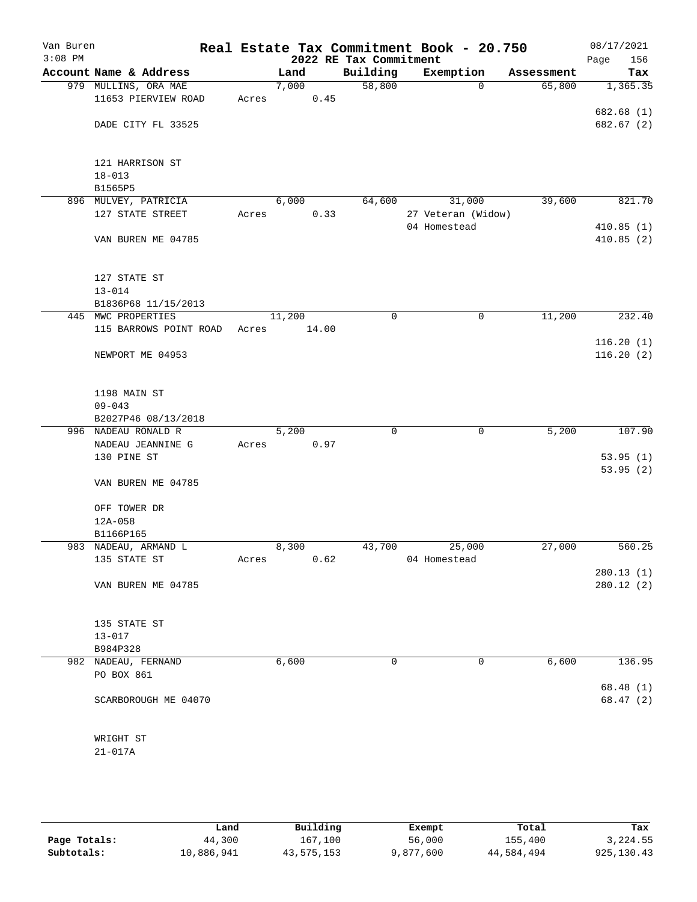| Van Buren |                        |       |        |                        | Real Estate Tax Commitment Book - 20.750 |            | 08/17/2021  |
|-----------|------------------------|-------|--------|------------------------|------------------------------------------|------------|-------------|
| $3:08$ PM |                        |       |        | 2022 RE Tax Commitment |                                          |            | Page<br>156 |
|           | Account Name & Address |       | Land   | Building               | Exemption                                | Assessment | Tax         |
|           | 979 MULLINS, ORA MAE   |       | 7,000  | 58,800                 | $\mathbf 0$                              | 65,800     | 1,365.35    |
|           | 11653 PIERVIEW ROAD    | Acres | 0.45   |                        |                                          |            |             |
|           |                        |       |        |                        |                                          |            | 682.68 (1)  |
|           | DADE CITY FL 33525     |       |        |                        |                                          |            | 682.67 (2)  |
|           | 121 HARRISON ST        |       |        |                        |                                          |            |             |
|           | $18 - 013$             |       |        |                        |                                          |            |             |
|           | B1565P5                |       |        |                        |                                          |            |             |
|           | 896 MULVEY, PATRICIA   |       | 6,000  | 64,600                 | 31,000                                   | 39,600     | 821.70      |
|           | 127 STATE STREET       | Acres | 0.33   |                        | 27 Veteran (Widow)                       |            |             |
|           |                        |       |        |                        | 04 Homestead                             |            | 410.85(1)   |
|           |                        |       |        |                        |                                          |            | 410.85(2)   |
|           | VAN BUREN ME 04785     |       |        |                        |                                          |            |             |
|           | 127 STATE ST           |       |        |                        |                                          |            |             |
|           | $13 - 014$             |       |        |                        |                                          |            |             |
|           | B1836P68 11/15/2013    |       |        |                        |                                          |            |             |
|           | 445 MWC PROPERTIES     |       | 11,200 | $\mathbf 0$            | 0                                        | 11,200     | 232.40      |
|           | 115 BARROWS POINT ROAD | Acres | 14.00  |                        |                                          |            |             |
|           |                        |       |        |                        |                                          |            | 116.20(1)   |
|           | NEWPORT ME 04953       |       |        |                        |                                          |            | 116.20(2)   |
|           |                        |       |        |                        |                                          |            |             |
|           | 1198 MAIN ST           |       |        |                        |                                          |            |             |
|           | $09 - 043$             |       |        |                        |                                          |            |             |
|           | B2027P46 08/13/2018    |       |        |                        |                                          |            |             |
|           | 996 NADEAU RONALD R    |       | 5,200  | $\mathbf 0$            | $\mathbf 0$                              | 5,200      | 107.90      |
|           | NADEAU JEANNINE G      | Acres | 0.97   |                        |                                          |            |             |
|           | 130 PINE ST            |       |        |                        |                                          |            | 53.95(1)    |
|           |                        |       |        |                        |                                          |            | 53.95(2)    |
|           | VAN BUREN ME 04785     |       |        |                        |                                          |            |             |
|           | OFF TOWER DR           |       |        |                        |                                          |            |             |
|           | $12A-058$              |       |        |                        |                                          |            |             |
|           | B1166P165              |       |        |                        |                                          |            |             |
|           | 983 NADEAU, ARMAND L   |       | 8,300  | 43,700                 | 25,000                                   | 27,000     | 560.25      |
|           | 135 STATE ST           | Acres | 0.62   |                        | 04 Homestead                             |            |             |
|           |                        |       |        |                        |                                          |            | 280.13(1)   |
|           | VAN BUREN ME 04785     |       |        |                        |                                          |            | 280.12(2)   |
|           |                        |       |        |                        |                                          |            |             |
|           | 135 STATE ST           |       |        |                        |                                          |            |             |
|           | $13 - 017$             |       |        |                        |                                          |            |             |
|           | B984P328               |       |        |                        |                                          |            |             |
|           | 982 NADEAU, FERNAND    |       | 6,600  | 0                      | 0                                        | 6,600      | 136.95      |
|           | PO BOX 861             |       |        |                        |                                          |            |             |
|           |                        |       |        |                        |                                          |            | 68.48(1)    |
|           | SCARBOROUGH ME 04070   |       |        |                        |                                          |            | 68.47 (2)   |
|           |                        |       |        |                        |                                          |            |             |
|           | WRIGHT ST              |       |        |                        |                                          |            |             |
|           | $21 - 017A$            |       |        |                        |                                          |            |             |
|           |                        |       |        |                        |                                          |            |             |

|              | Land       | Building   | Exempt    | Total      | Tax         |
|--------------|------------|------------|-----------|------------|-------------|
| Page Totals: | 44,300     | 167,100    | 56,000    | 155,400    | 3,224.55    |
| Subtotals:   | 10,886,941 | 43,575,153 | 9,877,600 | 44,584,494 | 925, 130.43 |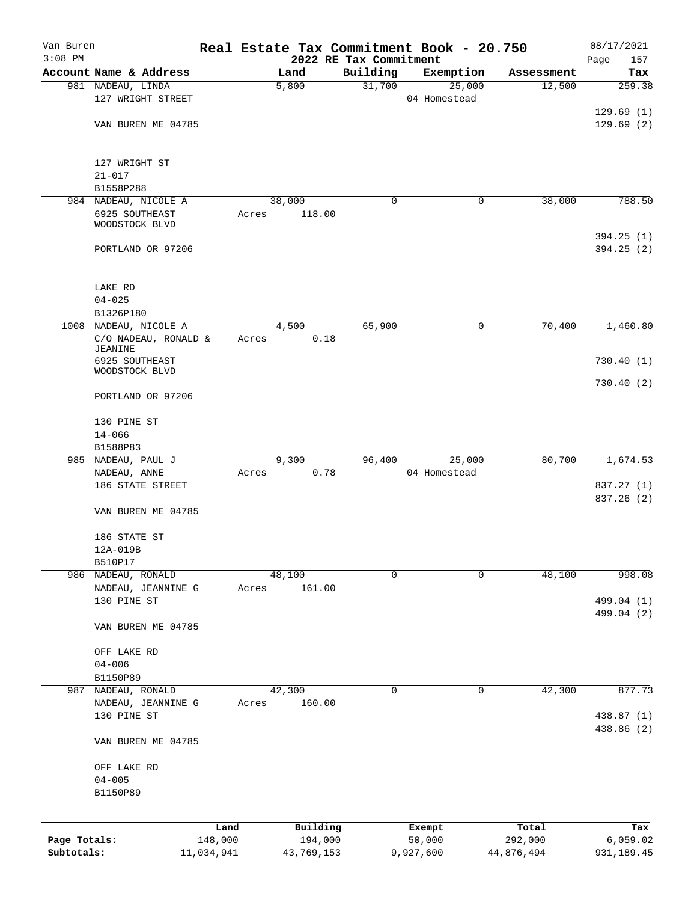| Van Buren                  |                                                            |         |                       |                        | Real Estate Tax Commitment Book - 20.750 |                       | 08/17/2021              |
|----------------------------|------------------------------------------------------------|---------|-----------------------|------------------------|------------------------------------------|-----------------------|-------------------------|
| $3:08$ PM                  | Account Name & Address                                     |         |                       | 2022 RE Tax Commitment |                                          |                       | 157<br>Page             |
|                            | 981 NADEAU, LINDA                                          |         | Land<br>5,800         | Building<br>31,700     | Exemption<br>25,000                      | Assessment<br>12,500  | Tax<br>259.38           |
|                            | 127 WRIGHT STREET                                          |         |                       |                        | 04 Homestead                             |                       |                         |
|                            | VAN BUREN ME 04785                                         |         |                       |                        |                                          |                       | 129.69(1)<br>129.69(2)  |
|                            | 127 WRIGHT ST<br>$21 - 017$                                |         |                       |                        |                                          |                       |                         |
|                            | B1558P288                                                  |         |                       |                        |                                          |                       |                         |
|                            | 984 NADEAU, NICOLE A                                       |         | 38,000                | 0                      | 0                                        | 38,000                | 788.50                  |
|                            | 6925 SOUTHEAST<br>WOODSTOCK BLVD                           | Acres   | 118.00                |                        |                                          |                       |                         |
|                            | PORTLAND OR 97206                                          |         |                       |                        |                                          |                       | 394.25(1)<br>394.25(2)  |
|                            | LAKE RD                                                    |         |                       |                        |                                          |                       |                         |
|                            | $04 - 025$                                                 |         |                       |                        |                                          |                       |                         |
| 1008                       | B1326P180                                                  |         | 4,500                 | 65,900                 | 0                                        | 70,400                | 1,460.80                |
|                            | NADEAU, NICOLE A<br>C/O NADEAU, RONALD &<br><b>JEANINE</b> | Acres   | 0.18                  |                        |                                          |                       |                         |
|                            | 6925 SOUTHEAST<br>WOODSTOCK BLVD                           |         |                       |                        |                                          |                       | 730.40(1)               |
|                            | PORTLAND OR 97206                                          |         |                       |                        |                                          |                       | 730.40(2)               |
|                            | 130 PINE ST<br>$14 - 066$                                  |         |                       |                        |                                          |                       |                         |
|                            | B1588P83                                                   |         |                       |                        |                                          |                       |                         |
|                            | 985 NADEAU, PAUL J                                         |         | 9,300                 | 96,400                 | 25,000                                   | 80,700                | 1,674.53                |
|                            | NADEAU, ANNE                                               | Acres   | 0.78                  |                        | 04 Homestead                             |                       |                         |
|                            | 186 STATE STREET                                           |         |                       |                        |                                          |                       | 837.27 (1)              |
|                            | VAN BUREN ME 04785                                         |         |                       |                        |                                          |                       | 837.26 (2)              |
|                            | 186 STATE ST                                               |         |                       |                        |                                          |                       |                         |
|                            | 12A-019B<br>B510P17                                        |         |                       |                        |                                          |                       |                         |
|                            | 986 NADEAU, RONALD                                         |         | 48,100                | $\mathbf 0$            | 0                                        | 48,100                | 998.08                  |
|                            | NADEAU, JEANNINE G                                         | Acres   | 161.00                |                        |                                          |                       |                         |
|                            | 130 PINE ST                                                |         |                       |                        |                                          |                       | 499.04 (1)              |
|                            | VAN BUREN ME 04785                                         |         |                       |                        |                                          |                       | 499.04 (2)              |
|                            | OFF LAKE RD                                                |         |                       |                        |                                          |                       |                         |
|                            | $04 - 006$<br>B1150P89                                     |         |                       |                        |                                          |                       |                         |
|                            | 987 NADEAU, RONALD                                         |         | 42,300                | 0                      | 0                                        | 42,300                | 877.73                  |
|                            | NADEAU, JEANNINE G<br>130 PINE ST                          | Acres   | 160.00                |                        |                                          |                       | 438.87 (1)              |
|                            |                                                            |         |                       |                        |                                          |                       | 438.86 (2)              |
|                            | VAN BUREN ME 04785                                         |         |                       |                        |                                          |                       |                         |
|                            | OFF LAKE RD                                                |         |                       |                        |                                          |                       |                         |
|                            | $04 - 005$<br>B1150P89                                     |         |                       |                        |                                          |                       |                         |
|                            |                                                            | Land    | Building              |                        | Exempt                                   | Total                 | Tax                     |
| Page Totals:<br>Subtotals: | 11,034,941                                                 | 148,000 | 194,000<br>43,769,153 |                        | 50,000<br>9,927,600                      | 292,000<br>44,876,494 | 6,059.02<br>931, 189.45 |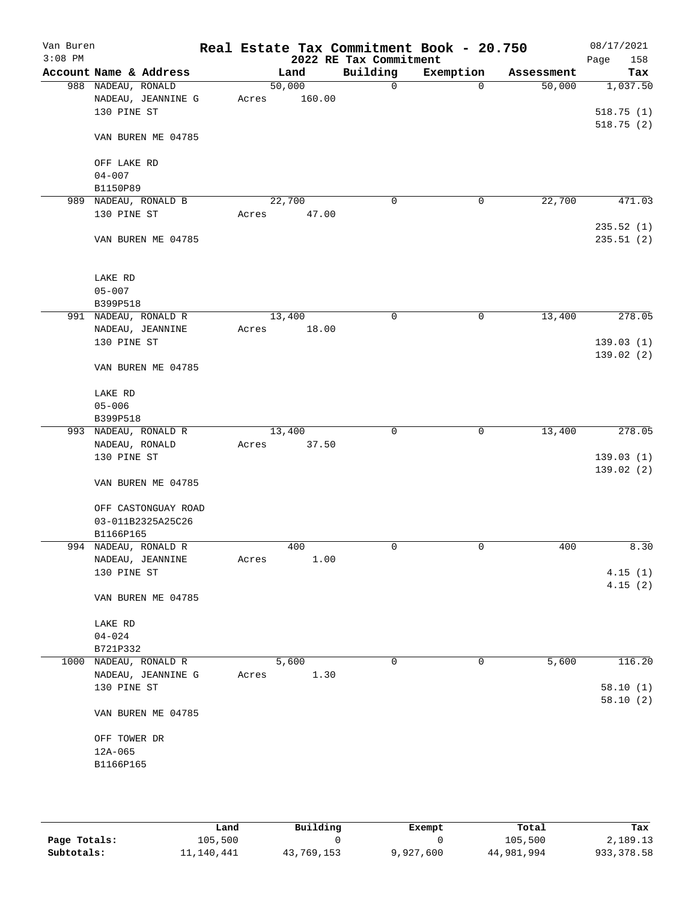| Van Buren<br>$3:08$ PM |                        |       |        | 2022 RE Tax Commitment | Real Estate Tax Commitment Book - 20.750 |            | 08/17/2021<br>158<br>Page |
|------------------------|------------------------|-------|--------|------------------------|------------------------------------------|------------|---------------------------|
|                        | Account Name & Address |       | Land   | Building               | Exemption                                | Assessment | Tax                       |
|                        | 988 NADEAU, RONALD     |       | 50,000 | $\mathbf 0$            | $\Omega$                                 | 50,000     | 1,037.50                  |
|                        | NADEAU, JEANNINE G     | Acres | 160.00 |                        |                                          |            |                           |
|                        | 130 PINE ST            |       |        |                        |                                          |            | 518.75(1)                 |
|                        |                        |       |        |                        |                                          |            | 518.75(2)                 |
|                        | VAN BUREN ME 04785     |       |        |                        |                                          |            |                           |
|                        |                        |       |        |                        |                                          |            |                           |
|                        | OFF LAKE RD            |       |        |                        |                                          |            |                           |
|                        | $04 - 007$             |       |        |                        |                                          |            |                           |
|                        | B1150P89               |       |        |                        |                                          |            |                           |
| 989                    | NADEAU, RONALD B       |       | 22,700 | 0                      | 0                                        | 22,700     | 471.03                    |
|                        | 130 PINE ST            | Acres | 47.00  |                        |                                          |            |                           |
|                        |                        |       |        |                        |                                          |            | 235.52(1)                 |
|                        | VAN BUREN ME 04785     |       |        |                        |                                          |            | 235.51(2)                 |
|                        |                        |       |        |                        |                                          |            |                           |
|                        |                        |       |        |                        |                                          |            |                           |
|                        | LAKE RD                |       |        |                        |                                          |            |                           |
|                        | $05 - 007$             |       |        |                        |                                          |            |                           |
|                        | B399P518               |       |        |                        |                                          |            |                           |
|                        | 991 NADEAU, RONALD R   |       | 13,400 | 0                      | 0                                        | 13,400     | 278.05                    |
|                        |                        |       |        |                        |                                          |            |                           |
|                        | NADEAU, JEANNINE       | Acres | 18.00  |                        |                                          |            |                           |
|                        | 130 PINE ST            |       |        |                        |                                          |            | 139.03(1)                 |
|                        |                        |       |        |                        |                                          |            | 139.02(2)                 |
|                        | VAN BUREN ME 04785     |       |        |                        |                                          |            |                           |
|                        |                        |       |        |                        |                                          |            |                           |
|                        | LAKE RD                |       |        |                        |                                          |            |                           |
|                        | $05 - 006$             |       |        |                        |                                          |            |                           |
|                        | B399P518               |       |        |                        |                                          |            |                           |
|                        | 993 NADEAU, RONALD R   |       | 13,400 | 0                      | 0                                        | 13,400     | 278.05                    |
|                        | NADEAU, RONALD         | Acres | 37.50  |                        |                                          |            |                           |
|                        | 130 PINE ST            |       |        |                        |                                          |            | 139.03(1)                 |
|                        |                        |       |        |                        |                                          |            | 139.02(2)                 |
|                        | VAN BUREN ME 04785     |       |        |                        |                                          |            |                           |
|                        |                        |       |        |                        |                                          |            |                           |
|                        | OFF CASTONGUAY ROAD    |       |        |                        |                                          |            |                           |
|                        | 03-011B2325A25C26      |       |        |                        |                                          |            |                           |
|                        | B1166P165              |       |        |                        |                                          |            |                           |
|                        | 994 NADEAU, RONALD R   |       | 400    | 0                      | 0                                        | 400        | 8.30                      |
|                        | NADEAU, JEANNINE       | Acres | 1.00   |                        |                                          |            |                           |
|                        | 130 PINE ST            |       |        |                        |                                          |            | 4.15(1)                   |
|                        |                        |       |        |                        |                                          |            | 4.15(2)                   |
|                        | VAN BUREN ME 04785     |       |        |                        |                                          |            |                           |
|                        |                        |       |        |                        |                                          |            |                           |
|                        | LAKE RD                |       |        |                        |                                          |            |                           |
|                        | $04 - 024$             |       |        |                        |                                          |            |                           |
|                        | B721P332               |       |        |                        |                                          |            |                           |
|                        | 1000 NADEAU, RONALD R  |       | 5,600  | $\mathbf 0$            | 0                                        | 5,600      | 116.20                    |
|                        |                        |       |        |                        |                                          |            |                           |
|                        | NADEAU, JEANNINE G     | Acres | 1.30   |                        |                                          |            |                           |
|                        | 130 PINE ST            |       |        |                        |                                          |            | 58.10(1)                  |
|                        |                        |       |        |                        |                                          |            | 58.10(2)                  |
|                        | VAN BUREN ME 04785     |       |        |                        |                                          |            |                           |
|                        |                        |       |        |                        |                                          |            |                           |
|                        | OFF TOWER DR           |       |        |                        |                                          |            |                           |
|                        | $12A-065$              |       |        |                        |                                          |            |                           |
|                        | B1166P165              |       |        |                        |                                          |            |                           |
|                        |                        |       |        |                        |                                          |            |                           |
|                        |                        |       |        |                        |                                          |            |                           |

|              | Land       | Building   | Exempt    | Total      | Tax         |
|--------------|------------|------------|-----------|------------|-------------|
| Page Totals: | 105,500    |            |           | 105,500    | 2,189.13    |
| Subtotals:   | 11,140,441 | 43,769,153 | 9,927,600 | 44,981,994 | 933, 378.58 |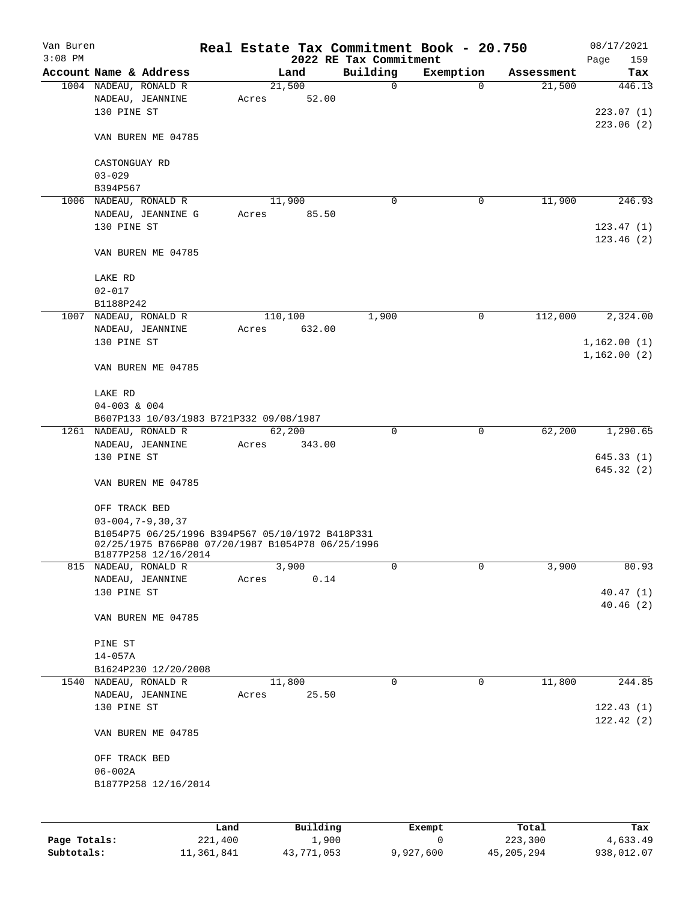| Van Buren    |                                                   |       |                   |                                    | Real Estate Tax Commitment Book - 20.750 |                  | 08/17/2021         |
|--------------|---------------------------------------------------|-------|-------------------|------------------------------------|------------------------------------------|------------------|--------------------|
| $3:08$ PM    | Account Name & Address                            |       | Land              | 2022 RE Tax Commitment<br>Building | Exemption                                | Assessment       | Page<br>159<br>Tax |
|              | 1004 NADEAU, RONALD R                             |       | 21,500            | $\mathsf{O}$                       | 0                                        | 21,500           | 446.13             |
|              | NADEAU, JEANNINE                                  | Acres | 52.00             |                                    |                                          |                  |                    |
|              | 130 PINE ST                                       |       |                   |                                    |                                          |                  | 223.07(1)          |
|              |                                                   |       |                   |                                    |                                          |                  | 223.06(2)          |
|              | VAN BUREN ME 04785                                |       |                   |                                    |                                          |                  |                    |
|              | CASTONGUAY RD                                     |       |                   |                                    |                                          |                  |                    |
|              | $03 - 029$                                        |       |                   |                                    |                                          |                  |                    |
|              | B394P567                                          |       |                   |                                    |                                          |                  |                    |
|              | 1006 NADEAU, RONALD R                             |       | 11,900            | $\mathbf 0$                        | 0                                        | 11,900           | 246.93             |
|              | NADEAU, JEANNINE G                                | Acres | 85.50             |                                    |                                          |                  |                    |
|              | 130 PINE ST                                       |       |                   |                                    |                                          |                  | 123.47(1)          |
|              |                                                   |       |                   |                                    |                                          |                  | 123.46(2)          |
|              | VAN BUREN ME 04785                                |       |                   |                                    |                                          |                  |                    |
|              | LAKE RD                                           |       |                   |                                    |                                          |                  |                    |
|              | $02 - 017$                                        |       |                   |                                    |                                          |                  |                    |
|              | B1188P242                                         |       |                   |                                    |                                          |                  |                    |
|              | 1007 NADEAU, RONALD R                             |       | 110,100           | 1,900                              | $\mathsf{O}$                             | 112,000          | 2,324.00           |
|              | NADEAU, JEANNINE                                  | Acres | 632.00            |                                    |                                          |                  |                    |
|              | 130 PINE ST                                       |       |                   |                                    |                                          |                  | 1,162.00(1)        |
|              |                                                   |       |                   |                                    |                                          |                  | 1,162.00(2)        |
|              | VAN BUREN ME 04785                                |       |                   |                                    |                                          |                  |                    |
|              | LAKE RD                                           |       |                   |                                    |                                          |                  |                    |
|              | $04 - 003$ & 004                                  |       |                   |                                    |                                          |                  |                    |
|              | B607P133 10/03/1983 B721P332 09/08/1987           |       |                   |                                    |                                          |                  |                    |
|              | 1261 NADEAU, RONALD R                             |       | 62,200            | $\mathbf 0$                        | $\mathbf 0$                              | 62,200           | 1,290.65           |
|              | NADEAU, JEANNINE                                  | Acres | 343.00            |                                    |                                          |                  |                    |
|              | 130 PINE ST                                       |       |                   |                                    |                                          |                  | 645.33(1)          |
|              | VAN BUREN ME 04785                                |       |                   |                                    |                                          |                  | 645.32(2)          |
|              | OFF TRACK BED                                     |       |                   |                                    |                                          |                  |                    |
|              | $03 - 004, 7 - 9, 30, 37$                         |       |                   |                                    |                                          |                  |                    |
|              | B1054P75 06/25/1996 B394P567 05/10/1972 B418P331  |       |                   |                                    |                                          |                  |                    |
|              | 02/25/1975 B766P80 07/20/1987 B1054P78 06/25/1996 |       |                   |                                    |                                          |                  |                    |
|              | B1877P258 12/16/2014                              |       |                   |                                    |                                          |                  |                    |
|              | 815 NADEAU, RONALD R                              |       | 3,900             | 0                                  | 0                                        | 3,900            | 80.93              |
|              | NADEAU, JEANNINE                                  | Acres | 0.14              |                                    |                                          |                  |                    |
|              | 130 PINE ST                                       |       |                   |                                    |                                          |                  | 40.47(1)           |
|              | VAN BUREN ME 04785                                |       |                   |                                    |                                          |                  | 40.46(2)           |
|              | PINE ST                                           |       |                   |                                    |                                          |                  |                    |
|              | $14 - 057A$                                       |       |                   |                                    |                                          |                  |                    |
|              | B1624P230 12/20/2008                              |       |                   |                                    |                                          |                  |                    |
|              | 1540 NADEAU, RONALD R                             |       | 11,800            | $\mathbf 0$                        | $\mathbf 0$                              | 11,800           | 244.85             |
|              | NADEAU, JEANNINE                                  | Acres | 25.50             |                                    |                                          |                  |                    |
|              | 130 PINE ST                                       |       |                   |                                    |                                          |                  | 122.43(1)          |
|              |                                                   |       |                   |                                    |                                          |                  | 122.42(2)          |
|              | VAN BUREN ME 04785                                |       |                   |                                    |                                          |                  |                    |
|              | OFF TRACK BED                                     |       |                   |                                    |                                          |                  |                    |
|              | $06 - 002A$                                       |       |                   |                                    |                                          |                  |                    |
|              | B1877P258 12/16/2014                              |       |                   |                                    |                                          |                  |                    |
|              |                                                   |       |                   |                                    |                                          |                  |                    |
|              |                                                   |       |                   |                                    |                                          |                  |                    |
| Page Totals: | 221,400                                           | Land  | Building<br>1,900 |                                    | Exempt<br>0                              | Total<br>223,300 | Tax<br>4,633.49    |

**Subtotals:** 11,361,841 43,771,053 9,927,600 45,205,294 938,012.07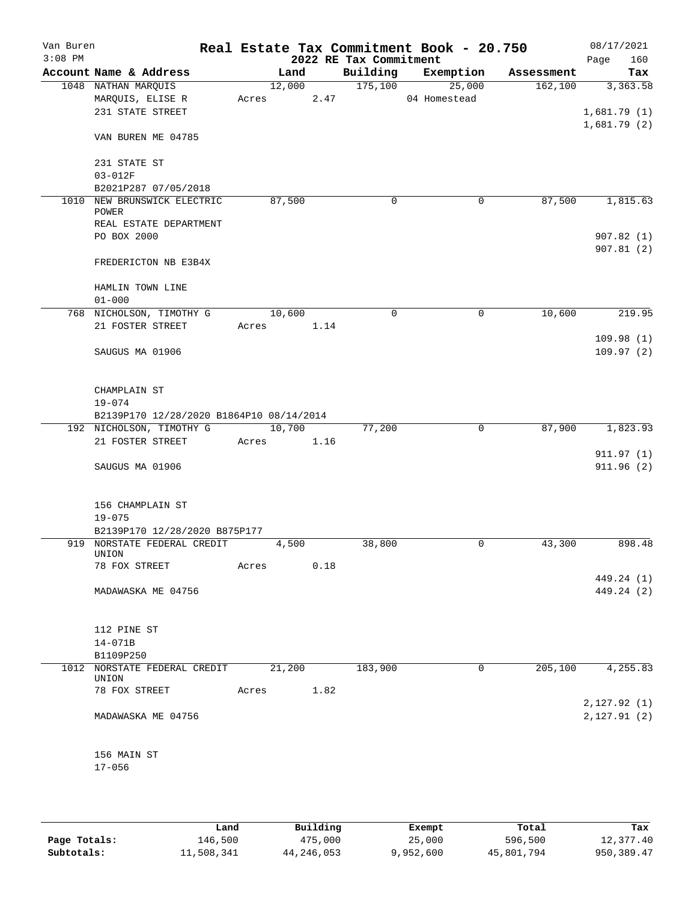| Van Buren<br>$3:08$ PM |                                          |        |      | 2022 RE Tax Commitment | Real Estate Tax Commitment Book - 20.750 |            | 08/17/2021<br>Page<br>160 |
|------------------------|------------------------------------------|--------|------|------------------------|------------------------------------------|------------|---------------------------|
|                        | Account Name & Address                   | Land   |      | Building               | Exemption                                | Assessment | Tax                       |
|                        | 1048 NATHAN MARQUIS                      | 12,000 |      | 175,100                | 25,000                                   | 162,100    | 3,363.58                  |
|                        | MARQUIS, ELISE R                         | Acres  | 2.47 |                        | 04 Homestead                             |            |                           |
|                        | 231 STATE STREET                         |        |      |                        |                                          |            | 1,681.79(1)               |
|                        | VAN BUREN ME 04785                       |        |      |                        |                                          |            | 1,681.79(2)               |
|                        |                                          |        |      |                        |                                          |            |                           |
|                        | 231 STATE ST                             |        |      |                        |                                          |            |                           |
|                        | $03 - 012F$                              |        |      |                        |                                          |            |                           |
|                        | B2021P287 07/05/2018                     |        |      |                        |                                          |            |                           |
| 1010                   | NEW BRUNSWICK ELECTRIC                   | 87,500 |      | $\mathbf 0$            | 0                                        | 87,500     | 1,815.63                  |
|                        | POWER                                    |        |      |                        |                                          |            |                           |
|                        | REAL ESTATE DEPARTMENT                   |        |      |                        |                                          |            |                           |
|                        | PO BOX 2000                              |        |      |                        |                                          |            | 907.82(1)                 |
|                        |                                          |        |      |                        |                                          |            | 907.81(2)                 |
|                        | FREDERICTON NB E3B4X                     |        |      |                        |                                          |            |                           |
|                        |                                          |        |      |                        |                                          |            |                           |
|                        | HAMLIN TOWN LINE                         |        |      |                        |                                          |            |                           |
|                        | $01 - 000$                               |        |      |                        |                                          |            |                           |
|                        | 768 NICHOLSON, TIMOTHY G                 | 10,600 |      | $\mathbf 0$            | $\mathbf 0$                              | 10,600     | 219.95                    |
|                        | 21 FOSTER STREET                         | Acres  | 1.14 |                        |                                          |            |                           |
|                        |                                          |        |      |                        |                                          |            | 109.98(1)                 |
|                        | SAUGUS MA 01906                          |        |      |                        |                                          |            | 109.97(2)                 |
|                        |                                          |        |      |                        |                                          |            |                           |
|                        | CHAMPLAIN ST                             |        |      |                        |                                          |            |                           |
|                        | $19 - 074$                               |        |      |                        |                                          |            |                           |
|                        | B2139P170 12/28/2020 B1864P10 08/14/2014 |        |      |                        |                                          |            |                           |
|                        | 192 NICHOLSON, TIMOTHY G                 | 10,700 |      | 77,200                 | $\mathbf 0$                              | 87,900     | 1,823.93                  |
|                        | 21 FOSTER STREET                         | Acres  | 1.16 |                        |                                          |            |                           |
|                        |                                          |        |      |                        |                                          |            | 911.97(1)                 |
|                        | SAUGUS MA 01906                          |        |      |                        |                                          |            | 911.96(2)                 |
|                        |                                          |        |      |                        |                                          |            |                           |
|                        |                                          |        |      |                        |                                          |            |                           |
|                        | 156 CHAMPLAIN ST                         |        |      |                        |                                          |            |                           |
|                        | $19 - 075$                               |        |      |                        |                                          |            |                           |
|                        | B2139P170 12/28/2020 B875P177            |        |      |                        |                                          |            |                           |
|                        | 919 NORSTATE FEDERAL CREDIT              | 4,500  |      | 38,800                 | 0                                        | 43,300     | 898.48                    |
|                        | UNION                                    |        |      |                        |                                          |            |                           |
|                        | 78 FOX STREET                            | Acres  | 0.18 |                        |                                          |            |                           |
|                        |                                          |        |      |                        |                                          |            | 449.24 (1)                |
|                        | MADAWASKA ME 04756                       |        |      |                        |                                          |            | 449.24 (2)                |
|                        |                                          |        |      |                        |                                          |            |                           |
|                        |                                          |        |      |                        |                                          |            |                           |
|                        | 112 PINE ST                              |        |      |                        |                                          |            |                           |
|                        | $14 - 071B$                              |        |      |                        |                                          |            |                           |
| 1012                   | B1109P250                                |        |      |                        | 0                                        | 205,100    | 4,255.83                  |
|                        | NORSTATE FEDERAL CREDIT<br>UNION         | 21,200 |      | 183,900                |                                          |            |                           |
|                        | 78 FOX STREET                            | Acres  | 1.82 |                        |                                          |            |                           |
|                        |                                          |        |      |                        |                                          |            | 2,127.92 (1)              |
|                        | MADAWASKA ME 04756                       |        |      |                        |                                          |            | 2,127.91(2)               |
|                        |                                          |        |      |                        |                                          |            |                           |
|                        |                                          |        |      |                        |                                          |            |                           |
|                        | 156 MAIN ST                              |        |      |                        |                                          |            |                           |
|                        | $17 - 056$                               |        |      |                        |                                          |            |                           |
|                        |                                          |        |      |                        |                                          |            |                           |
|                        |                                          |        |      |                        |                                          |            |                           |
|                        |                                          |        |      |                        |                                          |            |                           |

|              | Land       | Building     | Exempt    | Total      | Tax         |
|--------------|------------|--------------|-----------|------------|-------------|
| Page Totals: | 146,500    | 475,000      | 25,000    | 596,500    | 12,377.40   |
| Subtotals:   | 11,508,341 | 44, 246, 053 | 9,952,600 | 45,801,794 | 950, 389.47 |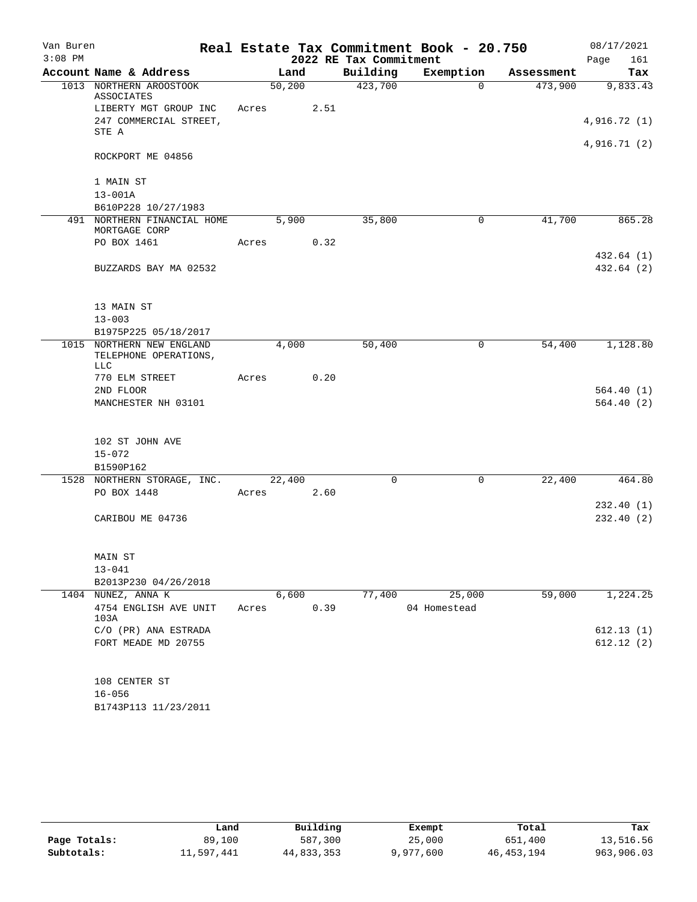| Van Buren |                                                      |        |      |                        | Real Estate Tax Commitment Book - 20.750 |            | 08/17/2021             |
|-----------|------------------------------------------------------|--------|------|------------------------|------------------------------------------|------------|------------------------|
| $3:08$ PM |                                                      |        |      | 2022 RE Tax Commitment |                                          |            | 161<br>Page            |
|           | Account Name & Address                               | Land   |      | Building               | Exemption                                | Assessment | Tax                    |
|           | 1013 NORTHERN AROOSTOOK<br>ASSOCIATES                | 50,200 |      | 423,700                | $\mathbf 0$                              | 473,900    | 9,833.43               |
|           | LIBERTY MGT GROUP INC                                | Acres  | 2.51 |                        |                                          |            |                        |
|           | 247 COMMERCIAL STREET,<br>STE A                      |        |      |                        |                                          |            | 4,916.72(1)            |
|           | ROCKPORT ME 04856                                    |        |      |                        |                                          |            | 4,916.71(2)            |
|           | 1 MAIN ST                                            |        |      |                        |                                          |            |                        |
|           | $13 - 001A$                                          |        |      |                        |                                          |            |                        |
|           | B610P228 10/27/1983<br>491 NORTHERN FINANCIAL HOME   | 5,900  |      | 35,800                 | $\mathbf 0$                              | 41,700     | 865.28                 |
|           | MORTGAGE CORP                                        |        |      |                        |                                          |            |                        |
|           | PO BOX 1461                                          | Acres  | 0.32 |                        |                                          |            |                        |
|           |                                                      |        |      |                        |                                          |            | 432.64 (1)             |
|           | BUZZARDS BAY MA 02532                                |        |      |                        |                                          |            | 432.64 (2)             |
|           | 13 MAIN ST                                           |        |      |                        |                                          |            |                        |
|           | $13 - 003$                                           |        |      |                        |                                          |            |                        |
|           | B1975P225 05/18/2017                                 |        |      |                        |                                          |            |                        |
| 1015      | NORTHERN NEW ENGLAND<br>TELEPHONE OPERATIONS,<br>LLC | 4,000  |      | 50,400                 | $\mathbf 0$                              | 54,400     | 1,128.80               |
|           | 770 ELM STREET                                       | Acres  | 0.20 |                        |                                          |            |                        |
|           | 2ND FLOOR<br>MANCHESTER NH 03101                     |        |      |                        |                                          |            | 564.40(1)<br>564.40(2) |
|           | 102 ST JOHN AVE                                      |        |      |                        |                                          |            |                        |
|           | $15 - 072$                                           |        |      |                        |                                          |            |                        |
|           | B1590P162                                            |        |      |                        |                                          |            |                        |
|           | 1528 NORTHERN STORAGE, INC.                          | 22,400 |      | $\mathbf 0$            | 0                                        | 22,400     | 464.80                 |
|           | PO BOX 1448                                          | Acres  | 2.60 |                        |                                          |            |                        |
|           |                                                      |        |      |                        |                                          |            | 232.40(1)              |
|           | CARIBOU ME 04736                                     |        |      |                        |                                          |            | 232.40 (2)             |
|           | MAIN ST                                              |        |      |                        |                                          |            |                        |
|           | $13 - 041$                                           |        |      |                        |                                          |            |                        |
|           | B2013P230 04/26/2018                                 |        |      |                        |                                          |            |                        |
|           | 1404 NUNEZ, ANNA K                                   | 6,600  |      | 77,400                 | 25,000                                   | 59,000     | 1,224.25               |
|           | 4754 ENGLISH AVE UNIT<br>103A                        | Acres  | 0.39 |                        | 04 Homestead                             |            |                        |
|           | C/O (PR) ANA ESTRADA                                 |        |      |                        |                                          |            | 612.13(1)              |
|           | FORT MEADE MD 20755                                  |        |      |                        |                                          |            | 612.12(2)              |
|           | 108 CENTER ST<br>$16 - 056$                          |        |      |                        |                                          |            |                        |
|           | B1743P113 11/23/2011                                 |        |      |                        |                                          |            |                        |
|           |                                                      |        |      |                        |                                          |            |                        |

|              | Land       | Building   |           | Total      | Tax        |
|--------------|------------|------------|-----------|------------|------------|
|              |            |            | Exempt    |            |            |
| Page Totals: | 89,100     | 587,300    | 25,000    | 651,400    | 13,516.56  |
| Subtotals:   | 11,597,441 | 44,833,353 | 9,977,600 | 46,453,194 | 963,906.03 |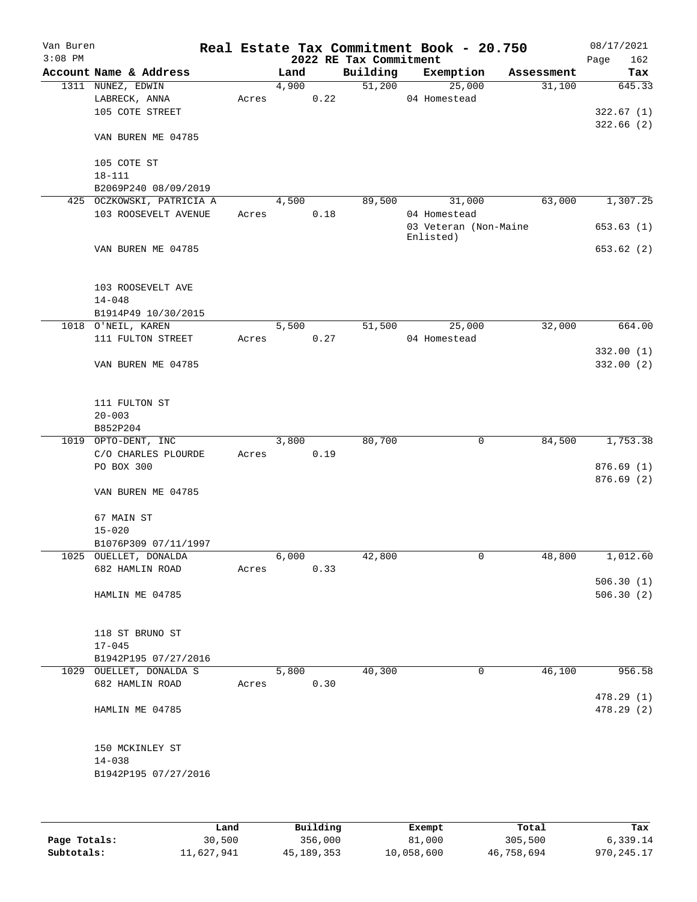| Van Buren<br>$3:08$ PM |                                          |       |       |      | 2022 RE Tax Commitment | Real Estate Tax Commitment Book - 20.750 |            | 08/17/2021<br>162<br>Page |
|------------------------|------------------------------------------|-------|-------|------|------------------------|------------------------------------------|------------|---------------------------|
|                        | Account Name & Address                   |       | Land  |      | Building               | Exemption                                | Assessment | Tax                       |
|                        | 1311 NUNEZ, EDWIN                        |       | 4,900 |      | 51,200                 | 25,000                                   | 31,100     | 645.33                    |
|                        | LABRECK, ANNA                            | Acres |       | 0.22 |                        | 04 Homestead                             |            |                           |
|                        | 105 COTE STREET                          |       |       |      |                        |                                          |            | 322.67(1)                 |
|                        |                                          |       |       |      |                        |                                          |            | 322.66(2)                 |
|                        | VAN BUREN ME 04785                       |       |       |      |                        |                                          |            |                           |
|                        | 105 COTE ST                              |       |       |      |                        |                                          |            |                           |
|                        | $18 - 111$                               |       |       |      |                        |                                          |            |                           |
|                        | B2069P240 08/09/2019                     |       |       |      |                        |                                          |            |                           |
|                        | 425 OCZKOWSKI, PATRICIA A                |       | 4,500 |      | 89,500                 | 31,000                                   | 63,000     | 1,307.25                  |
|                        | 103 ROOSEVELT AVENUE                     | Acres |       | 0.18 |                        | 04 Homestead                             |            |                           |
|                        |                                          |       |       |      |                        | 03 Veteran (Non-Maine<br>Enlisted)       |            | 653.63(1)                 |
|                        | VAN BUREN ME 04785                       |       |       |      |                        |                                          |            | 653.62(2)                 |
|                        |                                          |       |       |      |                        |                                          |            |                           |
|                        | 103 ROOSEVELT AVE                        |       |       |      |                        |                                          |            |                           |
|                        | $14 - 048$                               |       |       |      |                        |                                          |            |                           |
|                        | B1914P49 10/30/2015                      |       |       |      |                        |                                          |            |                           |
|                        | 1018 O'NEIL, KAREN                       |       | 5,500 |      | 51,500                 | 25,000                                   | 32,000     | 664.00                    |
|                        | 111 FULTON STREET                        | Acres |       | 0.27 |                        | 04 Homestead                             |            |                           |
|                        |                                          |       |       |      |                        |                                          |            | 332.00(1)                 |
|                        | VAN BUREN ME 04785                       |       |       |      |                        |                                          |            | 332.00 (2)                |
|                        | 111 FULTON ST                            |       |       |      |                        |                                          |            |                           |
|                        | $20 - 003$                               |       |       |      |                        |                                          |            |                           |
|                        | B852P204                                 |       |       |      |                        |                                          |            |                           |
|                        | 1019 OPTO-DENT, INC                      |       | 3,800 |      | 80,700                 | 0                                        | 84,500     | 1,753.38                  |
|                        | C/O CHARLES PLOURDE                      | Acres |       | 0.19 |                        |                                          |            |                           |
|                        | PO BOX 300                               |       |       |      |                        |                                          |            | 876.69(1)                 |
|                        |                                          |       |       |      |                        |                                          |            | 876.69(2)                 |
|                        | VAN BUREN ME 04785                       |       |       |      |                        |                                          |            |                           |
|                        | 67 MAIN ST                               |       |       |      |                        |                                          |            |                           |
|                        | $15 - 020$                               |       |       |      |                        |                                          |            |                           |
|                        | B1076P309 07/11/1997                     |       |       |      |                        |                                          |            |                           |
|                        | 1025 OUELLET, DONALDA<br>682 HAMLIN ROAD |       | 6,000 |      | 42,800                 | 0                                        | 48,800     | 1,012.60                  |
|                        |                                          | Acres |       | 0.33 |                        |                                          |            | 506.30(1)                 |
|                        | HAMLIN ME 04785                          |       |       |      |                        |                                          |            | 506.30(2)                 |
|                        |                                          |       |       |      |                        |                                          |            |                           |
|                        | 118 ST BRUNO ST                          |       |       |      |                        |                                          |            |                           |
|                        | $17 - 045$                               |       |       |      |                        |                                          |            |                           |
|                        | B1942P195 07/27/2016                     |       |       |      |                        |                                          |            |                           |
|                        | 1029 OUELLET, DONALDA S                  |       | 5,800 |      | 40,300                 | 0                                        | 46,100     | 956.58                    |
|                        | 682 HAMLIN ROAD                          | Acres |       | 0.30 |                        |                                          |            |                           |
|                        |                                          |       |       |      |                        |                                          |            | 478.29(1)                 |
|                        | HAMLIN ME 04785                          |       |       |      |                        |                                          |            | 478.29 (2)                |
|                        | 150 MCKINLEY ST                          |       |       |      |                        |                                          |            |                           |
|                        | $14 - 038$                               |       |       |      |                        |                                          |            |                           |
|                        | B1942P195 07/27/2016                     |       |       |      |                        |                                          |            |                           |
|                        |                                          |       |       |      |                        |                                          |            |                           |
|                        |                                          |       |       |      |                        |                                          |            |                           |
|                        |                                          |       |       |      |                        |                                          |            |                           |

|              | Land       | Building   | Exempt     | Total      | Tax          |
|--------------|------------|------------|------------|------------|--------------|
| Page Totals: | 30,500     | 356,000    | 81,000     | 305,500    | 6,339.14     |
| Subtotals:   | 11,627,941 | 45,189,353 | 10,058,600 | 46,758,694 | 970, 245. 17 |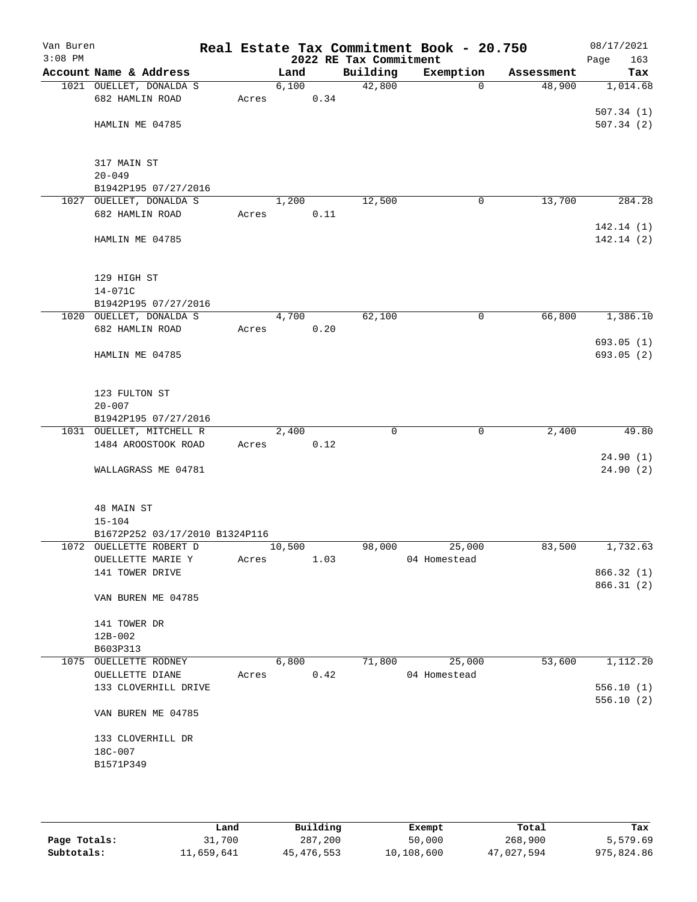| Van Buren<br>$3:08$ PM |                                         |       |        |      | 2022 RE Tax Commitment | Real Estate Tax Commitment Book - 20.750 |            | 08/17/2021<br>163<br>Page |
|------------------------|-----------------------------------------|-------|--------|------|------------------------|------------------------------------------|------------|---------------------------|
|                        | Account Name & Address                  |       | Land   |      | Building               | Exemption                                | Assessment | Tax                       |
|                        | 1021 OUELLET, DONALDA S                 |       | 6,100  |      | 42,800                 | $\Omega$                                 | 48,900     | 1,014.68                  |
|                        | 682 HAMLIN ROAD                         | Acres |        | 0.34 |                        |                                          |            |                           |
|                        |                                         |       |        |      |                        |                                          |            | 507.34(1)                 |
|                        | HAMLIN ME 04785                         |       |        |      |                        |                                          |            | 507.34(2)                 |
|                        |                                         |       |        |      |                        |                                          |            |                           |
|                        | 317 MAIN ST                             |       |        |      |                        |                                          |            |                           |
|                        | $20 - 049$                              |       |        |      |                        |                                          |            |                           |
|                        | B1942P195 07/27/2016                    |       |        |      |                        |                                          |            |                           |
|                        | 1027 OUELLET, DONALDA S                 |       | 1,200  |      | 12,500                 | $\mathbf 0$                              | 13,700     | 284.28                    |
|                        | 682 HAMLIN ROAD                         | Acres |        | 0.11 |                        |                                          |            |                           |
|                        |                                         |       |        |      |                        |                                          |            | 142.14(1)                 |
|                        | HAMLIN ME 04785                         |       |        |      |                        |                                          |            | 142.14(2)                 |
|                        |                                         |       |        |      |                        |                                          |            |                           |
|                        |                                         |       |        |      |                        |                                          |            |                           |
|                        | 129 HIGH ST                             |       |        |      |                        |                                          |            |                           |
|                        | 14-071C                                 |       |        |      |                        |                                          |            |                           |
|                        | B1942P195 07/27/2016                    |       |        |      |                        |                                          |            |                           |
|                        | 1020 OUELLET, DONALDA S                 |       | 4,700  |      | 62,100                 | $\mathbf 0$                              | 66,800     | 1,386.10                  |
|                        | 682 HAMLIN ROAD                         | Acres |        | 0.20 |                        |                                          |            |                           |
|                        | HAMLIN ME 04785                         |       |        |      |                        |                                          |            | 693.05 (1)<br>693.05(2)   |
|                        |                                         |       |        |      |                        |                                          |            |                           |
|                        |                                         |       |        |      |                        |                                          |            |                           |
|                        | 123 FULTON ST                           |       |        |      |                        |                                          |            |                           |
|                        | $20 - 007$                              |       |        |      |                        |                                          |            |                           |
|                        | B1942P195 07/27/2016                    |       |        |      |                        |                                          |            |                           |
|                        | 1031 OUELLET, MITCHELL R                |       | 2,400  |      | $\mathbf 0$            | 0                                        | 2,400      | 49.80                     |
|                        | 1484 AROOSTOOK ROAD                     | Acres |        | 0.12 |                        |                                          |            |                           |
|                        |                                         |       |        |      |                        |                                          |            | 24.90(1)                  |
|                        | WALLAGRASS ME 04781                     |       |        |      |                        |                                          |            | 24.90(2)                  |
|                        |                                         |       |        |      |                        |                                          |            |                           |
|                        | 48 MAIN ST                              |       |        |      |                        |                                          |            |                           |
|                        | $15 - 104$                              |       |        |      |                        |                                          |            |                           |
|                        | B1672P252 03/17/2010 B1324P116          |       |        |      |                        |                                          |            |                           |
|                        | 1072 OUELLETTE ROBERT D                 |       | 10,500 |      | 98,000                 | 25,000                                   | 83,500     | 1,732.63                  |
|                        | OUELLETTE MARIE Y                       | Acres |        | 1.03 |                        | 04 Homestead                             |            |                           |
|                        | 141 TOWER DRIVE                         |       |        |      |                        |                                          |            | 866.32 (1)                |
|                        |                                         |       |        |      |                        |                                          |            | 866.31(2)                 |
|                        | VAN BUREN ME 04785                      |       |        |      |                        |                                          |            |                           |
|                        |                                         |       |        |      |                        |                                          |            |                           |
|                        | 141 TOWER DR                            |       |        |      |                        |                                          |            |                           |
|                        | 12B-002                                 |       |        |      |                        |                                          |            |                           |
|                        | B603P313                                |       |        |      |                        |                                          |            |                           |
|                        | 1075 OUELLETTE RODNEY                   |       | 6,800  |      | 71,800                 | 25,000                                   | 53,600     | 1,112.20                  |
|                        | OUELLETTE DIANE<br>133 CLOVERHILL DRIVE | Acres |        | 0.42 |                        | 04 Homestead                             |            | 556.10(1)                 |
|                        |                                         |       |        |      |                        |                                          |            | 556.10(2)                 |
|                        | VAN BUREN ME 04785                      |       |        |      |                        |                                          |            |                           |
|                        |                                         |       |        |      |                        |                                          |            |                           |
|                        | 133 CLOVERHILL DR                       |       |        |      |                        |                                          |            |                           |
|                        | 18C-007                                 |       |        |      |                        |                                          |            |                           |
|                        | B1571P349                               |       |        |      |                        |                                          |            |                           |
|                        |                                         |       |        |      |                        |                                          |            |                           |
|                        |                                         |       |        |      |                        |                                          |            |                           |
|                        |                                         |       |        |      |                        |                                          |            |                           |

|              | Land       | Building   | Exempt     | Total      | Tax        |
|--------------|------------|------------|------------|------------|------------|
| Page Totals: | 31,700     | 287,200    | 50,000     | 268,900    | 5,579.69   |
| Subtotals:   | 11,659,641 | 45,476,553 | 10,108,600 | 47,027,594 | 975,824.86 |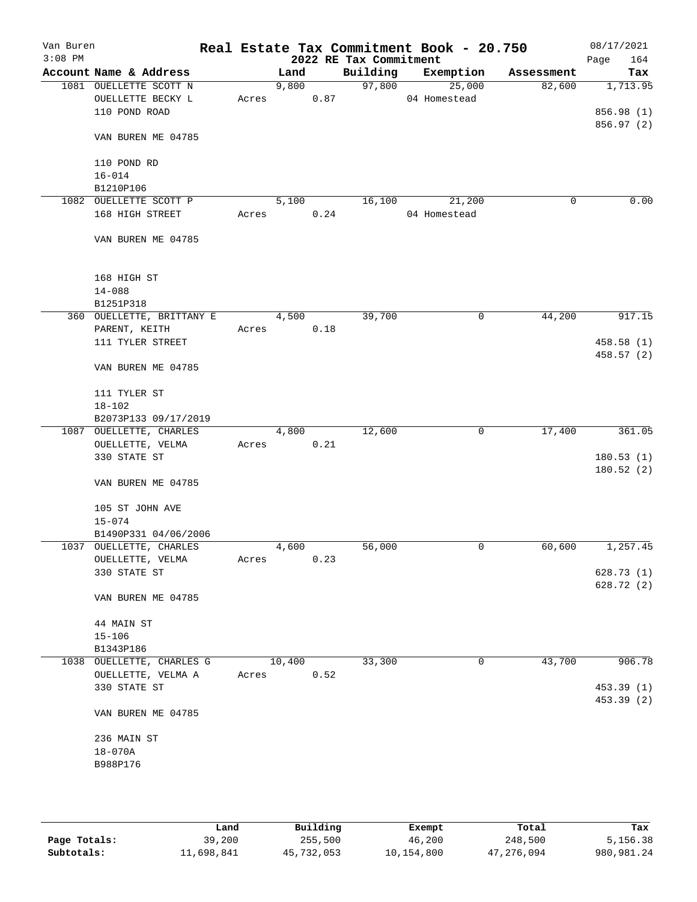| Van Buren<br>$3:08$ PM |                                                                                              |       |        |      | 2022 RE Tax Commitment | Real Estate Tax Commitment Book - 20.750 |             | 08/17/2021<br>164<br>Page |
|------------------------|----------------------------------------------------------------------------------------------|-------|--------|------|------------------------|------------------------------------------|-------------|---------------------------|
|                        | Account Name & Address                                                                       |       | Land   |      | Building               | Exemption                                | Assessment  | Tax                       |
|                        | 1081 OUELLETTE SCOTT N                                                                       |       | 9,800  |      |                        | 97,800<br>25,000                         | 82,600      | 1,713.95                  |
|                        | OUELLETTE BECKY L                                                                            | Acres |        | 0.87 |                        | 04 Homestead                             |             |                           |
|                        | 110 POND ROAD                                                                                |       |        |      |                        |                                          |             | 856.98 (1)                |
|                        |                                                                                              |       |        |      |                        |                                          |             | 856.97 (2)                |
|                        | VAN BUREN ME 04785                                                                           |       |        |      |                        |                                          |             |                           |
|                        |                                                                                              |       |        |      |                        |                                          |             |                           |
|                        | 110 POND RD                                                                                  |       |        |      |                        |                                          |             |                           |
|                        | $16 - 014$                                                                                   |       |        |      |                        |                                          |             |                           |
|                        | B1210P106                                                                                    |       |        |      |                        |                                          |             |                           |
|                        | 1082 OUELLETTE SCOTT P                                                                       |       | 5,100  |      | 16,100                 | 21,200                                   | $\mathbf 0$ | 0.00                      |
|                        | 168 HIGH STREET                                                                              | Acres |        | 0.24 |                        | 04 Homestead                             |             |                           |
|                        |                                                                                              |       |        |      |                        |                                          |             |                           |
|                        | VAN BUREN ME 04785                                                                           |       |        |      |                        |                                          |             |                           |
|                        |                                                                                              |       |        |      |                        |                                          |             |                           |
|                        |                                                                                              |       |        |      |                        |                                          |             |                           |
|                        | 168 HIGH ST                                                                                  |       |        |      |                        |                                          |             |                           |
|                        | $14 - 088$                                                                                   |       |        |      |                        |                                          |             |                           |
|                        | B1251P318                                                                                    |       |        |      |                        |                                          |             |                           |
|                        | 360 OUELLETTE, BRITTANY E                                                                    |       | 4,500  |      | 39,700                 | 0                                        | 44,200      | 917.15                    |
|                        | PARENT, KEITH                                                                                | Acres |        | 0.18 |                        |                                          |             |                           |
|                        | 111 TYLER STREET                                                                             |       |        |      |                        |                                          |             | 458.58 (1)                |
|                        |                                                                                              |       |        |      |                        |                                          |             | 458.57 (2)                |
|                        | VAN BUREN ME 04785                                                                           |       |        |      |                        |                                          |             |                           |
|                        |                                                                                              |       |        |      |                        |                                          |             |                           |
|                        | 111 TYLER ST                                                                                 |       |        |      |                        |                                          |             |                           |
|                        | $18 - 102$                                                                                   |       |        |      |                        |                                          |             |                           |
|                        |                                                                                              |       |        |      |                        |                                          |             |                           |
|                        | B2073P133 09/17/2019                                                                         |       |        |      |                        |                                          |             |                           |
|                        | 1087 OUELLETTE, CHARLES                                                                      |       | 4,800  |      | 12,600                 | 0                                        | 17,400      | 361.05                    |
|                        | OUELLETTE, VELMA                                                                             | Acres |        | 0.21 |                        |                                          |             |                           |
|                        | 330 STATE ST                                                                                 |       |        |      |                        |                                          |             | 180.53(1)                 |
|                        |                                                                                              |       |        |      |                        |                                          |             | 180.52(2)                 |
|                        | VAN BUREN ME 04785                                                                           |       |        |      |                        |                                          |             |                           |
|                        |                                                                                              |       |        |      |                        |                                          |             |                           |
|                        | 105 ST JOHN AVE                                                                              |       |        |      |                        |                                          |             |                           |
|                        | $15 - 074$                                                                                   |       |        |      |                        |                                          |             |                           |
|                        | B1490P331 04/06/2006                                                                         |       |        |      |                        |                                          |             |                           |
|                        | 1037 OUELLETTE, CHARLES                                                                      |       | 4,600  |      | 56,000                 | 0                                        | 60,600      | 1,257.45                  |
|                        | $\begin{minipage}{.4\linewidth} \textbf{OUELLETTE}\textit{, } \textbf{VELMA} \end{minipage}$ | Acres |        | 0.23 |                        |                                          |             |                           |
|                        | 330 STATE ST                                                                                 |       |        |      |                        |                                          |             | 628.73(1)                 |
|                        |                                                                                              |       |        |      |                        |                                          |             | 628.72(2)                 |
|                        | VAN BUREN ME 04785                                                                           |       |        |      |                        |                                          |             |                           |
|                        |                                                                                              |       |        |      |                        |                                          |             |                           |
|                        | 44 MAIN ST                                                                                   |       |        |      |                        |                                          |             |                           |
|                        | $15 - 106$                                                                                   |       |        |      |                        |                                          |             |                           |
|                        | B1343P186                                                                                    |       |        |      |                        |                                          |             |                           |
|                        | 1038 OUELLETTE, CHARLES G                                                                    |       | 10,400 |      | 33,300                 | 0                                        | 43,700      | 906.78                    |
|                        | OUELLETTE, VELMA A                                                                           | Acres |        | 0.52 |                        |                                          |             |                           |
|                        | 330 STATE ST                                                                                 |       |        |      |                        |                                          |             | 453.39 (1)                |
|                        |                                                                                              |       |        |      |                        |                                          |             | 453.39 (2)                |
|                        | VAN BUREN ME 04785                                                                           |       |        |      |                        |                                          |             |                           |
|                        |                                                                                              |       |        |      |                        |                                          |             |                           |
|                        | 236 MAIN ST                                                                                  |       |        |      |                        |                                          |             |                           |
|                        | $18 - 070A$                                                                                  |       |        |      |                        |                                          |             |                           |
|                        | B988P176                                                                                     |       |        |      |                        |                                          |             |                           |
|                        |                                                                                              |       |        |      |                        |                                          |             |                           |
|                        |                                                                                              |       |        |      |                        |                                          |             |                           |
|                        |                                                                                              |       |        |      |                        |                                          |             |                           |

|              | Land       | Building   | Exempt     | Total      | Tax        |
|--------------|------------|------------|------------|------------|------------|
| Page Totals: | 39,200     | 255,500    | 46,200     | 248,500    | 5,156.38   |
| Subtotals:   | 11,698,841 | 45,732,053 | 10,154,800 | 47,276,094 | 980,981.24 |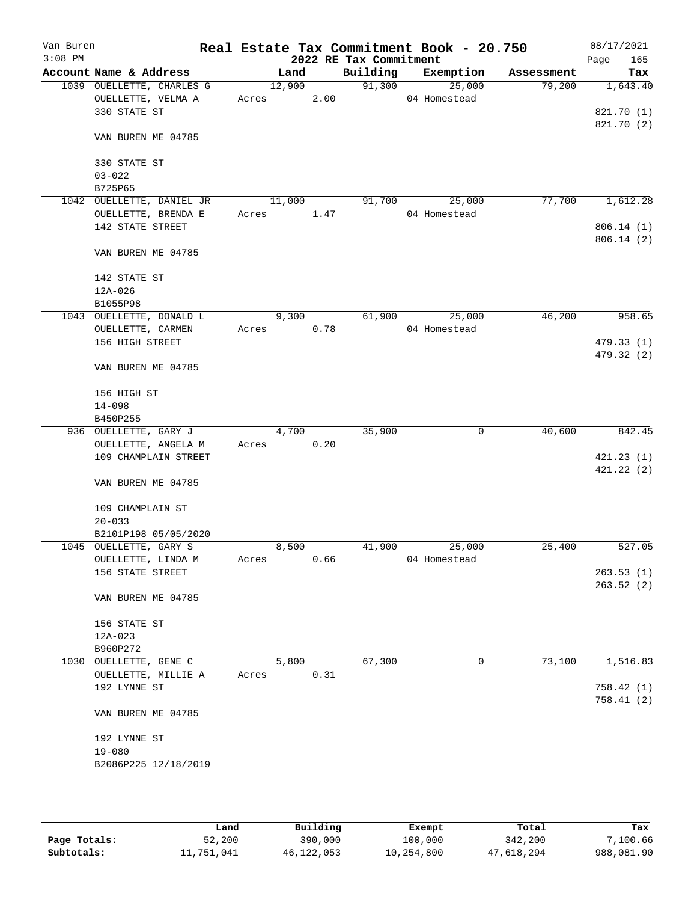| Van Buren<br>$3:08$ PM |                           |            |      | 2022 RE Tax Commitment | Real Estate Tax Commitment Book - 20.750 |             | 08/17/2021<br>Page<br>165 |
|------------------------|---------------------------|------------|------|------------------------|------------------------------------------|-------------|---------------------------|
|                        | Account Name & Address    | Land       |      | Building               | Exemption                                | Assessment  | Tax                       |
|                        | 1039 OUELLETTE, CHARLES G | 12,900     |      | 91,300                 | 25,000                                   | 79,200      | 1,643.40                  |
|                        | OUELLETTE, VELMA A        | Acres 2.00 |      |                        | 04 Homestead                             |             |                           |
|                        | 330 STATE ST              |            |      |                        |                                          |             | 821.70 (1)                |
|                        |                           |            |      |                        |                                          |             | 821.70 (2)                |
|                        | VAN BUREN ME 04785        |            |      |                        |                                          |             |                           |
|                        | 330 STATE ST              |            |      |                        |                                          |             |                           |
|                        | $03 - 022$                |            |      |                        |                                          |             |                           |
|                        | B725P65                   |            |      |                        |                                          |             |                           |
|                        | 1042 OUELLETTE, DANIEL JR | 11,000     |      | 91,700                 | 25,000                                   | 77,700      | 1,612.28                  |
|                        | OUELLETTE, BRENDA E       | Acres      | 1.47 |                        | 04 Homestead                             |             |                           |
|                        | 142 STATE STREET          |            |      |                        |                                          |             | 806.14(1)                 |
|                        |                           |            |      |                        |                                          |             | 806.14(2)                 |
|                        | VAN BUREN ME 04785        |            |      |                        |                                          |             |                           |
|                        | 142 STATE ST              |            |      |                        |                                          |             |                           |
|                        | $12A - 026$               |            |      |                        |                                          |             |                           |
|                        | B1055P98                  |            |      |                        |                                          |             |                           |
|                        | 1043 OUELLETTE, DONALD L  | 9,300      |      | 61,900                 | 25,000                                   | 46,200      | 958.65                    |
|                        | OUELLETTE, CARMEN         | Acres      | 0.78 |                        | 04 Homestead                             |             |                           |
|                        | 156 HIGH STREET           |            |      |                        |                                          |             | 479.33 (1)                |
|                        |                           |            |      |                        |                                          |             | 479.32 (2)                |
|                        | VAN BUREN ME 04785        |            |      |                        |                                          |             |                           |
|                        | 156 HIGH ST               |            |      |                        |                                          |             |                           |
|                        | $14 - 098$                |            |      |                        |                                          |             |                           |
|                        | B450P255                  |            |      |                        |                                          |             |                           |
|                        | 936 OUELLETTE, GARY J     | 4,700      |      | 35,900                 |                                          | 40,600<br>0 | 842.45                    |
|                        | OUELLETTE, ANGELA M       | Acres      | 0.20 |                        |                                          |             |                           |
|                        | 109 CHAMPLAIN STREET      |            |      |                        |                                          |             | 421.23(1)                 |
|                        |                           |            |      |                        |                                          |             | 421.22(2)                 |
|                        | VAN BUREN ME 04785        |            |      |                        |                                          |             |                           |
|                        | 109 CHAMPLAIN ST          |            |      |                        |                                          |             |                           |
|                        | $20 - 033$                |            |      |                        |                                          |             |                           |
|                        | B2101P198 05/05/2020      |            |      |                        |                                          |             |                           |
|                        | 1045 OUELLETTE, GARY S    | 8,500      |      | 41,900                 | 25,000                                   | 25,400      | 527.05                    |
|                        | OUELLETTE, LINDA M        | Acres      | 0.66 |                        | 04 Homestead                             |             |                           |
|                        | 156 STATE STREET          |            |      |                        |                                          |             | 263.53(1)                 |
|                        | VAN BUREN ME 04785        |            |      |                        |                                          |             | 263.52(2)                 |
|                        |                           |            |      |                        |                                          |             |                           |
|                        | 156 STATE ST              |            |      |                        |                                          |             |                           |
|                        | 12A-023                   |            |      |                        |                                          |             |                           |
|                        | B960P272                  |            |      |                        |                                          |             |                           |
|                        | 1030 OUELLETTE, GENE C    | 5,800      |      | 67,300                 |                                          | 73,100<br>0 | 1,516.83                  |
|                        | OUELLETTE, MILLIE A       | Acres      | 0.31 |                        |                                          |             |                           |
|                        | 192 LYNNE ST              |            |      |                        |                                          |             | 758.42(1)                 |
|                        |                           |            |      |                        |                                          |             | 758.41(2)                 |
|                        | VAN BUREN ME 04785        |            |      |                        |                                          |             |                           |
|                        | 192 LYNNE ST              |            |      |                        |                                          |             |                           |
|                        | $19 - 080$                |            |      |                        |                                          |             |                           |
|                        | B2086P225 12/18/2019      |            |      |                        |                                          |             |                           |
|                        |                           |            |      |                        |                                          |             |                           |
|                        |                           |            |      |                        |                                          |             |                           |

|              | Land       | Building   | Exempt     | Total      | Tax        |
|--------------|------------|------------|------------|------------|------------|
| Page Totals: | 52,200     | 390,000    | 100,000    | 342,200    | 7,100.66   |
| Subtotals:   | 11,751,041 | 46,122,053 | 10,254,800 | 47,618,294 | 988,081.90 |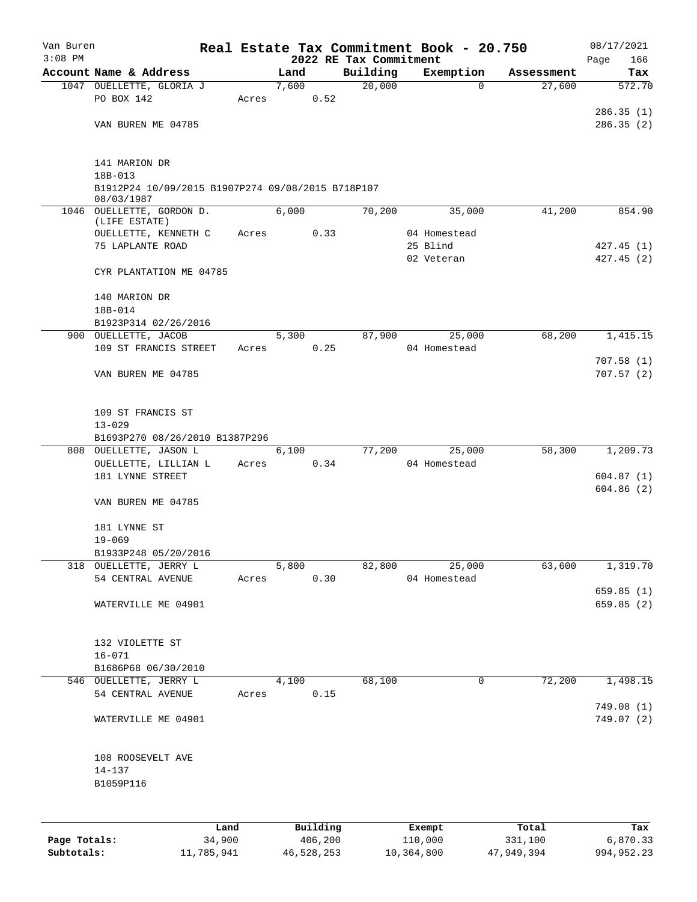| Van Buren    |                                                              |       |          |                        | Real Estate Tax Commitment Book - 20.750 |            | 08/17/2021             |
|--------------|--------------------------------------------------------------|-------|----------|------------------------|------------------------------------------|------------|------------------------|
| $3:08$ PM    |                                                              |       |          | 2022 RE Tax Commitment |                                          |            | 166<br>Page            |
|              | Account Name & Address                                       |       | Land     | Building               | Exemption                                | Assessment | Tax                    |
|              | 1047 OUELLETTE, GLORIA J                                     |       | 7,600    | 20,000                 | $\Omega$                                 | 27,600     | 572.70                 |
|              | PO BOX 142                                                   | Acres | 0.52     |                        |                                          |            |                        |
|              | VAN BUREN ME 04785                                           |       |          |                        |                                          |            | 286.35(1)<br>286.35(2) |
|              |                                                              |       |          |                        |                                          |            |                        |
|              |                                                              |       |          |                        |                                          |            |                        |
|              | 141 MARION DR                                                |       |          |                        |                                          |            |                        |
|              | 18B-013<br>B1912P24 10/09/2015 B1907P274 09/08/2015 B718P107 |       |          |                        |                                          |            |                        |
|              | 08/03/1987                                                   |       |          |                        |                                          |            |                        |
|              | 1046 OUELLETTE, GORDON D.<br>(LIFE ESTATE)                   |       | 6,000    | 70,200                 | 35,000                                   | 41,200     | 854.90                 |
|              | OUELLETTE, KENNETH C                                         | Acres | 0.33     |                        | 04 Homestead                             |            |                        |
|              | 75 LAPLANTE ROAD                                             |       |          |                        | 25 Blind                                 |            | 427.45(1)              |
|              |                                                              |       |          |                        | 02 Veteran                               |            | 427.45(2)              |
|              | CYR PLANTATION ME 04785                                      |       |          |                        |                                          |            |                        |
|              | 140 MARION DR                                                |       |          |                        |                                          |            |                        |
|              | 18B-014                                                      |       |          |                        |                                          |            |                        |
|              | B1923P314 02/26/2016                                         |       |          |                        |                                          |            |                        |
|              | 900 OUELLETTE, JACOB                                         |       | 5,300    | 87,900                 | 25,000                                   | 68,200     | 1,415.15               |
|              | 109 ST FRANCIS STREET                                        | Acres | 0.25     |                        | 04 Homestead                             |            |                        |
|              |                                                              |       |          |                        |                                          |            | 707.58(1)              |
|              | VAN BUREN ME 04785                                           |       |          |                        |                                          |            | 707.57(2)              |
|              |                                                              |       |          |                        |                                          |            |                        |
|              | 109 ST FRANCIS ST                                            |       |          |                        |                                          |            |                        |
|              | $13 - 029$                                                   |       |          |                        |                                          |            |                        |
|              | B1693P270 08/26/2010 B1387P296<br>808 OUELLETTE, JASON L     |       | 6,100    | 77,200                 | 25,000                                   | 58,300     | 1,209.73               |
|              | OUELLETTE, LILLIAN L                                         | Acres | 0.34     |                        | 04 Homestead                             |            |                        |
|              | 181 LYNNE STREET                                             |       |          |                        |                                          |            | 604.87(1)              |
|              |                                                              |       |          |                        |                                          |            | 604.86(2)              |
|              | VAN BUREN ME 04785                                           |       |          |                        |                                          |            |                        |
|              | 181 LYNNE ST                                                 |       |          |                        |                                          |            |                        |
|              | $19 - 069$                                                   |       |          |                        |                                          |            |                        |
|              | B1933P248 05/20/2016                                         |       |          |                        |                                          |            |                        |
| 318          | OUELLETTE, JERRY L                                           |       | 5,800    | 82,800                 | 25,000                                   | 63,600     | 1,319.70               |
|              | 54 CENTRAL AVENUE                                            | Acres | 0.30     |                        | 04 Homestead                             |            |                        |
|              |                                                              |       |          |                        |                                          |            | 659.85 (1)             |
|              | WATERVILLE ME 04901                                          |       |          |                        |                                          |            | 659.85(2)              |
|              |                                                              |       |          |                        |                                          |            |                        |
|              | 132 VIOLETTE ST                                              |       |          |                        |                                          |            |                        |
|              | $16 - 071$                                                   |       |          |                        |                                          |            |                        |
|              | B1686P68 06/30/2010<br>546 OUELLETTE, JERRY L                |       | 4,100    | 68,100                 | 0                                        | 72,200     | 1,498.15               |
|              | 54 CENTRAL AVENUE                                            | Acres | 0.15     |                        |                                          |            |                        |
|              |                                                              |       |          |                        |                                          |            | 749.08(1)              |
|              | WATERVILLE ME 04901                                          |       |          |                        |                                          |            | 749.07 (2)             |
|              |                                                              |       |          |                        |                                          |            |                        |
|              | 108 ROOSEVELT AVE                                            |       |          |                        |                                          |            |                        |
|              | $14 - 137$                                                   |       |          |                        |                                          |            |                        |
|              | B1059P116                                                    |       |          |                        |                                          |            |                        |
|              |                                                              |       |          |                        |                                          |            |                        |
|              |                                                              |       |          |                        |                                          |            |                        |
|              | Land                                                         |       | Building |                        | Exempt                                   | Total      | Tax                    |
| Page Totals: | 34,900                                                       |       | 406,200  |                        | 110,000                                  | 331,100    | 6,870.33               |

**Subtotals:** 11,785,941 46,528,253 10,364,800 47,949,394 994,952.23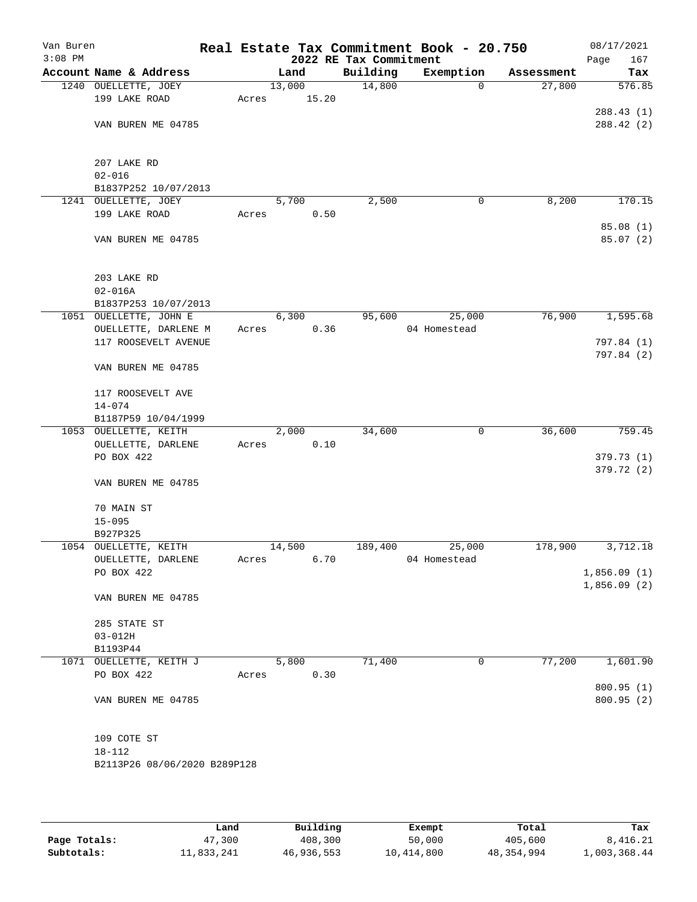| Van Buren<br>$3:08$ PM |                                                |       |        | 2022 RE Tax Commitment | Real Estate Tax Commitment Book - 20.750 |            | 08/17/2021<br>167 |
|------------------------|------------------------------------------------|-------|--------|------------------------|------------------------------------------|------------|-------------------|
|                        | Account Name & Address                         |       | Land   | Building               | Exemption                                | Assessment | Page<br>Tax       |
|                        | 1240 OUELLETTE, JOEY                           |       | 13,000 | 14,800                 | $\mathbf 0$                              | 27,800     | 576.85            |
|                        | 199 LAKE ROAD                                  | Acres | 15.20  |                        |                                          |            |                   |
|                        |                                                |       |        |                        |                                          |            | 288.43(1)         |
|                        | VAN BUREN ME 04785                             |       |        |                        |                                          |            | 288.42(2)         |
|                        |                                                |       |        |                        |                                          |            |                   |
|                        |                                                |       |        |                        |                                          |            |                   |
|                        | 207 LAKE RD                                    |       |        |                        |                                          |            |                   |
|                        | $02 - 016$                                     |       |        |                        |                                          |            |                   |
|                        | B1837P252 10/07/2013                           |       |        |                        |                                          |            |                   |
|                        | 1241 OUELLETTE, JOEY                           |       | 5,700  | 2,500                  | 0                                        | 8,200      | 170.15            |
|                        | 199 LAKE ROAD                                  | Acres | 0.50   |                        |                                          |            |                   |
|                        |                                                |       |        |                        |                                          |            | 85.08(1)          |
|                        | VAN BUREN ME 04785                             |       |        |                        |                                          |            | 85.07(2)          |
|                        |                                                |       |        |                        |                                          |            |                   |
|                        |                                                |       |        |                        |                                          |            |                   |
|                        | 203 LAKE RD                                    |       |        |                        |                                          |            |                   |
|                        | $02 - 016A$                                    |       |        |                        |                                          |            |                   |
|                        | B1837P253 10/07/2013<br>1051 OUELLETTE, JOHN E |       | 6,300  | 95,600                 | 25,000                                   | 76,900     | 1,595.68          |
|                        | OUELLETTE, DARLENE M                           | Acres | 0.36   |                        | 04 Homestead                             |            |                   |
|                        | 117 ROOSEVELT AVENUE                           |       |        |                        |                                          |            | 797.84 (1)        |
|                        |                                                |       |        |                        |                                          |            | 797.84 (2)        |
|                        | VAN BUREN ME 04785                             |       |        |                        |                                          |            |                   |
|                        |                                                |       |        |                        |                                          |            |                   |
|                        | 117 ROOSEVELT AVE                              |       |        |                        |                                          |            |                   |
|                        | $14 - 074$                                     |       |        |                        |                                          |            |                   |
|                        | B1187P59 10/04/1999                            |       |        |                        |                                          |            |                   |
|                        | 1053 OUELLETTE, KEITH                          |       | 2,000  | 34,600                 | $\mathbf 0$                              | 36,600     | 759.45            |
|                        | OUELLETTE, DARLENE                             | Acres | 0.10   |                        |                                          |            |                   |
|                        | PO BOX 422                                     |       |        |                        |                                          |            | 379.73(1)         |
|                        |                                                |       |        |                        |                                          |            | 379.72 (2)        |
|                        | VAN BUREN ME 04785                             |       |        |                        |                                          |            |                   |
|                        |                                                |       |        |                        |                                          |            |                   |
|                        | 70 MAIN ST                                     |       |        |                        |                                          |            |                   |
|                        | $15 - 095$                                     |       |        |                        |                                          |            |                   |
|                        | B927P325<br>1054 OUELLETTE, KEITH              |       | 14,500 | 189,400                | 25,000                                   | 178,900    | 3,712.18          |
|                        | OUELLETTE, DARLENE                             | Acres | 6.70   |                        | 04 Homestead                             |            |                   |
|                        | PO BOX 422                                     |       |        |                        |                                          |            | 1,856.09(1)       |
|                        |                                                |       |        |                        |                                          |            | 1,856.09(2)       |
|                        | VAN BUREN ME 04785                             |       |        |                        |                                          |            |                   |
|                        |                                                |       |        |                        |                                          |            |                   |
|                        | 285 STATE ST                                   |       |        |                        |                                          |            |                   |
|                        | $03 - 012H$                                    |       |        |                        |                                          |            |                   |
|                        | B1193P44                                       |       |        |                        |                                          |            |                   |
|                        | 1071 OUELLETTE, KEITH J                        |       | 5,800  | 71,400                 | 0                                        | 77,200     | 1,601.90          |
|                        | PO BOX 422                                     | Acres | 0.30   |                        |                                          |            |                   |
|                        |                                                |       |        |                        |                                          |            | 800.95(1)         |
|                        | VAN BUREN ME 04785                             |       |        |                        |                                          |            | 800.95 (2)        |
|                        |                                                |       |        |                        |                                          |            |                   |
|                        |                                                |       |        |                        |                                          |            |                   |
|                        | 109 COTE ST                                    |       |        |                        |                                          |            |                   |
|                        | $18 - 112$                                     |       |        |                        |                                          |            |                   |
|                        | B2113P26 08/06/2020 B289P128                   |       |        |                        |                                          |            |                   |
|                        |                                                |       |        |                        |                                          |            |                   |

|              | Land       | Building   | Exempt     | Total        | Tax          |
|--------------|------------|------------|------------|--------------|--------------|
| Page Totals: | 47,300     | 408,300    | 50,000     | 405,600      | 8,416.21     |
| Subtotals:   | 11,833,241 | 46,936,553 | 10,414,800 | 48, 354, 994 | 1,003,368.44 |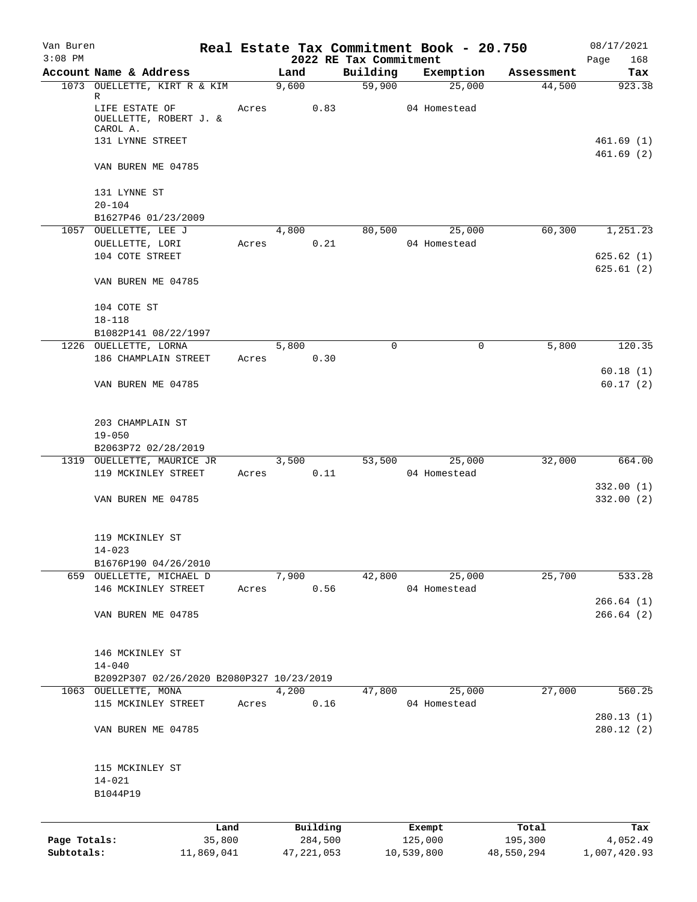| Van Buren<br>$3:08$ PM |                                                         |       |                                |          | Real Estate Tax Commitment Book - 20.750 |                  | 08/17/2021             |
|------------------------|---------------------------------------------------------|-------|--------------------------------|----------|------------------------------------------|------------------|------------------------|
|                        | Account Name & Address                                  |       | 2022 RE Tax Commitment<br>Land | Building | Exemption                                | Assessment       | 168<br>Page<br>Tax     |
|                        | 1073 OUELLETTE, KIRT R & KIM                            |       | 9,600                          | 59,900   | 25,000                                   | 44,500           | 923.38                 |
|                        | R                                                       |       |                                |          |                                          |                  |                        |
|                        | LIFE ESTATE OF                                          | Acres | 0.83                           |          | 04 Homestead                             |                  |                        |
|                        | OUELLETTE, ROBERT J. &<br>CAROL A.                      |       |                                |          |                                          |                  |                        |
|                        | 131 LYNNE STREET                                        |       |                                |          |                                          |                  | 461.69(1)              |
|                        | VAN BUREN ME 04785                                      |       |                                |          |                                          |                  | 461.69(2)              |
|                        | 131 LYNNE ST                                            |       |                                |          |                                          |                  |                        |
|                        | $20 - 104$                                              |       |                                |          |                                          |                  |                        |
|                        | B1627P46 01/23/2009                                     |       |                                |          |                                          |                  |                        |
|                        | 1057 OUELLETTE, LEE J                                   |       | 4,800                          | 80,500   | 25,000                                   | 60,300           | 1,251.23               |
|                        | OUELLETTE, LORI                                         | Acres | 0.21                           |          | 04 Homestead                             |                  |                        |
|                        | 104 COTE STREET                                         |       |                                |          |                                          |                  | 625.62(1)<br>625.61(2) |
|                        | VAN BUREN ME 04785                                      |       |                                |          |                                          |                  |                        |
|                        | 104 COTE ST                                             |       |                                |          |                                          |                  |                        |
|                        | $18 - 118$                                              |       |                                |          |                                          |                  |                        |
|                        | B1082P141 08/22/1997                                    |       |                                |          |                                          |                  |                        |
|                        | 1226 OUELLETTE, LORNA                                   |       | 5,800                          | $\Omega$ | 0                                        | 5,800            | 120.35                 |
|                        | 186 CHAMPLAIN STREET                                    | Acres | 0.30                           |          |                                          |                  |                        |
|                        |                                                         |       |                                |          |                                          |                  | 60.18(1)               |
|                        | VAN BUREN ME 04785                                      |       |                                |          |                                          |                  | 60.17(2)               |
|                        | 203 CHAMPLAIN ST                                        |       |                                |          |                                          |                  |                        |
|                        | $19 - 050$                                              |       |                                |          |                                          |                  |                        |
|                        | B2063P72 02/28/2019                                     |       |                                |          |                                          |                  |                        |
|                        | 1319 OUELLETTE, MAURICE JR                              |       | 3,500                          | 53,500   | 25,000                                   | 32,000           | 664.00                 |
|                        | 119 MCKINLEY STREET                                     | Acres | 0.11                           |          | 04 Homestead                             |                  |                        |
|                        |                                                         |       |                                |          |                                          |                  | 332.00(1)              |
|                        | VAN BUREN ME 04785                                      |       |                                |          |                                          |                  | 332.00 (2)             |
|                        | 119 MCKINLEY ST                                         |       |                                |          |                                          |                  |                        |
|                        | $14 - 023$                                              |       |                                |          |                                          |                  |                        |
|                        | B1676P190 04/26/2010                                    |       |                                |          |                                          |                  |                        |
|                        | 659 OUELLETTE, MICHAEL D                                |       | 7,900                          | 42,800   | 25,000                                   | 25,700           | 533.28                 |
|                        | 146 MCKINLEY STREET                                     | Acres | 0.56                           |          | 04 Homestead                             |                  |                        |
|                        | VAN BUREN ME 04785                                      |       |                                |          |                                          |                  | 266.64(1)<br>266.64(2) |
|                        |                                                         |       |                                |          |                                          |                  |                        |
|                        | 146 MCKINLEY ST                                         |       |                                |          |                                          |                  |                        |
|                        | $14 - 040$<br>B2092P307 02/26/2020 B2080P327 10/23/2019 |       |                                |          |                                          |                  |                        |
|                        | 1063 OUELLETTE, MONA                                    |       | 4,200                          | 47,800   | 25,000                                   | 27,000           | 560.25                 |
|                        | 115 MCKINLEY STREET                                     | Acres | 0.16                           |          | 04 Homestead                             |                  |                        |
|                        |                                                         |       |                                |          |                                          |                  | 280.13(1)              |
|                        | VAN BUREN ME 04785                                      |       |                                |          |                                          |                  | 280.12 (2)             |
|                        | 115 MCKINLEY ST                                         |       |                                |          |                                          |                  |                        |
|                        | $14 - 021$                                              |       |                                |          |                                          |                  |                        |
|                        | B1044P19                                                |       |                                |          |                                          |                  |                        |
|                        |                                                         |       |                                |          |                                          |                  |                        |
| Page Totals:           | Land<br>35,800                                          |       | Building<br>284,500            |          | Exempt<br>125,000                        | Total<br>195,300 | Tax<br>4,052.49        |
| Subtotals:             | 11,869,041                                              |       | 47, 221, 053                   |          | 10,539,800                               | 48,550,294       | 1,007,420.93           |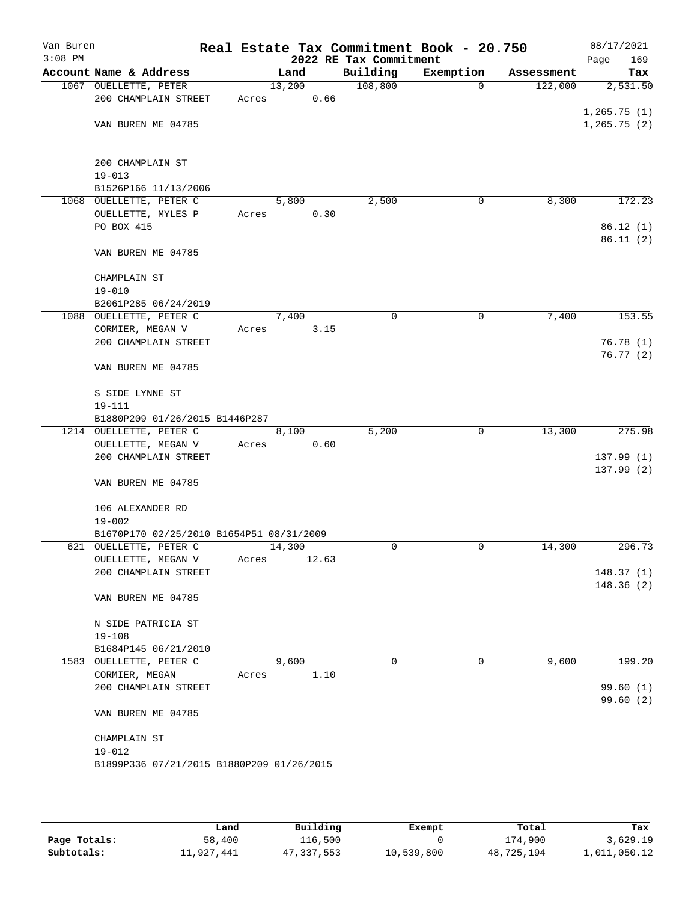| Van Buren<br>$3:08$ PM |                                                 |       |        |       | 2022 RE Tax Commitment | Real Estate Tax Commitment Book - 20.750 |            | 08/17/2021<br>169<br>Page |
|------------------------|-------------------------------------------------|-------|--------|-------|------------------------|------------------------------------------|------------|---------------------------|
|                        | Account Name & Address                          |       | Land   |       | Building               | Exemption                                | Assessment | Tax                       |
|                        | 1067 OUELLETTE, PETER                           |       | 13,200 |       | 108,800                | 0                                        | 122,000    | 2,531.50                  |
|                        | 200 CHAMPLAIN STREET                            | Acres |        | 0.66  |                        |                                          |            | 1,265.75(1)               |
|                        | VAN BUREN ME 04785                              |       |        |       |                        |                                          |            | 1, 265.75(2)              |
|                        | 200 CHAMPLAIN ST                                |       |        |       |                        |                                          |            |                           |
|                        | $19 - 013$                                      |       |        |       |                        |                                          |            |                           |
|                        | B1526P166 11/13/2006<br>1068 OUELLETTE, PETER C |       | 5,800  |       | 2,500                  | 0                                        | 8,300      | 172.23                    |
|                        | OUELLETTE, MYLES P                              | Acres |        | 0.30  |                        |                                          |            |                           |
|                        | PO BOX 415                                      |       |        |       |                        |                                          |            | 86.12(1)<br>86.11(2)      |
|                        | VAN BUREN ME 04785                              |       |        |       |                        |                                          |            |                           |
|                        | CHAMPLAIN ST<br>$19 - 010$                      |       |        |       |                        |                                          |            |                           |
|                        | B2061P285 06/24/2019                            |       |        |       |                        |                                          |            |                           |
|                        | 1088 OUELLETTE, PETER C                         |       | 7,400  |       | 0                      | $\mathbf 0$                              | 7,400      | 153.55                    |
|                        | CORMIER, MEGAN V                                | Acres |        | 3.15  |                        |                                          |            |                           |
|                        | 200 CHAMPLAIN STREET                            |       |        |       |                        |                                          |            | 76.78(1)<br>76.77(2)      |
|                        | VAN BUREN ME 04785                              |       |        |       |                        |                                          |            |                           |
|                        | S SIDE LYNNE ST                                 |       |        |       |                        |                                          |            |                           |
|                        | $19 - 111$                                      |       |        |       |                        |                                          |            |                           |
|                        | B1880P209 01/26/2015 B1446P287                  |       |        |       |                        |                                          |            |                           |
|                        | 1214 OUELLETTE, PETER C                         |       | 8,100  |       | 5,200                  | $\mathbf 0$                              | 13,300     | 275.98                    |
|                        | OUELLETTE, MEGAN V                              | Acres |        | 0.60  |                        |                                          |            |                           |
|                        | 200 CHAMPLAIN STREET                            |       |        |       |                        |                                          |            | 137.99(1)                 |
|                        | VAN BUREN ME 04785                              |       |        |       |                        |                                          |            | 137.99(2)                 |
|                        | 106 ALEXANDER RD<br>$19 - 002$                  |       |        |       |                        |                                          |            |                           |
|                        | B1670P170 02/25/2010 B1654P51 08/31/2009        |       |        |       |                        |                                          |            |                           |
|                        | 621 OUELLETTE, PETER C                          |       | 14,300 |       | $\Omega$               | 0                                        | 14,300     | 296.73                    |
|                        | OUELLETTE, MEGAN V                              | Acres |        | 12.63 |                        |                                          |            |                           |
|                        | 200 CHAMPLAIN STREET                            |       |        |       |                        |                                          |            | 148.37(1)                 |
|                        | VAN BUREN ME 04785                              |       |        |       |                        |                                          |            | 148.36(2)                 |
|                        | N SIDE PATRICIA ST                              |       |        |       |                        |                                          |            |                           |
|                        | $19 - 108$                                      |       |        |       |                        |                                          |            |                           |
|                        | B1684P145 06/21/2010                            |       |        |       |                        |                                          |            |                           |
|                        | 1583 OUELLETTE, PETER C                         |       | 9,600  |       | $\Omega$               | 0                                        | 9,600      | 199.20                    |
|                        | CORMIER, MEGAN<br>200 CHAMPLAIN STREET          | Acres |        | 1.10  |                        |                                          |            | 99.60(1)                  |
|                        |                                                 |       |        |       |                        |                                          |            | 99.60 (2)                 |
|                        | VAN BUREN ME 04785                              |       |        |       |                        |                                          |            |                           |
|                        | CHAMPLAIN ST                                    |       |        |       |                        |                                          |            |                           |
|                        | $19 - 012$                                      |       |        |       |                        |                                          |            |                           |
|                        | B1899P336 07/21/2015 B1880P209 01/26/2015       |       |        |       |                        |                                          |            |                           |
|                        |                                                 |       |        |       |                        |                                          |            |                           |

|              | Land       | Building     | Exempt     | Total      | Tax          |
|--------------|------------|--------------|------------|------------|--------------|
| Page Totals: | 58,400     | 116,500      |            | 174,900    | 3,629.19     |
| Subtotals:   | 11,927,441 | 47, 337, 553 | 10,539,800 | 48,725,194 | 1,011,050.12 |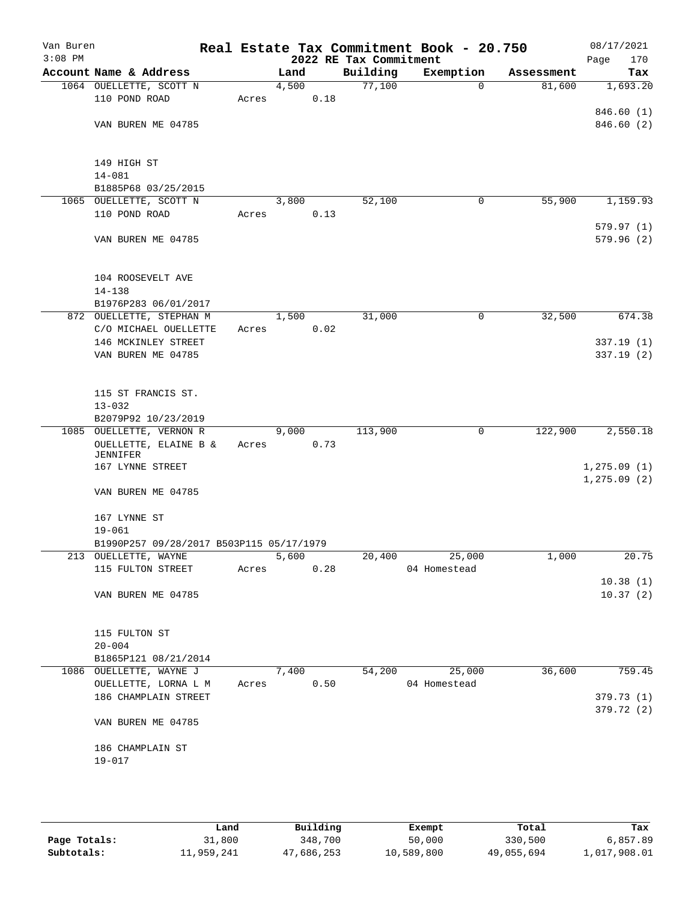| Van Buren |                                           |       |       |      |                        | Real Estate Tax Commitment Book - 20.750 |            | 08/17/2021               |
|-----------|-------------------------------------------|-------|-------|------|------------------------|------------------------------------------|------------|--------------------------|
| $3:08$ PM |                                           |       |       |      | 2022 RE Tax Commitment |                                          |            | Page<br>170              |
|           | Account Name & Address                    |       | Land  |      | Building               | Exemption                                | Assessment | Tax                      |
|           | 1064 OUELLETTE, SCOTT N                   |       | 4,500 |      | 77,100                 | 0                                        | 81,600     | 1,693.20                 |
|           | 110 POND ROAD                             | Acres |       | 0.18 |                        |                                          |            |                          |
|           | VAN BUREN ME 04785                        |       |       |      |                        |                                          |            | 846.60 (1)<br>846.60 (2) |
|           |                                           |       |       |      |                        |                                          |            |                          |
|           |                                           |       |       |      |                        |                                          |            |                          |
|           | 149 HIGH ST                               |       |       |      |                        |                                          |            |                          |
|           | $14 - 081$                                |       |       |      |                        |                                          |            |                          |
|           | B1885P68 03/25/2015                       |       |       |      |                        |                                          |            |                          |
|           | 1065 OUELLETTE, SCOTT N                   |       | 3,800 |      | 52,100                 | 0                                        | 55,900     | 1,159.93                 |
|           | 110 POND ROAD                             | Acres |       | 0.13 |                        |                                          |            |                          |
|           | VAN BUREN ME 04785                        |       |       |      |                        |                                          |            | 579.97(1)<br>579.96 (2)  |
|           |                                           |       |       |      |                        |                                          |            |                          |
|           |                                           |       |       |      |                        |                                          |            |                          |
|           | 104 ROOSEVELT AVE                         |       |       |      |                        |                                          |            |                          |
|           | $14 - 138$                                |       |       |      |                        |                                          |            |                          |
|           | B1976P283 06/01/2017                      |       |       |      |                        |                                          |            |                          |
|           | 872 OUELLETTE, STEPHAN M                  |       | 1,500 |      | 31,000                 | 0                                        | 32,500     | 674.38                   |
|           | C/O MICHAEL OUELLETTE                     | Acres |       | 0.02 |                        |                                          |            |                          |
|           | 146 MCKINLEY STREET<br>VAN BUREN ME 04785 |       |       |      |                        |                                          |            | 337.19(1)                |
|           |                                           |       |       |      |                        |                                          |            | 337.19(2)                |
|           | 115 ST FRANCIS ST.                        |       |       |      |                        |                                          |            |                          |
|           | $13 - 032$                                |       |       |      |                        |                                          |            |                          |
|           | B2079P92 10/23/2019                       |       |       |      |                        |                                          |            |                          |
|           | 1085 OUELLETTE, VERNON R                  |       | 9,000 |      | 113,900                | 0                                        | 122,900    | 2,550.18                 |
|           | OUELLETTE, ELAINE B &                     | Acres |       | 0.73 |                        |                                          |            |                          |
|           | JENNIFER                                  |       |       |      |                        |                                          |            |                          |
|           | 167 LYNNE STREET                          |       |       |      |                        |                                          |            | 1, 275.09(1)             |
|           |                                           |       |       |      |                        |                                          |            | 1, 275.09(2)             |
|           | VAN BUREN ME 04785                        |       |       |      |                        |                                          |            |                          |
|           | 167 LYNNE ST                              |       |       |      |                        |                                          |            |                          |
|           | $19 - 061$                                |       |       |      |                        |                                          |            |                          |
|           | B1990P257 09/28/2017 B503P115 05/17/1979  |       |       |      |                        |                                          |            |                          |
|           | 213 OUELLETTE, WAYNE                      |       | 5,600 |      | 20,400                 | 25,000                                   | 1,000      | 20.75                    |
|           | 115 FULTON STREET                         | Acres |       | 0.28 |                        | 04 Homestead                             |            |                          |
|           |                                           |       |       |      |                        |                                          |            | 10.38(1)                 |
|           | VAN BUREN ME 04785                        |       |       |      |                        |                                          |            | 10.37(2)                 |
|           |                                           |       |       |      |                        |                                          |            |                          |
|           | 115 FULTON ST                             |       |       |      |                        |                                          |            |                          |
|           | $20 - 004$                                |       |       |      |                        |                                          |            |                          |
|           | B1865P121 08/21/2014                      |       |       |      |                        |                                          |            |                          |
|           | 1086 OUELLETTE, WAYNE J                   |       | 7,400 |      | 54,200                 | 25,000                                   | 36,600     | 759.45                   |
|           | OUELLETTE, LORNA L M                      | Acres |       | 0.50 |                        | 04 Homestead                             |            |                          |
|           | 186 CHAMPLAIN STREET                      |       |       |      |                        |                                          |            | 379.73 (1)               |
|           |                                           |       |       |      |                        |                                          |            | 379.72 (2)               |
|           | VAN BUREN ME 04785                        |       |       |      |                        |                                          |            |                          |
|           | 186 CHAMPLAIN ST                          |       |       |      |                        |                                          |            |                          |
|           | $19 - 017$                                |       |       |      |                        |                                          |            |                          |
|           |                                           |       |       |      |                        |                                          |            |                          |
|           |                                           |       |       |      |                        |                                          |            |                          |

|              | Land       | Building   | Exempt     | Total      | Tax          |
|--------------|------------|------------|------------|------------|--------------|
| Page Totals: | 31,800     | 348,700    | 50,000     | 330,500    | 6,857.89     |
| Subtotals:   | 11,959,241 | 47,686,253 | 10,589,800 | 49,055,694 | l,017,908.01 |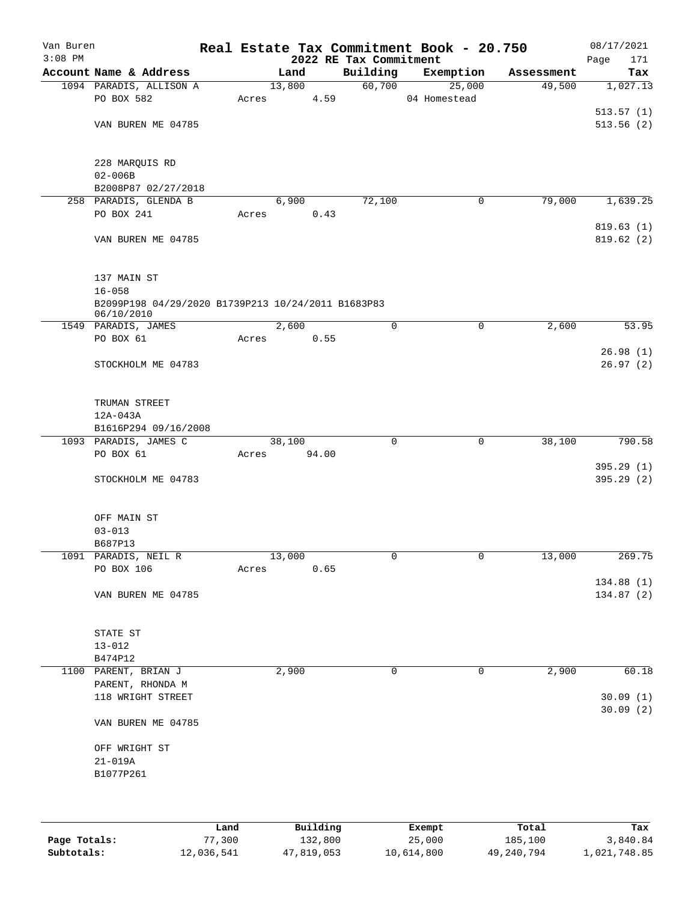| Van Buren |                                                                  |             |        |                       |                                    | Real Estate Tax Commitment Book - 20.750 |            | 08/17/2021               |
|-----------|------------------------------------------------------------------|-------------|--------|-----------------------|------------------------------------|------------------------------------------|------------|--------------------------|
| $3:08$ PM | Account Name & Address                                           |             | Land   |                       | 2022 RE Tax Commitment<br>Building | Exemption                                | Assessment | 171<br>Page<br>Tax       |
|           | 1094 PARADIS, ALLISON A                                          |             | 13,800 |                       | 60,700                             | 25,000                                   | 49,500     | 1,027.13                 |
|           | PO BOX 582                                                       | Acres       |        | 4.59                  |                                    | 04 Homestead                             |            |                          |
|           |                                                                  |             |        |                       |                                    |                                          |            | 513.57(1)                |
|           | VAN BUREN ME 04785                                               |             |        |                       |                                    |                                          |            | 513.56(2)                |
|           | 228 MARQUIS RD                                                   |             |        |                       |                                    |                                          |            |                          |
|           | $02 - 006B$                                                      |             |        |                       |                                    |                                          |            |                          |
|           | B2008P87 02/27/2018                                              |             |        |                       |                                    |                                          |            |                          |
|           | 258 PARADIS, GLENDA B                                            |             | 6,900  |                       | 72,100                             | 0                                        | 79,000     | 1,639.25                 |
|           | PO BOX 241                                                       | Acres       |        | 0.43                  |                                    |                                          |            |                          |
|           | VAN BUREN ME 04785                                               |             |        |                       |                                    |                                          |            | 819.63 (1)<br>819.62 (2) |
|           |                                                                  |             |        |                       |                                    |                                          |            |                          |
|           | 137 MAIN ST<br>$16 - 058$                                        |             |        |                       |                                    |                                          |            |                          |
|           | B2099P198 04/29/2020 B1739P213 10/24/2011 B1683P83<br>06/10/2010 |             |        |                       |                                    |                                          |            |                          |
|           | 1549 PARADIS, JAMES                                              |             | 2,600  |                       | $\mathbf 0$                        | 0                                        | 2,600      | 53.95                    |
|           | PO BOX 61                                                        | Acres       |        | 0.55                  |                                    |                                          |            |                          |
|           | STOCKHOLM ME 04783                                               |             |        |                       |                                    |                                          |            | 26.98(1)<br>26.97(2)     |
|           | TRUMAN STREET                                                    |             |        |                       |                                    |                                          |            |                          |
|           | 12A-043A                                                         |             |        |                       |                                    |                                          |            |                          |
|           | B1616P294 09/16/2008                                             |             |        |                       |                                    |                                          |            |                          |
|           | 1093 PARADIS, JAMES C                                            |             | 38,100 |                       | $\mathbf 0$                        | $\mathbf 0$                              | 38,100     | 790.58                   |
|           | PO BOX 61                                                        | Acres       |        | 94.00                 |                                    |                                          |            |                          |
|           | STOCKHOLM ME 04783                                               |             |        |                       |                                    |                                          |            | 395.29(1)<br>395.29(2)   |
|           |                                                                  |             |        |                       |                                    |                                          |            |                          |
|           | OFF MAIN ST                                                      |             |        |                       |                                    |                                          |            |                          |
|           | $03 - 013$                                                       |             |        |                       |                                    |                                          |            |                          |
|           | B687P13<br>1091 PARADIS, NEIL R                                  |             | 13,000 |                       | 0                                  | 0                                        | 13,000     | 269.75                   |
|           | PO BOX 106                                                       | Acres       |        | 0.65                  |                                    |                                          |            |                          |
|           |                                                                  |             |        |                       |                                    |                                          |            | 134.88(1)                |
|           | VAN BUREN ME 04785                                               |             |        |                       |                                    |                                          |            | 134.87(2)                |
|           | STATE ST                                                         |             |        |                       |                                    |                                          |            |                          |
|           | $13 - 012$                                                       |             |        |                       |                                    |                                          |            |                          |
|           | B474P12                                                          |             |        |                       |                                    |                                          |            |                          |
|           | 1100 PARENT, BRIAN J                                             |             | 2,900  |                       | 0                                  | 0                                        | 2,900      | 60.18                    |
|           | PARENT, RHONDA M<br>118 WRIGHT STREET                            |             |        |                       |                                    |                                          |            | 30.09(1)                 |
|           | VAN BUREN ME 04785                                               |             |        |                       |                                    |                                          |            | 30.09(2)                 |
|           | OFF WRIGHT ST                                                    |             |        |                       |                                    |                                          |            |                          |
|           | $21 - 019A$                                                      |             |        |                       |                                    |                                          |            |                          |
|           | B1077P261                                                        |             |        |                       |                                    |                                          |            |                          |
|           |                                                                  |             |        |                       |                                    |                                          |            |                          |
|           |                                                                  | <b>Tand</b> |        | $P_{\text{u}}$ ilding |                                    | $F$ vomnt                                | $T$ otal   |                          |

|              | Land       | Building   | Exempt     | Total      | Tax          |
|--------------|------------|------------|------------|------------|--------------|
| Page Totals: | 77,300     | 132,800    | 25,000     | 185,100    | 3,840.84     |
| Subtotals:   | 12,036,541 | 47,819,053 | 10,614,800 | 49,240,794 | 1,021,748.85 |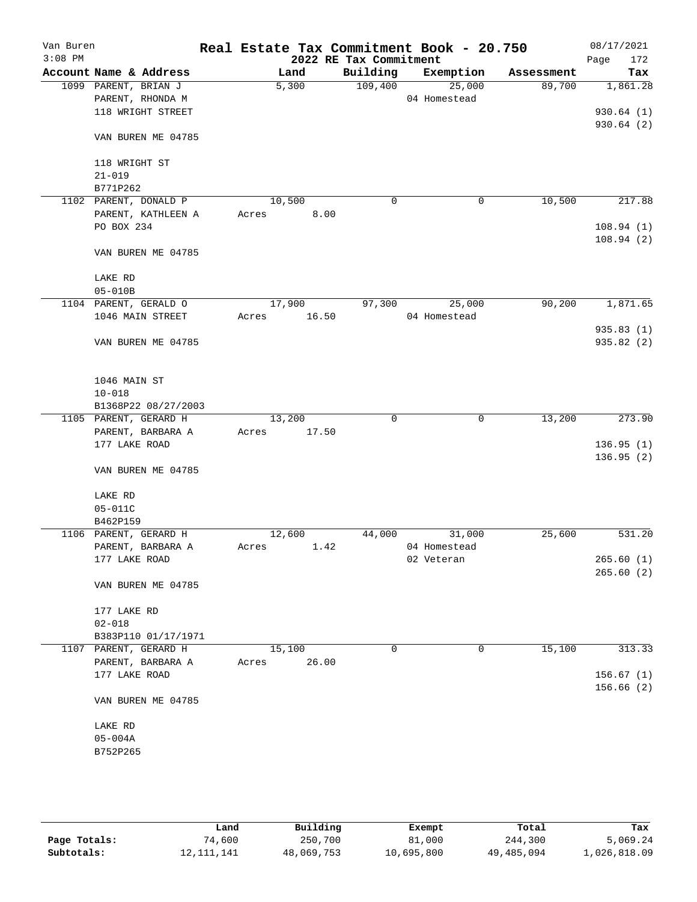| Van Buren<br>$3:08$ PM |                        |       |        | 2022 RE Tax Commitment | Real Estate Tax Commitment Book - 20.750 |            | 08/17/2021<br>172<br>Page |
|------------------------|------------------------|-------|--------|------------------------|------------------------------------------|------------|---------------------------|
|                        | Account Name & Address |       | Land   | Building               | Exemption                                | Assessment | Tax                       |
|                        | 1099 PARENT, BRIAN J   |       | 5,300  | 109,400                | 25,000                                   | 89,700     | 1,861.28                  |
|                        | PARENT, RHONDA M       |       |        |                        | 04 Homestead                             |            |                           |
|                        | 118 WRIGHT STREET      |       |        |                        |                                          |            | 930.64(1)                 |
|                        | VAN BUREN ME 04785     |       |        |                        |                                          |            | 930.64(2)                 |
|                        | 118 WRIGHT ST          |       |        |                        |                                          |            |                           |
|                        | $21 - 019$             |       |        |                        |                                          |            |                           |
|                        | B771P262               |       |        |                        |                                          |            |                           |
|                        | 1102 PARENT, DONALD P  |       | 10,500 | 0                      | 0                                        | 10,500     | 217.88                    |
|                        | PARENT, KATHLEEN A     | Acres | 8.00   |                        |                                          |            |                           |
|                        | PO BOX 234             |       |        |                        |                                          |            | 108.94(1)                 |
|                        | VAN BUREN ME 04785     |       |        |                        |                                          |            | 108.94(2)                 |
|                        | LAKE RD                |       |        |                        |                                          |            |                           |
|                        | $05 - 010B$            |       |        |                        |                                          |            |                           |
|                        | 1104 PARENT, GERALD O  |       | 17,900 | 97,300                 | 25,000                                   | 90,200     | 1,871.65                  |
|                        | 1046 MAIN STREET       | Acres | 16.50  |                        | 04 Homestead                             |            |                           |
|                        |                        |       |        |                        |                                          |            | 935.83(1)                 |
|                        | VAN BUREN ME 04785     |       |        |                        |                                          |            | 935.82 (2)                |
|                        | 1046 MAIN ST           |       |        |                        |                                          |            |                           |
|                        | $10 - 018$             |       |        |                        |                                          |            |                           |
|                        | B1368P22 08/27/2003    |       |        |                        |                                          |            |                           |
|                        | 1105 PARENT, GERARD H  |       | 13,200 | 0                      | 0                                        | 13,200     | 273.90                    |
|                        | PARENT, BARBARA A      | Acres | 17.50  |                        |                                          |            |                           |
|                        | 177 LAKE ROAD          |       |        |                        |                                          |            | 136.95(1)                 |
|                        | VAN BUREN ME 04785     |       |        |                        |                                          |            | 136.95(2)                 |
|                        | LAKE RD                |       |        |                        |                                          |            |                           |
|                        | $05 - 011C$            |       |        |                        |                                          |            |                           |
|                        | B462P159               |       |        |                        |                                          |            |                           |
|                        | 1106 PARENT, GERARD H  |       | 12,600 | 44,000                 | 31,000                                   | 25,600     | 531.20                    |
|                        | PARENT, BARBARA A      | Acres | 1.42   |                        | 04 Homestead                             |            |                           |
|                        | 177 LAKE ROAD          |       |        |                        | 02 Veteran                               |            | 265.60(1)                 |
|                        |                        |       |        |                        |                                          |            | 265.60(2)                 |
|                        | VAN BUREN ME 04785     |       |        |                        |                                          |            |                           |
|                        | 177 LAKE RD            |       |        |                        |                                          |            |                           |
|                        | $02 - 018$             |       |        |                        |                                          |            |                           |
|                        | B383P110 01/17/1971    |       |        |                        |                                          |            |                           |
|                        | 1107 PARENT, GERARD H  |       | 15,100 | 0                      | $\mathbf 0$                              | 15,100     | 313.33                    |
|                        | PARENT, BARBARA A      | Acres | 26.00  |                        |                                          |            |                           |
|                        | 177 LAKE ROAD          |       |        |                        |                                          |            | 156.67(1)                 |
|                        | VAN BUREN ME 04785     |       |        |                        |                                          |            | 156.66 (2)                |
|                        |                        |       |        |                        |                                          |            |                           |
|                        | LAKE RD                |       |        |                        |                                          |            |                           |
|                        | $05 - 004A$            |       |        |                        |                                          |            |                           |
|                        | B752P265               |       |        |                        |                                          |            |                           |
|                        |                        |       |        |                        |                                          |            |                           |
|                        |                        |       |        |                        |                                          |            |                           |

|              | Land         | Building   | Exempt     | Total      | Tax          |
|--------------|--------------|------------|------------|------------|--------------|
| Page Totals: | 74,600       | 250,700    | 81,000     | 244,300    | 5,069.24     |
| Subtotals:   | 12, 111, 141 | 48,069,753 | 10,695,800 | 49,485,094 | 1,026,818.09 |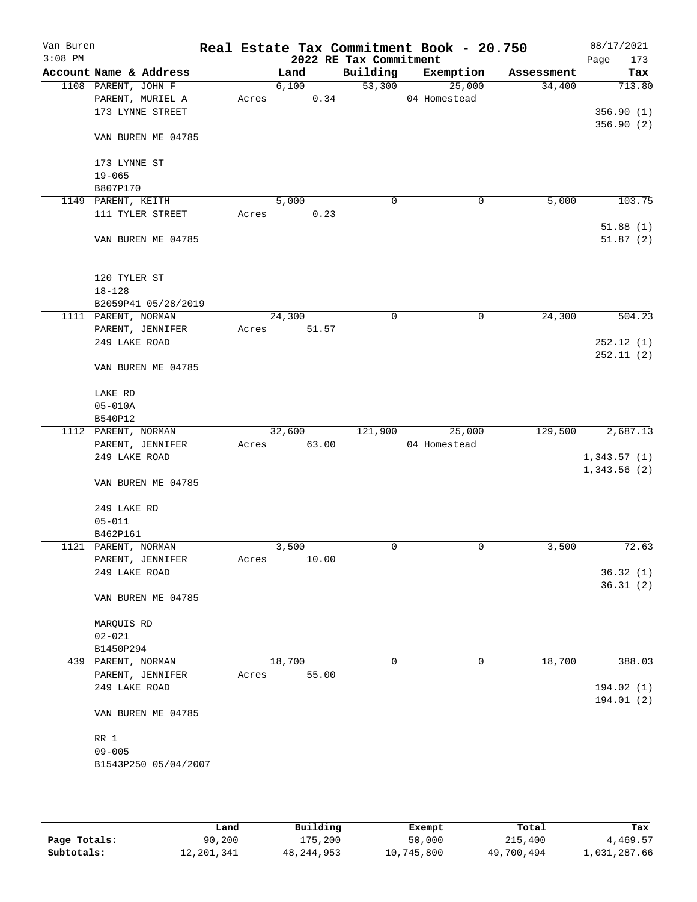| Van Buren<br>$3:08$ PM |                        |       |        |       | 2022 RE Tax Commitment | Real Estate Tax Commitment Book - 20.750 |            | 08/17/2021<br>173    |
|------------------------|------------------------|-------|--------|-------|------------------------|------------------------------------------|------------|----------------------|
|                        | Account Name & Address |       | Land   |       | Building               | Exemption                                | Assessment | Page<br>Tax          |
|                        | 1108 PARENT, JOHN F    |       | 6,100  |       | 53,300                 | 25,000                                   | 34,400     | 713.80               |
|                        | PARENT, MURIEL A       | Acres |        | 0.34  |                        | 04 Homestead                             |            |                      |
|                        | 173 LYNNE STREET       |       |        |       |                        |                                          |            | 356.90(1)            |
|                        |                        |       |        |       |                        |                                          |            | 356.90(2)            |
|                        | VAN BUREN ME 04785     |       |        |       |                        |                                          |            |                      |
|                        | 173 LYNNE ST           |       |        |       |                        |                                          |            |                      |
|                        | $19 - 065$             |       |        |       |                        |                                          |            |                      |
|                        | B807P170               |       |        |       |                        |                                          |            |                      |
|                        | 1149 PARENT, KEITH     |       | 5,000  |       | 0                      | 0                                        | 5,000      | 103.75               |
|                        | 111 TYLER STREET       | Acres |        | 0.23  |                        |                                          |            |                      |
|                        | VAN BUREN ME 04785     |       |        |       |                        |                                          |            | 51.88(1)<br>51.87(2) |
|                        | 120 TYLER ST           |       |        |       |                        |                                          |            |                      |
|                        | $18 - 128$             |       |        |       |                        |                                          |            |                      |
|                        | B2059P41 05/28/2019    |       |        |       |                        |                                          |            |                      |
|                        | 1111 PARENT, NORMAN    |       | 24,300 |       | 0                      | 0                                        | 24,300     | 504.23               |
|                        | PARENT, JENNIFER       | Acres |        | 51.57 |                        |                                          |            |                      |
|                        | 249 LAKE ROAD          |       |        |       |                        |                                          |            | 252.12(1)            |
|                        |                        |       |        |       |                        |                                          |            | 252.11(2)            |
|                        | VAN BUREN ME 04785     |       |        |       |                        |                                          |            |                      |
|                        | LAKE RD                |       |        |       |                        |                                          |            |                      |
|                        | $05 - 010A$            |       |        |       |                        |                                          |            |                      |
|                        | B540P12                |       |        |       |                        |                                          |            |                      |
|                        | 1112 PARENT, NORMAN    |       | 32,600 |       | 121,900                | 25,000                                   | 129,500    | 2,687.13             |
|                        | PARENT, JENNIFER       | Acres |        | 63.00 |                        | 04 Homestead                             |            |                      |
|                        | 249 LAKE ROAD          |       |        |       |                        |                                          |            | 1,343.57(1)          |
|                        | VAN BUREN ME 04785     |       |        |       |                        |                                          |            | 1,343.56 (2)         |
|                        |                        |       |        |       |                        |                                          |            |                      |
|                        | 249 LAKE RD            |       |        |       |                        |                                          |            |                      |
|                        | $05 - 011$             |       |        |       |                        |                                          |            |                      |
|                        | B462P161               |       |        |       |                        |                                          |            |                      |
|                        | 1121 PARENT, NORMAN    |       | 3,500  |       | $\mathbf 0$            | $\mathbf 0$                              | 3,500      | 72.63                |
|                        | PARENT, JENNIFER       | Acres |        | 10.00 |                        |                                          |            |                      |
|                        | 249 LAKE ROAD          |       |        |       |                        |                                          |            | 36.32(1)             |
|                        | VAN BUREN ME 04785     |       |        |       |                        |                                          |            | 36.31(2)             |
|                        |                        |       |        |       |                        |                                          |            |                      |
|                        | MARQUIS RD             |       |        |       |                        |                                          |            |                      |
|                        | $02 - 021$             |       |        |       |                        |                                          |            |                      |
|                        | B1450P294              |       |        |       |                        |                                          |            |                      |
|                        | 439 PARENT, NORMAN     |       | 18,700 |       | $\mathbf 0$            | $\mathbf 0$                              | 18,700     | 388.03               |
|                        | PARENT, JENNIFER       | Acres |        | 55.00 |                        |                                          |            |                      |
|                        | 249 LAKE ROAD          |       |        |       |                        |                                          |            | 194.02 (1)           |
|                        | VAN BUREN ME 04785     |       |        |       |                        |                                          |            | 194.01 (2)           |
|                        |                        |       |        |       |                        |                                          |            |                      |
|                        | RR 1                   |       |        |       |                        |                                          |            |                      |
|                        | $09 - 005$             |       |        |       |                        |                                          |            |                      |
|                        | B1543P250 05/04/2007   |       |        |       |                        |                                          |            |                      |
|                        |                        |       |        |       |                        |                                          |            |                      |
|                        |                        |       |        |       |                        |                                          |            |                      |

|              | Land       | Building     | Exempt     | Total      | Tax          |
|--------------|------------|--------------|------------|------------|--------------|
| Page Totals: | 90,200     | 175,200      | 50,000     | 215,400    | 4,469.57     |
| Subtotals:   | 12,201,341 | 48, 244, 953 | 10,745,800 | 49,700,494 | 1,031,287.66 |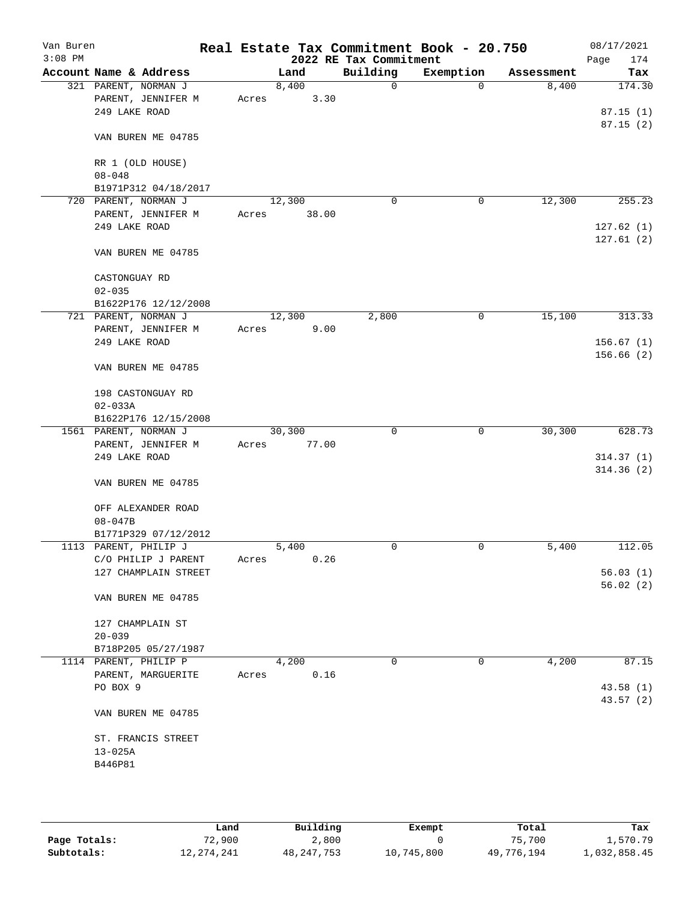| Van Buren<br>$3:08$ PM |                        |       |        |       | 2022 RE Tax Commitment | Real Estate Tax Commitment Book - 20.750 |            | 08/17/2021<br>Page<br>174 |
|------------------------|------------------------|-------|--------|-------|------------------------|------------------------------------------|------------|---------------------------|
|                        | Account Name & Address |       | Land   |       | Building               | Exemption                                | Assessment | Tax                       |
|                        | 321 PARENT, NORMAN J   |       | 8,400  |       | $\mathsf{O}$           | $\mathbf 0$                              | 8,400      | 174.30                    |
|                        | PARENT, JENNIFER M     | Acres |        | 3.30  |                        |                                          |            |                           |
|                        | 249 LAKE ROAD          |       |        |       |                        |                                          |            | 87.15(1)                  |
|                        |                        |       |        |       |                        |                                          |            | 87.15(2)                  |
|                        | VAN BUREN ME 04785     |       |        |       |                        |                                          |            |                           |
|                        |                        |       |        |       |                        |                                          |            |                           |
|                        | RR 1 (OLD HOUSE)       |       |        |       |                        |                                          |            |                           |
|                        | $08 - 048$             |       |        |       |                        |                                          |            |                           |
|                        | B1971P312 04/18/2017   |       |        |       |                        |                                          |            |                           |
|                        | 720 PARENT, NORMAN J   |       | 12,300 |       | 0                      | 0                                        | 12,300     | 255.23                    |
|                        | PARENT, JENNIFER M     | Acres |        | 38.00 |                        |                                          |            |                           |
|                        |                        |       |        |       |                        |                                          |            |                           |
|                        | 249 LAKE ROAD          |       |        |       |                        |                                          |            | 127.62(1)                 |
|                        |                        |       |        |       |                        |                                          |            | 127.61(2)                 |
|                        | VAN BUREN ME 04785     |       |        |       |                        |                                          |            |                           |
|                        |                        |       |        |       |                        |                                          |            |                           |
|                        | CASTONGUAY RD          |       |        |       |                        |                                          |            |                           |
|                        | $02 - 035$             |       |        |       |                        |                                          |            |                           |
|                        | B1622P176 12/12/2008   |       |        |       |                        |                                          |            |                           |
|                        | 721 PARENT, NORMAN J   |       | 12,300 |       | 2,800                  | 0                                        | 15,100     | 313.33                    |
|                        | PARENT, JENNIFER M     | Acres |        | 9.00  |                        |                                          |            |                           |
|                        | 249 LAKE ROAD          |       |        |       |                        |                                          |            | 156.67(1)                 |
|                        |                        |       |        |       |                        |                                          |            | 156.66(2)                 |
|                        | VAN BUREN ME 04785     |       |        |       |                        |                                          |            |                           |
|                        |                        |       |        |       |                        |                                          |            |                           |
|                        | 198 CASTONGUAY RD      |       |        |       |                        |                                          |            |                           |
|                        | $02 - 033A$            |       |        |       |                        |                                          |            |                           |
|                        | B1622P176 12/15/2008   |       |        |       |                        |                                          |            |                           |
|                        | 1561 PARENT, NORMAN J  |       | 30,300 |       | $\mathbf 0$            | $\mathbf 0$                              | 30,300     | 628.73                    |
|                        | PARENT, JENNIFER M     |       |        | 77.00 |                        |                                          |            |                           |
|                        |                        | Acres |        |       |                        |                                          |            |                           |
|                        | 249 LAKE ROAD          |       |        |       |                        |                                          |            | 314.37(1)                 |
|                        |                        |       |        |       |                        |                                          |            | 314.36(2)                 |
|                        | VAN BUREN ME 04785     |       |        |       |                        |                                          |            |                           |
|                        |                        |       |        |       |                        |                                          |            |                           |
|                        | OFF ALEXANDER ROAD     |       |        |       |                        |                                          |            |                           |
|                        | $08 - 047B$            |       |        |       |                        |                                          |            |                           |
|                        | B1771P329 07/12/2012   |       |        |       |                        |                                          |            |                           |
|                        | 1113 PARENT, PHILIP J  |       | 5,400  |       | 0                      | 0                                        | 5,400      | 112.05                    |
|                        | C/O PHILIP J PARENT    | Acres |        | 0.26  |                        |                                          |            |                           |
|                        | 127 CHAMPLAIN STREET   |       |        |       |                        |                                          |            | 56.03(1)                  |
|                        |                        |       |        |       |                        |                                          |            | 56.02(2)                  |
|                        | VAN BUREN ME 04785     |       |        |       |                        |                                          |            |                           |
|                        |                        |       |        |       |                        |                                          |            |                           |
|                        | 127 CHAMPLAIN ST       |       |        |       |                        |                                          |            |                           |
|                        | $20 - 039$             |       |        |       |                        |                                          |            |                           |
|                        | B718P205 05/27/1987    |       |        |       |                        |                                          |            |                           |
|                        | 1114 PARENT, PHILIP P  |       | 4,200  |       | 0                      | 0                                        | 4,200      | 87.15                     |
|                        | PARENT, MARGUERITE     | Acres |        | 0.16  |                        |                                          |            |                           |
|                        | PO BOX 9               |       |        |       |                        |                                          |            | 43.58 (1)                 |
|                        |                        |       |        |       |                        |                                          |            |                           |
|                        |                        |       |        |       |                        |                                          |            | 43.57(2)                  |
|                        | VAN BUREN ME 04785     |       |        |       |                        |                                          |            |                           |
|                        |                        |       |        |       |                        |                                          |            |                           |
|                        | ST. FRANCIS STREET     |       |        |       |                        |                                          |            |                           |
|                        | $13 - 025A$            |       |        |       |                        |                                          |            |                           |
|                        | B446P81                |       |        |       |                        |                                          |            |                           |
|                        |                        |       |        |       |                        |                                          |            |                           |
|                        |                        |       |        |       |                        |                                          |            |                           |

|              | Land       | Building     | Exempt     | Total      | Tax          |
|--------------|------------|--------------|------------|------------|--------------|
| Page Totals: | 72,900     | 2,800        |            | 75,700     | 1,570.79     |
| Subtotals:   | 12,274,241 | 48, 247, 753 | 10,745,800 | 49,776,194 | 1,032,858.45 |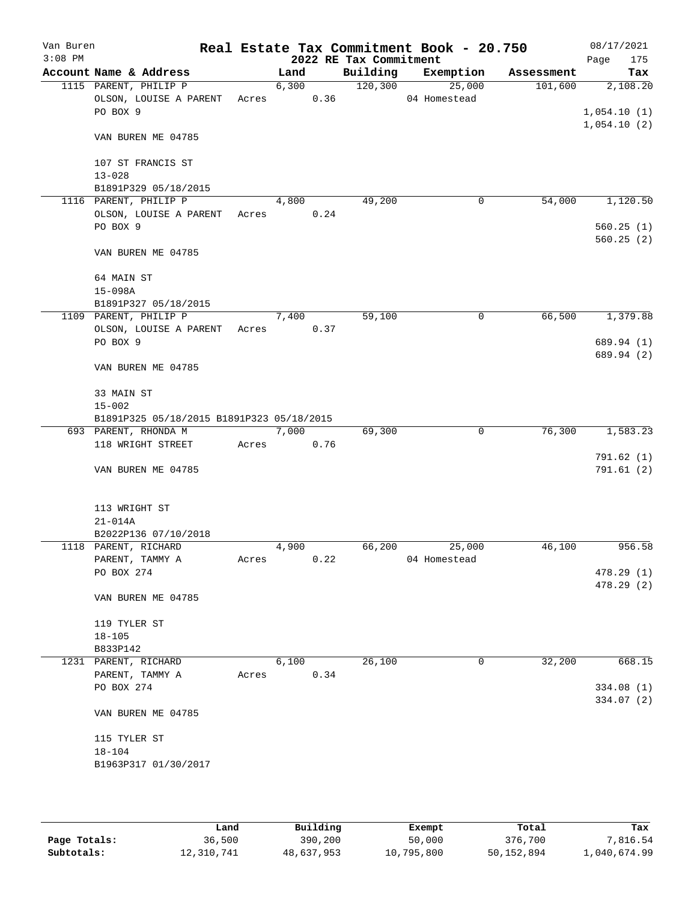| Van Buren<br>$3:08$ PM |                                           |       |       |      | 2022 RE Tax Commitment | Real Estate Tax Commitment Book - 20.750 |            | 08/17/2021<br>175 |
|------------------------|-------------------------------------------|-------|-------|------|------------------------|------------------------------------------|------------|-------------------|
|                        | Account Name & Address                    |       | Land  |      | Building               | Exemption                                | Assessment | Page<br>Tax       |
|                        | 1115 PARENT, PHILIP P                     |       | 6,300 |      | 120, 300               | 25,000                                   | 101,600    | 2,108.20          |
|                        | OLSON, LOUISE A PARENT                    | Acres |       | 0.36 |                        | 04 Homestead                             |            |                   |
|                        | PO BOX 9                                  |       |       |      |                        |                                          |            | 1,054.10(1)       |
|                        |                                           |       |       |      |                        |                                          |            | 1,054.10(2)       |
|                        | VAN BUREN ME 04785                        |       |       |      |                        |                                          |            |                   |
|                        |                                           |       |       |      |                        |                                          |            |                   |
|                        | 107 ST FRANCIS ST                         |       |       |      |                        |                                          |            |                   |
|                        | $13 - 028$                                |       |       |      |                        |                                          |            |                   |
|                        | B1891P329 05/18/2015                      |       |       |      |                        |                                          |            |                   |
|                        | 1116 PARENT, PHILIP P                     |       | 4,800 |      | 49,200                 | 0                                        | 54,000     | 1,120.50          |
|                        | OLSON, LOUISE A PARENT                    | Acres |       | 0.24 |                        |                                          |            |                   |
|                        | PO BOX 9                                  |       |       |      |                        |                                          |            | 560.25(1)         |
|                        |                                           |       |       |      |                        |                                          |            | 560.25(2)         |
|                        | VAN BUREN ME 04785                        |       |       |      |                        |                                          |            |                   |
|                        | 64 MAIN ST                                |       |       |      |                        |                                          |            |                   |
|                        |                                           |       |       |      |                        |                                          |            |                   |
|                        | $15 - 098A$<br>B1891P327 05/18/2015       |       |       |      |                        |                                          |            |                   |
|                        | 1109 PARENT, PHILIP P                     |       | 7,400 |      | 59,100                 | 0                                        | 66,500     | 1,379.88          |
|                        | OLSON, LOUISE A PARENT                    | Acres |       | 0.37 |                        |                                          |            |                   |
|                        | PO BOX 9                                  |       |       |      |                        |                                          |            | 689.94 (1)        |
|                        |                                           |       |       |      |                        |                                          |            | 689.94 (2)        |
|                        | VAN BUREN ME 04785                        |       |       |      |                        |                                          |            |                   |
|                        |                                           |       |       |      |                        |                                          |            |                   |
|                        | 33 MAIN ST                                |       |       |      |                        |                                          |            |                   |
|                        | $15 - 002$                                |       |       |      |                        |                                          |            |                   |
|                        | B1891P325 05/18/2015 B1891P323 05/18/2015 |       |       |      |                        |                                          |            |                   |
|                        | 693 PARENT, RHONDA M                      |       | 7,000 |      | 69,300                 | 0                                        | 76,300     | 1,583.23          |
|                        | 118 WRIGHT STREET                         | Acres |       | 0.76 |                        |                                          |            |                   |
|                        |                                           |       |       |      |                        |                                          |            | 791.62(1)         |
|                        | VAN BUREN ME 04785                        |       |       |      |                        |                                          |            | 791.61 (2)        |
|                        |                                           |       |       |      |                        |                                          |            |                   |
|                        |                                           |       |       |      |                        |                                          |            |                   |
|                        | 113 WRIGHT ST                             |       |       |      |                        |                                          |            |                   |
|                        | $21 - 014A$                               |       |       |      |                        |                                          |            |                   |
|                        | B2022P136 07/10/2018                      |       | 4,900 |      | 66,200                 | 25,000                                   | 46,100     | 956.58            |
|                        | 1118 PARENT, RICHARD<br>PARENT, TAMMY A   | Acres |       | 0.22 |                        | 04 Homestead                             |            |                   |
|                        | PO BOX 274                                |       |       |      |                        |                                          |            | 478.29(1)         |
|                        |                                           |       |       |      |                        |                                          |            | 478.29 (2)        |
|                        | VAN BUREN ME 04785                        |       |       |      |                        |                                          |            |                   |
|                        |                                           |       |       |      |                        |                                          |            |                   |
|                        | 119 TYLER ST                              |       |       |      |                        |                                          |            |                   |
|                        | $18 - 105$                                |       |       |      |                        |                                          |            |                   |
|                        | B833P142                                  |       |       |      |                        |                                          |            |                   |
|                        | 1231 PARENT, RICHARD                      |       | 6,100 |      | 26,100                 | $\mathbf 0$                              | 32,200     | 668.15            |
|                        | PARENT, TAMMY A                           | Acres |       | 0.34 |                        |                                          |            |                   |
|                        | PO BOX 274                                |       |       |      |                        |                                          |            | 334.08 (1)        |
|                        |                                           |       |       |      |                        |                                          |            | 334.07 (2)        |
|                        | VAN BUREN ME 04785                        |       |       |      |                        |                                          |            |                   |
|                        |                                           |       |       |      |                        |                                          |            |                   |
|                        | 115 TYLER ST                              |       |       |      |                        |                                          |            |                   |
|                        | $18 - 104$                                |       |       |      |                        |                                          |            |                   |
|                        | B1963P317 01/30/2017                      |       |       |      |                        |                                          |            |                   |
|                        |                                           |       |       |      |                        |                                          |            |                   |
|                        |                                           |       |       |      |                        |                                          |            |                   |

|              | Land       | Building   | Exempt     | Total      | Tax          |
|--------------|------------|------------|------------|------------|--------------|
| Page Totals: | 36,500     | 390,200    | 50,000     | 376,700    | 7,816.54     |
| Subtotals:   | 12,310,741 | 48,637,953 | 10,795,800 | 50,152,894 | 1,040,674.99 |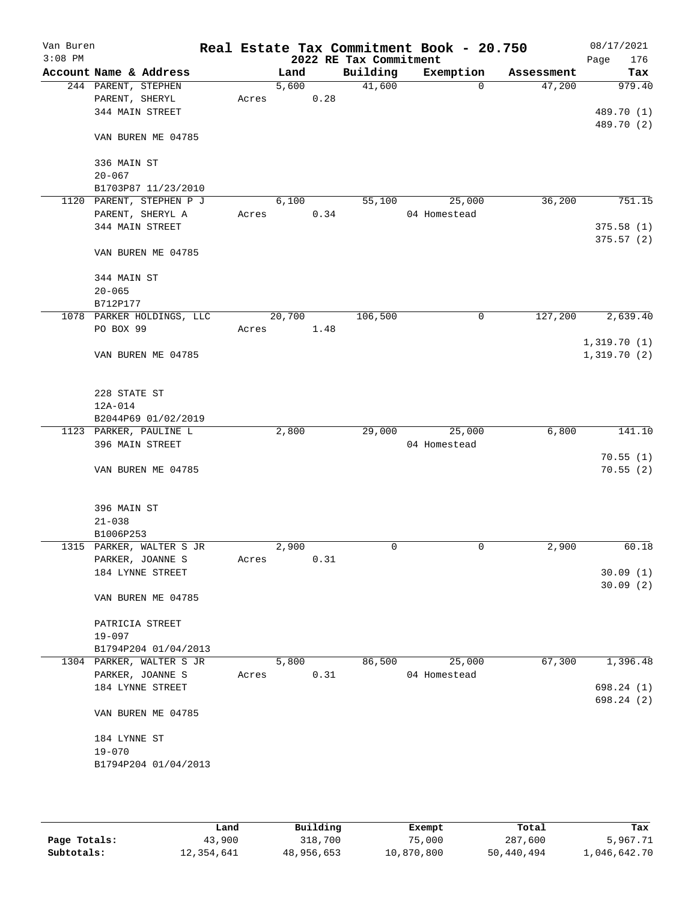| Van Buren<br>$3:08$ PM |                           |       |        |      | 2022 RE Tax Commitment | Real Estate Tax Commitment Book - 20.750 |                        | 08/17/2021<br>176<br>Page |
|------------------------|---------------------------|-------|--------|------|------------------------|------------------------------------------|------------------------|---------------------------|
|                        | Account Name & Address    |       | Land   |      | Building               | Exemption                                | Assessment             | Tax                       |
|                        | 244 PARENT, STEPHEN       |       | 5,600  |      | 41,600                 |                                          | $\Omega$<br>47,200     | 979.40                    |
|                        | PARENT, SHERYL            | Acres |        | 0.28 |                        |                                          |                        |                           |
|                        | 344 MAIN STREET           |       |        |      |                        |                                          |                        | 489.70 (1)                |
|                        |                           |       |        |      |                        |                                          |                        | 489.70 (2)                |
|                        | VAN BUREN ME 04785        |       |        |      |                        |                                          |                        |                           |
|                        | 336 MAIN ST               |       |        |      |                        |                                          |                        |                           |
|                        | $20 - 067$                |       |        |      |                        |                                          |                        |                           |
|                        | B1703P87 11/23/2010       |       |        |      |                        |                                          |                        |                           |
|                        | 1120 PARENT, STEPHEN P J  |       | 6,100  |      | 55,100                 | 25,000                                   | 36,200                 | 751.15                    |
|                        | PARENT, SHERYL A          | Acres |        | 0.34 |                        | 04 Homestead                             |                        |                           |
|                        | 344 MAIN STREET           |       |        |      |                        |                                          |                        | 375.58(1)                 |
|                        | VAN BUREN ME 04785        |       |        |      |                        |                                          |                        | 375.57(2)                 |
|                        | 344 MAIN ST               |       |        |      |                        |                                          |                        |                           |
|                        | $20 - 065$                |       |        |      |                        |                                          |                        |                           |
|                        | B712P177                  |       |        |      |                        |                                          |                        |                           |
|                        | 1078 PARKER HOLDINGS, LLC |       | 20,700 |      | 106,500                |                                          | $\mathbf 0$<br>127,200 | 2,639.40                  |
|                        | PO BOX 99                 | Acres |        | 1.48 |                        |                                          |                        |                           |
|                        |                           |       |        |      |                        |                                          |                        | 1,319.70(1)               |
|                        | VAN BUREN ME 04785        |       |        |      |                        |                                          |                        | 1,319.70(2)               |
|                        | 228 STATE ST              |       |        |      |                        |                                          |                        |                           |
|                        | 12A-014                   |       |        |      |                        |                                          |                        |                           |
|                        | B2044P69 01/02/2019       |       |        |      |                        |                                          |                        |                           |
|                        | 1123 PARKER, PAULINE L    |       | 2,800  |      | 29,000                 | 25,000                                   | 6,800                  | 141.10                    |
|                        | 396 MAIN STREET           |       |        |      |                        | 04 Homestead                             |                        |                           |
|                        |                           |       |        |      |                        |                                          |                        | 70.55(1)                  |
|                        | VAN BUREN ME 04785        |       |        |      |                        |                                          |                        | 70.55(2)                  |
|                        | 396 MAIN ST               |       |        |      |                        |                                          |                        |                           |
|                        | $21 - 038$                |       |        |      |                        |                                          |                        |                           |
|                        | B1006P253                 |       |        |      |                        |                                          |                        |                           |
|                        | 1315 PARKER, WALTER S JR  |       | 2,900  |      | 0                      |                                          | 2,900<br>$\mathbf 0$   | 60.18                     |
|                        | PARKER, JOANNE S          | Acres |        | 0.31 |                        |                                          |                        |                           |
|                        | 184 LYNNE STREET          |       |        |      |                        |                                          |                        | 30.09(1)                  |
|                        | VAN BUREN ME 04785        |       |        |      |                        |                                          |                        | 30.09(2)                  |
|                        | PATRICIA STREET           |       |        |      |                        |                                          |                        |                           |
|                        | $19 - 097$                |       |        |      |                        |                                          |                        |                           |
|                        | B1794P204 01/04/2013      |       |        |      |                        |                                          |                        |                           |
|                        | 1304 PARKER, WALTER S JR  |       | 5,800  |      | 86,500                 | 25,000                                   | 67,300                 | 1,396.48                  |
|                        | PARKER, JOANNE S          | Acres |        | 0.31 |                        | 04 Homestead                             |                        |                           |
|                        | 184 LYNNE STREET          |       |        |      |                        |                                          |                        | 698.24(1)                 |
|                        |                           |       |        |      |                        |                                          |                        | 698.24(2)                 |
|                        | VAN BUREN ME 04785        |       |        |      |                        |                                          |                        |                           |
|                        | 184 LYNNE ST              |       |        |      |                        |                                          |                        |                           |
|                        | $19 - 070$                |       |        |      |                        |                                          |                        |                           |
|                        | B1794P204 01/04/2013      |       |        |      |                        |                                          |                        |                           |
|                        |                           |       |        |      |                        |                                          |                        |                           |
|                        |                           |       |        |      |                        |                                          |                        |                           |

|              | Land       | Building   | Exempt     | Total      | Tax          |
|--------------|------------|------------|------------|------------|--------------|
| Page Totals: | 43,900     | 318,700    | 75,000     | 287,600    | 5,967.71     |
| Subtotals:   | 12,354,641 | 48,956,653 | 10,870,800 | 50,440,494 | 1,046,642.70 |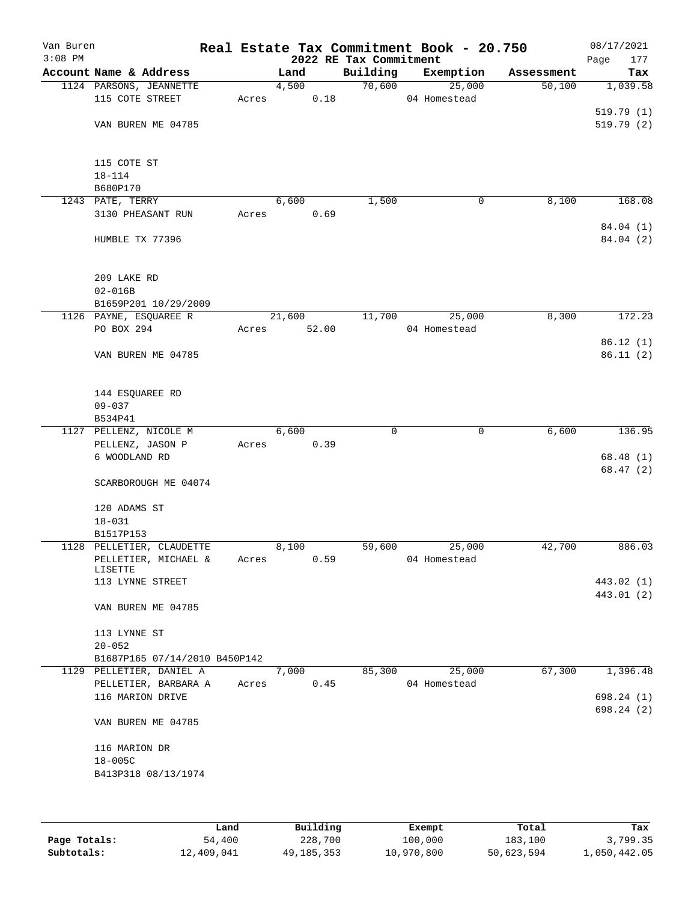| Van Buren |                               |       |        |       |                        | Real Estate Tax Commitment Book - 20.750 |            | 08/17/2021  |
|-----------|-------------------------------|-------|--------|-------|------------------------|------------------------------------------|------------|-------------|
| $3:08$ PM |                               |       |        |       | 2022 RE Tax Commitment |                                          |            | 177<br>Page |
|           | Account Name & Address        |       | Land   |       | Building               | Exemption                                | Assessment | Tax         |
|           | 1124 PARSONS, JEANNETTE       |       | 4,500  |       | 70,600                 | 25,000                                   | 50,100     | 1,039.58    |
|           | 115 COTE STREET               | Acres |        | 0.18  |                        | 04 Homestead                             |            |             |
|           |                               |       |        |       |                        |                                          |            | 519.79(1)   |
|           |                               |       |        |       |                        |                                          |            |             |
|           | VAN BUREN ME 04785            |       |        |       |                        |                                          |            | 519.79(2)   |
|           |                               |       |        |       |                        |                                          |            |             |
|           |                               |       |        |       |                        |                                          |            |             |
|           | 115 COTE ST                   |       |        |       |                        |                                          |            |             |
|           | $18 - 114$                    |       |        |       |                        |                                          |            |             |
|           | B680P170                      |       |        |       |                        |                                          |            |             |
|           | 1243 PATE, TERRY              |       | 6,600  |       | 1,500                  | 0                                        | 8,100      | 168.08      |
|           | 3130 PHEASANT RUN             | Acres |        | 0.69  |                        |                                          |            |             |
|           |                               |       |        |       |                        |                                          |            | 84.04 (1)   |
|           | HUMBLE TX 77396               |       |        |       |                        |                                          |            | 84.04 (2)   |
|           |                               |       |        |       |                        |                                          |            |             |
|           |                               |       |        |       |                        |                                          |            |             |
|           |                               |       |        |       |                        |                                          |            |             |
|           | 209 LAKE RD                   |       |        |       |                        |                                          |            |             |
|           | $02 - 016B$                   |       |        |       |                        |                                          |            |             |
|           | B1659P201 10/29/2009          |       |        |       |                        |                                          |            |             |
|           | 1126 PAYNE, ESQUAREE R        |       | 21,600 |       | 11,700                 | 25,000                                   | 8,300      | 172.23      |
|           | PO BOX 294                    | Acres |        | 52.00 |                        | 04 Homestead                             |            |             |
|           |                               |       |        |       |                        |                                          |            | 86.12(1)    |
|           | VAN BUREN ME 04785            |       |        |       |                        |                                          |            | 86.11(2)    |
|           |                               |       |        |       |                        |                                          |            |             |
|           |                               |       |        |       |                        |                                          |            |             |
|           |                               |       |        |       |                        |                                          |            |             |
|           | 144 ESQUAREE RD               |       |        |       |                        |                                          |            |             |
|           | $09 - 037$                    |       |        |       |                        |                                          |            |             |
|           | B534P41                       |       |        |       |                        |                                          |            |             |
|           | 1127 PELLENZ, NICOLE M        |       | 6,600  |       | 0                      | $\mathbf 0$                              | 6,600      | 136.95      |
|           | PELLENZ, JASON P              | Acres |        | 0.39  |                        |                                          |            |             |
|           | 6 WOODLAND RD                 |       |        |       |                        |                                          |            | 68.48(1)    |
|           |                               |       |        |       |                        |                                          |            | 68.47(2)    |
|           | SCARBOROUGH ME 04074          |       |        |       |                        |                                          |            |             |
|           |                               |       |        |       |                        |                                          |            |             |
|           | 120 ADAMS ST                  |       |        |       |                        |                                          |            |             |
|           |                               |       |        |       |                        |                                          |            |             |
|           | $18 - 031$                    |       |        |       |                        |                                          |            |             |
|           | B1517P153                     |       |        |       |                        |                                          |            |             |
|           | 1128 PELLETIER, CLAUDETTE     |       | 8,100  |       | 59,600                 | 25,000                                   | 42,700     | 886.03      |
|           | PELLETIER, MICHAEL &          | Acres |        | 0.59  |                        | 04 Homestead                             |            |             |
|           | LISETTE                       |       |        |       |                        |                                          |            |             |
|           | 113 LYNNE STREET              |       |        |       |                        |                                          |            | 443.02 (1)  |
|           |                               |       |        |       |                        |                                          |            | 443.01 (2)  |
|           | VAN BUREN ME 04785            |       |        |       |                        |                                          |            |             |
|           |                               |       |        |       |                        |                                          |            |             |
|           | 113 LYNNE ST                  |       |        |       |                        |                                          |            |             |
|           | $20 - 052$                    |       |        |       |                        |                                          |            |             |
|           | B1687P165 07/14/2010 B450P142 |       |        |       |                        |                                          |            |             |
|           | 1129 PELLETIER, DANIEL A      |       | 7,000  |       | 85,300                 | 25,000                                   | 67,300     | 1,396.48    |
|           |                               |       |        |       |                        |                                          |            |             |
|           | PELLETIER, BARBARA A          | Acres |        | 0.45  |                        | 04 Homestead                             |            |             |
|           | 116 MARION DRIVE              |       |        |       |                        |                                          |            | 698.24(1)   |
|           |                               |       |        |       |                        |                                          |            | 698.24(2)   |
|           | VAN BUREN ME 04785            |       |        |       |                        |                                          |            |             |
|           |                               |       |        |       |                        |                                          |            |             |
|           | 116 MARION DR                 |       |        |       |                        |                                          |            |             |
|           | $18 - 005C$                   |       |        |       |                        |                                          |            |             |
|           | B413P318 08/13/1974           |       |        |       |                        |                                          |            |             |
|           |                               |       |        |       |                        |                                          |            |             |
|           |                               |       |        |       |                        |                                          |            |             |
|           |                               |       |        |       |                        |                                          |            |             |

|              | Land       | Building     | Exempt     | Total      | Tax          |
|--------------|------------|--------------|------------|------------|--------------|
| Page Totals: | 54,400     | 228,700      | 100,000    | 183,100    | 3,799.35     |
| Subtotals:   | 12,409,041 | 49, 185, 353 | 10,970,800 | 50,623,594 | 1,050,442.05 |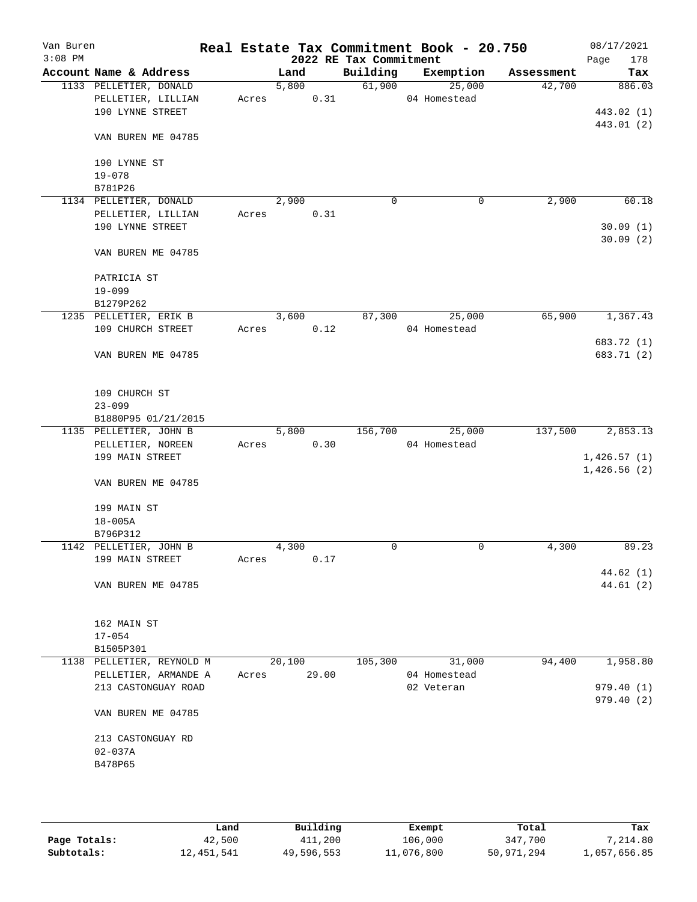| Van Buren<br>$3:08$ PM |                           |       |        |       | 2022 RE Tax Commitment | Real Estate Tax Commitment Book - 20.750 |            | 08/17/2021<br>178<br>Page |
|------------------------|---------------------------|-------|--------|-------|------------------------|------------------------------------------|------------|---------------------------|
|                        | Account Name & Address    |       | Land   |       | Building               | Exemption                                | Assessment | Tax                       |
|                        | 1133 PELLETIER, DONALD    |       | 5,800  |       | 61,900                 | 25,000                                   | 42,700     | 886.03                    |
|                        | PELLETIER, LILLIAN        | Acres |        | 0.31  |                        | 04 Homestead                             |            |                           |
|                        | 190 LYNNE STREET          |       |        |       |                        |                                          |            | 443.02 (1)                |
|                        | VAN BUREN ME 04785        |       |        |       |                        |                                          |            | 443.01 (2)                |
|                        | 190 LYNNE ST              |       |        |       |                        |                                          |            |                           |
|                        | $19 - 078$                |       |        |       |                        |                                          |            |                           |
|                        | B781P26                   |       |        |       |                        |                                          |            |                           |
|                        | 1134 PELLETIER, DONALD    |       | 2,900  |       | $\mathbf 0$            | $\mathbf 0$                              | 2,900      | 60.18                     |
|                        | PELLETIER, LILLIAN        | Acres |        | 0.31  |                        |                                          |            |                           |
|                        | 190 LYNNE STREET          |       |        |       |                        |                                          |            | 30.09(1)                  |
|                        | VAN BUREN ME 04785        |       |        |       |                        |                                          |            | 30.09(2)                  |
|                        | PATRICIA ST               |       |        |       |                        |                                          |            |                           |
|                        | $19 - 099$                |       |        |       |                        |                                          |            |                           |
|                        | B1279P262                 |       |        |       |                        |                                          |            |                           |
|                        | 1235 PELLETIER, ERIK B    |       | 3,600  |       | 87,300                 | 25,000                                   | 65,900     | 1,367.43                  |
|                        | 109 CHURCH STREET         | Acres |        | 0.12  |                        | 04 Homestead                             |            |                           |
|                        |                           |       |        |       |                        |                                          |            | 683.72 (1)                |
|                        | VAN BUREN ME 04785        |       |        |       |                        |                                          |            | 683.71 (2)                |
|                        | 109 CHURCH ST             |       |        |       |                        |                                          |            |                           |
|                        | $23 - 099$                |       |        |       |                        |                                          |            |                           |
|                        | B1880P95 01/21/2015       |       |        |       |                        |                                          |            |                           |
|                        | 1135 PELLETIER, JOHN B    |       | 5,800  |       | 156,700                | 25,000                                   | 137,500    | 2,853.13                  |
|                        | PELLETIER, NOREEN         | Acres |        | 0.30  |                        | 04 Homestead                             |            |                           |
|                        | 199 MAIN STREET           |       |        |       |                        |                                          |            | 1,426.57(1)               |
|                        | VAN BUREN ME 04785        |       |        |       |                        |                                          |            | 1,426.56(2)               |
|                        | 199 MAIN ST               |       |        |       |                        |                                          |            |                           |
|                        | $18 - 005A$               |       |        |       |                        |                                          |            |                           |
|                        | B796P312                  |       |        |       |                        |                                          |            |                           |
|                        | 1142 PELLETIER, JOHN B    |       | 4,300  |       | 0                      | 0                                        | 4,300      | 89.23                     |
|                        | 199 MAIN STREET           | Acres |        | 0.17  |                        |                                          |            | 44.62 (1)                 |
|                        | VAN BUREN ME 04785        |       |        |       |                        |                                          |            | 44.61 (2)                 |
|                        |                           |       |        |       |                        |                                          |            |                           |
|                        | 162 MAIN ST               |       |        |       |                        |                                          |            |                           |
|                        | $17 - 054$                |       |        |       |                        |                                          |            |                           |
|                        | B1505P301                 |       |        |       |                        |                                          |            |                           |
|                        | 1138 PELLETIER, REYNOLD M |       | 20,100 |       | 105,300                | 31,000                                   | 94,400     | 1,958.80                  |
|                        | PELLETIER, ARMANDE A      | Acres |        | 29.00 |                        | 04 Homestead                             |            |                           |
|                        | 213 CASTONGUAY ROAD       |       |        |       |                        | 02 Veteran                               |            | 979.40(1)                 |
|                        | VAN BUREN ME 04785        |       |        |       |                        |                                          |            | 979.40(2)                 |
|                        | 213 CASTONGUAY RD         |       |        |       |                        |                                          |            |                           |
|                        | $02 - 037A$               |       |        |       |                        |                                          |            |                           |
|                        | B478P65                   |       |        |       |                        |                                          |            |                           |
|                        |                           |       |        |       |                        |                                          |            |                           |
|                        |                           |       |        |       |                        |                                          |            |                           |
|                        |                           |       |        |       |                        |                                          |            |                           |

|              | Land       | Building   | Exempt     | Total      | Tax          |
|--------------|------------|------------|------------|------------|--------------|
| Page Totals: | 42,500     | 411,200    | 106,000    | 347,700    | 7,214.80     |
| Subtotals:   | 12,451,541 | 49,596,553 | 11,076,800 | 50,971,294 | 1,057,656.85 |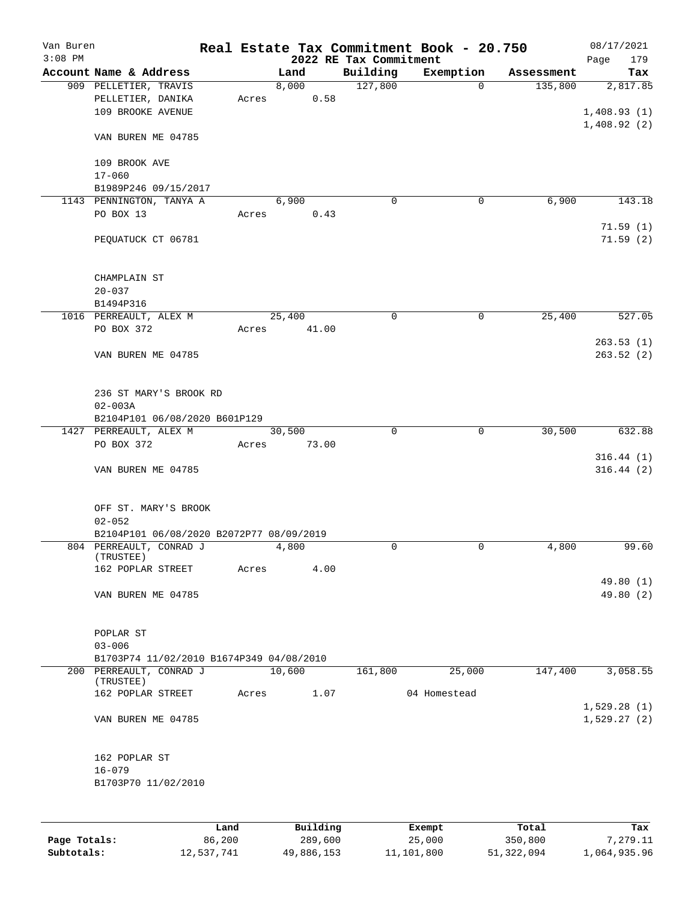| Van Buren |                                          |       |        |                        | Real Estate Tax Commitment Book - 20.750 |            | 08/17/2021                 |
|-----------|------------------------------------------|-------|--------|------------------------|------------------------------------------|------------|----------------------------|
| $3:08$ PM |                                          |       |        | 2022 RE Tax Commitment |                                          |            | 179<br>Page                |
|           | Account Name & Address                   |       | Land   | Building               | Exemption                                | Assessment | Tax                        |
|           | 909 PELLETIER, TRAVIS                    |       | 8,000  | 127,800                | $\Omega$                                 | 135,800    | 2,817.85                   |
|           | PELLETIER, DANIKA                        | Acres | 0.58   |                        |                                          |            |                            |
|           | 109 BROOKE AVENUE                        |       |        |                        |                                          |            | 1,408.93(1)                |
|           | VAN BUREN ME 04785                       |       |        |                        |                                          |            | 1,408.92(2)                |
|           | 109 BROOK AVE                            |       |        |                        |                                          |            |                            |
|           | $17 - 060$                               |       |        |                        |                                          |            |                            |
|           | B1989P246 09/15/2017                     |       |        |                        |                                          |            |                            |
|           | 1143 PENNINGTON, TANYA A                 |       | 6,900  | 0                      | 0                                        | 6,900      | 143.18                     |
|           | PO BOX 13                                | Acres | 0.43   |                        |                                          |            |                            |
|           | PEQUATUCK CT 06781                       |       |        |                        |                                          |            | 71.59(1)<br>71.59(2)       |
|           | CHAMPLAIN ST                             |       |        |                        |                                          |            |                            |
|           | $20 - 037$                               |       |        |                        |                                          |            |                            |
|           | B1494P316                                |       |        |                        |                                          |            |                            |
|           | 1016 PERREAULT, ALEX M                   |       | 25,400 | 0                      | 0                                        | 25,400     | 527.05                     |
|           | PO BOX 372                               | Acres | 41.00  |                        |                                          |            |                            |
|           |                                          |       |        |                        |                                          |            | 263.53(1)                  |
|           | VAN BUREN ME 04785                       |       |        |                        |                                          |            | 263.52(2)                  |
|           | 236 ST MARY'S BROOK RD                   |       |        |                        |                                          |            |                            |
|           | $02 - 003A$                              |       |        |                        |                                          |            |                            |
|           | B2104P101 06/08/2020 B601P129            |       |        |                        |                                          |            |                            |
|           | 1427 PERREAULT, ALEX M                   |       | 30,500 | 0                      | $\mathbf 0$                              | 30,500     | 632.88                     |
|           | PO BOX 372                               | Acres | 73.00  |                        |                                          |            |                            |
|           |                                          |       |        |                        |                                          |            | 316.44(1)                  |
|           | VAN BUREN ME 04785                       |       |        |                        |                                          |            | 316.44(2)                  |
|           | OFF ST. MARY'S BROOK                     |       |        |                        |                                          |            |                            |
|           | $02 - 052$                               |       |        |                        |                                          |            |                            |
|           | B2104P101 06/08/2020 B2072P77 08/09/2019 |       |        |                        |                                          |            |                            |
|           | 804 PERREAULT, CONRAD J<br>(TRUSTEE)     |       | 4,800  | 0                      | 0                                        | 4,800      | 99.60                      |
|           | 162 POPLAR STREET                        | Acres | 4.00   |                        |                                          |            |                            |
|           |                                          |       |        |                        |                                          |            | 49.80 (1)                  |
|           | VAN BUREN ME 04785                       |       |        |                        |                                          |            | 49.80 (2)                  |
|           | POPLAR ST                                |       |        |                        |                                          |            |                            |
|           | $03 - 006$                               |       |        |                        |                                          |            |                            |
|           | B1703P74 11/02/2010 B1674P349 04/08/2010 |       |        |                        |                                          |            |                            |
|           | 200 PERREAULT, CONRAD J                  |       | 10,600 | 161,800                | 25,000                                   | 147,400    | 3,058.55                   |
|           | (TRUSTEE)                                |       |        |                        |                                          |            |                            |
|           | 162 POPLAR STREET                        | Acres | 1.07   |                        | 04 Homestead                             |            |                            |
|           | VAN BUREN ME 04785                       |       |        |                        |                                          |            | 1,529.28(1)<br>1,529.27(2) |
|           | 162 POPLAR ST                            |       |        |                        |                                          |            |                            |
|           | $16 - 079$                               |       |        |                        |                                          |            |                            |
|           | B1703P70 11/02/2010                      |       |        |                        |                                          |            |                            |
|           |                                          |       |        |                        |                                          |            |                            |
|           |                                          |       |        |                        |                                          |            |                            |
|           |                                          |       |        |                        |                                          |            |                            |

|              | Land       | Building   | Exempt     | Total      | Tax          |
|--------------|------------|------------|------------|------------|--------------|
| Page Totals: | 86,200     | 289,600    | 25,000     | 350,800    | 7,279.11     |
| Subtotals:   | 12,537,741 | 49,886,153 | 11,101,800 | 51,322,094 | 1,064,935.96 |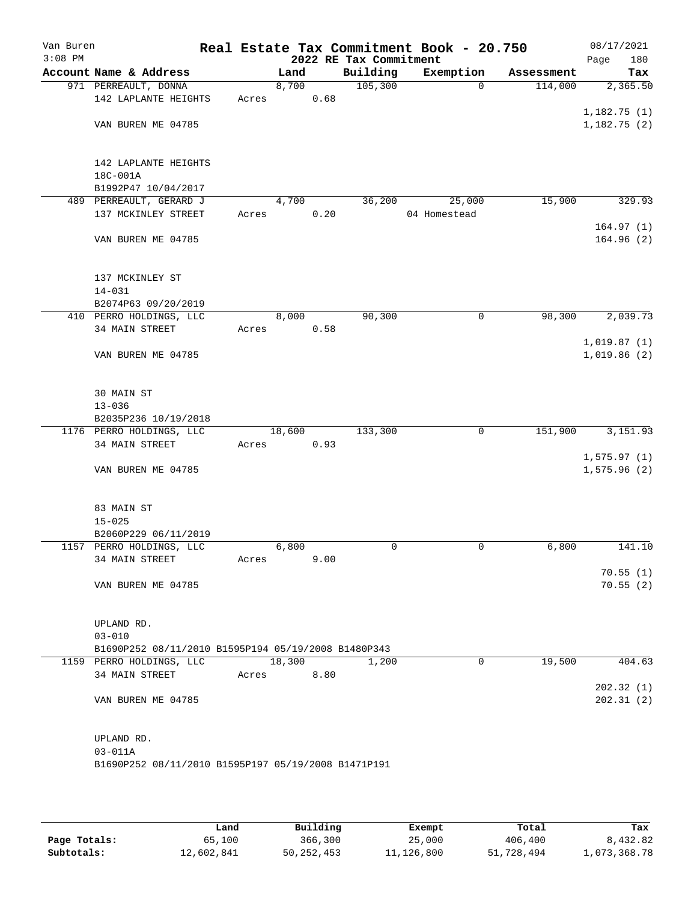| Van Buren<br>$3:08$ PM |                                                                                 |       |        |      | 2022 RE Tax Commitment | Real Estate Tax Commitment Book - 20.750 |            | 08/17/2021<br>180<br>Page |
|------------------------|---------------------------------------------------------------------------------|-------|--------|------|------------------------|------------------------------------------|------------|---------------------------|
|                        | Account Name & Address                                                          |       | Land   |      | Building               | Exemption                                | Assessment | Tax                       |
|                        | 971 PERREAULT, DONNA                                                            |       | 8,700  |      | 105,300                | 0                                        | 114,000    | 2,365.50                  |
|                        | 142 LAPLANTE HEIGHTS                                                            | Acres |        | 0.68 |                        |                                          |            |                           |
|                        |                                                                                 |       |        |      |                        |                                          |            | 1,182.75(1)               |
|                        | VAN BUREN ME 04785                                                              |       |        |      |                        |                                          |            | 1,182.75(2)               |
|                        |                                                                                 |       |        |      |                        |                                          |            |                           |
|                        |                                                                                 |       |        |      |                        |                                          |            |                           |
|                        | 142 LAPLANTE HEIGHTS                                                            |       |        |      |                        |                                          |            |                           |
|                        | 18C-001A                                                                        |       |        |      |                        |                                          |            |                           |
|                        | B1992P47 10/04/2017                                                             |       |        |      |                        |                                          |            |                           |
|                        | 489 PERREAULT, GERARD J                                                         |       | 4,700  |      | 36,200                 | 25,000                                   | 15,900     | 329.93                    |
|                        | 137 MCKINLEY STREET                                                             | Acres |        | 0.20 |                        | 04 Homestead                             |            |                           |
|                        |                                                                                 |       |        |      |                        |                                          |            | 164.97(1)                 |
|                        | VAN BUREN ME 04785                                                              |       |        |      |                        |                                          |            | 164.96(2)                 |
|                        |                                                                                 |       |        |      |                        |                                          |            |                           |
|                        | 137 MCKINLEY ST                                                                 |       |        |      |                        |                                          |            |                           |
|                        | $14 - 031$                                                                      |       |        |      |                        |                                          |            |                           |
|                        | B2074P63 09/20/2019                                                             |       |        |      |                        |                                          |            |                           |
|                        | 410 PERRO HOLDINGS, LLC                                                         |       | 8,000  |      | 90,300                 | $\mathsf{O}$                             | 98,300     | 2,039.73                  |
|                        | 34 MAIN STREET                                                                  | Acres |        | 0.58 |                        |                                          |            |                           |
|                        |                                                                                 |       |        |      |                        |                                          |            | 1,019.87(1)               |
|                        | VAN BUREN ME 04785                                                              |       |        |      |                        |                                          |            | 1,019.86(2)               |
|                        |                                                                                 |       |        |      |                        |                                          |            |                           |
|                        |                                                                                 |       |        |      |                        |                                          |            |                           |
|                        | 30 MAIN ST                                                                      |       |        |      |                        |                                          |            |                           |
|                        | $13 - 036$                                                                      |       |        |      |                        |                                          |            |                           |
|                        | B2035P236 10/19/2018                                                            |       |        |      |                        |                                          |            |                           |
|                        | 1176 PERRO HOLDINGS, LLC                                                        |       | 18,600 |      | 133,300                | $\mathbf 0$                              | 151,900    | 3,151.93                  |
|                        | 34 MAIN STREET                                                                  | Acres |        | 0.93 |                        |                                          |            |                           |
|                        |                                                                                 |       |        |      |                        |                                          |            | 1,575.97(1)               |
|                        | VAN BUREN ME 04785                                                              |       |        |      |                        |                                          |            | 1,575.96(2)               |
|                        |                                                                                 |       |        |      |                        |                                          |            |                           |
|                        | 83 MAIN ST                                                                      |       |        |      |                        |                                          |            |                           |
|                        | $15 - 025$                                                                      |       |        |      |                        |                                          |            |                           |
|                        | B2060P229 06/11/2019                                                            |       |        |      |                        |                                          |            |                           |
|                        | 1157 PERRO HOLDINGS, LLC                                                        |       | 6,800  |      | 0                      | $\mathbf 0$                              | 6,800      | 141.10                    |
|                        | 34 MAIN STREET                                                                  | Acres |        | 9.00 |                        |                                          |            |                           |
|                        |                                                                                 |       |        |      |                        |                                          |            | 70.55(1)                  |
|                        | VAN BUREN ME 04785                                                              |       |        |      |                        |                                          |            | 70.55(2)                  |
|                        |                                                                                 |       |        |      |                        |                                          |            |                           |
|                        |                                                                                 |       |        |      |                        |                                          |            |                           |
|                        | UPLAND RD.                                                                      |       |        |      |                        |                                          |            |                           |
|                        | $03 - 010$                                                                      |       |        |      |                        |                                          |            |                           |
|                        | B1690P252 08/11/2010 B1595P194 05/19/2008 B1480P343<br>1159 PERRO HOLDINGS, LLC |       | 18,300 |      | 1,200                  | 0                                        | 19,500     | 404.63                    |
|                        | 34 MAIN STREET                                                                  | Acres |        | 8.80 |                        |                                          |            |                           |
|                        |                                                                                 |       |        |      |                        |                                          |            | 202.32(1)                 |
|                        | VAN BUREN ME 04785                                                              |       |        |      |                        |                                          |            | 202.31(2)                 |
|                        |                                                                                 |       |        |      |                        |                                          |            |                           |
|                        |                                                                                 |       |        |      |                        |                                          |            |                           |
|                        | UPLAND RD.                                                                      |       |        |      |                        |                                          |            |                           |
|                        | $03 - 011A$                                                                     |       |        |      |                        |                                          |            |                           |
|                        | B1690P252 08/11/2010 B1595P197 05/19/2008 B1471P191                             |       |        |      |                        |                                          |            |                           |
|                        |                                                                                 |       |        |      |                        |                                          |            |                           |
|                        |                                                                                 |       |        |      |                        |                                          |            |                           |

|              | Land       | Building     | Exempt     | Total      | Tax          |
|--------------|------------|--------------|------------|------------|--------------|
| Page Totals: | 65,100     | 366,300      | 25,000     | 406,400    | 8,432.82     |
| Subtotals:   | 12,602,841 | 50, 252, 453 | 11,126,800 | 51,728,494 | 1,073,368.78 |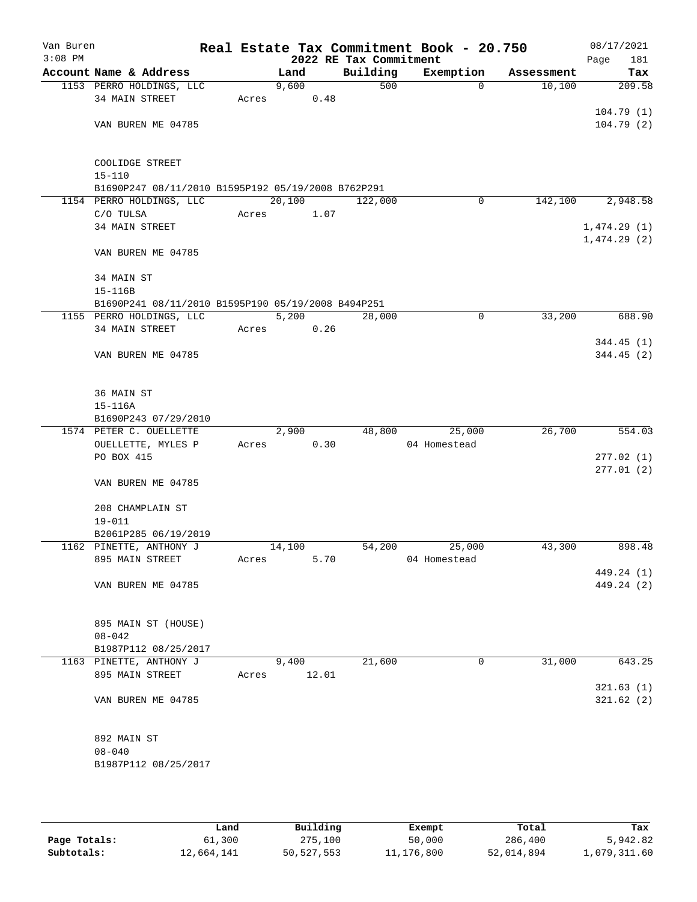| Van Buren |                                                    |       |        |       |                        | Real Estate Tax Commitment Book - 20.750 |            | 08/17/2021  |
|-----------|----------------------------------------------------|-------|--------|-------|------------------------|------------------------------------------|------------|-------------|
| $3:08$ PM |                                                    |       |        |       | 2022 RE Tax Commitment |                                          |            | Page<br>181 |
|           | Account Name & Address                             |       | Land   |       | Building               | Exemption                                | Assessment | Tax         |
|           | 1153 PERRO HOLDINGS, LLC                           |       | 9,600  |       | 500                    | $\Omega$                                 | 10,100     | 209.58      |
|           | 34 MAIN STREET                                     | Acres |        | 0.48  |                        |                                          |            |             |
|           |                                                    |       |        |       |                        |                                          |            | 104.79(1)   |
|           | VAN BUREN ME 04785                                 |       |        |       |                        |                                          |            | 104.79(2)   |
|           |                                                    |       |        |       |                        |                                          |            |             |
|           |                                                    |       |        |       |                        |                                          |            |             |
|           | COOLIDGE STREET<br>$15 - 110$                      |       |        |       |                        |                                          |            |             |
|           | B1690P247 08/11/2010 B1595P192 05/19/2008 B762P291 |       |        |       |                        |                                          |            |             |
|           | 1154 PERRO HOLDINGS, LLC                           |       | 20,100 |       | 122,000                | 0                                        | 142,100    | 2,948.58    |
|           | C/O TULSA                                          | Acres |        | 1.07  |                        |                                          |            |             |
|           | 34 MAIN STREET                                     |       |        |       |                        |                                          |            | 1,474.29(1) |
|           |                                                    |       |        |       |                        |                                          |            | 1,474.29(2) |
|           | VAN BUREN ME 04785                                 |       |        |       |                        |                                          |            |             |
|           |                                                    |       |        |       |                        |                                          |            |             |
|           | 34 MAIN ST                                         |       |        |       |                        |                                          |            |             |
|           | 15-116B                                            |       |        |       |                        |                                          |            |             |
|           | B1690P241 08/11/2010 B1595P190 05/19/2008 B494P251 |       |        |       |                        |                                          |            |             |
|           | 1155 PERRO HOLDINGS, LLC                           |       | 5,200  |       | 28,000                 | $\mathbf 0$                              | 33,200     | 688.90      |
|           | 34 MAIN STREET                                     | Acres |        | 0.26  |                        |                                          |            |             |
|           |                                                    |       |        |       |                        |                                          |            | 344.45(1)   |
|           | VAN BUREN ME 04785                                 |       |        |       |                        |                                          |            | 344.45(2)   |
|           |                                                    |       |        |       |                        |                                          |            |             |
|           |                                                    |       |        |       |                        |                                          |            |             |
|           | 36 MAIN ST                                         |       |        |       |                        |                                          |            |             |
|           | $15 - 116A$                                        |       |        |       |                        |                                          |            |             |
|           | B1690P243 07/29/2010                               |       |        |       |                        |                                          |            |             |
|           | 1574 PETER C. OUELLETTE<br>OUELLETTE, MYLES P      |       | 2,900  | 0.30  | 48,800                 | 25,000<br>04 Homestead                   | 26,700     | 554.03      |
|           | PO BOX 415                                         | Acres |        |       |                        |                                          |            | 277.02(1)   |
|           |                                                    |       |        |       |                        |                                          |            | 277.01(2)   |
|           | VAN BUREN ME 04785                                 |       |        |       |                        |                                          |            |             |
|           |                                                    |       |        |       |                        |                                          |            |             |
|           | 208 CHAMPLAIN ST                                   |       |        |       |                        |                                          |            |             |
|           | $19 - 011$                                         |       |        |       |                        |                                          |            |             |
|           | B2061P285 06/19/2019                               |       |        |       |                        |                                          |            |             |
|           | 1162 PINETTE, ANTHONY J                            |       | 14,100 |       | 54,200                 | 25,000                                   | 43,300     | 898.48      |
|           | 895 MAIN STREET                                    | Acres |        | 5.70  |                        | 04 Homestead                             |            |             |
|           |                                                    |       |        |       |                        |                                          |            | 449.24 (1)  |
|           | VAN BUREN ME 04785                                 |       |        |       |                        |                                          |            | 449.24 (2)  |
|           |                                                    |       |        |       |                        |                                          |            |             |
|           |                                                    |       |        |       |                        |                                          |            |             |
|           | 895 MAIN ST (HOUSE)                                |       |        |       |                        |                                          |            |             |
|           | $08 - 042$                                         |       |        |       |                        |                                          |            |             |
|           | B1987P112 08/25/2017                               |       |        |       |                        |                                          |            |             |
|           | 1163 PINETTE, ANTHONY J                            |       | 9,400  |       | 21,600                 | 0                                        | 31,000     | 643.25      |
|           | 895 MAIN STREET                                    | Acres |        | 12.01 |                        |                                          |            | 321.63(1)   |
|           | VAN BUREN ME 04785                                 |       |        |       |                        |                                          |            | 321.62(2)   |
|           |                                                    |       |        |       |                        |                                          |            |             |
|           |                                                    |       |        |       |                        |                                          |            |             |
|           | 892 MAIN ST                                        |       |        |       |                        |                                          |            |             |
|           | $08 - 040$                                         |       |        |       |                        |                                          |            |             |
|           | B1987P112 08/25/2017                               |       |        |       |                        |                                          |            |             |
|           |                                                    |       |        |       |                        |                                          |            |             |
|           |                                                    |       |        |       |                        |                                          |            |             |

|              | Land       | Building   | Exempt     | Total      | Tax          |
|--------------|------------|------------|------------|------------|--------------|
| Page Totals: | 61,300     | 275,100    | 50,000     | 286,400    | 5,942.82     |
| Subtotals:   | 12,664,141 | 50,527,553 | 11,176,800 | 52,014,894 | 1,079,311.60 |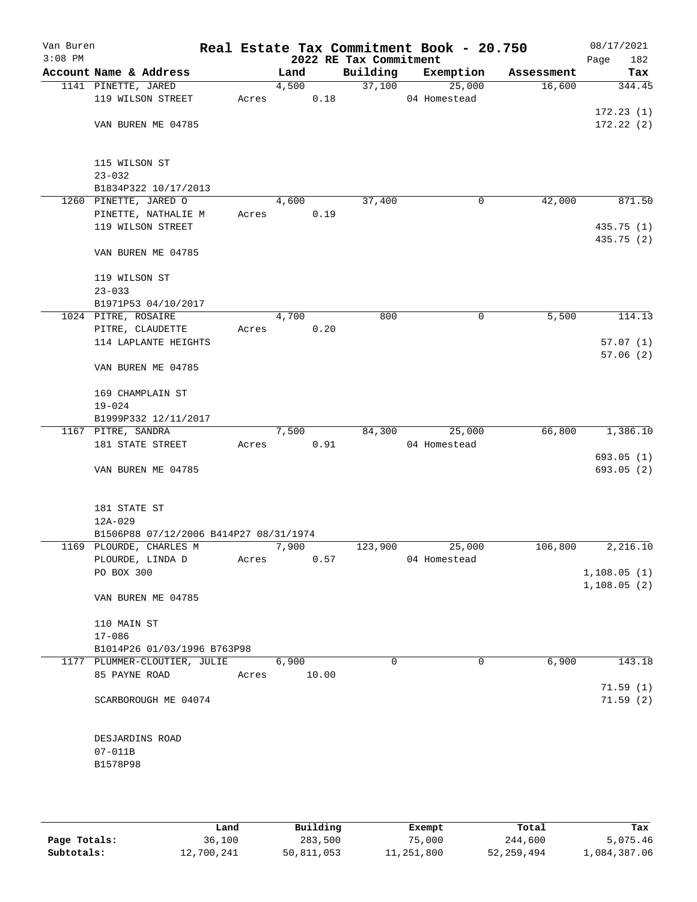| Van Buren<br>$3:08$ PM |                                           |       |       |       | 2022 RE Tax Commitment | Real Estate Tax Commitment Book - 20.750 |            | 08/17/2021<br>182<br>Page |
|------------------------|-------------------------------------------|-------|-------|-------|------------------------|------------------------------------------|------------|---------------------------|
|                        | Account Name & Address                    |       | Land  |       | Building               | Exemption                                | Assessment | Tax                       |
|                        | 1141 PINETTE, JARED                       |       | 4,500 |       | 37,100                 | 25,000                                   | 16,600     | 344.45                    |
|                        | 119 WILSON STREET                         | Acres |       | 0.18  |                        | 04 Homestead                             |            |                           |
|                        |                                           |       |       |       |                        |                                          |            | 172.23(1)                 |
|                        | VAN BUREN ME 04785                        |       |       |       |                        |                                          |            | 172.22(2)                 |
|                        |                                           |       |       |       |                        |                                          |            |                           |
|                        |                                           |       |       |       |                        |                                          |            |                           |
|                        | 115 WILSON ST                             |       |       |       |                        |                                          |            |                           |
|                        | $23 - 032$                                |       |       |       |                        |                                          |            |                           |
|                        | B1834P322 10/17/2013                      |       |       |       |                        |                                          |            |                           |
|                        | 1260 PINETTE, JARED O                     |       | 4,600 |       | 37,400                 | 0                                        | 42,000     | 871.50                    |
|                        | PINETTE, NATHALIE M                       | Acres |       | 0.19  |                        |                                          |            |                           |
|                        | 119 WILSON STREET                         |       |       |       |                        |                                          |            | 435.75 (1)                |
|                        | VAN BUREN ME 04785                        |       |       |       |                        |                                          |            | 435.75 (2)                |
|                        |                                           |       |       |       |                        |                                          |            |                           |
|                        | 119 WILSON ST                             |       |       |       |                        |                                          |            |                           |
|                        | $23 - 033$                                |       |       |       |                        |                                          |            |                           |
|                        | B1971P53 04/10/2017                       |       |       |       |                        |                                          |            |                           |
|                        | 1024 PITRE, ROSAIRE                       |       | 4,700 |       | 800                    | 0                                        | 5,500      | 114.13                    |
|                        | PITRE, CLAUDETTE                          | Acres |       | 0.20  |                        |                                          |            |                           |
|                        | 114 LAPLANTE HEIGHTS                      |       |       |       |                        |                                          |            | 57.07(1)                  |
|                        |                                           |       |       |       |                        |                                          |            | 57.06(2)                  |
|                        | VAN BUREN ME 04785                        |       |       |       |                        |                                          |            |                           |
|                        |                                           |       |       |       |                        |                                          |            |                           |
|                        | 169 CHAMPLAIN ST                          |       |       |       |                        |                                          |            |                           |
|                        | $19 - 024$                                |       |       |       |                        |                                          |            |                           |
|                        | B1999P332 12/11/2017                      |       |       |       |                        |                                          |            |                           |
|                        | 1167 PITRE, SANDRA                        |       | 7,500 |       | 84,300                 | 25,000                                   | 66,800     | 1,386.10                  |
|                        | 181 STATE STREET                          | Acres |       | 0.91  |                        | 04 Homestead                             |            | 693.05(1)                 |
|                        | VAN BUREN ME 04785                        |       |       |       |                        |                                          |            | 693.05 (2)                |
|                        |                                           |       |       |       |                        |                                          |            |                           |
|                        |                                           |       |       |       |                        |                                          |            |                           |
|                        | 181 STATE ST                              |       |       |       |                        |                                          |            |                           |
|                        | 12A-029                                   |       |       |       |                        |                                          |            |                           |
|                        | B1506P88 07/12/2006 B414P27 08/31/1974    |       |       |       |                        |                                          |            |                           |
|                        | 1169 PLOURDE, CHARLES M                   |       | 7,900 |       | 123,900                | 25,000                                   | 106,800    | 2,216.10                  |
|                        | PLOURDE, LINDA D                          | Acres |       | 0.57  |                        | 04 Homestead                             |            |                           |
|                        | PO BOX 300                                |       |       |       |                        |                                          |            | 1,108.05(1)               |
|                        |                                           |       |       |       |                        |                                          |            | 1,108.05(2)               |
|                        | VAN BUREN ME 04785                        |       |       |       |                        |                                          |            |                           |
|                        |                                           |       |       |       |                        |                                          |            |                           |
|                        | 110 MAIN ST                               |       |       |       |                        |                                          |            |                           |
|                        | $17 - 086$<br>B1014P26 01/03/1996 B763P98 |       |       |       |                        |                                          |            |                           |
|                        | 1177 PLUMMER-CLOUTIER, JULIE              |       | 6,900 |       | $\Omega$               | 0                                        | 6,900      | 143.18                    |
|                        | 85 PAYNE ROAD                             | Acres |       | 10.00 |                        |                                          |            |                           |
|                        |                                           |       |       |       |                        |                                          |            | 71.59(1)                  |
|                        | SCARBOROUGH ME 04074                      |       |       |       |                        |                                          |            | 71.59(2)                  |
|                        |                                           |       |       |       |                        |                                          |            |                           |
|                        |                                           |       |       |       |                        |                                          |            |                           |
|                        | DESJARDINS ROAD                           |       |       |       |                        |                                          |            |                           |
|                        | $07 - 011B$                               |       |       |       |                        |                                          |            |                           |
|                        | B1578P98                                  |       |       |       |                        |                                          |            |                           |
|                        |                                           |       |       |       |                        |                                          |            |                           |
|                        |                                           |       |       |       |                        |                                          |            |                           |

|              | Land       | Building   | Exempt     | Total      | Tax          |
|--------------|------------|------------|------------|------------|--------------|
| Page Totals: | 36,100     | 283,500    | 75,000     | 244,600    | 5,075.46     |
| Subtotals:   | 12,700,241 | 50,811,053 | 11,251,800 | 52,259,494 | 1,084,387.06 |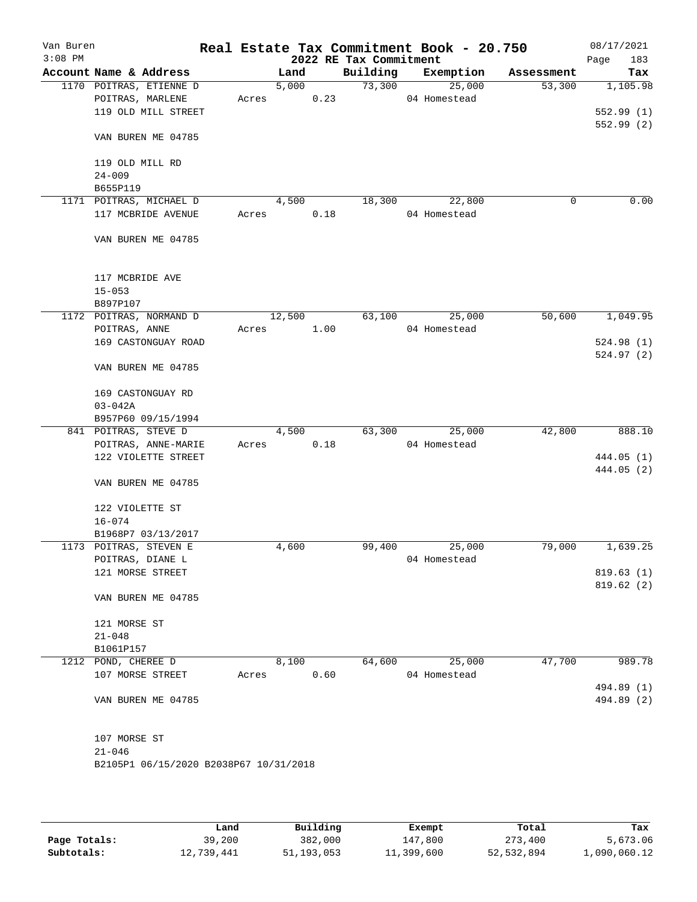| Van Buren<br>$3:08$ PM |                                        |       |                      |      | 2022 RE Tax Commitment | Real Estate Tax Commitment Book - 20.750 |            | 08/17/2021<br>183<br>Page |
|------------------------|----------------------------------------|-------|----------------------|------|------------------------|------------------------------------------|------------|---------------------------|
|                        | Account Name & Address                 |       | Land                 |      | Building               | Exemption                                | Assessment | Tax                       |
|                        | 1170 POITRAS, ETIENNE D                |       | 5,000                |      | 73,300                 | 25,000                                   | 53,300     | 1,105.98                  |
|                        | POITRAS, MARLENE                       | Acres |                      | 0.23 |                        | 04 Homestead                             |            |                           |
|                        | 119 OLD MILL STREET                    |       |                      |      |                        |                                          |            | 552.99(1)                 |
|                        | VAN BUREN ME 04785                     |       |                      |      |                        |                                          |            | 552.99(2)                 |
|                        | 119 OLD MILL RD                        |       |                      |      |                        |                                          |            |                           |
|                        | $24 - 009$                             |       |                      |      |                        |                                          |            |                           |
|                        | B655P119<br>1171 POITRAS, MICHAEL D    |       | 4,500                |      | 18,300                 | 22,800                                   | 0          | 0.00                      |
|                        | 117 MCBRIDE AVENUE                     | Acres |                      | 0.18 |                        | 04 Homestead                             |            |                           |
|                        | VAN BUREN ME 04785                     |       |                      |      |                        |                                          |            |                           |
|                        | 117 MCBRIDE AVE                        |       |                      |      |                        |                                          |            |                           |
|                        | $15 - 053$                             |       |                      |      |                        |                                          |            |                           |
|                        | B897P107                               |       |                      |      |                        |                                          |            |                           |
|                        | 1172 POITRAS, NORMAND D                |       | 12,500<br>Acres 1.00 |      | 63,100                 | 25,000                                   | 50,600     | 1,049.95                  |
|                        | POITRAS, ANNE<br>169 CASTONGUAY ROAD   |       |                      |      |                        | 04 Homestead                             |            | 524.98 (1)                |
|                        |                                        |       |                      |      |                        |                                          |            | 524.97(2)                 |
|                        | VAN BUREN ME 04785                     |       |                      |      |                        |                                          |            |                           |
|                        | 169 CASTONGUAY RD                      |       |                      |      |                        |                                          |            |                           |
|                        | $03 - 042A$                            |       |                      |      |                        |                                          |            |                           |
|                        | B957P60 09/15/1994                     |       |                      |      |                        |                                          |            |                           |
|                        | 841 POITRAS, STEVE D                   |       | 4,500                |      | 63,300                 | 25,000                                   | 42,800     | 888.10                    |
|                        | POITRAS, ANNE-MARIE                    | Acres |                      | 0.18 |                        | 04 Homestead                             |            |                           |
|                        | 122 VIOLETTE STREET                    |       |                      |      |                        |                                          |            | 444.05 (1)                |
|                        | VAN BUREN ME 04785                     |       |                      |      |                        |                                          |            | 444.05 (2)                |
|                        |                                        |       |                      |      |                        |                                          |            |                           |
|                        | 122 VIOLETTE ST                        |       |                      |      |                        |                                          |            |                           |
|                        | $16 - 074$                             |       |                      |      |                        |                                          |            |                           |
|                        | B1968P7 03/13/2017                     |       |                      |      |                        |                                          |            |                           |
|                        | 1173 POITRAS, STEVEN E                 |       | 4,600                |      | 99,400                 | 25,000                                   | 79,000     | 1,639.25                  |
|                        | POITRAS, DIANE L                       |       |                      |      |                        | 04 Homestead                             |            |                           |
|                        | 121 MORSE STREET                       |       |                      |      |                        |                                          |            | 819.63(1)<br>819.62 (2)   |
|                        | VAN BUREN ME 04785                     |       |                      |      |                        |                                          |            |                           |
|                        | 121 MORSE ST                           |       |                      |      |                        |                                          |            |                           |
|                        | $21 - 048$                             |       |                      |      |                        |                                          |            |                           |
|                        | B1061P157                              |       |                      |      |                        |                                          |            |                           |
|                        | 1212 POND, CHEREE D                    |       | 8,100                |      | 64,600                 | 25,000                                   | 47,700     | 989.78                    |
|                        | 107 MORSE STREET                       | Acres |                      | 0.60 |                        | 04 Homestead                             |            |                           |
|                        |                                        |       |                      |      |                        |                                          |            | 494.89 (1)                |
|                        | VAN BUREN ME 04785                     |       |                      |      |                        |                                          |            | 494.89 (2)                |
|                        | 107 MORSE ST                           |       |                      |      |                        |                                          |            |                           |
|                        | $21 - 046$                             |       |                      |      |                        |                                          |            |                           |
|                        | B2105P1 06/15/2020 B2038P67 10/31/2018 |       |                      |      |                        |                                          |            |                           |
|                        |                                        |       |                      |      |                        |                                          |            |                           |

|              | Land       | Building   | Exempt     | Total      | Tax          |
|--------------|------------|------------|------------|------------|--------------|
| Page Totals: | 39,200     | 382,000    | 147,800    | 273,400    | 5,673.06     |
| Subtotals:   | 12,739,441 | 51,193,053 | 11,399,600 | 52,532,894 | l,090,060.12 |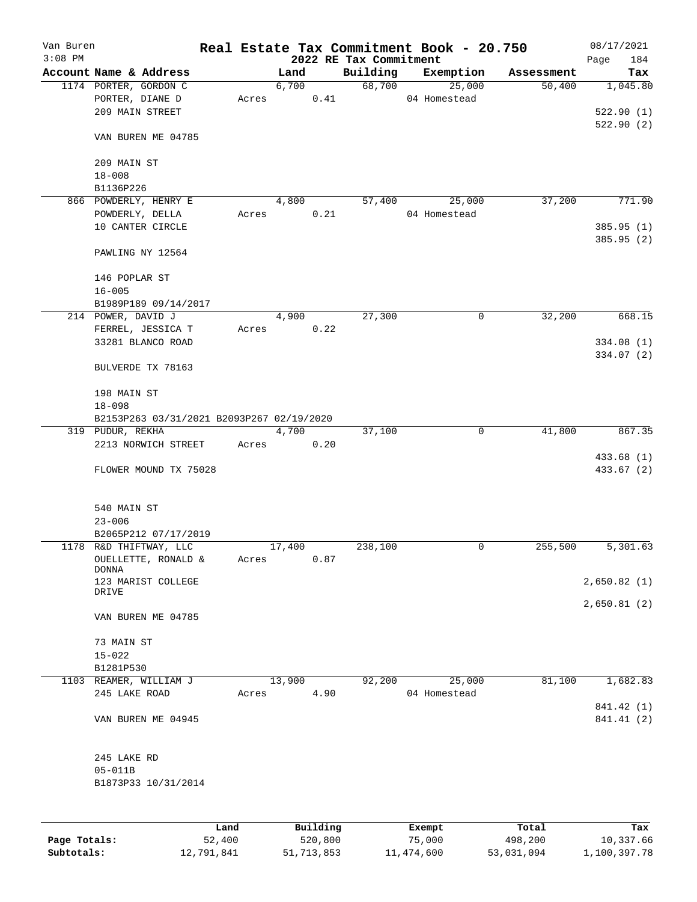| Van Buren<br>$3:08$ PM |                                           |       |          | 2022 RE Tax Commitment | Real Estate Tax Commitment Book - 20.750 |            | 08/17/2021<br>Page<br>184 |
|------------------------|-------------------------------------------|-------|----------|------------------------|------------------------------------------|------------|---------------------------|
|                        | Account Name & Address                    |       | Land     | Building               | Exemption                                | Assessment | Tax                       |
|                        | 1174 PORTER, GORDON C                     |       | 6,700    | 68,700                 | 25,000                                   | 50,400     | 1,045.80                  |
|                        | PORTER, DIANE D                           | Acres | 0.41     |                        | 04 Homestead                             |            |                           |
|                        | 209 MAIN STREET                           |       |          |                        |                                          |            | 522.90(1)                 |
|                        |                                           |       |          |                        |                                          |            | 522.90(2)                 |
|                        | VAN BUREN ME 04785                        |       |          |                        |                                          |            |                           |
|                        | 209 MAIN ST                               |       |          |                        |                                          |            |                           |
|                        | $18 - 008$                                |       |          |                        |                                          |            |                           |
|                        | B1136P226                                 |       |          |                        |                                          |            |                           |
|                        | 866 POWDERLY, HENRY E                     |       | 4,800    | 57,400                 | 25,000                                   | 37,200     | 771.90                    |
|                        | POWDERLY, DELLA                           | Acres | 0.21     |                        | 04 Homestead                             |            |                           |
|                        | 10 CANTER CIRCLE                          |       |          |                        |                                          |            | 385.95(1)                 |
|                        |                                           |       |          |                        |                                          |            | 385.95(2)                 |
|                        | PAWLING NY 12564                          |       |          |                        |                                          |            |                           |
|                        | 146 POPLAR ST                             |       |          |                        |                                          |            |                           |
|                        | $16 - 005$                                |       |          |                        |                                          |            |                           |
|                        | B1989P189 09/14/2017                      |       |          |                        |                                          |            |                           |
|                        | 214 POWER, DAVID J                        |       | 4,900    | 27,300                 | 0                                        | 32,200     | 668.15                    |
|                        | FERREL, JESSICA T                         | Acres | 0.22     |                        |                                          |            |                           |
|                        | 33281 BLANCO ROAD                         |       |          |                        |                                          |            | 334.08 (1)                |
|                        |                                           |       |          |                        |                                          |            | 334.07 (2)                |
|                        | BULVERDE TX 78163                         |       |          |                        |                                          |            |                           |
|                        | 198 MAIN ST                               |       |          |                        |                                          |            |                           |
|                        | $18 - 098$                                |       |          |                        |                                          |            |                           |
|                        | B2153P263 03/31/2021 B2093P267 02/19/2020 |       |          |                        |                                          |            |                           |
|                        | 319 PUDUR, REKHA                          |       | 4,700    | 37,100                 | 0                                        | 41,800     | 867.35                    |
|                        | 2213 NORWICH STREET                       | Acres | 0.20     |                        |                                          |            |                           |
|                        |                                           |       |          |                        |                                          |            | 433.68 (1)                |
|                        | FLOWER MOUND TX 75028                     |       |          |                        |                                          |            | 433.67 (2)                |
|                        |                                           |       |          |                        |                                          |            |                           |
|                        | 540 MAIN ST                               |       |          |                        |                                          |            |                           |
|                        | $23 - 006$                                |       |          |                        |                                          |            |                           |
|                        | B2065P212 07/17/2019                      |       |          |                        |                                          |            |                           |
|                        | 1178 R&D THIFTWAY, LLC                    |       | 17,400   | 238,100                | 0                                        | 255,500    | 5,301.63                  |
|                        | OUELLETTE, RONALD &                       | Acres | 0.87     |                        |                                          |            |                           |
|                        | <b>DONNA</b><br>123 MARIST COLLEGE        |       |          |                        |                                          |            | 2,650.82(1)               |
|                        | DRIVE                                     |       |          |                        |                                          |            |                           |
|                        |                                           |       |          |                        |                                          |            | 2,650.81(2)               |
|                        | VAN BUREN ME 04785                        |       |          |                        |                                          |            |                           |
|                        | 73 MAIN ST                                |       |          |                        |                                          |            |                           |
|                        | $15 - 022$                                |       |          |                        |                                          |            |                           |
|                        | B1281P530                                 |       |          |                        |                                          |            |                           |
|                        | 1103 REAMER, WILLIAM J                    |       | 13,900   | 92,200                 | 25,000                                   | 81,100     | 1,682.83                  |
|                        | 245 LAKE ROAD                             | Acres | 4.90     |                        | 04 Homestead                             |            |                           |
|                        |                                           |       |          |                        |                                          |            | 841.42 (1)                |
|                        | VAN BUREN ME 04945                        |       |          |                        |                                          |            | 841.41 (2)                |
|                        | 245 LAKE RD                               |       |          |                        |                                          |            |                           |
|                        | $05 - 011B$                               |       |          |                        |                                          |            |                           |
|                        | B1873P33 10/31/2014                       |       |          |                        |                                          |            |                           |
|                        |                                           |       |          |                        |                                          |            |                           |
|                        |                                           |       |          |                        |                                          |            |                           |
|                        |                                           | Land, | Building |                        | <b>Exempt</b>                            | Total      | Tax                       |

|              | Land       | Building   | Exempt     | Total      | Tax          |
|--------------|------------|------------|------------|------------|--------------|
| Page Totals: | 52,400     | 520,800    | 75,000     | 498,200    | 10,337.66    |
| Subtotals:   | 12,791,841 | 51,713,853 | 11,474,600 | 53,031,094 | 1,100,397.78 |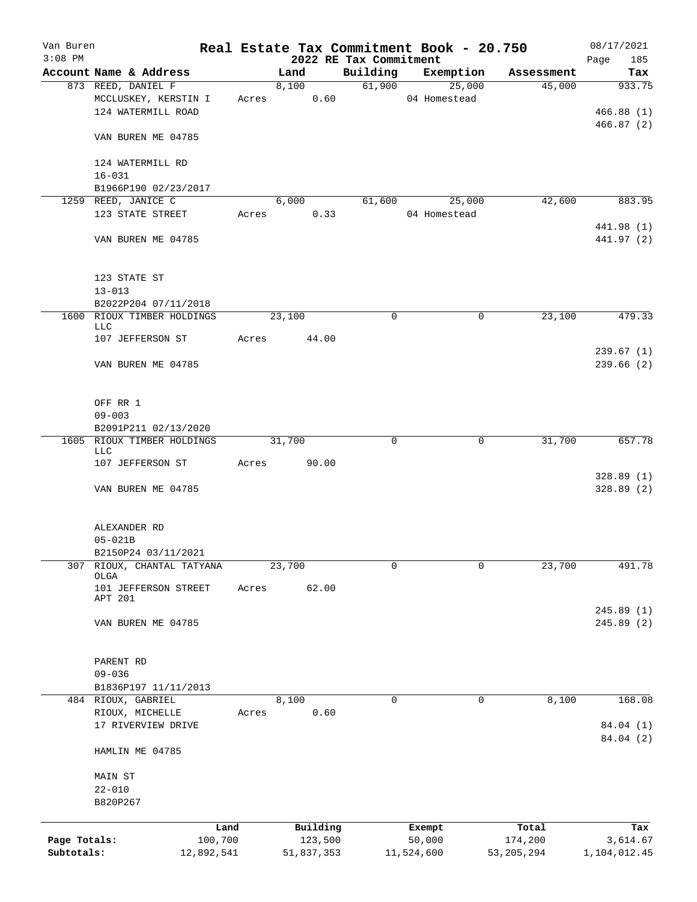| Van Buren    |                                                    |       |                        |          | Real Estate Tax Commitment Book - 20.750 |                      | 08/17/2021             |
|--------------|----------------------------------------------------|-------|------------------------|----------|------------------------------------------|----------------------|------------------------|
| $3:08$ PM    | Account Name & Address                             |       | 2022 RE Tax Commitment |          |                                          |                      | 185<br>Page            |
|              | 873 REED, DANIEL F                                 |       | Land<br>8,100          | Building | Exemption<br>61,900<br>25,000            | Assessment<br>45,000 | Tax<br>933.75          |
|              | MCCLUSKEY, KERSTIN I<br>124 WATERMILL ROAD         | Acres | 0.60                   |          | 04 Homestead                             |                      | 466.88(1)              |
|              | VAN BUREN ME 04785                                 |       |                        |          |                                          |                      | 466.87(2)              |
|              | 124 WATERMILL RD<br>$16 - 031$                     |       |                        |          |                                          |                      |                        |
|              | B1966P190 02/23/2017                               |       |                        |          |                                          |                      |                        |
|              | 1259 REED, JANICE C                                |       | 6,000                  | 61,600   | 25,000                                   | 42,600               | 883.95                 |
|              | 123 STATE STREET                                   | Acres | 0.33                   |          | 04 Homestead                             |                      |                        |
|              |                                                    |       |                        |          |                                          |                      | 441.98 (1)             |
|              | VAN BUREN ME 04785                                 |       |                        |          |                                          |                      | 441.97 (2)             |
|              | 123 STATE ST                                       |       |                        |          |                                          |                      |                        |
|              | $13 - 013$                                         |       |                        |          |                                          |                      |                        |
|              | B2022P204 07/11/2018                               |       |                        |          |                                          |                      |                        |
|              | 1600 RIOUX TIMBER HOLDINGS<br>LLC                  |       | 23,100                 | 0        | $\mathbf 0$                              | 23,100               | 479.33                 |
|              | 107 JEFFERSON ST                                   | Acres | 44.00                  |          |                                          |                      |                        |
|              |                                                    |       |                        |          |                                          |                      | 239.67(1)              |
|              | VAN BUREN ME 04785                                 |       |                        |          |                                          |                      | 239.66(2)              |
|              | OFF RR 1                                           |       |                        |          |                                          |                      |                        |
|              | $09 - 003$                                         |       |                        |          |                                          |                      |                        |
|              | B2091P211 02/13/2020<br>1605 RIOUX TIMBER HOLDINGS |       | 31,700                 | 0        | 0                                        | 31,700               | 657.78                 |
|              | LLC                                                |       |                        |          |                                          |                      |                        |
|              | 107 JEFFERSON ST                                   | Acres | 90.00                  |          |                                          |                      |                        |
|              |                                                    |       |                        |          |                                          |                      | 328.89(1)              |
|              | VAN BUREN ME 04785                                 |       |                        |          |                                          |                      | 328.89 (2)             |
|              | ALEXANDER RD                                       |       |                        |          |                                          |                      |                        |
|              | $05 - 021B$                                        |       |                        |          |                                          |                      |                        |
|              | B2150P24 03/11/2021                                |       |                        |          |                                          |                      |                        |
| 307          | RIOUX, CHANTAL TATYANA<br>$OLGA$                   |       | 23,700                 | 0        | $\mathbf 0$                              | 23,700               | 491.78                 |
|              | 101 JEFFERSON STREET<br>APT 201                    | Acres | 62.00                  |          |                                          |                      |                        |
|              | VAN BUREN ME 04785                                 |       |                        |          |                                          |                      | 245.89(1)<br>245.89(2) |
|              |                                                    |       |                        |          |                                          |                      |                        |
|              | PARENT RD                                          |       |                        |          |                                          |                      |                        |
|              | $09 - 036$                                         |       |                        |          |                                          |                      |                        |
|              | B1836P197 11/11/2013<br>484 RIOUX, GABRIEL         |       | 8,100                  | 0        | 0                                        | 8,100                | 168.08                 |
|              |                                                    | Acres | 0.60                   |          |                                          |                      |                        |
|              | RIOUX, MICHELLE<br>17 RIVERVIEW DRIVE              |       |                        |          |                                          |                      | 84.04 (1)              |
|              | HAMLIN ME 04785                                    |       |                        |          |                                          |                      | 84.04 (2)              |
|              | MAIN ST                                            |       |                        |          |                                          |                      |                        |
|              | $22 - 010$                                         |       |                        |          |                                          |                      |                        |
|              | B820P267                                           |       |                        |          |                                          |                      |                        |
|              |                                                    |       |                        |          |                                          |                      |                        |
| Page Totals: | Land<br>100,700                                    |       | Building<br>123,500    |          | Exempt<br>50,000                         | Total<br>174,200     | Tax<br>3,614.67        |
| Subtotals:   | 12,892,541                                         |       | 51,837,353             |          | 11,524,600                               | 53, 205, 294         | 1,104,012.45           |
|              |                                                    |       |                        |          |                                          |                      |                        |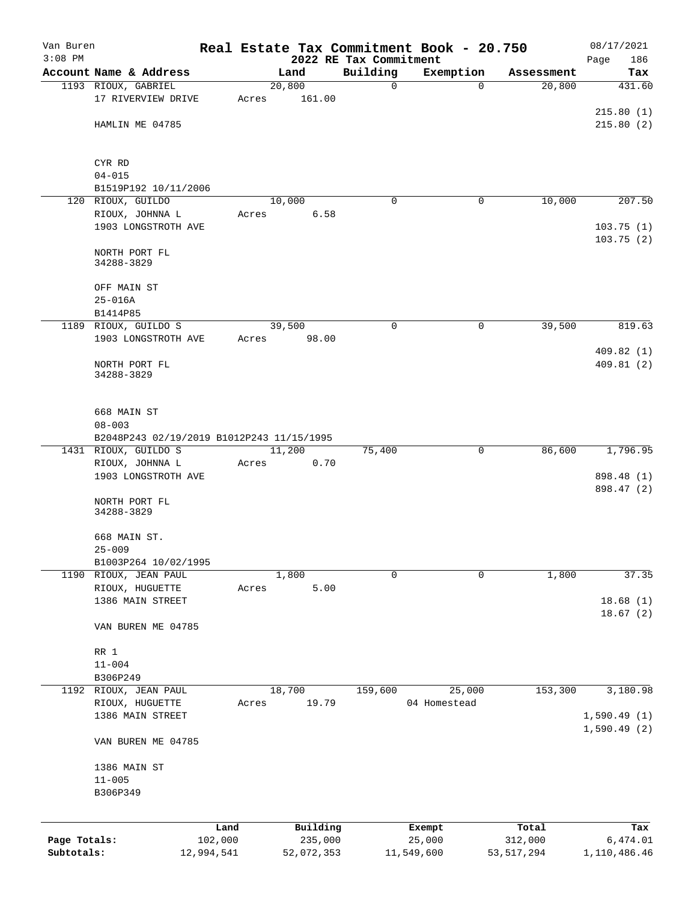| Van Buren    |                                                                   |         |                  |                        | Real Estate Tax Commitment Book - 20.750 |              | 08/17/2021                 |
|--------------|-------------------------------------------------------------------|---------|------------------|------------------------|------------------------------------------|--------------|----------------------------|
| $3:08$ PM    |                                                                   |         |                  | 2022 RE Tax Commitment |                                          |              | 186<br>Page                |
|              | Account Name & Address                                            |         | Land             | Building<br>0          | Exemption<br>$\Omega$                    | Assessment   | Tax                        |
|              | 1193 RIOUX, GABRIEL<br>17 RIVERVIEW DRIVE                         | Acres   | 20,800<br>161.00 |                        |                                          | 20,800       | 431.60                     |
|              |                                                                   |         |                  |                        |                                          |              | 215.80(1)                  |
|              | HAMLIN ME 04785                                                   |         |                  |                        |                                          |              | 215.80(2)                  |
|              |                                                                   |         |                  |                        |                                          |              |                            |
|              |                                                                   |         |                  |                        |                                          |              |                            |
|              | CYR RD                                                            |         |                  |                        |                                          |              |                            |
|              | $04 - 015$                                                        |         |                  |                        |                                          |              |                            |
|              | B1519P192 10/11/2006                                              |         |                  |                        |                                          |              |                            |
|              | 120 RIOUX, GUILDO                                                 |         | 10,000           | 0                      | 0                                        | 10,000       | 207.50                     |
|              | RIOUX, JOHNNA L                                                   | Acres   | 6.58             |                        |                                          |              |                            |
|              | 1903 LONGSTROTH AVE                                               |         |                  |                        |                                          |              | 103.75(1)                  |
|              |                                                                   |         |                  |                        |                                          |              | 103.75(2)                  |
|              | NORTH PORT FL                                                     |         |                  |                        |                                          |              |                            |
|              | 34288-3829                                                        |         |                  |                        |                                          |              |                            |
|              |                                                                   |         |                  |                        |                                          |              |                            |
|              | OFF MAIN ST                                                       |         |                  |                        |                                          |              |                            |
|              | $25 - 016A$                                                       |         |                  |                        |                                          |              |                            |
|              | B1414P85                                                          |         |                  |                        |                                          |              |                            |
|              | 1189 RIOUX, GUILDO S                                              |         | 39,500           | $\mathbf 0$            | 0                                        | 39,500       | 819.63                     |
|              | 1903 LONGSTROTH AVE                                               | Acres   | 98.00            |                        |                                          |              |                            |
|              |                                                                   |         |                  |                        |                                          |              | 409.82(1)                  |
|              | NORTH PORT FL                                                     |         |                  |                        |                                          |              | 409.81 (2)                 |
|              | 34288-3829                                                        |         |                  |                        |                                          |              |                            |
|              |                                                                   |         |                  |                        |                                          |              |                            |
|              |                                                                   |         |                  |                        |                                          |              |                            |
|              | 668 MAIN ST                                                       |         |                  |                        |                                          |              |                            |
|              | $08 - 003$                                                        |         |                  |                        |                                          |              |                            |
|              | B2048P243 02/19/2019 B1012P243 11/15/1995<br>1431 RIOUX, GUILDO S |         | 11,200           | 75,400                 | 0                                        | 86,600       | 1,796.95                   |
|              | RIOUX, JOHNNA L                                                   | Acres   | 0.70             |                        |                                          |              |                            |
|              | 1903 LONGSTROTH AVE                                               |         |                  |                        |                                          |              | 898.48 (1)                 |
|              |                                                                   |         |                  |                        |                                          |              | 898.47 (2)                 |
|              | NORTH PORT FL                                                     |         |                  |                        |                                          |              |                            |
|              | 34288-3829                                                        |         |                  |                        |                                          |              |                            |
|              |                                                                   |         |                  |                        |                                          |              |                            |
|              | 668 MAIN ST.                                                      |         |                  |                        |                                          |              |                            |
|              | $25 - 009$                                                        |         |                  |                        |                                          |              |                            |
|              | B1003P264 10/02/1995                                              |         |                  |                        |                                          |              |                            |
|              | 1190 RIOUX, JEAN PAUL                                             |         | 1,800            | 0                      | $\mathbf 0$                              | 1,800        | 37.35                      |
|              | RIOUX, HUGUETTE                                                   | Acres   | 5.00             |                        |                                          |              |                            |
|              | 1386 MAIN STREET                                                  |         |                  |                        |                                          |              | 18.68(1)                   |
|              |                                                                   |         |                  |                        |                                          |              | 18.67(2)                   |
|              | VAN BUREN ME 04785                                                |         |                  |                        |                                          |              |                            |
|              |                                                                   |         |                  |                        |                                          |              |                            |
|              | RR 1                                                              |         |                  |                        |                                          |              |                            |
|              | $11 - 004$                                                        |         |                  |                        |                                          |              |                            |
|              | B306P249                                                          |         |                  |                        |                                          |              |                            |
|              | 1192 RIOUX, JEAN PAUL<br>RIOUX, HUGUETTE                          | Acres   | 18,700<br>19.79  | 159,600                | 25,000<br>04 Homestead                   | 153,300      | 3,180.98                   |
|              | 1386 MAIN STREET                                                  |         |                  |                        |                                          |              |                            |
|              |                                                                   |         |                  |                        |                                          |              | 1,590.49(1)<br>1,590.49(2) |
|              | VAN BUREN ME 04785                                                |         |                  |                        |                                          |              |                            |
|              |                                                                   |         |                  |                        |                                          |              |                            |
|              | 1386 MAIN ST                                                      |         |                  |                        |                                          |              |                            |
|              | $11 - 005$                                                        |         |                  |                        |                                          |              |                            |
|              | B306P349                                                          |         |                  |                        |                                          |              |                            |
|              |                                                                   |         |                  |                        |                                          |              |                            |
|              |                                                                   |         |                  |                        |                                          |              |                            |
|              |                                                                   | Land    | Building         |                        | Exempt                                   | Total        | Tax                        |
| Page Totals: |                                                                   | 102,000 | 235,000          |                        | 25,000                                   | 312,000      | 6,474.01                   |
| Subtotals:   | 12,994,541                                                        |         | 52,072,353       |                        | 11,549,600                               | 53, 517, 294 | 1,110,486.46               |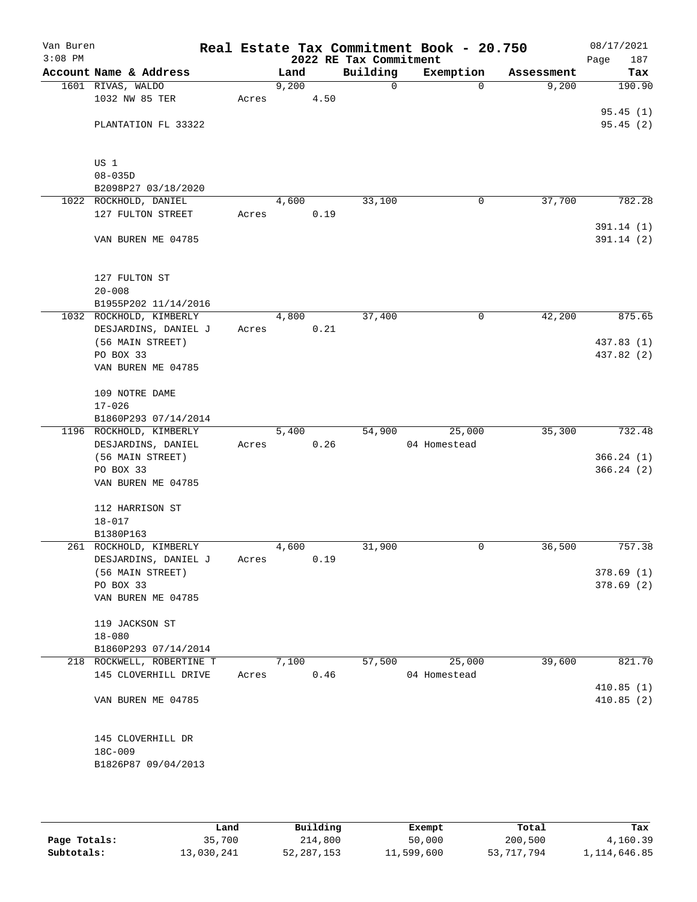| Van Buren |                              |       |       |      |                        | Real Estate Tax Commitment Book - 20.750 |            | 08/17/2021  |
|-----------|------------------------------|-------|-------|------|------------------------|------------------------------------------|------------|-------------|
| $3:08$ PM |                              |       |       |      | 2022 RE Tax Commitment |                                          |            | Page<br>187 |
|           | Account Name & Address       |       | Land  |      | Building               | Exemption                                | Assessment | Tax         |
|           | 1601 RIVAS, WALDO            |       | 9,200 |      | $\mathbf 0$            | $\Omega$                                 | 9,200      | 190.90      |
|           | 1032 NW 85 TER               | Acres |       | 4.50 |                        |                                          |            |             |
|           |                              |       |       |      |                        |                                          |            | 95.45(1)    |
|           | PLANTATION FL 33322          |       |       |      |                        |                                          |            | 95.45(2)    |
|           |                              |       |       |      |                        |                                          |            |             |
|           |                              |       |       |      |                        |                                          |            |             |
|           | US 1                         |       |       |      |                        |                                          |            |             |
|           | $08 - 035D$                  |       |       |      |                        |                                          |            |             |
|           | B2098P27 03/18/2020          |       |       |      |                        |                                          |            |             |
|           | 1022 ROCKHOLD, DANIEL        |       | 4,600 |      | 33,100                 | 0                                        | 37,700     | 782.28      |
|           | 127 FULTON STREET            | Acres |       | 0.19 |                        |                                          |            |             |
|           |                              |       |       |      |                        |                                          |            | 391.14(1)   |
|           | VAN BUREN ME 04785           |       |       |      |                        |                                          |            | 391.14 (2)  |
|           |                              |       |       |      |                        |                                          |            |             |
|           |                              |       |       |      |                        |                                          |            |             |
|           | 127 FULTON ST                |       |       |      |                        |                                          |            |             |
|           | $20 - 008$                   |       |       |      |                        |                                          |            |             |
|           | B1955P202 11/14/2016         |       |       |      |                        |                                          |            |             |
|           | 1032 ROCKHOLD, KIMBERLY      |       | 4,800 |      | 37,400                 | $\mathbf 0$                              | 42,200     | 875.65      |
|           | DESJARDINS, DANIEL J         | Acres |       | 0.21 |                        |                                          |            |             |
|           | (56 MAIN STREET)             |       |       |      |                        |                                          |            | 437.83 (1)  |
|           | PO BOX 33                    |       |       |      |                        |                                          |            | 437.82 (2)  |
|           | VAN BUREN ME 04785           |       |       |      |                        |                                          |            |             |
|           |                              |       |       |      |                        |                                          |            |             |
|           | 109 NOTRE DAME<br>$17 - 026$ |       |       |      |                        |                                          |            |             |
|           | B1860P293 07/14/2014         |       |       |      |                        |                                          |            |             |
|           | 1196 ROCKHOLD, KIMBERLY      |       | 5,400 |      | 54,900                 | 25,000                                   | 35,300     | 732.48      |
|           | DESJARDINS, DANIEL           | Acres |       | 0.26 |                        | 04 Homestead                             |            |             |
|           | (56 MAIN STREET)             |       |       |      |                        |                                          |            | 366.24(1)   |
|           | PO BOX 33                    |       |       |      |                        |                                          |            | 366.24(2)   |
|           | VAN BUREN ME 04785           |       |       |      |                        |                                          |            |             |
|           |                              |       |       |      |                        |                                          |            |             |
|           | 112 HARRISON ST              |       |       |      |                        |                                          |            |             |
|           | $18 - 017$                   |       |       |      |                        |                                          |            |             |
|           | B1380P163                    |       |       |      |                        |                                          |            |             |
|           | 261 ROCKHOLD, KIMBERLY       |       | 4,600 |      | 31,900                 | 0                                        | 36,500     | 757.38      |
|           | DESJARDINS, DANIEL J         | Acres |       | 0.19 |                        |                                          |            |             |
|           | (56 MAIN STREET)             |       |       |      |                        |                                          |            | 378.69(1)   |
|           | PO BOX 33                    |       |       |      |                        |                                          |            | 378.69(2)   |
|           | VAN BUREN ME 04785           |       |       |      |                        |                                          |            |             |
|           |                              |       |       |      |                        |                                          |            |             |
|           | 119 JACKSON ST               |       |       |      |                        |                                          |            |             |
|           | $18 - 080$                   |       |       |      |                        |                                          |            |             |
|           | B1860P293 07/14/2014         |       |       |      |                        |                                          |            |             |
|           | 218 ROCKWELL, ROBERTINE T    |       | 7,100 |      | 57,500                 | 25,000                                   | 39,600     | 821.70      |
|           | 145 CLOVERHILL DRIVE         | Acres |       | 0.46 |                        | 04 Homestead                             |            |             |
|           |                              |       |       |      |                        |                                          |            | 410.85(1)   |
|           | VAN BUREN ME 04785           |       |       |      |                        |                                          |            | 410.85(2)   |
|           |                              |       |       |      |                        |                                          |            |             |
|           |                              |       |       |      |                        |                                          |            |             |
|           | 145 CLOVERHILL DR            |       |       |      |                        |                                          |            |             |
|           | 18C-009                      |       |       |      |                        |                                          |            |             |
|           | B1826P87 09/04/2013          |       |       |      |                        |                                          |            |             |
|           |                              |       |       |      |                        |                                          |            |             |
|           |                              |       |       |      |                        |                                          |            |             |

|              | Land       | Building     | Exempt     | Total      | Tax            |
|--------------|------------|--------------|------------|------------|----------------|
| Page Totals: | 35,700     | 214,800      | 50,000     | 200,500    | 4,160.39       |
| Subtotals:   | 13,030,241 | 52, 287, 153 | 11,599,600 | 53,717,794 | 1, 114, 646.85 |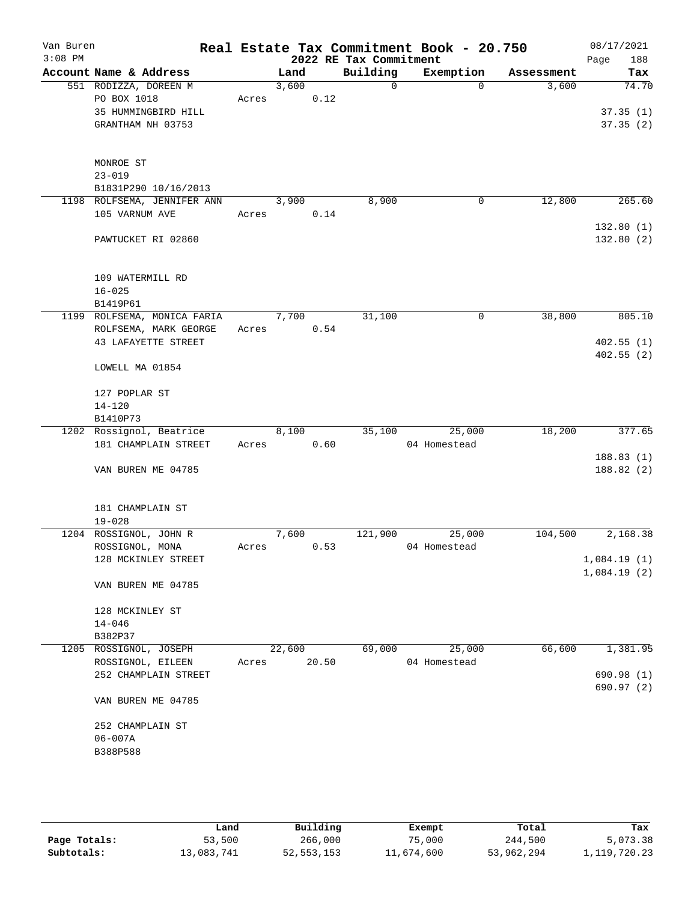| Van Buren<br>$3:08$ PM |                             |       |        |       | 2022 RE Tax Commitment | Real Estate Tax Commitment Book - 20.750 |            | 08/17/2021<br>Page<br>188 |
|------------------------|-----------------------------|-------|--------|-------|------------------------|------------------------------------------|------------|---------------------------|
|                        | Account Name & Address      |       | Land   |       | Building               | Exemption                                | Assessment | Tax                       |
|                        | 551 RODIZZA, DOREEN M       |       | 3,600  |       | 0                      | $\Omega$                                 | 3,600      | 74.70                     |
|                        | PO BOX 1018                 | Acres |        | 0.12  |                        |                                          |            |                           |
|                        | 35 HUMMINGBIRD HILL         |       |        |       |                        |                                          |            | 37.35(1)                  |
|                        | GRANTHAM NH 03753           |       |        |       |                        |                                          |            | 37.35(2)                  |
|                        |                             |       |        |       |                        |                                          |            |                           |
|                        |                             |       |        |       |                        |                                          |            |                           |
|                        | MONROE ST                   |       |        |       |                        |                                          |            |                           |
|                        | $23 - 019$                  |       |        |       |                        |                                          |            |                           |
|                        | B1831P290 10/16/2013        |       |        |       |                        |                                          |            |                           |
|                        | 1198 ROLFSEMA, JENNIFER ANN |       | 3,900  |       | 8,900                  | $\mathsf{O}$                             | 12,800     | 265.60                    |
|                        | 105 VARNUM AVE              | Acres |        | 0.14  |                        |                                          |            |                           |
|                        |                             |       |        |       |                        |                                          |            | 132.80(1)                 |
|                        | PAWTUCKET RI 02860          |       |        |       |                        |                                          |            | 132.80 (2)                |
|                        |                             |       |        |       |                        |                                          |            |                           |
|                        |                             |       |        |       |                        |                                          |            |                           |
|                        | 109 WATERMILL RD            |       |        |       |                        |                                          |            |                           |
|                        | $16 - 025$                  |       |        |       |                        |                                          |            |                           |
|                        | B1419P61                    |       |        |       |                        |                                          |            |                           |
|                        | 1199 ROLFSEMA, MONICA FARIA |       | 7,700  |       | 31,100                 | 0                                        | 38,800     | 805.10                    |
|                        | ROLFSEMA, MARK GEORGE       | Acres |        | 0.54  |                        |                                          |            |                           |
|                        | 43 LAFAYETTE STREET         |       |        |       |                        |                                          |            | 402.55(1)                 |
|                        | LOWELL MA 01854             |       |        |       |                        |                                          |            | 402.55(2)                 |
|                        |                             |       |        |       |                        |                                          |            |                           |
|                        | 127 POPLAR ST               |       |        |       |                        |                                          |            |                           |
|                        | $14 - 120$                  |       |        |       |                        |                                          |            |                           |
|                        | B1410P73                    |       |        |       |                        |                                          |            |                           |
|                        | 1202 Rossignol, Beatrice    |       | 8,100  |       | 35,100                 | 25,000                                   | 18,200     | 377.65                    |
|                        | 181 CHAMPLAIN STREET        | Acres |        | 0.60  |                        | 04 Homestead                             |            |                           |
|                        |                             |       |        |       |                        |                                          |            | 188.83(1)                 |
|                        | VAN BUREN ME 04785          |       |        |       |                        |                                          |            | 188.82 (2)                |
|                        |                             |       |        |       |                        |                                          |            |                           |
|                        |                             |       |        |       |                        |                                          |            |                           |
|                        | 181 CHAMPLAIN ST            |       |        |       |                        |                                          |            |                           |
|                        | $19 - 028$                  |       |        |       |                        |                                          |            |                           |
|                        | 1204 ROSSIGNOL, JOHN R      |       | 7,600  |       | 121,900                | 25,000                                   | 104,500    | 2,168.38                  |
|                        | ROSSIGNOL, MONA             | Acres |        | 0.53  |                        | 04 Homestead                             |            |                           |
|                        | 128 MCKINLEY STREET         |       |        |       |                        |                                          |            | 1,084.19(1)               |
|                        |                             |       |        |       |                        |                                          |            | 1,084.19(2)               |
|                        | VAN BUREN ME 04785          |       |        |       |                        |                                          |            |                           |
|                        |                             |       |        |       |                        |                                          |            |                           |
|                        | 128 MCKINLEY ST             |       |        |       |                        |                                          |            |                           |
|                        | $14 - 046$                  |       |        |       |                        |                                          |            |                           |
|                        | B382P37                     |       |        |       |                        |                                          |            |                           |
|                        | 1205 ROSSIGNOL, JOSEPH      |       | 22,600 |       | 69,000                 | 25,000                                   | 66,600     | 1,381.95                  |
|                        | ROSSIGNOL, EILEEN           | Acres |        | 20.50 |                        | 04 Homestead                             |            |                           |
|                        | 252 CHAMPLAIN STREET        |       |        |       |                        |                                          |            | 690.98 (1)                |
|                        |                             |       |        |       |                        |                                          |            | 690.97 (2)                |
|                        | VAN BUREN ME 04785          |       |        |       |                        |                                          |            |                           |
|                        |                             |       |        |       |                        |                                          |            |                           |
|                        | 252 CHAMPLAIN ST            |       |        |       |                        |                                          |            |                           |
|                        | $06 - 007A$                 |       |        |       |                        |                                          |            |                           |
|                        | B388P588                    |       |        |       |                        |                                          |            |                           |
|                        |                             |       |        |       |                        |                                          |            |                           |
|                        |                             |       |        |       |                        |                                          |            |                           |
|                        |                             |       |        |       |                        |                                          |            |                           |

|              | Land       | Building     | Exempt     | Total      | Tax             |
|--------------|------------|--------------|------------|------------|-----------------|
| Page Totals: | 53,500     | 266,000      | 75,000     | 244,500    | 5,073.38        |
| Subtotals:   | 13,083,741 | 52, 553, 153 | 11,674,600 | 53,962,294 | 1, 119, 720, 23 |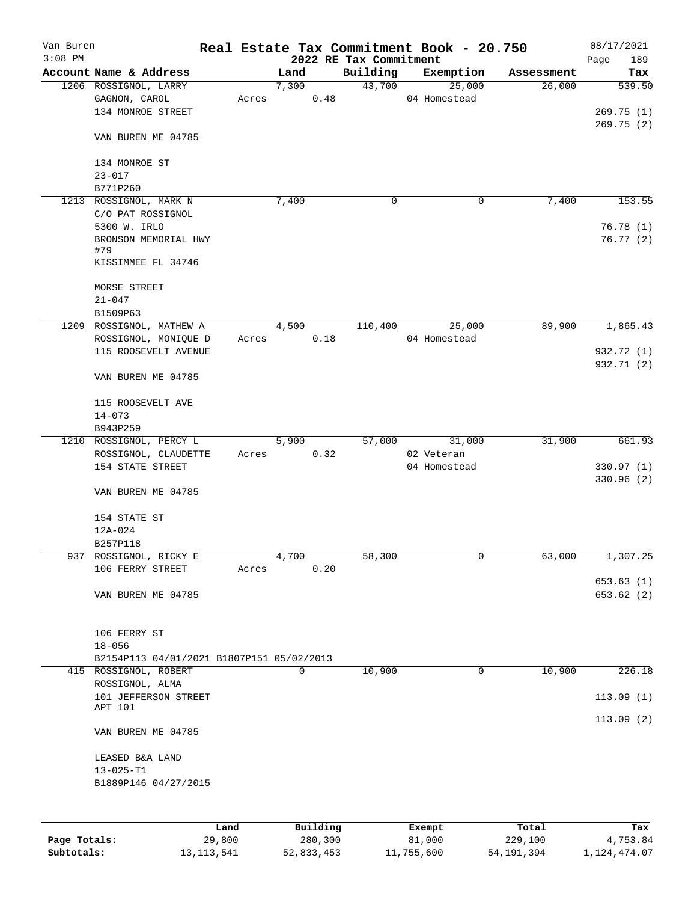| Van Buren |                                           |       |          |                        | Real Estate Tax Commitment Book - 20.750 |            | 08/17/2021  |
|-----------|-------------------------------------------|-------|----------|------------------------|------------------------------------------|------------|-------------|
| $3:08$ PM |                                           |       |          | 2022 RE Tax Commitment |                                          |            | 189<br>Page |
|           | Account Name & Address                    |       | Land     | Building               | Exemption                                | Assessment | Tax         |
|           | 1206 ROSSIGNOL, LARRY                     |       | 7,300    | 43,700                 | 25,000                                   | 26,000     | 539.50      |
|           | GAGNON, CAROL                             | Acres | 0.48     |                        | 04 Homestead                             |            |             |
|           | 134 MONROE STREET                         |       |          |                        |                                          |            | 269.75(1)   |
|           |                                           |       |          |                        |                                          |            | 269.75(2)   |
|           | VAN BUREN ME 04785                        |       |          |                        |                                          |            |             |
|           |                                           |       |          |                        |                                          |            |             |
|           | 134 MONROE ST                             |       |          |                        |                                          |            |             |
|           | $23 - 017$                                |       |          |                        |                                          |            |             |
|           | B771P260                                  |       |          |                        |                                          |            |             |
|           | 1213 ROSSIGNOL, MARK N                    |       | 7,400    | 0                      | 0                                        | 7,400      | 153.55      |
|           | C/O PAT ROSSIGNOL                         |       |          |                        |                                          |            |             |
|           | 5300 W. IRLO                              |       |          |                        |                                          |            | 76.78(1)    |
|           | BRONSON MEMORIAL HWY                      |       |          |                        |                                          |            | 76.77(2)    |
|           | #79                                       |       |          |                        |                                          |            |             |
|           | KISSIMMEE FL 34746                        |       |          |                        |                                          |            |             |
|           |                                           |       |          |                        |                                          |            |             |
|           | MORSE STREET                              |       |          |                        |                                          |            |             |
|           | $21 - 047$                                |       |          |                        |                                          |            |             |
|           | B1509P63                                  |       |          |                        |                                          |            |             |
|           | 1209 ROSSIGNOL, MATHEW A                  |       | 4,500    | 110,400                | 25,000                                   | 89,900     | 1,865.43    |
|           | ROSSIGNOL, MONIQUE D                      | Acres | 0.18     |                        | 04 Homestead                             |            |             |
|           | 115 ROOSEVELT AVENUE                      |       |          |                        |                                          |            | 932.72 (1)  |
|           |                                           |       |          |                        |                                          |            | 932.71 (2)  |
|           | VAN BUREN ME 04785                        |       |          |                        |                                          |            |             |
|           |                                           |       |          |                        |                                          |            |             |
|           | 115 ROOSEVELT AVE                         |       |          |                        |                                          |            |             |
|           | $14 - 073$                                |       |          |                        |                                          |            |             |
|           | B943P259                                  |       |          |                        |                                          |            |             |
|           | 1210 ROSSIGNOL, PERCY L                   |       | 5,900    | 57,000                 | 31,000                                   | 31,900     | 661.93      |
|           | ROSSIGNOL, CLAUDETTE                      | Acres | 0.32     |                        | 02 Veteran                               |            |             |
|           | 154 STATE STREET                          |       |          |                        | 04 Homestead                             |            | 330.97(1)   |
|           |                                           |       |          |                        |                                          |            | 330.96(2)   |
|           | VAN BUREN ME 04785                        |       |          |                        |                                          |            |             |
|           |                                           |       |          |                        |                                          |            |             |
|           | 154 STATE ST                              |       |          |                        |                                          |            |             |
|           | 12A-024                                   |       |          |                        |                                          |            |             |
|           | B257P118                                  |       |          |                        |                                          |            |             |
|           | 937 ROSSIGNOL, RICKY E                    |       | 4,700    | 58,300                 | 0                                        | 63,000     | 1,307.25    |
|           | 106 FERRY STREET                          | Acres | 0.20     |                        |                                          |            |             |
|           |                                           |       |          |                        |                                          |            | 653.63(1)   |
|           | VAN BUREN ME 04785                        |       |          |                        |                                          |            | 653.62(2)   |
|           |                                           |       |          |                        |                                          |            |             |
|           |                                           |       |          |                        |                                          |            |             |
|           | 106 FERRY ST                              |       |          |                        |                                          |            |             |
|           | $18 - 056$                                |       |          |                        |                                          |            |             |
|           | B2154P113 04/01/2021 B1807P151 05/02/2013 |       |          |                        |                                          |            |             |
|           | 415 ROSSIGNOL, ROBERT                     |       | $\Omega$ | 10,900                 | 0                                        | 10,900     | 226.18      |
|           | ROSSIGNOL, ALMA                           |       |          |                        |                                          |            |             |
|           | 101 JEFFERSON STREET                      |       |          |                        |                                          |            | 113.09(1)   |
|           | APT 101                                   |       |          |                        |                                          |            |             |
|           |                                           |       |          |                        |                                          |            | 113.09(2)   |
|           | VAN BUREN ME 04785                        |       |          |                        |                                          |            |             |
|           |                                           |       |          |                        |                                          |            |             |
|           | LEASED B&A LAND                           |       |          |                        |                                          |            |             |
|           | $13 - 025 - T1$                           |       |          |                        |                                          |            |             |
|           | B1889P146 04/27/2015                      |       |          |                        |                                          |            |             |
|           |                                           |       |          |                        |                                          |            |             |
|           |                                           |       |          |                        |                                          |            |             |
|           |                                           | Land  | Building |                        | Exempt.                                  | Total      | Tax         |

|              | Land       | Building   | Exempt     | Total      | Tax          |
|--------------|------------|------------|------------|------------|--------------|
| Page Totals: | 29,800     | 280,300    | 81,000     | 229,100    | 4,753.84     |
| Subtotals:   | 13,113,541 | 52,833,453 | 11,755,600 | 54,191,394 | 1,124,474.07 |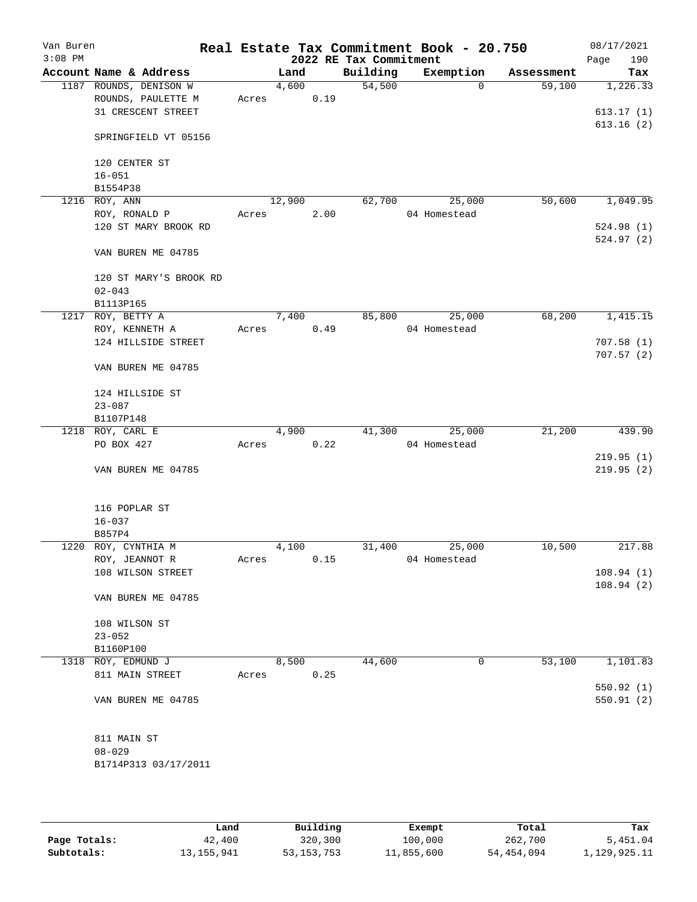| Van Buren<br>$3:08$ PM |                                |                        |       |        |      | Real Estate Tax Commitment Book - 20.750<br>2022 RE Tax Commitment |              |            | 08/17/2021<br>190<br>Page |
|------------------------|--------------------------------|------------------------|-------|--------|------|--------------------------------------------------------------------|--------------|------------|---------------------------|
|                        | Account Name & Address         |                        |       | Land   |      | Building                                                           | Exemption    | Assessment | Tax                       |
|                        |                                | 1187 ROUNDS, DENISON W |       | 4,600  |      | 54,500                                                             | $\Omega$     | 59,100     | 1,226.33                  |
|                        |                                | ROUNDS, PAULETTE M     | Acres |        | 0.19 |                                                                    |              |            |                           |
|                        |                                | 31 CRESCENT STREET     |       |        |      |                                                                    |              |            | 613.17(1)                 |
|                        |                                | SPRINGFIELD VT 05156   |       |        |      |                                                                    |              |            | 613.16(2)                 |
|                        | 120 CENTER ST                  |                        |       |        |      |                                                                    |              |            |                           |
|                        | $16 - 051$                     |                        |       |        |      |                                                                    |              |            |                           |
|                        | B1554P38<br>1216 ROY, ANN      |                        |       | 12,900 |      | 62,700                                                             | 25,000       | 50,600     | 1,049.95                  |
|                        | ROY, RONALD P                  |                        | Acres |        | 2.00 |                                                                    | 04 Homestead |            |                           |
|                        |                                | 120 ST MARY BROOK RD   |       |        |      |                                                                    |              |            | 524.98(1)                 |
|                        |                                |                        |       |        |      |                                                                    |              |            | 524.97(2)                 |
|                        |                                | VAN BUREN ME 04785     |       |        |      |                                                                    |              |            |                           |
|                        |                                | 120 ST MARY'S BROOK RD |       |        |      |                                                                    |              |            |                           |
|                        | $02 - 043$                     |                        |       |        |      |                                                                    |              |            |                           |
|                        | B1113P165<br>1217 ROY, BETTY A |                        |       | 7,400  |      | 85,800                                                             | 25,000       | 68,200     | 1,415.15                  |
|                        | ROY, KENNETH A                 |                        | Acres |        | 0.49 |                                                                    | 04 Homestead |            |                           |
|                        |                                | 124 HILLSIDE STREET    |       |        |      |                                                                    |              |            | 707.58(1)                 |
|                        |                                |                        |       |        |      |                                                                    |              |            | 707.57(2)                 |
|                        |                                | VAN BUREN ME 04785     |       |        |      |                                                                    |              |            |                           |
|                        | 124 HILLSIDE ST                |                        |       |        |      |                                                                    |              |            |                           |
|                        | $23 - 087$                     |                        |       |        |      |                                                                    |              |            |                           |
|                        | B1107P148                      |                        |       |        |      |                                                                    |              |            |                           |
|                        | 1218 ROY, CARL E               |                        |       | 4,900  |      | 41,300                                                             | 25,000       | 21,200     | 439.90                    |
|                        | PO BOX 427                     |                        | Acres |        | 0.22 |                                                                    | 04 Homestead |            |                           |
|                        |                                |                        |       |        |      |                                                                    |              |            | 219.95(1)                 |
|                        |                                | VAN BUREN ME 04785     |       |        |      |                                                                    |              |            | 219.95(2)                 |
|                        | 116 POPLAR ST                  |                        |       |        |      |                                                                    |              |            |                           |
|                        | $16 - 037$                     |                        |       |        |      |                                                                    |              |            |                           |
|                        | B857P4                         |                        |       |        |      |                                                                    |              |            |                           |
|                        | 1220 ROY, CYNTHIA M            |                        |       | 4,100  |      | 31,400                                                             | 25,000       | 10,500     | 217.88                    |
|                        | ROY, JEANNOT R                 |                        | Acres |        | 0.15 |                                                                    | 04 Homestead |            |                           |
|                        |                                | 108 WILSON STREET      |       |        |      |                                                                    |              |            | 108.94(1)                 |
|                        |                                | VAN BUREN ME 04785     |       |        |      |                                                                    |              |            | 108.94(2)                 |
|                        | 108 WILSON ST                  |                        |       |        |      |                                                                    |              |            |                           |
|                        | $23 - 052$                     |                        |       |        |      |                                                                    |              |            |                           |
|                        | B1160P100                      |                        |       |        |      |                                                                    |              |            |                           |
|                        | 1318 ROY, EDMUND J             |                        |       | 8,500  |      | 44,600                                                             | 0            | 53,100     | 1,101.83                  |
|                        | 811 MAIN STREET                |                        | Acres |        | 0.25 |                                                                    |              |            |                           |
|                        |                                |                        |       |        |      |                                                                    |              |            | 550.92(1)                 |
|                        |                                | VAN BUREN ME 04785     |       |        |      |                                                                    |              |            | 550.91(2)                 |
|                        | 811 MAIN ST                    |                        |       |        |      |                                                                    |              |            |                           |
|                        | $08 - 029$                     |                        |       |        |      |                                                                    |              |            |                           |
|                        |                                | B1714P313 03/17/2011   |       |        |      |                                                                    |              |            |                           |
|                        |                                |                        |       |        |      |                                                                    |              |            |                           |

|              | Land         | Building   | Exempt     | Total      | Tax          |
|--------------|--------------|------------|------------|------------|--------------|
| Page Totals: | 42,400       | 320,300    | 100,000    | 262,700    | 5,451.04     |
| Subtotals:   | 13, 155, 941 | 53,153,753 | 11,855,600 | 54,454,094 | 1,129,925.11 |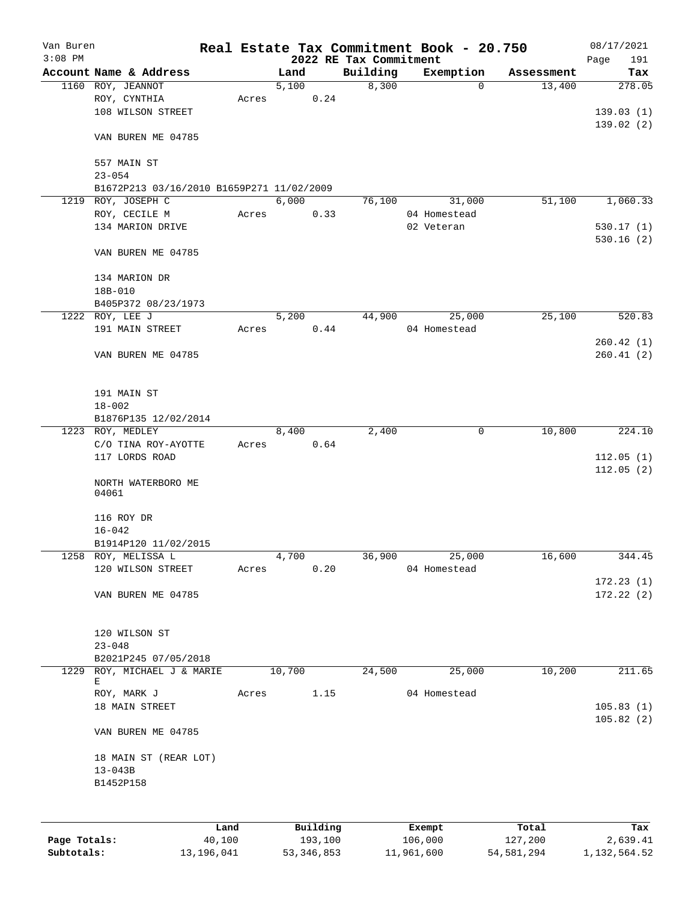| Van Buren<br>$3:08$ PM |                                                            |       |               |                                    | Real Estate Tax Commitment Book - 20.750 |            | 08/17/2021             |
|------------------------|------------------------------------------------------------|-------|---------------|------------------------------------|------------------------------------------|------------|------------------------|
|                        | Account Name & Address                                     |       | Land          | 2022 RE Tax Commitment<br>Building | Exemption                                | Assessment | 191<br>Page<br>Tax     |
|                        | 1160 ROY, JEANNOT                                          |       | 5,100         | 8,300                              | $\mathbf 0$                              | 13,400     | 278.05                 |
|                        | ROY, CYNTHIA                                               | Acres | 0.24          |                                    |                                          |            |                        |
|                        | 108 WILSON STREET                                          |       |               |                                    |                                          |            | 139.03(1)              |
|                        |                                                            |       |               |                                    |                                          |            | 139.02(2)              |
|                        | VAN BUREN ME 04785                                         |       |               |                                    |                                          |            |                        |
|                        |                                                            |       |               |                                    |                                          |            |                        |
|                        | 557 MAIN ST                                                |       |               |                                    |                                          |            |                        |
|                        | $23 - 054$                                                 |       |               |                                    |                                          |            |                        |
| 1219                   | B1672P213 03/16/2010 B1659P271 11/02/2009<br>ROY, JOSEPH C |       | 6,000         | 76,100                             | 31,000                                   | 51,100     | 1,060.33               |
|                        | ROY, CECILE M                                              | Acres | 0.33          |                                    | 04 Homestead                             |            |                        |
|                        | 134 MARION DRIVE                                           |       |               |                                    | 02 Veteran                               |            | 530.17(1)              |
|                        |                                                            |       |               |                                    |                                          |            | 530.16(2)              |
|                        | VAN BUREN ME 04785                                         |       |               |                                    |                                          |            |                        |
|                        |                                                            |       |               |                                    |                                          |            |                        |
|                        | 134 MARION DR                                              |       |               |                                    |                                          |            |                        |
|                        | 18B-010                                                    |       |               |                                    |                                          |            |                        |
|                        | B405P372 08/23/1973                                        |       |               |                                    |                                          |            |                        |
|                        | 1222 ROY, LEE J<br>191 MAIN STREET                         | Acres | 5,200<br>0.44 | 44,900                             | 25,000<br>04 Homestead                   | 25,100     | 520.83                 |
|                        |                                                            |       |               |                                    |                                          |            | 260.42(1)              |
|                        | VAN BUREN ME 04785                                         |       |               |                                    |                                          |            | 260.41(2)              |
|                        |                                                            |       |               |                                    |                                          |            |                        |
|                        |                                                            |       |               |                                    |                                          |            |                        |
|                        | 191 MAIN ST                                                |       |               |                                    |                                          |            |                        |
|                        | $18 - 002$                                                 |       |               |                                    |                                          |            |                        |
|                        | B1876P135 12/02/2014                                       |       |               |                                    |                                          |            |                        |
|                        | 1223 ROY, MEDLEY                                           |       | 8,400         | 2,400                              | $\mathsf{O}$                             | 10,800     | 224.10                 |
|                        | C/O TINA ROY-AYOTTE                                        | Acres | 0.64          |                                    |                                          |            |                        |
|                        | 117 LORDS ROAD                                             |       |               |                                    |                                          |            | 112.05(1)<br>112.05(2) |
|                        | NORTH WATERBORO ME                                         |       |               |                                    |                                          |            |                        |
|                        | 04061                                                      |       |               |                                    |                                          |            |                        |
|                        |                                                            |       |               |                                    |                                          |            |                        |
|                        | 116 ROY DR                                                 |       |               |                                    |                                          |            |                        |
|                        | $16 - 042$                                                 |       |               |                                    |                                          |            |                        |
|                        | B1914P120 11/02/2015<br>1258 ROY, MELISSA L                |       |               |                                    |                                          |            |                        |
|                        | 120 WILSON STREET                                          | Acres | 4,700<br>0.20 | 36,900                             | 25,000<br>04 Homestead                   | 16,600     | 344.45                 |
|                        |                                                            |       |               |                                    |                                          |            | 172.23(1)              |
|                        | VAN BUREN ME 04785                                         |       |               |                                    |                                          |            | 172.22(2)              |
|                        |                                                            |       |               |                                    |                                          |            |                        |
|                        |                                                            |       |               |                                    |                                          |            |                        |
|                        | 120 WILSON ST                                              |       |               |                                    |                                          |            |                        |
|                        | $23 - 048$                                                 |       |               |                                    |                                          |            |                        |
|                        | B2021P245 07/05/2018                                       |       |               |                                    |                                          |            | 211.65                 |
| 1229                   | ROY, MICHAEL J & MARIE<br>Е                                |       | 10,700        | 24,500                             | 25,000                                   | 10,200     |                        |
|                        | ROY, MARK J                                                | Acres | 1.15          |                                    | 04 Homestead                             |            |                        |
|                        | 18 MAIN STREET                                             |       |               |                                    |                                          |            | 105.83(1)              |
|                        |                                                            |       |               |                                    |                                          |            | 105.82(2)              |
|                        | VAN BUREN ME 04785                                         |       |               |                                    |                                          |            |                        |
|                        |                                                            |       |               |                                    |                                          |            |                        |
|                        | 18 MAIN ST (REAR LOT)                                      |       |               |                                    |                                          |            |                        |
|                        | $13 - 043B$                                                |       |               |                                    |                                          |            |                        |
|                        | B1452P158                                                  |       |               |                                    |                                          |            |                        |
|                        |                                                            |       |               |                                    |                                          |            |                        |
|                        |                                                            | Land, | Building      |                                    | Exempt                                   | Total      | Tax                    |
|                        |                                                            |       |               |                                    |                                          |            |                        |

|              | Land       | Building     | Exempt     | Total      | Tax          |
|--------------|------------|--------------|------------|------------|--------------|
| Page Totals: | 40,100     | 193,100      | 106,000    | 127,200    | 2,639.41     |
| Subtotals:   | 13,196,041 | 53, 346, 853 | 11,961,600 | 54,581,294 | 1,132,564.52 |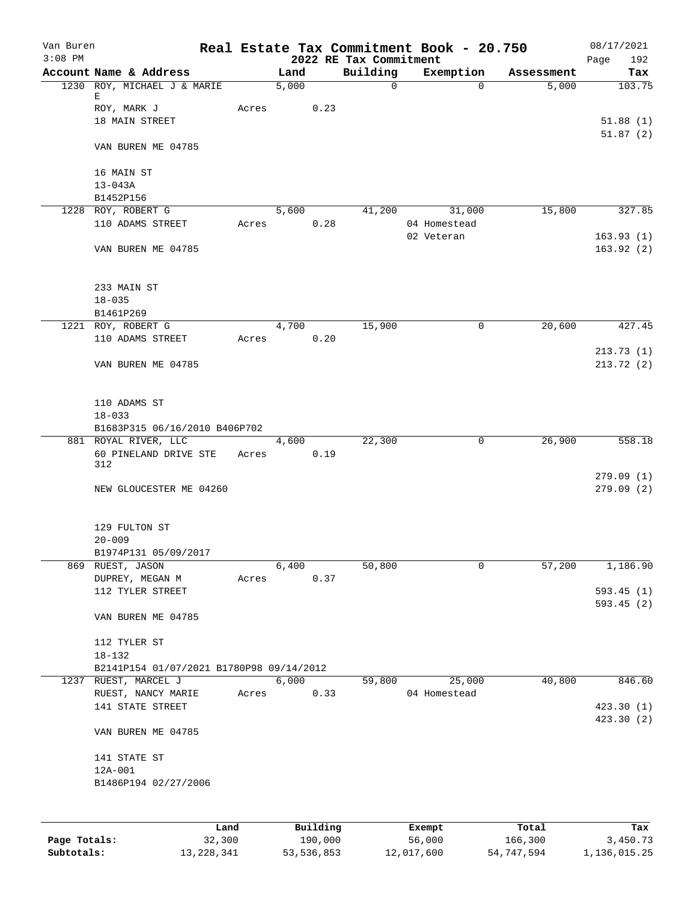| Van Buren<br>$3:08$ PM |                                          |       |               | 2022 RE Tax Commitment | Real Estate Tax Commitment Book - 20.750 |            | 08/17/2021<br>Page<br>192 |
|------------------------|------------------------------------------|-------|---------------|------------------------|------------------------------------------|------------|---------------------------|
|                        | Account Name & Address                   |       | Land          | Building               | Exemption                                | Assessment | Tax                       |
|                        | 1230 ROY, MICHAEL J & MARIE              |       | 5,000         | $\mathbf 0$            | $\Omega$                                 | 5,000      | 103.75                    |
|                        | Е                                        |       |               |                        |                                          |            |                           |
|                        | ROY, MARK J                              | Acres | 0.23          |                        |                                          |            |                           |
|                        | 18 MAIN STREET                           |       |               |                        |                                          |            | 51.88(1)                  |
|                        | VAN BUREN ME 04785                       |       |               |                        |                                          |            | 51.87(2)                  |
|                        | 16 MAIN ST                               |       |               |                        |                                          |            |                           |
|                        | $13 - 043A$                              |       |               |                        |                                          |            |                           |
|                        | B1452P156                                |       |               |                        |                                          |            |                           |
|                        | 1228 ROY, ROBERT G                       |       | 5,600         | 41,200                 | 31,000                                   | 15,800     | 327.85                    |
|                        | 110 ADAMS STREET                         |       | 0.28<br>Acres |                        | 04 Homestead                             |            |                           |
|                        |                                          |       |               |                        | 02 Veteran                               |            | 163.93(1)                 |
|                        | VAN BUREN ME 04785                       |       |               |                        |                                          |            | 163.92(2)                 |
|                        | 233 MAIN ST                              |       |               |                        |                                          |            |                           |
|                        | $18 - 035$                               |       |               |                        |                                          |            |                           |
|                        | B1461P269                                |       |               |                        |                                          |            |                           |
|                        | 1221 ROY, ROBERT G                       |       | 4,700         | 15,900                 | 0                                        | 20,600     | 427.45                    |
|                        | 110 ADAMS STREET                         |       | 0.20<br>Acres |                        |                                          |            |                           |
|                        | VAN BUREN ME 04785                       |       |               |                        |                                          |            | 213.73(1)<br>213.72(2)    |
|                        |                                          |       |               |                        |                                          |            |                           |
|                        | 110 ADAMS ST                             |       |               |                        |                                          |            |                           |
|                        | $18 - 033$                               |       |               |                        |                                          |            |                           |
|                        | B1683P315 06/16/2010 B406P702            |       |               |                        |                                          |            |                           |
|                        | 881 ROYAL RIVER, LLC                     |       | 4,600         | 22,300                 | 0                                        | 26,900     | 558.18                    |
|                        | 60 PINELAND DRIVE STE                    | Acres | 0.19          |                        |                                          |            |                           |
|                        | 312                                      |       |               |                        |                                          |            |                           |
|                        |                                          |       |               |                        |                                          |            | 279.09(1)                 |
|                        | NEW GLOUCESTER ME 04260                  |       |               |                        |                                          |            | 279.09 (2)                |
|                        | 129 FULTON ST                            |       |               |                        |                                          |            |                           |
|                        | $20 - 009$                               |       |               |                        |                                          |            |                           |
|                        | B1974P131 05/09/2017                     |       |               |                        |                                          |            |                           |
|                        | 869 RUEST, JASON                         |       | 6,400         | 50,800                 | 0                                        | 57,200     | 1,186.90                  |
|                        | DUPREY, MEGAN M                          | Acres | 0.37          |                        |                                          |            |                           |
|                        | 112 TYLER STREET                         |       |               |                        |                                          |            | 593.45(1)                 |
|                        | VAN BUREN ME 04785                       |       |               |                        |                                          |            | 593.45(2)                 |
|                        | 112 TYLER ST                             |       |               |                        |                                          |            |                           |
|                        | $18 - 132$                               |       |               |                        |                                          |            |                           |
|                        | B2141P154 01/07/2021 B1780P98 09/14/2012 |       |               |                        |                                          |            |                           |
|                        | 1237 RUEST, MARCEL J                     |       | 6,000         | 59,800                 | 25,000                                   | 40,800     | 846.60                    |
|                        | RUEST, NANCY MARIE                       | Acres | 0.33          |                        | 04 Homestead                             |            |                           |
|                        | 141 STATE STREET                         |       |               |                        |                                          |            | 423.30(1)                 |
|                        | VAN BUREN ME 04785                       |       |               |                        |                                          |            | 423.30(2)                 |
|                        |                                          |       |               |                        |                                          |            |                           |
|                        | 141 STATE ST                             |       |               |                        |                                          |            |                           |
|                        | 12A-001<br>B1486P194 02/27/2006          |       |               |                        |                                          |            |                           |
|                        |                                          |       |               |                        |                                          |            |                           |
|                        |                                          |       |               |                        |                                          |            |                           |
|                        | Land                                     |       | Building      |                        | Exempt                                   | Total      | Tax                       |

|              | Land         | Building   | Exempt     | Total      | Tax          |
|--------------|--------------|------------|------------|------------|--------------|
| Page Totals: | 32,300       | 190,000    | 56,000     | 166,300    | 3,450.73     |
| Subtotals:   | 13, 228, 341 | 53,536,853 | 12,017,600 | 54,747,594 | 1,136,015.25 |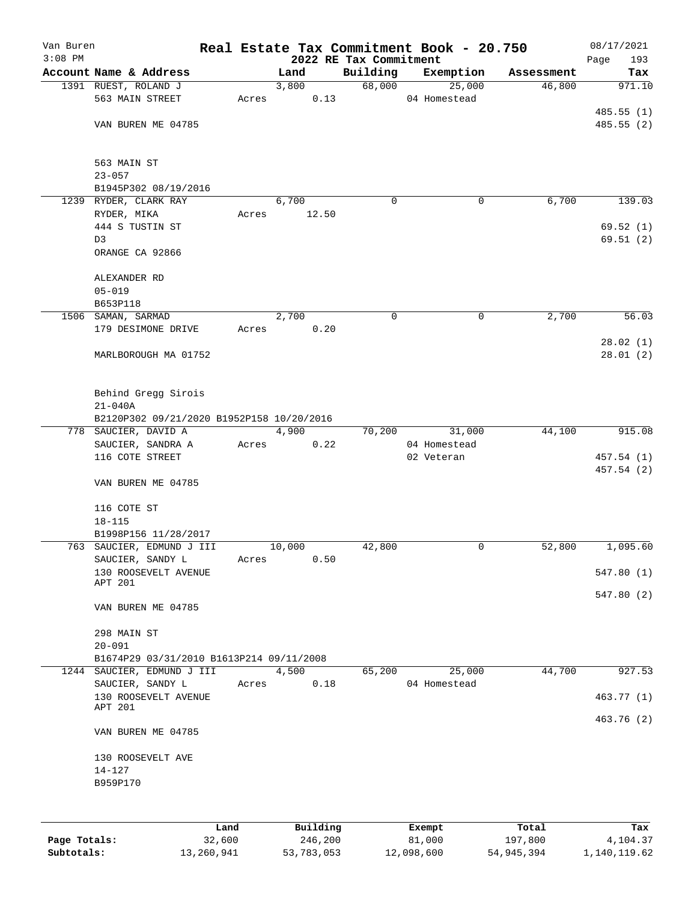| Van Buren |                                                                   |       |                        |                                    | Real Estate Tax Commitment Book - 20.750 |            | 08/17/2021         |
|-----------|-------------------------------------------------------------------|-------|------------------------|------------------------------------|------------------------------------------|------------|--------------------|
| $3:08$ PM | Account Name & Address                                            |       | Land                   | 2022 RE Tax Commitment<br>Building | Exemption                                | Assessment | 193<br>Page<br>Tax |
|           | 1391 RUEST, ROLAND J                                              |       | 3,800                  | 68,000                             | 25,000                                   | 46,800     | 971.10             |
|           | 563 MAIN STREET                                                   | Acres | 0.13                   |                                    | 04 Homestead                             |            |                    |
|           |                                                                   |       |                        |                                    |                                          |            | 485.55(1)          |
|           | VAN BUREN ME 04785                                                |       |                        |                                    |                                          |            | 485.55(2)          |
|           |                                                                   |       |                        |                                    |                                          |            |                    |
|           |                                                                   |       |                        |                                    |                                          |            |                    |
|           | 563 MAIN ST                                                       |       |                        |                                    |                                          |            |                    |
|           | $23 - 057$<br>B1945P302 08/19/2016                                |       |                        |                                    |                                          |            |                    |
|           | 1239 RYDER, CLARK RAY                                             |       | 6,700                  | 0                                  | 0                                        | 6,700      | 139.03             |
|           | RYDER, MIKA                                                       | Acres | 12.50                  |                                    |                                          |            |                    |
|           | 444 S TUSTIN ST                                                   |       |                        |                                    |                                          |            | 69.52(1)           |
|           | D <sub>3</sub>                                                    |       |                        |                                    |                                          |            | 69.51(2)           |
|           | ORANGE CA 92866                                                   |       |                        |                                    |                                          |            |                    |
|           |                                                                   |       |                        |                                    |                                          |            |                    |
|           | ALEXANDER RD                                                      |       |                        |                                    |                                          |            |                    |
|           | $05 - 019$<br>B653P118                                            |       |                        |                                    |                                          |            |                    |
|           | 1506 SAMAN, SARMAD                                                |       | 2,700                  | 0                                  | 0                                        | 2,700      | 56.03              |
|           | 179 DESIMONE DRIVE                                                | Acres | 0.20                   |                                    |                                          |            |                    |
|           |                                                                   |       |                        |                                    |                                          |            | 28.02(1)           |
|           | MARLBOROUGH MA 01752                                              |       |                        |                                    |                                          |            | 28.01(2)           |
|           |                                                                   |       |                        |                                    |                                          |            |                    |
|           |                                                                   |       |                        |                                    |                                          |            |                    |
|           | Behind Gregg Sirois                                               |       |                        |                                    |                                          |            |                    |
|           | $21 - 040A$                                                       |       |                        |                                    |                                          |            |                    |
|           | B2120P302 09/21/2020 B1952P158 10/20/2016<br>778 SAUCIER, DAVID A |       | 4,900                  | 70,200                             | 31,000                                   | 44,100     | 915.08             |
|           | SAUCIER, SANDRA A                                                 | Acres | 0.22                   |                                    | 04 Homestead                             |            |                    |
|           | 116 COTE STREET                                                   |       |                        |                                    | 02 Veteran                               |            | 457.54 (1)         |
|           |                                                                   |       |                        |                                    |                                          |            | 457.54 (2)         |
|           | VAN BUREN ME 04785                                                |       |                        |                                    |                                          |            |                    |
|           |                                                                   |       |                        |                                    |                                          |            |                    |
|           | 116 COTE ST                                                       |       |                        |                                    |                                          |            |                    |
|           | $18 - 115$                                                        |       |                        |                                    |                                          |            |                    |
|           | B1998P156 11/28/2017<br>763 SAUCIER, EDMUND J III                 |       | 10,000                 | 42,800                             | 0                                        | 52,800     | 1,095.60           |
|           | SAUCIER, SANDY L                                                  | Acres | ${\tt 0}$ . ${\tt 50}$ |                                    |                                          |            |                    |
|           | 130 ROOSEVELT AVENUE                                              |       |                        |                                    |                                          |            | 547.80 (1)         |
|           | APT 201                                                           |       |                        |                                    |                                          |            |                    |
|           |                                                                   |       |                        |                                    |                                          |            | 547.80 (2)         |
|           | VAN BUREN ME 04785                                                |       |                        |                                    |                                          |            |                    |
|           | 298 MAIN ST                                                       |       |                        |                                    |                                          |            |                    |
|           | $20 - 091$                                                        |       |                        |                                    |                                          |            |                    |
|           | B1674P29 03/31/2010 B1613P214 09/11/2008                          |       |                        |                                    |                                          |            |                    |
|           | 1244 SAUCIER, EDMUND J III                                        |       | 4,500                  | 65,200                             | 25,000                                   | 44,700     | 927.53             |
|           | SAUCIER, SANDY L                                                  | Acres | 0.18                   |                                    | 04 Homestead                             |            |                    |
|           | 130 ROOSEVELT AVENUE                                              |       |                        |                                    |                                          |            | 463.77 (1)         |
|           | APT 201                                                           |       |                        |                                    |                                          |            | 463.76 (2)         |
|           | VAN BUREN ME 04785                                                |       |                        |                                    |                                          |            |                    |
|           | 130 ROOSEVELT AVE                                                 |       |                        |                                    |                                          |            |                    |
|           | $14 - 127$                                                        |       |                        |                                    |                                          |            |                    |
|           | B959P170                                                          |       |                        |                                    |                                          |            |                    |
|           |                                                                   |       |                        |                                    |                                          |            |                    |
|           |                                                                   |       |                        |                                    |                                          |            |                    |
|           |                                                                   | Land  | Building               |                                    | Exempt                                   | Total      | Tax                |

|              | Land.      | Building   | Exempt     | тосат      | rax.         |
|--------------|------------|------------|------------|------------|--------------|
| Page Totals: | 32,600     | 246,200    | 81,000     | 197,800    | 4,104.37     |
| Subtotals:   | 13,260,941 | 53,783,053 | 12,098,600 | 54,945,394 | 1,140,119.62 |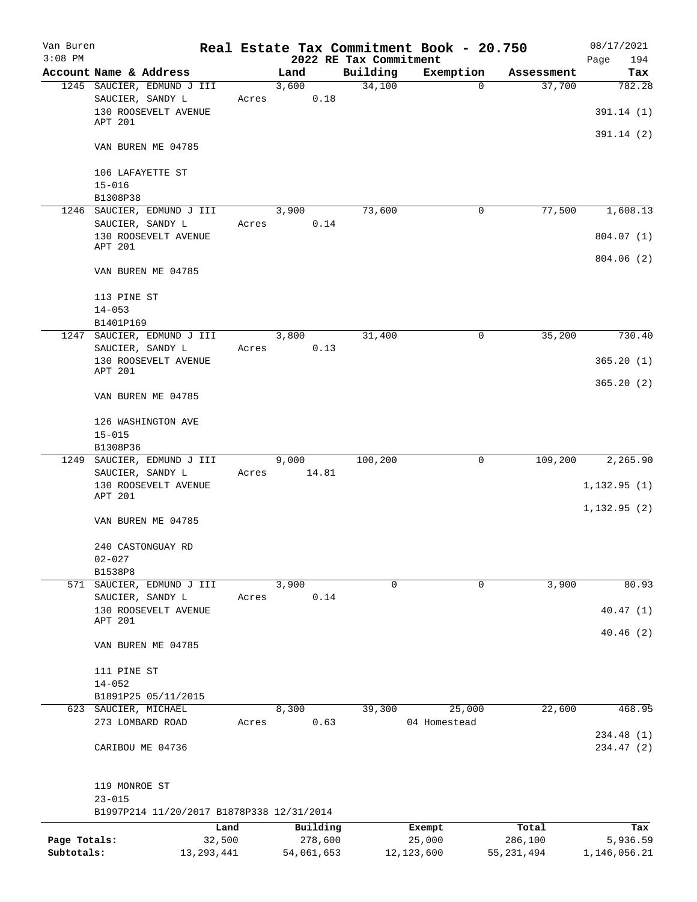| Van Buren<br>$3:08$ PM |                                           |       | 2022 RE Tax Commitment |          | Real Estate Tax Commitment Book - 20.750 |              | 08/17/2021<br>194<br>Page |
|------------------------|-------------------------------------------|-------|------------------------|----------|------------------------------------------|--------------|---------------------------|
|                        | Account Name & Address                    |       | Land                   | Building | Exemption                                | Assessment   | Tax                       |
|                        | 1245 SAUCIER, EDMUND J III                |       | 3,600                  | 34,100   | $\mathbf{0}$                             | 37,700       | 782.28                    |
|                        | SAUCIER, SANDY L                          |       | 0.18<br>Acres          |          |                                          |              |                           |
|                        | 130 ROOSEVELT AVENUE                      |       |                        |          |                                          |              | 391.14(1)                 |
|                        | APT 201                                   |       |                        |          |                                          |              |                           |
|                        | VAN BUREN ME 04785                        |       |                        |          |                                          |              | 391.14(2)                 |
|                        | 106 LAFAYETTE ST                          |       |                        |          |                                          |              |                           |
|                        | $15 - 016$                                |       |                        |          |                                          |              |                           |
|                        | B1308P38                                  |       |                        |          |                                          |              |                           |
|                        | 1246 SAUCIER, EDMUND J III                |       | 3,900                  | 73,600   | 0                                        | 77,500       | 1,608.13                  |
|                        | SAUCIER, SANDY L                          | Acres | 0.14                   |          |                                          |              |                           |
|                        | 130 ROOSEVELT AVENUE                      |       |                        |          |                                          |              | 804.07(1)                 |
|                        | APT 201                                   |       |                        |          |                                          |              | 804.06 (2)                |
|                        | VAN BUREN ME 04785                        |       |                        |          |                                          |              |                           |
|                        | 113 PINE ST                               |       |                        |          |                                          |              |                           |
|                        | $14 - 053$                                |       |                        |          |                                          |              |                           |
|                        | B1401P169                                 |       |                        |          |                                          |              |                           |
|                        | 1247 SAUCIER, EDMUND J III                |       | 3,800                  | 31,400   | 0                                        | 35,200       | 730.40                    |
|                        | SAUCIER, SANDY L                          | Acres | 0.13                   |          |                                          |              |                           |
|                        | 130 ROOSEVELT AVENUE                      |       |                        |          |                                          |              | 365.20(1)                 |
|                        | APT 201                                   |       |                        |          |                                          |              | 365.20(2)                 |
|                        | VAN BUREN ME 04785                        |       |                        |          |                                          |              |                           |
|                        | 126 WASHINGTON AVE                        |       |                        |          |                                          |              |                           |
|                        | $15 - 015$                                |       |                        |          |                                          |              |                           |
|                        | B1308P36                                  |       |                        |          |                                          |              |                           |
|                        | 1249 SAUCIER, EDMUND J III                |       | 9,000                  | 100,200  | 0                                        | 109,200      | 2,265.90                  |
|                        | SAUCIER, SANDY L                          | Acres | 14.81                  |          |                                          |              |                           |
|                        | 130 ROOSEVELT AVENUE                      |       |                        |          |                                          |              | 1, 132.95(1)              |
|                        | APT 201                                   |       |                        |          |                                          |              | 1, 132.95(2)              |
|                        | VAN BUREN ME 04785                        |       |                        |          |                                          |              |                           |
|                        | 240 CASTONGUAY RD                         |       |                        |          |                                          |              |                           |
|                        | $02 - 027$                                |       |                        |          |                                          |              |                           |
|                        | B1538P8                                   |       |                        |          |                                          |              |                           |
|                        | 571 SAUCIER, EDMUND J III                 |       | 3,900                  | 0        | $\mathbf 0$                              | 3,900        | 80.93                     |
|                        | SAUCIER, SANDY L                          | Acres | 0.14                   |          |                                          |              |                           |
|                        | 130 ROOSEVELT AVENUE                      |       |                        |          |                                          |              | 40.47(1)                  |
|                        | APT 201                                   |       |                        |          |                                          |              | 40.46(2)                  |
|                        | VAN BUREN ME 04785                        |       |                        |          |                                          |              |                           |
|                        | 111 PINE ST                               |       |                        |          |                                          |              |                           |
|                        | $14 - 052$                                |       |                        |          |                                          |              |                           |
|                        | B1891P25 05/11/2015                       |       |                        |          |                                          |              |                           |
|                        | 623 SAUCIER, MICHAEL                      |       | 8,300                  | 39,300   | 25,000                                   | 22,600       | 468.95                    |
|                        | 273 LOMBARD ROAD                          | Acres | 0.63                   |          | 04 Homestead                             |              |                           |
|                        | CARIBOU ME 04736                          |       |                        |          |                                          |              | 234.48(1)<br>234.47 (2)   |
|                        |                                           |       |                        |          |                                          |              |                           |
|                        | 119 MONROE ST                             |       |                        |          |                                          |              |                           |
|                        | $23 - 015$                                |       |                        |          |                                          |              |                           |
|                        | B1997P214 11/20/2017 B1878P338 12/31/2014 |       |                        |          |                                          |              |                           |
|                        | Land                                      |       | Building               |          | Exempt                                   | Total        | Tax                       |
| Page Totals:           | 32,500                                    |       | 278,600                |          | 25,000                                   | 286,100      | 5,936.59                  |
| Subtotals:             | 13, 293, 441                              |       | 54,061,653             |          | 12, 123, 600                             | 55, 231, 494 | 1, 146, 056. 21           |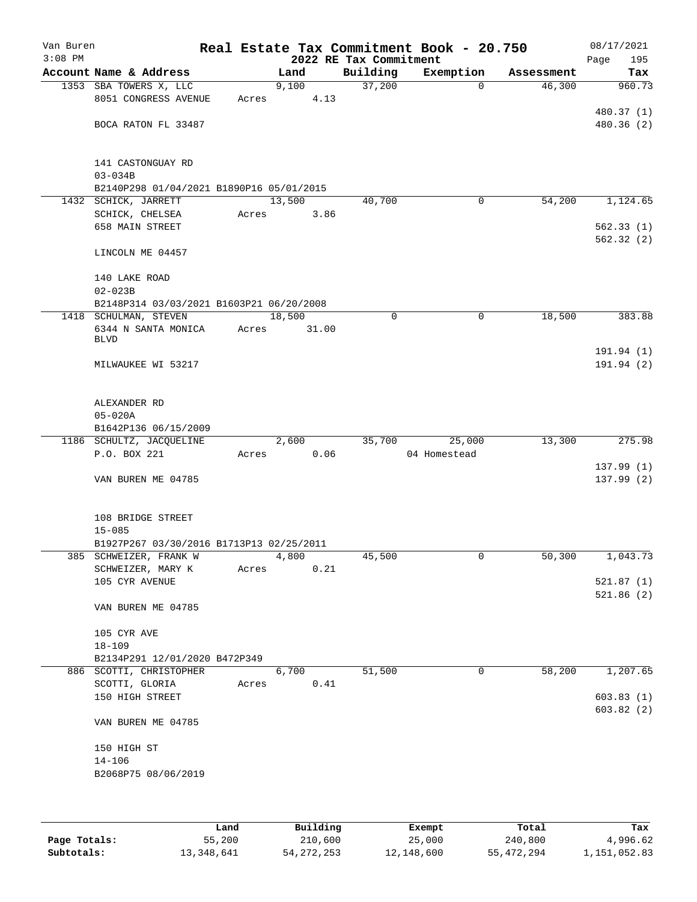| Van Buren<br>$3:08$ PM |                                                  |        |       | 2022 RE Tax Commitment | Real Estate Tax Commitment Book - 20.750 |            | 08/17/2021<br>195<br>Page |
|------------------------|--------------------------------------------------|--------|-------|------------------------|------------------------------------------|------------|---------------------------|
|                        | Account Name & Address                           |        | Land  | Building               | Exemption                                | Assessment | Tax                       |
|                        | 1353 SBA TOWERS X, LLC                           | 9,100  |       | 37,200                 | 0                                        | 46,300     | 960.73                    |
|                        | 8051 CONGRESS AVENUE                             | Acres  | 4.13  |                        |                                          |            |                           |
|                        |                                                  |        |       |                        |                                          |            | 480.37 (1)                |
|                        | BOCA RATON FL 33487                              |        |       |                        |                                          |            | 480.36(2)                 |
|                        |                                                  |        |       |                        |                                          |            |                           |
|                        | 141 CASTONGUAY RD                                |        |       |                        |                                          |            |                           |
|                        | $03 - 034B$                                      |        |       |                        |                                          |            |                           |
|                        | B2140P298 01/04/2021 B1890P16 05/01/2015         |        |       |                        |                                          |            |                           |
|                        | 1432 SCHICK, JARRETT                             | 13,500 |       | 40,700                 | 0                                        | 54,200     | 1,124.65                  |
|                        | SCHICK, CHELSEA                                  | Acres  | 3.86  |                        |                                          |            |                           |
|                        | 658 MAIN STREET                                  |        |       |                        |                                          |            | 562.33(1)                 |
|                        | LINCOLN ME 04457                                 |        |       |                        |                                          |            | 562.32(2)                 |
|                        |                                                  |        |       |                        |                                          |            |                           |
|                        | 140 LAKE ROAD                                    |        |       |                        |                                          |            |                           |
|                        | $02 - 023B$                                      |        |       |                        |                                          |            |                           |
|                        | B2148P314 03/03/2021 B1603P21 06/20/2008         |        |       |                        |                                          |            |                           |
|                        | 1418 SCHULMAN, STEVEN                            | 18,500 |       | $\mathbf 0$            | 0                                        | 18,500     | 383.88                    |
|                        | 6344 N SANTA MONICA                              | Acres  | 31.00 |                        |                                          |            |                           |
|                        | <b>BLVD</b>                                      |        |       |                        |                                          |            | 191.94 (1)                |
|                        | MILWAUKEE WI 53217                               |        |       |                        |                                          |            | 191.94 (2)                |
|                        |                                                  |        |       |                        |                                          |            |                           |
|                        |                                                  |        |       |                        |                                          |            |                           |
|                        | ALEXANDER RD                                     |        |       |                        |                                          |            |                           |
|                        | $05 - 020A$                                      |        |       |                        |                                          |            |                           |
|                        | B1642P136 06/15/2009<br>1186 SCHULTZ, JACQUELINE |        | 2,600 | 35,700                 | 25,000                                   | 13,300     | 275.98                    |
|                        | P.O. BOX 221                                     | Acres  | 0.06  |                        | 04 Homestead                             |            |                           |
|                        |                                                  |        |       |                        |                                          |            | 137.99(1)                 |
|                        | VAN BUREN ME 04785                               |        |       |                        |                                          |            | 137.99(2)                 |
|                        |                                                  |        |       |                        |                                          |            |                           |
|                        |                                                  |        |       |                        |                                          |            |                           |
|                        | 108 BRIDGE STREET<br>$15 - 085$                  |        |       |                        |                                          |            |                           |
|                        | B1927P267 03/30/2016 B1713P13 02/25/2011         |        |       |                        |                                          |            |                           |
|                        | 385 SCHWEIZER, FRANK W                           |        | 4,800 | 45,500                 | 0                                        | 50,300     | 1,043.73                  |
|                        | SCHWEIZER, MARY K                                | Acres  | 0.21  |                        |                                          |            |                           |
|                        | 105 CYR AVENUE                                   |        |       |                        |                                          |            | 521.87(1)                 |
|                        |                                                  |        |       |                        |                                          |            | 521.86(2)                 |
|                        | VAN BUREN ME 04785                               |        |       |                        |                                          |            |                           |
|                        | 105 CYR AVE                                      |        |       |                        |                                          |            |                           |
|                        | $18 - 109$                                       |        |       |                        |                                          |            |                           |
|                        | B2134P291 12/01/2020 B472P349                    |        |       |                        |                                          |            |                           |
|                        | 886 SCOTTI, CHRISTOPHER                          |        | 6,700 | 51,500                 | 0                                        | 58,200     | 1,207.65                  |
|                        | SCOTTI, GLORIA                                   | Acres  | 0.41  |                        |                                          |            |                           |
|                        | 150 HIGH STREET                                  |        |       |                        |                                          |            | 603.83(1)                 |
|                        |                                                  |        |       |                        |                                          |            | 603.82(2)                 |
|                        | VAN BUREN ME 04785                               |        |       |                        |                                          |            |                           |
|                        | 150 HIGH ST                                      |        |       |                        |                                          |            |                           |
|                        | $14 - 106$                                       |        |       |                        |                                          |            |                           |
|                        | B2068P75 08/06/2019                              |        |       |                        |                                          |            |                           |
|                        |                                                  |        |       |                        |                                          |            |                           |
|                        |                                                  |        |       |                        |                                          |            |                           |

|              | Land       | Building     | Exempt     | Total      | Tax          |
|--------------|------------|--------------|------------|------------|--------------|
| Page Totals: | 55,200     | 210,600      | 25,000     | 240,800    | 4,996.62     |
| Subtotals:   | 13,348,641 | 54, 272, 253 | 12,148,600 | 55,472,294 | 1,151,052.83 |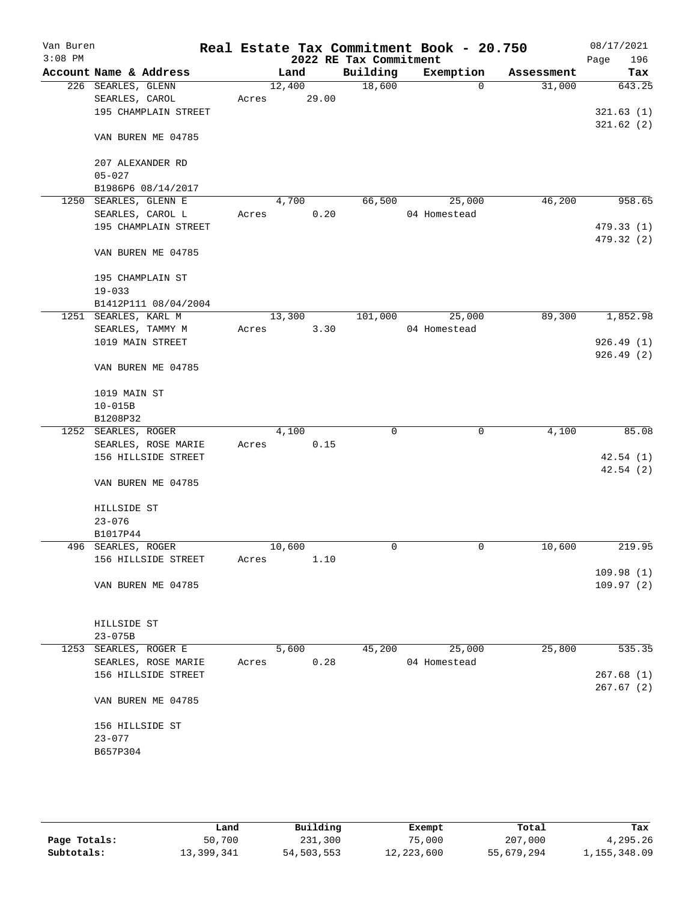| Van Buren<br>$3:08$ PM |                        |       |        |       | 2022 RE Tax Commitment | Real Estate Tax Commitment Book - 20.750 |            | 08/17/2021<br>196<br>Page |
|------------------------|------------------------|-------|--------|-------|------------------------|------------------------------------------|------------|---------------------------|
|                        | Account Name & Address |       | Land   |       | Building               | Exemption                                | Assessment | Tax                       |
|                        | 226 SEARLES, GLENN     |       | 12,400 |       | 18,600                 | $\Omega$                                 | 31,000     | 643.25                    |
|                        | SEARLES, CAROL         | Acres |        | 29.00 |                        |                                          |            |                           |
|                        | 195 CHAMPLAIN STREET   |       |        |       |                        |                                          |            | 321.63(1)                 |
|                        |                        |       |        |       |                        |                                          |            | 321.62(2)                 |
|                        | VAN BUREN ME 04785     |       |        |       |                        |                                          |            |                           |
|                        | 207 ALEXANDER RD       |       |        |       |                        |                                          |            |                           |
|                        | $05 - 027$             |       |        |       |                        |                                          |            |                           |
|                        | B1986P6 08/14/2017     |       |        |       |                        |                                          |            |                           |
| 1250                   | SEARLES, GLENN E       |       | 4,700  |       | 66,500                 | 25,000                                   | 46,200     | 958.65                    |
|                        | SEARLES, CAROL L       | Acres |        | 0.20  |                        | 04 Homestead                             |            |                           |
|                        | 195 CHAMPLAIN STREET   |       |        |       |                        |                                          |            | 479.33 (1)                |
|                        | VAN BUREN ME 04785     |       |        |       |                        |                                          |            | 479.32 (2)                |
|                        | 195 CHAMPLAIN ST       |       |        |       |                        |                                          |            |                           |
|                        | $19 - 033$             |       |        |       |                        |                                          |            |                           |
|                        | B1412P111 08/04/2004   |       |        |       |                        |                                          |            |                           |
|                        | 1251 SEARLES, KARL M   |       | 13,300 |       | 101,000                | 25,000                                   | 89,300     | 1,852.98                  |
|                        | SEARLES, TAMMY M       | Acres |        | 3.30  |                        | 04 Homestead                             |            |                           |
|                        | 1019 MAIN STREET       |       |        |       |                        |                                          |            | 926.49(1)                 |
|                        |                        |       |        |       |                        |                                          |            | 926.49(2)                 |
|                        | VAN BUREN ME 04785     |       |        |       |                        |                                          |            |                           |
|                        | 1019 MAIN ST           |       |        |       |                        |                                          |            |                           |
|                        | $10 - 015B$            |       |        |       |                        |                                          |            |                           |
|                        | B1208P32               |       |        |       |                        |                                          |            |                           |
|                        | 1252 SEARLES, ROGER    |       | 4,100  |       | $\mathbf 0$            | 0                                        | 4,100      | 85.08                     |
|                        | SEARLES, ROSE MARIE    | Acres |        | 0.15  |                        |                                          |            |                           |
|                        | 156 HILLSIDE STREET    |       |        |       |                        |                                          |            | 42.54(1)                  |
|                        |                        |       |        |       |                        |                                          |            | 42.54(2)                  |
|                        | VAN BUREN ME 04785     |       |        |       |                        |                                          |            |                           |
|                        | HILLSIDE ST            |       |        |       |                        |                                          |            |                           |
|                        | $23 - 076$             |       |        |       |                        |                                          |            |                           |
|                        | B1017P44               |       |        |       |                        |                                          |            |                           |
|                        | 496 SEARLES, ROGER     |       | 10,600 |       | 0                      | $\mathsf{O}$                             | 10,600     | 219.95                    |
|                        | 156 HILLSIDE STREET    | Acres |        | 1.10  |                        |                                          |            |                           |
|                        |                        |       |        |       |                        |                                          |            | 109.98(1)                 |
|                        | VAN BUREN ME 04785     |       |        |       |                        |                                          |            | 109.97(2)                 |
|                        |                        |       |        |       |                        |                                          |            |                           |
|                        | HILLSIDE ST            |       |        |       |                        |                                          |            |                           |
|                        | $23 - 075B$            |       |        |       |                        |                                          |            |                           |
|                        | 1253 SEARLES, ROGER E  |       | 5,600  |       | 45,200                 | 25,000                                   | 25,800     | 535.35                    |
|                        | SEARLES, ROSE MARIE    | Acres |        | 0.28  |                        | 04 Homestead                             |            |                           |
|                        | 156 HILLSIDE STREET    |       |        |       |                        |                                          |            | 267.68(1)                 |
|                        | VAN BUREN ME 04785     |       |        |       |                        |                                          |            | 267.67(2)                 |
|                        |                        |       |        |       |                        |                                          |            |                           |
|                        | 156 HILLSIDE ST        |       |        |       |                        |                                          |            |                           |
|                        | $23 - 077$             |       |        |       |                        |                                          |            |                           |
|                        | B657P304               |       |        |       |                        |                                          |            |                           |
|                        |                        |       |        |       |                        |                                          |            |                           |
|                        |                        |       |        |       |                        |                                          |            |                           |

|              | Land       | Building   | Exempt     | Total      | Tax          |
|--------------|------------|------------|------------|------------|--------------|
| Page Totals: | 50,700     | 231,300    | 75,000     | 207,000    | 4,295.26     |
| Subtotals:   | 13,399,341 | 54,503,553 | 12,223,600 | 55,679,294 | 1,155,348.09 |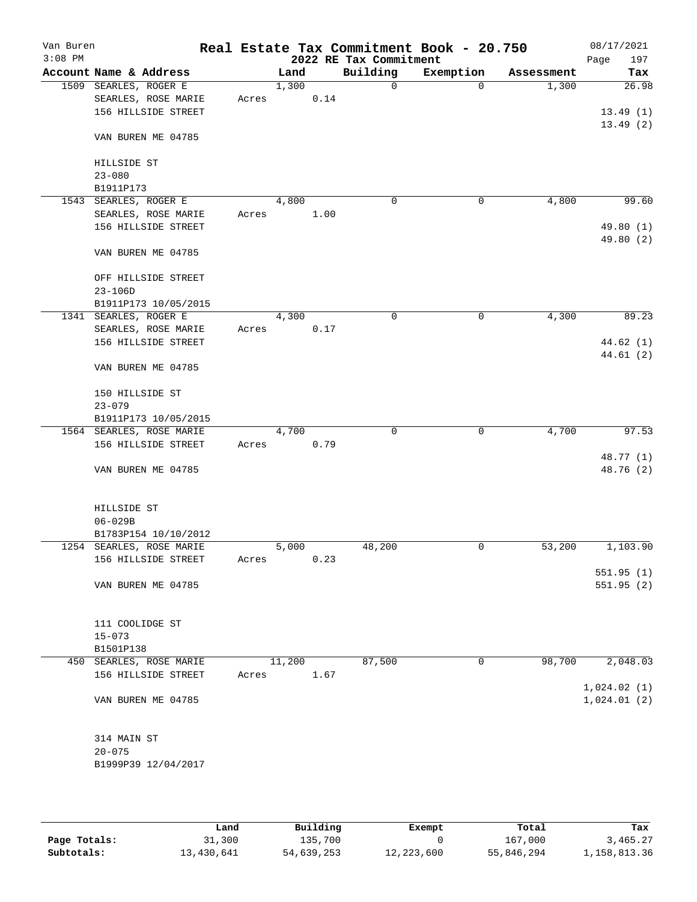| Van Buren<br>$3:08$ PM |                          |       |        |      | 2022 RE Tax Commitment | Real Estate Tax Commitment Book - 20.750 |            | 08/17/2021<br>Page<br>197 |
|------------------------|--------------------------|-------|--------|------|------------------------|------------------------------------------|------------|---------------------------|
|                        | Account Name & Address   |       | Land   |      | Building               | Exemption                                | Assessment | Tax                       |
|                        | 1509 SEARLES, ROGER E    |       | 1,300  |      | $\mathbf 0$            | $\Omega$                                 | 1,300      | 26.98                     |
|                        | SEARLES, ROSE MARIE      | Acres |        | 0.14 |                        |                                          |            |                           |
|                        | 156 HILLSIDE STREET      |       |        |      |                        |                                          |            | 13.49(1)                  |
|                        |                          |       |        |      |                        |                                          |            | 13.49(2)                  |
|                        | VAN BUREN ME 04785       |       |        |      |                        |                                          |            |                           |
|                        | HILLSIDE ST              |       |        |      |                        |                                          |            |                           |
|                        | $23 - 080$               |       |        |      |                        |                                          |            |                           |
|                        | B1911P173                |       |        |      |                        |                                          |            |                           |
| 1543                   | SEARLES, ROGER E         |       | 4,800  |      | $\mathbf 0$            | 0                                        | 4,800      | 99.60                     |
|                        | SEARLES, ROSE MARIE      | Acres |        | 1.00 |                        |                                          |            |                           |
|                        | 156 HILLSIDE STREET      |       |        |      |                        |                                          |            | 49.80 (1)                 |
|                        |                          |       |        |      |                        |                                          |            | 49.80 (2)                 |
|                        | VAN BUREN ME 04785       |       |        |      |                        |                                          |            |                           |
|                        | OFF HILLSIDE STREET      |       |        |      |                        |                                          |            |                           |
|                        | $23 - 106D$              |       |        |      |                        |                                          |            |                           |
|                        | B1911P173 10/05/2015     |       |        |      |                        |                                          |            |                           |
|                        | 1341 SEARLES, ROGER E    |       | 4,300  |      | 0                      | 0                                        | 4,300      | 89.23                     |
|                        | SEARLES, ROSE MARIE      | Acres |        | 0.17 |                        |                                          |            |                           |
|                        | 156 HILLSIDE STREET      |       |        |      |                        |                                          |            | 44.62(1)                  |
|                        |                          |       |        |      |                        |                                          |            | 44.61(2)                  |
|                        | VAN BUREN ME 04785       |       |        |      |                        |                                          |            |                           |
|                        | 150 HILLSIDE ST          |       |        |      |                        |                                          |            |                           |
|                        | $23 - 079$               |       |        |      |                        |                                          |            |                           |
|                        | B1911P173 10/05/2015     |       |        |      |                        |                                          |            |                           |
|                        | 1564 SEARLES, ROSE MARIE |       | 4,700  |      | $\mathbf 0$            | 0                                        | 4,700      | 97.53                     |
|                        | 156 HILLSIDE STREET      | Acres |        | 0.79 |                        |                                          |            |                           |
|                        |                          |       |        |      |                        |                                          |            | 48.77 (1)                 |
|                        | VAN BUREN ME 04785       |       |        |      |                        |                                          |            | 48.76 (2)                 |
|                        | HILLSIDE ST              |       |        |      |                        |                                          |            |                           |
|                        | $06 - 029B$              |       |        |      |                        |                                          |            |                           |
|                        | B1783P154 10/10/2012     |       |        |      |                        |                                          |            |                           |
|                        | 1254 SEARLES, ROSE MARIE |       | 5,000  |      | 48,200                 | 0                                        | 53,200     | 1,103.90                  |
|                        | 156 HILLSIDE STREET      | Acres |        | 0.23 |                        |                                          |            |                           |
|                        |                          |       |        |      |                        |                                          |            | 551.95(1)                 |
|                        | VAN BUREN ME 04785       |       |        |      |                        |                                          |            | 551.95(2)                 |
|                        |                          |       |        |      |                        |                                          |            |                           |
|                        | 111 COOLIDGE ST          |       |        |      |                        |                                          |            |                           |
|                        | $15 - 073$               |       |        |      |                        |                                          |            |                           |
|                        | B1501P138                |       |        |      |                        |                                          |            |                           |
|                        | 450 SEARLES, ROSE MARIE  |       | 11,200 |      | 87,500                 | 0                                        | 98,700     | 2,048.03                  |
|                        | 156 HILLSIDE STREET      | Acres |        | 1.67 |                        |                                          |            |                           |
|                        |                          |       |        |      |                        |                                          |            | 1,024.02(1)               |
|                        | VAN BUREN ME 04785       |       |        |      |                        |                                          |            | 1,024.01(2)               |
|                        |                          |       |        |      |                        |                                          |            |                           |
|                        | 314 MAIN ST              |       |        |      |                        |                                          |            |                           |
|                        | $20 - 075$               |       |        |      |                        |                                          |            |                           |
|                        | B1999P39 12/04/2017      |       |        |      |                        |                                          |            |                           |
|                        |                          |       |        |      |                        |                                          |            |                           |

|              | Land       | Building   | Exempt     | Total      | Tax          |
|--------------|------------|------------|------------|------------|--------------|
| Page Totals: | 31,300     | 135,700    |            | 167,000    | 3,465.27     |
| Subtotals:   | 13,430,641 | 54,639,253 | 12,223,600 | 55,846,294 | 1,158,813.36 |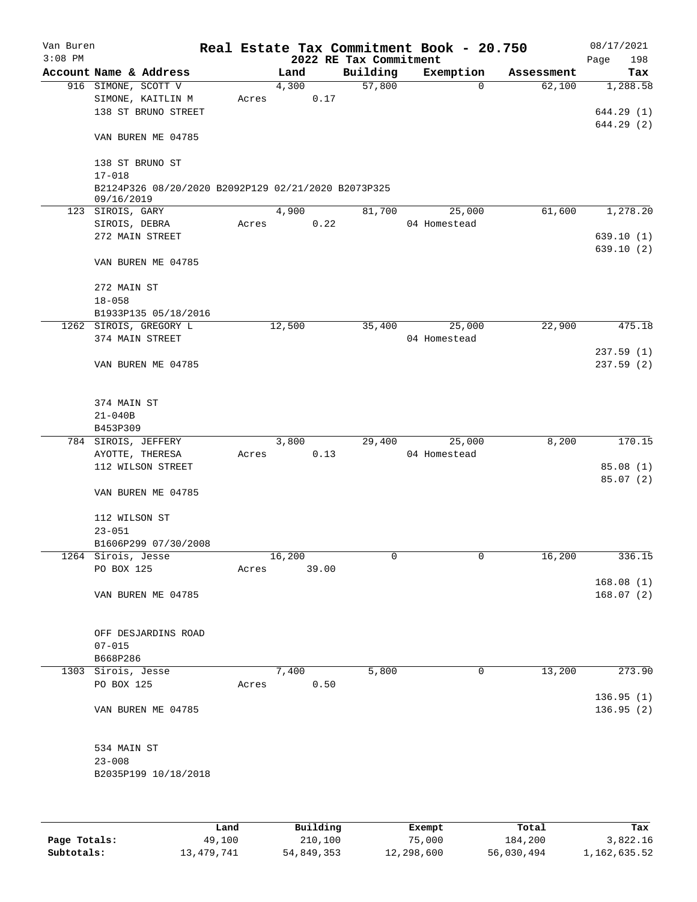| Van Buren |                                                                   |       |        |       |                        | Real Estate Tax Commitment Book - 20.750 |            | 08/17/2021  |
|-----------|-------------------------------------------------------------------|-------|--------|-------|------------------------|------------------------------------------|------------|-------------|
| $3:08$ PM |                                                                   |       |        |       | 2022 RE Tax Commitment |                                          |            | 198<br>Page |
|           | Account Name & Address                                            |       | Land   |       | Building               | Exemption                                | Assessment | Tax         |
|           | 916 SIMONE, SCOTT V                                               |       | 4,300  |       | 57,800                 | 0                                        | 62,100     | 1,288.58    |
|           | SIMONE, KAITLIN M                                                 | Acres |        | 0.17  |                        |                                          |            |             |
|           | 138 ST BRUNO STREET                                               |       |        |       |                        |                                          |            | 644.29(1)   |
|           | VAN BUREN ME 04785                                                |       |        |       |                        |                                          |            | 644.29(2)   |
|           | 138 ST BRUNO ST                                                   |       |        |       |                        |                                          |            |             |
|           | $17 - 018$<br>B2124P326 08/20/2020 B2092P129 02/21/2020 B2073P325 |       |        |       |                        |                                          |            |             |
|           | 09/16/2019<br>123 SIROIS, GARY                                    |       | 4,900  |       | 81,700                 | 25,000                                   | 61,600     | 1,278.20    |
|           | SIROIS, DEBRA                                                     | Acres |        | 0.22  |                        | 04 Homestead                             |            |             |
|           | 272 MAIN STREET                                                   |       |        |       |                        |                                          |            | 639.10(1)   |
|           |                                                                   |       |        |       |                        |                                          |            | 639.10(2)   |
|           | VAN BUREN ME 04785                                                |       |        |       |                        |                                          |            |             |
|           | 272 MAIN ST                                                       |       |        |       |                        |                                          |            |             |
|           | $18 - 058$                                                        |       |        |       |                        |                                          |            |             |
|           | B1933P135 05/18/2016                                              |       |        |       |                        |                                          |            |             |
|           | 1262 SIROIS, GREGORY L                                            |       | 12,500 |       | 35,400                 | 25,000                                   | 22,900     | 475.18      |
|           | 374 MAIN STREET                                                   |       |        |       |                        | 04 Homestead                             |            | 237.59(1)   |
|           | VAN BUREN ME 04785                                                |       |        |       |                        |                                          |            | 237.59(2)   |
|           |                                                                   |       |        |       |                        |                                          |            |             |
|           | 374 MAIN ST                                                       |       |        |       |                        |                                          |            |             |
|           | $21 - 040B$<br>B453P309                                           |       |        |       |                        |                                          |            |             |
|           | 784 SIROIS, JEFFERY                                               |       | 3,800  |       | 29,400                 | 25,000                                   | 8,200      | 170.15      |
|           | AYOTTE, THERESA                                                   | Acres |        | 0.13  |                        | 04 Homestead                             |            |             |
|           | 112 WILSON STREET                                                 |       |        |       |                        |                                          |            | 85.08(1)    |
|           |                                                                   |       |        |       |                        |                                          |            | 85.07(2)    |
|           | VAN BUREN ME 04785                                                |       |        |       |                        |                                          |            |             |
|           | 112 WILSON ST                                                     |       |        |       |                        |                                          |            |             |
|           | $23 - 051$                                                        |       |        |       |                        |                                          |            |             |
|           | B1606P299 07/30/2008                                              |       |        |       |                        |                                          |            |             |
|           | 1264 Sirois, Jesse                                                |       | 16,200 |       | 0                      | 0                                        | 16,200     | 336.15      |
|           | PO BOX 125                                                        | Acres |        | 39.00 |                        |                                          |            |             |
|           |                                                                   |       |        |       |                        |                                          |            | 168.08(1)   |
|           | VAN BUREN ME 04785                                                |       |        |       |                        |                                          |            | 168.07(2)   |
|           | OFF DESJARDINS ROAD                                               |       |        |       |                        |                                          |            |             |
|           | $07 - 015$                                                        |       |        |       |                        |                                          |            |             |
|           | B668P286                                                          |       |        |       |                        |                                          |            |             |
|           | 1303 Sirois, Jesse                                                |       | 7,400  |       | 5,800                  | 0                                        | 13,200     | 273.90      |
|           | PO BOX 125                                                        | Acres |        | 0.50  |                        |                                          |            |             |
|           |                                                                   |       |        |       |                        |                                          |            | 136.95(1)   |
|           | VAN BUREN ME 04785                                                |       |        |       |                        |                                          |            | 136.95(2)   |
|           | 534 MAIN ST                                                       |       |        |       |                        |                                          |            |             |
|           | $23 - 008$                                                        |       |        |       |                        |                                          |            |             |
|           | B2035P199 10/18/2018                                              |       |        |       |                        |                                          |            |             |
|           |                                                                   |       |        |       |                        |                                          |            |             |
|           |                                                                   |       |        |       |                        |                                          |            |             |

|              | Land       | Building   | Exempt     | Total      | Tax          |
|--------------|------------|------------|------------|------------|--------------|
| Page Totals: | 49,100     | 210,100    | 75,000     | 184,200    | 3,822.16     |
| Subtotals:   | 13,479,741 | 54,849,353 | 12,298,600 | 56,030,494 | 1,162,635.52 |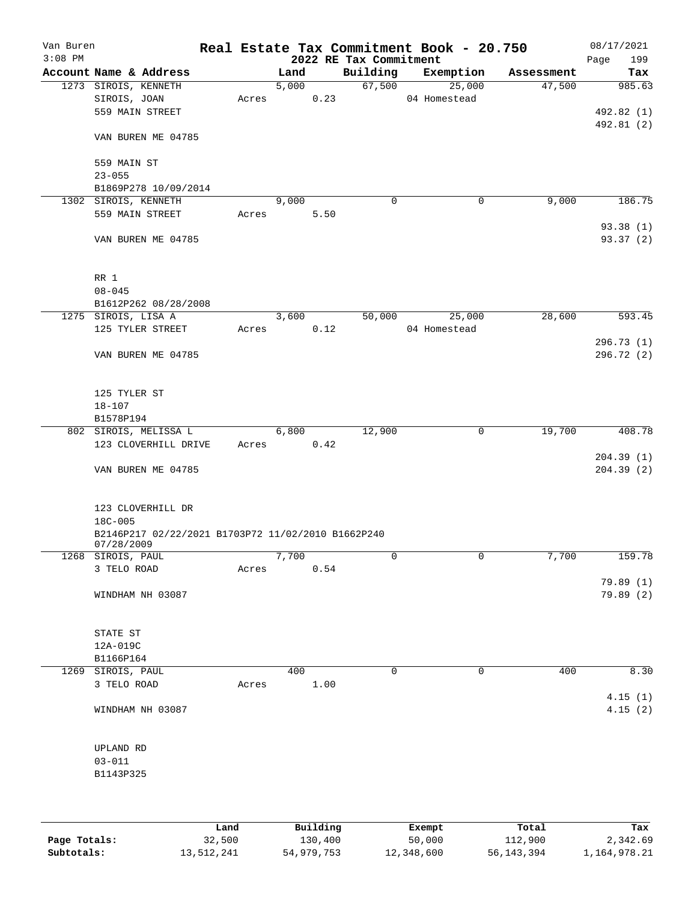| Van Buren<br>$3:08$ PM |                                                                  |       |       |      | 2022 RE Tax Commitment | Real Estate Tax Commitment Book - 20.750 |            | 08/17/2021<br>Page<br>199 |
|------------------------|------------------------------------------------------------------|-------|-------|------|------------------------|------------------------------------------|------------|---------------------------|
|                        | Account Name & Address                                           |       | Land  |      | Building               | Exemption                                | Assessment | Tax                       |
|                        | 1273 SIROIS, KENNETH                                             |       | 5,000 |      | 67,500                 | 25,000                                   | 47,500     | 985.63                    |
|                        | SIROIS, JOAN                                                     | Acres |       | 0.23 |                        | 04 Homestead                             |            |                           |
|                        | 559 MAIN STREET                                                  |       |       |      |                        |                                          |            | 492.82 (1)                |
|                        |                                                                  |       |       |      |                        |                                          |            | 492.81 (2)                |
|                        | VAN BUREN ME 04785                                               |       |       |      |                        |                                          |            |                           |
|                        | 559 MAIN ST                                                      |       |       |      |                        |                                          |            |                           |
|                        | $23 - 055$                                                       |       |       |      |                        |                                          |            |                           |
|                        | B1869P278 10/09/2014                                             |       |       |      |                        |                                          |            |                           |
|                        | 1302 SIROIS, KENNETH                                             |       | 9,000 |      | 0                      | 0                                        | 9,000      | 186.75                    |
|                        | 559 MAIN STREET                                                  | Acres |       | 5.50 |                        |                                          |            |                           |
|                        | VAN BUREN ME 04785                                               |       |       |      |                        |                                          |            | 93.38(1)<br>93.37 (2)     |
|                        | RR 1                                                             |       |       |      |                        |                                          |            |                           |
|                        | $08 - 045$                                                       |       |       |      |                        |                                          |            |                           |
|                        | B1612P262 08/28/2008                                             |       |       |      |                        |                                          |            |                           |
|                        | 1275 SIROIS, LISA A                                              |       | 3,600 |      | 50,000                 | 25,000                                   | 28,600     | 593.45                    |
|                        | 125 TYLER STREET                                                 | Acres |       | 0.12 |                        | 04 Homestead                             |            |                           |
|                        |                                                                  |       |       |      |                        |                                          |            | 296.73 (1)                |
|                        | VAN BUREN ME 04785                                               |       |       |      |                        |                                          |            | 296.72 (2)                |
|                        | 125 TYLER ST                                                     |       |       |      |                        |                                          |            |                           |
|                        | $18 - 107$                                                       |       |       |      |                        |                                          |            |                           |
|                        | B1578P194                                                        |       |       |      |                        |                                          |            |                           |
|                        | 802 SIROIS, MELISSA L                                            |       | 6,800 |      | 12,900                 | 0                                        | 19,700     | 408.78                    |
|                        | 123 CLOVERHILL DRIVE                                             | Acres |       | 0.42 |                        |                                          |            |                           |
|                        |                                                                  |       |       |      |                        |                                          |            | 204.39(1)                 |
|                        | VAN BUREN ME 04785                                               |       |       |      |                        |                                          |            | 204.39 (2)                |
|                        | 123 CLOVERHILL DR                                                |       |       |      |                        |                                          |            |                           |
|                        | $18C - 005$                                                      |       |       |      |                        |                                          |            |                           |
|                        | B2146P217 02/22/2021 B1703P72 11/02/2010 B1662P240<br>07/28/2009 |       |       |      |                        |                                          |            |                           |
|                        | 1268 SIROIS, PAUL                                                |       | 7,700 |      | 0                      | 0                                        | 7,700      | 159.78                    |
|                        | 3 TELO ROAD                                                      | Acres |       | 0.54 |                        |                                          |            |                           |
|                        |                                                                  |       |       |      |                        |                                          |            | 79.89 (1)                 |
|                        | WINDHAM NH 03087                                                 |       |       |      |                        |                                          |            | 79.89 (2)                 |
|                        | STATE ST                                                         |       |       |      |                        |                                          |            |                           |
|                        | 12A-019C                                                         |       |       |      |                        |                                          |            |                           |
|                        | B1166P164                                                        |       |       |      |                        |                                          |            |                           |
|                        | 1269 SIROIS, PAUL                                                |       | 400   |      | 0                      | 0                                        | 400        | 8.30                      |
|                        | 3 TELO ROAD                                                      | Acres |       | 1.00 |                        |                                          |            |                           |
|                        |                                                                  |       |       |      |                        |                                          |            | 4.15(1)                   |
|                        | WINDHAM NH 03087                                                 |       |       |      |                        |                                          |            | 4.15(2)                   |
|                        | UPLAND RD                                                        |       |       |      |                        |                                          |            |                           |
|                        | $03 - 011$                                                       |       |       |      |                        |                                          |            |                           |
|                        | B1143P325                                                        |       |       |      |                        |                                          |            |                           |
|                        |                                                                  |       |       |      |                        |                                          |            |                           |
|                        |                                                                  |       |       |      |                        |                                          |            |                           |
|                        |                                                                  |       |       |      |                        |                                          |            |                           |

|              | Land       | Building   | Exempt     | Total      | Tax          |
|--------------|------------|------------|------------|------------|--------------|
| Page Totals: | 32,500     | 130,400    | 50,000     | 112,900    | 2,342.69     |
| Subtotals:   | 13,512,241 | 54,979,753 | 12,348,600 | 56,143,394 | 1,164,978.21 |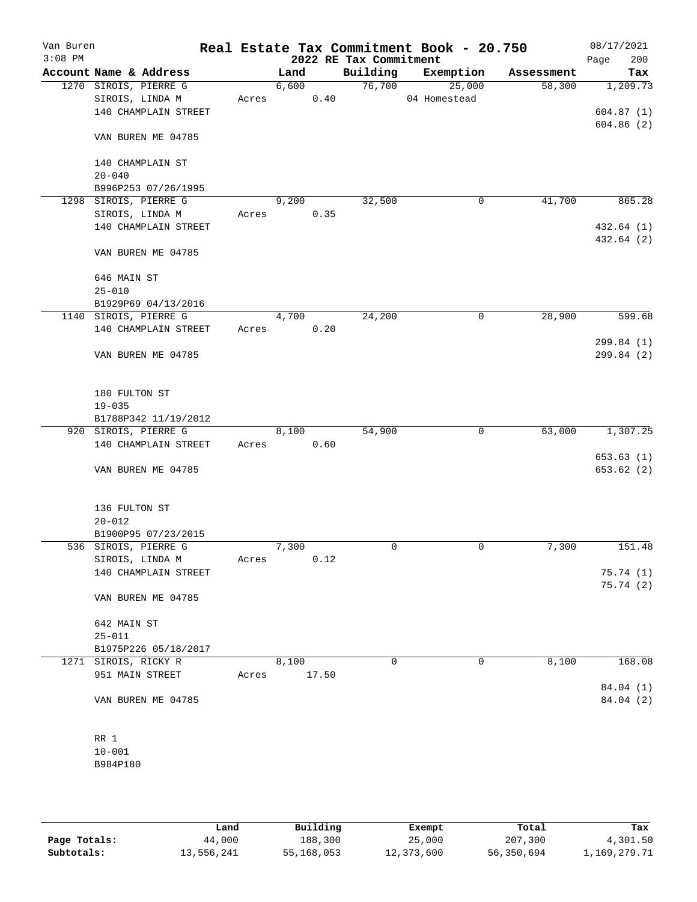| Van Buren<br>$3:08$ PM |                        |       |       |       | 2022 RE Tax Commitment | Real Estate Tax Commitment Book - 20.750 |            | 08/17/2021<br>200<br>Page |
|------------------------|------------------------|-------|-------|-------|------------------------|------------------------------------------|------------|---------------------------|
|                        | Account Name & Address |       | Land  |       | Building               | Exemption                                | Assessment | Tax                       |
|                        | 1270 SIROIS, PIERRE G  |       | 6,600 |       | 76,700                 | 25,000                                   | 58,300     | 1,209.73                  |
|                        | SIROIS, LINDA M        | Acres |       | 0.40  |                        | 04 Homestead                             |            |                           |
|                        | 140 CHAMPLAIN STREET   |       |       |       |                        |                                          |            | 604.87(1)                 |
|                        | VAN BUREN ME 04785     |       |       |       |                        |                                          |            | 604.86(2)                 |
|                        | 140 CHAMPLAIN ST       |       |       |       |                        |                                          |            |                           |
|                        | $20 - 040$             |       |       |       |                        |                                          |            |                           |
|                        | B996P253 07/26/1995    |       |       |       |                        |                                          |            |                           |
|                        | 1298 SIROIS, PIERRE G  |       | 9,200 |       | 32,500                 | 0                                        | 41,700     | 865.28                    |
|                        | SIROIS, LINDA M        | Acres |       | 0.35  |                        |                                          |            |                           |
|                        | 140 CHAMPLAIN STREET   |       |       |       |                        |                                          |            | 432.64 (1)                |
|                        | VAN BUREN ME 04785     |       |       |       |                        |                                          |            | 432.64 (2)                |
|                        | 646 MAIN ST            |       |       |       |                        |                                          |            |                           |
|                        | $25 - 010$             |       |       |       |                        |                                          |            |                           |
|                        | B1929P69 04/13/2016    |       |       |       |                        |                                          |            |                           |
|                        | 1140 SIROIS, PIERRE G  |       | 4,700 |       | 24,200                 | $\mathsf{O}$                             | 28,900     | 599.68                    |
|                        | 140 CHAMPLAIN STREET   | Acres |       | 0.20  |                        |                                          |            |                           |
|                        |                        |       |       |       |                        |                                          |            | 299.84 (1)                |
|                        | VAN BUREN ME 04785     |       |       |       |                        |                                          |            | 299.84 (2)                |
|                        | 180 FULTON ST          |       |       |       |                        |                                          |            |                           |
|                        | $19 - 035$             |       |       |       |                        |                                          |            |                           |
|                        | B1788P342 11/19/2012   |       |       |       |                        |                                          |            |                           |
|                        | 920 SIROIS, PIERRE G   |       | 8,100 |       | 54,900                 | $\mathbf 0$                              | 63,000     | 1,307.25                  |
|                        | 140 CHAMPLAIN STREET   | Acres |       | 0.60  |                        |                                          |            |                           |
|                        | VAN BUREN ME 04785     |       |       |       |                        |                                          |            | 653.63(1)<br>653.62(2)    |
|                        | 136 FULTON ST          |       |       |       |                        |                                          |            |                           |
|                        | $20 - 012$             |       |       |       |                        |                                          |            |                           |
|                        | B1900P95 07/23/2015    |       |       |       |                        |                                          |            |                           |
|                        | 536 SIROIS, PIERRE G   |       | 7,300 |       | 0                      | $\mathbf 0$                              | 7,300      | 151.48                    |
|                        | SIROIS, LINDA M        | Acres |       | 0.12  |                        |                                          |            |                           |
|                        | 140 CHAMPLAIN STREET   |       |       |       |                        |                                          |            | 75.74(1)                  |
|                        | VAN BUREN ME 04785     |       |       |       |                        |                                          |            | 75.74(2)                  |
|                        | 642 MAIN ST            |       |       |       |                        |                                          |            |                           |
|                        | $25 - 011$             |       |       |       |                        |                                          |            |                           |
|                        | B1975P226 05/18/2017   |       |       |       |                        |                                          |            |                           |
|                        | 1271 SIROIS, RICKY R   |       | 8,100 |       | 0                      | 0                                        | 8,100      | 168.08                    |
|                        | 951 MAIN STREET        | Acres |       | 17.50 |                        |                                          |            |                           |
|                        |                        |       |       |       |                        |                                          |            | 84.04 (1)                 |
|                        | VAN BUREN ME 04785     |       |       |       |                        |                                          |            | 84.04 (2)                 |
|                        | RR 1                   |       |       |       |                        |                                          |            |                           |
|                        | $10 - 001$             |       |       |       |                        |                                          |            |                           |
|                        | B984P180               |       |       |       |                        |                                          |            |                           |
|                        |                        |       |       |       |                        |                                          |            |                           |

|              | Land       | Building   | Exempt     | Total      | Tax          |
|--------------|------------|------------|------------|------------|--------------|
| Page Totals: | 44,000     | 188,300    | 25,000     | 207,300    | 4,301.50     |
| Subtotals:   | 13,556,241 | 55,168,053 | 12,373,600 | 56,350,694 | l,169,279.71 |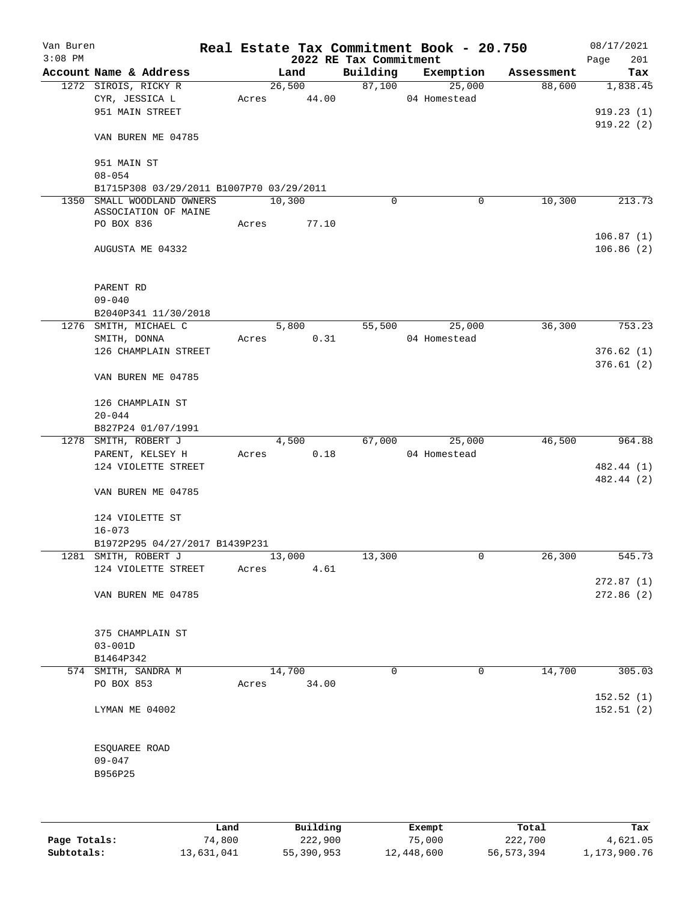| Van Buren |                                          |       |        |                        | Real Estate Tax Commitment Book - 20.750 |            | 08/17/2021  |
|-----------|------------------------------------------|-------|--------|------------------------|------------------------------------------|------------|-------------|
| $3:08$ PM |                                          |       |        | 2022 RE Tax Commitment |                                          |            | 201<br>Page |
|           | Account Name & Address                   |       | Land   | Building               | Exemption                                | Assessment | Tax         |
|           | 1272 SIROIS, RICKY R                     |       | 26,500 | 87,100                 | 25,000                                   | 88,600     | 1,838.45    |
|           | CYR, JESSICA L                           | Acres | 44.00  |                        | 04 Homestead                             |            |             |
|           | 951 MAIN STREET                          |       |        |                        |                                          |            | 919.23(1)   |
|           |                                          |       |        |                        |                                          |            | 919.22(2)   |
|           | VAN BUREN ME 04785                       |       |        |                        |                                          |            |             |
|           |                                          |       |        |                        |                                          |            |             |
|           | 951 MAIN ST                              |       |        |                        |                                          |            |             |
|           | $08 - 054$                               |       |        |                        |                                          |            |             |
|           | B1715P308 03/29/2011 B1007P70 03/29/2011 |       |        |                        |                                          |            |             |
|           | 1350 SMALL WOODLAND OWNERS               |       | 10,300 | $\mathbf 0$            | 0                                        | 10,300     | 213.73      |
|           | ASSOCIATION OF MAINE                     |       |        |                        |                                          |            |             |
|           | PO BOX 836                               | Acres | 77.10  |                        |                                          |            |             |
|           |                                          |       |        |                        |                                          |            | 106.87(1)   |
|           | AUGUSTA ME 04332                         |       |        |                        |                                          |            | 106.86(2)   |
|           |                                          |       |        |                        |                                          |            |             |
|           |                                          |       |        |                        |                                          |            |             |
|           | PARENT RD                                |       |        |                        |                                          |            |             |
|           | $09 - 040$                               |       |        |                        |                                          |            |             |
|           | B2040P341 11/30/2018                     |       |        |                        |                                          |            |             |
|           | 1276 SMITH, MICHAEL C                    |       | 5,800  | 55,500                 | 25,000                                   | 36,300     | 753.23      |
|           | SMITH, DONNA                             | Acres | 0.31   |                        | 04 Homestead                             |            |             |
|           | 126 CHAMPLAIN STREET                     |       |        |                        |                                          |            | 376.62(1)   |
|           |                                          |       |        |                        |                                          |            | 376.61(2)   |
|           | VAN BUREN ME 04785                       |       |        |                        |                                          |            |             |
|           |                                          |       |        |                        |                                          |            |             |
|           | 126 CHAMPLAIN ST                         |       |        |                        |                                          |            |             |
|           | $20 - 044$                               |       |        |                        |                                          |            |             |
|           | B827P24 01/07/1991                       |       |        |                        |                                          |            |             |
|           | 1278 SMITH, ROBERT J                     |       | 4,500  | 67,000                 | 25,000                                   | 46,500     | 964.88      |
|           | PARENT, KELSEY H                         | Acres | 0.18   |                        | 04 Homestead                             |            |             |
|           | 124 VIOLETTE STREET                      |       |        |                        |                                          |            | 482.44 (1)  |
|           |                                          |       |        |                        |                                          |            | 482.44 (2)  |
|           | VAN BUREN ME 04785                       |       |        |                        |                                          |            |             |
|           |                                          |       |        |                        |                                          |            |             |
|           | 124 VIOLETTE ST                          |       |        |                        |                                          |            |             |
|           | $16 - 073$                               |       |        |                        |                                          |            |             |
|           | B1972P295 04/27/2017 B1439P231           |       |        |                        |                                          |            |             |
|           | 1281 SMITH, ROBERT J                     |       | 13,000 | 13,300                 | $\mathsf{O}$                             | 26,300     | 545.73      |
|           | 124 VIOLETTE STREET                      | Acres | 4.61   |                        |                                          |            |             |
|           |                                          |       |        |                        |                                          |            | 272.87(1)   |
|           | VAN BUREN ME 04785                       |       |        |                        |                                          |            | 272.86(2)   |
|           |                                          |       |        |                        |                                          |            |             |
|           |                                          |       |        |                        |                                          |            |             |
|           | 375 CHAMPLAIN ST                         |       |        |                        |                                          |            |             |
|           | $03 - 001D$                              |       |        |                        |                                          |            |             |
|           | B1464P342                                |       |        |                        |                                          |            |             |
|           | 574 SMITH, SANDRA M                      |       | 14,700 | $\Omega$               | 0                                        | 14,700     | 305.03      |
|           | PO BOX 853                               | Acres | 34.00  |                        |                                          |            |             |
|           |                                          |       |        |                        |                                          |            | 152.52 (1)  |
|           | LYMAN ME 04002                           |       |        |                        |                                          |            | 152.51(2)   |
|           |                                          |       |        |                        |                                          |            |             |
|           |                                          |       |        |                        |                                          |            |             |
|           | ESQUAREE ROAD                            |       |        |                        |                                          |            |             |
|           | $09 - 047$                               |       |        |                        |                                          |            |             |
|           | B956P25                                  |       |        |                        |                                          |            |             |
|           |                                          |       |        |                        |                                          |            |             |
|           |                                          |       |        |                        |                                          |            |             |
|           |                                          |       |        |                        |                                          |            |             |
|           |                                          |       |        |                        |                                          |            |             |

|              | Land       | Building   | Exempt     | Total      | Tax          |
|--------------|------------|------------|------------|------------|--------------|
| Page Totals: | 74,800     | 222,900    | 75,000     | 222,700    | 4,621.05     |
| Subtotals:   | 13,631,041 | 55,390,953 | 12,448,600 | 56,573,394 | 1,173,900.76 |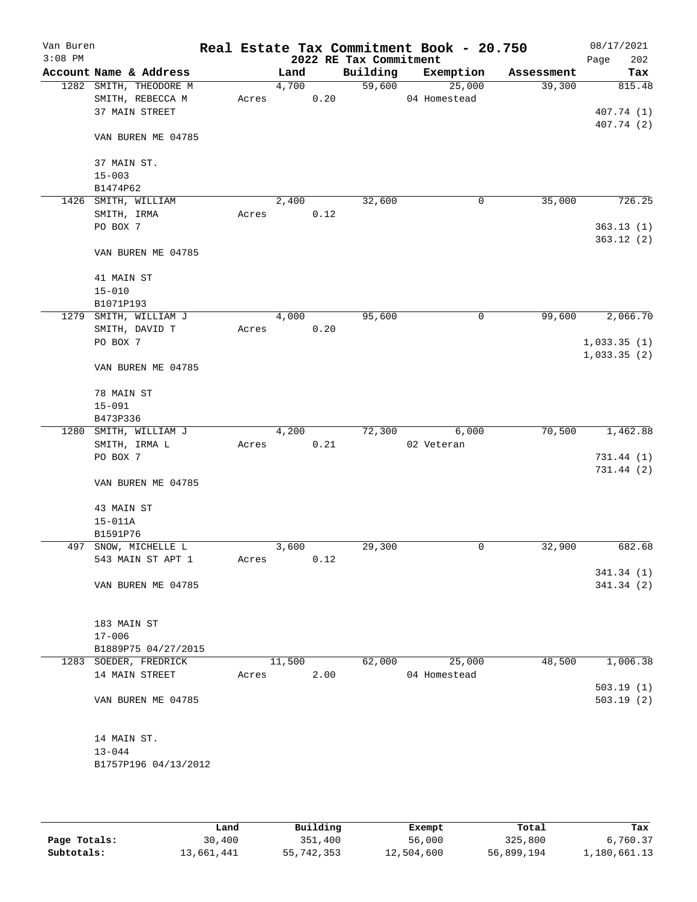| Van Buren |                                    |       |        |      |                        | Real Estate Tax Commitment Book - 20.750 |            | 08/17/2021  |
|-----------|------------------------------------|-------|--------|------|------------------------|------------------------------------------|------------|-------------|
| $3:08$ PM |                                    |       |        |      | 2022 RE Tax Commitment |                                          |            | 202<br>Page |
|           | Account Name & Address             |       | Land   |      | Building               | Exemption                                | Assessment | Tax         |
|           | 1282 SMITH, THEODORE M             |       | 4,700  |      | 59,600                 | 25,000                                   | 39,300     | 815.48      |
|           | SMITH, REBECCA M<br>37 MAIN STREET | Acres |        | 0.20 |                        | 04 Homestead                             |            | 407.74 (1)  |
|           |                                    |       |        |      |                        |                                          |            | 407.74 (2)  |
|           | VAN BUREN ME 04785                 |       |        |      |                        |                                          |            |             |
|           | 37 MAIN ST.                        |       |        |      |                        |                                          |            |             |
|           | $15 - 003$                         |       |        |      |                        |                                          |            |             |
|           | B1474P62<br>1426 SMITH, WILLIAM    |       | 2,400  |      | 32,600                 | 0                                        | 35,000     | 726.25      |
|           | SMITH, IRMA                        | Acres |        | 0.12 |                        |                                          |            |             |
|           | PO BOX 7                           |       |        |      |                        |                                          |            | 363.13(1)   |
|           |                                    |       |        |      |                        |                                          |            | 363.12(2)   |
|           | VAN BUREN ME 04785                 |       |        |      |                        |                                          |            |             |
|           | 41 MAIN ST                         |       |        |      |                        |                                          |            |             |
|           | $15 - 010$                         |       |        |      |                        |                                          |            |             |
|           | B1071P193                          |       |        |      |                        |                                          |            |             |
|           | 1279 SMITH, WILLIAM J              |       | 4,000  |      | 95,600                 | 0                                        | 99,600     | 2,066.70    |
|           | SMITH, DAVID T                     | Acres |        | 0.20 |                        |                                          |            |             |
|           | PO BOX 7                           |       |        |      |                        |                                          |            | 1,033.35(1) |
|           | VAN BUREN ME 04785                 |       |        |      |                        |                                          |            | 1,033.35(2) |
|           |                                    |       |        |      |                        |                                          |            |             |
|           | 78 MAIN ST<br>$15 - 091$           |       |        |      |                        |                                          |            |             |
|           | B473P336                           |       |        |      |                        |                                          |            |             |
|           | 1280 SMITH, WILLIAM J              |       | 4,200  |      | 72,300                 | 6,000                                    | 70,500     | 1,462.88    |
|           | SMITH, IRMA L                      | Acres |        | 0.21 |                        | 02 Veteran                               |            |             |
|           | PO BOX 7                           |       |        |      |                        |                                          |            | 731.44 (1)  |
|           |                                    |       |        |      |                        |                                          |            | 731.44(2)   |
|           | VAN BUREN ME 04785                 |       |        |      |                        |                                          |            |             |
|           | 43 MAIN ST                         |       |        |      |                        |                                          |            |             |
|           | $15 - 011A$                        |       |        |      |                        |                                          |            |             |
|           | B1591P76                           |       |        |      |                        |                                          |            |             |
| 497       | SNOW, MICHELLE L                   |       | 3,600  |      | 29,300                 | 0                                        | 32,900     | 682.68      |
|           | 543 MAIN ST APT 1                  | Acres |        | 0.12 |                        |                                          |            |             |
|           |                                    |       |        |      |                        |                                          |            | 341.34(1)   |
|           | VAN BUREN ME 04785                 |       |        |      |                        |                                          |            | 341.34(2)   |
|           | 183 MAIN ST                        |       |        |      |                        |                                          |            |             |
|           | $17 - 006$                         |       |        |      |                        |                                          |            |             |
|           | B1889P75 04/27/2015                |       |        |      |                        |                                          |            |             |
|           | 1283 SOEDER, FREDRICK              |       | 11,500 |      | 62,000                 | 25,000                                   | 48,500     | 1,006.38    |
|           | 14 MAIN STREET                     | Acres |        | 2.00 |                        | 04 Homestead                             |            |             |
|           |                                    |       |        |      |                        |                                          |            | 503.19(1)   |
|           | VAN BUREN ME 04785                 |       |        |      |                        |                                          |            | 503.19(2)   |
|           | 14 MAIN ST.                        |       |        |      |                        |                                          |            |             |
|           | $13 - 044$                         |       |        |      |                        |                                          |            |             |
|           | B1757P196 04/13/2012               |       |        |      |                        |                                          |            |             |
|           |                                    |       |        |      |                        |                                          |            |             |
|           |                                    |       |        |      |                        |                                          |            |             |

|              | Land       | Building   | Exempt     | Total      | Tax          |
|--------------|------------|------------|------------|------------|--------------|
| Page Totals: | 30,400     | 351,400    | 56,000     | 325,800    | 6,760.37     |
| Subtotals:   | 13,661,441 | 55,742,353 | 12,504,600 | 56,899,194 | 1,180,661.13 |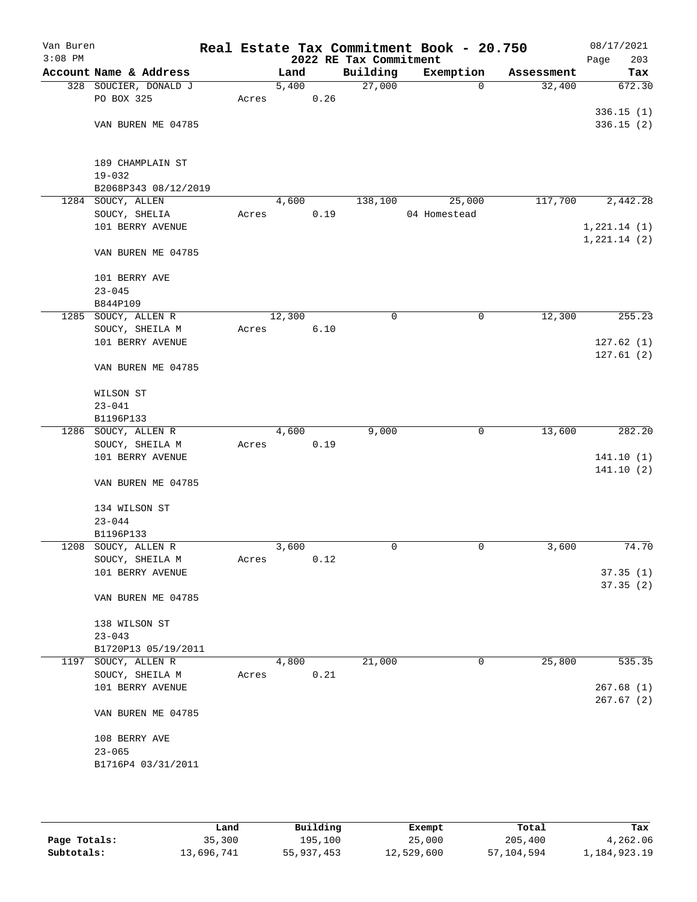| Van Buren<br>$3:08$ PM |                             |       |        |      | 2022 RE Tax Commitment | Real Estate Tax Commitment Book - 20.750 |            | 08/17/2021<br>203<br>Page |
|------------------------|-----------------------------|-------|--------|------|------------------------|------------------------------------------|------------|---------------------------|
|                        | Account Name & Address      |       | Land   |      | Building               | Exemption                                | Assessment | Tax                       |
|                        | 328 SOUCIER, DONALD J       |       | 5,400  |      | 27,000                 | $\mathbf 0$                              | 32,400     | 672.30                    |
|                        | PO BOX 325                  | Acres |        | 0.26 |                        |                                          |            |                           |
|                        |                             |       |        |      |                        |                                          |            | 336.15(1)                 |
|                        | VAN BUREN ME 04785          |       |        |      |                        |                                          |            | 336.15(2)                 |
|                        | 189 CHAMPLAIN ST            |       |        |      |                        |                                          |            |                           |
|                        | $19 - 032$                  |       |        |      |                        |                                          |            |                           |
|                        | B2068P343 08/12/2019        |       |        |      |                        |                                          |            |                           |
|                        | 1284 SOUCY, ALLEN           |       | 4,600  |      | 138,100                | 25,000                                   | 117,700    | 2,442.28                  |
|                        | SOUCY, SHELIA               | Acres |        | 0.19 |                        | 04 Homestead                             |            |                           |
|                        | 101 BERRY AVENUE            |       |        |      |                        |                                          |            | 1,221.14(1)               |
|                        | VAN BUREN ME 04785          |       |        |      |                        |                                          |            | 1,221.14(2)               |
|                        | 101 BERRY AVE               |       |        |      |                        |                                          |            |                           |
|                        | $23 - 045$                  |       |        |      |                        |                                          |            |                           |
|                        | B844P109                    |       |        |      |                        |                                          |            |                           |
|                        | 1285 SOUCY, ALLEN R         |       | 12,300 |      | 0                      | 0                                        | 12,300     | 255.23                    |
|                        | SOUCY, SHEILA M             | Acres |        | 6.10 |                        |                                          |            |                           |
|                        | 101 BERRY AVENUE            |       |        |      |                        |                                          |            | 127.62(1)<br>127.61(2)    |
|                        | VAN BUREN ME 04785          |       |        |      |                        |                                          |            |                           |
|                        | WILSON ST                   |       |        |      |                        |                                          |            |                           |
|                        | $23 - 041$                  |       |        |      |                        |                                          |            |                           |
|                        | B1196P133                   |       |        |      |                        |                                          |            |                           |
|                        | 1286 SOUCY, ALLEN R         |       | 4,600  |      | 9,000                  | $\mathbf 0$                              | 13,600     | 282.20                    |
|                        | SOUCY, SHEILA M             | Acres |        | 0.19 |                        |                                          |            |                           |
|                        | 101 BERRY AVENUE            |       |        |      |                        |                                          |            | 141.10(1)<br>141.10(2)    |
|                        | VAN BUREN ME 04785          |       |        |      |                        |                                          |            |                           |
|                        | 134 WILSON ST               |       |        |      |                        |                                          |            |                           |
|                        | $23 - 044$                  |       |        |      |                        |                                          |            |                           |
|                        | B1196P133                   |       |        |      |                        |                                          |            |                           |
|                        | 1208 SOUCY, ALLEN R         |       | 3,600  |      | 0                      | 0                                        | 3,600      | 74.70                     |
|                        | SOUCY, SHEILA M             | Acres |        | 0.12 |                        |                                          |            |                           |
|                        | 101 BERRY AVENUE            |       |        |      |                        |                                          |            | 37.35(1)<br>37.35(2)      |
|                        | VAN BUREN ME 04785          |       |        |      |                        |                                          |            |                           |
|                        | 138 WILSON ST               |       |        |      |                        |                                          |            |                           |
|                        | $23 - 043$                  |       |        |      |                        |                                          |            |                           |
|                        | B1720P13 05/19/2011         |       |        |      |                        |                                          |            |                           |
|                        | 1197 SOUCY, ALLEN R         |       | 4,800  |      | 21,000                 | 0                                        | 25,800     | 535.35                    |
|                        | SOUCY, SHEILA M             | Acres |        | 0.21 |                        |                                          |            |                           |
|                        | 101 BERRY AVENUE            |       |        |      |                        |                                          |            | 267.68(1)                 |
|                        | VAN BUREN ME 04785          |       |        |      |                        |                                          |            | 267.67(2)                 |
|                        |                             |       |        |      |                        |                                          |            |                           |
|                        | 108 BERRY AVE<br>$23 - 065$ |       |        |      |                        |                                          |            |                           |
|                        | B1716P4 03/31/2011          |       |        |      |                        |                                          |            |                           |
|                        |                             |       |        |      |                        |                                          |            |                           |
|                        |                             |       |        |      |                        |                                          |            |                           |

|              | Land       | Building   | Exempt     | Total      | Tax          |
|--------------|------------|------------|------------|------------|--------------|
| Page Totals: | 35,300     | 195,100    | 25,000     | 205,400    | 4,262.06     |
| Subtotals:   | 13,696,741 | 55,937,453 | 12,529,600 | 57,104,594 | 1,184,923.19 |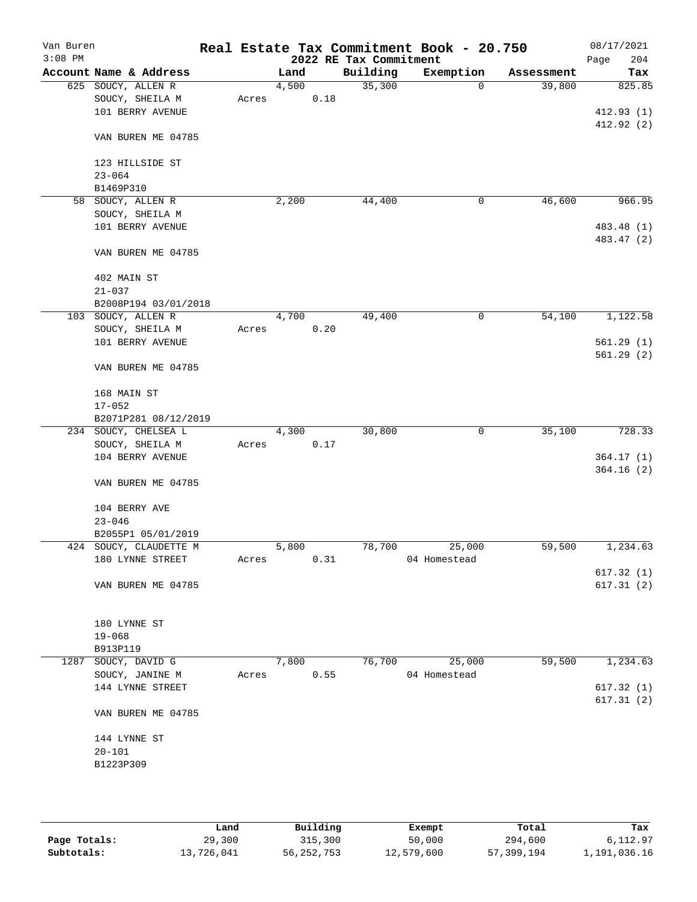| Van Buren<br>$3:08$ PM |                                         |       |       |      | 2022 RE Tax Commitment | Real Estate Tax Commitment Book - 20.750 |            | 08/17/2021<br>204<br>Page |
|------------------------|-----------------------------------------|-------|-------|------|------------------------|------------------------------------------|------------|---------------------------|
|                        | Account Name & Address                  |       | Land  |      | Building               | Exemption                                | Assessment | Tax                       |
|                        | 625 SOUCY, ALLEN R                      |       | 4,500 |      | 35,300                 | $\mathbf 0$                              | 39,800     | 825.85                    |
|                        | SOUCY, SHEILA M                         | Acres |       | 0.18 |                        |                                          |            |                           |
|                        | 101 BERRY AVENUE                        |       |       |      |                        |                                          |            | 412.93(1)                 |
|                        |                                         |       |       |      |                        |                                          |            | 412.92(2)                 |
|                        | VAN BUREN ME 04785                      |       |       |      |                        |                                          |            |                           |
|                        |                                         |       |       |      |                        |                                          |            |                           |
|                        | 123 HILLSIDE ST                         |       |       |      |                        |                                          |            |                           |
|                        | $23 - 064$                              |       |       |      |                        |                                          |            |                           |
|                        | B1469P310                               |       |       |      |                        |                                          |            |                           |
| 58                     | SOUCY, ALLEN R                          |       | 2,200 |      | 44,400                 | 0                                        | 46,600     | 966.95                    |
|                        | SOUCY, SHEILA M<br>101 BERRY AVENUE     |       |       |      |                        |                                          |            | 483.48 (1)                |
|                        |                                         |       |       |      |                        |                                          |            | 483.47 (2)                |
|                        | VAN BUREN ME 04785                      |       |       |      |                        |                                          |            |                           |
|                        |                                         |       |       |      |                        |                                          |            |                           |
|                        | 402 MAIN ST                             |       |       |      |                        |                                          |            |                           |
|                        | $21 - 037$                              |       |       |      |                        |                                          |            |                           |
|                        | B2008P194 03/01/2018                    |       |       |      |                        |                                          |            |                           |
|                        | 103 SOUCY, ALLEN R                      |       | 4,700 |      | 49,400                 | 0                                        | 54,100     | 1,122.58                  |
|                        | SOUCY, SHEILA M                         | Acres |       | 0.20 |                        |                                          |            |                           |
|                        | 101 BERRY AVENUE                        |       |       |      |                        |                                          |            | 561.29(1)                 |
|                        |                                         |       |       |      |                        |                                          |            | 561.29(2)                 |
|                        | VAN BUREN ME 04785                      |       |       |      |                        |                                          |            |                           |
|                        |                                         |       |       |      |                        |                                          |            |                           |
|                        | 168 MAIN ST                             |       |       |      |                        |                                          |            |                           |
|                        | $17 - 052$                              |       |       |      |                        |                                          |            |                           |
|                        | B2071P281 08/12/2019                    |       |       |      | 30,800                 |                                          | 35,100     | 728.33                    |
|                        | 234 SOUCY, CHELSEA L<br>SOUCY, SHEILA M | Acres | 4,300 | 0.17 |                        | 0                                        |            |                           |
|                        | 104 BERRY AVENUE                        |       |       |      |                        |                                          |            | 364.17(1)                 |
|                        |                                         |       |       |      |                        |                                          |            | 364.16(2)                 |
|                        | VAN BUREN ME 04785                      |       |       |      |                        |                                          |            |                           |
|                        |                                         |       |       |      |                        |                                          |            |                           |
|                        | 104 BERRY AVE                           |       |       |      |                        |                                          |            |                           |
|                        | $23 - 046$                              |       |       |      |                        |                                          |            |                           |
|                        | B2055P1 05/01/2019                      |       |       |      |                        |                                          |            |                           |
|                        | 424 SOUCY, CLAUDETTE M                  |       | 5,800 |      | 78,700                 | 25,000                                   | 59,500     | 1,234.63                  |
|                        | 180 LYNNE STREET                        | Acres |       | 0.31 |                        | 04 Homestead                             |            |                           |
|                        |                                         |       |       |      |                        |                                          |            | 617.32(1)                 |
|                        | VAN BUREN ME 04785                      |       |       |      |                        |                                          |            | 617.31(2)                 |
|                        |                                         |       |       |      |                        |                                          |            |                           |
|                        | 180 LYNNE ST                            |       |       |      |                        |                                          |            |                           |
|                        | $19 - 068$                              |       |       |      |                        |                                          |            |                           |
|                        | B913P119                                |       |       |      |                        |                                          |            |                           |
|                        | 1287 SOUCY, DAVID G                     |       | 7,800 |      | 76,700                 | 25,000                                   | 59,500     | 1,234.63                  |
|                        | SOUCY, JANINE M                         | Acres |       | 0.55 |                        | 04 Homestead                             |            |                           |
|                        | 144 LYNNE STREET                        |       |       |      |                        |                                          |            | 617.32(1)                 |
|                        |                                         |       |       |      |                        |                                          |            | 617.31(2)                 |
|                        | VAN BUREN ME 04785                      |       |       |      |                        |                                          |            |                           |
|                        |                                         |       |       |      |                        |                                          |            |                           |
|                        | 144 LYNNE ST                            |       |       |      |                        |                                          |            |                           |
|                        | $20 - 101$                              |       |       |      |                        |                                          |            |                           |
|                        | B1223P309                               |       |       |      |                        |                                          |            |                           |
|                        |                                         |       |       |      |                        |                                          |            |                           |
|                        |                                         |       |       |      |                        |                                          |            |                           |

|              | Land       | Building     | Exempt     | Total      | Tax          |
|--------------|------------|--------------|------------|------------|--------------|
| Page Totals: | 29,300     | 315,300      | 50,000     | 294,600    | 6,112.97     |
| Subtotals:   | 13,726,041 | 56, 252, 753 | 12,579,600 | 57,399,194 | 1,191,036.16 |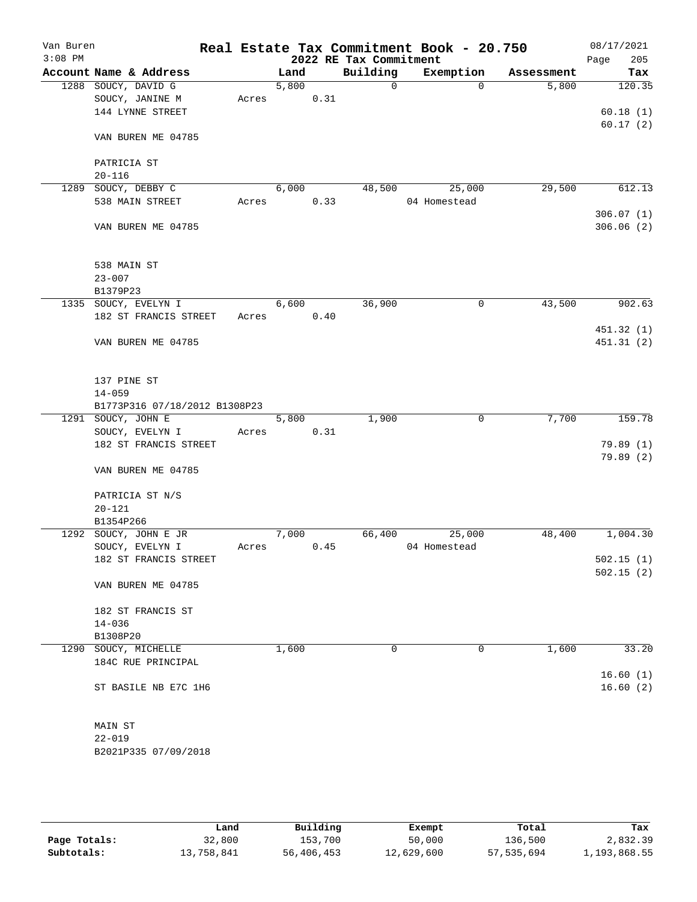| Van Buren<br>$3:08$ PM |                                        |       |       |      | 2022 RE Tax Commitment | Real Estate Tax Commitment Book - 20.750 |            | 08/17/2021<br>Page<br>205 |
|------------------------|----------------------------------------|-------|-------|------|------------------------|------------------------------------------|------------|---------------------------|
|                        | Account Name & Address                 |       | Land  |      | Building               | Exemption                                | Assessment | Tax                       |
|                        | 1288 SOUCY, DAVID G                    |       | 5,800 |      | $\mathsf{O}$           | $\Omega$                                 | 5,800      | 120.35                    |
|                        | SOUCY, JANINE M                        | Acres |       | 0.31 |                        |                                          |            |                           |
|                        | 144 LYNNE STREET                       |       |       |      |                        |                                          |            | 60.18(1)                  |
|                        |                                        |       |       |      |                        |                                          |            | 60.17(2)                  |
|                        | VAN BUREN ME 04785                     |       |       |      |                        |                                          |            |                           |
|                        |                                        |       |       |      |                        |                                          |            |                           |
|                        | PATRICIA ST                            |       |       |      |                        |                                          |            |                           |
|                        | $20 - 116$                             |       | 6,000 |      |                        | 25,000                                   |            | 612.13                    |
|                        | 1289 SOUCY, DEBBY C<br>538 MAIN STREET | Acres |       | 0.33 | 48,500                 | 04 Homestead                             | 29,500     |                           |
|                        |                                        |       |       |      |                        |                                          |            | 306.07(1)                 |
|                        | VAN BUREN ME 04785                     |       |       |      |                        |                                          |            | 306.06(2)                 |
|                        |                                        |       |       |      |                        |                                          |            |                           |
|                        |                                        |       |       |      |                        |                                          |            |                           |
|                        | 538 MAIN ST                            |       |       |      |                        |                                          |            |                           |
|                        | $23 - 007$                             |       |       |      |                        |                                          |            |                           |
|                        | B1379P23                               |       |       |      |                        |                                          |            |                           |
|                        | 1335 SOUCY, EVELYN I                   |       | 6,600 |      | 36,900                 | 0                                        | 43,500     | 902.63                    |
|                        | 182 ST FRANCIS STREET                  | Acres |       | 0.40 |                        |                                          |            |                           |
|                        |                                        |       |       |      |                        |                                          |            | 451.32(1)                 |
|                        | VAN BUREN ME 04785                     |       |       |      |                        |                                          |            | 451.31(2)                 |
|                        |                                        |       |       |      |                        |                                          |            |                           |
|                        |                                        |       |       |      |                        |                                          |            |                           |
|                        | 137 PINE ST                            |       |       |      |                        |                                          |            |                           |
|                        | $14 - 059$                             |       |       |      |                        |                                          |            |                           |
|                        | B1773P316 07/18/2012 B1308P23          |       |       |      |                        |                                          |            |                           |
|                        | 1291 SOUCY, JOHN E                     |       | 5,800 |      | 1,900                  | 0                                        | 7,700      | 159.78                    |
|                        | SOUCY, EVELYN I                        | Acres |       | 0.31 |                        |                                          |            |                           |
|                        | 182 ST FRANCIS STREET                  |       |       |      |                        |                                          |            | 79.89(1)                  |
|                        |                                        |       |       |      |                        |                                          |            | 79.89 (2)                 |
|                        | VAN BUREN ME 04785                     |       |       |      |                        |                                          |            |                           |
|                        |                                        |       |       |      |                        |                                          |            |                           |
|                        | PATRICIA ST N/S                        |       |       |      |                        |                                          |            |                           |
|                        | $20 - 121$                             |       |       |      |                        |                                          |            |                           |
|                        | B1354P266                              |       |       |      |                        |                                          |            |                           |
|                        | 1292 SOUCY, JOHN E JR                  |       | 7,000 |      | 66,400                 | 25,000                                   | 48,400     | 1,004.30                  |
|                        | SOUCY, EVELYN I                        | Acres |       | 0.45 |                        | 04 Homestead                             |            |                           |
|                        | 182 ST FRANCIS STREET                  |       |       |      |                        |                                          |            | 502.15(1)                 |
|                        | VAN BUREN ME 04785                     |       |       |      |                        |                                          |            | 502.15(2)                 |
|                        |                                        |       |       |      |                        |                                          |            |                           |
|                        | 182 ST FRANCIS ST                      |       |       |      |                        |                                          |            |                           |
|                        | $14 - 036$                             |       |       |      |                        |                                          |            |                           |
|                        | B1308P20                               |       |       |      |                        |                                          |            |                           |
|                        | 1290 SOUCY, MICHELLE                   |       | 1,600 |      | 0                      | 0                                        | 1,600      | 33.20                     |
|                        | 184C RUE PRINCIPAL                     |       |       |      |                        |                                          |            |                           |
|                        |                                        |       |       |      |                        |                                          |            | 16.60(1)                  |
|                        | ST BASILE NB E7C 1H6                   |       |       |      |                        |                                          |            | 16.60(2)                  |
|                        |                                        |       |       |      |                        |                                          |            |                           |
|                        |                                        |       |       |      |                        |                                          |            |                           |
|                        | MAIN ST                                |       |       |      |                        |                                          |            |                           |
|                        | $22 - 019$                             |       |       |      |                        |                                          |            |                           |
|                        | B2021P335 07/09/2018                   |       |       |      |                        |                                          |            |                           |
|                        |                                        |       |       |      |                        |                                          |            |                           |
|                        |                                        |       |       |      |                        |                                          |            |                           |

|              | Land       | Building   | Exempt     | Total      | Tax          |
|--------------|------------|------------|------------|------------|--------------|
| Page Totals: | 32,800     | 153,700    | 50,000     | 136,500    | 2,832.39     |
| Subtotals:   | 13,758,841 | 56,406,453 | 12,629,600 | 57,535,694 | 1,193,868.55 |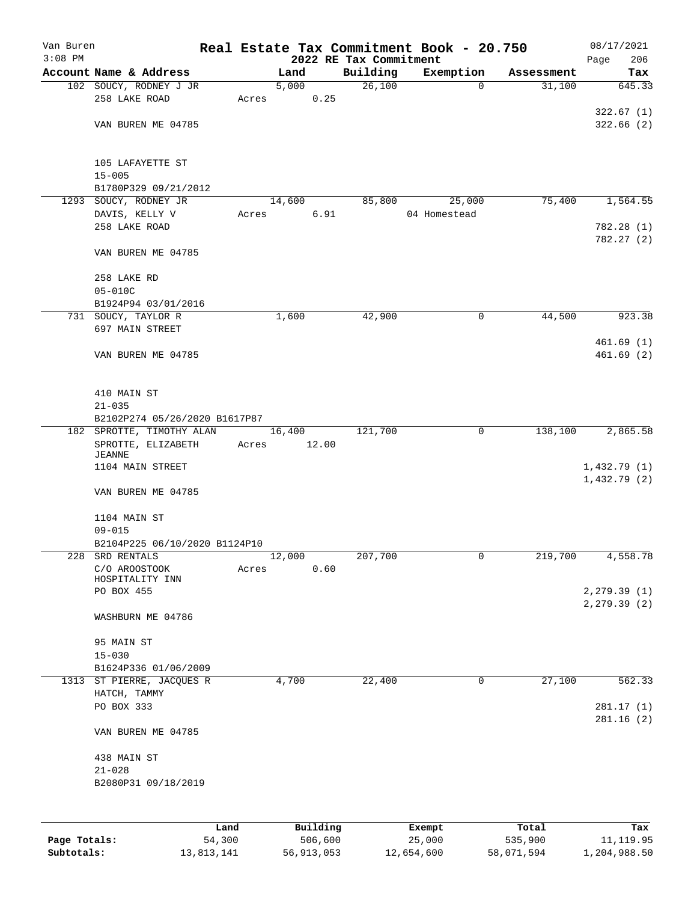| Van Buren    |                               |        |          |                        | Real Estate Tax Commitment Book - 20.750 |            | 08/17/2021              |
|--------------|-------------------------------|--------|----------|------------------------|------------------------------------------|------------|-------------------------|
| $3:08$ PM    |                               |        |          | 2022 RE Tax Commitment |                                          |            | 206<br>Page             |
|              | Account Name & Address        |        | Land     | Building               | Exemption                                | Assessment | Tax                     |
|              | 102 SOUCY, RODNEY J JR        |        | 5,000    | 26,100                 | $\mathbf 0$                              | 31,100     | 645.33                  |
|              | 258 LAKE ROAD                 | Acres  | 0.25     |                        |                                          |            |                         |
|              |                               |        |          |                        |                                          |            | 322.67(1)               |
|              | VAN BUREN ME 04785            |        |          |                        |                                          |            | 322.66(2)               |
|              |                               |        |          |                        |                                          |            |                         |
|              | 105 LAFAYETTE ST              |        |          |                        |                                          |            |                         |
|              | $15 - 005$                    |        |          |                        |                                          |            |                         |
|              | B1780P329 09/21/2012          |        |          |                        |                                          |            |                         |
|              | 1293 SOUCY, RODNEY JR         |        | 14,600   | 85,800                 | 25,000                                   | 75,400     | 1,564.55                |
|              | DAVIS, KELLY V                | Acres  | 6.91     |                        | 04 Homestead                             |            |                         |
|              | 258 LAKE ROAD                 |        |          |                        |                                          |            | 782.28(1)<br>782.27 (2) |
|              | VAN BUREN ME 04785            |        |          |                        |                                          |            |                         |
|              | 258 LAKE RD                   |        |          |                        |                                          |            |                         |
|              | $05 - 010C$                   |        |          |                        |                                          |            |                         |
|              | B1924P94 03/01/2016           |        |          |                        |                                          |            |                         |
|              | 731 SOUCY, TAYLOR R           |        | 1,600    | 42,900                 | 0                                        | 44,500     | 923.38                  |
|              | 697 MAIN STREET               |        |          |                        |                                          |            |                         |
|              |                               |        |          |                        |                                          |            | 461.69(1)               |
|              | VAN BUREN ME 04785            |        |          |                        |                                          |            | 461.69(2)               |
|              |                               |        |          |                        |                                          |            |                         |
|              |                               |        |          |                        |                                          |            |                         |
|              | 410 MAIN ST                   |        |          |                        |                                          |            |                         |
|              | $21 - 035$                    |        |          |                        |                                          |            |                         |
|              | B2102P274 05/26/2020 B1617P87 |        |          |                        |                                          |            |                         |
|              | 182 SPROTTE, TIMOTHY ALAN     |        | 16,400   | 121,700                | $\mathbf 0$                              | 138,100    | 2,865.58                |
|              | SPROTTE, ELIZABETH<br>JEANNE  | Acres  | 12.00    |                        |                                          |            |                         |
|              | 1104 MAIN STREET              |        |          |                        |                                          |            | 1,432.79(1)             |
|              |                               |        |          |                        |                                          |            | 1,432.79(2)             |
|              | VAN BUREN ME 04785            |        |          |                        |                                          |            |                         |
|              | 1104 MAIN ST                  |        |          |                        |                                          |            |                         |
|              | $09 - 015$                    |        |          |                        |                                          |            |                         |
|              | B2104P225 06/10/2020 B1124P10 |        |          |                        |                                          |            |                         |
| 228          | SRD RENTALS                   |        | 12,000   | 207,700                | 0                                        | 219,700    | 4,558.78                |
|              | C/O AROOSTOOK                 | Acres  | 0.60     |                        |                                          |            |                         |
|              | HOSPITALITY INN               |        |          |                        |                                          |            |                         |
|              | PO BOX 455                    |        |          |                        |                                          |            | 2,279.39 (1)            |
|              |                               |        |          |                        |                                          |            | 2,279.39 (2)            |
|              | WASHBURN ME 04786             |        |          |                        |                                          |            |                         |
|              | 95 MAIN ST                    |        |          |                        |                                          |            |                         |
|              | $15 - 030$                    |        |          |                        |                                          |            |                         |
|              | B1624P336 01/06/2009          |        |          |                        |                                          |            |                         |
|              | 1313 ST PIERRE, JACQUES R     |        | 4,700    | 22,400                 | 0                                        | 27,100     | 562.33                  |
|              | HATCH, TAMMY                  |        |          |                        |                                          |            |                         |
|              | PO BOX 333                    |        |          |                        |                                          |            | 281.17(1)               |
|              |                               |        |          |                        |                                          |            | 281.16(2)               |
|              | VAN BUREN ME 04785            |        |          |                        |                                          |            |                         |
|              | 438 MAIN ST                   |        |          |                        |                                          |            |                         |
|              | $21 - 028$                    |        |          |                        |                                          |            |                         |
|              | B2080P31 09/18/2019           |        |          |                        |                                          |            |                         |
|              |                               |        |          |                        |                                          |            |                         |
|              |                               |        |          |                        |                                          |            |                         |
|              |                               | Land   | Building |                        | Exempt                                   | Total      | Tax                     |
| Page Totals: |                               | 54,300 | 506,600  |                        | 25,000                                   | 535,900    | 11, 119.95              |

**Subtotals:** 13,813,141 56,913,053 12,654,600 58,071,594 1,204,988.50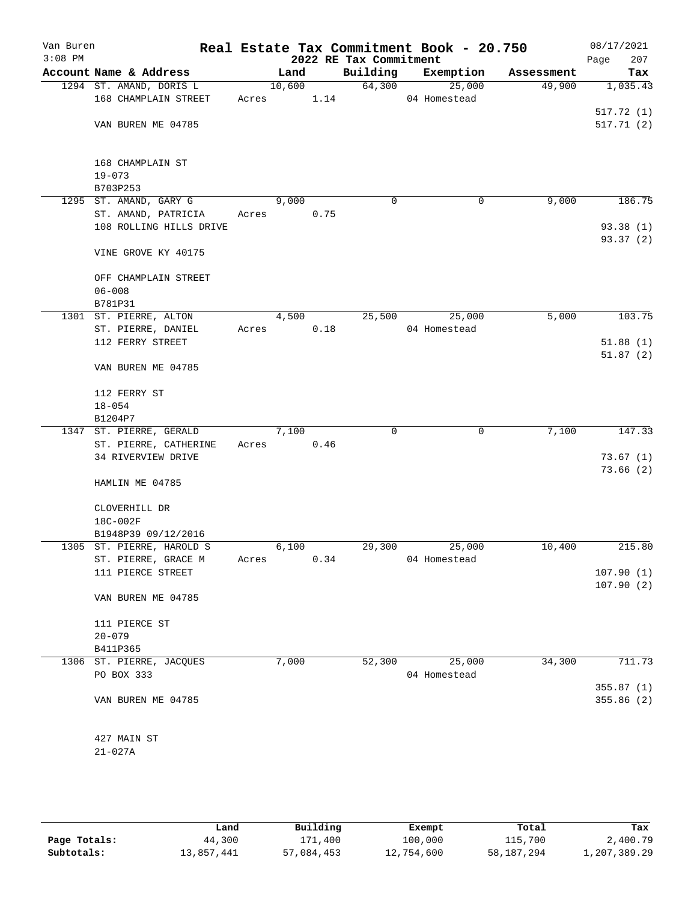| Van Buren<br>$3:08$ PM |                                                  |       |        |      | 2022 RE Tax Commitment | Real Estate Tax Commitment Book - 20.750 |            | 08/17/2021<br>207<br>Page |
|------------------------|--------------------------------------------------|-------|--------|------|------------------------|------------------------------------------|------------|---------------------------|
|                        | Account Name & Address                           |       | Land   |      | Building               | Exemption                                | Assessment | Tax                       |
|                        | 1294 ST. AMAND, DORIS L                          |       | 10,600 |      |                        | 64,300<br>25,000                         | 49,900     | 1,035.43                  |
|                        | 168 CHAMPLAIN STREET                             | Acres |        | 1.14 |                        | 04 Homestead                             |            |                           |
|                        |                                                  |       |        |      |                        |                                          |            | 517.72(1)                 |
|                        | VAN BUREN ME 04785                               |       |        |      |                        |                                          |            | 517.71(2)                 |
|                        | 168 CHAMPLAIN ST                                 |       |        |      |                        |                                          |            |                           |
|                        | $19 - 073$                                       |       |        |      |                        |                                          |            |                           |
|                        | B703P253                                         |       |        |      |                        |                                          |            |                           |
|                        | 1295 ST. AMAND, GARY G                           |       | 9,000  |      | 0                      | 0                                        | 9,000      | 186.75                    |
|                        | ST. AMAND, PATRICIA                              | Acres |        | 0.75 |                        |                                          |            |                           |
|                        | 108 ROLLING HILLS DRIVE                          |       |        |      |                        |                                          |            | 93.38(1)                  |
|                        |                                                  |       |        |      |                        |                                          |            | 93.37 (2)                 |
|                        | VINE GROVE KY 40175                              |       |        |      |                        |                                          |            |                           |
|                        | OFF CHAMPLAIN STREET                             |       |        |      |                        |                                          |            |                           |
|                        | $06 - 008$                                       |       |        |      |                        |                                          |            |                           |
|                        | B781P31                                          |       |        |      |                        |                                          |            |                           |
|                        | 1301 ST. PIERRE, ALTON                           |       | 4,500  |      | 25,500                 | 25,000                                   | 5,000      | 103.75                    |
|                        | ST. PIERRE, DANIEL                               | Acres |        | 0.18 |                        | 04 Homestead                             |            |                           |
|                        | 112 FERRY STREET                                 |       |        |      |                        |                                          |            | 51.88(1)<br>51.87(2)      |
|                        | VAN BUREN ME 04785                               |       |        |      |                        |                                          |            |                           |
|                        | 112 FERRY ST                                     |       |        |      |                        |                                          |            |                           |
|                        | $18 - 054$                                       |       |        |      |                        |                                          |            |                           |
|                        | B1204P7                                          |       |        |      |                        |                                          |            |                           |
|                        | 1347 ST. PIERRE, GERALD                          |       | 7,100  |      | $\mathbf 0$            | $\mathbf 0$                              | 7,100      | 147.33                    |
|                        | ST. PIERRE, CATHERINE                            | Acres |        | 0.46 |                        |                                          |            |                           |
|                        | 34 RIVERVIEW DRIVE                               |       |        |      |                        |                                          |            | 73.67(1)                  |
|                        | HAMLIN ME 04785                                  |       |        |      |                        |                                          |            | 73.66(2)                  |
|                        |                                                  |       |        |      |                        |                                          |            |                           |
|                        | CLOVERHILL DR                                    |       |        |      |                        |                                          |            |                           |
|                        | 18C-002F                                         |       |        |      |                        |                                          |            |                           |
|                        | B1948P39 09/12/2016<br>1305 ST. PIERRE, HAROLD S |       | 6,100  |      | 29,300                 | 25,000                                   | 10,400     | 215.80                    |
|                        | ST. PIERRE, GRACE M                              | Acres |        | 0.34 |                        | 04 Homestead                             |            |                           |
|                        | 111 PIERCE STREET                                |       |        |      |                        |                                          |            | 107.90(1)                 |
|                        |                                                  |       |        |      |                        |                                          |            | 107.90(2)                 |
|                        | VAN BUREN ME 04785                               |       |        |      |                        |                                          |            |                           |
|                        | 111 PIERCE ST                                    |       |        |      |                        |                                          |            |                           |
|                        | $20 - 079$                                       |       |        |      |                        |                                          |            |                           |
|                        | B411P365                                         |       |        |      |                        |                                          |            |                           |
|                        | 1306 ST. PIERRE, JACQUES                         |       | 7,000  |      | 52,300                 | 25,000                                   | 34,300     | 711.73                    |
|                        | PO BOX 333                                       |       |        |      |                        | 04 Homestead                             |            |                           |
|                        |                                                  |       |        |      |                        |                                          |            | 355.87(1)                 |
|                        | VAN BUREN ME 04785                               |       |        |      |                        |                                          |            | 355.86(2)                 |
|                        |                                                  |       |        |      |                        |                                          |            |                           |
|                        | 427 MAIN ST                                      |       |        |      |                        |                                          |            |                           |
|                        | $21 - 027A$                                      |       |        |      |                        |                                          |            |                           |
|                        |                                                  |       |        |      |                        |                                          |            |                           |
|                        |                                                  |       |        |      |                        |                                          |            |                           |

|              | Land       | Building   | Exempt     | Total      | Tax          |
|--------------|------------|------------|------------|------------|--------------|
| Page Totals: | 44,300     | 171,400    | 100,000    | 115,700    | 2,400.79     |
| Subtotals:   | 13,857,441 | 57,084,453 | 12,754,600 | 58,187,294 | l,207,389.29 |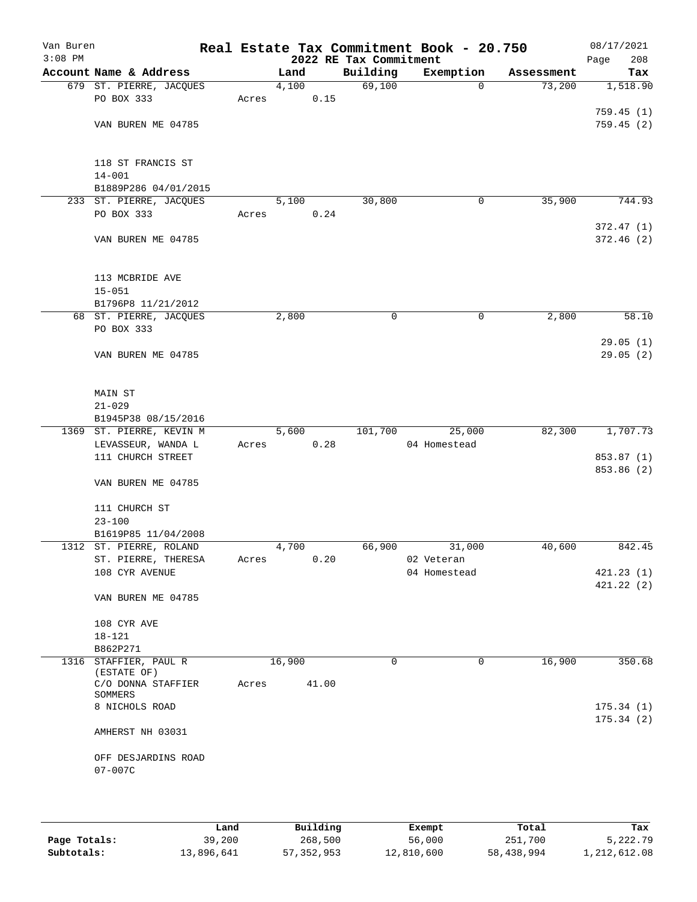| Van Buren<br>$3:08$ PM |                                                 |       |        |       | 2022 RE Tax Commitment | Real Estate Tax Commitment Book - 20.750 |            | 08/17/2021<br>Page<br>208 |
|------------------------|-------------------------------------------------|-------|--------|-------|------------------------|------------------------------------------|------------|---------------------------|
|                        | Account Name & Address                          |       | Land   |       | Building               | Exemption                                | Assessment | Tax                       |
|                        | 679 ST. PIERRE, JACQUES                         |       | 4,100  |       | 69,100                 | $\mathbf 0$                              | 73,200     | 1,518.90                  |
|                        | PO BOX 333                                      | Acres |        | 0.15  |                        |                                          |            |                           |
|                        |                                                 |       |        |       |                        |                                          |            | 759.45(1)                 |
|                        | VAN BUREN ME 04785                              |       |        |       |                        |                                          |            | 759.45 (2)                |
|                        |                                                 |       |        |       |                        |                                          |            |                           |
|                        | 118 ST FRANCIS ST                               |       |        |       |                        |                                          |            |                           |
|                        | $14 - 001$                                      |       |        |       |                        |                                          |            |                           |
|                        | B1889P286 04/01/2015                            |       |        |       |                        |                                          |            |                           |
|                        | 233 ST. PIERRE, JACQUES                         |       | 5,100  |       | 30,800                 | 0                                        | 35,900     | 744.93                    |
|                        | PO BOX 333                                      | Acres |        | 0.24  |                        |                                          |            |                           |
|                        | VAN BUREN ME 04785                              |       |        |       |                        |                                          |            | 372.47(1)<br>372.46 (2)   |
|                        |                                                 |       |        |       |                        |                                          |            |                           |
|                        |                                                 |       |        |       |                        |                                          |            |                           |
|                        | 113 MCBRIDE AVE                                 |       |        |       |                        |                                          |            |                           |
|                        | $15 - 051$                                      |       |        |       |                        |                                          |            |                           |
|                        | B1796P8 11/21/2012                              |       |        |       |                        |                                          |            |                           |
|                        | 68 ST. PIERRE, JACQUES                          |       | 2,800  |       | 0                      | 0                                        | 2,800      | 58.10                     |
|                        | PO BOX 333                                      |       |        |       |                        |                                          |            | 29.05(1)                  |
|                        | VAN BUREN ME 04785                              |       |        |       |                        |                                          |            | 29.05(2)                  |
|                        |                                                 |       |        |       |                        |                                          |            |                           |
|                        |                                                 |       |        |       |                        |                                          |            |                           |
|                        | MAIN ST                                         |       |        |       |                        |                                          |            |                           |
|                        | $21 - 029$                                      |       |        |       |                        |                                          |            |                           |
|                        | B1945P38 08/15/2016<br>1369 ST. PIERRE, KEVIN M |       | 5,600  |       | 101,700                | 25,000                                   | 82,300     | 1,707.73                  |
|                        | LEVASSEUR, WANDA L                              | Acres |        | 0.28  |                        | 04 Homestead                             |            |                           |
|                        | 111 CHURCH STREET                               |       |        |       |                        |                                          |            | 853.87 (1)                |
|                        |                                                 |       |        |       |                        |                                          |            | 853.86 (2)                |
|                        | VAN BUREN ME 04785                              |       |        |       |                        |                                          |            |                           |
|                        |                                                 |       |        |       |                        |                                          |            |                           |
|                        | 111 CHURCH ST                                   |       |        |       |                        |                                          |            |                           |
|                        | $23 - 100$<br>B1619P85 11/04/2008               |       |        |       |                        |                                          |            |                           |
|                        | 1312 ST. PIERRE, ROLAND                         |       | 4,700  |       | 66,900                 | 31,000                                   | 40,600     | 842.45                    |
|                        | ST. PIERRE, THERESA                             | Acres |        | 0.20  |                        | 02 Veteran                               |            |                           |
|                        | 108 CYR AVENUE                                  |       |        |       |                        | 04 Homestead                             |            | 421.23(1)                 |
|                        |                                                 |       |        |       |                        |                                          |            | 421.22(2)                 |
|                        | VAN BUREN ME 04785                              |       |        |       |                        |                                          |            |                           |
|                        | 108 CYR AVE                                     |       |        |       |                        |                                          |            |                           |
|                        | $18 - 121$                                      |       |        |       |                        |                                          |            |                           |
|                        | B862P271                                        |       |        |       |                        |                                          |            |                           |
|                        | 1316 STAFFIER, PAUL R                           |       | 16,900 |       | 0                      | 0                                        | 16,900     | 350.68                    |
|                        | (ESTATE OF)                                     |       |        |       |                        |                                          |            |                           |
|                        | C/O DONNA STAFFIER<br>SOMMERS                   | Acres |        | 41.00 |                        |                                          |            |                           |
|                        | 8 NICHOLS ROAD                                  |       |        |       |                        |                                          |            | 175.34(1)                 |
|                        |                                                 |       |        |       |                        |                                          |            | 175.34(2)                 |
|                        | AMHERST NH 03031                                |       |        |       |                        |                                          |            |                           |
|                        | OFF DESJARDINS ROAD                             |       |        |       |                        |                                          |            |                           |
|                        | $07 - 007C$                                     |       |        |       |                        |                                          |            |                           |
|                        |                                                 |       |        |       |                        |                                          |            |                           |
|                        |                                                 |       |        |       |                        |                                          |            |                           |
|                        |                                                 |       |        |       |                        |                                          |            |                           |
|                        |                                                 |       |        |       |                        |                                          |            |                           |

|              | Land       | Building   | Exempt     | Total      | Tax          |
|--------------|------------|------------|------------|------------|--------------|
| Page Totals: | 39,200     | 268,500    | 56,000     | 251,700    | 5,222.79     |
| Subtotals:   | 13,896,641 | 57,352,953 | 12,810,600 | 58,438,994 | 1,212,612.08 |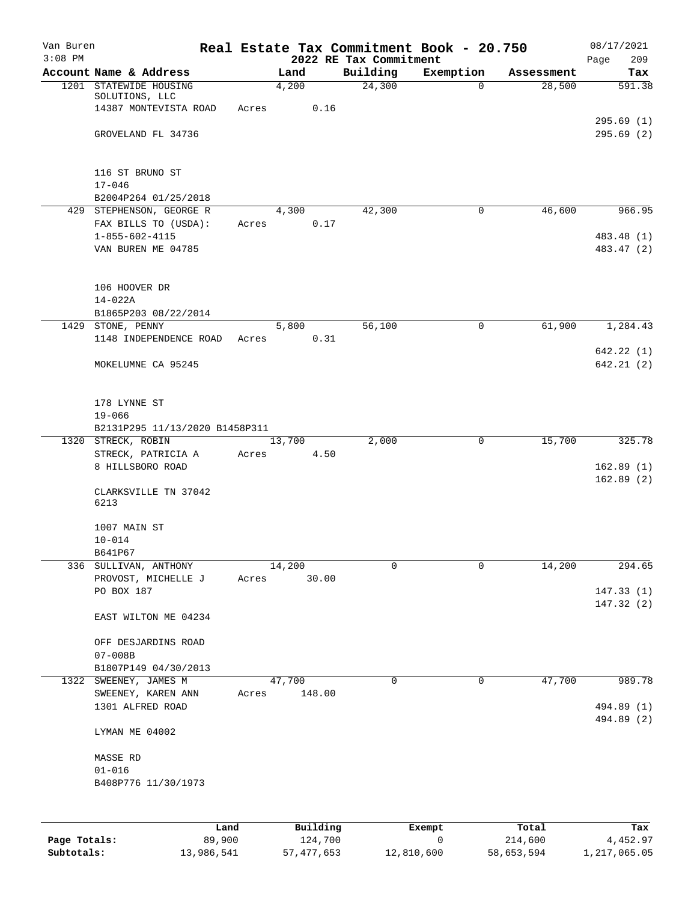| Van Buren<br>$3:08$ PM |                                        |       |                     |                                    | Real Estate Tax Commitment Book - 20.750 |                  | 08/17/2021               |
|------------------------|----------------------------------------|-------|---------------------|------------------------------------|------------------------------------------|------------------|--------------------------|
|                        | Account Name & Address                 |       | Land                | 2022 RE Tax Commitment<br>Building | Exemption                                | Assessment       | 209<br>Page<br>Tax       |
|                        | 1201 STATEWIDE HOUSING                 |       | 4,200               | 24,300                             | 0                                        | 28,500           | 591.38                   |
|                        | SOLUTIONS, LLC                         |       |                     |                                    |                                          |                  |                          |
|                        | 14387 MONTEVISTA ROAD                  | Acres | 0.16                |                                    |                                          |                  |                          |
|                        | GROVELAND FL 34736                     |       |                     |                                    |                                          |                  | 295.69(1)<br>295.69(2)   |
|                        |                                        |       |                     |                                    |                                          |                  |                          |
|                        |                                        |       |                     |                                    |                                          |                  |                          |
|                        | 116 ST BRUNO ST<br>$17 - 046$          |       |                     |                                    |                                          |                  |                          |
|                        | B2004P264 01/25/2018                   |       |                     |                                    |                                          |                  |                          |
|                        | 429 STEPHENSON, GEORGE R               |       | 4,300               | 42,300                             | $\mathbf 0$                              | 46,600           | 966.95                   |
|                        | FAX BILLS TO (USDA):                   | Acres | 0.17                |                                    |                                          |                  |                          |
|                        | $1 - 855 - 602 - 4115$                 |       |                     |                                    |                                          |                  | 483.48 (1)               |
|                        | VAN BUREN ME 04785                     |       |                     |                                    |                                          |                  | 483.47 (2)               |
|                        | 106 HOOVER DR                          |       |                     |                                    |                                          |                  |                          |
|                        | $14 - 022A$                            |       |                     |                                    |                                          |                  |                          |
|                        | B1865P203 08/22/2014                   |       |                     |                                    |                                          |                  |                          |
| 1429                   | STONE, PENNY                           |       | 5,800               | 56,100                             | 0                                        | 61,900           | 1,284.43                 |
|                        | 1148 INDEPENDENCE ROAD                 | Acres | 0.31                |                                    |                                          |                  |                          |
|                        | MOKELUMNE CA 95245                     |       |                     |                                    |                                          |                  | 642.22 (1)<br>642.21 (2) |
|                        |                                        |       |                     |                                    |                                          |                  |                          |
|                        | 178 LYNNE ST                           |       |                     |                                    |                                          |                  |                          |
|                        | $19 - 066$                             |       |                     |                                    |                                          |                  |                          |
|                        | B2131P295 11/13/2020 B1458P311         |       |                     |                                    |                                          |                  |                          |
|                        | 1320 STRECK, ROBIN                     |       | 13,700              | 2,000                              | 0                                        | 15,700           | 325.78                   |
|                        | STRECK, PATRICIA A<br>8 HILLSBORO ROAD | Acres | 4.50                |                                    |                                          |                  | 162.89(1)                |
|                        |                                        |       |                     |                                    |                                          |                  | 162.89(2)                |
|                        | CLARKSVILLE TN 37042<br>6213           |       |                     |                                    |                                          |                  |                          |
|                        | 1007 MAIN ST                           |       |                     |                                    |                                          |                  |                          |
|                        | $10 - 014$                             |       |                     |                                    |                                          |                  |                          |
|                        | B641P67<br>336 SULLIVAN, ANTHONY       |       | 14,200              | 0                                  | $\mathbf 0$                              | 14,200           | 294.65                   |
|                        | PROVOST, MICHELLE J                    | Acres | 30.00               |                                    |                                          |                  |                          |
|                        | PO BOX 187                             |       |                     |                                    |                                          |                  | 147.33(1)                |
|                        | EAST WILTON ME 04234                   |       |                     |                                    |                                          |                  | 147.32(2)                |
|                        |                                        |       |                     |                                    |                                          |                  |                          |
|                        | OFF DESJARDINS ROAD                    |       |                     |                                    |                                          |                  |                          |
|                        | $07 - 008B$<br>B1807P149 04/30/2013    |       |                     |                                    |                                          |                  |                          |
|                        | 1322 SWEENEY, JAMES M                  |       | 47,700              | 0                                  | 0                                        | 47,700           | 989.78                   |
|                        | SWEENEY, KAREN ANN                     | Acres | 148.00              |                                    |                                          |                  |                          |
|                        | 1301 ALFRED ROAD                       |       |                     |                                    |                                          |                  | 494.89 (1)               |
|                        |                                        |       |                     |                                    |                                          |                  | 494.89 (2)               |
|                        | LYMAN ME 04002                         |       |                     |                                    |                                          |                  |                          |
|                        | MASSE RD                               |       |                     |                                    |                                          |                  |                          |
|                        | $01 - 016$                             |       |                     |                                    |                                          |                  |                          |
|                        | B408P776 11/30/1973                    |       |                     |                                    |                                          |                  |                          |
|                        |                                        |       |                     |                                    |                                          |                  |                          |
|                        |                                        |       |                     |                                    |                                          |                  |                          |
| Page Totals:           | Land<br>89,900                         |       | Building<br>124,700 |                                    | Exempt<br>0                              | Total<br>214,600 | Tax<br>4,452.97          |

**Subtotals:** 13,986,541 57,477,653 12,810,600 58,653,594 1,217,065.05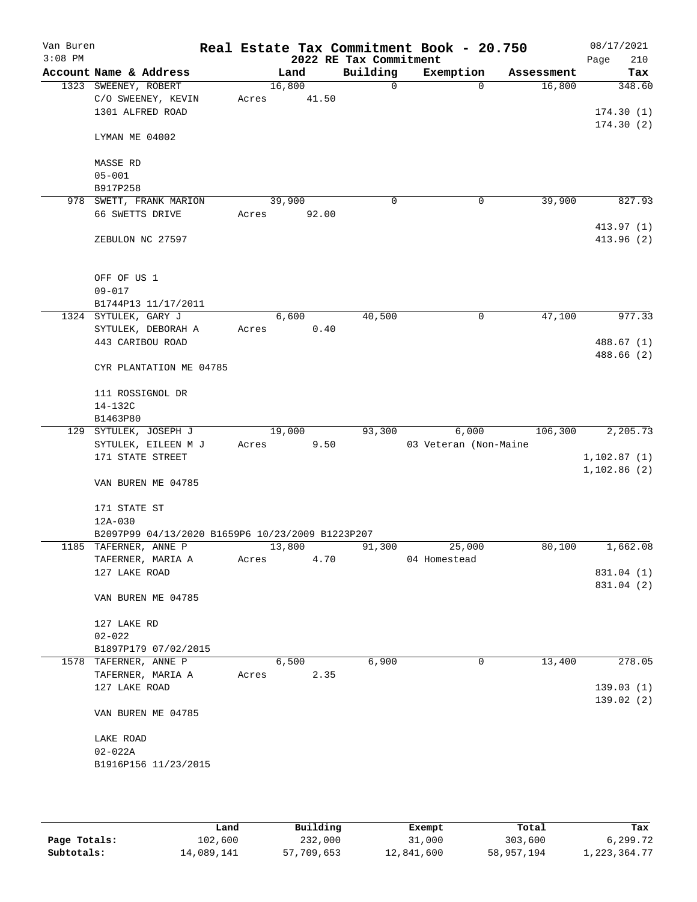| Van Buren<br>$3:08$ PM |                                                  |       |        |       | 2022 RE Tax Commitment | Real Estate Tax Commitment Book - 20.750 |            | 08/17/2021<br>210<br>Page |
|------------------------|--------------------------------------------------|-------|--------|-------|------------------------|------------------------------------------|------------|---------------------------|
|                        | Account Name & Address                           |       | Land   |       | Building               | Exemption                                | Assessment | Tax                       |
|                        | 1323 SWEENEY, ROBERT                             |       | 16,800 |       | $\Omega$               | $\Omega$                                 | 16,800     | 348.60                    |
|                        | C/O SWEENEY, KEVIN                               | Acres |        | 41.50 |                        |                                          |            |                           |
|                        | 1301 ALFRED ROAD                                 |       |        |       |                        |                                          |            | 174.30(1)                 |
|                        | LYMAN ME 04002                                   |       |        |       |                        |                                          |            | 174.30(2)                 |
|                        | MASSE RD                                         |       |        |       |                        |                                          |            |                           |
|                        | $05 - 001$                                       |       |        |       |                        |                                          |            |                           |
|                        | B917P258                                         |       |        |       |                        |                                          |            |                           |
|                        | 978 SWETT, FRANK MARION                          |       | 39,900 |       | $\mathbf 0$            | 0                                        | 39,900     | 827.93                    |
|                        | 66 SWETTS DRIVE                                  | Acres |        | 92.00 |                        |                                          |            |                           |
|                        | ZEBULON NC 27597                                 |       |        |       |                        |                                          |            | 413.97 (1)<br>413.96 (2)  |
|                        | OFF OF US 1                                      |       |        |       |                        |                                          |            |                           |
|                        | $09 - 017$                                       |       |        |       |                        |                                          |            |                           |
|                        | B1744P13 11/17/2011                              |       |        |       |                        |                                          |            |                           |
|                        | 1324 SYTULEK, GARY J                             |       | 6,600  |       | 40,500                 | $\mathbf 0$                              | 47,100     | 977.33                    |
|                        | SYTULEK, DEBORAH A<br>443 CARIBOU ROAD           | Acres |        | 0.40  |                        |                                          |            | 488.67 (1)                |
|                        |                                                  |       |        |       |                        |                                          |            | 488.66 (2)                |
|                        | CYR PLANTATION ME 04785                          |       |        |       |                        |                                          |            |                           |
|                        | 111 ROSSIGNOL DR                                 |       |        |       |                        |                                          |            |                           |
|                        | 14-132C                                          |       |        |       |                        |                                          |            |                           |
|                        | B1463P80                                         |       |        |       |                        |                                          |            |                           |
|                        | 129 SYTULEK, JOSEPH J                            |       | 19,000 |       | 93,300                 | 6,000                                    | 106,300    | 2,205.73                  |
|                        | SYTULEK, EILEEN M J                              | Acres |        | 9.50  |                        | 03 Veteran (Non-Maine                    |            |                           |
|                        | 171 STATE STREET                                 |       |        |       |                        |                                          |            | 1,102.87(1)               |
|                        | VAN BUREN ME 04785                               |       |        |       |                        |                                          |            | 1,102.86(2)               |
|                        | 171 STATE ST<br>$12A-030$                        |       |        |       |                        |                                          |            |                           |
|                        | B2097P99 04/13/2020 B1659P6 10/23/2009 B1223P207 |       |        |       |                        |                                          |            |                           |
|                        | 1185 TAFERNER, ANNE P                            |       | 13,800 |       | 91,300                 | 25,000                                   | 80,100     | 1,662.08                  |
|                        | TAFERNER, MARIA A                                | Acres |        | 4.70  |                        | 04 Homestead                             |            |                           |
|                        | 127 LAKE ROAD                                    |       |        |       |                        |                                          |            | 831.04 (1)                |
|                        | VAN BUREN ME 04785                               |       |        |       |                        |                                          |            | 831.04 (2)                |
|                        | 127 LAKE RD                                      |       |        |       |                        |                                          |            |                           |
|                        | $02 - 022$                                       |       |        |       |                        |                                          |            |                           |
|                        | B1897P179 07/02/2015                             |       |        |       |                        |                                          |            |                           |
|                        | 1578 TAFERNER, ANNE P                            |       | 6,500  |       | 6,900                  | 0                                        | 13,400     | 278.05                    |
|                        | TAFERNER, MARIA A                                | Acres |        | 2.35  |                        |                                          |            |                           |
|                        | 127 LAKE ROAD                                    |       |        |       |                        |                                          |            | 139.03(1)                 |
|                        | VAN BUREN ME 04785                               |       |        |       |                        |                                          |            | 139.02(2)                 |
|                        |                                                  |       |        |       |                        |                                          |            |                           |
|                        | LAKE ROAD                                        |       |        |       |                        |                                          |            |                           |
|                        | $02 - 022A$                                      |       |        |       |                        |                                          |            |                           |
|                        | B1916P156 11/23/2015                             |       |        |       |                        |                                          |            |                           |
|                        |                                                  |       |        |       |                        |                                          |            |                           |

|              | Land       | Building   | Exempt     | Total      | Tax          |
|--------------|------------|------------|------------|------------|--------------|
| Page Totals: | 102,600    | 232,000    | 31,000     | 303,600    | 6,299.72     |
| Subtotals:   | 14,089,141 | 57,709,653 | 12,841,600 | 58,957,194 | 1,223,364.77 |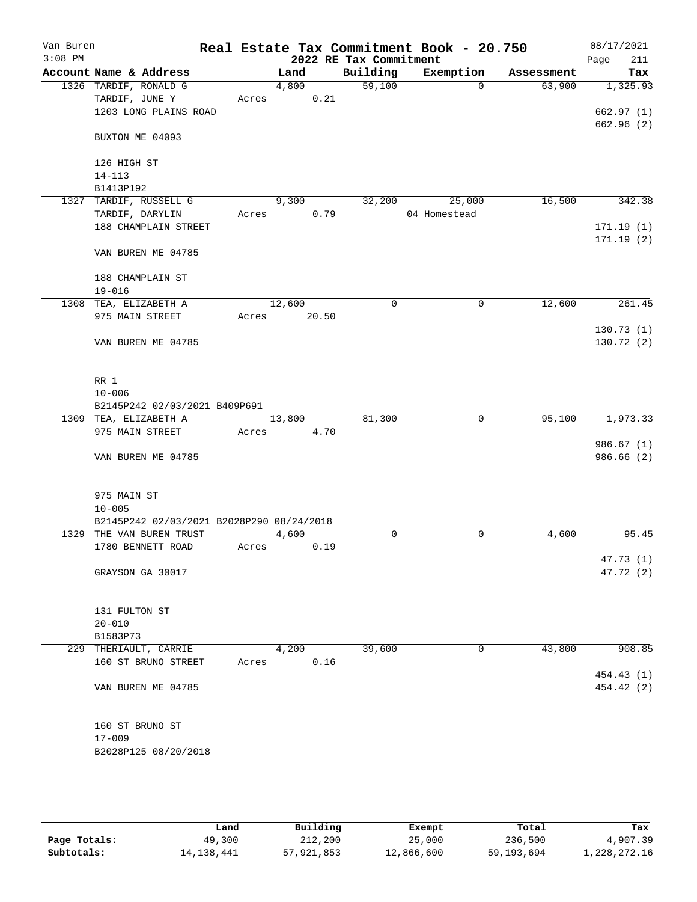| Van Buren<br>$3:08$ PM |                        |                                           |       |        | 2022 RE Tax Commitment | Real Estate Tax Commitment Book - 20.750 |            | 08/17/2021<br>211<br>Page |
|------------------------|------------------------|-------------------------------------------|-------|--------|------------------------|------------------------------------------|------------|---------------------------|
|                        | Account Name & Address |                                           |       | Land   | Building               | Exemption                                | Assessment | Tax                       |
|                        | 1326 TARDIF, RONALD G  |                                           |       | 4,800  | 59,100                 | $\Omega$                                 | 63,900     | 1,325.93                  |
|                        | TARDIF, JUNE Y         | 1203 LONG PLAINS ROAD                     | Acres | 0.21   |                        |                                          |            | 662.97(1)                 |
|                        |                        |                                           |       |        |                        |                                          |            | 662.96(2)                 |
|                        | BUXTON ME 04093        |                                           |       |        |                        |                                          |            |                           |
|                        | 126 HIGH ST            |                                           |       |        |                        |                                          |            |                           |
|                        | $14 - 113$             |                                           |       |        |                        |                                          |            |                           |
|                        | B1413P192              |                                           |       |        |                        |                                          |            |                           |
|                        |                        | 1327 TARDIF, RUSSELL G                    |       | 9,300  | 32,200                 | 25,000                                   | 16,500     | 342.38                    |
|                        | TARDIF, DARYLIN        |                                           | Acres | 0.79   |                        | 04 Homestead                             |            |                           |
|                        |                        | 188 CHAMPLAIN STREET                      |       |        |                        |                                          |            | 171.19(1)                 |
|                        |                        | VAN BUREN ME 04785                        |       |        |                        |                                          |            | 171.19(2)                 |
|                        | 188 CHAMPLAIN ST       |                                           |       |        |                        |                                          |            |                           |
|                        | $19 - 016$             |                                           |       |        |                        |                                          |            |                           |
|                        | 1308 TEA, ELIZABETH A  |                                           |       | 12,600 | $\mathbf 0$            | $\mathbf 0$                              | 12,600     | 261.45                    |
|                        | 975 MAIN STREET        |                                           | Acres | 20.50  |                        |                                          |            |                           |
|                        |                        | VAN BUREN ME 04785                        |       |        |                        |                                          |            | 130.73(1)<br>130.72(2)    |
|                        | RR 1                   |                                           |       |        |                        |                                          |            |                           |
|                        | $10 - 006$             |                                           |       |        |                        |                                          |            |                           |
|                        |                        | B2145P242 02/03/2021 B409P691             |       |        |                        |                                          |            |                           |
|                        |                        | 1309 TEA, ELIZABETH A                     |       | 13,800 | 81,300                 | $\mathbf 0$                              | 95,100     | 1,973.33                  |
|                        | 975 MAIN STREET        |                                           | Acres | 4.70   |                        |                                          |            |                           |
|                        |                        |                                           |       |        |                        |                                          |            | 986.67(1)                 |
|                        |                        | VAN BUREN ME 04785                        |       |        |                        |                                          |            | 986.66(2)                 |
|                        | 975 MAIN ST            |                                           |       |        |                        |                                          |            |                           |
|                        | $10 - 005$             |                                           |       |        |                        |                                          |            |                           |
|                        |                        | B2145P242 02/03/2021 B2028P290 08/24/2018 |       |        |                        |                                          |            |                           |
|                        |                        | 1329 THE VAN BUREN TRUST                  |       | 4,600  | 0                      | 0                                        | 4,600      | 95.45                     |
|                        |                        | 1780 BENNETT ROAD                         | Acres | 0.19   |                        |                                          |            | 47.73 (1)                 |
|                        | GRAYSON GA 30017       |                                           |       |        |                        |                                          |            | 47.72 (2)                 |
|                        | 131 FULTON ST          |                                           |       |        |                        |                                          |            |                           |
|                        | $20 - 010$             |                                           |       |        |                        |                                          |            |                           |
|                        | B1583P73               |                                           |       |        |                        |                                          |            |                           |
|                        |                        | 229 THERIAULT, CARRIE                     |       | 4,200  | 39,600                 | 0                                        | 43,800     | 908.85                    |
|                        |                        | 160 ST BRUNO STREET                       | Acres | 0.16   |                        |                                          |            |                           |
|                        |                        |                                           |       |        |                        |                                          |            | 454.43 (1)                |
|                        |                        | VAN BUREN ME 04785                        |       |        |                        |                                          |            | 454.42 (2)                |
|                        | 160 ST BRUNO ST        |                                           |       |        |                        |                                          |            |                           |
|                        | $17 - 009$             |                                           |       |        |                        |                                          |            |                           |
|                        |                        | B2028P125 08/20/2018                      |       |        |                        |                                          |            |                           |
|                        |                        |                                           |       |        |                        |                                          |            |                           |

|              | Land         | Building   |            |              |              |
|--------------|--------------|------------|------------|--------------|--------------|
|              |              |            | Exempt     | Total        | Tax          |
| Page Totals: | 49,300       | 212,200    | 25,000     | 236,500      | 4,907.39     |
| Subtotals:   | 14, 138, 441 | 57,921,853 | 12,866,600 | 59, 193, 694 | 1,228,272.16 |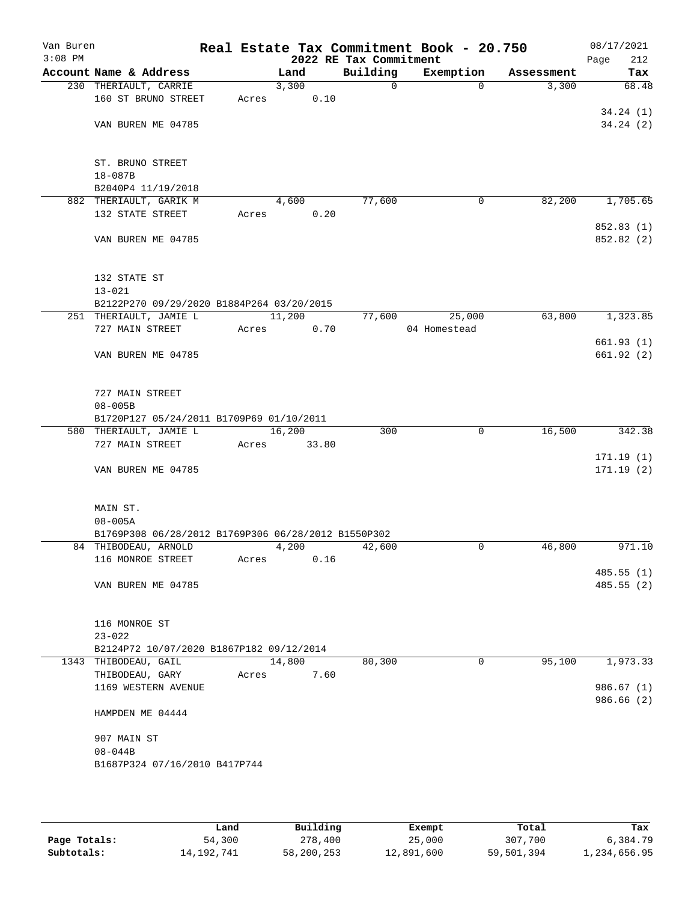| Van Buren<br>$3:08$ PM        |                                                     |       |        |       | 2022 RE Tax Commitment | Real Estate Tax Commitment Book - 20.750 |            | 08/17/2021<br>212<br>Page |
|-------------------------------|-----------------------------------------------------|-------|--------|-------|------------------------|------------------------------------------|------------|---------------------------|
|                               | Account Name & Address                              |       | Land   |       | Building               | Exemption                                | Assessment | Tax                       |
|                               | 230 THERIAULT, CARRIE                               |       | 3,300  |       | $\mathsf{O}$           | $\Omega$                                 | 3,300      | 68.48                     |
|                               | 160 ST BRUNO STREET                                 | Acres |        | 0.10  |                        |                                          |            |                           |
|                               |                                                     |       |        |       |                        |                                          |            | 34.24(1)                  |
|                               | VAN BUREN ME 04785                                  |       |        |       |                        |                                          |            | 34.24(2)                  |
|                               | ST. BRUNO STREET                                    |       |        |       |                        |                                          |            |                           |
|                               | $18 - 087B$                                         |       |        |       |                        |                                          |            |                           |
|                               | B2040P4 11/19/2018                                  |       |        |       |                        |                                          |            |                           |
|                               | 882 THERIAULT, GARIK M                              |       | 4,600  |       | 77,600                 | 0                                        | 82,200     | 1,705.65                  |
|                               | 132 STATE STREET                                    | Acres |        | 0.20  |                        |                                          |            |                           |
|                               |                                                     |       |        |       |                        |                                          |            | 852.83 (1)                |
|                               | VAN BUREN ME 04785                                  |       |        |       |                        |                                          |            | 852.82 (2)                |
|                               | 132 STATE ST                                        |       |        |       |                        |                                          |            |                           |
|                               | $13 - 021$                                          |       |        |       |                        |                                          |            |                           |
|                               | B2122P270 09/29/2020 B1884P264 03/20/2015           |       |        |       |                        |                                          |            |                           |
|                               | 251 THERIAULT, JAMIE L                              |       | 11,200 |       | 77,600                 | 25,000                                   | 63,800     | 1,323.85                  |
|                               | 727 MAIN STREET                                     | Acres |        | 0.70  |                        | 04 Homestead                             |            |                           |
|                               |                                                     |       |        |       |                        |                                          |            | 661.93(1)                 |
|                               | VAN BUREN ME 04785                                  |       |        |       |                        |                                          |            | 661.92(2)                 |
|                               | 727 MAIN STREET                                     |       |        |       |                        |                                          |            |                           |
|                               | $08 - 005B$                                         |       |        |       |                        |                                          |            |                           |
|                               | B1720P127 05/24/2011 B1709P69 01/10/2011            |       |        |       |                        |                                          |            |                           |
|                               | 580 THERIAULT, JAMIE L                              |       | 16,200 |       | 300                    | 0                                        | 16,500     | 342.38                    |
|                               | 727 MAIN STREET                                     | Acres |        | 33.80 |                        |                                          |            |                           |
|                               | VAN BUREN ME 04785                                  |       |        |       |                        |                                          |            | 171.19(1)<br>171.19(2)    |
|                               |                                                     |       |        |       |                        |                                          |            |                           |
|                               | MAIN ST.                                            |       |        |       |                        |                                          |            |                           |
|                               | $08 - 005A$                                         |       |        |       |                        |                                          |            |                           |
|                               | B1769P308 06/28/2012 B1769P306 06/28/2012 B1550P302 |       |        |       |                        |                                          |            |                           |
|                               | 84 THIBODEAU, ARNOLD                                |       | 4,200  |       | 42,600                 | 0                                        | 46,800     | 971.10                    |
|                               | 116 MONROE STREET                                   | Acres |        | 0.16  |                        |                                          |            |                           |
|                               | VAN BUREN ME 04785                                  |       |        |       |                        |                                          |            | 485.55(1)<br>485.55(2)    |
|                               |                                                     |       |        |       |                        |                                          |            |                           |
|                               | 116 MONROE ST                                       |       |        |       |                        |                                          |            |                           |
|                               | $23 - 022$                                          |       |        |       |                        |                                          |            |                           |
|                               | B2124P72 10/07/2020 B1867P182 09/12/2014            |       |        |       |                        |                                          |            | 1,973.33                  |
|                               | 1343 THIBODEAU, GAIL                                |       | 14,800 |       | 80,300                 | 0                                        | 95,100     |                           |
|                               | THIBODEAU, GARY                                     | Acres |        | 7.60  |                        |                                          |            |                           |
|                               | 1169 WESTERN AVENUE                                 |       |        |       |                        |                                          |            | 986.67(1)<br>986.66(2)    |
|                               | HAMPDEN ME 04444                                    |       |        |       |                        |                                          |            |                           |
|                               | 907 MAIN ST                                         |       |        |       |                        |                                          |            |                           |
| B1687P324 07/16/2010 B417P744 | $08 - 044B$                                         |       |        |       |                        |                                          |            |                           |
|                               |                                                     |       |        |       |                        |                                          |            |                           |

|              | Land         | Building   | Exempt     | Total      | Tax          |
|--------------|--------------|------------|------------|------------|--------------|
| Page Totals: | 54,300       | 278,400    | 25,000     | 307,700    | 6,384.79     |
| Subtotals:   | 14, 192, 741 | 58,200,253 | 12,891,600 | 59,501,394 | 1,234,656.95 |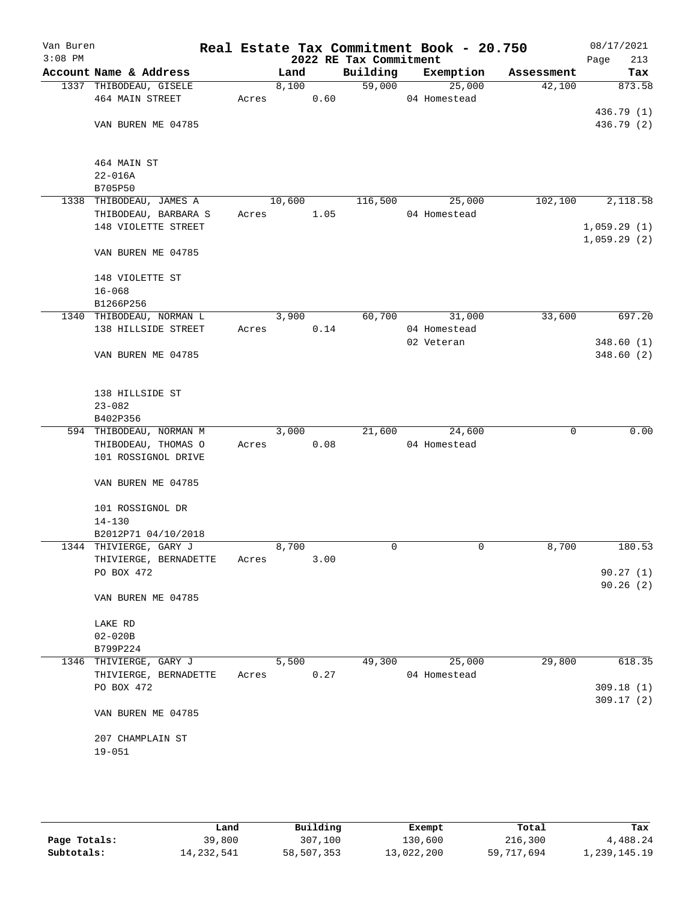| Van Buren<br>$3:08$ PM |                          |       |        |      |                                    | Real Estate Tax Commitment Book - 20.750 |            | 08/17/2021         |
|------------------------|--------------------------|-------|--------|------|------------------------------------|------------------------------------------|------------|--------------------|
|                        | Account Name & Address   |       | Land   |      | 2022 RE Tax Commitment<br>Building | Exemption                                | Assessment | 213<br>Page<br>Tax |
|                        | 1337 THIBODEAU, GISELE   |       | 8,100  |      | 59,000                             | 25,000                                   | 42,100     | 873.58             |
|                        | 464 MAIN STREET          | Acres |        | 0.60 |                                    | 04 Homestead                             |            |                    |
|                        |                          |       |        |      |                                    |                                          |            | 436.79 (1)         |
|                        | VAN BUREN ME 04785       |       |        |      |                                    |                                          |            | 436.79 (2)         |
|                        |                          |       |        |      |                                    |                                          |            |                    |
|                        |                          |       |        |      |                                    |                                          |            |                    |
|                        | 464 MAIN ST              |       |        |      |                                    |                                          |            |                    |
|                        | $22 - 016A$<br>B705P50   |       |        |      |                                    |                                          |            |                    |
|                        | 1338 THIBODEAU, JAMES A  |       | 10,600 |      | 116,500                            | 25,000                                   | 102,100    | 2,118.58           |
|                        | THIBODEAU, BARBARA S     | Acres |        | 1.05 |                                    | 04 Homestead                             |            |                    |
|                        | 148 VIOLETTE STREET      |       |        |      |                                    |                                          |            | 1,059.29(1)        |
|                        |                          |       |        |      |                                    |                                          |            | 1,059.29(2)        |
|                        | VAN BUREN ME 04785       |       |        |      |                                    |                                          |            |                    |
|                        | 148 VIOLETTE ST          |       |        |      |                                    |                                          |            |                    |
|                        | $16 - 068$               |       |        |      |                                    |                                          |            |                    |
|                        | B1266P256                |       |        |      |                                    |                                          |            |                    |
|                        | 1340 THIBODEAU, NORMAN L |       | 3,900  |      | 60,700                             | 31,000                                   | 33,600     | 697.20             |
|                        | 138 HILLSIDE STREET      | Acres |        | 0.14 |                                    | 04 Homestead                             |            |                    |
|                        |                          |       |        |      |                                    | 02 Veteran                               |            | 348.60(1)          |
|                        | VAN BUREN ME 04785       |       |        |      |                                    |                                          |            | 348.60(2)          |
|                        |                          |       |        |      |                                    |                                          |            |                    |
|                        | 138 HILLSIDE ST          |       |        |      |                                    |                                          |            |                    |
|                        | $23 - 082$               |       |        |      |                                    |                                          |            |                    |
|                        | B402P356                 |       |        |      |                                    |                                          |            |                    |
|                        | 594 THIBODEAU, NORMAN M  |       | 3,000  |      | 21,600                             | 24,600                                   | 0          | 0.00               |
|                        | THIBODEAU, THOMAS O      | Acres |        | 0.08 |                                    | 04 Homestead                             |            |                    |
|                        | 101 ROSSIGNOL DRIVE      |       |        |      |                                    |                                          |            |                    |
|                        |                          |       |        |      |                                    |                                          |            |                    |
|                        | VAN BUREN ME 04785       |       |        |      |                                    |                                          |            |                    |
|                        | 101 ROSSIGNOL DR         |       |        |      |                                    |                                          |            |                    |
|                        | $14 - 130$               |       |        |      |                                    |                                          |            |                    |
|                        | B2012P71 04/10/2018      |       |        |      |                                    |                                          |            |                    |
|                        | 1344 THIVIERGE, GARY J   |       | 8,700  |      | 0                                  | 0                                        | 8,700      | 180.53             |
|                        | THIVIERGE, BERNADETTE    | Acres |        | 3.00 |                                    |                                          |            |                    |
|                        | PO BOX 472               |       |        |      |                                    |                                          |            | 90.27(1)           |
|                        |                          |       |        |      |                                    |                                          |            | 90.26(2)           |
|                        | VAN BUREN ME 04785       |       |        |      |                                    |                                          |            |                    |
|                        | LAKE RD                  |       |        |      |                                    |                                          |            |                    |
|                        | $02 - 020B$              |       |        |      |                                    |                                          |            |                    |
|                        | B799P224                 |       |        |      |                                    |                                          |            |                    |
|                        | 1346 THIVIERGE, GARY J   |       | 5,500  |      | 49,300                             | 25,000                                   | 29,800     | 618.35             |
|                        | THIVIERGE, BERNADETTE    | Acres |        | 0.27 |                                    | 04 Homestead                             |            |                    |
|                        | PO BOX 472               |       |        |      |                                    |                                          |            | 309.18(1)          |
|                        |                          |       |        |      |                                    |                                          |            | 309.17(2)          |
|                        | VAN BUREN ME 04785       |       |        |      |                                    |                                          |            |                    |
|                        | 207 CHAMPLAIN ST         |       |        |      |                                    |                                          |            |                    |
|                        | $19 - 051$               |       |        |      |                                    |                                          |            |                    |
|                        |                          |       |        |      |                                    |                                          |            |                    |
|                        |                          |       |        |      |                                    |                                          |            |                    |

|              | Land         | Building   | Exempt     | Total      | Tax          |
|--------------|--------------|------------|------------|------------|--------------|
| Page Totals: | 39,800       | 307,100    | 130,600    | 216,300    | 4,488.24     |
| Subtotals:   | 14, 232, 541 | 58,507,353 | 13,022,200 | 59,717,694 | l,239,145.19 |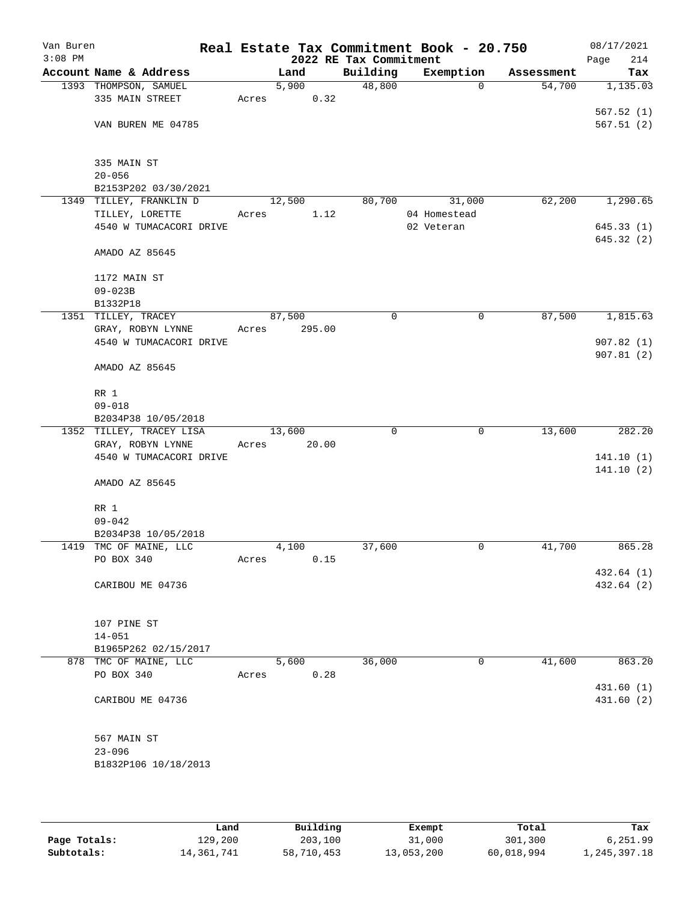| Van Buren<br>$3:08$ PM |                          |       |        | 2022 RE Tax Commitment | Real Estate Tax Commitment Book - 20.750 |            | 08/17/2021<br>214<br>Page |
|------------------------|--------------------------|-------|--------|------------------------|------------------------------------------|------------|---------------------------|
|                        | Account Name & Address   |       | Land   | Building               | Exemption                                | Assessment | Tax                       |
|                        | 1393 THOMPSON, SAMUEL    |       | 5,900  | 48,800                 | 0                                        | 54,700     | 1,135.03                  |
|                        | 335 MAIN STREET          | Acres | 0.32   |                        |                                          |            |                           |
|                        |                          |       |        |                        |                                          |            | 567.52(1)                 |
|                        | VAN BUREN ME 04785       |       |        |                        |                                          |            | 567.51(2)                 |
|                        |                          |       |        |                        |                                          |            |                           |
|                        | 335 MAIN ST              |       |        |                        |                                          |            |                           |
|                        | $20 - 056$               |       |        |                        |                                          |            |                           |
|                        | B2153P202 03/30/2021     |       |        |                        |                                          |            |                           |
|                        | 1349 TILLEY, FRANKLIN D  |       | 12,500 | 80,700                 | 31,000                                   | 62,200     | 1,290.65                  |
|                        | TILLEY, LORETTE          | Acres | 1.12   |                        | 04 Homestead                             |            |                           |
|                        | 4540 W TUMACACORI DRIVE  |       |        |                        | 02 Veteran                               |            | 645.33(1)<br>645.32 (2)   |
|                        | AMADO AZ 85645           |       |        |                        |                                          |            |                           |
|                        | 1172 MAIN ST             |       |        |                        |                                          |            |                           |
|                        | $09 - 023B$              |       |        |                        |                                          |            |                           |
|                        | B1332P18                 |       |        |                        |                                          |            |                           |
|                        | 1351 TILLEY, TRACEY      |       | 87,500 | 0                      | 0                                        | 87,500     | 1,815.63                  |
|                        | GRAY, ROBYN LYNNE        | Acres | 295.00 |                        |                                          |            |                           |
|                        | 4540 W TUMACACORI DRIVE  |       |        |                        |                                          |            | 907.82(1)                 |
|                        | AMADO AZ 85645           |       |        |                        |                                          |            | 907.81(2)                 |
|                        | RR 1                     |       |        |                        |                                          |            |                           |
|                        | $09 - 018$               |       |        |                        |                                          |            |                           |
|                        | B2034P38 10/05/2018      |       |        |                        |                                          |            |                           |
|                        | 1352 TILLEY, TRACEY LISA |       | 13,600 | $\Omega$               | $\mathbf 0$                              | 13,600     | 282.20                    |
|                        | GRAY, ROBYN LYNNE        | Acres | 20.00  |                        |                                          |            |                           |
|                        | 4540 W TUMACACORI DRIVE  |       |        |                        |                                          |            | 141.10(1)                 |
|                        | AMADO AZ 85645           |       |        |                        |                                          |            | 141.10(2)                 |
|                        | RR 1                     |       |        |                        |                                          |            |                           |
|                        | $09 - 042$               |       |        |                        |                                          |            |                           |
|                        | B2034P38 10/05/2018      |       |        |                        |                                          |            |                           |
|                        | 1419 TMC OF MAINE, LLC   |       | 4,100  | 37,600                 | 0                                        | 41,700     | 865.28                    |
|                        | PO BOX 340               | Acres | 0.15   |                        |                                          |            |                           |
|                        |                          |       |        |                        |                                          |            | 432.64 (1)                |
|                        | CARIBOU ME 04736         |       |        |                        |                                          |            | 432.64 (2)                |
|                        | 107 PINE ST              |       |        |                        |                                          |            |                           |
|                        | $14 - 051$               |       |        |                        |                                          |            |                           |
|                        | B1965P262 02/15/2017     |       |        |                        |                                          |            |                           |
|                        | 878 TMC OF MAINE, LLC    |       | 5,600  | 36,000                 | 0                                        | 41,600     | 863.20                    |
|                        | PO BOX 340               | Acres | 0.28   |                        |                                          |            |                           |
|                        |                          |       |        |                        |                                          |            | 431.60(1)                 |
|                        | CARIBOU ME 04736         |       |        |                        |                                          |            | 431.60 (2)                |
|                        | 567 MAIN ST              |       |        |                        |                                          |            |                           |
|                        | $23 - 096$               |       |        |                        |                                          |            |                           |
|                        | B1832P106 10/18/2013     |       |        |                        |                                          |            |                           |
|                        |                          |       |        |                        |                                          |            |                           |

|              | Land       | Building   | Exempt     | Total      | Tax          |
|--------------|------------|------------|------------|------------|--------------|
| Page Totals: | 129,200    | 203,100    | 31,000     | 301,300    | 6,251.99     |
| Subtotals:   | 14,361,741 | 58,710,453 | 13,053,200 | 60,018,994 | 1,245,397.18 |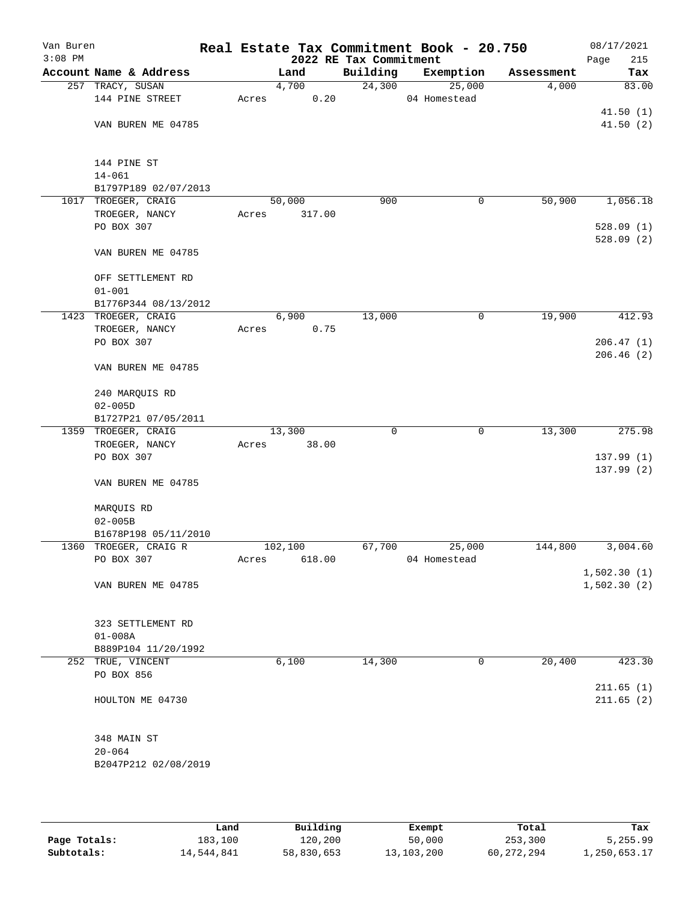| Van Buren<br>$3:08$ PM |                           |       |         | 2022 RE Tax Commitment | Real Estate Tax Commitment Book - 20.750 |            | 08/17/2021<br>215<br>Page |
|------------------------|---------------------------|-------|---------|------------------------|------------------------------------------|------------|---------------------------|
|                        | Account Name & Address    |       | Land    | Building               | Exemption                                | Assessment | Tax                       |
|                        | 257 TRACY, SUSAN          |       | 4,700   | 24,300                 | 25,000                                   | 4,000      | 83.00                     |
|                        | 144 PINE STREET           | Acres | 0.20    |                        | 04 Homestead                             |            |                           |
|                        |                           |       |         |                        |                                          |            | 41.50(1)                  |
|                        | VAN BUREN ME 04785        |       |         |                        |                                          |            | 41.50(2)                  |
|                        |                           |       |         |                        |                                          |            |                           |
|                        |                           |       |         |                        |                                          |            |                           |
|                        | 144 PINE ST               |       |         |                        |                                          |            |                           |
|                        | $14 - 061$                |       |         |                        |                                          |            |                           |
|                        | B1797P189 02/07/2013      |       |         |                        |                                          |            |                           |
|                        | 1017 TROEGER, CRAIG       |       | 50,000  | 900                    | 0                                        | 50,900     | 1,056.18                  |
|                        | TROEGER, NANCY            | Acres | 317.00  |                        |                                          |            |                           |
|                        | PO BOX 307                |       |         |                        |                                          |            | 528.09(1)                 |
|                        |                           |       |         |                        |                                          |            | 528.09(2)                 |
|                        | VAN BUREN ME 04785        |       |         |                        |                                          |            |                           |
|                        | OFF SETTLEMENT RD         |       |         |                        |                                          |            |                           |
|                        | $01 - 001$                |       |         |                        |                                          |            |                           |
|                        | B1776P344 08/13/2012      |       |         |                        |                                          |            |                           |
|                        | 1423 TROEGER, CRAIG       |       | 6,900   | 13,000                 | 0                                        | 19,900     | 412.93                    |
|                        | TROEGER, NANCY            | Acres | 0.75    |                        |                                          |            |                           |
|                        | PO BOX 307                |       |         |                        |                                          |            | 206.47(1)                 |
|                        |                           |       |         |                        |                                          |            | 206.46(2)                 |
|                        | VAN BUREN ME 04785        |       |         |                        |                                          |            |                           |
|                        |                           |       |         |                        |                                          |            |                           |
|                        | 240 MARQUIS RD            |       |         |                        |                                          |            |                           |
|                        | $02 - 005D$               |       |         |                        |                                          |            |                           |
|                        | B1727P21 07/05/2011       |       |         |                        |                                          |            |                           |
|                        | 1359 TROEGER, CRAIG       |       | 13,300  | $\Omega$               | $\mathbf 0$                              | 13,300     | 275.98                    |
|                        | TROEGER, NANCY            | Acres | 38.00   |                        |                                          |            |                           |
|                        | PO BOX 307                |       |         |                        |                                          |            | 137.99(1)                 |
|                        |                           |       |         |                        |                                          |            | 137.99(2)                 |
|                        | VAN BUREN ME 04785        |       |         |                        |                                          |            |                           |
|                        |                           |       |         |                        |                                          |            |                           |
|                        | MARQUIS RD<br>$02 - 005B$ |       |         |                        |                                          |            |                           |
|                        | B1678P198 05/11/2010      |       |         |                        |                                          |            |                           |
|                        | 1360 TROEGER, CRAIG R     |       | 102,100 | 67,700                 | 25,000                                   | 144,800    | 3,004.60                  |
|                        | PO BOX 307                | Acres | 618.00  |                        | 04 Homestead                             |            |                           |
|                        |                           |       |         |                        |                                          |            | 1,502.30(1)               |
|                        | VAN BUREN ME 04785        |       |         |                        |                                          |            | 1,502.30(2)               |
|                        |                           |       |         |                        |                                          |            |                           |
|                        |                           |       |         |                        |                                          |            |                           |
|                        | 323 SETTLEMENT RD         |       |         |                        |                                          |            |                           |
|                        | $01 - 008A$               |       |         |                        |                                          |            |                           |
|                        | B889P104 11/20/1992       |       |         |                        |                                          |            |                           |
|                        | 252 TRUE, VINCENT         |       | 6,100   | 14,300                 | $\mathbf 0$                              | 20,400     | 423.30                    |
|                        | PO BOX 856                |       |         |                        |                                          |            |                           |
|                        |                           |       |         |                        |                                          |            | 211.65(1)                 |
|                        | HOULTON ME 04730          |       |         |                        |                                          |            | 211.65(2)                 |
|                        |                           |       |         |                        |                                          |            |                           |
|                        | 348 MAIN ST               |       |         |                        |                                          |            |                           |
|                        | $20 - 064$                |       |         |                        |                                          |            |                           |
|                        | B2047P212 02/08/2019      |       |         |                        |                                          |            |                           |
|                        |                           |       |         |                        |                                          |            |                           |
|                        |                           |       |         |                        |                                          |            |                           |

|              | Land       | Building   | Exempt     | Total      | Tax          |
|--------------|------------|------------|------------|------------|--------------|
| Page Totals: | 183,100    | 120,200    | 50,000     | 253,300    | 5,255.99     |
| Subtotals:   | 14,544,841 | 58,830,653 | 13,103,200 | 60,272,294 | 1,250,653.17 |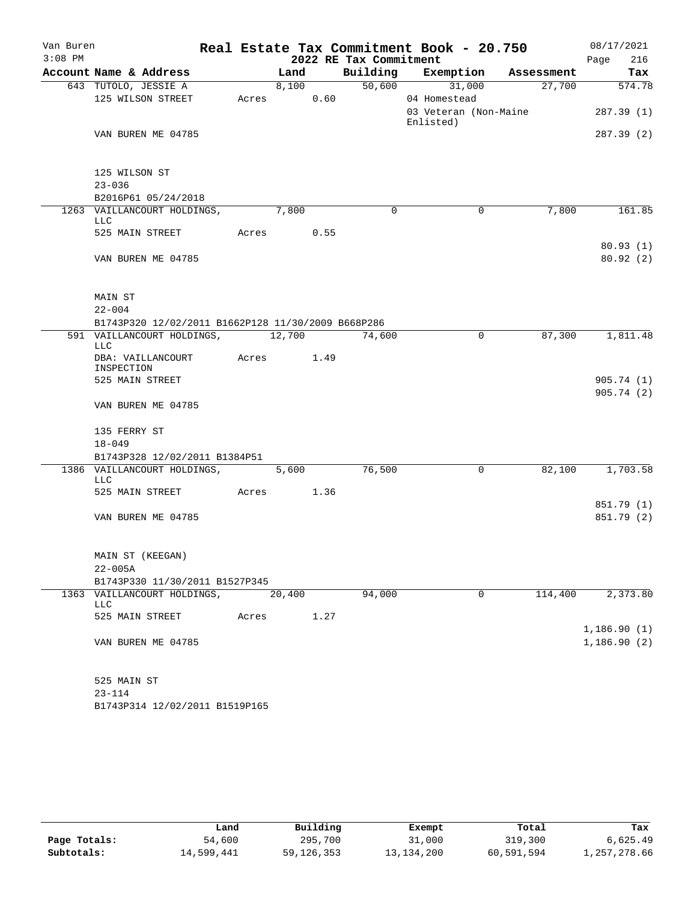| Van Buren |               |                                                    |       |        |      |                        | Real Estate Tax Commitment Book - 20.750 |                       |            | 08/17/2021  |
|-----------|---------------|----------------------------------------------------|-------|--------|------|------------------------|------------------------------------------|-----------------------|------------|-------------|
| $3:08$ PM |               |                                                    |       |        |      | 2022 RE Tax Commitment |                                          |                       |            | Page<br>216 |
|           |               | Account Name & Address                             |       | Land   |      |                        | Building Exemption                       |                       | Assessment | Tax         |
|           |               | 643 TUTOLO, JESSIE A                               |       | 8,100  |      |                        | 50,600                                   | 31,000                | 27,700     | 574.78      |
|           |               | 125 WILSON STREET                                  | Acres |        | 0.60 |                        | 04 Homestead                             |                       |            |             |
|           |               |                                                    |       |        |      |                        | Enlisted)                                | 03 Veteran (Non-Maine |            | 287.39(1)   |
|           |               | VAN BUREN ME 04785                                 |       |        |      |                        |                                          |                       |            | 287.39(2)   |
|           |               |                                                    |       |        |      |                        |                                          |                       |            |             |
|           | 125 WILSON ST |                                                    |       |        |      |                        |                                          |                       |            |             |
|           | $23 - 036$    |                                                    |       |        |      |                        |                                          |                       |            |             |
|           |               | B2016P61 05/24/2018                                |       |        |      |                        |                                          |                       |            |             |
|           |               | 1263 VAILLANCOURT HOLDINGS,                        |       | 7,800  |      | $\Omega$               |                                          | $\Omega$              | 7,800      | 161.85      |
|           | LLC           | 525 MAIN STREET                                    | Acres |        | 0.55 |                        |                                          |                       |            |             |
|           |               |                                                    |       |        |      |                        |                                          |                       |            | 80.93(1)    |
|           |               | VAN BUREN ME 04785                                 |       |        |      |                        |                                          |                       |            | 80.92(2)    |
|           |               |                                                    |       |        |      |                        |                                          |                       |            |             |
|           | MAIN ST       |                                                    |       |        |      |                        |                                          |                       |            |             |
|           | $22 - 004$    |                                                    |       |        |      |                        |                                          |                       |            |             |
|           |               | B1743P320 12/02/2011 B1662P128 11/30/2009 B668P286 |       |        |      |                        |                                          |                       |            |             |
|           |               | 591 VAILLANCOURT HOLDINGS,                         |       | 12,700 |      | 74,600                 |                                          | 0                     | 87,300     | 1,811.48    |
|           | <b>LLC</b>    |                                                    |       |        |      |                        |                                          |                       |            |             |
|           | INSPECTION    | DBA: VAILLANCOURT                                  | Acres |        | 1.49 |                        |                                          |                       |            |             |
|           |               | 525 MAIN STREET                                    |       |        |      |                        |                                          |                       |            | 905.74(1)   |
|           |               |                                                    |       |        |      |                        |                                          |                       |            | 905.74(2)   |
|           |               | VAN BUREN ME 04785                                 |       |        |      |                        |                                          |                       |            |             |
|           |               |                                                    |       |        |      |                        |                                          |                       |            |             |
|           | 135 FERRY ST  |                                                    |       |        |      |                        |                                          |                       |            |             |
|           | $18 - 049$    |                                                    |       |        |      |                        |                                          |                       |            |             |
|           |               | B1743P328 12/02/2011 B1384P51                      |       |        |      |                        |                                          |                       |            |             |
|           |               | 1386 VAILLANCOURT HOLDINGS,                        |       | 5,600  |      | 76,500                 |                                          | 0                     | 82,100     | 1,703.58    |
|           | <b>LLC</b>    | 525 MAIN STREET                                    | Acres | 1.36   |      |                        |                                          |                       |            |             |
|           |               |                                                    |       |        |      |                        |                                          |                       |            | 851.79 (1)  |
|           |               | VAN BUREN ME 04785                                 |       |        |      |                        |                                          |                       |            | 851.79 (2)  |
|           |               |                                                    |       |        |      |                        |                                          |                       |            |             |
|           |               | MAIN ST (KEEGAN)                                   |       |        |      |                        |                                          |                       |            |             |
|           | $22 - 005A$   |                                                    |       |        |      |                        |                                          |                       |            |             |
|           |               | B1743P330 11/30/2011 B1527P345                     |       |        |      |                        |                                          |                       |            |             |
|           | <b>LLC</b>    | 1363 VAILLANCOURT HOLDINGS,                        |       | 20,400 |      | 94,000                 |                                          | 0                     | 114,400    | 2,373.80    |
|           |               | 525 MAIN STREET                                    | Acres |        | 1.27 |                        |                                          |                       |            |             |
|           |               |                                                    |       |        |      |                        |                                          |                       |            | 1,186.90(1) |
|           |               | VAN BUREN ME 04785                                 |       |        |      |                        |                                          |                       |            | 1,186.90(2) |
|           | 525 MAIN ST   |                                                    |       |        |      |                        |                                          |                       |            |             |
|           | $23 - 114$    |                                                    |       |        |      |                        |                                          |                       |            |             |
|           |               |                                                    |       |        |      |                        |                                          |                       |            |             |

| B1743P314 12/02/2011 B1519P165 |  |
|--------------------------------|--|
|                                |  |

|              | Land       | Building   | Exempt     | Total      | Tax          |
|--------------|------------|------------|------------|------------|--------------|
| Page Totals: | 54,600     | 295,700    | 31,000     | 319,300    | 6.625.49     |
| Subtotals:   | 14,599,441 | 59,126,353 | 13,134,200 | 60,591,594 | 1,257,278.66 |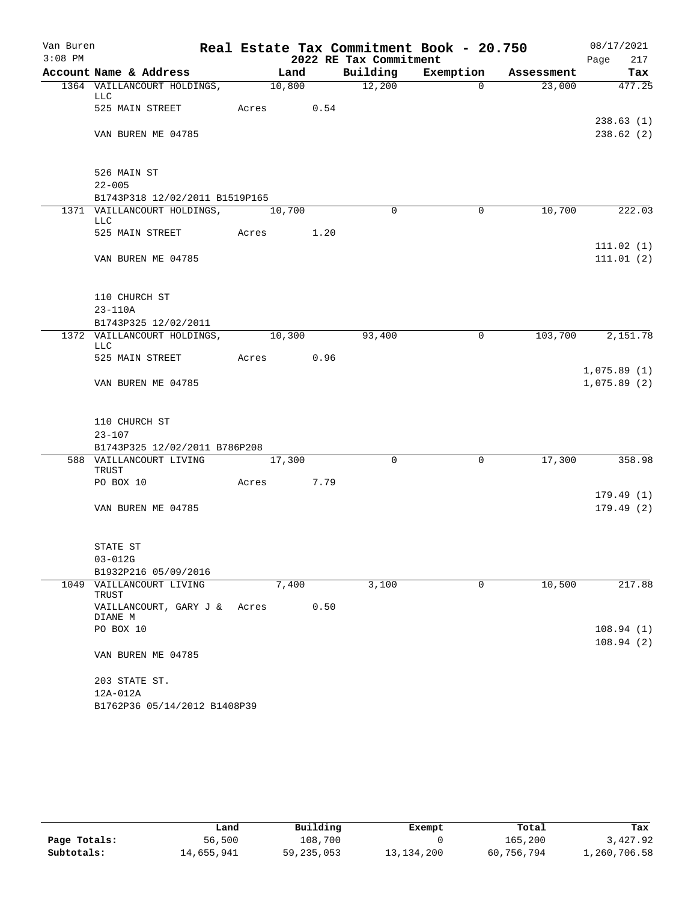| Van Buren |                                           |        |        |      |                        | Real Estate Tax Commitment Book - 20.750 |            | 08/17/2021             |          |
|-----------|-------------------------------------------|--------|--------|------|------------------------|------------------------------------------|------------|------------------------|----------|
| $3:08$ PM |                                           |        |        |      | 2022 RE Tax Commitment |                                          |            | Page                   | 217      |
|           | Account Name & Address                    |        | Land   |      | Building               | Exemption                                | Assessment |                        | Tax      |
|           | 1364 VAILLANCOURT HOLDINGS,<br><b>LLC</b> |        | 10,800 |      | 12,200                 | $\Omega$                                 | 23,000     |                        | 477.25   |
|           | 525 MAIN STREET                           | Acres  |        | 0.54 |                        |                                          |            | 238.63(1)              |          |
|           | VAN BUREN ME 04785                        |        |        |      |                        |                                          |            | 238.62 (2)             |          |
|           | 526 MAIN ST                               |        |        |      |                        |                                          |            |                        |          |
|           | $22 - 005$                                |        |        |      |                        |                                          |            |                        |          |
|           | B1743P318 12/02/2011 B1519P165            |        |        |      |                        |                                          |            |                        |          |
|           | 1371 VAILLANCOURT HOLDINGS,<br>LLC        |        | 10,700 |      | $\Omega$               | 0                                        | 10,700     |                        | 222.03   |
|           | 525 MAIN STREET                           | Acres  |        | 1.20 |                        |                                          |            | 111.02(1)              |          |
|           | VAN BUREN ME 04785                        |        |        |      |                        |                                          |            | 111.01(2)              |          |
|           | 110 CHURCH ST                             |        |        |      |                        |                                          |            |                        |          |
|           | $23 - 110A$                               |        |        |      |                        |                                          |            |                        |          |
|           | B1743P325 12/02/2011                      |        |        |      |                        |                                          |            |                        |          |
|           | 1372 VAILLANCOURT HOLDINGS,<br><b>LLC</b> | 10,300 |        |      | 93,400                 | 0                                        | 103,700    |                        | 2,151.78 |
|           | 525 MAIN STREET                           | Acres  |        | 0.96 |                        |                                          |            | 1,075.89(1)            |          |
|           | VAN BUREN ME 04785                        |        |        |      |                        |                                          |            | 1,075.89(2)            |          |
|           | 110 CHURCH ST                             |        |        |      |                        |                                          |            |                        |          |
|           | $23 - 107$                                |        |        |      |                        |                                          |            |                        |          |
|           | B1743P325 12/02/2011 B786P208             |        |        |      |                        |                                          |            |                        |          |
|           | 588 VAILLANCOURT LIVING<br>TRUST          |        | 17,300 |      | $\mathbf 0$            | 0                                        | 17,300     |                        | 358.98   |
|           | PO BOX 10                                 | Acres  |        | 7.79 |                        |                                          |            |                        |          |
|           | VAN BUREN ME 04785                        |        |        |      |                        |                                          |            | 179.49(1)<br>179.49(2) |          |
|           |                                           |        |        |      |                        |                                          |            |                        |          |
|           | STATE ST                                  |        |        |      |                        |                                          |            |                        |          |
|           | $03 - 012G$                               |        |        |      |                        |                                          |            |                        |          |
|           | B1932P216 05/09/2016                      |        |        |      |                        |                                          |            |                        |          |
| 1049      | VAILLANCOURT LIVING<br>TRUST              |        | 7,400  |      | 3,100                  | $\mathbf 0$                              | 10,500     |                        | 217.88   |
|           | VAILLANCOURT, GARY J &<br>DIANE M         | Acres  |        | 0.50 |                        |                                          |            |                        |          |
|           | PO BOX 10                                 |        |        |      |                        |                                          |            | 108.94(1)              |          |
|           | VAN BUREN ME 04785                        |        |        |      |                        |                                          |            | 108.94(2)              |          |
|           | 203 STATE ST.                             |        |        |      |                        |                                          |            |                        |          |
|           | 12A-012A                                  |        |        |      |                        |                                          |            |                        |          |
|           | B1762P36 05/14/2012 B1408P39              |        |        |      |                        |                                          |            |                        |          |

|              | Land       | Building     | Exempt       | Total      | Tax          |
|--------------|------------|--------------|--------------|------------|--------------|
| Page Totals: | 56,500     | 108,700      |              | 165,200    | 3,427.92     |
| Subtotals:   | 14,655,941 | 59, 235, 053 | 13, 134, 200 | 60,756,794 | 1,260,706.58 |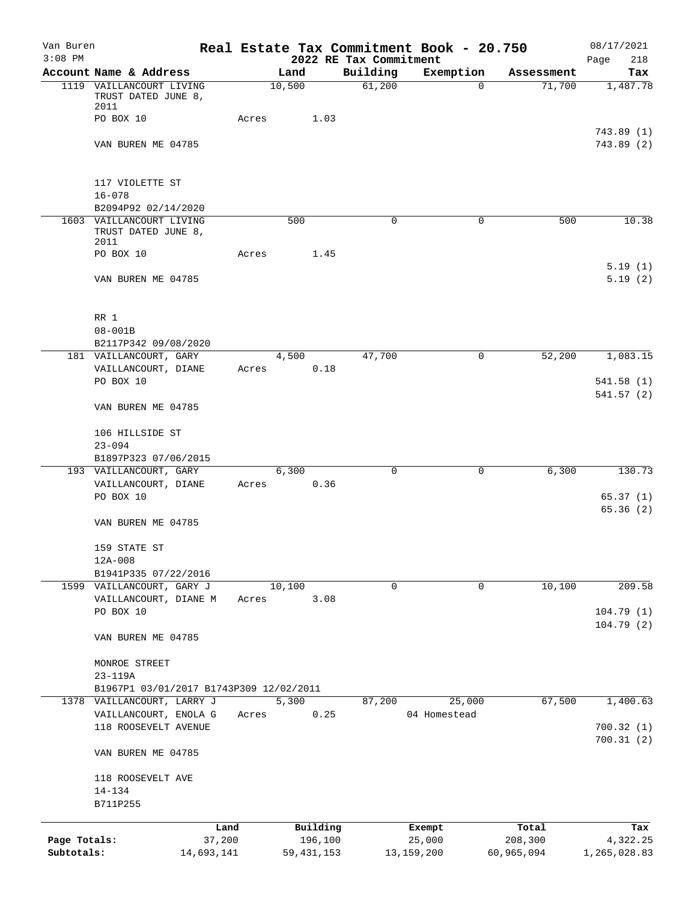| Van Buren                  |                                                         |                      |       |        |                         |                                    | Real Estate Tax Commitment Book - 20.750 |                       | 08/17/2021               |
|----------------------------|---------------------------------------------------------|----------------------|-------|--------|-------------------------|------------------------------------|------------------------------------------|-----------------------|--------------------------|
| $3:08$ PM                  | Account Name & Address                                  |                      |       | Land   |                         | 2022 RE Tax Commitment<br>Building | Exemption                                | Assessment            | 218<br>Page<br>Tax       |
|                            | 1119 VAILLANCOURT LIVING<br>TRUST DATED JUNE 8,         |                      |       | 10,500 |                         | 61,200                             | $\mathbf 0$                              | 71,700                | 1,487.78                 |
|                            | 2011<br>PO BOX 10                                       |                      | Acres |        | 1.03                    |                                    |                                          |                       |                          |
|                            | VAN BUREN ME 04785                                      |                      |       |        |                         |                                    |                                          |                       | 743.89(1)<br>743.89(2)   |
|                            | 117 VIOLETTE ST                                         |                      |       |        |                         |                                    |                                          |                       |                          |
|                            | $16 - 078$<br>B2094P92 02/14/2020                       |                      |       |        |                         |                                    |                                          |                       |                          |
|                            | 1603 VAILLANCOURT LIVING<br>TRUST DATED JUNE 8,<br>2011 |                      |       | 500    |                         | 0                                  | 0                                        | 500                   | 10.38                    |
|                            | PO BOX 10                                               |                      | Acres |        | 1.45                    |                                    |                                          |                       |                          |
|                            | VAN BUREN ME 04785                                      |                      |       |        |                         |                                    |                                          |                       | 5.19(1)<br>5.19(2)       |
|                            | RR 1                                                    |                      |       |        |                         |                                    |                                          |                       |                          |
|                            | $08 - 001B$<br>B2117P342 09/08/2020                     |                      |       |        |                         |                                    |                                          |                       |                          |
|                            | 181 VAILLANCOURT, GARY                                  |                      |       | 4,500  |                         | 47,700                             | 0                                        | 52,200                | 1,083.15                 |
|                            | VAILLANCOURT, DIANE<br>PO BOX 10                        |                      | Acres |        | 0.18                    |                                    |                                          |                       | 541.58(1)<br>541.57(2)   |
|                            | VAN BUREN ME 04785                                      |                      |       |        |                         |                                    |                                          |                       |                          |
|                            | 106 HILLSIDE ST<br>$23 - 094$                           |                      |       |        |                         |                                    |                                          |                       |                          |
|                            | B1897P323 07/06/2015                                    |                      |       |        |                         |                                    |                                          |                       |                          |
|                            | 193 VAILLANCOURT, GARY<br>VAILLANCOURT, DIANE           |                      | Acres | 6,300  | 0.36                    | $\Omega$                           | 0                                        | 6,300                 | 130.73                   |
|                            | PO BOX 10                                               |                      |       |        |                         |                                    |                                          |                       | 65.37(1)<br>65.36(2)     |
|                            | VAN BUREN ME 04785                                      |                      |       |        |                         |                                    |                                          |                       |                          |
|                            | 159 STATE ST<br>$12A - 008$                             |                      |       |        |                         |                                    |                                          |                       |                          |
|                            | B1941P335 07/22/2016                                    |                      |       |        |                         |                                    |                                          |                       |                          |
|                            | 1599 VAILLANCOURT, GARY J                               |                      |       | 10,100 |                         | $\mathbf 0$                        | $\mathbf 0$                              | 10,100                | 209.58                   |
|                            | VAILLANCOURT, DIANE M<br>PO BOX 10                      |                      | Acres |        | 3.08                    |                                    |                                          |                       | 104.79(1)                |
|                            | VAN BUREN ME 04785                                      |                      |       |        |                         |                                    |                                          |                       | 104.79(2)                |
|                            | MONROE STREET                                           |                      |       |        |                         |                                    |                                          |                       |                          |
|                            | $23 - 119A$                                             |                      |       |        |                         |                                    |                                          |                       |                          |
|                            | B1967P1 03/01/2017 B1743P309 12/02/2011                 |                      |       |        |                         |                                    |                                          |                       |                          |
|                            | 1378 VAILLANCOURT, LARRY J                              |                      |       | 5,300  |                         | 87,200                             | 25,000                                   | 67,500                | 1,400.63                 |
|                            | VAILLANCOURT, ENOLA G<br>118 ROOSEVELT AVENUE           |                      | Acres |        | 0.25                    |                                    | 04 Homestead                             |                       | 700.32(1)<br>700.31(2)   |
|                            | VAN BUREN ME 04785                                      |                      |       |        |                         |                                    |                                          |                       |                          |
|                            | 118 ROOSEVELT AVE<br>$14 - 134$                         |                      |       |        |                         |                                    |                                          |                       |                          |
|                            | B711P255                                                |                      |       |        |                         |                                    |                                          |                       |                          |
|                            |                                                         | Land                 |       |        | Building                |                                    | Exempt                                   | Total                 | Tax                      |
| Page Totals:<br>Subtotals: |                                                         | 37,200<br>14,693,141 |       |        | 196,100<br>59, 431, 153 |                                    | 25,000<br>13, 159, 200                   | 208,300<br>60,965,094 | 4,322.25<br>1,265,028.83 |
|                            |                                                         |                      |       |        |                         |                                    |                                          |                       |                          |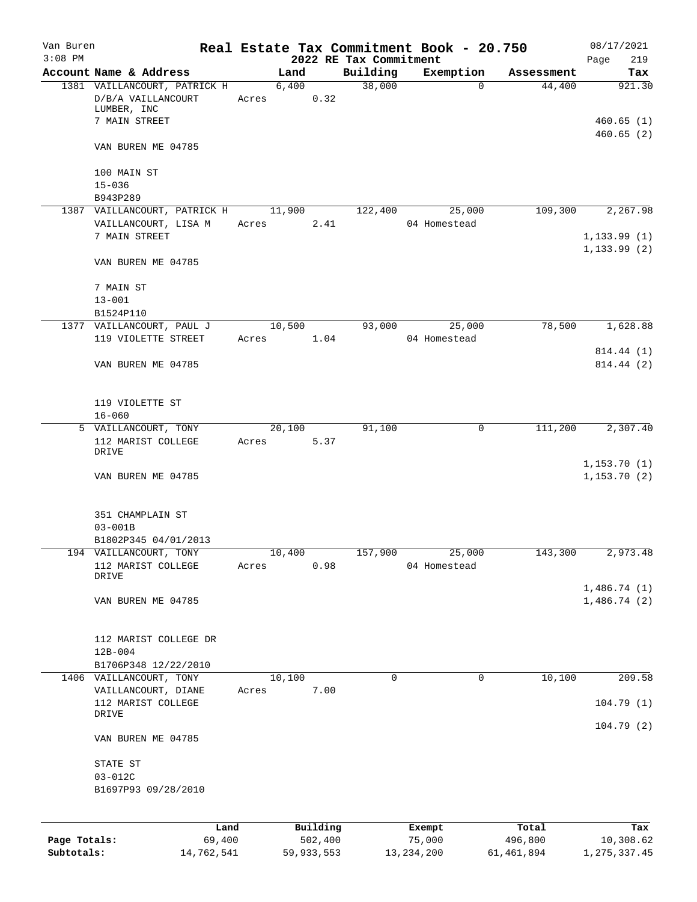| Van Buren    |                                                                   |                 |            |                        | Real Estate Tax Commitment Book - 20.750 |            | 08/17/2021                   |
|--------------|-------------------------------------------------------------------|-----------------|------------|------------------------|------------------------------------------|------------|------------------------------|
| $3:08$ PM    |                                                                   |                 |            | 2022 RE Tax Commitment |                                          |            | 219<br>Page                  |
|              | Account Name & Address                                            | Land            |            | Building               | Exemption                                | Assessment | Tax                          |
|              | 1381 VAILLANCOURT, PATRICK H<br>D/B/A VAILLANCOURT<br>LUMBER, INC | 6,400<br>Acres  | 0.32       | 38,000                 | $\Omega$                                 | 44,400     | 921.30                       |
|              | 7 MAIN STREET                                                     |                 |            |                        |                                          |            | 460.65(1)                    |
|              | VAN BUREN ME 04785                                                |                 |            |                        |                                          |            | 460.65(2)                    |
|              | 100 MAIN ST<br>$15 - 036$                                         |                 |            |                        |                                          |            |                              |
|              | B943P289                                                          |                 |            |                        |                                          |            |                              |
|              | 1387 VAILLANCOURT, PATRICK H                                      | 11,900          |            | 122,400                | 25,000                                   | 109,300    | 2,267.98                     |
|              | VAILLANCOURT, LISA M                                              | Acres           | 2.41       |                        | 04 Homestead                             |            |                              |
|              | 7 MAIN STREET                                                     |                 |            |                        |                                          |            | 1, 133.99(1)<br>1, 133.99(2) |
|              | VAN BUREN ME 04785                                                |                 |            |                        |                                          |            |                              |
|              | 7 MAIN ST                                                         |                 |            |                        |                                          |            |                              |
|              | $13 - 001$                                                        |                 |            |                        |                                          |            |                              |
|              | B1524P110                                                         |                 |            |                        |                                          |            |                              |
|              | 1377 VAILLANCOURT, PAUL J<br>119 VIOLETTE STREET                  | 10,500<br>Acres | 1.04       | 93,000                 | 25,000<br>04 Homestead                   | 78,500     | 1,628.88                     |
|              |                                                                   |                 |            |                        |                                          |            | 814.44 (1)                   |
|              | VAN BUREN ME 04785                                                |                 |            |                        |                                          |            | 814.44 (2)                   |
|              | 119 VIOLETTE ST                                                   |                 |            |                        |                                          |            |                              |
|              | $16 - 060$                                                        |                 |            |                        |                                          |            |                              |
|              | 5 VAILLANCOURT, TONY<br>112 MARIST COLLEGE<br>DRIVE               | 20,100<br>Acres | 5.37       | 91,100                 | 0                                        | 111,200    | 2,307.40                     |
|              |                                                                   |                 |            |                        |                                          |            | 1,153.70(1)                  |
|              | VAN BUREN ME 04785                                                |                 |            |                        |                                          |            | 1, 153.70(2)                 |
|              | 351 CHAMPLAIN ST                                                  |                 |            |                        |                                          |            |                              |
|              | $03 - 001B$                                                       |                 |            |                        |                                          |            |                              |
|              | B1802P345 04/01/2013                                              |                 |            |                        |                                          |            |                              |
|              | 194 VAILLANCOURT, TONY                                            | 10,400          |            | 157,900                | 25,000                                   | 143,300    | 2,973.48                     |
|              | 112 MARIST COLLEGE<br>DRIVE                                       | Acres           | 0.98       |                        | 04 Homestead                             |            |                              |
|              | VAN BUREN ME 04785                                                |                 |            |                        |                                          |            | 1,486.74(1)<br>1,486.74(2)   |
|              |                                                                   |                 |            |                        |                                          |            |                              |
|              | 112 MARIST COLLEGE DR<br>$12B-004$                                |                 |            |                        |                                          |            |                              |
|              | B1706P348 12/22/2010                                              |                 |            |                        |                                          |            |                              |
|              | 1406 VAILLANCOURT, TONY                                           | 10,100          |            | 0                      | $\mathbf 0$                              | 10,100     | 209.58                       |
|              | VAILLANCOURT, DIANE                                               | Acres           | 7.00       |                        |                                          |            |                              |
|              | 112 MARIST COLLEGE<br>DRIVE                                       |                 |            |                        |                                          |            | 104.79(1)                    |
|              | VAN BUREN ME 04785                                                |                 |            |                        |                                          |            | 104.79(2)                    |
|              | STATE ST                                                          |                 |            |                        |                                          |            |                              |
|              | $03 - 012C$                                                       |                 |            |                        |                                          |            |                              |
|              | B1697P93 09/28/2010                                               |                 |            |                        |                                          |            |                              |
|              | Land                                                              |                 | Building   |                        | Exempt                                   | Total      | Tax                          |
| Page Totals: | 69,400                                                            |                 | 502,400    |                        | 75,000                                   | 496,800    | 10,308.62                    |
| Subtotals:   | 14,762,541                                                        |                 | 59,933,553 |                        | 13, 234, 200                             | 61,461,894 | 1, 275, 337.45               |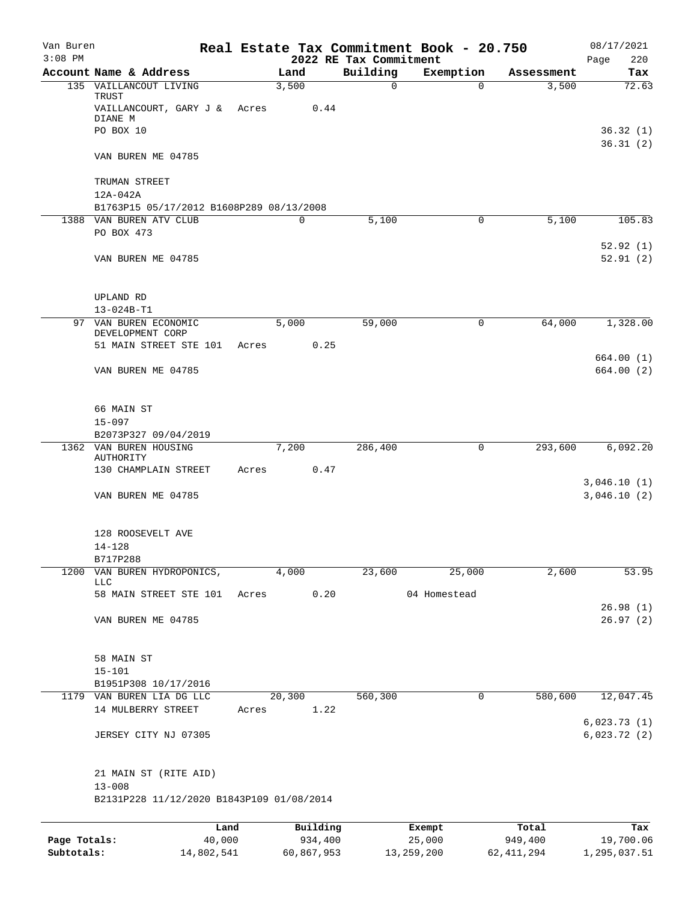| Van Buren    |                                                        |       |                |                         | Real Estate Tax Commitment Book - 20.750 |                     | 08/17/2021                 |
|--------------|--------------------------------------------------------|-------|----------------|-------------------------|------------------------------------------|---------------------|----------------------------|
| $3:08$ PM    |                                                        |       |                | 2022 RE Tax Commitment  |                                          |                     | 220<br>Page                |
|              | Account Name & Address<br>135 VAILLANCOUT LIVING       |       | Land<br>3,500  | Building<br>$\mathbf 0$ | Exemption<br>0                           | Assessment<br>3,500 | Tax<br>72.63               |
|              | TRUST<br>VAILLANCOURT, GARY J & Acres                  |       | 0.44           |                         |                                          |                     |                            |
|              | DIANE M                                                |       |                |                         |                                          |                     |                            |
|              | PO BOX 10                                              |       |                |                         |                                          |                     | 36.32(1)<br>36.31(2)       |
|              | VAN BUREN ME 04785                                     |       |                |                         |                                          |                     |                            |
|              | TRUMAN STREET                                          |       |                |                         |                                          |                     |                            |
|              | $12A-042A$<br>B1763P15 05/17/2012 B1608P289 08/13/2008 |       |                |                         |                                          |                     |                            |
|              | 1388 VAN BUREN ATV CLUB                                |       | $\mathbf 0$    | 5,100                   | $\mathbf 0$                              | 5,100               | 105.83                     |
|              | PO BOX 473                                             |       |                |                         |                                          |                     |                            |
|              |                                                        |       |                |                         |                                          |                     | 52.92(1)                   |
|              | VAN BUREN ME 04785                                     |       |                |                         |                                          |                     | 52.91(2)                   |
|              | UPLAND RD                                              |       |                |                         |                                          |                     |                            |
|              | 13-024B-T1                                             |       |                |                         |                                          |                     |                            |
|              | 97 VAN BUREN ECONOMIC                                  |       | 5,000          | 59,000                  | 0                                        | 64,000              | 1,328.00                   |
|              | DEVELOPMENT CORP<br>51 MAIN STREET STE 101             | Acres | 0.25           |                         |                                          |                     |                            |
|              |                                                        |       |                |                         |                                          |                     | 664.00(1)                  |
|              | VAN BUREN ME 04785                                     |       |                |                         |                                          |                     | 664.00(2)                  |
|              | 66 MAIN ST                                             |       |                |                         |                                          |                     |                            |
|              | $15 - 097$                                             |       |                |                         |                                          |                     |                            |
|              | B2073P327 09/04/2019                                   |       |                |                         |                                          |                     |                            |
|              | 1362 VAN BUREN HOUSING<br>AUTHORITY                    |       | 7,200          | 286,400                 | 0                                        | 293,600             | 6,092.20                   |
|              | 130 CHAMPLAIN STREET                                   | Acres | 0.47           |                         |                                          |                     |                            |
|              | VAN BUREN ME 04785                                     |       |                |                         |                                          |                     | 3,046.10(1)<br>3,046.10(2) |
|              | 128 ROOSEVELT AVE                                      |       |                |                         |                                          |                     |                            |
|              | $14 - 128$                                             |       |                |                         |                                          |                     |                            |
|              | B717P288                                               |       |                |                         |                                          |                     |                            |
| 1200         | VAN BUREN HYDROPONICS,                                 |       | 4,000          | 23,600                  | 25,000                                   | 2,600               | 53.95                      |
|              | <b>LLC</b><br>58 MAIN STREET STE 101                   | Acres | 0.20           |                         | 04 Homestead                             |                     |                            |
|              |                                                        |       |                |                         |                                          |                     | 26.98(1)                   |
|              | VAN BUREN ME 04785                                     |       |                |                         |                                          |                     | 26.97(2)                   |
|              | 58 MAIN ST                                             |       |                |                         |                                          |                     |                            |
|              | $15 - 101$                                             |       |                |                         |                                          |                     |                            |
|              | B1951P308 10/17/2016                                   |       |                |                         |                                          |                     |                            |
|              | 1179 VAN BUREN LIA DG LLC<br>14 MULBERRY STREET        | Acres | 20,300<br>1.22 | 560, 300                | $\mathbf 0$                              | 580,600             | 12,047.45                  |
|              | JERSEY CITY NJ 07305                                   |       |                |                         |                                          |                     | 6,023.73(1)<br>6,023.72(2) |
|              | 21 MAIN ST (RITE AID)<br>$13 - 008$                    |       |                |                         |                                          |                     |                            |
|              | B2131P228 11/12/2020 B1843P109 01/08/2014              |       |                |                         |                                          |                     |                            |
|              |                                                        | Land  | Building       |                         | Exempt                                   | Total               | Tax                        |
| Page Totals: | 40,000                                                 |       | 934,400        |                         | 25,000                                   | 949,400             | 19,700.06                  |

**Subtotals:** 14,802,541 60,867,953 13,259,200 62,411,294 1,295,037.51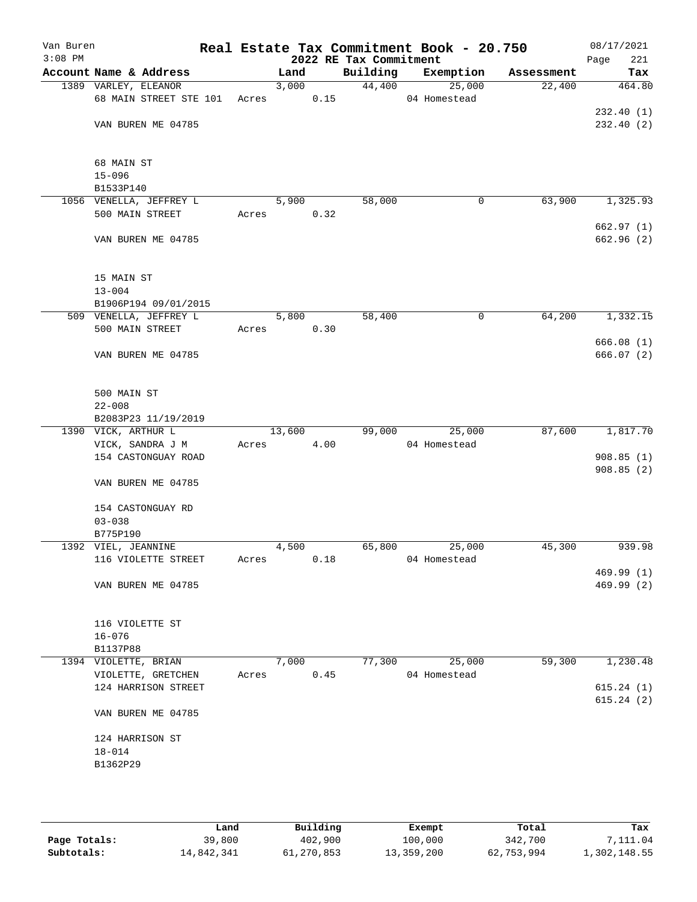| Van Buren<br>$3:08$ PM |                                    |       |        |      | 2022 RE Tax Commitment | Real Estate Tax Commitment Book - 20.750 |            | 08/17/2021<br>221<br>Page |
|------------------------|------------------------------------|-------|--------|------|------------------------|------------------------------------------|------------|---------------------------|
|                        | Account Name & Address             |       | Land   |      | Building               | Exemption                                | Assessment | Tax                       |
|                        | 1389 VARLEY, ELEANOR               |       | 3,000  |      |                        | 44,400<br>25,000                         | 22,400     | 464.80                    |
|                        | 68 MAIN STREET STE 101             | Acres |        | 0.15 |                        | 04 Homestead                             |            |                           |
|                        |                                    |       |        |      |                        |                                          |            | 232.40(1)                 |
|                        | VAN BUREN ME 04785                 |       |        |      |                        |                                          |            | 232.40(2)                 |
|                        | 68 MAIN ST                         |       |        |      |                        |                                          |            |                           |
|                        | $15 - 096$                         |       |        |      |                        |                                          |            |                           |
|                        | B1533P140                          |       |        |      |                        |                                          |            |                           |
|                        | 1056 VENELLA, JEFFREY L            |       | 5,900  |      | 58,000                 | 0                                        | 63,900     | 1,325.93                  |
|                        | 500 MAIN STREET                    | Acres |        | 0.32 |                        |                                          |            |                           |
|                        | VAN BUREN ME 04785                 |       |        |      |                        |                                          |            | 662.97(1)<br>662.96(2)    |
|                        |                                    |       |        |      |                        |                                          |            |                           |
|                        | 15 MAIN ST                         |       |        |      |                        |                                          |            |                           |
|                        | $13 - 004$<br>B1906P194 09/01/2015 |       |        |      |                        |                                          |            |                           |
|                        | 509 VENELLA, JEFFREY L             |       | 5,800  |      | 58,400                 | 0                                        | 64,200     | 1,332.15                  |
|                        | 500 MAIN STREET                    | Acres |        | 0.30 |                        |                                          |            |                           |
|                        |                                    |       |        |      |                        |                                          |            | 666.08(1)                 |
|                        | VAN BUREN ME 04785                 |       |        |      |                        |                                          |            | 666.07(2)                 |
|                        | 500 MAIN ST                        |       |        |      |                        |                                          |            |                           |
|                        | $22 - 008$                         |       |        |      |                        |                                          |            |                           |
|                        | B2083P23 11/19/2019                |       |        |      |                        |                                          |            |                           |
|                        | 1390 VICK, ARTHUR L                |       | 13,600 |      | 99,000                 | 25,000                                   | 87,600     | 1,817.70                  |
|                        | VICK, SANDRA J M                   | Acres |        | 4.00 |                        | 04 Homestead                             |            |                           |
|                        | 154 CASTONGUAY ROAD                |       |        |      |                        |                                          |            | 908.85(1)<br>908.85(2)    |
|                        | VAN BUREN ME 04785                 |       |        |      |                        |                                          |            |                           |
|                        | 154 CASTONGUAY RD                  |       |        |      |                        |                                          |            |                           |
|                        | $03 - 038$                         |       |        |      |                        |                                          |            |                           |
|                        | B775P190                           |       |        |      |                        |                                          |            |                           |
|                        | 1392 VIEL, JEANNINE                |       | 4,500  |      | 65,800                 | 25,000                                   | 45,300     | 939.98                    |
|                        | 116 VIOLETTE STREET                | Acres |        | 0.18 |                        | 04 Homestead                             |            |                           |
|                        | VAN BUREN ME 04785                 |       |        |      |                        |                                          |            | 469.99(1)<br>469.99(2)    |
|                        |                                    |       |        |      |                        |                                          |            |                           |
|                        | 116 VIOLETTE ST<br>$16 - 076$      |       |        |      |                        |                                          |            |                           |
|                        | B1137P88                           |       |        |      |                        |                                          |            |                           |
|                        | 1394 VIOLETTE, BRIAN               |       | 7,000  |      | 77,300                 | 25,000                                   | 59,300     | 1,230.48                  |
|                        | VIOLETTE, GRETCHEN                 | Acres |        | 0.45 |                        | 04 Homestead                             |            |                           |
|                        | 124 HARRISON STREET                |       |        |      |                        |                                          |            | 615.24(1)                 |
|                        | VAN BUREN ME 04785                 |       |        |      |                        |                                          |            | 615.24(2)                 |
|                        | 124 HARRISON ST                    |       |        |      |                        |                                          |            |                           |
|                        | $18 - 014$                         |       |        |      |                        |                                          |            |                           |
|                        | B1362P29                           |       |        |      |                        |                                          |            |                           |
|                        |                                    |       |        |      |                        |                                          |            |                           |
|                        |                                    |       |        |      |                        |                                          |            |                           |

|              | Land       | Building   | Exempt     | Total      | Tax          |
|--------------|------------|------------|------------|------------|--------------|
| Page Totals: | 39,800     | 402,900    | 100,000    | 342,700    | 7,111.04     |
| Subtotals:   | 14,842,341 | 61,270,853 | 13,359,200 | 62,753,994 | 1,302,148.55 |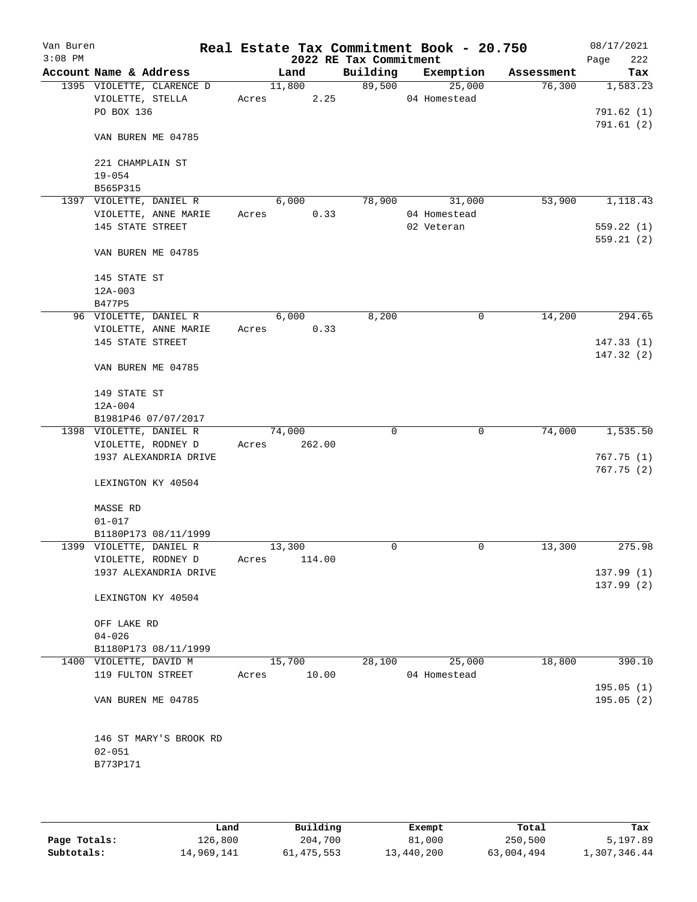| Van Buren<br>$3:08$ PM |                                     |       |               | 2022 RE Tax Commitment | Real Estate Tax Commitment Book - 20.750 |            | 08/17/2021<br>222<br>Page |
|------------------------|-------------------------------------|-------|---------------|------------------------|------------------------------------------|------------|---------------------------|
|                        | Account Name & Address              |       | Land          | Building               | Exemption                                | Assessment | Tax                       |
|                        | 1395 VIOLETTE, CLARENCE D           |       | 11,800        | 89,500                 | 25,000                                   | 76,300     | 1,583.23                  |
|                        | VIOLETTE, STELLA                    |       | 2.25<br>Acres |                        | 04 Homestead                             |            |                           |
|                        | PO BOX 136                          |       |               |                        |                                          |            | 791.62(1)                 |
|                        | VAN BUREN ME 04785                  |       |               |                        |                                          |            | 791.61(2)                 |
|                        | 221 CHAMPLAIN ST                    |       |               |                        |                                          |            |                           |
|                        | $19 - 054$                          |       |               |                        |                                          |            |                           |
|                        | B565P315<br>1397 VIOLETTE, DANIEL R |       | 6,000         | 78,900                 | 31,000                                   | 53,900     | 1,118.43                  |
|                        | VIOLETTE, ANNE MARIE                | Acres | 0.33          |                        | 04 Homestead                             |            |                           |
|                        | 145 STATE STREET                    |       |               |                        | 02 Veteran                               |            | 559.22(1)                 |
|                        |                                     |       |               |                        |                                          |            | 559.21(2)                 |
|                        | VAN BUREN ME 04785                  |       |               |                        |                                          |            |                           |
|                        | 145 STATE ST                        |       |               |                        |                                          |            |                           |
|                        | $12A-003$                           |       |               |                        |                                          |            |                           |
|                        | B477P5                              |       |               |                        |                                          |            |                           |
|                        | 96 VIOLETTE, DANIEL R               |       | 6,000         | 8,200                  | $\mathbf 0$                              | 14,200     | 294.65                    |
|                        | VIOLETTE, ANNE MARIE                |       | Acres 0.33    |                        |                                          |            |                           |
|                        | 145 STATE STREET                    |       |               |                        |                                          |            | 147.33(1)                 |
|                        | VAN BUREN ME 04785                  |       |               |                        |                                          |            | 147.32(2)                 |
|                        | 149 STATE ST                        |       |               |                        |                                          |            |                           |
|                        | $12A-004$                           |       |               |                        |                                          |            |                           |
|                        | B1981P46 07/07/2017                 |       |               |                        |                                          |            |                           |
|                        | 1398 VIOLETTE, DANIEL R             |       | 74,000        | $\Omega$               | 0                                        | 74,000     | 1,535.50                  |
|                        | VIOLETTE, RODNEY D                  | Acres | 262.00        |                        |                                          |            |                           |
|                        | 1937 ALEXANDRIA DRIVE               |       |               |                        |                                          |            | 767.75(1)                 |
|                        | LEXINGTON KY 40504                  |       |               |                        |                                          |            | 767.75(2)                 |
|                        | MASSE RD                            |       |               |                        |                                          |            |                           |
|                        | $01 - 017$                          |       |               |                        |                                          |            |                           |
|                        | B1180P173 08/11/1999                |       |               |                        |                                          |            |                           |
|                        | 1399 VIOLETTE, DANIEL R             |       | 13,300        | 0                      | $\mathbf 0$                              | 13,300     | 275.98                    |
|                        | VIOLETTE, RODNEY D                  | Acres | 114.00        |                        |                                          |            |                           |
|                        | 1937 ALEXANDRIA DRIVE               |       |               |                        |                                          |            | 137.99(1)                 |
|                        | LEXINGTON KY 40504                  |       |               |                        |                                          |            | 137.99(2)                 |
|                        | OFF LAKE RD                         |       |               |                        |                                          |            |                           |
|                        | $04 - 026$                          |       |               |                        |                                          |            |                           |
|                        | B1180P173 08/11/1999                |       |               |                        |                                          |            |                           |
|                        | 1400 VIOLETTE, DAVID M              |       | 15,700        | 28,100                 | 25,000                                   | 18,800     | 390.10                    |
|                        | 119 FULTON STREET                   | Acres | 10.00         |                        | 04 Homestead                             |            |                           |
|                        |                                     |       |               |                        |                                          |            | 195.05(1)                 |
|                        | VAN BUREN ME 04785                  |       |               |                        |                                          |            | 195.05(2)                 |
|                        | 146 ST MARY'S BROOK RD              |       |               |                        |                                          |            |                           |
|                        | $02 - 051$                          |       |               |                        |                                          |            |                           |
|                        | B773P171                            |       |               |                        |                                          |            |                           |
|                        |                                     |       |               |                        |                                          |            |                           |
|                        |                                     |       |               |                        |                                          |            |                           |

|              | Land       | Building   | Exempt     | Total      | Tax          |
|--------------|------------|------------|------------|------------|--------------|
| Page Totals: | 126,800    | 204,700    | 81,000     | 250,500    | 5,197.89     |
| Subtotals:   | 14,969,141 | 61,475,553 | 13,440,200 | 63,004,494 | 1,307,346.44 |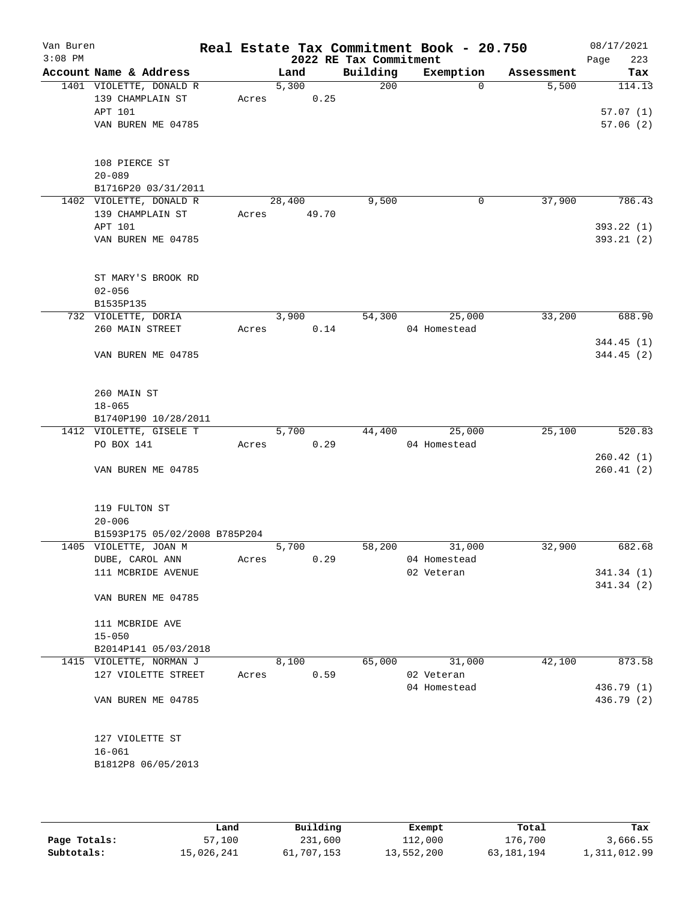| Van Buren<br>$3:08$ PM |                                  |       |        |       | 2022 RE Tax Commitment | Real Estate Tax Commitment Book - 20.750 |            | 08/17/2021<br>223<br>Page |
|------------------------|----------------------------------|-------|--------|-------|------------------------|------------------------------------------|------------|---------------------------|
|                        | Account Name & Address           |       | Land   |       | Building               | Exemption                                | Assessment | Tax                       |
|                        | 1401 VIOLETTE, DONALD R          |       | 5,300  |       | 200                    | $\Omega$                                 | 5,500      | 114.13                    |
|                        | 139 CHAMPLAIN ST                 | Acres |        | 0.25  |                        |                                          |            |                           |
|                        | APT 101                          |       |        |       |                        |                                          |            | 57.07(1)                  |
|                        | VAN BUREN ME 04785               |       |        |       |                        |                                          |            | 57.06(2)                  |
|                        | 108 PIERCE ST                    |       |        |       |                        |                                          |            |                           |
|                        | $20 - 089$                       |       |        |       |                        |                                          |            |                           |
|                        | B1716P20 03/31/2011              |       |        |       |                        |                                          |            |                           |
|                        | 1402 VIOLETTE, DONALD R          |       | 28,400 |       | 9,500                  | 0                                        | 37,900     | 786.43                    |
|                        | 139 CHAMPLAIN ST                 | Acres |        | 49.70 |                        |                                          |            |                           |
|                        | APT 101                          |       |        |       |                        |                                          |            | 393.22 (1)                |
|                        | VAN BUREN ME 04785               |       |        |       |                        |                                          |            | 393.21 (2)                |
|                        | ST MARY'S BROOK RD<br>$02 - 056$ |       |        |       |                        |                                          |            |                           |
|                        | B1535P135                        |       |        |       |                        |                                          |            |                           |
|                        | 732 VIOLETTE, DORIA              |       | 3,900  |       | 54,300                 | 25,000                                   | 33,200     | 688.90                    |
|                        | 260 MAIN STREET                  | Acres |        | 0.14  |                        | 04 Homestead                             |            |                           |
|                        |                                  |       |        |       |                        |                                          |            | 344.45(1)                 |
|                        | VAN BUREN ME 04785               |       |        |       |                        |                                          |            | 344.45(2)                 |
|                        | 260 MAIN ST                      |       |        |       |                        |                                          |            |                           |
|                        | $18 - 065$                       |       |        |       |                        |                                          |            |                           |
|                        | B1740P190 10/28/2011             |       |        |       |                        |                                          |            |                           |
|                        | 1412 VIOLETTE, GISELE T          |       | 5,700  |       | 44,400                 | 25,000                                   | 25,100     | 520.83                    |
|                        | PO BOX 141                       | Acres |        | 0.29  |                        | 04 Homestead                             |            |                           |
|                        |                                  |       |        |       |                        |                                          |            | 260.42(1)                 |
|                        | VAN BUREN ME 04785               |       |        |       |                        |                                          |            | 260.41(2)                 |
|                        | 119 FULTON ST                    |       |        |       |                        |                                          |            |                           |
|                        | $20 - 006$                       |       |        |       |                        |                                          |            |                           |
|                        | B1593P175 05/02/2008 B785P204    |       |        |       |                        |                                          |            |                           |
|                        | 1405 VIOLETTE, JOAN M            |       | 5,700  |       | 58,200                 | 31,000                                   | 32,900     | 682.68                    |
|                        | DUBE, CAROL ANN                  | Acres |        | 0.29  |                        | 04 Homestead                             |            |                           |
|                        | 111 MCBRIDE AVENUE               |       |        |       |                        | 02 Veteran                               |            | 341.34(1)                 |
|                        | VAN BUREN ME 04785               |       |        |       |                        |                                          |            | 341.34(2)                 |
|                        | 111 MCBRIDE AVE                  |       |        |       |                        |                                          |            |                           |
|                        | $15 - 050$                       |       |        |       |                        |                                          |            |                           |
|                        | B2014P141 05/03/2018             |       |        |       |                        |                                          |            |                           |
|                        | 1415 VIOLETTE, NORMAN J          |       | 8,100  |       | 65,000                 | 31,000                                   | 42,100     | 873.58                    |
|                        | 127 VIOLETTE STREET              | Acres |        | 0.59  |                        | 02 Veteran<br>04 Homestead               |            | 436.79 (1)                |
|                        | VAN BUREN ME 04785               |       |        |       |                        |                                          |            | 436.79 (2)                |
|                        | 127 VIOLETTE ST                  |       |        |       |                        |                                          |            |                           |
|                        | $16 - 061$                       |       |        |       |                        |                                          |            |                           |
|                        | B1812P8 06/05/2013               |       |        |       |                        |                                          |            |                           |
|                        |                                  |       |        |       |                        |                                          |            |                           |
|                        |                                  |       |        |       |                        |                                          |            |                           |

|              | Land       | Building   | Exempt     | Total        | Tax          |
|--------------|------------|------------|------------|--------------|--------------|
| Page Totals: | 57,100     | 231,600    | 112,000    | 176,700      | 3,666.55     |
| Subtotals:   | 15,026,241 | 61,707,153 | 13,552,200 | 63, 181, 194 | 1,311,012.99 |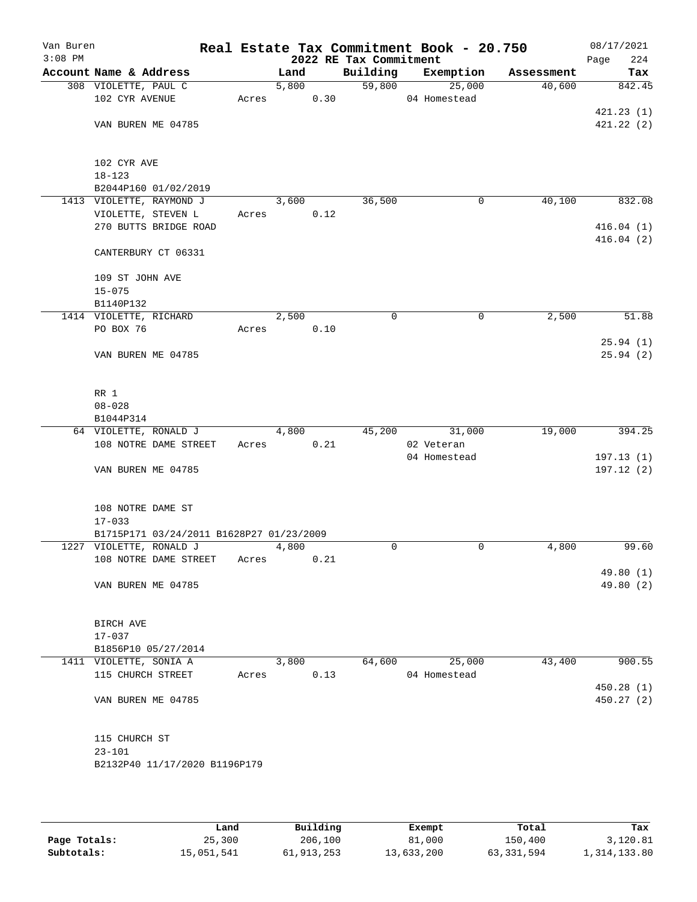| Van Buren<br>$3:08$ PM |                                               |       |       |      | 2022 RE Tax Commitment | Real Estate Tax Commitment Book - 20.750 |            | 08/17/2021<br>224<br>Page |
|------------------------|-----------------------------------------------|-------|-------|------|------------------------|------------------------------------------|------------|---------------------------|
|                        | Account Name & Address                        |       | Land  |      | Building               | Exemption                                | Assessment | Tax                       |
|                        | 308 VIOLETTE, PAUL C                          |       | 5,800 |      |                        | 59,800<br>25,000                         | 40,600     | 842.45                    |
|                        | 102 CYR AVENUE                                | Acres |       | 0.30 |                        | 04 Homestead                             |            |                           |
|                        |                                               |       |       |      |                        |                                          |            | 421.23(1)                 |
|                        | VAN BUREN ME 04785                            |       |       |      |                        |                                          |            | 421.22(2)                 |
|                        |                                               |       |       |      |                        |                                          |            |                           |
|                        | 102 CYR AVE<br>$18 - 123$                     |       |       |      |                        |                                          |            |                           |
|                        | B2044P160 01/02/2019                          |       |       |      |                        |                                          |            |                           |
|                        | 1413 VIOLETTE, RAYMOND J                      |       | 3,600 |      | 36,500                 | 0                                        | 40,100     | 832.08                    |
|                        | VIOLETTE, STEVEN L                            | Acres |       | 0.12 |                        |                                          |            |                           |
|                        | 270 BUTTS BRIDGE ROAD                         |       |       |      |                        |                                          |            | 416.04(1)                 |
|                        | CANTERBURY CT 06331                           |       |       |      |                        |                                          |            | 416.04(2)                 |
|                        | 109 ST JOHN AVE                               |       |       |      |                        |                                          |            |                           |
|                        | $15 - 075$                                    |       |       |      |                        |                                          |            |                           |
|                        | B1140P132                                     |       |       |      |                        |                                          |            |                           |
|                        | 1414 VIOLETTE, RICHARD                        |       | 2,500 |      | $\mathbf 0$            | $\mathbf 0$                              | 2,500      | 51.88                     |
|                        | PO BOX 76                                     | Acres |       | 0.10 |                        |                                          |            |                           |
|                        | VAN BUREN ME 04785                            |       |       |      |                        |                                          |            | 25.94(1)<br>25.94(2)      |
|                        |                                               |       |       |      |                        |                                          |            |                           |
|                        | RR 1                                          |       |       |      |                        |                                          |            |                           |
|                        | $08 - 028$                                    |       |       |      |                        |                                          |            |                           |
|                        | B1044P314<br>64 VIOLETTE, RONALD J            |       | 4,800 |      |                        | 45,200 31,000                            | 19,000     | 394.25                    |
|                        | 108 NOTRE DAME STREET                         | Acres |       | 0.21 |                        | 02 Veteran                               |            |                           |
|                        |                                               |       |       |      |                        | 04 Homestead                             |            | 197.13(1)                 |
|                        | VAN BUREN ME 04785                            |       |       |      |                        |                                          |            | 197.12(2)                 |
|                        | 108 NOTRE DAME ST                             |       |       |      |                        |                                          |            |                           |
|                        | $17 - 033$                                    |       |       |      |                        |                                          |            |                           |
|                        | B1715P171 03/24/2011 B1628P27 01/23/2009      |       |       |      |                        |                                          |            |                           |
|                        | 1227 VIOLETTE, RONALD J                       |       | 4,800 |      | $\Omega$               | 0                                        | 4,800      | 99.60                     |
|                        | 108 NOTRE DAME STREET                         | Acres |       | 0.21 |                        |                                          |            |                           |
|                        | VAN BUREN ME 04785                            |       |       |      |                        |                                          |            | 49.80 (1)<br>49.80 (2)    |
|                        |                                               |       |       |      |                        |                                          |            |                           |
|                        | BIRCH AVE                                     |       |       |      |                        |                                          |            |                           |
|                        | 17-037                                        |       |       |      |                        |                                          |            |                           |
|                        | B1856P10 05/27/2014<br>1411 VIOLETTE, SONIA A |       | 3,800 |      | 64,600                 | 25,000                                   | 43,400     | 900.55                    |
|                        | 115 CHURCH STREET                             | Acres |       | 0.13 |                        | 04 Homestead                             |            |                           |
|                        |                                               |       |       |      |                        |                                          |            | 450.28(1)                 |
|                        | VAN BUREN ME 04785                            |       |       |      |                        |                                          |            | 450.27(2)                 |
|                        | 115 CHURCH ST                                 |       |       |      |                        |                                          |            |                           |
|                        | $23 - 101$                                    |       |       |      |                        |                                          |            |                           |
|                        | B2132P40 11/17/2020 B1196P179                 |       |       |      |                        |                                          |            |                           |
|                        |                                               |       |       |      |                        |                                          |            |                           |

|              | ∟and       | Building   | Exempt     | Total      | Tax          |
|--------------|------------|------------|------------|------------|--------------|
| Page Totals: | 25,300     | 206,100    | 81,000     | 150,400    | 3,120.81     |
| Subtotals:   | 15,051,541 | 61,913,253 | 13,633,200 | 63,331,594 | 1,314,133.80 |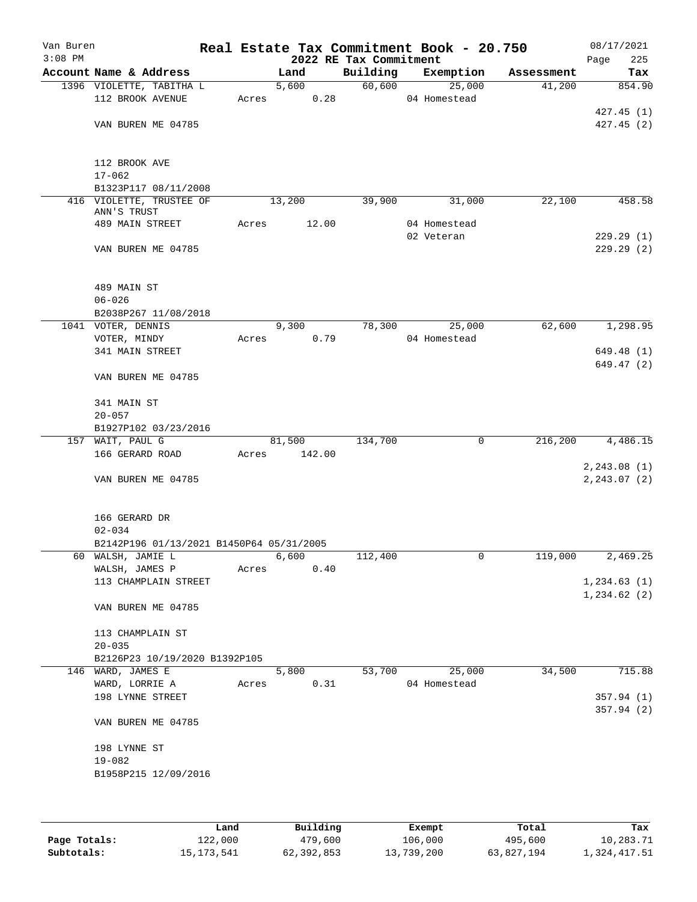| Van Buren |                                          |       |        |                        | Real Estate Tax Commitment Book - 20.750 |            |              | 08/17/2021 |
|-----------|------------------------------------------|-------|--------|------------------------|------------------------------------------|------------|--------------|------------|
| $3:08$ PM |                                          |       |        | 2022 RE Tax Commitment |                                          |            | Page         | 225        |
|           | Account Name & Address                   |       | Land   | Building               | Exemption                                | Assessment |              | Tax        |
|           | 1396 VIOLETTE, TABITHA L                 |       | 5,600  | 60,600                 | 25,000                                   | 41,200     |              | 854.90     |
|           | 112 BROOK AVENUE                         | Acres | 0.28   |                        | 04 Homestead                             |            |              |            |
|           |                                          |       |        |                        |                                          |            |              | 427.45(1)  |
|           | VAN BUREN ME 04785                       |       |        |                        |                                          |            |              | 427.45(2)  |
|           |                                          |       |        |                        |                                          |            |              |            |
|           |                                          |       |        |                        |                                          |            |              |            |
|           | 112 BROOK AVE                            |       |        |                        |                                          |            |              |            |
|           | $17 - 062$                               |       |        |                        |                                          |            |              |            |
|           | B1323P117 08/11/2008                     |       |        |                        |                                          |            |              |            |
|           | 416 VIOLETTE, TRUSTEE OF<br>ANN'S TRUST  |       | 13,200 | 39,900                 | 31,000                                   | 22,100     |              | 458.58     |
|           | 489 MAIN STREET                          | Acres | 12.00  |                        | 04 Homestead                             |            |              |            |
|           |                                          |       |        |                        | 02 Veteran                               |            |              | 229.29(1)  |
|           | VAN BUREN ME 04785                       |       |        |                        |                                          |            |              | 229.29 (2) |
|           |                                          |       |        |                        |                                          |            |              |            |
|           |                                          |       |        |                        |                                          |            |              |            |
|           | 489 MAIN ST                              |       |        |                        |                                          |            |              |            |
|           |                                          |       |        |                        |                                          |            |              |            |
|           | $06 - 026$                               |       |        |                        |                                          |            |              |            |
|           | B2038P267 11/08/2018                     |       |        |                        |                                          |            |              |            |
|           | 1041 VOTER, DENNIS                       |       | 9,300  | 78,300                 | 25,000                                   | 62,600     |              | 1,298.95   |
|           | VOTER, MINDY                             | Acres | 0.79   |                        | 04 Homestead                             |            |              |            |
|           | 341 MAIN STREET                          |       |        |                        |                                          |            |              | 649.48 (1) |
|           |                                          |       |        |                        |                                          |            |              | 649.47 (2) |
|           | VAN BUREN ME 04785                       |       |        |                        |                                          |            |              |            |
|           |                                          |       |        |                        |                                          |            |              |            |
|           | 341 MAIN ST                              |       |        |                        |                                          |            |              |            |
|           | $20 - 057$                               |       |        |                        |                                          |            |              |            |
|           | B1927P102 03/23/2016                     |       |        |                        |                                          |            |              |            |
|           | 157 WAIT, PAUL G                         |       | 81,500 | 134,700                | 0                                        | 216,200    |              | 4,486.15   |
|           | 166 GERARD ROAD                          | Acres | 142.00 |                        |                                          |            |              |            |
|           |                                          |       |        |                        |                                          |            | 2, 243.08(1) |            |
|           | VAN BUREN ME 04785                       |       |        |                        |                                          |            | 2, 243.07(2) |            |
|           |                                          |       |        |                        |                                          |            |              |            |
|           |                                          |       |        |                        |                                          |            |              |            |
|           | 166 GERARD DR                            |       |        |                        |                                          |            |              |            |
|           | $02 - 034$                               |       |        |                        |                                          |            |              |            |
|           | B2142P196 01/13/2021 B1450P64 05/31/2005 |       |        |                        |                                          |            |              |            |
|           | 60 WALSH, JAMIE L                        |       | 6,600  | 112,400                | 0                                        | 119,000    |              | 2,469.25   |
|           | WALSH, JAMES P                           | Acres | 0.40   |                        |                                          |            |              |            |
|           | 113 CHAMPLAIN STREET                     |       |        |                        |                                          |            | 1, 234.63(1) |            |
|           |                                          |       |        |                        |                                          |            | 1, 234.62(2) |            |
|           | VAN BUREN ME 04785                       |       |        |                        |                                          |            |              |            |
|           |                                          |       |        |                        |                                          |            |              |            |
|           | 113 CHAMPLAIN ST                         |       |        |                        |                                          |            |              |            |
|           | $20 - 035$                               |       |        |                        |                                          |            |              |            |
|           | B2126P23 10/19/2020 B1392P105            |       |        |                        |                                          |            |              |            |
|           | 146 WARD, JAMES E                        |       | 5,800  | 53,700                 | 25,000                                   | 34,500     |              | 715.88     |
|           | WARD, LORRIE A                           | Acres | 0.31   |                        | 04 Homestead                             |            |              |            |
|           | 198 LYNNE STREET                         |       |        |                        |                                          |            |              | 357.94(1)  |
|           |                                          |       |        |                        |                                          |            |              | 357.94(2)  |
|           | VAN BUREN ME 04785                       |       |        |                        |                                          |            |              |            |
|           |                                          |       |        |                        |                                          |            |              |            |
|           | 198 LYNNE ST                             |       |        |                        |                                          |            |              |            |
|           | $19 - 082$                               |       |        |                        |                                          |            |              |            |
|           | B1958P215 12/09/2016                     |       |        |                        |                                          |            |              |            |
|           |                                          |       |        |                        |                                          |            |              |            |
|           |                                          |       |        |                        |                                          |            |              |            |
|           |                                          |       |        |                        |                                          |            |              |            |

|              | Land       | Building   | Exempt     | Total      | Tax          |
|--------------|------------|------------|------------|------------|--------------|
| Page Totals: | 122,000    | 479,600    | 106,000    | 495,600    | 10,283.71    |
| Subtotals:   | 15,173,541 | 62,392,853 | 13,739,200 | 63,827,194 | 1,324,417.51 |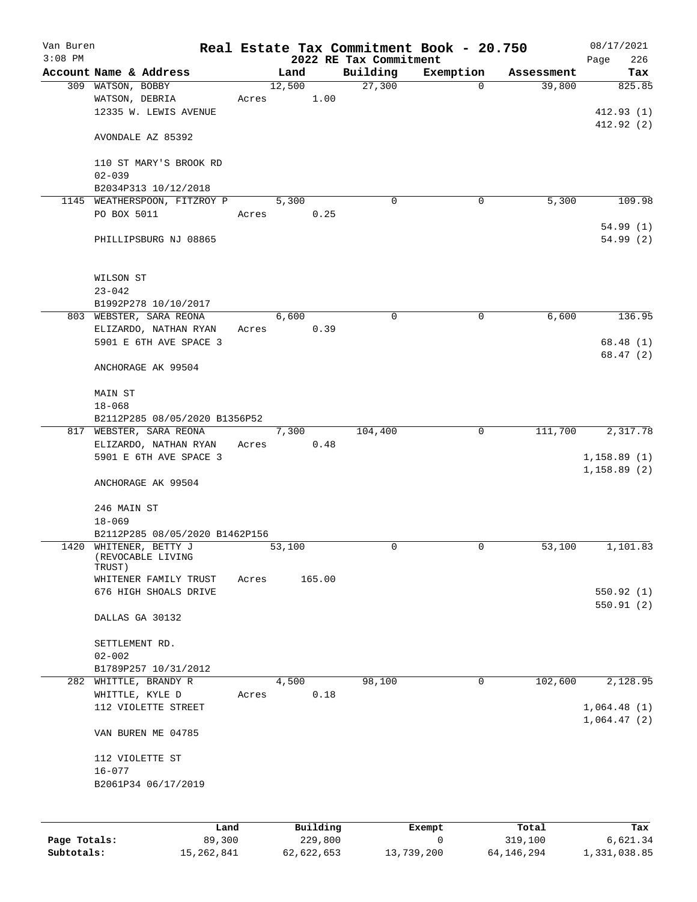| Van Buren<br>$3:08$ PM |                                           |       |          |                                    | Real Estate Tax Commitment Book - 20.750 |            | 08/17/2021         |
|------------------------|-------------------------------------------|-------|----------|------------------------------------|------------------------------------------|------------|--------------------|
|                        | Account Name & Address                    |       | Land     | 2022 RE Tax Commitment<br>Building | Exemption                                | Assessment | 226<br>Page<br>Tax |
|                        | 309 WATSON, BOBBY                         |       | 12,500   | 27,300                             | $\Omega$                                 | 39,800     | 825.85             |
|                        | WATSON, DEBRIA                            | Acres | 1.00     |                                    |                                          |            |                    |
|                        | 12335 W. LEWIS AVENUE                     |       |          |                                    |                                          |            | 412.93(1)          |
|                        |                                           |       |          |                                    |                                          |            | 412.92(2)          |
|                        |                                           |       |          |                                    |                                          |            |                    |
|                        | AVONDALE AZ 85392                         |       |          |                                    |                                          |            |                    |
|                        |                                           |       |          |                                    |                                          |            |                    |
|                        | 110 ST MARY'S BROOK RD                    |       |          |                                    |                                          |            |                    |
|                        | $02 - 039$                                |       |          |                                    |                                          |            |                    |
|                        | B2034P313 10/12/2018                      |       |          |                                    |                                          |            |                    |
|                        | 1145 WEATHERSPOON, FITZROY P              |       | 5,300    | $\Omega$                           | 0                                        | 5,300      | 109.98             |
|                        | PO BOX 5011                               | Acres | 0.25     |                                    |                                          |            |                    |
|                        |                                           |       |          |                                    |                                          |            | 54.99(1)           |
|                        | PHILLIPSBURG NJ 08865                     |       |          |                                    |                                          |            | 54.99 (2)          |
|                        |                                           |       |          |                                    |                                          |            |                    |
|                        |                                           |       |          |                                    |                                          |            |                    |
|                        | WILSON ST                                 |       |          |                                    |                                          |            |                    |
|                        | $23 - 042$                                |       |          |                                    |                                          |            |                    |
|                        | B1992P278 10/10/2017                      |       |          |                                    |                                          |            |                    |
|                        | 803 WEBSTER, SARA REONA                   |       | 6,600    | $\mathbf 0$                        | 0                                        | 6,600      | 136.95             |
|                        | ELIZARDO, NATHAN RYAN                     | Acres | 0.39     |                                    |                                          |            |                    |
|                        | 5901 E 6TH AVE SPACE 3                    |       |          |                                    |                                          |            | 68.48(1)           |
|                        |                                           |       |          |                                    |                                          |            | 68.47 (2)          |
|                        | ANCHORAGE AK 99504                        |       |          |                                    |                                          |            |                    |
|                        |                                           |       |          |                                    |                                          |            |                    |
|                        | MAIN ST                                   |       |          |                                    |                                          |            |                    |
|                        | $18 - 068$                                |       |          |                                    |                                          |            |                    |
|                        | B2112P285 08/05/2020 B1356P52             |       |          |                                    |                                          |            |                    |
|                        | 817 WEBSTER, SARA REONA                   |       | 7,300    | 104,400                            | $\mathbf 0$                              | 111,700    | 2,317.78           |
|                        |                                           |       |          |                                    |                                          |            |                    |
|                        | ELIZARDO, NATHAN RYAN                     | Acres | 0.48     |                                    |                                          |            |                    |
|                        | 5901 E 6TH AVE SPACE 3                    |       |          |                                    |                                          |            | 1,158.89(1)        |
|                        |                                           |       |          |                                    |                                          |            | 1,158.89(2)        |
|                        | ANCHORAGE AK 99504                        |       |          |                                    |                                          |            |                    |
|                        |                                           |       |          |                                    |                                          |            |                    |
|                        | 246 MAIN ST                               |       |          |                                    |                                          |            |                    |
|                        | $18 - 069$                                |       |          |                                    |                                          |            |                    |
|                        | B2112P285 08/05/2020 B1462P156            |       |          |                                    |                                          |            |                    |
|                        | 1420 WHITENER, BETTY J                    |       | 53,100   | 0                                  | 0                                        | 53,100     | 1,101.83           |
|                        | (REVOCABLE LIVING<br>TRUST)               |       |          |                                    |                                          |            |                    |
|                        | WHITENER FAMILY TRUST                     | Acres | 165.00   |                                    |                                          |            |                    |
|                        | 676 HIGH SHOALS DRIVE                     |       |          |                                    |                                          |            | 550.92 (1)         |
|                        |                                           |       |          |                                    |                                          |            | 550.91(2)          |
|                        | DALLAS GA 30132                           |       |          |                                    |                                          |            |                    |
|                        |                                           |       |          |                                    |                                          |            |                    |
|                        |                                           |       |          |                                    |                                          |            |                    |
|                        | SETTLEMENT RD.                            |       |          |                                    |                                          |            |                    |
|                        | $02 - 002$                                |       |          |                                    |                                          |            |                    |
|                        | B1789P257 10/31/2012<br>WHITTLE, BRANDY R |       | 4,500    | 98,100                             | 0                                        | 102,600    |                    |
| 282                    |                                           |       |          |                                    |                                          |            | 2,128.95           |
|                        | WHITTLE, KYLE D                           | Acres | 0.18     |                                    |                                          |            |                    |
|                        | 112 VIOLETTE STREET                       |       |          |                                    |                                          |            | 1,064.48(1)        |
|                        |                                           |       |          |                                    |                                          |            | 1,064.47(2)        |
|                        | VAN BUREN ME 04785                        |       |          |                                    |                                          |            |                    |
|                        |                                           |       |          |                                    |                                          |            |                    |
|                        | 112 VIOLETTE ST                           |       |          |                                    |                                          |            |                    |
|                        | $16 - 077$                                |       |          |                                    |                                          |            |                    |
|                        | B2061P34 06/17/2019                       |       |          |                                    |                                          |            |                    |
|                        |                                           |       |          |                                    |                                          |            |                    |
|                        |                                           |       |          |                                    |                                          |            |                    |
|                        | Land                                      |       | Building |                                    | Exempt                                   | Total      | Tax                |
| Page Totals:           | 89,300                                    |       | 229,800  |                                    | 0                                        | 319,100    | 6,621.34           |
|                        |                                           |       |          |                                    |                                          |            |                    |

**Subtotals:** 15,262,841 62,622,653 13,739,200 64,146,294 1,331,038.85